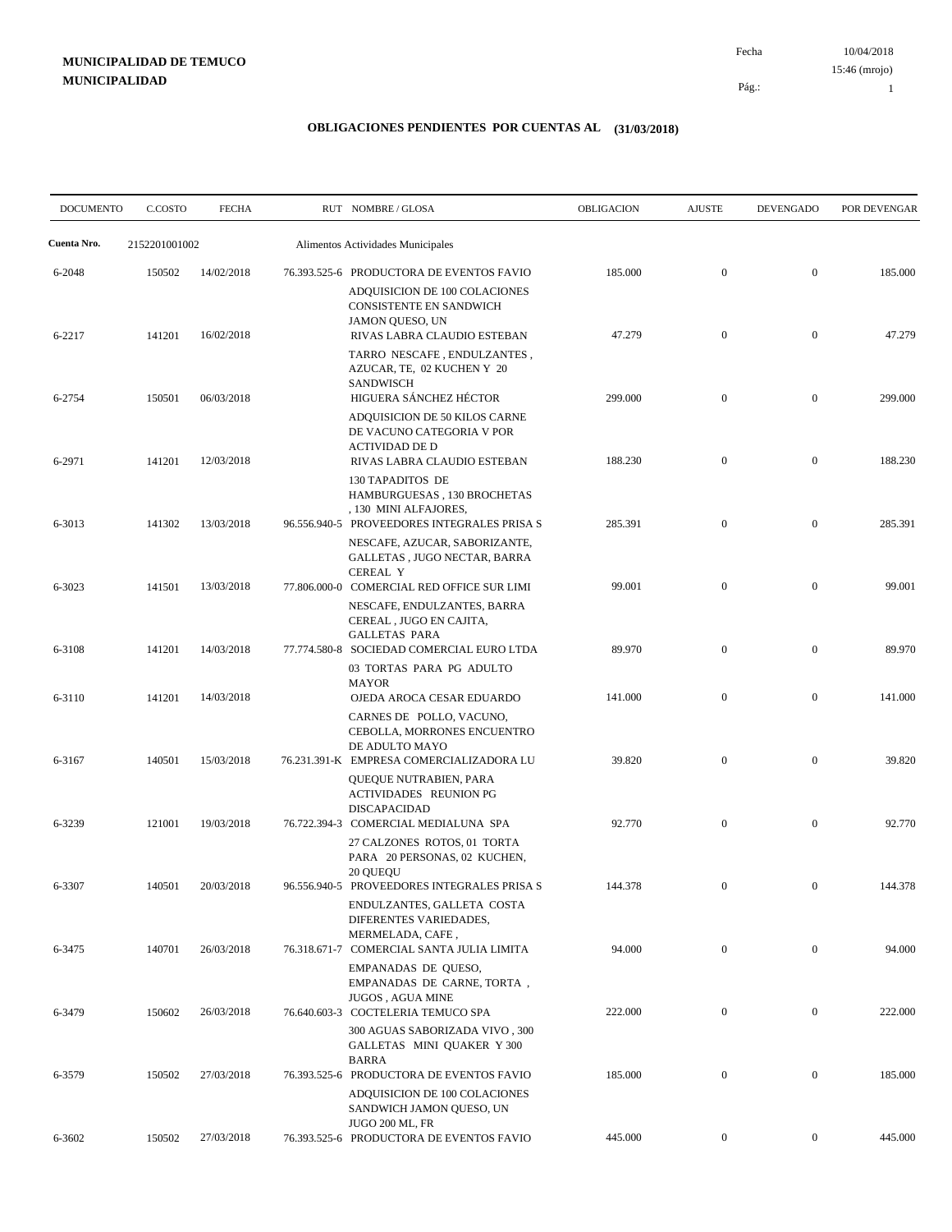10/04/2018 15:46 (mrojo)

Pág.:

Fecha

1

| <b>DOCUMENTO</b> | C.COSTO       | <b>FECHA</b> | RUT NOMBRE/GLOSA                                                                                                                       | OBLIGACION | <b>AJUSTE</b>    | <b>DEVENGADO</b> | POR DEVENGAR |
|------------------|---------------|--------------|----------------------------------------------------------------------------------------------------------------------------------------|------------|------------------|------------------|--------------|
| Cuenta Nro.      | 2152201001002 |              | Alimentos Actividades Municipales                                                                                                      |            |                  |                  |              |
| 6-2048           | 150502        | 14/02/2018   | 76.393.525-6 PRODUCTORA DE EVENTOS FAVIO<br>ADQUISICION DE 100 COLACIONES<br><b>CONSISTENTE EN SANDWICH</b>                            | 185.000    | $\mathbf{0}$     | $\mathbf{0}$     | 185.000      |
| 6-2217           | 141201        | 16/02/2018   | JAMON QUESO, UN<br>RIVAS LABRA CLAUDIO ESTEBAN<br>TARRO NESCAFE, ENDULZANTES,<br>AZUCAR, TE, 02 KUCHEN Y 20<br><b>SANDWISCH</b>        | 47.279     | $\mathbf{0}$     | $\mathbf{0}$     | 47.279       |
| 6-2754           | 150501        | 06/03/2018   | HIGUERA SÁNCHEZ HÉCTOR<br>ADQUISICION DE 50 KILOS CARNE<br>DE VACUNO CATEGORIA V POR<br><b>ACTIVIDAD DE D</b>                          | 299.000    | $\mathbf{0}$     | $\mathbf{0}$     | 299.000      |
| 6-2971           | 141201        | 12/03/2018   | RIVAS LABRA CLAUDIO ESTEBAN<br>130 TAPADITOS DE<br>HAMBURGUESAS, 130 BROCHETAS<br>, 130 MINI ALFAJORES,                                | 188.230    | $\mathbf{0}$     | $\mathbf{0}$     | 188.230      |
| 6-3013           | 141302        | 13/03/2018   | 96.556.940-5 PROVEEDORES INTEGRALES PRISA S<br>NESCAFE, AZUCAR, SABORIZANTE,<br>GALLETAS, JUGO NECTAR, BARRA<br><b>CEREAL Y</b>        | 285.391    | $\mathbf{0}$     | $\mathbf{0}$     | 285.391      |
| 6-3023           | 141501        | 13/03/2018   | 77.806.000-0 COMERCIAL RED OFFICE SUR LIMI<br>NESCAFE, ENDULZANTES, BARRA<br>CEREAL, JUGO EN CAJITA,<br><b>GALLETAS PARA</b>           | 99.001     | $\mathbf{0}$     | $\mathbf{0}$     | 99.001       |
| 6-3108           | 141201        | 14/03/2018   | 77.774.580-8 SOCIEDAD COMERCIAL EURO LTDA<br>03 TORTAS PARA PG ADULTO<br><b>MAYOR</b>                                                  | 89.970     | $\mathbf{0}$     | $\mathbf{0}$     | 89.970       |
| 6-3110           | 141201        | 14/03/2018   | OJEDA AROCA CESAR EDUARDO<br>CARNES DE POLLO, VACUNO,<br>CEBOLLA, MORRONES ENCUENTRO<br>DE ADULTO MAYO                                 | 141.000    | $\mathbf{0}$     | $\mathbf{0}$     | 141.000      |
| 6-3167           | 140501        | 15/03/2018   | 76.231.391-K EMPRESA COMERCIALIZADORA LU<br>QUEQUE NUTRABIEN, PARA<br><b>ACTIVIDADES REUNION PG</b><br>DISCAPACIDAD                    | 39.820     | $\mathbf{0}$     | $\mathbf{0}$     | 39.820       |
| 6-3239           | 121001        | 19/03/2018   | 76.722.394-3 COMERCIAL MEDIALUNA SPA<br>27 CALZONES ROTOS, 01 TORTA<br>PARA 20 PERSONAS, 02 KUCHEN,<br>20 QUEQU                        | 92.770     | $\mathbf{0}$     | $\boldsymbol{0}$ | 92.770       |
| 6-3307           | 140501        | 20/03/2018   | 96.556.940-5 PROVEEDORES INTEGRALES PRISA S<br>ENDULZANTES, GALLETA COSTA<br>DIFERENTES VARIEDADES,<br>MERMELADA, CAFE,                | 144.378    | $\mathbf{0}$     | $\overline{0}$   | 144.378      |
| 6-3475           | 140701        | 26/03/2018   | 76.318.671-7 COMERCIAL SANTA JULIA LIMITA<br>EMPANADAS DE QUESO,<br>EMPANADAS DE CARNE, TORTA,                                         | 94.000     | $\boldsymbol{0}$ | $\overline{0}$   | 94.000       |
| 6-3479           | 150602        | 26/03/2018   | JUGOS, AGUA MINE<br>76.640.603-3 COCTELERIA TEMUCO SPA<br>300 AGUAS SABORIZADA VIVO, 300<br>GALLETAS MINI QUAKER Y 300<br><b>BARRA</b> | 222.000    | $\boldsymbol{0}$ | $\mathbf{0}$     | 222.000      |
| 6-3579           | 150502        | 27/03/2018   | 76.393.525-6 PRODUCTORA DE EVENTOS FAVIO<br>ADQUISICION DE 100 COLACIONES<br>SANDWICH JAMON QUESO, UN                                  | 185.000    | $\mathbf{0}$     | $\mathbf{0}$     | 185.000      |
| 6-3602           | 150502        | 27/03/2018   | <b>JUGO 200 ML, FR</b><br>76.393.525-6 PRODUCTORA DE EVENTOS FAVIO                                                                     | 445.000    | $\boldsymbol{0}$ | $\overline{0}$   | 445.000      |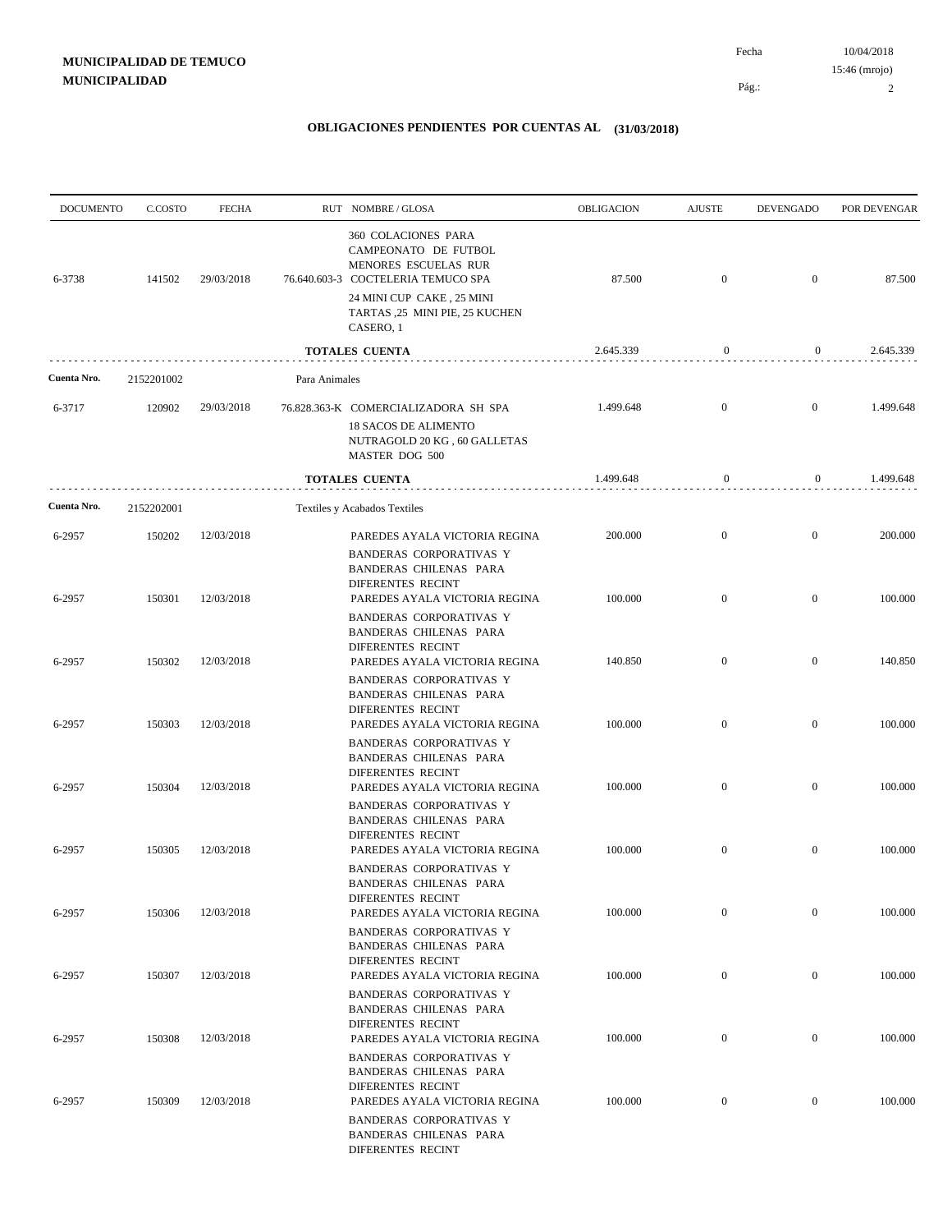| <b>DOCUMENTO</b> | C.COSTO    | <b>FECHA</b> |               | RUT NOMBRE/GLOSA                                                                                                                                                                      | OBLIGACION | <b>AJUSTE</b>    | <b>DEVENGADO</b> | POR DEVENGAR |
|------------------|------------|--------------|---------------|---------------------------------------------------------------------------------------------------------------------------------------------------------------------------------------|------------|------------------|------------------|--------------|
| 6-3738           | 141502     | 29/03/2018   |               | 360 COLACIONES PARA<br>CAMPEONATO DE FUTBOL<br>MENORES ESCUELAS RUR<br>76.640.603-3 COCTELERIA TEMUCO SPA<br>24 MINI CUP CAKE, 25 MINI<br>TARTAS ,25 MINI PIE, 25 KUCHEN<br>CASERO, 1 | 87.500     | $\mathbf{0}$     | $\overline{0}$   | 87.500       |
|                  |            |              |               | <b>TOTALES CUENTA</b>                                                                                                                                                                 | 2.645.339  | $\boldsymbol{0}$ | $\overline{0}$   | 2.645.339    |
| Cuenta Nro.      | 2152201002 |              | Para Animales |                                                                                                                                                                                       |            |                  |                  |              |
| 6-3717           | 120902     | 29/03/2018   |               | 76.828.363-K COMERCIALIZADORA SH SPA                                                                                                                                                  | 1.499.648  | $\mathbf{0}$     | $\overline{0}$   | 1.499.648    |
|                  |            |              |               | <b>18 SACOS DE ALIMENTO</b><br>NUTRAGOLD 20 KG, 60 GALLETAS<br>MASTER DOG 500                                                                                                         |            |                  |                  |              |
|                  |            |              |               | <b>TOTALES CUENTA</b>                                                                                                                                                                 | 1.499.648  | $\boldsymbol{0}$ | $\mathbf{0}$     | 1.499.648    |
| Cuenta Nro.      | 2152202001 |              |               | Textiles y Acabados Textiles                                                                                                                                                          |            |                  |                  |              |
| 6-2957           | 150202     | 12/03/2018   |               | PAREDES AYALA VICTORIA REGINA                                                                                                                                                         | 200.000    | $\mathbf{0}$     | $\mathbf{0}$     | 200.000      |
| 6-2957           | 150301     | 12/03/2018   |               | <b>BANDERAS CORPORATIVAS Y</b><br>BANDERAS CHILENAS PARA<br>DIFERENTES RECINT<br>PAREDES AYALA VICTORIA REGINA                                                                        | 100.000    | $\overline{0}$   | $\mathbf{0}$     | 100.000      |
|                  |            |              |               | <b>BANDERAS CORPORATIVAS Y</b><br>BANDERAS CHILENAS PARA<br>DIFERENTES RECINT                                                                                                         |            |                  |                  |              |
| 6-2957           | 150302     | 12/03/2018   |               | PAREDES AYALA VICTORIA REGINA<br><b>BANDERAS CORPORATIVAS Y</b><br>BANDERAS CHILENAS PARA<br>DIFERENTES RECINT                                                                        | 140.850    | $\mathbf{0}$     | $\overline{0}$   | 140.850      |
| 6-2957           | 150303     | 12/03/2018   |               | PAREDES AYALA VICTORIA REGINA                                                                                                                                                         | 100.000    | $\overline{0}$   | $\mathbf{0}$     | 100.000      |
| 6-2957           | 150304     | 12/03/2018   |               | <b>BANDERAS CORPORATIVAS Y</b><br>BANDERAS CHILENAS PARA<br>DIFERENTES RECINT<br>PAREDES AYALA VICTORIA REGINA                                                                        | 100.000    | $\mathbf{0}$     | $\mathbf{0}$     | 100.000      |
|                  |            |              |               | <b>BANDERAS CORPORATIVAS Y</b><br>BANDERAS CHILENAS PARA<br><b>DIFERENTES RECINT</b>                                                                                                  |            |                  |                  |              |
| 6-2957           | 150305     | 12/03/2018   |               | PAREDES AYALA VICTORIA REGINA                                                                                                                                                         | 100.000    | $\overline{0}$   | $\overline{0}$   | 100.000      |
| 6-2957           | 150306     | 12/03/2018   |               | <b>BANDERAS CORPORATIVAS Y</b><br>BANDERAS CHILENAS PARA<br>DIFERENTES RECINT<br>PAREDES AYALA VICTORIA REGINA                                                                        | 100.000    | $\mathbf{0}$     | $\mathbf{0}$     | 100.000      |
| 6-2957           | 150307     | 12/03/2018   |               | <b>BANDERAS CORPORATIVAS Y</b><br>BANDERAS CHILENAS PARA<br>DIFERENTES RECINT<br>PAREDES AYALA VICTORIA REGINA                                                                        | 100.000    | $\mathbf{0}$     | $\overline{0}$   | 100.000      |
|                  |            |              |               | <b>BANDERAS CORPORATIVAS Y</b><br>BANDERAS CHILENAS PARA<br><b>DIFERENTES RECINT</b>                                                                                                  |            |                  |                  |              |
| 6-2957           | 150308     | 12/03/2018   |               | PAREDES AYALA VICTORIA REGINA<br>BANDERAS CORPORATIVAS Y<br>BANDERAS CHILENAS PARA<br><b>DIFERENTES RECINT</b>                                                                        | 100.000    | $\boldsymbol{0}$ | $\boldsymbol{0}$ | 100.000      |
| 6-2957           | 150309     | 12/03/2018   |               | PAREDES AYALA VICTORIA REGINA<br>BANDERAS CORPORATIVAS Y<br>BANDERAS CHILENAS PARA<br>DIFERENTES RECINT                                                                               | 100.000    | $\boldsymbol{0}$ | $\mathbf{0}$     | 100.000      |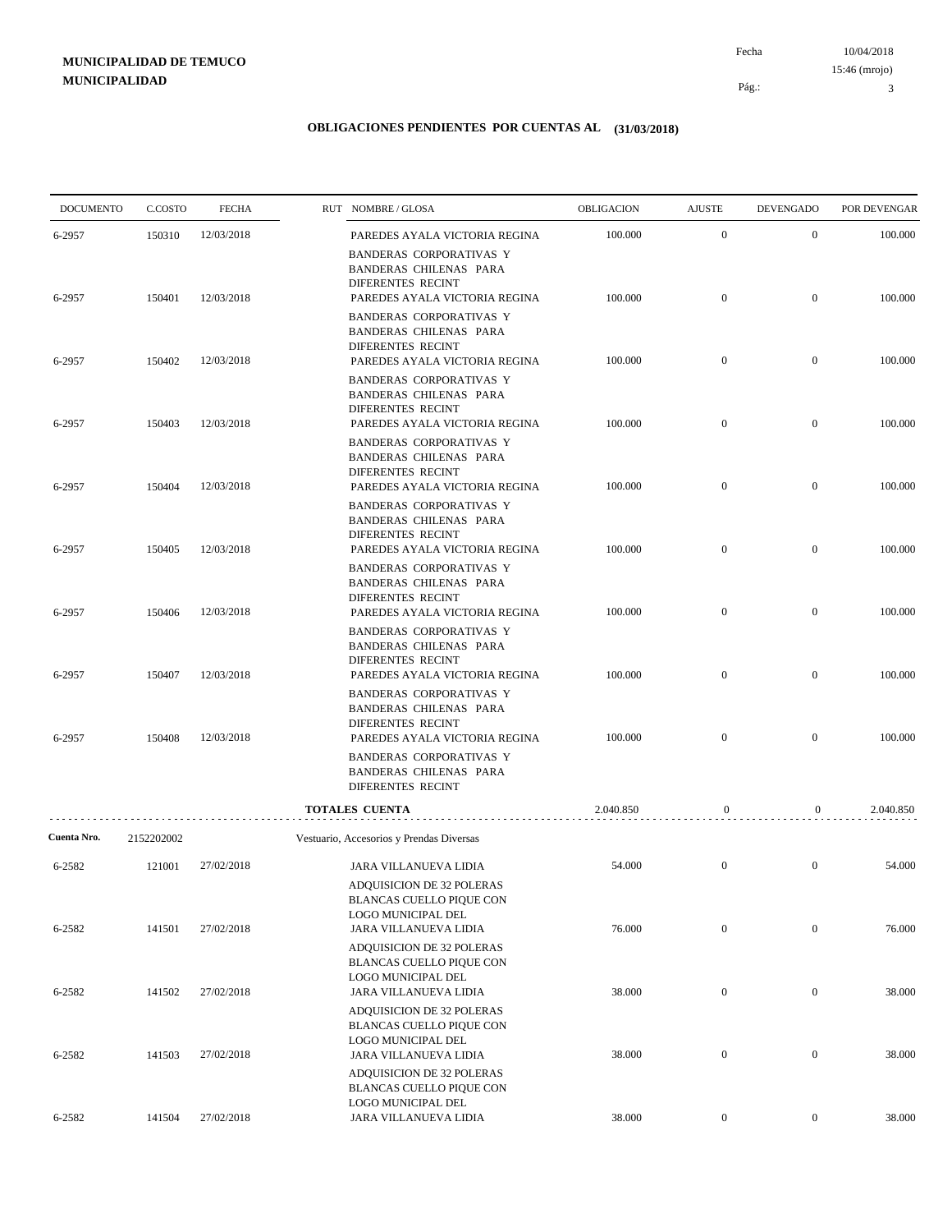10/04/2018 Pág.: Fecha

### **OBLIGACIONES PENDIENTES POR CUENTAS AL (31/03/2018)**

| <b>DOCUMENTO</b> | C.COSTO    | <b>FECHA</b> | RUT NOMBRE/GLOSA                                                                                                                                                                                | OBLIGACION | <b>AJUSTE</b>    | <b>DEVENGADO</b> | POR DEVENGAR |
|------------------|------------|--------------|-------------------------------------------------------------------------------------------------------------------------------------------------------------------------------------------------|------------|------------------|------------------|--------------|
| 6-2957           | 150310     | 12/03/2018   | PAREDES AYALA VICTORIA REGINA                                                                                                                                                                   | 100.000    | $\boldsymbol{0}$ | $\boldsymbol{0}$ | 100.000      |
| 6-2957           | 150401     | 12/03/2018   | <b>BANDERAS CORPORATIVAS Y</b><br>BANDERAS CHILENAS PARA<br>DIFERENTES RECINT<br>PAREDES AYALA VICTORIA REGINA<br><b>BANDERAS CORPORATIVAS Y</b><br>BANDERAS CHILENAS PARA<br>DIFERENTES RECINT | 100.000    | $\boldsymbol{0}$ | $\overline{0}$   | 100.000      |
| 6-2957           | 150402     | 12/03/2018   | PAREDES AYALA VICTORIA REGINA<br><b>BANDERAS CORPORATIVAS Y</b><br>BANDERAS CHILENAS PARA                                                                                                       | 100.000    | $\boldsymbol{0}$ | $\boldsymbol{0}$ | 100.000      |
| 6-2957           | 150403     | 12/03/2018   | DIFERENTES RECINT<br>PAREDES AYALA VICTORIA REGINA                                                                                                                                              | 100.000    | $\boldsymbol{0}$ | $\overline{0}$   | 100.000      |
| 6-2957           | 150404     | 12/03/2018   | <b>BANDERAS CORPORATIVAS Y</b><br>BANDERAS CHILENAS PARA<br>DIFERENTES RECINT<br>PAREDES AYALA VICTORIA REGINA                                                                                  | 100.000    | $\boldsymbol{0}$ | $\boldsymbol{0}$ | 100.000      |
| 6-2957           | 150405     | 12/03/2018   | <b>BANDERAS CORPORATIVAS Y</b><br><b>BANDERAS CHILENAS PARA</b><br>DIFERENTES RECINT<br>PAREDES AYALA VICTORIA REGINA                                                                           | 100.000    | $\boldsymbol{0}$ | $\boldsymbol{0}$ | 100.000      |
| 6-2957           | 150406     | 12/03/2018   | <b>BANDERAS CORPORATIVAS Y</b><br><b>BANDERAS CHILENAS PARA</b><br>DIFERENTES RECINT<br>PAREDES AYALA VICTORIA REGINA                                                                           | 100.000    | $\boldsymbol{0}$ | $\boldsymbol{0}$ | 100.000      |
| 6-2957           | 150407     | 12/03/2018   | <b>BANDERAS CORPORATIVAS Y</b><br>BANDERAS CHILENAS PARA<br>DIFERENTES RECINT<br>PAREDES AYALA VICTORIA REGINA                                                                                  | 100.000    | $\overline{0}$   | $\overline{0}$   | 100.000      |
| 6-2957           | 150408     | 12/03/2018   | <b>BANDERAS CORPORATIVAS Y</b><br>BANDERAS CHILENAS PARA<br>DIFERENTES RECINT<br>PAREDES AYALA VICTORIA REGINA                                                                                  | 100.000    | $\mathbf{0}$     | $\boldsymbol{0}$ | 100.000      |
|                  |            |              | <b>BANDERAS CORPORATIVAS Y</b><br>BANDERAS CHILENAS PARA<br>DIFERENTES RECINT                                                                                                                   |            |                  |                  |              |
|                  |            |              | <b>TOTALES CUENTA</b>                                                                                                                                                                           | 2.040.850  | $\mathbf{0}$     | $\mathbf{0}$     | 2.040.850    |
| Cuenta Nro.      | 2152202002 |              | Vestuario, Accesorios y Prendas Diversas                                                                                                                                                        |            |                  |                  |              |
| 6-2582           | 121001     | 27/02/2018   | JARA VILLANUEVA LIDIA<br>ADQUISICION DE 32 POLERAS<br>BLANCAS CUELLO PIQUE CON<br>LOGO MUNICIPAL DEL                                                                                            | 54.000     | $\mathbf{0}$     | $\overline{0}$   | 54.000       |
| 6-2582           | 141501     | 27/02/2018   | JARA VILLANUEVA LIDIA<br>ADQUISICION DE 32 POLERAS<br><b>BLANCAS CUELLO PIQUE CON</b>                                                                                                           | 76.000     | $\boldsymbol{0}$ | $\boldsymbol{0}$ | 76.000       |
| 6-2582           | 141502     | 27/02/2018   | LOGO MUNICIPAL DEL<br>JARA VILLANUEVA LIDIA                                                                                                                                                     | 38.000     | $\boldsymbol{0}$ | $\boldsymbol{0}$ | 38.000       |
| 6-2582           | 141503     | 27/02/2018   | ADQUISICION DE 32 POLERAS<br><b>BLANCAS CUELLO PIQUE CON</b><br>LOGO MUNICIPAL DEL<br>JARA VILLANUEVA LIDIA                                                                                     | 38.000     | $\boldsymbol{0}$ | $\boldsymbol{0}$ | 38.000       |
|                  |            |              | ADQUISICION DE 32 POLERAS<br>BLANCAS CUELLO PIQUE CON<br>LOGO MUNICIPAL DEL                                                                                                                     |            |                  |                  |              |
| 6-2582           | 141504     | 27/02/2018   | JARA VILLANUEVA LIDIA                                                                                                                                                                           | 38.000     | $\boldsymbol{0}$ | $\overline{0}$   | 38.000       |

3 15:46 (mrojo)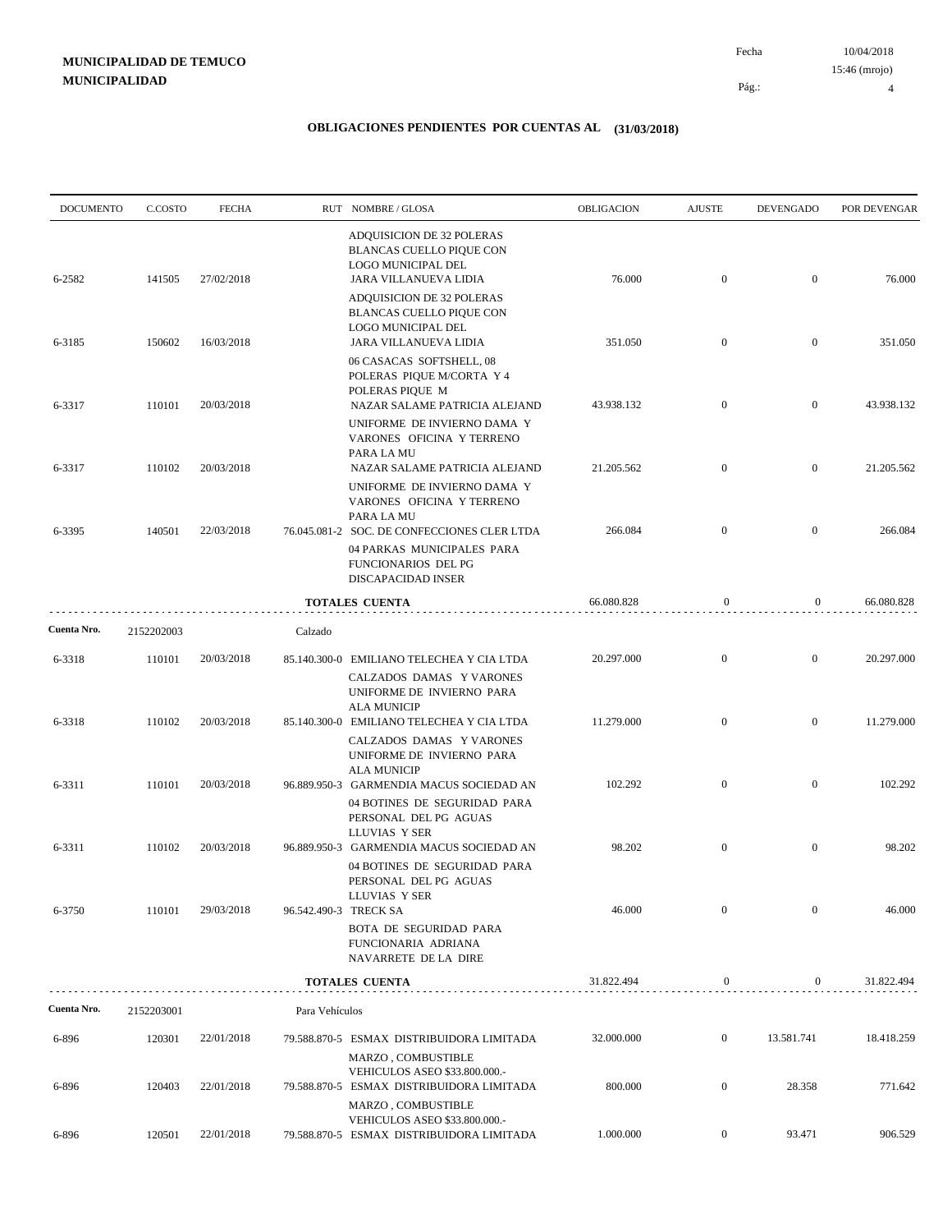10/04/2018 Pág.: Fecha 15:46 (mrojo)

4

| <b>DOCUMENTO</b> | C.COSTO    | <b>FECHA</b> |                | RUT NOMBRE/GLOSA                                                                                                                                                  | OBLIGACION | <b>AJUSTE</b>    | <b>DEVENGADO</b> | POR DEVENGAR |
|------------------|------------|--------------|----------------|-------------------------------------------------------------------------------------------------------------------------------------------------------------------|------------|------------------|------------------|--------------|
| 6-2582           | 141505     | 27/02/2018   |                | ADQUISICION DE 32 POLERAS<br><b>BLANCAS CUELLO PIQUE CON</b><br>LOGO MUNICIPAL DEL<br>JARA VILLANUEVA LIDIA                                                       | 76.000     | $\mathbf{0}$     | $\overline{0}$   | 76.000       |
|                  |            |              |                | ADQUISICION DE 32 POLERAS<br><b>BLANCAS CUELLO PIQUE CON</b><br>LOGO MUNICIPAL DEL                                                                                |            |                  |                  |              |
| 6-3185           | 150602     | 16/03/2018   |                | JARA VILLANUEVA LIDIA<br>06 CASACAS SOFTSHELL, 08<br>POLERAS PIQUE M/CORTA Y 4                                                                                    | 351.050    | $\mathbf{0}$     | $\mathbf{0}$     | 351.050      |
| 6-3317           | 110101     | 20/03/2018   |                | POLERAS PIOUE M<br>NAZAR SALAME PATRICIA ALEJAND<br>UNIFORME DE INVIERNO DAMA Y<br>VARONES OFICINA Y TERRENO                                                      | 43.938.132 | $\overline{0}$   | $\overline{0}$   | 43.938.132   |
| 6-3317           | 110102     | 20/03/2018   |                | PARA LA MU<br>NAZAR SALAME PATRICIA ALEJAND<br>UNIFORME DE INVIERNO DAMA Y                                                                                        | 21.205.562 | $\mathbf{0}$     | $\overline{0}$   | 21.205.562   |
| 6-3395           | 140501     | 22/03/2018   |                | VARONES OFICINA Y TERRENO<br>PARA LA MU<br>76.045.081-2 SOC. DE CONFECCIONES CLER LTDA<br>04 PARKAS MUNICIPALES PARA<br>FUNCIONARIOS DEL PG<br>DISCAPACIDAD INSER | 266.084    | $\mathbf{0}$     | $\mathbf{0}$     | 266.084      |
|                  |            |              |                | <b>TOTALES CUENTA</b>                                                                                                                                             | 66.080.828 | $\mathbf{0}$     | $\overline{0}$   | 66.080.828   |
| Cuenta Nro.      | 2152202003 |              | Calzado        |                                                                                                                                                                   |            |                  |                  |              |
| 6-3318           | 110101     | 20/03/2018   |                | 85.140.300-0 EMILIANO TELECHEA Y CIA LTDA<br>CALZADOS DAMAS Y VARONES<br>UNIFORME DE INVIERNO PARA<br><b>ALA MUNICIP</b>                                          | 20.297.000 | $\mathbf{0}$     | $\mathbf{0}$     | 20.297.000   |
| 6-3318           | 110102     | 20/03/2018   |                | 85.140.300-0 EMILIANO TELECHEA Y CIA LTDA<br>CALZADOS DAMAS Y VARONES<br>UNIFORME DE INVIERNO PARA<br><b>ALA MUNICIP</b>                                          | 11.279.000 | $\mathbf{0}$     | $\mathbf{0}$     | 11.279.000   |
| 6-3311           | 110101     | 20/03/2018   |                | 96.889.950-3 GARMENDIA MACUS SOCIEDAD AN<br>04 BOTINES DE SEGURIDAD PARA<br>PERSONAL DEL PG AGUAS<br>LLUVIAS Y SER                                                | 102.292    | $\mathbf{0}$     | $\boldsymbol{0}$ | 102.292      |
| 6-3311           | 110102     | 20/03/2018   |                | 96.889.950-3 GARMENDIA MACUS SOCIEDAD AN<br>04 BOTINES DE SEGURIDAD PARA<br>PERSONAL DEL PG AGUAS<br>LLUVIAS Y SER                                                | 98.202     | $\boldsymbol{0}$ | $\mathbf{0}$     | 98.202       |
| 6-3750           | 110101     | 29/03/2018   |                | 96.542.490-3 TRECK SA<br>BOTA DE SEGURIDAD PARA<br>FUNCIONARIA ADRIANA<br>NAVARRETE DE LA DIRE                                                                    | 46.000     | $\mathbf{0}$     | $\boldsymbol{0}$ | 46.000       |
|                  |            |              |                | <b>TOTALES CUENTA</b>                                                                                                                                             | 31.822.494 | $\boldsymbol{0}$ | $\bf{0}$         | 31.822.494   |
| Cuenta Nro.      | 2152203001 |              | Para Vehículos |                                                                                                                                                                   |            |                  |                  |              |
| 6-896            | 120301     | 22/01/2018   |                | 79.588.870-5 ESMAX DISTRIBUIDORA LIMITADA<br>MARZO, COMBUSTIBLE<br>VEHICULOS ASEO \$33.800.000.-                                                                  | 32.000.000 | $\boldsymbol{0}$ | 13.581.741       | 18.418.259   |
| 6-896            | 120403     | 22/01/2018   |                | 79.588.870-5 ESMAX DISTRIBUIDORA LIMITADA<br>MARZO, COMBUSTIBLE                                                                                                   | 800.000    | $\boldsymbol{0}$ | 28.358           | 771.642      |
| 6-896            | 120501     | 22/01/2018   |                | VEHICULOS ASEO \$33.800.000.-<br>79.588.870-5 ESMAX DISTRIBUIDORA LIMITADA                                                                                        | 1.000.000  | $\mathbf{0}$     | 93.471           | 906.529      |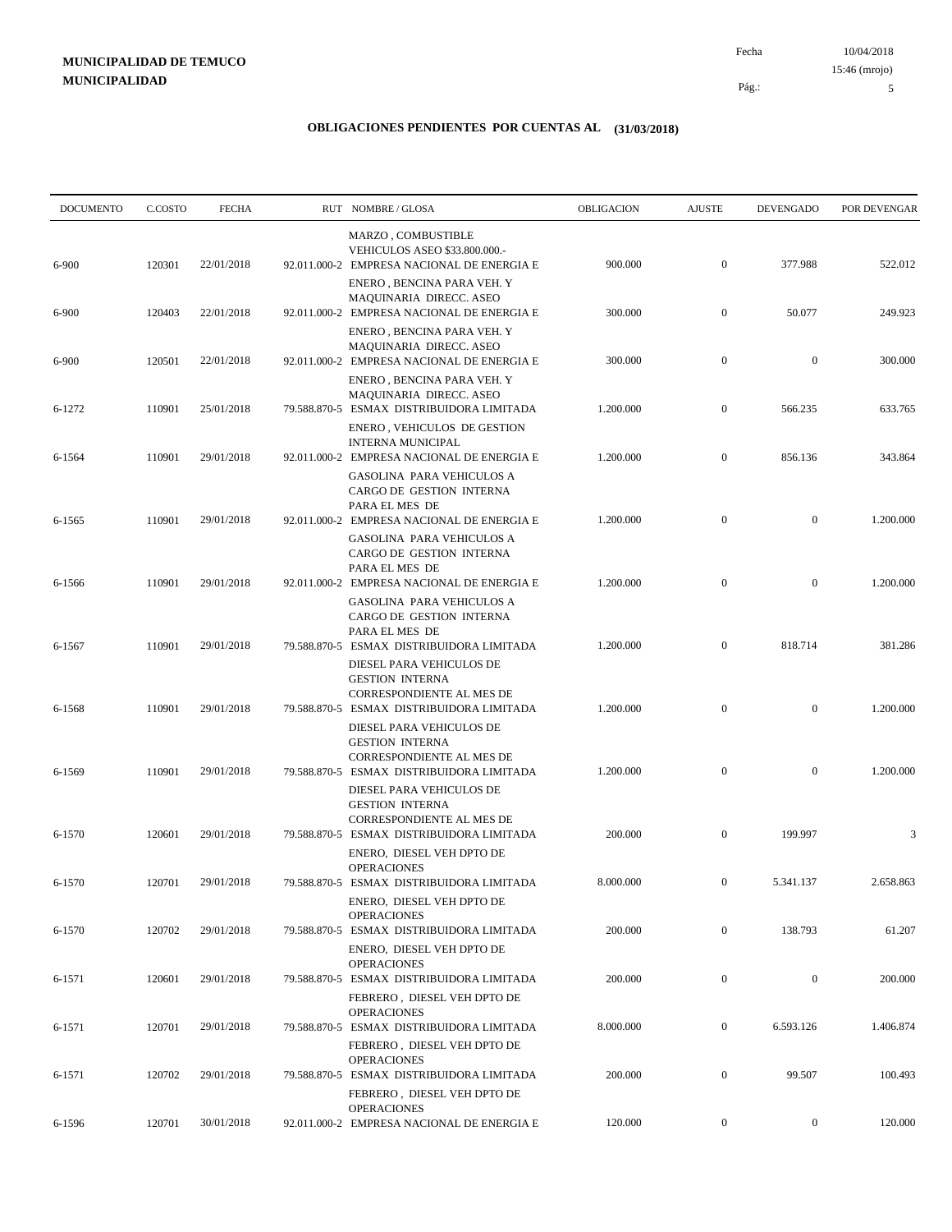10/04/2018 Fecha 15:46 (mrojo)

Pág.:

### **OBLIGACIONES PENDIENTES POR CUENTAS AL (31/03/2018)**

| <b>DOCUMENTO</b> | C.COSTO | <b>FECHA</b> | RUT NOMBRE/GLOSA                                                                                                             | <b>OBLIGACION</b> | <b>AJUSTE</b>    | <b>DEVENGADO</b> | POR DEVENGAR |
|------------------|---------|--------------|------------------------------------------------------------------------------------------------------------------------------|-------------------|------------------|------------------|--------------|
| 6-900            | 120301  | 22/01/2018   | MARZO, COMBUSTIBLE<br>VEHICULOS ASEO \$33.800.000.-<br>92.011.000-2 EMPRESA NACIONAL DE ENERGIA E                            | 900.000           | $\mathbf{0}$     | 377.988          | 522.012      |
| 6-900            | 120403  | 22/01/2018   | ENERO, BENCINA PARA VEH. Y<br>MAQUINARIA DIRECC. ASEO<br>92.011.000-2 EMPRESA NACIONAL DE ENERGIA E                          | 300.000           | $\boldsymbol{0}$ | 50.077           | 249.923      |
|                  |         |              | ENERO, BENCINA PARA VEH. Y<br>MAQUINARIA DIRECC. ASEO                                                                        |                   |                  | $\mathbf{0}$     |              |
| 6-900            | 120501  | 22/01/2018   | 92.011.000-2 EMPRESA NACIONAL DE ENERGIA E<br>ENERO, BENCINA PARA VEH. Y<br>MAQUINARIA DIRECC. ASEO                          | 300.000           | $\boldsymbol{0}$ |                  | 300.000      |
| 6-1272           | 110901  | 25/01/2018   | 79.588.870-5 ESMAX DISTRIBUIDORA LIMITADA<br>ENERO, VEHICULOS DE GESTION                                                     | 1.200.000         | $\mathbf{0}$     | 566.235          | 633.765      |
| 6-1564           | 110901  | 29/01/2018   | <b>INTERNA MUNICIPAL</b><br>92.011.000-2 EMPRESA NACIONAL DE ENERGIA E<br><b>GASOLINA PARA VEHICULOS A</b>                   | 1.200.000         | $\boldsymbol{0}$ | 856.136          | 343.864      |
| 6-1565           | 110901  | 29/01/2018   | CARGO DE GESTION INTERNA<br>PARA EL MES DE<br>92.011.000-2 EMPRESA NACIONAL DE ENERGIA E                                     | 1.200.000         | $\mathbf{0}$     | $\mathbf{0}$     | 1.200.000    |
|                  |         |              | <b>GASOLINA PARA VEHICULOS A</b><br>CARGO DE GESTION INTERNA<br>PARA EL MES DE                                               |                   |                  |                  |              |
| 6-1566           | 110901  | 29/01/2018   | 92.011.000-2 EMPRESA NACIONAL DE ENERGIA E<br><b>GASOLINA PARA VEHICULOS A</b>                                               | 1.200.000         | $\mathbf{0}$     | $\mathbf{0}$     | 1.200.000    |
| 6-1567           | 110901  | 29/01/2018   | CARGO DE GESTION INTERNA<br>PARA EL MES DE<br>79.588.870-5 ESMAX DISTRIBUIDORA LIMITADA                                      | 1.200.000         | $\mathbf{0}$     | 818.714          | 381.286      |
| 6-1568           | 110901  | 29/01/2018   | DIESEL PARA VEHICULOS DE<br><b>GESTION INTERNA</b><br>CORRESPONDIENTE AL MES DE<br>79.588.870-5 ESMAX DISTRIBUIDORA LIMITADA | 1.200.000         | $\mathbf{0}$     | $\mathbf{0}$     | 1.200.000    |
|                  |         |              | DIESEL PARA VEHICULOS DE<br><b>GESTION INTERNA</b><br>CORRESPONDIENTE AL MES DE                                              |                   |                  |                  |              |
| 6-1569           | 110901  | 29/01/2018   | 79.588.870-5 ESMAX DISTRIBUIDORA LIMITADA<br>DIESEL PARA VEHICULOS DE<br><b>GESTION INTERNA</b>                              | 1.200.000         | $\mathbf{0}$     | $\mathbf{0}$     | 1.200.000    |
| 6-1570           | 120601  | 29/01/2018   | CORRESPONDIENTE AL MES DE<br>79.588.870-5 ESMAX DISTRIBUIDORA LIMITADA                                                       | 200.000           | $\mathbf{0}$     | 199.997          | 3            |
| 6-1570           | 120701  | 29/01/2018   | ENERO, DIESEL VEH DPTO DE<br><b>OPERACIONES</b><br>79.588.870-5 ESMAX DISTRIBUIDORA LIMITADA                                 | 8.000.000         | $\boldsymbol{0}$ | 5.341.137        | 2.658.863    |
| 6-1570           | 120702  | 29/01/2018   | ENERO, DIESEL VEH DPTO DE<br><b>OPERACIONES</b><br>79.588.870-5 ESMAX DISTRIBUIDORA LIMITADA                                 | 200.000           | $\boldsymbol{0}$ | 138.793          | 61.207       |
| 6-1571           | 120601  | 29/01/2018   | ENERO, DIESEL VEH DPTO DE<br><b>OPERACIONES</b><br>79.588.870-5 ESMAX DISTRIBUIDORA LIMITADA                                 | 200.000           | $\boldsymbol{0}$ | $\boldsymbol{0}$ | 200.000      |
|                  |         |              | FEBRERO, DIESEL VEH DPTO DE<br><b>OPERACIONES</b>                                                                            |                   |                  |                  |              |
| 6-1571           | 120701  | 29/01/2018   | 79.588.870-5 ESMAX DISTRIBUIDORA LIMITADA<br>FEBRERO, DIESEL VEH DPTO DE<br><b>OPERACIONES</b>                               | 8.000.000         | $\boldsymbol{0}$ | 6.593.126        | 1.406.874    |
| 6-1571           | 120702  | 29/01/2018   | 79.588.870-5 ESMAX DISTRIBUIDORA LIMITADA<br>FEBRERO, DIESEL VEH DPTO DE                                                     | 200.000           | $\boldsymbol{0}$ | 99.507           | 100.493      |
| 6-1596           | 120701  | 30/01/2018   | <b>OPERACIONES</b><br>92.011.000-2 EMPRESA NACIONAL DE ENERGIA E                                                             | 120.000           | $\overline{0}$   | $\boldsymbol{0}$ | 120.000      |

5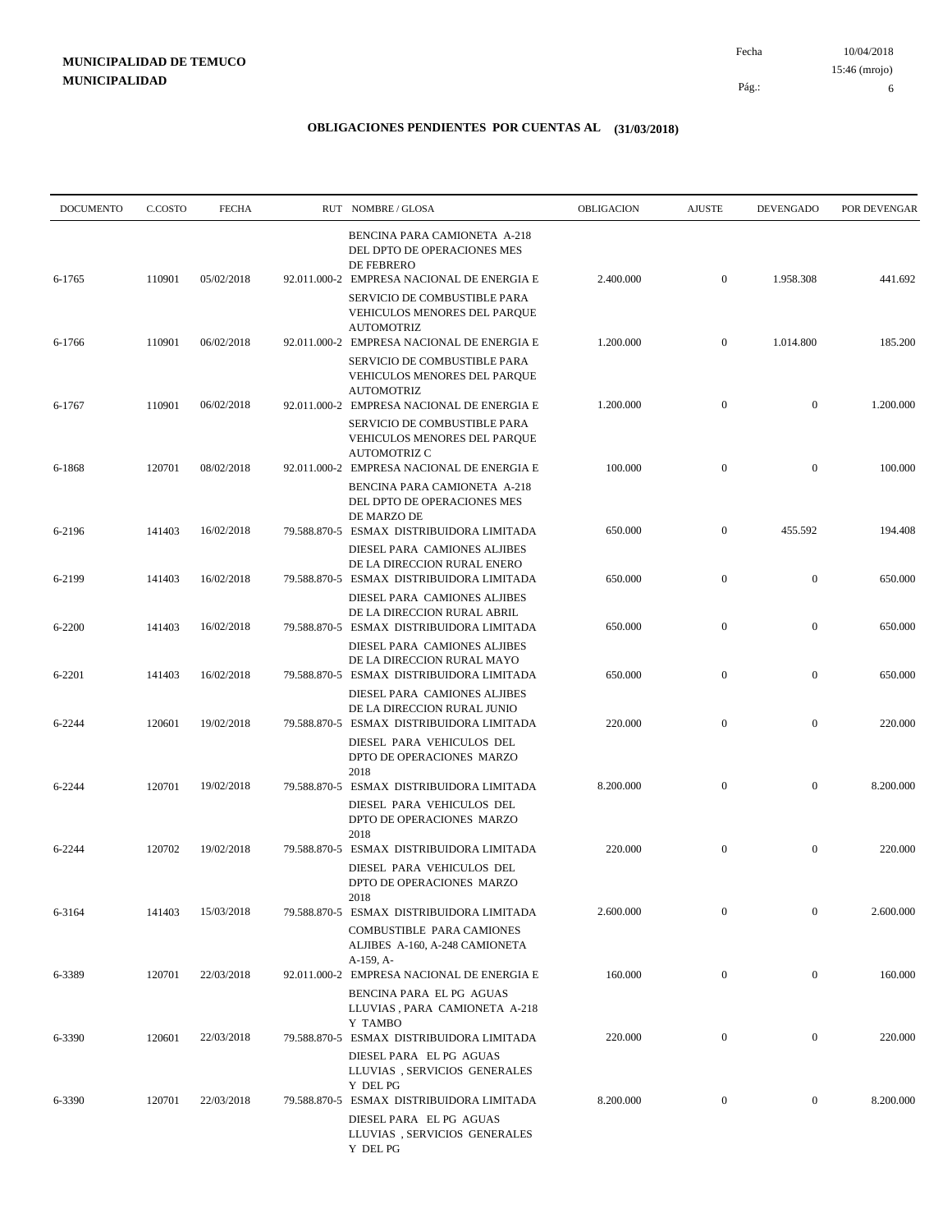10/04/2018 15:46 (mrojo)

Pág.:

Fecha

6

| <b>DOCUMENTO</b> | C.COSTO | <b>FECHA</b> | RUT NOMBRE/GLOSA                                                                                                                           | OBLIGACION | <b>AJUSTE</b>    | DEVENGADO        | POR DEVENGAR |
|------------------|---------|--------------|--------------------------------------------------------------------------------------------------------------------------------------------|------------|------------------|------------------|--------------|
| 6-1765           | 110901  | 05/02/2018   | BENCINA PARA CAMIONETA A-218<br>DEL DPTO DE OPERACIONES MES<br>DE FEBRERO<br>92.011.000-2 EMPRESA NACIONAL DE ENERGIA E                    | 2.400.000  | $\boldsymbol{0}$ | 1.958.308        | 441.692      |
|                  |         |              | SERVICIO DE COMBUSTIBLE PARA<br>VEHICULOS MENORES DEL PARQUE<br><b>AUTOMOTRIZ</b>                                                          |            |                  |                  |              |
| 6-1766           | 110901  | 06/02/2018   | 92.011.000-2 EMPRESA NACIONAL DE ENERGIA E<br>SERVICIO DE COMBUSTIBLE PARA<br>VEHICULOS MENORES DEL PARQUE<br><b>AUTOMOTRIZ</b>            | 1.200.000  | $\mathbf{0}$     | 1.014.800        | 185.200      |
| 6-1767           | 110901  | 06/02/2018   | 92.011.000-2 EMPRESA NACIONAL DE ENERGIA E<br>SERVICIO DE COMBUSTIBLE PARA<br>VEHICULOS MENORES DEL PARQUE<br><b>AUTOMOTRIZ C</b>          | 1.200.000  | $\boldsymbol{0}$ | $\mathbf{0}$     | 1.200.000    |
| 6-1868           | 120701  | 08/02/2018   | 92.011.000-2 EMPRESA NACIONAL DE ENERGIA E<br>BENCINA PARA CAMIONETA A-218<br>DEL DPTO DE OPERACIONES MES<br>DE MARZO DE                   | 100.000    | $\boldsymbol{0}$ | $\overline{0}$   | 100.000      |
| 6-2196           | 141403  | 16/02/2018   | 79.588.870-5 ESMAX DISTRIBUIDORA LIMITADA<br>DIESEL PARA CAMIONES ALJIBES<br>DE LA DIRECCION RURAL ENERO                                   | 650.000    | $\boldsymbol{0}$ | 455.592          | 194.408      |
| 6-2199           | 141403  | 16/02/2018   | 79.588.870-5 ESMAX DISTRIBUIDORA LIMITADA<br>DIESEL PARA CAMIONES ALJIBES<br>DE LA DIRECCION RURAL ABRIL                                   | 650.000    | $\boldsymbol{0}$ | $\mathbf{0}$     | 650.000      |
| 6-2200           | 141403  | 16/02/2018   | 79.588.870-5 ESMAX DISTRIBUIDORA LIMITADA<br>DIESEL PARA CAMIONES ALJIBES                                                                  | 650.000    | $\boldsymbol{0}$ | $\mathbf{0}$     | 650.000      |
| 6-2201           | 141403  | 16/02/2018   | DE LA DIRECCION RURAL MAYO<br>79.588.870-5 ESMAX DISTRIBUIDORA LIMITADA<br>DIESEL PARA CAMIONES ALJIBES                                    | 650.000    | $\boldsymbol{0}$ | $\mathbf{0}$     | 650.000      |
| 6-2244           | 120601  | 19/02/2018   | DE LA DIRECCION RURAL JUNIO<br>79.588.870-5 ESMAX DISTRIBUIDORA LIMITADA<br>DIESEL PARA VEHICULOS DEL<br>DPTO DE OPERACIONES MARZO<br>2018 | 220.000    | $\overline{0}$   | $\mathbf{0}$     | 220.000      |
| 6-2244           | 120701  | 19/02/2018   | 79.588.870-5 ESMAX DISTRIBUIDORA LIMITADA<br>DIESEL PARA VEHICULOS DEL<br>DPTO DE OPERACIONES MARZO<br>2018                                | 8.200.000  | $\boldsymbol{0}$ | $\boldsymbol{0}$ | 8.200.000    |
| 6-2244           | 120702  | 19/02/2018   | 79.588.870-5 ESMAX DISTRIBUIDORA LIMITADA<br>DIESEL PARA VEHICULOS DEL<br>DPTO DE OPERACIONES MARZO<br>2018                                | 220.000    | $\boldsymbol{0}$ | $\mathbf{0}$     | 220.000      |
| 6-3164           | 141403  | 15/03/2018   | 79.588.870-5 ESMAX DISTRIBUIDORA LIMITADA<br><b>COMBUSTIBLE PARA CAMIONES</b><br>ALJIBES A-160, A-248 CAMIONETA<br>A-159, A-               | 2.600.000  | $\boldsymbol{0}$ | $\boldsymbol{0}$ | 2.600.000    |
| 6-3389           | 120701  | 22/03/2018   | 92.011.000-2 EMPRESA NACIONAL DE ENERGIA E<br>BENCINA PARA EL PG AGUAS<br>LLUVIAS, PARA CAMIONETA A-218<br>Y TAMBO                         | 160.000    | $\boldsymbol{0}$ | $\mathbf{0}$     | 160.000      |
| 6-3390           | 120601  | 22/03/2018   | 79.588.870-5 ESMAX DISTRIBUIDORA LIMITADA<br>DIESEL PARA EL PG AGUAS<br>LLUVIAS, SERVICIOS GENERALES<br>Y DEL PG                           | 220.000    | $\boldsymbol{0}$ | $\mathbf{0}$     | 220.000      |
| 6-3390           | 120701  | 22/03/2018   | 79.588.870-5 ESMAX DISTRIBUIDORA LIMITADA<br>DIESEL PARA EL PG AGUAS<br>LLUVIAS, SERVICIOS GENERALES<br>Y DEL PG                           | 8.200.000  | $\boldsymbol{0}$ | $\boldsymbol{0}$ | 8.200.000    |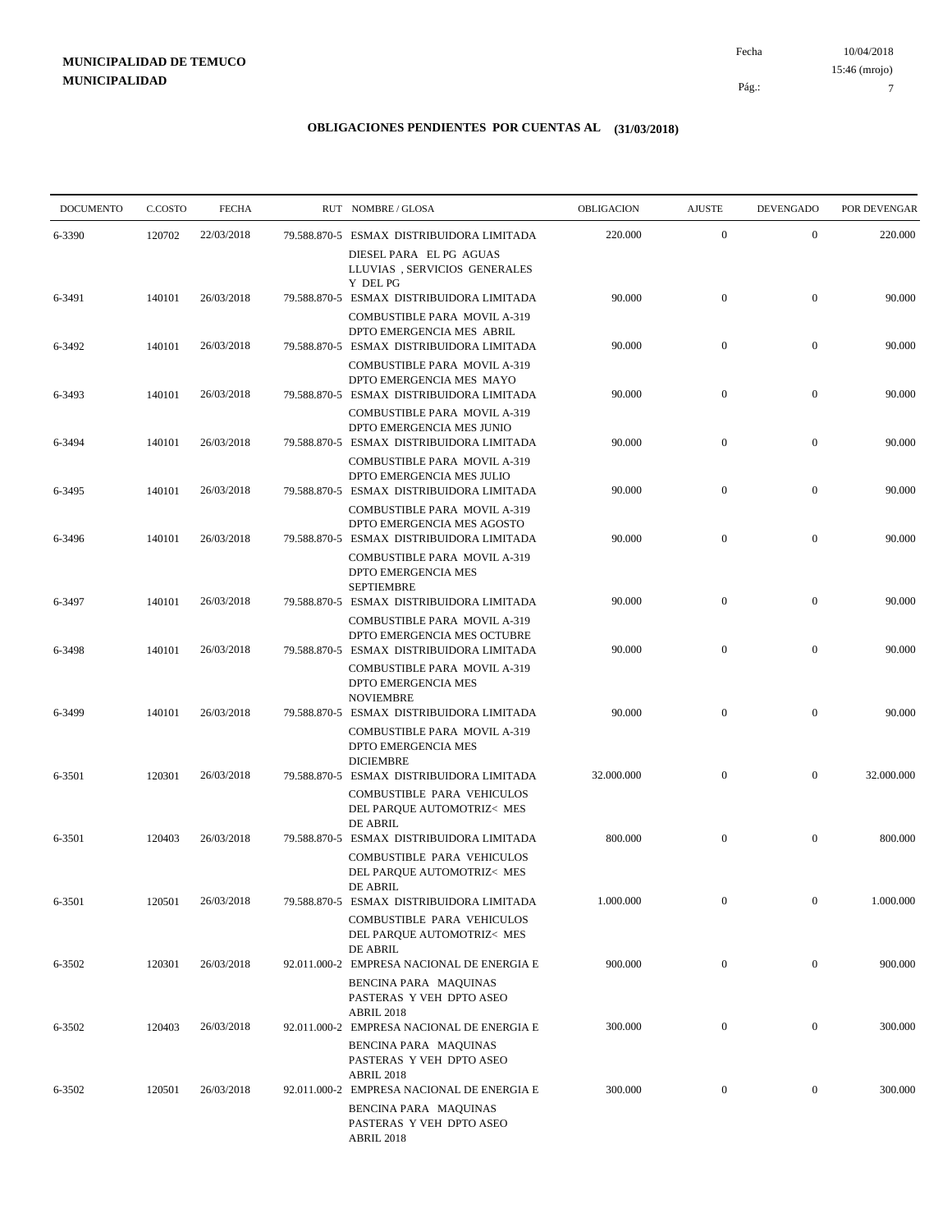10/04/2018 Pág.: Fecha

#### **OBLIGACIONES PENDIENTES POR CUENTAS AL (31/03/2018)**

| <b>DOCUMENTO</b> | C.COSTO | <b>FECHA</b> | RUT NOMBRE/GLOSA                                                                                                 | OBLIGACION | <b>AJUSTE</b>    | <b>DEVENGADO</b> | POR DEVENGAR |
|------------------|---------|--------------|------------------------------------------------------------------------------------------------------------------|------------|------------------|------------------|--------------|
| 6-3390           | 120702  | 22/03/2018   | 79.588.870-5 ESMAX DISTRIBUIDORA LIMITADA                                                                        | 220.000    | $\boldsymbol{0}$ | $\mathbf{0}$     | 220.000      |
| 6-3491           | 140101  | 26/03/2018   | DIESEL PARA EL PG AGUAS<br>LLUVIAS, SERVICIOS GENERALES<br>Y DEL PG<br>79.588.870-5 ESMAX DISTRIBUIDORA LIMITADA | 90.000     | $\boldsymbol{0}$ | $\mathbf{0}$     | 90.000       |
|                  |         |              | <b>COMBUSTIBLE PARA MOVIL A-319</b><br>DPTO EMERGENCIA MES ABRIL                                                 |            |                  |                  |              |
| 6-3492           | 140101  | 26/03/2018   | 79.588.870-5 ESMAX DISTRIBUIDORA LIMITADA                                                                        | 90.000     | $\boldsymbol{0}$ | $\mathbf{0}$     | 90.000       |
| 6-3493           | 140101  | 26/03/2018   | COMBUSTIBLE PARA MOVIL A-319<br>DPTO EMERGENCIA MES MAYO<br>79.588.870-5 ESMAX DISTRIBUIDORA LIMITADA            | 90.000     | $\boldsymbol{0}$ | $\mathbf{0}$     | 90.000       |
|                  |         |              | COMBUSTIBLE PARA MOVIL A-319<br>DPTO EMERGENCIA MES JUNIO                                                        |            |                  |                  |              |
| 6-3494           | 140101  | 26/03/2018   | 79.588.870-5 ESMAX DISTRIBUIDORA LIMITADA<br>COMBUSTIBLE PARA MOVIL A-319                                        | 90.000     | $\boldsymbol{0}$ | $\mathbf{0}$     | 90.000       |
| 6-3495           | 140101  | 26/03/2018   | DPTO EMERGENCIA MES JULIO<br>79.588.870-5 ESMAX DISTRIBUIDORA LIMITADA                                           | 90.000     | $\boldsymbol{0}$ | $\mathbf{0}$     | 90.000       |
| 6-3496           | 140101  | 26/03/2018   | COMBUSTIBLE PARA MOVIL A-319<br>DPTO EMERGENCIA MES AGOSTO<br>79.588.870-5 ESMAX DISTRIBUIDORA LIMITADA          | 90.000     | $\mathbf{0}$     | $\mathbf{0}$     | 90.000       |
|                  |         |              | COMBUSTIBLE PARA MOVIL A-319<br>DPTO EMERGENCIA MES<br><b>SEPTIEMBRE</b>                                         |            |                  |                  |              |
| 6-3497           | 140101  | 26/03/2018   | 79.588.870-5 ESMAX DISTRIBUIDORA LIMITADA                                                                        | 90.000     | $\boldsymbol{0}$ | $\mathbf{0}$     | 90.000       |
| 6-3498           | 140101  | 26/03/2018   | COMBUSTIBLE PARA MOVIL A-319<br>DPTO EMERGENCIA MES OCTUBRE<br>79.588.870-5 ESMAX DISTRIBUIDORA LIMITADA         | 90.000     | $\boldsymbol{0}$ | $\mathbf{0}$     | 90.000       |
|                  |         |              | COMBUSTIBLE PARA MOVIL A-319<br>DPTO EMERGENCIA MES<br><b>NOVIEMBRE</b>                                          |            |                  |                  |              |
| 6-3499           | 140101  | 26/03/2018   | 79.588.870-5 ESMAX DISTRIBUIDORA LIMITADA<br>COMBUSTIBLE PARA MOVIL A-319                                        | 90.000     | $\boldsymbol{0}$ | $\boldsymbol{0}$ | 90.000       |
|                  |         |              | DPTO EMERGENCIA MES<br><b>DICIEMBRE</b>                                                                          |            |                  |                  |              |
| 6-3501           | 120301  | 26/03/2018   | 79.588.870-5 ESMAX DISTRIBUIDORA LIMITADA<br>COMBUSTIBLE PARA VEHICULOS<br>DEL PARQUE AUTOMOTRIZ< MES            | 32.000.000 | $\boldsymbol{0}$ | $\mathbf{0}$     | 32.000.000   |
| 6-3501           | 120403  | 26/03/2018   | DE ABRIL<br>79.588.870-5 ESMAX DISTRIBUIDORA LIMITADA                                                            | 800.000    | $\boldsymbol{0}$ | $\mathbf{0}$     | 800.000      |
|                  |         |              | COMBUSTIBLE PARA VEHICULOS<br>DEL PARQUE AUTOMOTRIZ< MES                                                         |            |                  |                  |              |
| 6-3501           | 120501  | 26/03/2018   | DE ABRIL<br>79.588.870-5 ESMAX DISTRIBUIDORA LIMITADA                                                            | 1.000.000  | $\boldsymbol{0}$ | $\bf{0}$         | 1.000.000    |
|                  |         |              | COMBUSTIBLE PARA VEHICULOS<br>DEL PARQUE AUTOMOTRIZ< MES<br>DE ABRIL                                             |            |                  |                  |              |
| 6-3502           | 120301  | 26/03/2018   | 92.011.000-2 EMPRESA NACIONAL DE ENERGIA E                                                                       | 900.000    | $\boldsymbol{0}$ | $\mathbf{0}$     | 900.000      |
|                  |         |              | BENCINA PARA MAQUINAS<br>PASTERAS Y VEH DPTO ASEO<br><b>ABRIL 2018</b>                                           |            |                  |                  |              |
| 6-3502           | 120403  | 26/03/2018   | 92.011.000-2 EMPRESA NACIONAL DE ENERGIA E<br>BENCINA PARA MAQUINAS                                              | 300.000    | $\boldsymbol{0}$ | $\boldsymbol{0}$ | 300.000      |
|                  |         |              | PASTERAS Y VEH DPTO ASEO<br><b>ABRIL 2018</b>                                                                    |            |                  |                  |              |
| 6-3502           | 120501  | 26/03/2018   | 92.011.000-2 EMPRESA NACIONAL DE ENERGIA E<br>BENCINA PARA MAQUINAS<br>PASTERAS Y VEH DPTO ASEO<br>ABRIL 2018    | 300.000    | $\boldsymbol{0}$ | $\boldsymbol{0}$ | 300.000      |

7 15:46 (mrojo)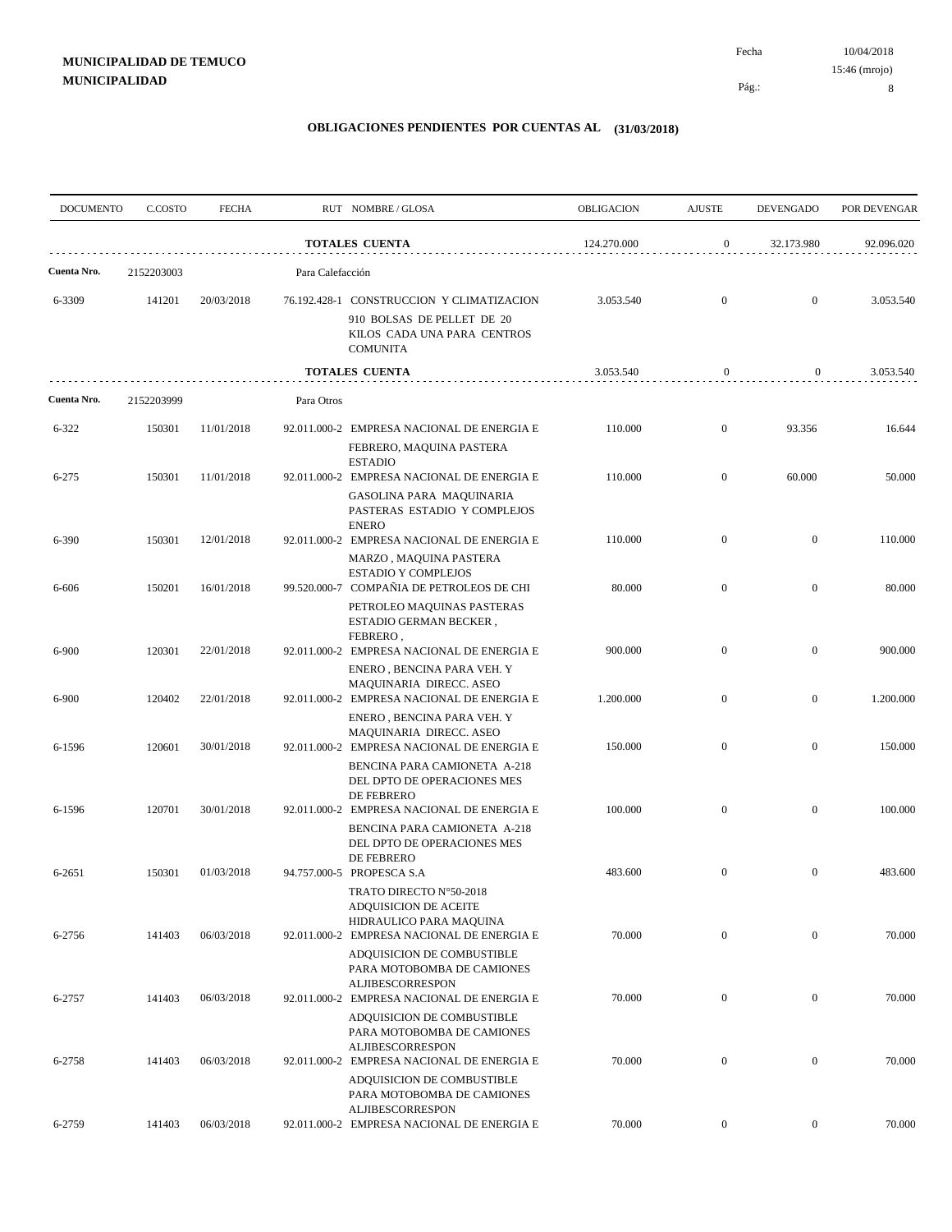Pág.:

Fecha

| <b>DOCUMENTO</b> | C.COSTO    | <b>FECHA</b> |                  | RUT NOMBRE/GLOSA                                                                                                          | OBLIGACION  | <b>AJUSTE</b>    | <b>DEVENGADO</b> | POR DEVENGAR |
|------------------|------------|--------------|------------------|---------------------------------------------------------------------------------------------------------------------------|-------------|------------------|------------------|--------------|
|                  |            |              |                  | <b>TOTALES CUENTA</b>                                                                                                     | 124.270.000 | $\boldsymbol{0}$ | 32.173.980       | 92.096.020   |
| Cuenta Nro.      | 2152203003 |              | Para Calefacción |                                                                                                                           |             |                  |                  |              |
| 6-3309           | 141201     | 20/03/2018   |                  | 76.192.428-1 CONSTRUCCION Y CLIMATIZACION<br>910 BOLSAS DE PELLET DE 20<br>KILOS CADA UNA PARA CENTROS<br><b>COMUNITA</b> | 3.053.540   | $\mathbf{0}$     | $\overline{0}$   | 3.053.540    |
|                  |            |              |                  | <b>TOTALES CUENTA</b>                                                                                                     | 3.053.540   | $\boldsymbol{0}$ | $\overline{0}$   | 3.053.540    |
| Cuenta Nro.      | 2152203999 |              | Para Otros       |                                                                                                                           |             |                  |                  |              |
| $6 - 322$        | 150301     | 11/01/2018   |                  | 92.011.000-2 EMPRESA NACIONAL DE ENERGIA E<br>FEBRERO, MAQUINA PASTERA                                                    | 110.000     | $\mathbf{0}$     | 93.356           | 16.644       |
| $6 - 275$        | 150301     | 11/01/2018   |                  | <b>ESTADIO</b><br>92.011.000-2 EMPRESA NACIONAL DE ENERGIA E<br>GASOLINA PARA MAQUINARIA                                  | 110.000     | $\mathbf{0}$     | 60.000           | 50.000       |
| 6-390            | 150301     | 12/01/2018   |                  | PASTERAS ESTADIO Y COMPLEJOS<br><b>ENERO</b><br>92.011.000-2 EMPRESA NACIONAL DE ENERGIA E                                | 110.000     | $\mathbf{0}$     | $\overline{0}$   | 110.000      |
| 6-606            | 150201     | 16/01/2018   |                  | MARZO, MAQUINA PASTERA<br><b>ESTADIO Y COMPLEJOS</b><br>99.520.000-7 COMPAÑIA DE PETROLEOS DE CHI                         | 80.000      | $\mathbf{0}$     | $\mathbf{0}$     | 80.000       |
|                  |            |              |                  | PETROLEO MAQUINAS PASTERAS<br>ESTADIO GERMAN BECKER,<br>FEBRERO,                                                          |             |                  |                  |              |
| 6-900            | 120301     | 22/01/2018   |                  | 92.011.000-2 EMPRESA NACIONAL DE ENERGIA E<br>ENERO, BENCINA PARA VEH. Y<br>MAQUINARIA DIRECC. ASEO                       | 900.000     | $\mathbf{0}$     | $\mathbf{0}$     | 900.000      |
| 6-900            | 120402     | 22/01/2018   |                  | 92.011.000-2 EMPRESA NACIONAL DE ENERGIA E<br>ENERO, BENCINA PARA VEH. Y                                                  | 1.200.000   | $\mathbf{0}$     | $\boldsymbol{0}$ | 1.200.000    |
| 6-1596           | 120601     | 30/01/2018   |                  | MAQUINARIA DIRECC. ASEO<br>92.011.000-2 EMPRESA NACIONAL DE ENERGIA E<br>BENCINA PARA CAMIONETA A-218                     | 150.000     | $\overline{0}$   | $\boldsymbol{0}$ | 150.000      |
|                  | 120701     |              |                  | DEL DPTO DE OPERACIONES MES<br>DE FEBRERO                                                                                 | 100.000     | $\mathbf{0}$     | $\boldsymbol{0}$ | 100.000      |
| 6-1596           |            | 30/01/2018   |                  | 92.011.000-2 EMPRESA NACIONAL DE ENERGIA E<br>BENCINA PARA CAMIONETA A-218<br>DEL DPTO DE OPERACIONES MES                 |             |                  |                  |              |
| 6-2651           | 150301     | 01/03/2018   |                  | DE FEBRERO<br>94.757.000-5 PROPESCA S.A<br>TRATO DIRECTO N°50-2018                                                        | 483.600     | $\mathbf{0}$     | $\overline{0}$   | 483.600      |
| 6-2756           | 141403     | 06/03/2018   |                  | ADQUISICION DE ACEITE<br>HIDRAULICO PARA MAQUINA<br>92.011.000-2 EMPRESA NACIONAL DE ENERGIA E                            | 70.000      | $\boldsymbol{0}$ | $\boldsymbol{0}$ | 70.000       |
|                  |            |              |                  | ADQUISICION DE COMBUSTIBLE<br>PARA MOTOBOMBA DE CAMIONES                                                                  |             |                  |                  |              |
| 6-2757           | 141403     | 06/03/2018   |                  | <b>ALJIBESCORRESPON</b><br>92.011.000-2 EMPRESA NACIONAL DE ENERGIA E<br>ADQUISICION DE COMBUSTIBLE                       | 70.000      | $\boldsymbol{0}$ | $\boldsymbol{0}$ | 70.000       |
| 6-2758           | 141403     | 06/03/2018   |                  | PARA MOTOBOMBA DE CAMIONES<br>ALJIBESCORRESPON<br>92.011.000-2 EMPRESA NACIONAL DE ENERGIA E                              | 70.000      | $\mathbf{0}$     | $\boldsymbol{0}$ | 70.000       |
|                  |            |              |                  | ADQUISICION DE COMBUSTIBLE<br>PARA MOTOBOMBA DE CAMIONES<br><b>ALJIBESCORRESPON</b>                                       |             |                  |                  |              |
| 6-2759           | 141403     | 06/03/2018   |                  | 92.011.000-2 EMPRESA NACIONAL DE ENERGIA E                                                                                | 70.000      | $\boldsymbol{0}$ | $\overline{0}$   | 70.000       |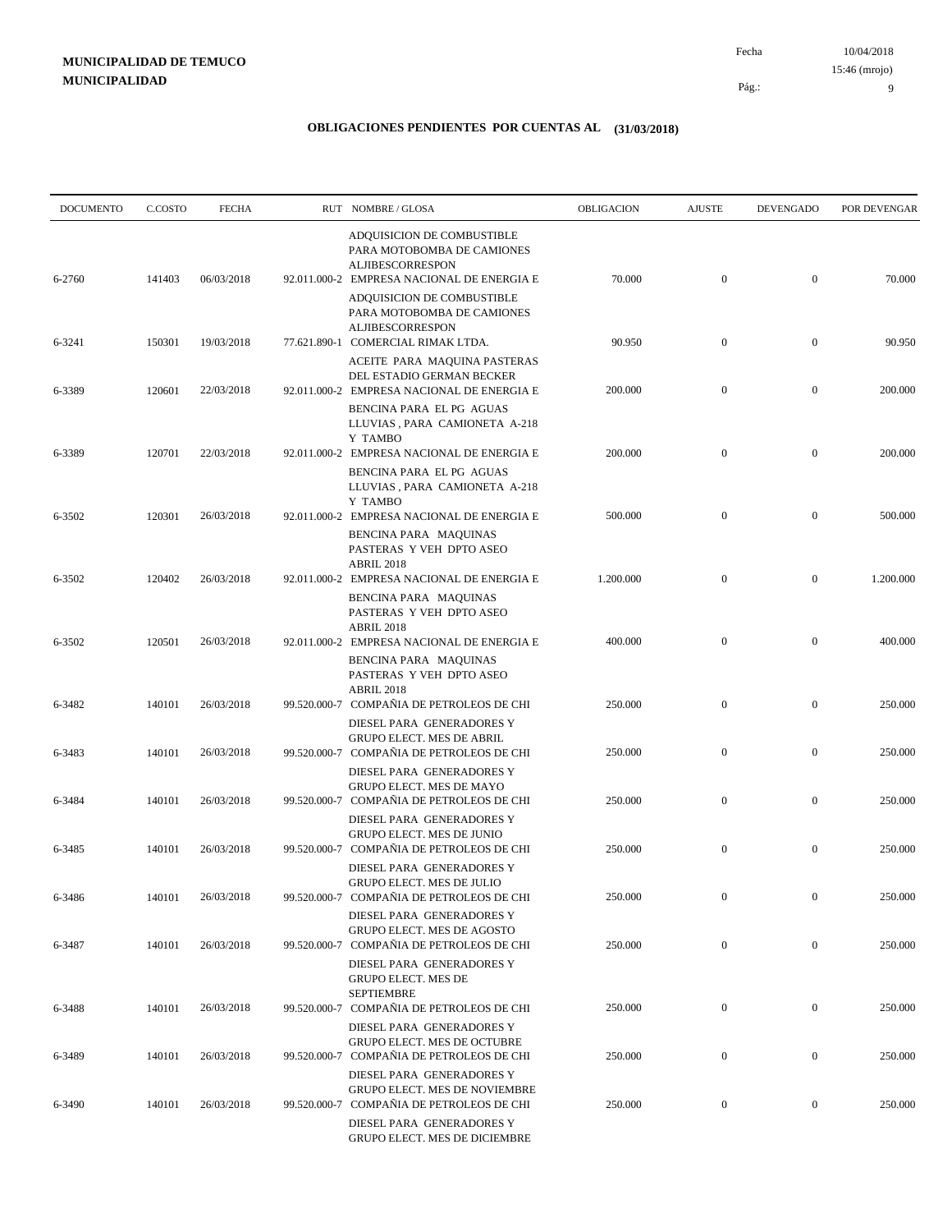10/04/2018 Pág.: Fecha 15:46 (mrojo)

9

| <b>DOCUMENTO</b> | C.COSTO | <b>FECHA</b> | RUT NOMBRE/GLOSA                                                                                                                  | OBLIGACION | <b>AJUSTE</b>    | <b>DEVENGADO</b> | POR DEVENGAR |
|------------------|---------|--------------|-----------------------------------------------------------------------------------------------------------------------------------|------------|------------------|------------------|--------------|
| 6-2760           | 141403  | 06/03/2018   | ADQUISICION DE COMBUSTIBLE<br>PARA MOTOBOMBA DE CAMIONES<br><b>ALJIBESCORRESPON</b><br>92.011.000-2 EMPRESA NACIONAL DE ENERGIA E | 70.000     | $\boldsymbol{0}$ | $\boldsymbol{0}$ | 70.000       |
|                  |         |              | ADQUISICION DE COMBUSTIBLE<br>PARA MOTOBOMBA DE CAMIONES<br>ALJIBESCORRESPON                                                      |            |                  |                  |              |
| 6-3241           | 150301  | 19/03/2018   | 77.621.890-1 COMERCIAL RIMAK LTDA.<br>ACEITE PARA MAQUINA PASTERAS<br>DEL ESTADIO GERMAN BECKER                                   | 90.950     | $\boldsymbol{0}$ | $\boldsymbol{0}$ | 90.950       |
| 6-3389           | 120601  | 22/03/2018   | 92.011.000-2 EMPRESA NACIONAL DE ENERGIA E<br>BENCINA PARA EL PG AGUAS                                                            | 200.000    | $\mathbf{0}$     | $\boldsymbol{0}$ | 200.000      |
| 6-3389           | 120701  | 22/03/2018   | LLUVIAS, PARA CAMIONETA A-218<br>Y TAMBO<br>92.011.000-2 EMPRESA NACIONAL DE ENERGIA E                                            | 200.000    | $\boldsymbol{0}$ | $\mathbf{0}$     | 200.000      |
|                  |         |              | BENCINA PARA EL PG AGUAS<br>LLUVIAS, PARA CAMIONETA A-218<br>Y TAMBO                                                              |            |                  |                  |              |
| 6-3502           | 120301  | 26/03/2018   | 92.011.000-2 EMPRESA NACIONAL DE ENERGIA E<br>BENCINA PARA MAQUINAS<br>PASTERAS Y VEH DPTO ASEO                                   | 500.000    | $\mathbf{0}$     | $\mathbf{0}$     | 500.000      |
| 6-3502           | 120402  | 26/03/2018   | <b>ABRIL 2018</b><br>92.011.000-2 EMPRESA NACIONAL DE ENERGIA E<br>BENCINA PARA MAQUINAS<br>PASTERAS Y VEH DPTO ASEO              | 1.200.000  | $\boldsymbol{0}$ | $\boldsymbol{0}$ | 1.200.000    |
| 6-3502           | 120501  | 26/03/2018   | <b>ABRIL 2018</b><br>92.011.000-2 EMPRESA NACIONAL DE ENERGIA E<br>BENCINA PARA MAQUINAS                                          | 400.000    | $\boldsymbol{0}$ | $\boldsymbol{0}$ | 400.000      |
| 6-3482           | 140101  | 26/03/2018   | PASTERAS Y VEH DPTO ASEO<br><b>ABRIL 2018</b><br>99.520.000-7 COMPAÑIA DE PETROLEOS DE CHI                                        | 250.000    | $\boldsymbol{0}$ | $\boldsymbol{0}$ | 250.000      |
| 6-3483           | 140101  | 26/03/2018   | DIESEL PARA GENERADORES Y<br>GRUPO ELECT. MES DE ABRIL<br>99.520.000-7 COMPAÑIA DE PETROLEOS DE CHI                               | 250.000    | $\mathbf{0}$     | $\boldsymbol{0}$ | 250.000      |
| 6-3484           | 140101  | 26/03/2018   | DIESEL PARA GENERADORES Y<br><b>GRUPO ELECT. MES DE MAYO</b><br>99.520.000-7 COMPAÑIA DE PETROLEOS DE CHI                         | 250.000    | $\mathbf{0}$     | $\boldsymbol{0}$ | 250.000      |
| 6-3485           | 140101  | 26/03/2018   | DIESEL PARA GENERADORES Y<br><b>GRUPO ELECT. MES DE JUNIO</b><br>99.520.000-7 COMPAÑIA DE PETROLEOS DE CHI                        | 250.000    | $\boldsymbol{0}$ | $\boldsymbol{0}$ | 250.000      |
|                  |         |              | DIESEL PARA GENERADORES Y<br>GRUPO ELECT. MES DE JULIO                                                                            |            |                  |                  |              |
| 6-3486           | 140101  | 26/03/2018   | 99.520.000-7 COMPAÑIA DE PETROLEOS DE CHI<br>DIESEL PARA GENERADORES Y<br><b>GRUPO ELECT. MES DE AGOSTO</b>                       | 250.000    | $\boldsymbol{0}$ | $\bf{0}$         | 250.000      |
| 6-3487           | 140101  | 26/03/2018   | 99.520.000-7 COMPAÑIA DE PETROLEOS DE CHI<br>DIESEL PARA GENERADORES Y                                                            | 250.000    | $\boldsymbol{0}$ | $\boldsymbol{0}$ | 250.000      |
| 6-3488           | 140101  | 26/03/2018   | <b>GRUPO ELECT. MES DE</b><br><b>SEPTIEMBRE</b><br>99.520.000-7 COMPAÑIA DE PETROLEOS DE CHI                                      | 250.000    | $\boldsymbol{0}$ | $\boldsymbol{0}$ | 250.000      |
| 6-3489           | 140101  | 26/03/2018   | DIESEL PARA GENERADORES Y<br><b>GRUPO ELECT. MES DE OCTUBRE</b><br>99.520.000-7 COMPAÑIA DE PETROLEOS DE CHI                      | 250.000    | $\boldsymbol{0}$ | $\boldsymbol{0}$ | 250.000      |
| 6-3490           | 140101  | 26/03/2018   | DIESEL PARA GENERADORES Y<br>GRUPO ELECT. MES DE NOVIEMBRE<br>99.520.000-7 COMPAÑIA DE PETROLEOS DE CHI                           | 250.000    | $\boldsymbol{0}$ | $\boldsymbol{0}$ | 250.000      |
|                  |         |              | DIESEL PARA GENERADORES Y<br><b>GRUPO ELECT. MES DE DICIEMBRE</b>                                                                 |            |                  |                  |              |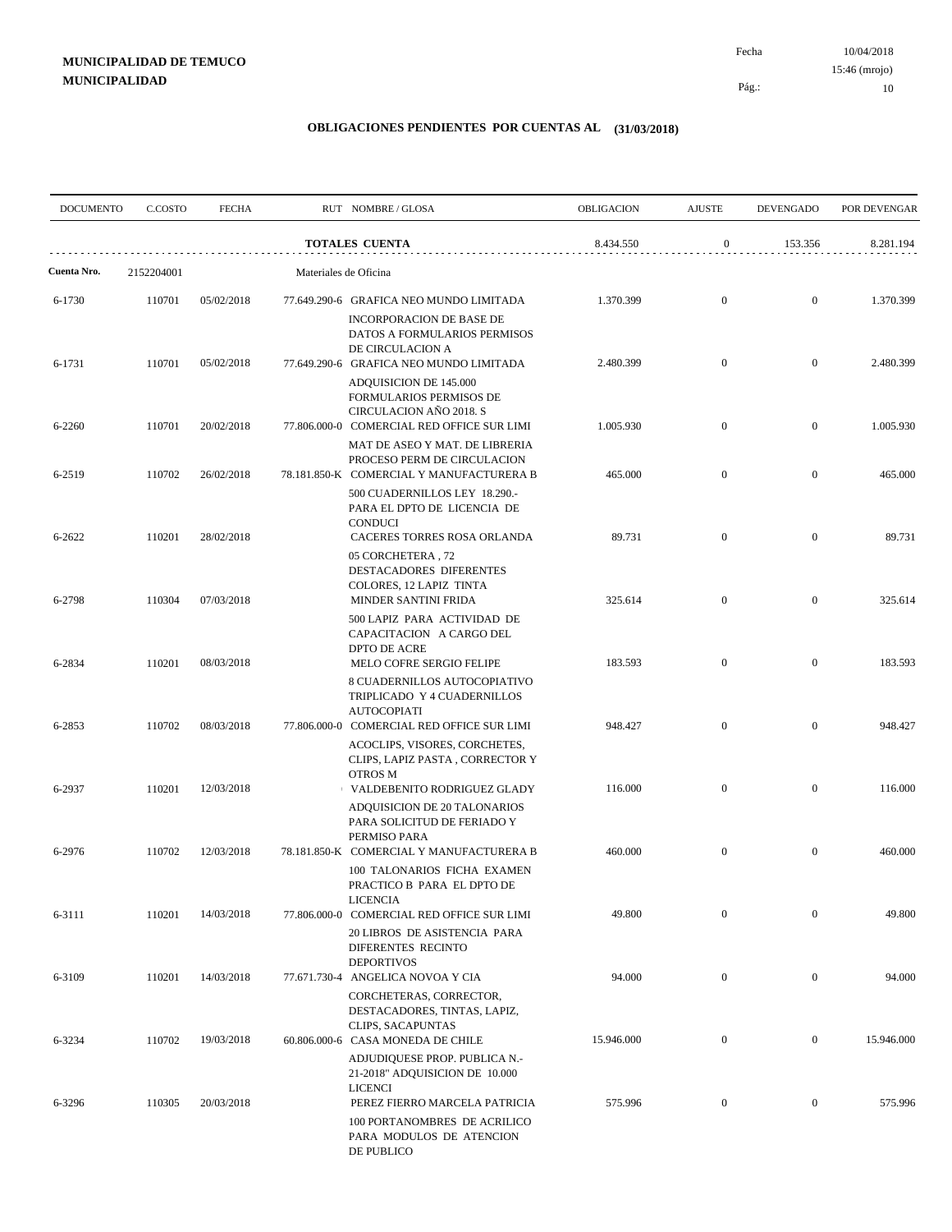Pág.:

| <b>DOCUMENTO</b> | C.COSTO    | <b>FECHA</b> |                       | RUT NOMBRE/GLOSA                                                                                                           | OBLIGACION | <b>AJUSTE</b>    | <b>DEVENGADO</b> | POR DEVENGAR |
|------------------|------------|--------------|-----------------------|----------------------------------------------------------------------------------------------------------------------------|------------|------------------|------------------|--------------|
|                  |            |              |                       | <b>TOTALES CUENTA</b>                                                                                                      | 8.434.550  | $\boldsymbol{0}$ | 153.356          | 8.281.194    |
| Cuenta Nro.      | 2152204001 |              | Materiales de Oficina |                                                                                                                            |            |                  |                  |              |
| 6-1730           | 110701     | 05/02/2018   |                       | 77.649.290-6 GRAFICA NEO MUNDO LIMITADA<br><b>INCORPORACION DE BASE DE</b>                                                 | 1.370.399  | $\mathbf{0}$     | $\overline{0}$   | 1.370.399    |
| 6-1731           | 110701     | 05/02/2018   |                       | DATOS A FORMULARIOS PERMISOS<br>DE CIRCULACION A<br>77.649.290-6 GRAFICA NEO MUNDO LIMITADA                                | 2.480.399  | $\overline{0}$   | $\overline{0}$   | 2.480.399    |
| 6-2260           | 110701     | 20/02/2018   |                       | ADQUISICION DE 145.000<br>FORMULARIOS PERMISOS DE<br>CIRCULACION AÑO 2018. S<br>77.806.000-0 COMERCIAL RED OFFICE SUR LIMI | 1.005.930  | $\mathbf{0}$     | $\mathbf{0}$     | 1.005.930    |
|                  |            |              |                       | MAT DE ASEO Y MAT. DE LIBRERIA<br>PROCESO PERM DE CIRCULACION                                                              |            |                  |                  |              |
| 6-2519           | 110702     | 26/02/2018   |                       | 78.181.850-K COMERCIAL Y MANUFACTURERA B<br>500 CUADERNILLOS LEY 18.290.-<br>PARA EL DPTO DE LICENCIA DE                   | 465.000    | $\overline{0}$   | $\overline{0}$   | 465.000      |
| 6-2622           | 110201     | 28/02/2018   |                       | <b>CONDUCI</b><br>CACERES TORRES ROSA ORLANDA<br>05 CORCHETERA, 72                                                         | 89.731     | $\mathbf{0}$     | $\mathbf{0}$     | 89.731       |
| 6-2798           | 110304     | 07/03/2018   |                       | DESTACADORES DIFERENTES<br>COLORES, 12 LAPIZ TINTA<br>MINDER SANTINI FRIDA                                                 | 325.614    | $\overline{0}$   | $\overline{0}$   | 325.614      |
| 6-2834           | 110201     | 08/03/2018   |                       | 500 LAPIZ PARA ACTIVIDAD DE<br>CAPACITACION A CARGO DEL<br>DPTO DE ACRE<br>MELO COFRE SERGIO FELIPE                        | 183.593    | $\overline{0}$   | $\boldsymbol{0}$ | 183.593      |
|                  |            |              |                       | 8 CUADERNILLOS AUTOCOPIATIVO<br>TRIPLICADO Y 4 CUADERNILLOS<br><b>AUTOCOPIATI</b>                                          |            |                  |                  |              |
| 6-2853           | 110702     | 08/03/2018   |                       | 77.806.000-0 COMERCIAL RED OFFICE SUR LIMI<br>ACOCLIPS, VISORES, CORCHETES,<br>CLIPS, LAPIZ PASTA, CORRECTOR Y             | 948.427    | $\overline{0}$   | $\overline{0}$   | 948.427      |
| 6-2937           | 110201     | 12/03/2018   |                       | <b>OTROS M</b><br>↑ VALDEBENITO RODRIGUEZ GLADY<br>ADQUISICION DE 20 TALONARIOS                                            | 116.000    | $\overline{0}$   | $\overline{0}$   | 116.000      |
| 6-2976           | 110702     | 12/03/2018   |                       | PARA SOLICITUD DE FERIADO Y<br>PERMISO PARA<br>78.181.850-K COMERCIAL Y MANUFACTURERA B                                    | 460.000    | $\mathbf{0}$     | $\overline{0}$   | 460.000      |
|                  |            |              |                       | 100 TALONARIOS FICHA EXAMEN<br>PRACTICO B PARA EL DPTO DE<br><b>LICENCIA</b>                                               |            |                  |                  |              |
| 6-3111           | 110201     | 14/03/2018   |                       | 77.806.000-0 COMERCIAL RED OFFICE SUR LIMI<br>20 LIBROS DE ASISTENCIA PARA<br>DIFERENTES RECINTO                           | 49.800     | $\mathbf{0}$     | $\boldsymbol{0}$ | 49.800       |
| 6-3109           | 110201     | 14/03/2018   |                       | <b>DEPORTIVOS</b><br>77.671.730-4 ANGELICA NOVOA Y CIA<br>CORCHETERAS, CORRECTOR,                                          | 94.000     | $\boldsymbol{0}$ | $\mathbf{0}$     | 94.000       |
| 6-3234           | 110702     | 19/03/2018   |                       | DESTACADORES, TINTAS, LAPIZ,<br>CLIPS, SACAPUNTAS<br>60.806.000-6 CASA MONEDA DE CHILE                                     | 15.946.000 | $\mathbf{0}$     | $\mathbf{0}$     | 15.946.000   |
|                  |            |              |                       | ADJUDIQUESE PROP. PUBLICA N.-<br>21-2018" ADQUISICION DE 10.000<br><b>LICENCI</b>                                          |            |                  |                  |              |
| 6-3296           | 110305     | 20/03/2018   |                       | PEREZ FIERRO MARCELA PATRICIA<br>100 PORTANOMBRES DE ACRILICO<br>PARA MODULOS DE ATENCION<br>DE PUBLICO                    | 575.996    | $\boldsymbol{0}$ | $\overline{0}$   | 575.996      |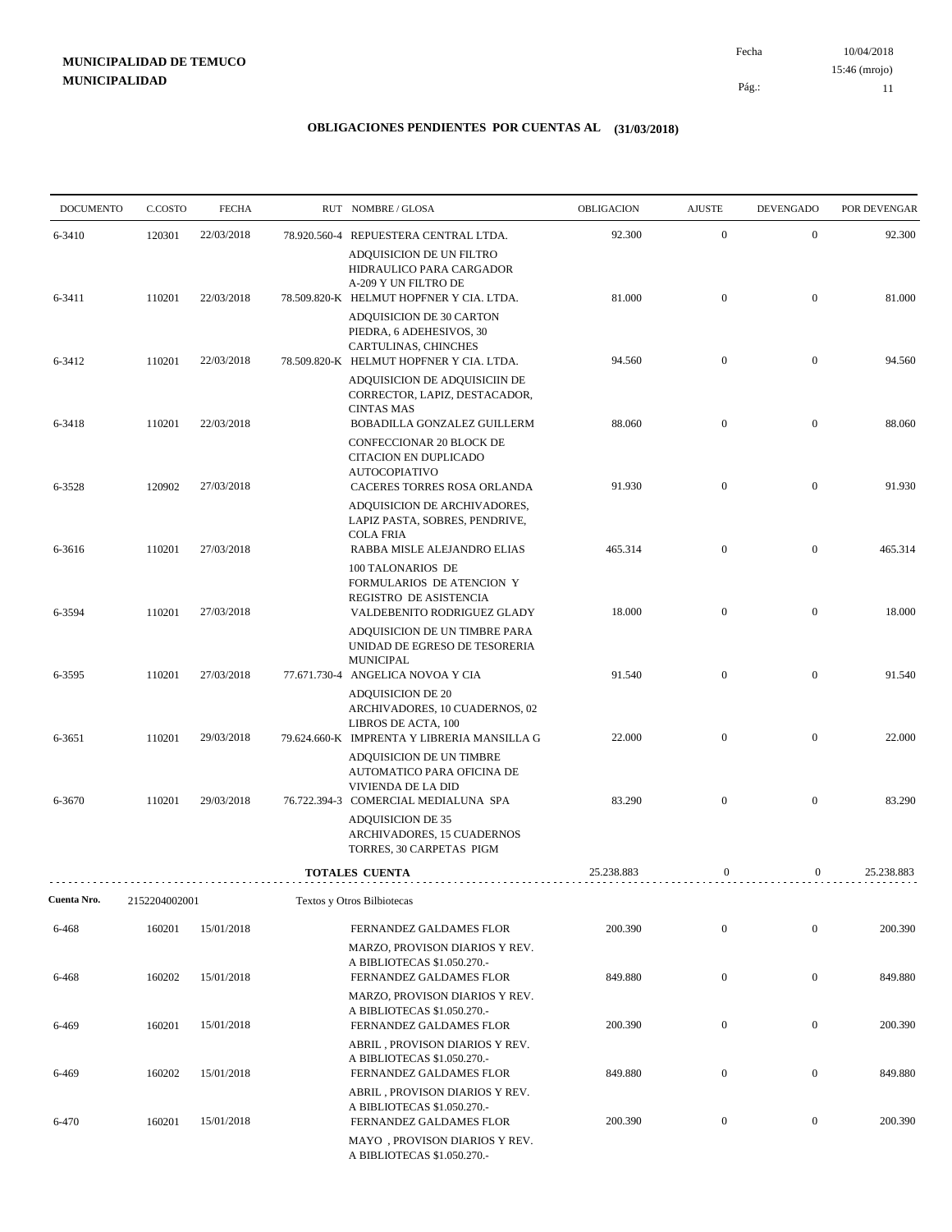10/04/2018 11 Pág.: Fecha 15:46 (mrojo)

| <b>DOCUMENTO</b> | C.COSTO       | <b>FECHA</b> | RUT NOMBRE / GLOSA                                                                                                              | OBLIGACION | <b>AJUSTE</b>    | <b>DEVENGADO</b> | POR DEVENGAR |
|------------------|---------------|--------------|---------------------------------------------------------------------------------------------------------------------------------|------------|------------------|------------------|--------------|
| 6-3410           | 120301        | 22/03/2018   | 78.920.560-4 REPUESTERA CENTRAL LTDA.                                                                                           | 92.300     | $\mathbf{0}$     | $\mathbf{0}$     | 92.300       |
|                  |               |              | ADQUISICION DE UN FILTRO<br>HIDRAULICO PARA CARGADOR<br>A-209 Y UN FILTRO DE                                                    |            |                  |                  |              |
| 6-3411           | 110201        | 22/03/2018   | 78.509.820-K HELMUT HOPFNER Y CIA. LTDA.                                                                                        | 81.000     | $\mathbf{0}$     | $\mathbf{0}$     | 81.000       |
|                  |               |              | ADQUISICION DE 30 CARTON<br>PIEDRA, 6 ADEHESIVOS, 30<br>CARTULINAS, CHINCHES                                                    |            |                  |                  |              |
| 6-3412           | 110201        | 22/03/2018   | 78.509.820-K HELMUT HOPFNER Y CIA. LTDA.<br>ADQUISICION DE ADQUISICIIN DE<br>CORRECTOR, LAPIZ, DESTACADOR,<br><b>CINTAS MAS</b> | 94.560     | $\mathbf{0}$     | $\mathbf{0}$     | 94.560       |
| 6-3418           | 110201        | 22/03/2018   | BOBADILLA GONZALEZ GUILLERM<br>CONFECCIONAR 20 BLOCK DE<br>CITACION EN DUPLICADO                                                | 88.060     | $\overline{0}$   | $\mathbf{0}$     | 88.060       |
| 6-3528           | 120902        | 27/03/2018   | <b>AUTOCOPIATIVO</b><br>CACERES TORRES ROSA ORLANDA<br>ADQUISICION DE ARCHIVADORES,                                             | 91.930     | $\mathbf{0}$     | $\boldsymbol{0}$ | 91.930       |
|                  |               |              | LAPIZ PASTA, SOBRES, PENDRIVE,<br><b>COLA FRIA</b>                                                                              |            |                  |                  |              |
| 6-3616           | 110201        | 27/03/2018   | RABBA MISLE ALEJANDRO ELIAS<br>100 TALONARIOS DE<br>FORMULARIOS DE ATENCION Y                                                   | 465.314    | $\mathbf{0}$     | $\mathbf{0}$     | 465.314      |
| 6-3594           | 110201        | 27/03/2018   | REGISTRO DE ASISTENCIA<br>VALDEBENITO RODRIGUEZ GLADY<br>ADQUISICION DE UN TIMBRE PARA                                          | 18.000     | $\mathbf{0}$     | $\boldsymbol{0}$ | 18.000       |
| 6-3595           | 110201        | 27/03/2018   | UNIDAD DE EGRESO DE TESORERIA<br><b>MUNICIPAL</b><br>77.671.730-4 ANGELICA NOVOA Y CIA                                          | 91.540     | $\overline{0}$   | $\overline{0}$   | 91.540       |
|                  |               |              | <b>ADQUISICION DE 20</b><br>ARCHIVADORES, 10 CUADERNOS, 02                                                                      |            |                  |                  |              |
| 6-3651           | 110201        | 29/03/2018   | LIBROS DE ACTA, 100<br>79.624.660-K IMPRENTA Y LIBRERIA MANSILLA G<br>ADQUISICION DE UN TIMBRE                                  | 22.000     | $\mathbf{0}$     | $\mathbf{0}$     | 22.000       |
| 6-3670           | 110201        | 29/03/2018   | AUTOMATICO PARA OFICINA DE<br>VIVIENDA DE LA DID<br>76.722.394-3 COMERCIAL MEDIALUNA SPA                                        | 83.290     | $\overline{0}$   | $\overline{0}$   | 83.290       |
|                  |               |              | <b>ADQUISICION DE 35</b><br>ARCHIVADORES, 15 CUADERNOS<br>TORRES, 30 CARPETAS PIGM                                              |            |                  |                  |              |
|                  |               |              | <b>TOTALES CUENTA</b>                                                                                                           | 25.238.883 | $\mathbf{0}$     | $\boldsymbol{0}$ | 25.238.883   |
| Cuenta Nro.      | 2152204002001 |              | Textos y Otros Bilbiotecas                                                                                                      |            |                  |                  |              |
| 6-468            | 160201        | 15/01/2018   | FERNANDEZ GALDAMES FLOR                                                                                                         | 200.390    | $\boldsymbol{0}$ | $\boldsymbol{0}$ | 200.390      |
| 6-468            | 160202        | 15/01/2018   | MARZO, PROVISON DIARIOS Y REV.<br>A BIBLIOTECAS \$1.050.270.-<br>FERNANDEZ GALDAMES FLOR                                        | 849.880    | $\mathbf{0}$     | $\boldsymbol{0}$ | 849.880      |
| 6-469            | 160201        | 15/01/2018   | MARZO, PROVISON DIARIOS Y REV.<br>A BIBLIOTECAS \$1.050.270.-<br>FERNANDEZ GALDAMES FLOR                                        | 200.390    | $\boldsymbol{0}$ | $\boldsymbol{0}$ | 200.390      |
|                  |               |              | ABRIL, PROVISON DIARIOS Y REV.<br>A BIBLIOTECAS \$1.050.270.-                                                                   |            |                  |                  |              |
| 6-469            | 160202        | 15/01/2018   | FERNANDEZ GALDAMES FLOR<br>ABRIL, PROVISON DIARIOS Y REV.<br>A BIBLIOTECAS \$1.050.270.-                                        | 849.880    | $\boldsymbol{0}$ | $\boldsymbol{0}$ | 849.880      |
| 6-470            | 160201        | 15/01/2018   | FERNANDEZ GALDAMES FLOR<br>MAYO, PROVISON DIARIOS Y REV.<br>A BIBLIOTECAS \$1.050.270.-                                         | 200.390    | $\boldsymbol{0}$ | $\mathbf{0}$     | 200.390      |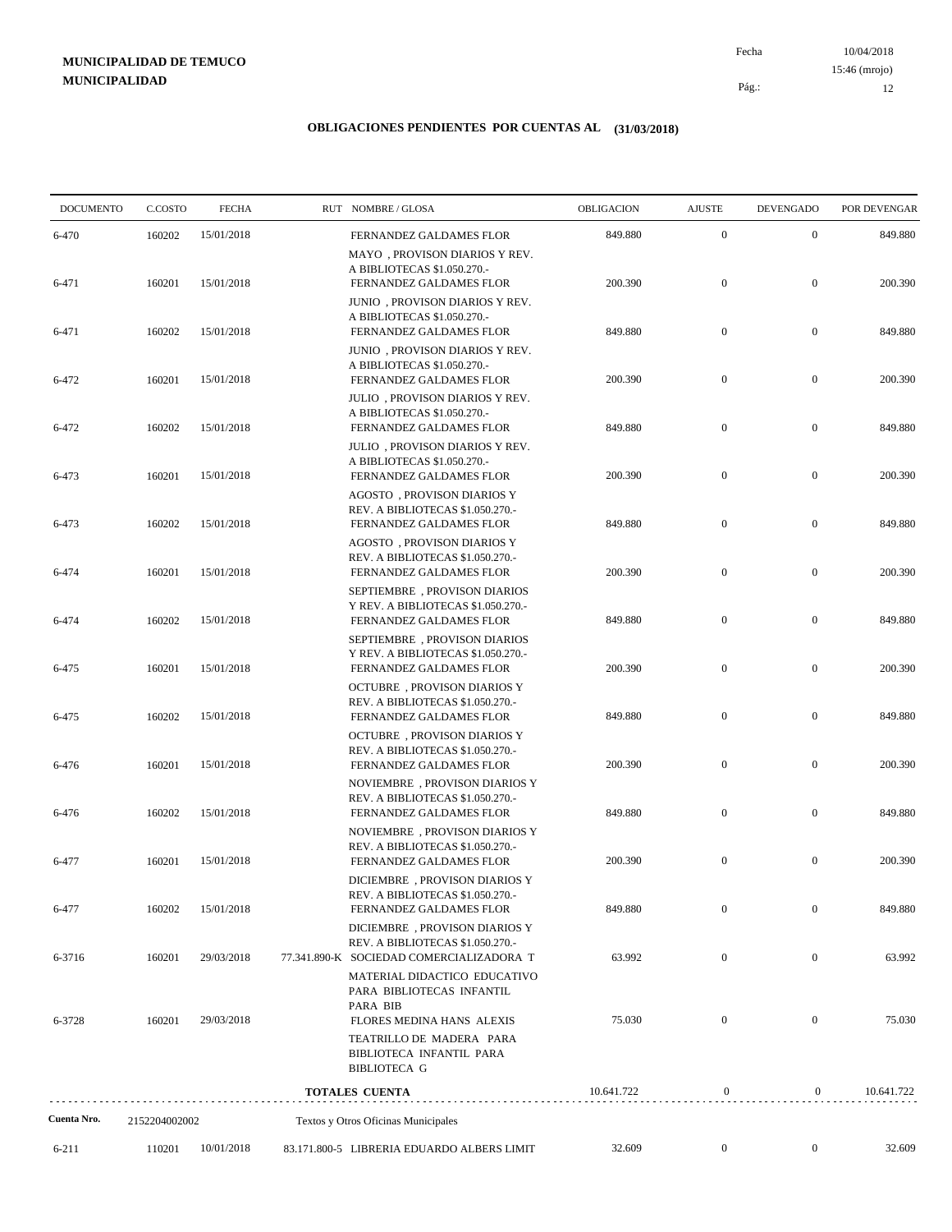10/04/2018 12 Pág.: Fecha 15:46 (mrojo)

| <b>DOCUMENTO</b>     | C.COSTO                 | <b>FECHA</b> | RUT NOMBRE/GLOSA                                                                                                           | <b>OBLIGACION</b> | <b>AJUSTE</b>    | <b>DEVENGADO</b> | POR DEVENGAR |
|----------------------|-------------------------|--------------|----------------------------------------------------------------------------------------------------------------------------|-------------------|------------------|------------------|--------------|
| 6-470                | 160202                  | 15/01/2018   | FERNANDEZ GALDAMES FLOR                                                                                                    | 849.880           | $\boldsymbol{0}$ | $\mathbf{0}$     | 849.880      |
| 6-471                | 160201                  | 15/01/2018   | MAYO, PROVISON DIARIOS Y REV.<br>A BIBLIOTECAS \$1.050.270.-<br>FERNANDEZ GALDAMES FLOR                                    | 200.390           | $\boldsymbol{0}$ | $\boldsymbol{0}$ | 200.390      |
| 6-471                | 160202                  | 15/01/2018   | JUNIO, PROVISON DIARIOS Y REV.<br>A BIBLIOTECAS \$1.050.270.-<br>FERNANDEZ GALDAMES FLOR                                   | 849.880           | $\boldsymbol{0}$ | $\boldsymbol{0}$ | 849.880      |
| 6-472                | 160201                  | 15/01/2018   | JUNIO, PROVISON DIARIOS Y REV.<br>A BIBLIOTECAS \$1.050.270.-<br>FERNANDEZ GALDAMES FLOR<br>JULIO, PROVISON DIARIOS Y REV. | 200.390           | $\boldsymbol{0}$ | $\mathbf{0}$     | 200.390      |
| 6-472                | 160202                  | 15/01/2018   | A BIBLIOTECAS \$1.050.270.-<br>FERNANDEZ GALDAMES FLOR                                                                     | 849.880           | $\boldsymbol{0}$ | $\mathbf{0}$     | 849.880      |
| 6-473                | 160201                  | 15/01/2018   | JULIO, PROVISON DIARIOS Y REV.<br>A BIBLIOTECAS \$1.050.270.-<br>FERNANDEZ GALDAMES FLOR                                   | 200.390           | $\boldsymbol{0}$ | $\boldsymbol{0}$ | 200.390      |
| 6-473                | 160202                  | 15/01/2018   | AGOSTO, PROVISON DIARIOS Y<br>REV. A BIBLIOTECAS \$1.050.270.-<br>FERNANDEZ GALDAMES FLOR                                  | 849.880           | $\boldsymbol{0}$ | $\mathbf{0}$     | 849.880      |
| 6-474                | 160201                  | 15/01/2018   | AGOSTO, PROVISON DIARIOS Y<br>REV. A BIBLIOTECAS \$1.050.270.-<br>FERNANDEZ GALDAMES FLOR                                  | 200.390           | $\boldsymbol{0}$ | $\mathbf{0}$     | 200.390      |
| 6-474                | 160202                  | 15/01/2018   | SEPTIEMBRE, PROVISON DIARIOS<br>Y REV. A BIBLIOTECAS \$1.050.270.-<br>FERNANDEZ GALDAMES FLOR                              | 849.880           | $\boldsymbol{0}$ | $\boldsymbol{0}$ | 849.880      |
| 6-475                | 160201                  | 15/01/2018   | SEPTIEMBRE, PROVISON DIARIOS<br>Y REV. A BIBLIOTECAS \$1.050.270.-<br>FERNANDEZ GALDAMES FLOR                              | 200.390           | $\boldsymbol{0}$ | $\mathbf{0}$     | 200.390      |
| 6-475                | 160202                  | 15/01/2018   | <b>OCTUBRE</b> , PROVISON DIARIOS Y<br>REV. A BIBLIOTECAS \$1.050.270.-<br>FERNANDEZ GALDAMES FLOR                         | 849.880           | $\boldsymbol{0}$ | $\mathbf{0}$     | 849.880      |
| 6-476                | 160201                  | 15/01/2018   | <b>OCTUBRE, PROVISON DIARIOS Y</b><br>REV. A BIBLIOTECAS \$1.050.270.-<br>FERNANDEZ GALDAMES FLOR                          | 200.390           | $\boldsymbol{0}$ | $\mathbf{0}$     | 200.390      |
| 6-476                | 160202                  | 15/01/2018   | NOVIEMBRE, PROVISON DIARIOS Y<br>REV. A BIBLIOTECAS \$1.050.270.-<br>FERNANDEZ GALDAMES FLOR                               | 849.880           | $\boldsymbol{0}$ | $\mathbf{0}$     | 849.880      |
| 6-477                | 160201                  | 15/01/2018   | NOVIEMBRE, PROVISON DIARIOS Y<br>REV. A BIBLIOTECAS \$1.050.270.-<br>FERNANDEZ GALDAMES FLOR                               | 200.390           | $\boldsymbol{0}$ | $\mathbf{0}$     | 200.390      |
| 6-477                | 160202                  | 15/01/2018   | DICIEMBRE, PROVISON DIARIOS Y<br>REV. A BIBLIOTECAS \$1.050.270 .-<br>FERNANDEZ GALDAMES FLOR                              | 849.880           | $\boldsymbol{0}$ | $\mathbf{0}$     | 849.880      |
| 6-3716               | 160201                  | 29/03/2018   | DICIEMBRE, PROVISON DIARIOS Y<br>REV. A BIBLIOTECAS \$1.050.270.-<br>77.341.890-K SOCIEDAD COMERCIALIZADORA T              | 63.992            | $\boldsymbol{0}$ | $\boldsymbol{0}$ | 63.992       |
|                      |                         |              | MATERIAL DIDACTICO EDUCATIVO<br>PARA BIBLIOTECAS INFANTIL<br>PARA BIB                                                      |                   |                  |                  |              |
| 6-3728               | 160201                  | 29/03/2018   | FLORES MEDINA HANS ALEXIS<br>TEATRILLO DE MADERA PARA<br>BIBLIOTECA INFANTIL PARA                                          | 75.030            | $\boldsymbol{0}$ | $\mathbf{0}$     | 75.030       |
|                      |                         |              | <b>BIBLIOTECA G</b>                                                                                                        |                   |                  |                  |              |
|                      |                         |              | <b>TOTALES CUENTA</b>                                                                                                      | 10.641.722        | $\boldsymbol{0}$ | $\boldsymbol{0}$ | 10.641.722   |
| Cuenta Nro.<br>6-211 | 2152204002002<br>110201 | 10/01/2018   | Textos y Otros Oficinas Municipales<br>83.171.800-5 LIBRERIA EDUARDO ALBERS LIMIT                                          | 32.609            | $\boldsymbol{0}$ | $\boldsymbol{0}$ | 32.609       |
|                      |                         |              |                                                                                                                            |                   |                  |                  |              |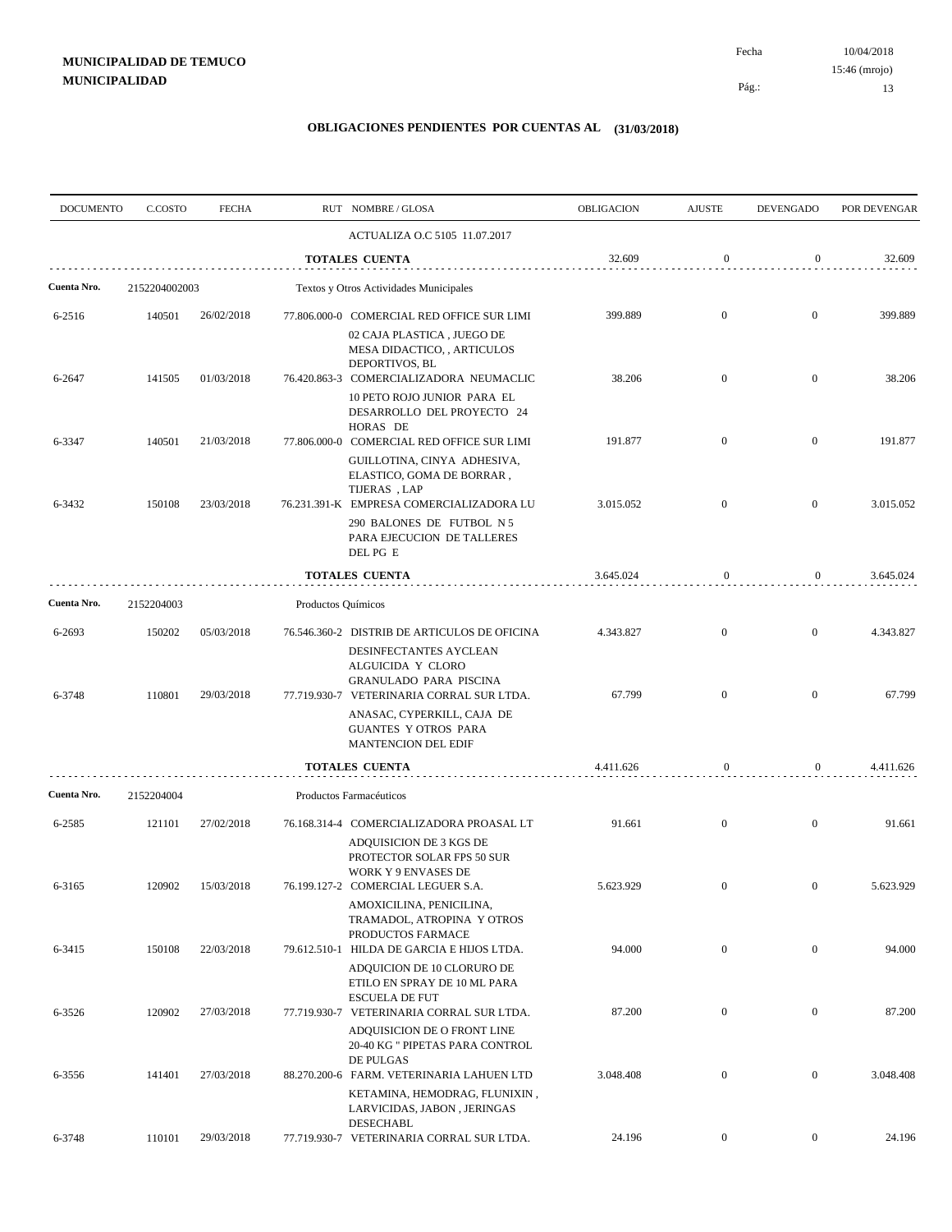| <b>DOCUMENTO</b> | C.COSTO       | <b>FECHA</b> |                    | RUT NOMBRE/GLOSA                                                                                                   | OBLIGACION | <b>AJUSTE</b>    | <b>DEVENGADO</b> | POR DEVENGAR |
|------------------|---------------|--------------|--------------------|--------------------------------------------------------------------------------------------------------------------|------------|------------------|------------------|--------------|
|                  |               |              |                    | ACTUALIZA O.C 5105 11.07.2017                                                                                      |            |                  |                  |              |
|                  |               |              |                    | <b>TOTALES CUENTA</b>                                                                                              | 32.609     | $\boldsymbol{0}$ | $\overline{0}$   | 32.609       |
| Cuenta Nro.      | 2152204002003 |              |                    | Textos y Otros Actividades Municipales                                                                             |            |                  |                  |              |
| 6-2516           | 140501        | 26/02/2018   |                    | 77.806.000-0 COMERCIAL RED OFFICE SUR LIMI                                                                         | 399.889    | $\mathbf{0}$     | $\mathbf{0}$     | 399.889      |
|                  |               |              |                    | 02 CAJA PLASTICA , JUEGO DE<br>MESA DIDACTICO, , ARTICULOS<br>DEPORTIVOS, BL                                       |            |                  |                  |              |
| 6-2647           | 141505        | 01/03/2018   |                    | 76.420.863-3 COMERCIALIZADORA NEUMACLIC                                                                            | 38.206     | $\mathbf{0}$     | $\boldsymbol{0}$ | 38.206       |
|                  |               |              |                    | 10 PETO ROJO JUNIOR PARA EL<br>DESARROLLO DEL PROYECTO 24<br>HORAS DE                                              |            |                  |                  |              |
| 6-3347           | 140501        | 21/03/2018   |                    | 77.806.000-0 COMERCIAL RED OFFICE SUR LIMI                                                                         | 191.877    | $\mathbf{0}$     | $\mathbf{0}$     | 191.877      |
|                  |               |              |                    | GUILLOTINA, CINYA ADHESIVA,<br>ELASTICO, GOMA DE BORRAR,<br>TIJERAS, LAP                                           |            |                  |                  |              |
| 6-3432           | 150108        | 23/03/2018   |                    | 76.231.391-K EMPRESA COMERCIALIZADORA LU                                                                           | 3.015.052  | $\mathbf{0}$     | $\overline{0}$   | 3.015.052    |
|                  |               |              |                    | 290 BALONES DE FUTBOL N 5<br>PARA EJECUCION DE TALLERES<br>DEL PG E                                                |            |                  |                  |              |
|                  |               |              |                    | <b>TOTALES CUENTA</b>                                                                                              | 3.645.024  | $\boldsymbol{0}$ | $\boldsymbol{0}$ | 3.645.024    |
| Cuenta Nro.      | 2152204003    |              | Productos Químicos |                                                                                                                    |            |                  |                  |              |
| 6-2693           | 150202        | 05/03/2018   |                    | 76.546.360-2 DISTRIB DE ARTICULOS DE OFICINA                                                                       | 4.343.827  | $\mathbf{0}$     | $\boldsymbol{0}$ | 4.343.827    |
|                  |               |              |                    | DESINFECTANTES AYCLEAN<br>ALGUICIDA Y CLORO<br>GRANULADO PARA PISCINA                                              |            |                  |                  |              |
| 6-3748           | 110801        | 29/03/2018   |                    | 77.719.930-7 VETERINARIA CORRAL SUR LTDA.<br>ANASAC, CYPERKILL, CAJA DE                                            | 67.799     | $\overline{0}$   | $\boldsymbol{0}$ | 67.799       |
|                  |               |              |                    | <b>GUANTES Y OTROS PARA</b><br>MANTENCION DEL EDIF                                                                 |            |                  |                  |              |
|                  |               |              |                    | <b>TOTALES CUENTA</b>                                                                                              | 4.411.626  | $\bf{0}$         | $\boldsymbol{0}$ | 4.411.626    |
| Cuenta Nro.      | 2152204004    |              |                    | Productos Farmacéuticos                                                                                            |            |                  |                  |              |
| 6-2585           | 121101        | 27/02/2018   |                    | 76.168.314-4 COMERCIALIZADORA PROASAL LT                                                                           | 91.661     | $\mathbf{0}$     | $\boldsymbol{0}$ | 91.661       |
| 6-3165           | 120902        | 15/03/2018   |                    | ADQUISICION DE 3 KGS DE<br>PROTECTOR SOLAR FPS 50 SUR<br>WORK Y 9 ENVASES DE<br>76.199.127-2 COMERCIAL LEGUER S.A. | 5.623.929  | $\mathbf{0}$     | $\mathbf{0}$     | 5.623.929    |
|                  |               |              |                    | AMOXICILINA, PENICILINA,<br>TRAMADOL, ATROPINA Y OTROS<br>PRODUCTOS FARMACE                                        |            |                  |                  |              |
| 6-3415           | 150108        | 22/03/2018   |                    | 79.612.510-1 HILDA DE GARCIA E HIJOS LTDA.<br>ADQUICION DE 10 CLORURO DE                                           | 94.000     | $\boldsymbol{0}$ | $\boldsymbol{0}$ | 94.000       |
| 6-3526           | 120902        | 27/03/2018   |                    | ETILO EN SPRAY DE 10 ML PARA<br><b>ESCUELA DE FUT</b><br>77.719.930-7 VETERINARIA CORRAL SUR LTDA.                 | 87.200     | $\mathbf{0}$     | $\mathbf{0}$     | 87.200       |
|                  |               |              |                    | ADQUISICION DE O FRONT LINE<br>20-40 KG " PIPETAS PARA CONTROL<br>DE PULGAS                                        |            |                  |                  |              |
| 6-3556           | 141401        | 27/03/2018   |                    | 88.270.200-6 FARM. VETERINARIA LAHUEN LTD<br>KETAMINA, HEMODRAG, FLUNIXIN,<br>LARVICIDAS, JABON, JERINGAS          | 3.048.408  | $\boldsymbol{0}$ | $\boldsymbol{0}$ | 3.048.408    |
| 6-3748           | 110101        | 29/03/2018   |                    | <b>DESECHABL</b><br>77.719.930-7 VETERINARIA CORRAL SUR LTDA.                                                      | 24.196     | $\boldsymbol{0}$ | $\boldsymbol{0}$ | 24.196       |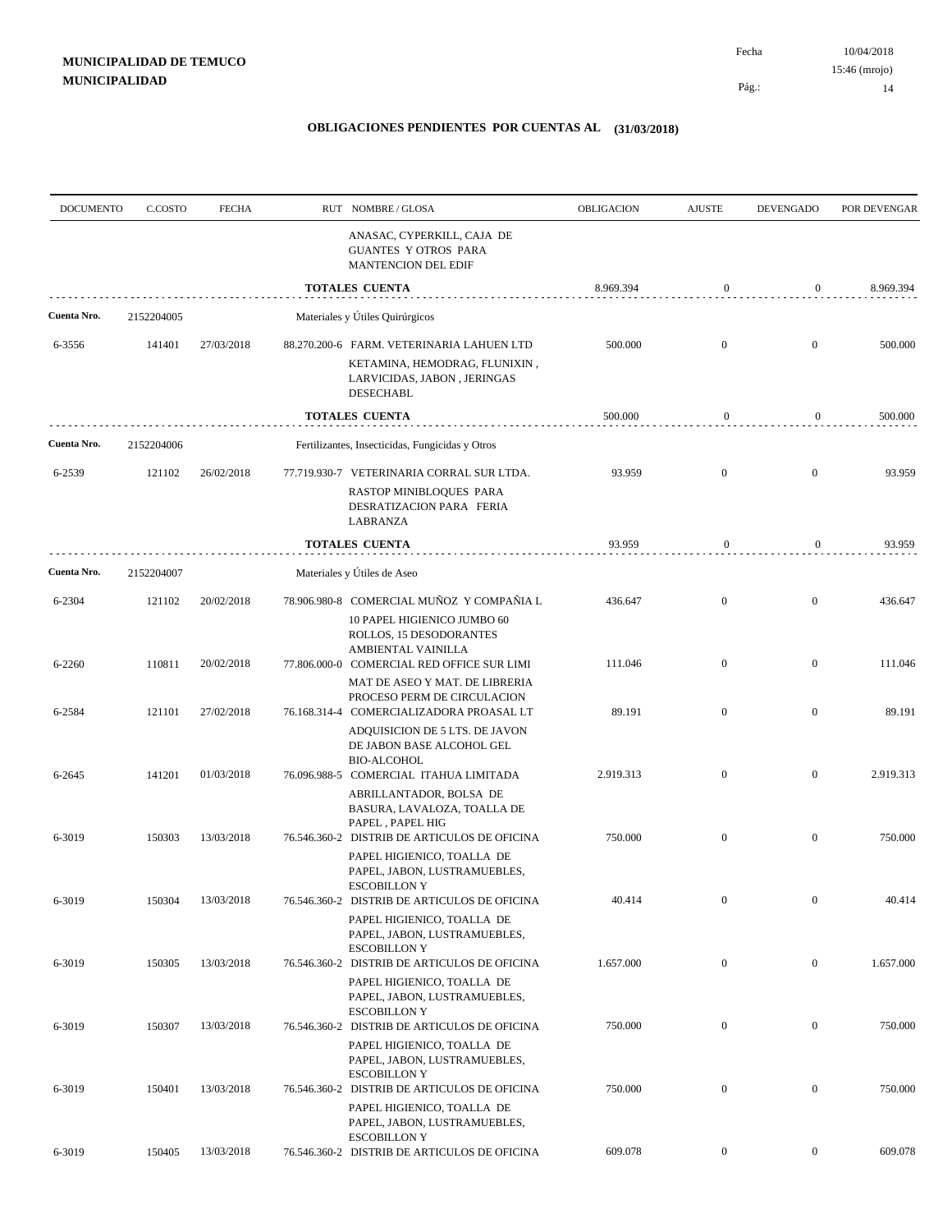Pág.:

| <b>DOCUMENTO</b> | C.COSTO    | <b>FECHA</b> | RUT NOMBRE/GLOSA                                                                                                              | OBLIGACION | <b>AJUSTE</b>    | <b>DEVENGADO</b> | POR DEVENGAR |
|------------------|------------|--------------|-------------------------------------------------------------------------------------------------------------------------------|------------|------------------|------------------|--------------|
|                  |            |              | ANASAC, CYPERKILL, CAJA DE<br>GUANTES Y OTROS PARA<br>MANTENCION DEL EDIF                                                     |            |                  |                  |              |
|                  |            |              | <b>TOTALES CUENTA</b>                                                                                                         | 8.969.394  | $\mathbf{0}$     | $\boldsymbol{0}$ | 8.969.394    |
| Cuenta Nro.      | 2152204005 |              | Materiales y Útiles Quirúrgicos                                                                                               |            |                  |                  |              |
| 6-3556           | 141401     | 27/03/2018   | 88.270.200-6 FARM. VETERINARIA LAHUEN LTD<br>KETAMINA, HEMODRAG, FLUNIXIN,<br>LARVICIDAS, JABON, JERINGAS<br><b>DESECHABL</b> | 500.000    | $\mathbf{0}$     | $\boldsymbol{0}$ | 500.000      |
|                  |            |              | <b>TOTALES CUENTA</b>                                                                                                         | 500.000    | 0                | $\boldsymbol{0}$ | 500.000      |
| Cuenta Nro.      | 2152204006 |              | Fertilizantes, Insecticidas, Fungicidas y Otros                                                                               |            |                  |                  |              |
| 6-2539           | 121102     | 26/02/2018   | 77.719.930-7 VETERINARIA CORRAL SUR LTDA.                                                                                     | 93.959     | $\mathbf{0}$     | $\mathbf{0}$     | 93.959       |
|                  |            |              | RASTOP MINIBLOQUES PARA<br>DESRATIZACION PARA FERIA<br>LABRANZA                                                               |            |                  |                  |              |
|                  |            |              | <b>TOTALES CUENTA</b>                                                                                                         | 93.959     | $\bf{0}$         | 0                | 93.959       |
| Cuenta Nro.      | 2152204007 |              | Materiales y Útiles de Aseo                                                                                                   |            |                  |                  |              |
| 6-2304           | 121102     | 20/02/2018   | 78.906.980-8 COMERCIAL MUÑOZ Y COMPAÑIA L<br>10 PAPEL HIGIENICO JUMBO 60                                                      | 436.647    | $\mathbf{0}$     | $\boldsymbol{0}$ | 436.647      |
| 6-2260           | 110811     | 20/02/2018   | ROLLOS, 15 DESODORANTES<br>AMBIENTAL VAINILLA<br>77.806.000-0 COMERCIAL RED OFFICE SUR LIMI                                   | 111.046    | $\boldsymbol{0}$ | $\boldsymbol{0}$ | 111.046      |
| 6-2584           | 121101     | 27/02/2018   | MAT DE ASEO Y MAT. DE LIBRERIA<br>PROCESO PERM DE CIRCULACION<br>76.168.314-4 COMERCIALIZADORA PROASAL LT                     | 89.191     | $\mathbf{0}$     | $\boldsymbol{0}$ | 89.191       |
|                  |            |              | ADQUISICION DE 5 LTS. DE JAVON<br>DE JABON BASE ALCOHOL GEL<br><b>BIO-ALCOHOL</b>                                             |            |                  |                  |              |
| 6-2645           | 141201     | 01/03/2018   | 76.096.988-5 COMERCIAL ITAHUA LIMITADA<br>ABRILLANTADOR, BOLSA DE                                                             | 2.919.313  | $\mathbf{0}$     | $\mathbf{0}$     | 2.919.313    |
| 6-3019           | 150303     | 13/03/2018   | BASURA, LAVALOZA, TOALLA DE<br>PAPEL, PAPEL HIG<br>76.546.360-2 DISTRIB DE ARTICULOS DE OFICINA                               | 750.000    | $\mathbf{0}$     | $\boldsymbol{0}$ | 750.000      |
|                  |            |              | PAPEL HIGIENICO, TOALLA DE<br>PAPEL, JABON, LUSTRAMUEBLES,<br><b>ESCOBILLON Y</b>                                             |            |                  |                  |              |
| 6-3019           | 150304     | 13/03/2018   | 76.546.360-2 DISTRIB DE ARTICULOS DE OFICINA<br>PAPEL HIGIENICO, TOALLA DE                                                    | 40.414     | $\boldsymbol{0}$ | $\overline{0}$   | 40.414       |
| 6-3019           | 150305     | 13/03/2018   | PAPEL, JABON, LUSTRAMUEBLES,<br><b>ESCOBILLON Y</b><br>76.546.360-2 DISTRIB DE ARTICULOS DE OFICINA                           | 1.657.000  | $\mathbf{0}$     | $\mathbf{0}$     | 1.657.000    |
|                  |            |              | PAPEL HIGIENICO, TOALLA DE<br>PAPEL, JABON, LUSTRAMUEBLES,<br><b>ESCOBILLON Y</b>                                             |            |                  |                  |              |
| 6-3019           | 150307     | 13/03/2018   | 76.546.360-2 DISTRIB DE ARTICULOS DE OFICINA<br>PAPEL HIGIENICO, TOALLA DE                                                    | 750.000    | $\boldsymbol{0}$ | $\mathbf{0}$     | 750.000      |
| 6-3019           | 150401     | 13/03/2018   | PAPEL, JABON, LUSTRAMUEBLES,<br><b>ESCOBILLON Y</b><br>76.546.360-2 DISTRIB DE ARTICULOS DE OFICINA                           | 750.000    | $\mathbf{0}$     | $\mathbf{0}$     | 750.000      |
|                  |            |              | PAPEL HIGIENICO, TOALLA DE<br>PAPEL, JABON, LUSTRAMUEBLES,<br><b>ESCOBILLON Y</b>                                             |            |                  |                  |              |
| 6-3019           | 150405     | 13/03/2018   | 76.546.360-2 DISTRIB DE ARTICULOS DE OFICINA                                                                                  | 609.078    | $\boldsymbol{0}$ | $\mathbf{0}$     | 609.078      |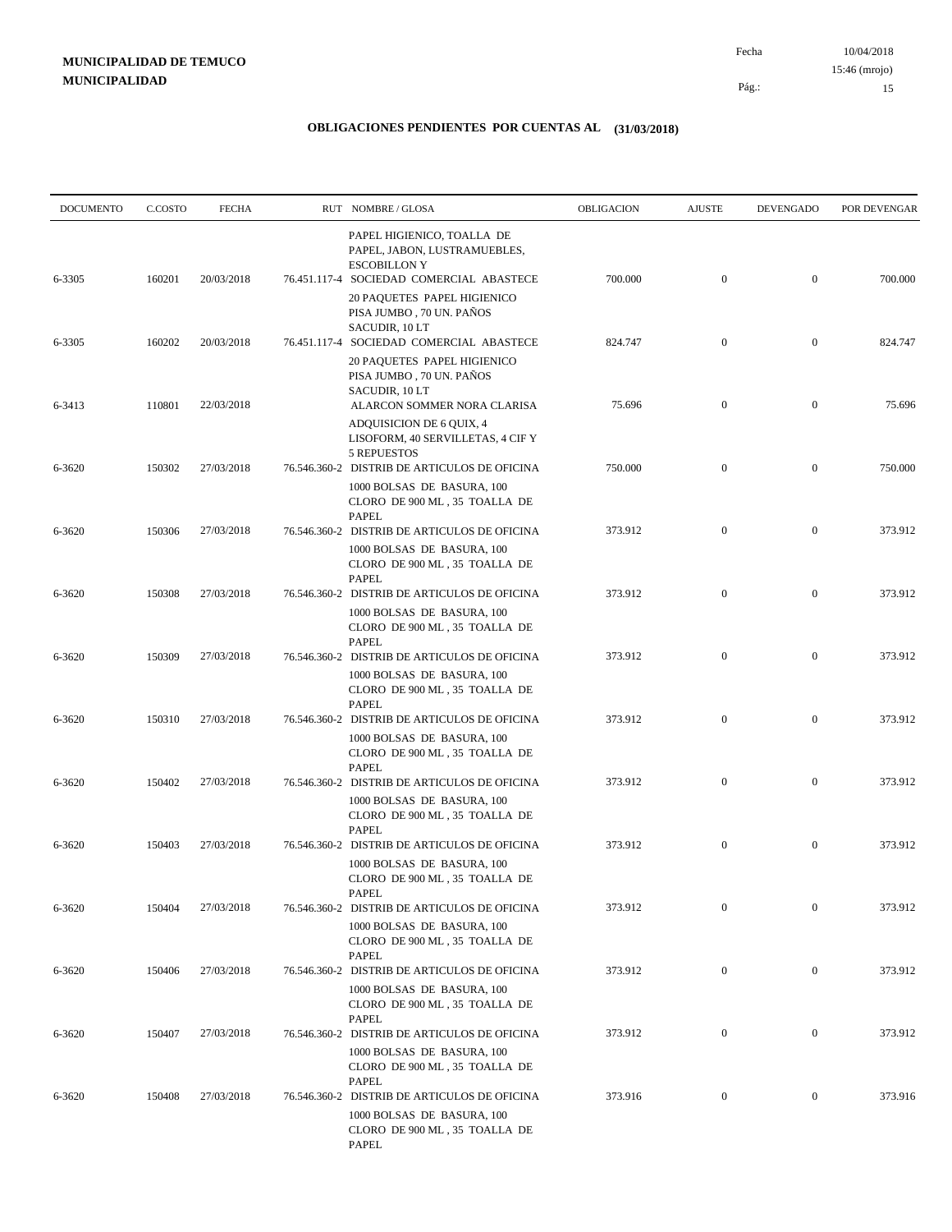| <b>DOCUMENTO</b> | C.COSTO | <b>FECHA</b> | RUT NOMBRE/GLOSA                                                                                                              | OBLIGACION | <b>AJUSTE</b>    | <b>DEVENGADO</b> | POR DEVENGAR |
|------------------|---------|--------------|-------------------------------------------------------------------------------------------------------------------------------|------------|------------------|------------------|--------------|
| 6-3305           | 160201  | 20/03/2018   | PAPEL HIGIENICO, TOALLA DE<br>PAPEL, JABON, LUSTRAMUEBLES,<br><b>ESCOBILLON Y</b><br>76.451.117-4 SOCIEDAD COMERCIAL ABASTECE | 700.000    | $\boldsymbol{0}$ | $\mathbf{0}$     | 700.000      |
|                  |         |              | 20 PAQUETES PAPEL HIGIENICO<br>PISA JUMBO, 70 UN. PAÑOS<br>SACUDIR, 10 LT                                                     |            |                  |                  |              |
| 6-3305           | 160202  | 20/03/2018   | 76.451.117-4 SOCIEDAD COMERCIAL ABASTECE<br>20 PAQUETES PAPEL HIGIENICO                                                       | 824.747    | $\boldsymbol{0}$ | $\mathbf{0}$     | 824.747      |
| 6-3413           | 110801  | 22/03/2018   | PISA JUMBO, 70 UN. PAÑOS<br>SACUDIR, 10 LT<br>ALARCON SOMMER NORA CLARISA                                                     | 75.696     | $\mathbf{0}$     | $\mathbf{0}$     | 75.696       |
|                  |         |              | ADQUISICION DE 6 QUIX, 4<br>LISOFORM, 40 SERVILLETAS, 4 CIF Y<br><b>5 REPUESTOS</b>                                           |            |                  |                  |              |
| 6-3620           | 150302  | 27/03/2018   | 76.546.360-2 DISTRIB DE ARTICULOS DE OFICINA<br>1000 BOLSAS DE BASURA, 100<br>CLORO DE 900 ML, 35 TOALLA DE                   | 750.000    | $\boldsymbol{0}$ | $\mathbf{0}$     | 750.000      |
| 6-3620           | 150306  | 27/03/2018   | <b>PAPEL</b><br>76.546.360-2 DISTRIB DE ARTICULOS DE OFICINA                                                                  | 373.912    | $\boldsymbol{0}$ | $\mathbf{0}$     | 373.912      |
|                  |         |              | 1000 BOLSAS DE BASURA, 100<br>CLORO DE 900 ML, 35 TOALLA DE<br><b>PAPEL</b>                                                   |            |                  |                  |              |
| 6-3620           | 150308  | 27/03/2018   | 76.546.360-2 DISTRIB DE ARTICULOS DE OFICINA<br>1000 BOLSAS DE BASURA, 100                                                    | 373.912    | $\mathbf{0}$     | $\boldsymbol{0}$ | 373.912      |
| 6-3620           | 150309  | 27/03/2018   | CLORO DE $900\ \mathrm{ML}$ , $35\ \mathrm{TOALLA}$ DE<br><b>PAPEL</b><br>76.546.360-2 DISTRIB DE ARTICULOS DE OFICINA        | 373.912    | $\boldsymbol{0}$ | $\boldsymbol{0}$ | 373.912      |
|                  |         |              | 1000 BOLSAS DE BASURA, 100<br>CLORO DE 900 ML, 35 TOALLA DE<br><b>PAPEL</b>                                                   |            |                  |                  |              |
| 6-3620           | 150310  | 27/03/2018   | 76.546.360-2 DISTRIB DE ARTICULOS DE OFICINA<br>1000 BOLSAS DE BASURA, 100<br>CLORO DE 900 ML, 35 TOALLA DE                   | 373.912    | $\boldsymbol{0}$ | $\boldsymbol{0}$ | 373.912      |
| 6-3620           | 150402  | 27/03/2018   | <b>PAPEL</b><br>76.546.360-2 DISTRIB DE ARTICULOS DE OFICINA                                                                  | 373.912    | $\boldsymbol{0}$ | $\boldsymbol{0}$ | 373.912      |
|                  |         |              | 1000 BOLSAS DE BASURA, 100<br>CLORO DE 900 ML, 35 TOALLA DE<br><b>PAPEL</b>                                                   |            |                  |                  |              |
| 6-3620           | 150403  | 27/03/2018   | 76.546.360-2 DISTRIB DE ARTICULOS DE OFICINA<br>1000 BOLSAS DE BASURA, 100<br>CLORO DE 900 ML, 35 TOALLA DE                   | 373.912    | $\boldsymbol{0}$ | $\boldsymbol{0}$ | 373.912      |
| 6-3620           | 150404  | 27/03/2018   | PAPEL<br>76.546.360-2 DISTRIB DE ARTICULOS DE OFICINA<br>1000 BOLSAS DE BASURA, 100                                           | 373.912    | $\boldsymbol{0}$ | $\mathbf{0}$     | 373.912      |
|                  |         |              | CLORO DE $900$ ML , $35$ TOALLA DE<br>PAPEL                                                                                   |            |                  |                  |              |
| 6-3620           | 150406  | 27/03/2018   | 76.546.360-2 DISTRIB DE ARTICULOS DE OFICINA<br>1000 BOLSAS DE BASURA, 100<br>CLORO DE 900 ML, 35 TOALLA DE                   | 373.912    | $\mathbf{0}$     | $\boldsymbol{0}$ | 373.912      |
| 6-3620           | 150407  | 27/03/2018   | PAPEL<br>76.546.360-2 DISTRIB DE ARTICULOS DE OFICINA<br>1000 BOLSAS DE BASURA, 100                                           | 373.912    | $\boldsymbol{0}$ | $\boldsymbol{0}$ | 373.912      |
| 6-3620           | 150408  | 27/03/2018   | CLORO DE 900 ML, 35 TOALLA DE<br>PAPEL<br>76.546.360-2 DISTRIB DE ARTICULOS DE OFICINA                                        | 373.916    | $\mathbf{0}$     | $\bf{0}$         | 373.916      |
|                  |         |              | 1000 BOLSAS DE BASURA, 100<br>CLORO DE 900 ML, 35 TOALLA DE<br>PAPEL                                                          |            |                  |                  |              |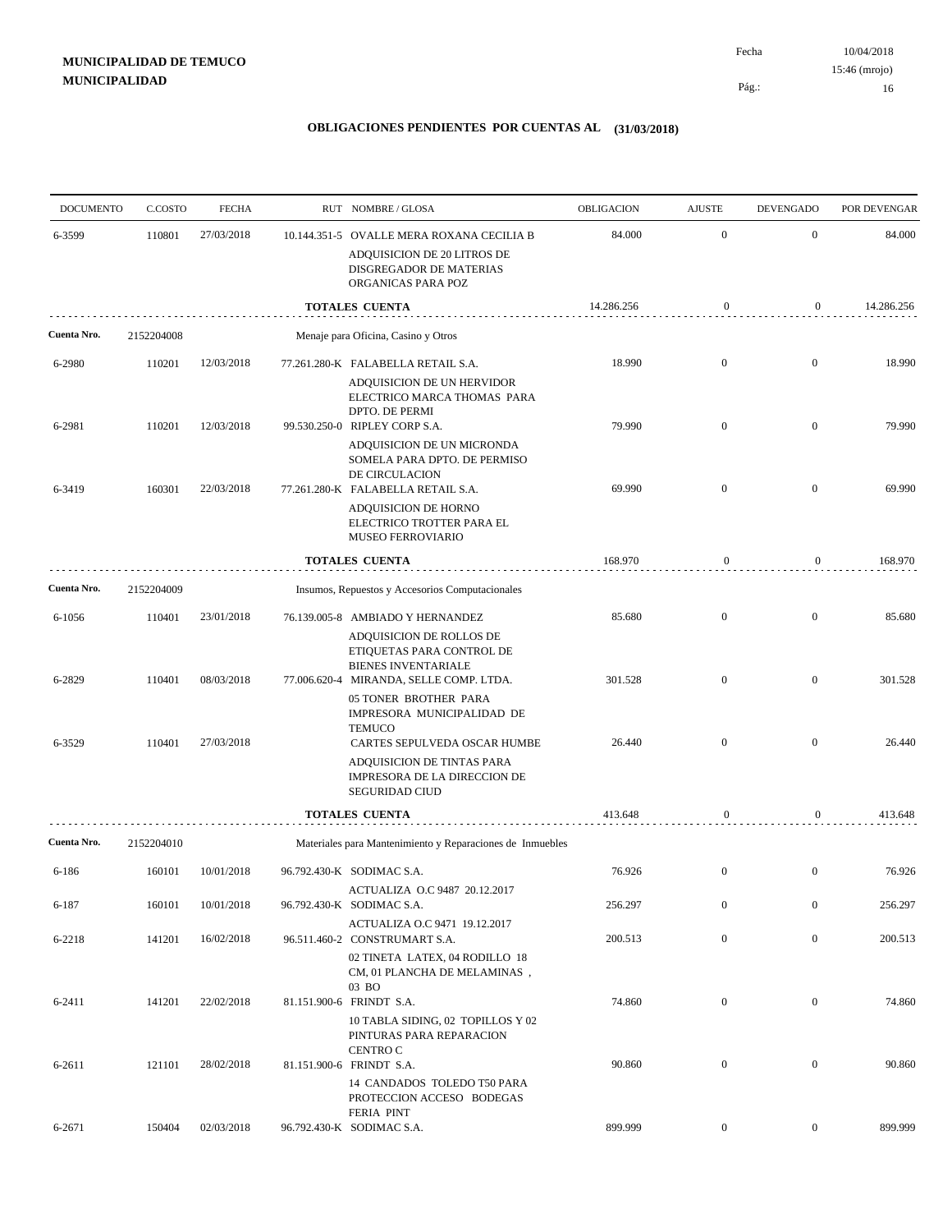| <b>DOCUMENTO</b> | C.COSTO    | <b>FECHA</b> | RUT NOMBRE/GLOSA                                                                                                                                                        | <b>OBLIGACION</b> | <b>AJUSTE</b>    | <b>DEVENGADO</b> | POR DEVENGAR |
|------------------|------------|--------------|-------------------------------------------------------------------------------------------------------------------------------------------------------------------------|-------------------|------------------|------------------|--------------|
| 6-3599           | 110801     | 27/03/2018   | 10.144.351-5 OVALLE MERA ROXANA CECILIA B                                                                                                                               | 84.000            | $\mathbf{0}$     | $\boldsymbol{0}$ | 84.000       |
|                  |            |              | ADQUISICION DE 20 LITROS DE<br>DISGREGADOR DE MATERIAS<br>ORGANICAS PARA POZ                                                                                            |                   |                  |                  |              |
|                  |            |              | <b>TOTALES CUENTA</b>                                                                                                                                                   | 14.286.256        | 0                | $\boldsymbol{0}$ | 14.286.256   |
| Cuenta Nro.      | 2152204008 |              | Menaje para Oficina, Casino y Otros                                                                                                                                     |                   |                  |                  |              |
| 6-2980           | 110201     | 12/03/2018   | 77.261.280-K FALABELLA RETAIL S.A.<br>ADQUISICION DE UN HERVIDOR<br>ELECTRICO MARCA THOMAS PARA                                                                         | 18.990            | $\mathbf{0}$     | $\boldsymbol{0}$ | 18.990       |
| 6-2981           | 110201     | 12/03/2018   | DPTO. DE PERMI<br>99.530.250-0 RIPLEY CORP S.A.                                                                                                                         | 79.990            | $\mathbf{0}$     | $\boldsymbol{0}$ | 79.990       |
| 6-3419           | 160301     | 22/03/2018   | ADQUISICION DE UN MICRONDA<br>SOMELA PARA DPTO. DE PERMISO<br>DE CIRCULACION<br>77.261.280-K FALABELLA RETAIL S.A.<br>ADQUISICION DE HORNO<br>ELECTRICO TROTTER PARA EL | 69.990            | $\overline{0}$   | $\overline{0}$   | 69.990       |
|                  |            |              | MUSEO FERROVIARIO                                                                                                                                                       |                   |                  |                  |              |
|                  |            |              | <b>TOTALES CUENTA</b>                                                                                                                                                   | 168.970           | $\boldsymbol{0}$ | $\boldsymbol{0}$ | 168.970      |
| Cuenta Nro.      | 2152204009 |              | Insumos, Repuestos y Accesorios Computacionales                                                                                                                         |                   |                  |                  |              |
| 6-1056           | 110401     | 23/01/2018   | 76.139.005-8 AMBIADO Y HERNANDEZ<br>ADQUISICION DE ROLLOS DE<br>ETIQUETAS PARA CONTROL DE                                                                               | 85.680            | $\mathbf{0}$     | $\boldsymbol{0}$ | 85.680       |
| 6-2829           | 110401     | 08/03/2018   | <b>BIENES INVENTARIALE</b><br>77.006.620-4 MIRANDA, SELLE COMP. LTDA.<br>05 TONER BROTHER PARA<br>IMPRESORA MUNICIPALIDAD DE<br><b>TEMUCO</b>                           | 301.528           | $\mathbf{0}$     | $\mathbf{0}$     | 301.528      |
| 6-3529           | 110401     | 27/03/2018   | CARTES SEPULVEDA OSCAR HUMBE<br>ADQUISICION DE TINTAS PARA<br>IMPRESORA DE LA DIRECCION DE<br><b>SEGURIDAD CIUD</b>                                                     | 26.440            | $\overline{0}$   | $\overline{0}$   | 26.440       |
|                  |            |              | <b>TOTALES CUENTA</b>                                                                                                                                                   | 413.648           | $\boldsymbol{0}$ | 0                | 413.648      |
| Cuenta Nro.      | 2152204010 |              | Materiales para Mantenimiento y Reparaciones de Inmuebles                                                                                                               |                   |                  |                  |              |
| 6-186            | 160101     | 10/01/2018   | 96.792.430-K SODIMAC S.A.                                                                                                                                               | 76.926            | $\overline{0}$   | $\mathbf{0}$     | 76.926       |
| 6-187            | 160101     | 10/01/2018   | ACTUALIZA O.C 9487 20.12.2017<br>96.792.430-K SODIMAC S.A.                                                                                                              | 256.297           | $\mathbf{0}$     | $\overline{0}$   | 256.297      |
| 6-2218           | 141201     | 16/02/2018   | ACTUALIZA O.C 9471 19.12.2017<br>96.511.460-2 CONSTRUMART S.A.                                                                                                          | 200.513           | $\mathbf{0}$     | $\boldsymbol{0}$ | 200.513      |
|                  |            |              | 02 TINETA LATEX, 04 RODILLO 18<br>CM, 01 PLANCHA DE MELAMINAS,<br>03 BO                                                                                                 |                   |                  |                  |              |
| 6-2411           | 141201     | 22/02/2018   | 81.151.900-6 FRINDT S.A.<br>10 TABLA SIDING, 02 TOPILLOS Y 02<br>PINTURAS PARA REPARACION<br><b>CENTRO C</b>                                                            | 74.860            | $\mathbf{0}$     | $\overline{0}$   | 74.860       |
| 6-2611           | 121101     | 28/02/2018   | 81.151.900-6 FRINDT S.A.<br>14 CANDADOS TOLEDO T50 PARA<br>PROTECCION ACCESO BODEGAS                                                                                    | 90.860            | $\boldsymbol{0}$ | $\overline{0}$   | 90.860       |
| 6-2671           | 150404     | 02/03/2018   | <b>FERIA PINT</b><br>96.792.430-K SODIMAC S.A.                                                                                                                          | 899.999           | $\overline{0}$   | $\mathbf{0}$     | 899.999      |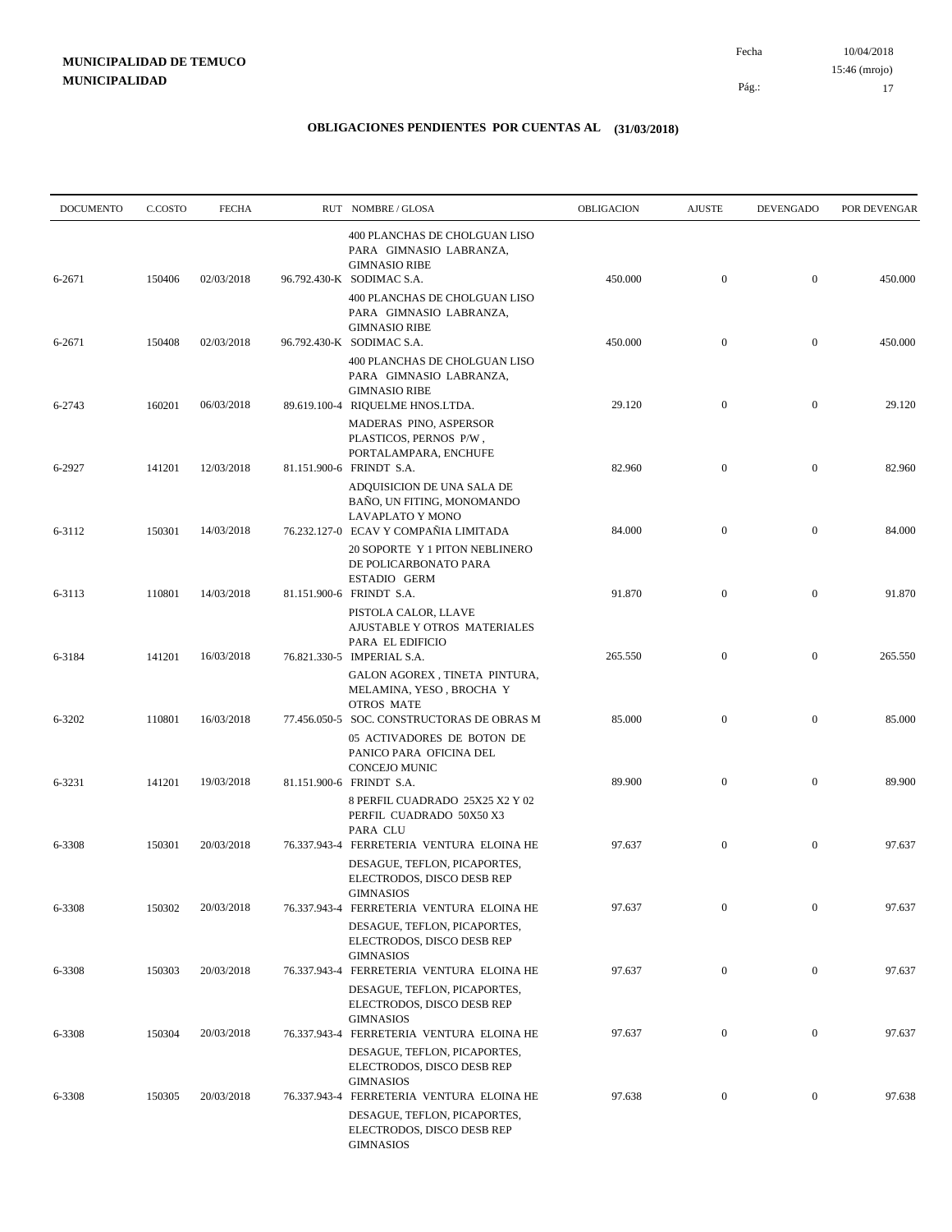| <b>DOCUMENTO</b> | C.COSTO | <b>FECHA</b> | RUT NOMBRE/GLOSA                                                                                                                                | OBLIGACION | <b>AJUSTE</b>    | <b>DEVENGADO</b> | POR DEVENGAR |
|------------------|---------|--------------|-------------------------------------------------------------------------------------------------------------------------------------------------|------------|------------------|------------------|--------------|
| 6-2671           | 150406  | 02/03/2018   | 400 PLANCHAS DE CHOLGUAN LISO<br>PARA GIMNASIO LABRANZA,<br><b>GIMNASIO RIBE</b><br>96.792.430-K SODIMAC S.A.                                   | 450.000    | $\mathbf{0}$     | $\boldsymbol{0}$ | 450.000      |
|                  |         |              | 400 PLANCHAS DE CHOLGUAN LISO<br>PARA GIMNASIO LABRANZA,<br><b>GIMNASIO RIBE</b>                                                                |            |                  |                  |              |
| 6-2671           | 150408  | 02/03/2018   | 96.792.430-K SODIMAC S.A.<br>400 PLANCHAS DE CHOLGUAN LISO<br>PARA GIMNASIO LABRANZA,                                                           | 450.000    | $\boldsymbol{0}$ | $\boldsymbol{0}$ | 450.000      |
| 6-2743           | 160201  | 06/03/2018   | <b>GIMNASIO RIBE</b><br>89.619.100-4 RIQUELME HNOS.LTDA.<br>MADERAS PINO, ASPERSOR                                                              | 29.120     | $\boldsymbol{0}$ | $\boldsymbol{0}$ | 29.120       |
| 6-2927           | 141201  | 12/03/2018   | PLASTICOS, PERNOS P/W,<br>PORTALAMPARA, ENCHUFE<br>81.151.900-6 FRINDT S.A.                                                                     | 82.960     | $\mathbf{0}$     | $\boldsymbol{0}$ | 82.960       |
| 6-3112           | 150301  | 14/03/2018   | ADQUISICION DE UNA SALA DE<br>BANO, UN FITING, MONOMANDO<br>LAVAPLATO Y MONO<br>76.232.127-0 ECAV Y COMPAÑIA LIMITADA                           | 84.000     | $\mathbf{0}$     | $\boldsymbol{0}$ | 84.000       |
|                  |         |              | 20 SOPORTE Y 1 PITON NEBLINERO<br>DE POLICARBONATO PARA<br>ESTADIO GERM                                                                         |            |                  |                  |              |
| 6-3113           | 110801  | 14/03/2018   | 81.151.900-6 FRINDT S.A.<br>PISTOLA CALOR, LLAVE<br>AJUSTABLE Y OTROS MATERIALES                                                                | 91.870     | $\mathbf{0}$     | $\boldsymbol{0}$ | 91.870       |
| 6-3184           | 141201  | 16/03/2018   | PARA EL EDIFICIO<br>76.821.330-5 IMPERIAL S.A.<br>GALON AGOREX, TINETA PINTURA,                                                                 | 265.550    | $\mathbf{0}$     | $\boldsymbol{0}$ | 265.550      |
| 6-3202           | 110801  | 16/03/2018   | MELAMINA, YESO, BROCHA Y<br><b>OTROS MATE</b><br>77.456.050-5 SOC. CONSTRUCTORAS DE OBRAS M                                                     | 85.000     | $\mathbf{0}$     | $\boldsymbol{0}$ | 85.000       |
| 6-3231           | 141201  | 19/03/2018   | 05 ACTIVADORES DE BOTON DE<br>PANICO PARA OFICINA DEL<br>CONCEJO MUNIC<br>81.151.900-6 FRINDT S.A.                                              | 89.900     | $\mathbf{0}$     | $\boldsymbol{0}$ | 89.900       |
|                  |         |              | 8 PERFIL CUADRADO 25X25 X2 Y 02<br>PERFIL CUADRADO 50X50 X3<br>PARA CLU                                                                         |            |                  |                  |              |
| 6-3308           | 150301  | 20/03/2018   | 76.337.943-4 FERRETERIA VENTURA ELOINA HE<br>DESAGUE, TEFLON, PICAPORTES,<br>ELECTRODOS, DISCO DESB REP                                         | 97.637     | $\mathbf{0}$     | $\boldsymbol{0}$ | 97.637       |
| 6-3308           | 150302  | 20/03/2018   | GIMNASIOS<br>76.337.943-4 FERRETERIA VENTURA ELOINA HE<br>DESAGUE, TEFLON, PICAPORTES,                                                          | 97.637     | $\boldsymbol{0}$ | $\boldsymbol{0}$ | 97.637       |
| 6-3308           | 150303  | 20/03/2018   | ELECTRODOS, DISCO DESB REP<br><b>GIMNASIOS</b><br>76.337.943-4 FERRETERIA VENTURA ELOINA HE                                                     | 97.637     | $\mathbf{0}$     | $\boldsymbol{0}$ | 97.637       |
|                  |         |              | DESAGUE, TEFLON, PICAPORTES,<br>ELECTRODOS, DISCO DESB REP<br><b>GIMNASIOS</b>                                                                  |            |                  |                  |              |
| 6-3308           | 150304  | 20/03/2018   | 76.337.943-4 FERRETERIA VENTURA ELOINA HE<br>DESAGUE, TEFLON, PICAPORTES,<br>ELECTRODOS, DISCO DESB REP                                         | 97.637     | $\boldsymbol{0}$ | $\boldsymbol{0}$ | 97.637       |
| 6-3308           | 150305  | 20/03/2018   | <b>GIMNASIOS</b><br>76.337.943-4 FERRETERIA VENTURA ELOINA HE<br>DESAGUE, TEFLON, PICAPORTES,<br>ELECTRODOS, DISCO DESB REP<br><b>GIMNASIOS</b> | 97.638     | $\mathbf{0}$     | $\boldsymbol{0}$ | 97.638       |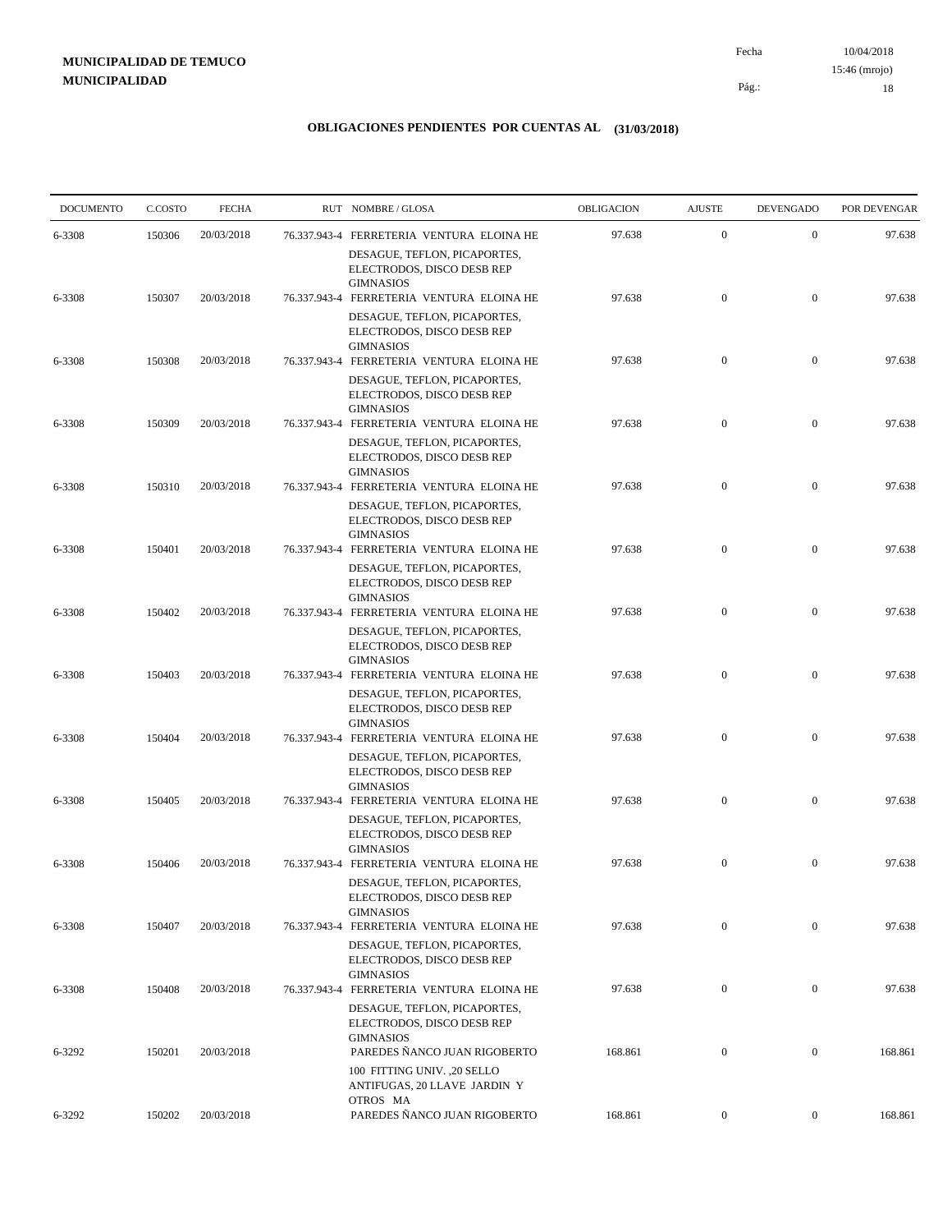10/04/2018 18 Pág.: Fecha

### **OBLIGACIONES PENDIENTES POR CUENTAS AL (31/03/2018)**

| <b>DOCUMENTO</b> | C.COSTO | <b>FECHA</b> | RUT NOMBRE/GLOSA                                                                                                            | OBLIGACION | <b>AJUSTE</b>    | <b>DEVENGADO</b> | POR DEVENGAR |
|------------------|---------|--------------|-----------------------------------------------------------------------------------------------------------------------------|------------|------------------|------------------|--------------|
| 6-3308           | 150306  | 20/03/2018   | 76.337.943-4 FERRETERIA VENTURA ELOINA HE                                                                                   | 97.638     | $\mathbf{0}$     | $\mathbf{0}$     | 97.638       |
| 6-3308           | 150307  | 20/03/2018   | DESAGUE, TEFLON, PICAPORTES,<br>ELECTRODOS, DISCO DESB REP<br><b>GIMNASIOS</b><br>76.337.943-4 FERRETERIA VENTURA ELOINA HE | 97.638     | $\boldsymbol{0}$ | $\overline{0}$   | 97.638       |
|                  |         |              | DESAGUE, TEFLON, PICAPORTES,<br>ELECTRODOS, DISCO DESB REP<br><b>GIMNASIOS</b>                                              |            |                  |                  |              |
| 6-3308           | 150308  | 20/03/2018   | 76.337.943-4 FERRETERIA VENTURA ELOINA HE                                                                                   | 97.638     | $\boldsymbol{0}$ | $\mathbf{0}$     | 97.638       |
| 6-3308           | 150309  | 20/03/2018   | DESAGUE, TEFLON, PICAPORTES,<br>ELECTRODOS, DISCO DESB REP<br><b>GIMNASIOS</b><br>76.337.943-4 FERRETERIA VENTURA ELOINA HE | 97.638     | $\boldsymbol{0}$ | $\mathbf{0}$     | 97.638       |
|                  |         |              | DESAGUE, TEFLON, PICAPORTES,<br>ELECTRODOS, DISCO DESB REP<br><b>GIMNASIOS</b>                                              |            |                  |                  |              |
| 6-3308           | 150310  | 20/03/2018   | 76.337.943-4 FERRETERIA VENTURA ELOINA HE<br>DESAGUE, TEFLON, PICAPORTES,<br>ELECTRODOS, DISCO DESB REP                     | 97.638     | $\boldsymbol{0}$ | $\mathbf{0}$     | 97.638       |
| 6-3308           | 150401  | 20/03/2018   | <b>GIMNASIOS</b><br>76.337.943-4 FERRETERIA VENTURA ELOINA HE                                                               | 97.638     | $\boldsymbol{0}$ | $\mathbf{0}$     | 97.638       |
|                  |         |              | DESAGUE, TEFLON, PICAPORTES,<br>ELECTRODOS, DISCO DESB REP<br><b>GIMNASIOS</b>                                              |            |                  |                  |              |
| 6-3308           | 150402  | 20/03/2018   | 76.337.943-4 FERRETERIA VENTURA ELOINA HE<br>DESAGUE, TEFLON, PICAPORTES,<br>ELECTRODOS, DISCO DESB REP                     | 97.638     | $\boldsymbol{0}$ | $\mathbf{0}$     | 97.638       |
| 6-3308           | 150403  | 20/03/2018   | <b>GIMNASIOS</b><br>76.337.943-4 FERRETERIA VENTURA ELOINA HE                                                               | 97.638     | $\overline{0}$   | $\overline{0}$   | 97.638       |
| 6-3308           | 150404  | 20/03/2018   | DESAGUE, TEFLON, PICAPORTES,<br>ELECTRODOS, DISCO DESB REP<br><b>GIMNASIOS</b><br>76.337.943-4 FERRETERIA VENTURA ELOINA HE | 97.638     | $\boldsymbol{0}$ | $\mathbf{0}$     | 97.638       |
|                  |         |              | DESAGUE, TEFLON, PICAPORTES,<br>ELECTRODOS, DISCO DESB REP<br><b>GIMNASIOS</b>                                              |            |                  |                  |              |
| 6-3308           | 150405  | 20/03/2018   | 76.337.943-4 FERRETERIA VENTURA ELOINA HE<br>DESAGUE, TEFLON, PICAPORTES,<br>ELECTRODOS, DISCO DESB REP                     | 97.638     | $\mathbf{0}$     | $\overline{0}$   | 97.638       |
| 6-3308           | 150406  | 20/03/2018   | <b>GIMNASIOS</b><br>76.337.943-4 FERRETERIA VENTURA ELOINA HE                                                               | 97.638     | $\boldsymbol{0}$ | $\mathbf{0}$     | 97.638       |
|                  |         |              | DESAGUE, TEFLON, PICAPORTES,<br>ELECTRODOS, DISCO DESB REP<br><b>GIMNASIOS</b>                                              |            |                  |                  |              |
| 6-3308           | 150407  | 20/03/2018   | 76.337.943-4 FERRETERIA VENTURA ELOINA HE<br>DESAGUE, TEFLON, PICAPORTES,<br>ELECTRODOS, DISCO DESB REP                     | 97.638     | $\mathbf{0}$     | $\overline{0}$   | 97.638       |
| 6-3308           | 150408  | 20/03/2018   | <b>GIMNASIOS</b><br>76.337.943-4 FERRETERIA VENTURA ELOINA HE                                                               | 97.638     | $\boldsymbol{0}$ | $\mathbf{0}$     | 97.638       |
| 6-3292           | 150201  | 20/03/2018   | DESAGUE, TEFLON, PICAPORTES,<br>ELECTRODOS, DISCO DESB REP<br><b>GIMNASIOS</b><br>PAREDES ÑANCO JUAN RIGOBERTO              | 168.861    | $\boldsymbol{0}$ | $\mathbf{0}$     | 168.861      |
|                  |         |              | 100 FITTING UNIV. ,20 SELLO<br>ANTIFUGAS, 20 LLAVE JARDIN Y                                                                 |            |                  |                  |              |
| 6-3292           | 150202  | 20/03/2018   | OTROS MA<br>PAREDES ÑANCO JUAN RIGOBERTO                                                                                    | 168.861    | $\mathbf{0}$     | $\boldsymbol{0}$ | 168.861      |

15:46 (mrojo)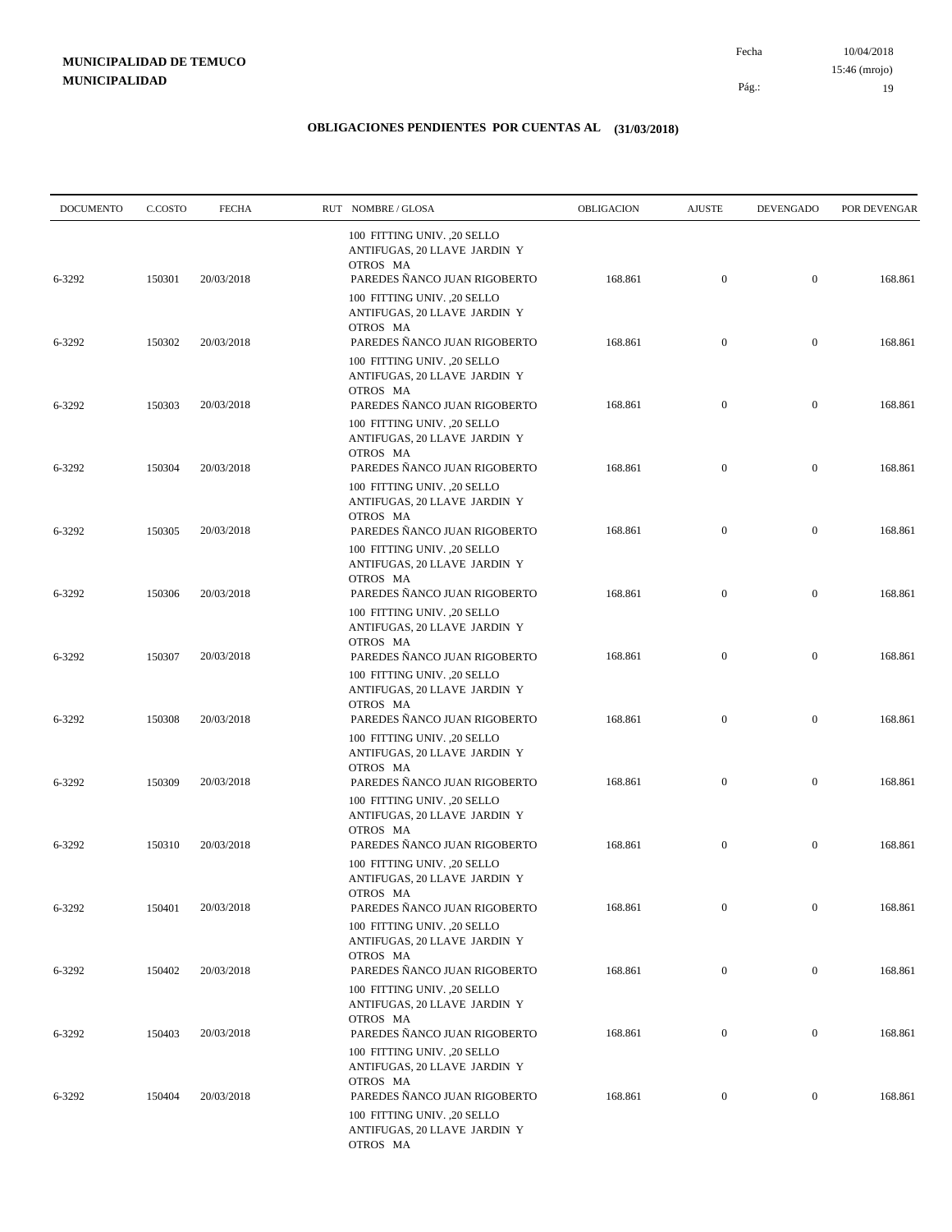10/04/2018 19 Pág.: Fecha 15:46 (mrojo)

| <b>DOCUMENTO</b> | C.COSTO | <b>FECHA</b> | RUT NOMBRE/GLOSA                                                                                        | OBLIGACION | <b>AJUSTE</b>    | <b>DEVENGADO</b> | POR DEVENGAR |
|------------------|---------|--------------|---------------------------------------------------------------------------------------------------------|------------|------------------|------------------|--------------|
| 6-3292           | 150301  | 20/03/2018   | 100 FITTING UNIV. ,20 SELLO<br>ANTIFUGAS, 20 LLAVE JARDIN Y<br>OTROS MA<br>PAREDES ÑANCO JUAN RIGOBERTO | 168.861    | $\boldsymbol{0}$ | $\mathbf{0}$     | 168.861      |
|                  |         |              | 100 FITTING UNIV. , 20 SELLO<br>ANTIFUGAS, 20 LLAVE JARDIN Y<br>OTROS MA                                |            |                  |                  |              |
| 6-3292           | 150302  | 20/03/2018   | PAREDES ÑANCO JUAN RIGOBERTO<br>100 FITTING UNIV. ,20 SELLO<br>ANTIFUGAS, 20 LLAVE JARDIN Y             | 168.861    | $\boldsymbol{0}$ | $\mathbf{0}$     | 168.861      |
| 6-3292           | 150303  | 20/03/2018   | OTROS MA<br>PAREDES NANCO JUAN RIGOBERTO<br>100 FITTING UNIV. , 20 SELLO                                | 168.861    | $\mathbf{0}$     | $\mathbf{0}$     | 168.861      |
| 6-3292           | 150304  | 20/03/2018   | ANTIFUGAS, 20 LLAVE JARDIN Y<br>OTROS MA<br>PAREDES NANCO JUAN RIGOBERTO                                | 168.861    | $\mathbf{0}$     | $\mathbf{0}$     | 168.861      |
|                  |         |              | 100 FITTING UNIV. , 20 SELLO<br>ANTIFUGAS, 20 LLAVE JARDIN Y<br>OTROS MA                                |            |                  |                  |              |
| 6-3292           | 150305  | 20/03/2018   | PAREDES ÑANCO JUAN RIGOBERTO<br>100 FITTING UNIV. ,20 SELLO                                             | 168.861    | $\boldsymbol{0}$ | $\mathbf{0}$     | 168.861      |
| 6-3292           | 150306  | 20/03/2018   | ANTIFUGAS, 20 LLAVE JARDIN Y<br>OTROS MA<br>PAREDES ÑANCO JUAN RIGOBERTO                                | 168.861    | $\mathbf{0}$     | $\mathbf{0}$     | 168.861      |
|                  |         |              | 100 FITTING UNIV. ,20 SELLO<br>ANTIFUGAS, 20 LLAVE JARDIN Y<br>OTROS MA                                 |            |                  |                  |              |
| 6-3292           | 150307  | 20/03/2018   | PAREDES NANCO JUAN RIGOBERTO<br>100 FITTING UNIV. ,20 SELLO<br>ANTIFUGAS, 20 LLAVE JARDIN Y             | 168.861    | $\mathbf{0}$     | $\mathbf{0}$     | 168.861      |
| 6-3292           | 150308  | 20/03/2018   | OTROS MA<br>PAREDES NANCO JUAN RIGOBERTO<br>100 FITTING UNIV. , 20 SELLO                                | 168.861    | $\mathbf{0}$     | $\boldsymbol{0}$ | 168.861      |
| 6-3292           | 150309  | 20/03/2018   | ANTIFUGAS, 20 LLAVE JARDIN Y<br>OTROS MA<br>PAREDES ÑANCO JUAN RIGOBERTO                                | 168.861    | $\mathbf{0}$     | $\mathbf{0}$     | 168.861      |
|                  |         |              | 100 FITTING UNIV. ,20 SELLO<br>ANTIFUGAS, 20 LLAVE JARDIN Y<br>OTROS MA                                 |            |                  |                  |              |
| 6-3292           | 150310  | 20/03/2018   | PAREDES ÑANCO JUAN RIGOBERTO<br>100 FITTING UNIV. ,20 SELLO<br>ANTIFUGAS, 20 LLAVE JARDIN Y             | 168.861    | $\boldsymbol{0}$ | $\boldsymbol{0}$ | 168.861      |
| 6-3292           | 150401  | 20/03/2018   | OTROS MA<br>PAREDES ÑANCO JUAN RIGOBERTO<br>100 FITTING UNIV. , 20 SELLO                                | 168.861    | $\mathbf{0}$     | $\mathbf{0}$     | 168.861      |
| 6-3292           | 150402  | 20/03/2018   | ANTIFUGAS, 20 LLAVE JARDIN Y<br>OTROS MA<br>PAREDES ÑANCO JUAN RIGOBERTO                                | 168.861    | $\boldsymbol{0}$ | $\boldsymbol{0}$ | 168.861      |
|                  |         |              | 100 FITTING UNIV. ,20 SELLO<br>ANTIFUGAS, 20 LLAVE JARDIN Y<br>OTROS MA                                 |            |                  |                  |              |
| 6-3292           | 150403  | 20/03/2018   | PAREDES ÑANCO JUAN RIGOBERTO<br>100 FITTING UNIV. ,20 SELLO                                             | 168.861    | $\boldsymbol{0}$ | $\boldsymbol{0}$ | 168.861      |
| 6-3292           | 150404  | 20/03/2018   | ANTIFUGAS, 20 LLAVE JARDIN Y<br>OTROS MA<br>PAREDES ÑANCO JUAN RIGOBERTO                                | 168.861    | $\boldsymbol{0}$ | $\boldsymbol{0}$ | 168.861      |
|                  |         |              | 100 FITTING UNIV. , 20 SELLO<br>ANTIFUGAS, 20 LLAVE JARDIN Y<br>OTROS MA                                |            |                  |                  |              |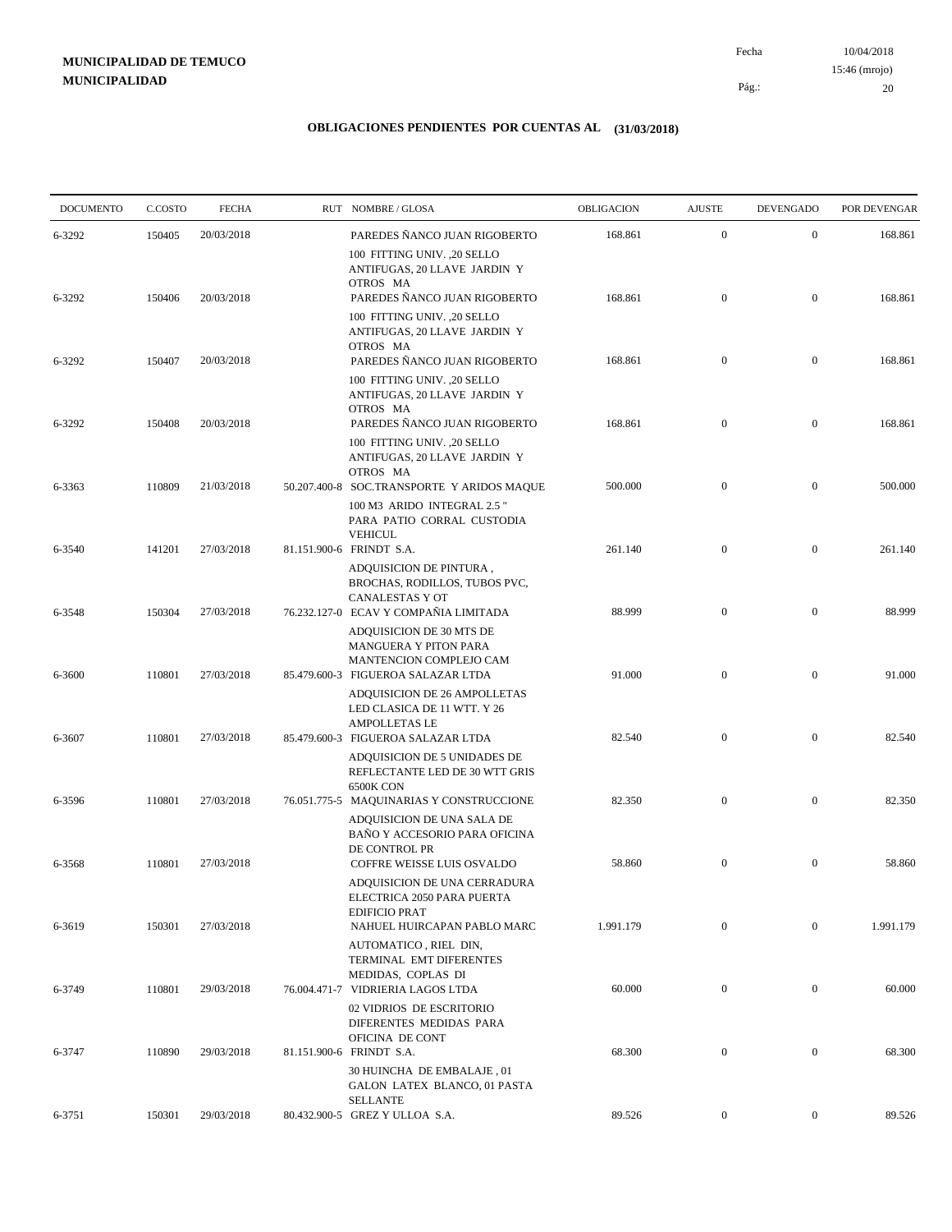10/04/2018 20 Pág.: Fecha 15:46 (mrojo)

| <b>DOCUMENTO</b> | C.COSTO | <b>FECHA</b> | RUT NOMBRE/GLOSA                                                                                                                        | <b>OBLIGACION</b> | <b>AJUSTE</b>    | <b>DEVENGADO</b> | POR DEVENGAR |
|------------------|---------|--------------|-----------------------------------------------------------------------------------------------------------------------------------------|-------------------|------------------|------------------|--------------|
| 6-3292           | 150405  | 20/03/2018   | PAREDES ÑANCO JUAN RIGOBERTO                                                                                                            | 168.861           | $\mathbf{0}$     | $\mathbf{0}$     | 168.861      |
| 6-3292           | 150406  | 20/03/2018   | 100 FITTING UNIV. ,20 SELLO<br>ANTIFUGAS, 20 LLAVE JARDIN Y<br>OTROS MA<br>PAREDES ÑANCO JUAN RIGOBERTO<br>100 FITTING UNIV. , 20 SELLO | 168.861           | $\mathbf{0}$     | $\mathbf{0}$     | 168.861      |
| 6-3292           | 150407  | 20/03/2018   | ANTIFUGAS, 20 LLAVE JARDIN Y<br>OTROS MA<br>PAREDES ÑANCO JUAN RIGOBERTO                                                                | 168.861           | $\mathbf{0}$     | $\mathbf{0}$     | 168.861      |
| 6-3292           | 150408  | 20/03/2018   | 100 FITTING UNIV. , 20 SELLO<br>ANTIFUGAS, 20 LLAVE JARDIN Y<br>OTROS MA<br>PAREDES ÑANCO JUAN RIGOBERTO                                | 168.861           | $\mathbf{0}$     | $\mathbf{0}$     | 168.861      |
| 6-3363           | 110809  | 21/03/2018   | 100 FITTING UNIV. ,20 SELLO<br>ANTIFUGAS, 20 LLAVE JARDIN Y<br>OTROS MA<br>50.207.400-8 SOC.TRANSPORTE Y ARIDOS MAQUE                   | 500.000           | $\mathbf{0}$     | $\mathbf{0}$     | 500.000      |
|                  |         |              | 100 M3 ARIDO INTEGRAL 2.5"<br>PARA PATIO CORRAL CUSTODIA<br><b>VEHICUL</b>                                                              |                   |                  |                  |              |
| 6-3540           | 141201  | 27/03/2018   | 81.151.900-6 FRINDT S.A.<br>ADQUISICION DE PINTURA,<br>BROCHAS, RODILLOS, TUBOS PVC,<br>CANALESTAS Y OT                                 | 261.140           | $\mathbf{0}$     | $\mathbf{0}$     | 261.140      |
| 6-3548           | 150304  | 27/03/2018   | 76.232.127-0 ECAV Y COMPAÑIA LIMITADA<br>ADQUISICION DE 30 MTS DE<br><b>MANGUERA Y PITON PARA</b>                                       | 88.999            | $\mathbf{0}$     | $\mathbf{0}$     | 88.999       |
| 6-3600           | 110801  | 27/03/2018   | MANTENCION COMPLEJO CAM<br>85.479.600-3 FIGUEROA SALAZAR LTDA<br>ADQUISICION DE 26 AMPOLLETAS<br>LED CLASICA DE 11 WTT. Y 26            | 91.000            | $\overline{0}$   | $\boldsymbol{0}$ | 91.000       |
| 6-3607           | 110801  | 27/03/2018   | <b>AMPOLLETAS LE</b><br>85.479.600-3 FIGUEROA SALAZAR LTDA<br>ADQUISICION DE 5 UNIDADES DE                                              | 82.540            | $\mathbf{0}$     | $\mathbf{0}$     | 82.540       |
| 6-3596           | 110801  | 27/03/2018   | REFLECTANTE LED DE 30 WTT GRIS<br><b>6500K CON</b><br>76.051.775-5 MAQUINARIAS Y CONSTRUCCIONE<br>ADQUISICION DE UNA SALA DE            | 82.350            | $\mathbf{0}$     | $\mathbf{0}$     | 82.350       |
| 6-3568           | 110801  | 27/03/2018   | BAÑO Y ACCESORIO PARA OFICINA<br>DE CONTROL PR<br>COFFRE WEISSE LUIS OSVALDO<br>ADQUISICION DE UNA CERRADURA                            | 58.860            | $\mathbf{0}$     | $\mathbf{0}$     | 58.860       |
| 6-3619           | 150301  | 27/03/2018   | ELECTRICA 2050 PARA PUERTA<br><b>EDIFICIO PRAT</b><br>NAHUEL HUIRCAPAN PABLO MARC                                                       | 1.991.179         | $\mathbf{0}$     | $\overline{0}$   | 1.991.179    |
| 6-3749           | 110801  | 29/03/2018   | AUTOMATICO, RIEL DIN,<br>TERMINAL EMT DIFERENTES<br>MEDIDAS, COPLAS DI<br>76.004.471-7 VIDRIERIA LAGOS LTDA                             | 60.000            | $\boldsymbol{0}$ | $\boldsymbol{0}$ | 60.000       |
|                  |         |              | 02 VIDRIOS DE ESCRITORIO<br>DIFERENTES MEDIDAS PARA<br>OFICINA DE CONT                                                                  |                   |                  |                  |              |
| 6-3747           | 110890  | 29/03/2018   | 81.151.900-6 FRINDT S.A.<br>30 HUINCHA DE EMBALAJE, 01<br>GALON LATEX BLANCO, 01 PASTA<br><b>SELLANTE</b>                               | 68.300            | $\boldsymbol{0}$ | $\boldsymbol{0}$ | 68.300       |
| 6-3751           | 150301  | 29/03/2018   | 80.432.900-5 GREZ Y ULLOA S.A.                                                                                                          | 89.526            | $\overline{0}$   | $\mathbf{0}$     | 89.526       |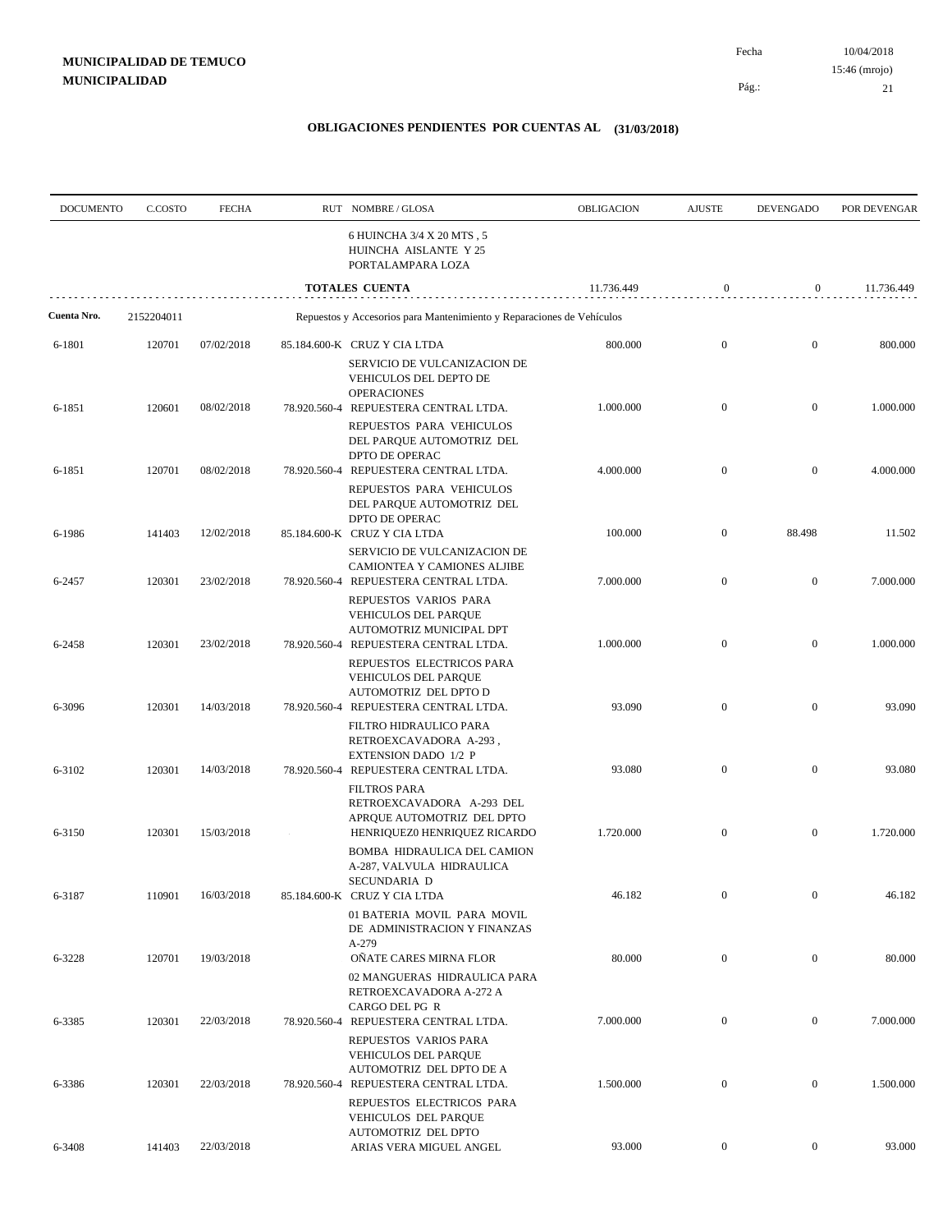Pág.:

Fecha

21

| <b>DOCUMENTO</b> | C.COSTO    | <b>FECHA</b> |              | RUT NOMBRE/GLOSA                                                                                                                                             | OBLIGACION | <b>AJUSTE</b>    | <b>DEVENGADO</b> | POR DEVENGAR |
|------------------|------------|--------------|--------------|--------------------------------------------------------------------------------------------------------------------------------------------------------------|------------|------------------|------------------|--------------|
|                  |            |              |              | 6 HUINCHA 3/4 X 20 MTS, 5<br>HUINCHA AISLANTE Y 25<br>PORTALAMPARA LOZA                                                                                      |            |                  |                  |              |
|                  |            |              |              | TOTALES CUENTA                                                                                                                                               | 11.736.449 | $\mathbf{0}$     | $\mathbf{0}$     | 11.736.449   |
| Cuenta Nro.      | 2152204011 |              |              | Repuestos y Accesorios para Mantenimiento y Reparaciones de Vehículos                                                                                        |            |                  |                  |              |
| 6-1801           | 120701     | 07/02/2018   |              | 85.184.600-K CRUZ Y CIA LTDA<br>SERVICIO DE VULCANIZACION DE<br>VEHICULOS DEL DEPTO DE                                                                       | 800.000    | $\mathbf{0}$     | $\mathbf{0}$     | 800.000      |
| 6-1851           | 120601     | 08/02/2018   |              | <b>OPERACIONES</b><br>78.920.560-4 REPUESTERA CENTRAL LTDA.<br>REPUESTOS PARA VEHICULOS<br>DEL PARQUE AUTOMOTRIZ DEL                                         | 1.000.000  | $\mathbf{0}$     | $\mathbf{0}$     | 1.000.000    |
| 6-1851           | 120701     | 08/02/2018   |              | DPTO DE OPERAC<br>78.920.560-4 REPUESTERA CENTRAL LTDA.<br>REPUESTOS PARA VEHICULOS<br>DEL PARQUE AUTOMOTRIZ DEL                                             | 4.000.000  | $\mathbf{0}$     | $\mathbf{0}$     | 4.000.000    |
| 6-1986           | 141403     | 12/02/2018   |              | DPTO DE OPERAC<br>85.184.600-K CRUZ Y CIA LTDA<br>SERVICIO DE VULCANIZACION DE                                                                               | 100.000    | $\bf{0}$         | 88.498           | 11.502       |
| 6-2457           | 120301     | 23/02/2018   |              | CAMIONTEA Y CAMIONES ALJIBE<br>78.920.560-4 REPUESTERA CENTRAL LTDA.<br>REPUESTOS VARIOS PARA                                                                | 7.000.000  | $\mathbf{0}$     | $\mathbf{0}$     | 7.000.000    |
| 6-2458           | 120301     | 23/02/2018   |              | <b>VEHICULOS DEL PARQUE</b><br>AUTOMOTRIZ MUNICIPAL DPT<br>78.920.560-4 REPUESTERA CENTRAL LTDA.<br>REPUESTOS ELECTRICOS PARA<br><b>VEHICULOS DEL PARQUE</b> | 1.000.000  | $\mathbf{0}$     | $\mathbf{0}$     | 1.000.000    |
| 6-3096           | 120301     | 14/03/2018   |              | AUTOMOTRIZ DEL DPTO D<br>78.920.560-4 REPUESTERA CENTRAL LTDA.                                                                                               | 93.090     | $\mathbf{0}$     | $\boldsymbol{0}$ | 93.090       |
| 6-3102           | 120301     | 14/03/2018   | 78.920.560-4 | FILTRO HIDRAULICO PARA<br>RETROEXCAVADORA A-293,<br><b>EXTENSION DADO 1/2 P</b><br>REPUESTERA CENTRAL LTDA.<br><b>FILTROS PARA</b>                           | 93.080     | $\boldsymbol{0}$ | $\boldsymbol{0}$ | 93.080       |
| 6-3150           | 120301     | 15/03/2018   |              | RETROEXCAVADORA A-293 DEL<br>APROUE AUTOMOTRIZ DEL DPTO<br>HENRIQUEZ0 HENRIQUEZ RICARDO                                                                      | 1.720.000  | $\boldsymbol{0}$ | $\boldsymbol{0}$ | 1.720.000    |
| 6-3187           | 110901     | 16/03/2018   |              | BOMBA HIDRAULICA DEL CAMION<br>A-287, VALVULA HIDRAULICA<br>SECUNDARIA D<br>85.184.600-K CRUZ Y CIA LTDA                                                     | 46.182     |                  |                  | 46.182       |
| 6-3228           | 120701     | 19/03/2018   |              | 01 BATERIA MOVIL PARA MOVIL<br>DE ADMINISTRACION Y FINANZAS<br>A-279<br>OÑATE CARES MIRNA FLOR                                                               | 80.000     | $\mathbf{0}$     | $\boldsymbol{0}$ | 80.000       |
|                  |            |              |              | 02 MANGUERAS HIDRAULICA PARA<br>RETROEXCAVADORA A-272 A<br>CARGO DEL PG R                                                                                    |            |                  |                  |              |
| 6-3385           | 120301     | 22/03/2018   |              | 78.920.560-4 REPUESTERA CENTRAL LTDA.<br>REPUESTOS VARIOS PARA<br>VEHICULOS DEL PARQUE                                                                       | 7.000.000  | $\boldsymbol{0}$ | $\boldsymbol{0}$ | 7.000.000    |
| 6-3386           | 120301     | 22/03/2018   |              | AUTOMOTRIZ DEL DPTO DE A<br>78.920.560-4 REPUESTERA CENTRAL LTDA.<br>REPUESTOS ELECTRICOS PARA                                                               | 1.500.000  | $\boldsymbol{0}$ | $\boldsymbol{0}$ | 1.500.000    |
| 6-3408           | 141403     | 22/03/2018   |              | <b>VEHICULOS DEL PARQUE</b><br>AUTOMOTRIZ DEL DPTO<br>ARIAS VERA MIGUEL ANGEL                                                                                | 93.000     | $\overline{0}$   | $\overline{0}$   | 93.000       |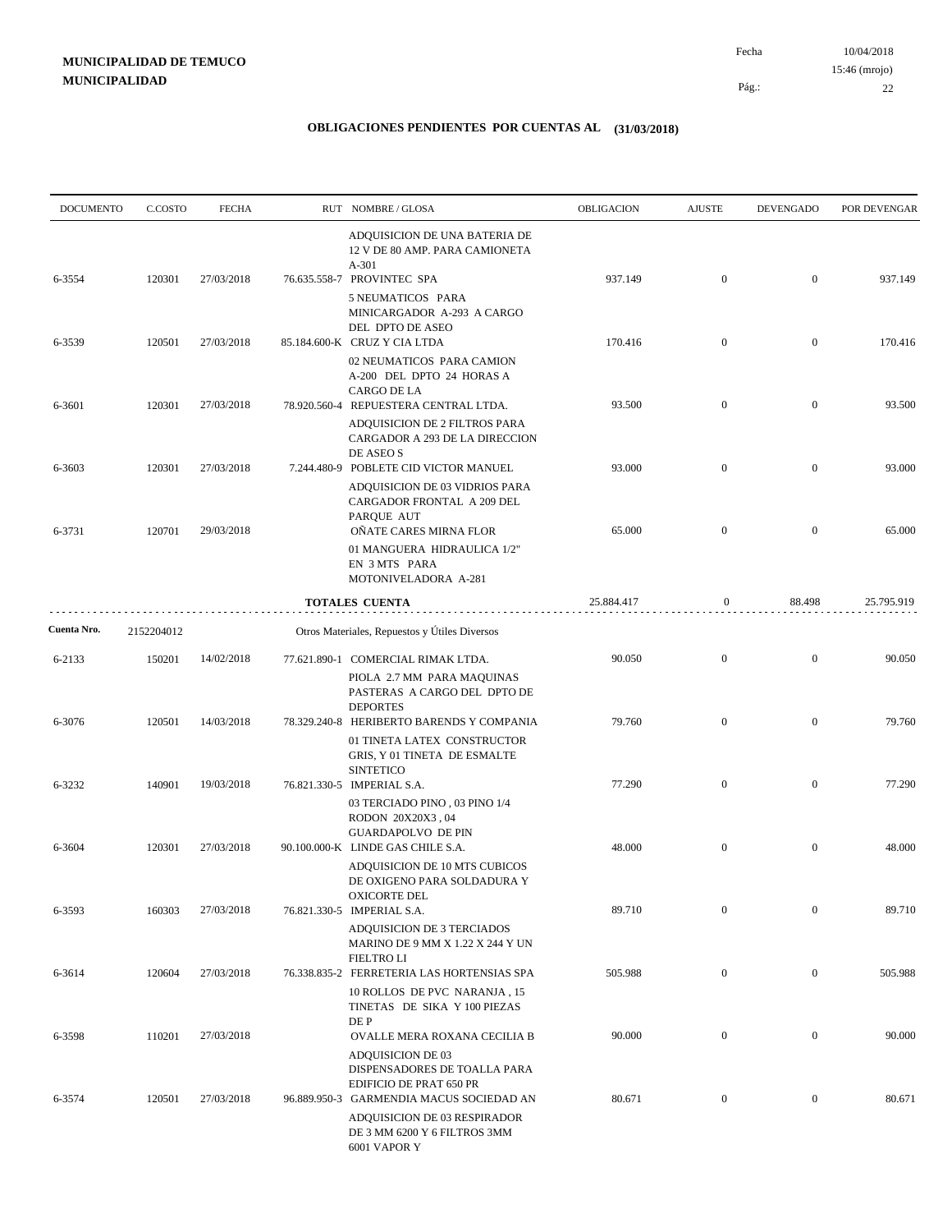| <b>DOCUMENTO</b> | C.COSTO    | <b>FECHA</b> | RUT NOMBRE/GLOSA                                                                                                            | OBLIGACION | <b>AJUSTE</b>    | <b>DEVENGADO</b> | POR DEVENGAR |
|------------------|------------|--------------|-----------------------------------------------------------------------------------------------------------------------------|------------|------------------|------------------|--------------|
|                  |            |              | ADQUISICION DE UNA BATERIA DE<br>12 V DE 80 AMP. PARA CAMIONETA<br>$A-301$                                                  |            |                  |                  |              |
| 6-3554           | 120301     | 27/03/2018   | 76.635.558-7 PROVINTEC SPA<br>5 NEUMATICOS PARA                                                                             | 937.149    | $\mathbf{0}$     | $\boldsymbol{0}$ | 937.149      |
|                  |            |              | MINICARGADOR A-293 A CARGO<br>DEL DPTO DE ASEO                                                                              |            |                  |                  |              |
| 6-3539           | 120501     | 27/03/2018   | 85.184.600-K CRUZ Y CIA LTDA<br>02 NEUMATICOS PARA CAMION<br>A-200 DEL DPTO 24 HORAS A                                      | 170.416    | $\boldsymbol{0}$ | $\boldsymbol{0}$ | 170.416      |
| 6-3601           | 120301     | 27/03/2018   | CARGO DE LA<br>78.920.560-4 REPUESTERA CENTRAL LTDA.                                                                        | 93.500     | $\mathbf{0}$     | $\boldsymbol{0}$ | 93.500       |
|                  |            |              | ADQUISICION DE 2 FILTROS PARA<br>CARGADOR A 293 DE LA DIRECCION<br>DE ASEO S                                                |            |                  |                  |              |
| 6-3603           | 120301     | 27/03/2018   | 7.244.480-9 POBLETE CID VICTOR MANUEL                                                                                       | 93.000     | $\boldsymbol{0}$ | $\boldsymbol{0}$ | 93.000       |
| 6-3731           | 120701     | 29/03/2018   | ADQUISICION DE 03 VIDRIOS PARA<br>CARGADOR FRONTAL A 209 DEL<br>PARQUE AUT<br>OÑATE CARES MIRNA FLOR                        | 65.000     | $\boldsymbol{0}$ | $\boldsymbol{0}$ | 65.000       |
|                  |            |              | 01 MANGUERA HIDRAULICA 1/2"<br>EN 3 MTS PARA<br>MOTONIVELADORA A-281                                                        |            |                  |                  |              |
|                  |            |              | <b>TOTALES CUENTA</b>                                                                                                       | 25.884.417 | $\boldsymbol{0}$ | 88.498           | 25.795.919   |
| Cuenta Nro.      | 2152204012 |              | Otros Materiales, Repuestos y Útiles Diversos                                                                               |            |                  |                  |              |
| 6-2133           | 150201     | 14/02/2018   | 77.621.890-1 COMERCIAL RIMAK LTDA.<br>PIOLA 2.7 MM PARA MAQUINAS<br>PASTERAS A CARGO DEL DPTO DE                            | 90.050     | $\boldsymbol{0}$ | $\mathbf{0}$     | 90.050       |
| 6-3076           | 120501     | 14/03/2018   | <b>DEPORTES</b><br>78.329.240-8 HERIBERTO BARENDS Y COMPANIA<br>01 TINETA LATEX CONSTRUCTOR<br>GRIS, Y 01 TINETA DE ESMALTE | 79.760     | $\boldsymbol{0}$ | $\mathbf{0}$     | 79.760       |
| 6-3232           | 140901     | 19/03/2018   | <b>SINTETICO</b><br>76.821.330-5 IMPERIAL S.A.                                                                              | 77.290     | $\boldsymbol{0}$ | $\boldsymbol{0}$ | 77.290       |
|                  |            |              | 03 TERCIADO PINO, 03 PINO 1/4<br>RODON 20X20X3,04<br><b>GUARDAPOLVO DE PIN</b>                                              |            |                  |                  |              |
| 6-3604           | 120301     | 27/03/2018   | 90.100.000-K LINDE GAS CHILE S.A.<br>ADQUISICION DE 10 MTS CUBICOS<br>DE OXIGENO PARA SOLDADURA Y                           | 48.000     | $\boldsymbol{0}$ | $\boldsymbol{0}$ | 48.000       |
| 6-3593           | 160303     | 27/03/2018   | OXICORTE DEL<br>76.821.330-5 IMPERIAL S.A.<br>ADQUISICION DE 3 TERCIADOS                                                    | 89.710     | $\boldsymbol{0}$ | $\mathbf{0}$     | 89.710       |
| 6-3614           | 120604     | 27/03/2018   | MARINO DE 9 MM X 1.22 X 244 Y UN<br><b>FIELTROLI</b><br>76.338.835-2 FERRETERIA LAS HORTENSIAS SPA                          | 505.988    | $\mathbf{0}$     | $\boldsymbol{0}$ | 505.988      |
|                  |            |              | 10 ROLLOS DE PVC NARANJA, 15<br>TINETAS DE SIKA Y 100 PIEZAS<br>DE P                                                        |            |                  |                  |              |
| 6-3598           | 110201     | 27/03/2018   | OVALLE MERA ROXANA CECILIA B<br><b>ADQUISICION DE 03</b>                                                                    | 90.000     | $\mathbf{0}$     | $\boldsymbol{0}$ | 90.000       |
| 6-3574           | 120501     | 27/03/2018   | DISPENSADORES DE TOALLA PARA<br>EDIFICIO DE PRAT 650 PR<br>96.889.950-3 GARMENDIA MACUS SOCIEDAD AN                         | 80.671     | $\boldsymbol{0}$ | $\boldsymbol{0}$ | 80.671       |
|                  |            |              | ADQUISICION DE 03 RESPIRADOR<br>DE 3 MM 6200 Y 6 FILTROS 3MM<br>6001 VAPOR Y                                                |            |                  |                  |              |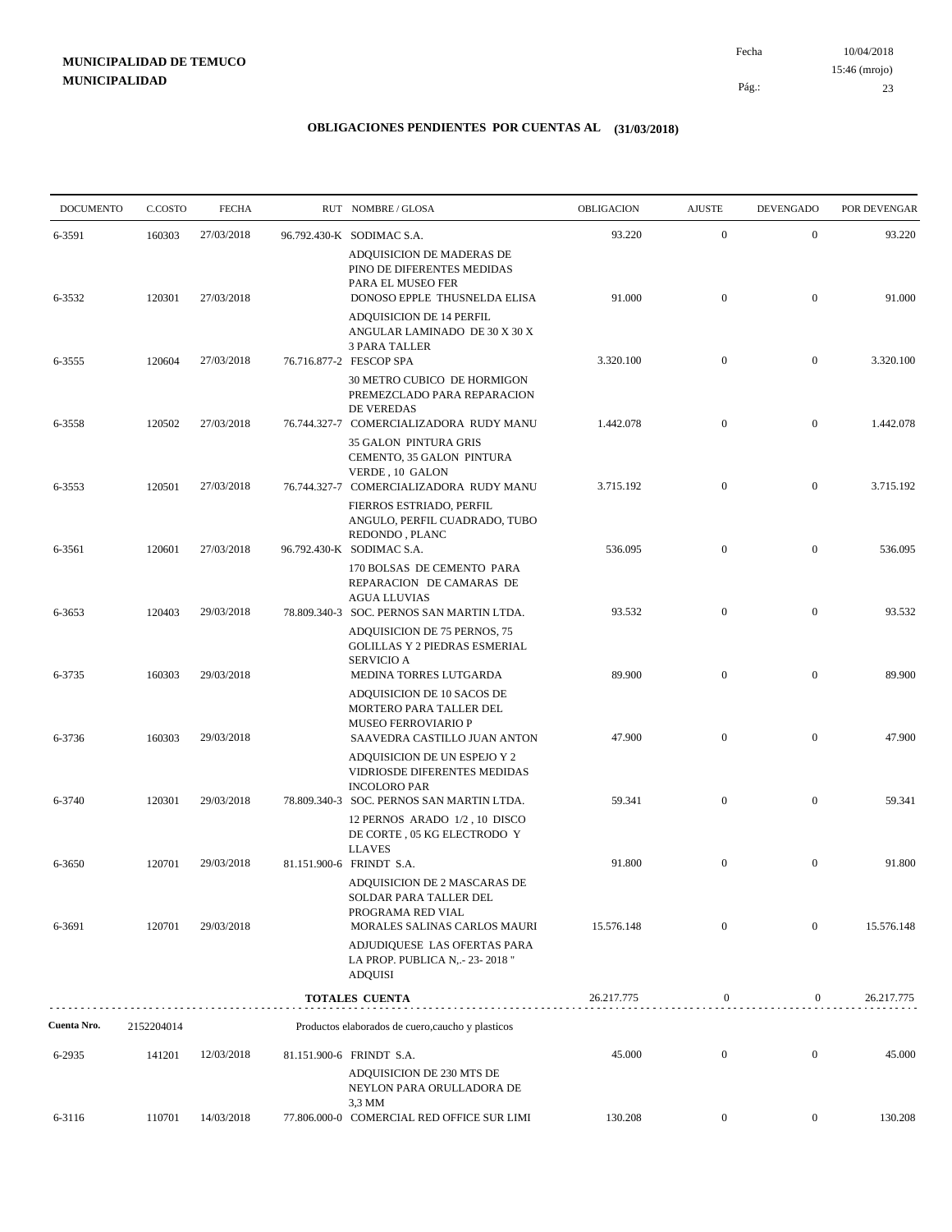10/04/2018 23 Pág.: Fecha 15:46 (mrojo)

| <b>DOCUMENTO</b> | C.COSTO    | <b>FECHA</b> | RUT NOMBRE/GLOSA                                                                                                           | OBLIGACION | <b>AJUSTE</b>    | <b>DEVENGADO</b> | POR DEVENGAR |
|------------------|------------|--------------|----------------------------------------------------------------------------------------------------------------------------|------------|------------------|------------------|--------------|
| 6-3591           | 160303     | 27/03/2018   | 96.792.430-K SODIMAC S.A.                                                                                                  | 93.220     | $\mathbf{0}$     | $\boldsymbol{0}$ | 93.220       |
| 6-3532           | 120301     | 27/03/2018   | ADQUISICION DE MADERAS DE<br>PINO DE DIFERENTES MEDIDAS<br>PARA EL MUSEO FER<br>DONOSO EPPLE THUSNELDA ELISA               | 91.000     | $\mathbf{0}$     | $\boldsymbol{0}$ | 91.000       |
|                  |            |              | ADQUISICION DE 14 PERFIL<br>ANGULAR LAMINADO DE 30 X 30 X<br><b>3 PARA TALLER</b>                                          |            |                  |                  |              |
| 6-3555           | 120604     | 27/03/2018   | 76.716.877-2 FESCOP SPA<br>30 METRO CUBICO DE HORMIGON                                                                     | 3.320.100  | $\mathbf{0}$     | $\boldsymbol{0}$ | 3.320.100    |
| 6-3558           | 120502     | 27/03/2018   | PREMEZCLADO PARA REPARACION<br><b>DE VEREDAS</b><br>76.744.327-7 COMERCIALIZADORA RUDY MANU                                | 1.442.078  | $\mathbf{0}$     | $\boldsymbol{0}$ | 1.442.078    |
| 6-3553           | 120501     | 27/03/2018   | <b>35 GALON PINTURA GRIS</b><br>CEMENTO, 35 GALON PINTURA<br>VERDE, 10 GALON<br>76.744.327-7 COMERCIALIZADORA RUDY MANU    | 3.715.192  | $\mathbf{0}$     | $\boldsymbol{0}$ | 3.715.192    |
|                  |            |              | FIERROS ESTRIADO, PERFIL<br>ANGULO, PERFIL CUADRADO, TUBO<br>REDONDO, PLANC                                                |            |                  |                  |              |
| 6-3561           | 120601     | 27/03/2018   | 96.792.430-K SODIMAC S.A.<br>170 BOLSAS DE CEMENTO PARA<br>REPARACION DE CAMARAS DE<br><b>AGUA LLUVIAS</b>                 | 536.095    | $\mathbf{0}$     | $\boldsymbol{0}$ | 536.095      |
| 6-3653           | 120403     | 29/03/2018   | 78.809.340-3 SOC. PERNOS SAN MARTIN LTDA.<br>ADQUISICION DE 75 PERNOS, 75<br><b>GOLILLAS Y 2 PIEDRAS ESMERIAL</b>          | 93.532     | $\mathbf{0}$     | $\boldsymbol{0}$ | 93.532       |
| 6-3735           | 160303     | 29/03/2018   | <b>SERVICIO A</b><br>MEDINA TORRES LUTGARDA                                                                                | 89.900     | $\mathbf{0}$     | $\overline{0}$   | 89.900       |
| 6-3736           | 160303     | 29/03/2018   | ADQUISICION DE 10 SACOS DE<br>MORTERO PARA TALLER DEL<br><b>MUSEO FERROVIARIO P</b><br>SAAVEDRA CASTILLO JUAN ANTON        | 47.900     | $\mathbf{0}$     | $\boldsymbol{0}$ | 47.900       |
|                  |            |              | ADQUISICION DE UN ESPEJO Y 2<br>VIDRIOSDE DIFERENTES MEDIDAS<br><b>INCOLORO PAR</b>                                        |            |                  |                  |              |
| 6-3740           | 120301     | 29/03/2018   | 78.809.340-3 SOC. PERNOS SAN MARTIN LTDA.<br>12 PERNOS ARADO 1/2, 10 DISCO<br>DE CORTE, 05 KG ELECTRODO Y<br><b>LLAVES</b> | 59.341     | $\mathbf{0}$     | $\boldsymbol{0}$ | 59.341       |
| 6-3650           | 120701     | 29/03/2018   | 81.151.900-6 FRINDT S.A.<br>ADQUISICION DE 2 MASCARAS DE<br>SOLDAR PARA TALLER DEL                                         | 91.800     | $\boldsymbol{0}$ | $\boldsymbol{0}$ | 91.800       |
| 6-3691           | 120701     | 29/03/2018   | PROGRAMA RED VIAL<br>MORALES SALINAS CARLOS MAURI                                                                          | 15.576.148 | $\mathbf{0}$     | $\mathbf{0}$     | 15.576.148   |
|                  |            |              | ADJUDIQUESE LAS OFERTAS PARA<br>LA PROP. PUBLICA N, .- 23-2018"<br><b>ADQUISI</b>                                          |            |                  |                  |              |
|                  |            |              | TOTALES CUENTA                                                                                                             | 26.217.775 | $\boldsymbol{0}$ | $\overline{0}$   | 26.217.775   |
| Cuenta Nro.      | 2152204014 |              | Productos elaborados de cuero, caucho y plasticos                                                                          |            |                  |                  |              |
| 6-2935           | 141201     | 12/03/2018   | 81.151.900-6 FRINDT S.A.<br>ADQUISICION DE 230 MTS DE<br>NEYLON PARA ORULLADORA DE<br>3,3 MM                               | 45.000     | $\overline{0}$   | $\overline{0}$   | 45.000       |
| 6-3116           | 110701     | 14/03/2018   | 77.806.000-0 COMERCIAL RED OFFICE SUR LIMI                                                                                 | 130.208    | $\overline{0}$   | $\mathbf{0}$     | 130.208      |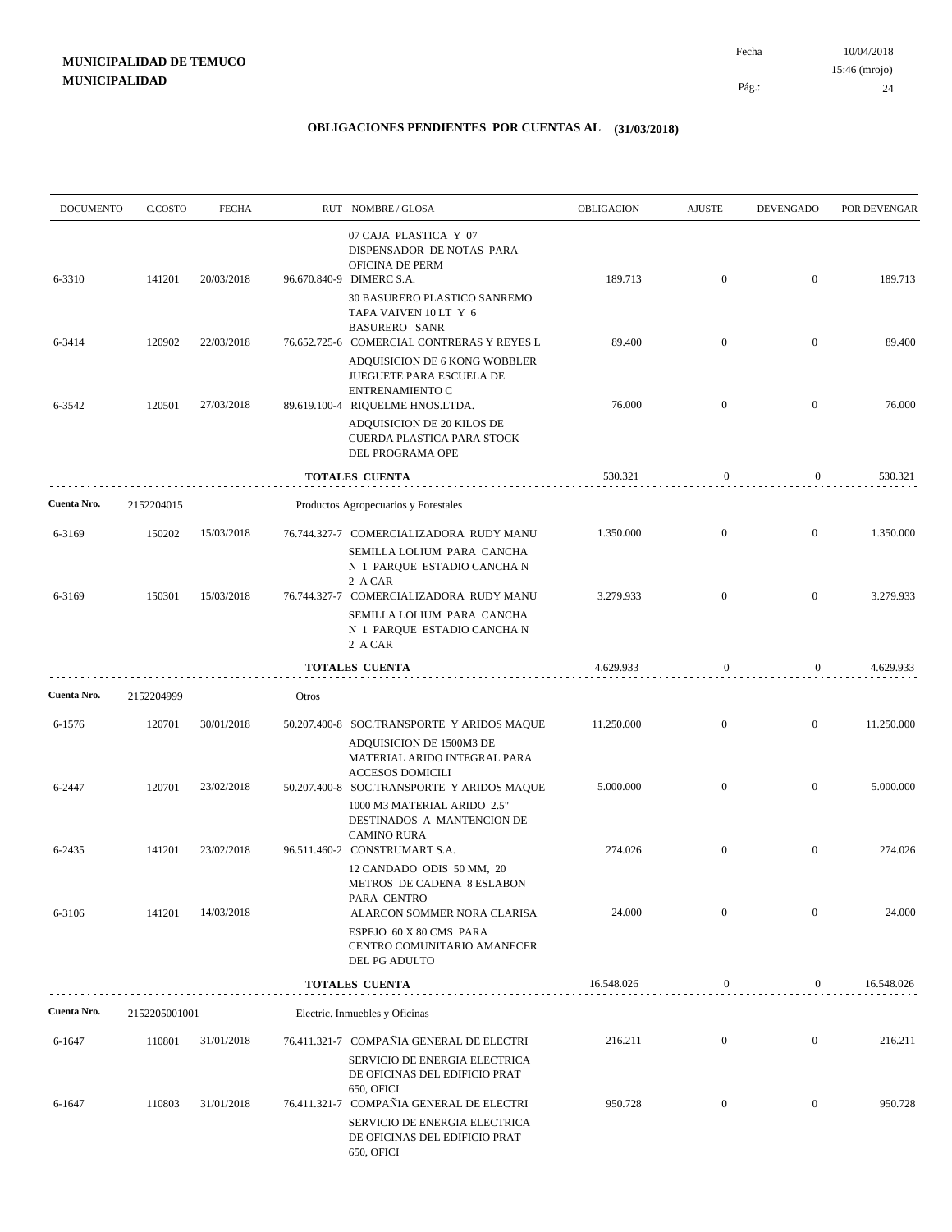| <b>DOCUMENTO</b> | C.COSTO       | <b>FECHA</b> |       | RUT NOMBRE/GLOSA                                                                                                                              | <b>OBLIGACION</b> | <b>AJUSTE</b>    | <b>DEVENGADO</b> | POR DEVENGAR |
|------------------|---------------|--------------|-------|-----------------------------------------------------------------------------------------------------------------------------------------------|-------------------|------------------|------------------|--------------|
| 6-3310           | 141201        | 20/03/2018   |       | 07 CAJA PLASTICA Y 07<br>DISPENSADOR DE NOTAS PARA<br>OFICINA DE PERM<br>96.670.840-9 DIMERC S.A.                                             | 189.713           | $\mathbf{0}$     | $\boldsymbol{0}$ | 189.713      |
|                  |               |              |       | 30 BASURERO PLASTICO SANREMO<br>TAPA VAIVEN 10 LT Y 6<br><b>BASURERO SANR</b>                                                                 |                   |                  |                  |              |
| 6-3414           | 120902        | 22/03/2018   |       | 76.652.725-6 COMERCIAL CONTRERAS Y REYES L<br>ADQUISICION DE 6 KONG WOBBLER<br>JUEGUETE PARA ESCUELA DE                                       | 89.400            | $\mathbf{0}$     | $\boldsymbol{0}$ | 89.400       |
| 6-3542           | 120501        | 27/03/2018   |       | ENTRENAMIENTO C<br>89.619.100-4 RIQUELME HNOS.LTDA.<br>ADQUISICION DE 20 KILOS DE                                                             | 76.000            | $\overline{0}$   | $\overline{0}$   | 76.000       |
|                  |               |              |       | CUERDA PLASTICA PARA STOCK<br>DEL PROGRAMA OPE                                                                                                |                   |                  |                  |              |
|                  |               |              |       | TOTALES CUENTA                                                                                                                                | 530.321           | $\boldsymbol{0}$ | $\boldsymbol{0}$ | 530.321      |
| Cuenta Nro.      | 2152204015    |              |       | Productos Agropecuarios y Forestales                                                                                                          |                   |                  |                  |              |
| 6-3169           | 150202        | 15/03/2018   |       | 76.744.327-7 COMERCIALIZADORA RUDY MANU<br>SEMILLA LOLIUM PARA CANCHA<br>N 1 PARQUE ESTADIO CANCHA N<br>2 A CAR                               | 1.350.000         | $\mathbf{0}$     | $\mathbf{0}$     | 1.350.000    |
| 6-3169           | 150301        | 15/03/2018   |       | 76.744.327-7 COMERCIALIZADORA RUDY MANU<br>SEMILLA LOLIUM PARA CANCHA<br>N 1 PARQUE ESTADIO CANCHA N<br>2 A CAR                               | 3.279.933         | $\overline{0}$   | $\overline{0}$   | 3.279.933    |
|                  |               |              |       | <b>TOTALES CUENTA</b>                                                                                                                         | 4.629.933         | $\boldsymbol{0}$ | $\overline{0}$   | 4.629.933    |
| Cuenta Nro.      | 2152204999    |              | Otros |                                                                                                                                               |                   |                  |                  |              |
| 6-1576           | 120701        | 30/01/2018   |       | 50.207.400-8 SOC.TRANSPORTE Y ARIDOS MAQUE<br>ADQUISICION DE 1500M3 DE<br>MATERIAL ARIDO INTEGRAL PARA<br><b>ACCESOS DOMICILI</b>             | 11.250.000        | $\mathbf{0}$     | $\boldsymbol{0}$ | 11.250.000   |
| 6-2447           | 120701        | 23/02/2018   |       | 50.207.400-8 SOC.TRANSPORTE Y ARIDOS MAQUE<br>1000 M3 MATERIAL ARIDO 2.5"<br>DESTINADOS A MANTENCION DE<br><b>CAMINO RURA</b>                 | 5.000.000         | $\overline{0}$   | $\mathbf{0}$     | 5.000.000    |
| 6-2435           | 141201        | 23/02/2018   |       | 96.511.460-2 CONSTRUMART S.A.<br>12 CANDADO ODIS 50 MM, 20<br>METROS DE CADENA 8 ESLABON<br>PARA CENTRO                                       | 274.026           | $\mathbf{0}$     | $\mathbf{0}$     | 274.026      |
| 6-3106           | 141201        | 14/03/2018   |       | ALARCON SOMMER NORA CLARISA<br>ESPEJO 60 X 80 CMS PARA<br>CENTRO COMUNITARIO AMANECER<br>DEL PG ADULTO                                        | 24.000            | $\mathbf{0}$     | $\boldsymbol{0}$ | 24.000       |
|                  |               |              |       | <b>TOTALES CUENTA</b>                                                                                                                         | 16.548.026        | $\boldsymbol{0}$ | $\overline{0}$   | 16.548.026   |
| Cuenta Nro.      | 2152205001001 |              |       | Electric. Inmuebles y Oficinas                                                                                                                |                   |                  |                  |              |
| 6-1647           | 110801        | 31/01/2018   |       | 76.411.321-7 COMPAÑIA GENERAL DE ELECTRI<br>SERVICIO DE ENERGIA ELECTRICA<br>DE OFICINAS DEL EDIFICIO PRAT                                    | 216.211           | $\boldsymbol{0}$ | $\boldsymbol{0}$ | 216.211      |
| 6-1647           | 110803        | 31/01/2018   |       | <b>650, OFICI</b><br>76.411.321-7 COMPAÑIA GENERAL DE ELECTRI<br>SERVICIO DE ENERGIA ELECTRICA<br>DE OFICINAS DEL EDIFICIO PRAT<br>650, OFICI | 950.728           | $\boldsymbol{0}$ | $\boldsymbol{0}$ | 950.728      |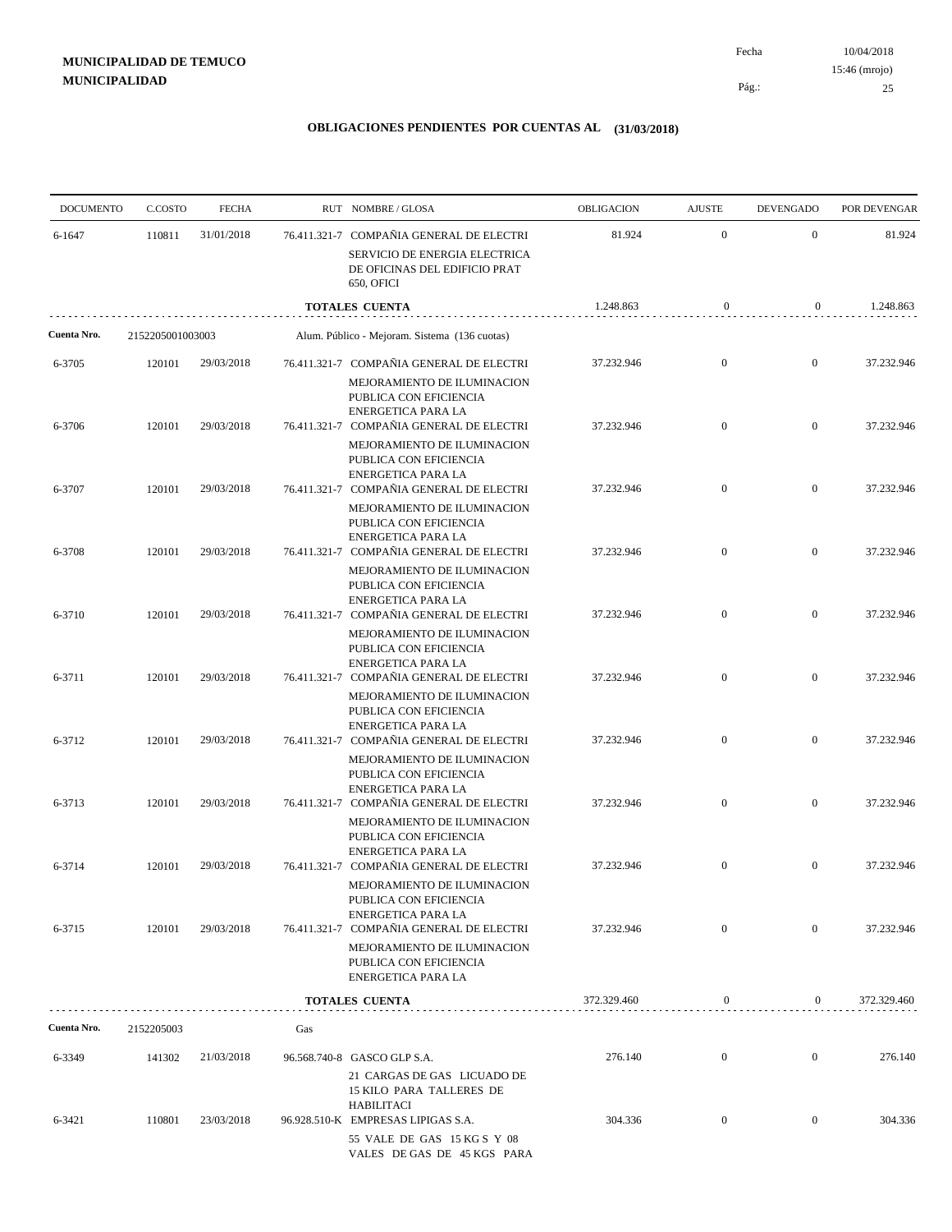| <b>DOCUMENTO</b> | C.COSTO          | <b>FECHA</b> |     | RUT NOMBRE/GLOSA                                                                                                               | <b>OBLIGACION</b> | <b>AJUSTE</b>    | <b>DEVENGADO</b> | POR DEVENGAR |
|------------------|------------------|--------------|-----|--------------------------------------------------------------------------------------------------------------------------------|-------------------|------------------|------------------|--------------|
| 6-1647           | 110811           | 31/01/2018   |     | 76.411.321-7 COMPAÑIA GENERAL DE ELECTRI<br>SERVICIO DE ENERGIA ELECTRICA                                                      | 81.924            | $\mathbf{0}$     | $\mathbf{0}$     | 81.924       |
|                  |                  |              |     | DE OFICINAS DEL EDIFICIO PRAT<br>650, OFICI                                                                                    |                   |                  |                  |              |
|                  |                  |              |     | <b>TOTALES CUENTA</b>                                                                                                          | 1.248.863         | $\boldsymbol{0}$ | $\overline{0}$   | 1.248.863    |
| Cuenta Nro.      | 2152205001003003 |              |     | Alum. Público - Mejoram. Sistema (136 cuotas)                                                                                  |                   |                  |                  |              |
| 6-3705           | 120101           | 29/03/2018   |     | 76.411.321-7 COMPAÑIA GENERAL DE ELECTRI<br>MEJORAMIENTO DE ILUMINACION<br>PUBLICA CON EFICIENCIA<br>ENERGETICA PARA LA        | 37.232.946        | $\mathbf{0}$     | $\overline{0}$   | 37.232.946   |
| 6-3706           | 120101           | 29/03/2018   |     | 76.411.321-7 COMPAÑIA GENERAL DE ELECTRI<br>MEJORAMIENTO DE ILUMINACION<br>PUBLICA CON EFICIENCIA<br>ENERGETICA PARA LA        | 37.232.946        | $\mathbf{0}$     | $\mathbf{0}$     | 37.232.946   |
| 6-3707           | 120101           | 29/03/2018   |     | 76.411.321-7 COMPAÑIA GENERAL DE ELECTRI<br>MEJORAMIENTO DE ILUMINACION<br>PUBLICA CON EFICIENCIA<br><b>ENERGETICA PARA LA</b> | 37.232.946        | $\overline{0}$   | $\overline{0}$   | 37.232.946   |
| 6-3708           | 120101           | 29/03/2018   |     | 76.411.321-7 COMPAÑIA GENERAL DE ELECTRI<br>MEJORAMIENTO DE ILUMINACION<br>PUBLICA CON EFICIENCIA                              | 37.232.946        | $\mathbf{0}$     | $\boldsymbol{0}$ | 37.232.946   |
| 6-3710           | 120101           | 29/03/2018   |     | <b>ENERGETICA PARA LA</b><br>76.411.321-7 COMPAÑIA GENERAL DE ELECTRI<br>MEJORAMIENTO DE ILUMINACION                           | 37.232.946        | $\overline{0}$   | $\mathbf{0}$     | 37.232.946   |
| 6-3711           | 120101           | 29/03/2018   |     | PUBLICA CON EFICIENCIA<br><b>ENERGETICA PARA LA</b><br>76.411.321-7 COMPAÑIA GENERAL DE ELECTRI<br>MEJORAMIENTO DE ILUMINACION | 37.232.946        | $\mathbf{0}$     | $\mathbf{0}$     | 37.232.946   |
| 6-3712           | 120101           | 29/03/2018   |     | PUBLICA CON EFICIENCIA<br><b>ENERGETICA PARA LA</b><br>76.411.321-7 COMPAÑIA GENERAL DE ELECTRI                                | 37.232.946        | $\overline{0}$   | $\mathbf{0}$     | 37.232.946   |
| 6-3713           | 120101           | 29/03/2018   |     | MEJORAMIENTO DE ILUMINACION<br>PUBLICA CON EFICIENCIA<br><b>ENERGETICA PARA LA</b><br>76.411.321-7 COMPAÑIA GENERAL DE ELECTRI | 37.232.946        | $\mathbf{0}$     | $\mathbf{0}$     | 37.232.946   |
|                  |                  |              |     | MEJORAMIENTO DE ILUMINACION<br>PUBLICA CON EFICIENCIA<br><b>ENERGETICA PARA LA</b>                                             |                   |                  |                  |              |
| 6-3714           | 120101           | 29/03/2018   |     | 76.411.321-7 COMPAÑIA GENERAL DE ELECTRI<br>MEJORAMIENTO DE ILUMINACION<br>PUBLICA CON EFICIENCIA<br>ENERGETICA PARA LA        | 37.232.946        | $\mathbf{0}$     | $\overline{0}$   | 37.232.946   |
| 6-3715           | 120101           | 29/03/2018   |     | 76.411.321-7 COMPAÑIA GENERAL DE ELECTRI<br>MEJORAMIENTO DE ILUMINACION<br>PUBLICA CON EFICIENCIA<br><b>ENERGETICA PARA LA</b> | 37.232.946        | $\overline{0}$   | $\mathbf{0}$     | 37.232.946   |
|                  |                  |              |     | <b>TOTALES CUENTA</b>                                                                                                          | 372.329.460       | $\boldsymbol{0}$ | $\boldsymbol{0}$ | 372.329.460  |
| Cuenta Nro.      | 2152205003       |              | Gas |                                                                                                                                |                   |                  |                  |              |
| 6-3349           | 141302           | 21/03/2018   |     | 96.568.740-8 GASCO GLP S.A.<br>21 CARGAS DE GAS LICUADO DE                                                                     | 276.140           | $\mathbf{0}$     | $\overline{0}$   | 276.140      |
| 6-3421           | 110801           | 23/03/2018   |     | <b>15 KILO PARA TALLERES DE</b><br><b>HABILITACI</b><br>96.928.510-K EMPRESAS LIPIGAS S.A.                                     | 304.336           | $\overline{0}$   | $\bf{0}$         | 304.336      |
|                  |                  |              |     | 55 VALE DE GAS 15 KG S Y 08<br>VALES DE GAS DE 45 KGS PARA                                                                     |                   |                  |                  |              |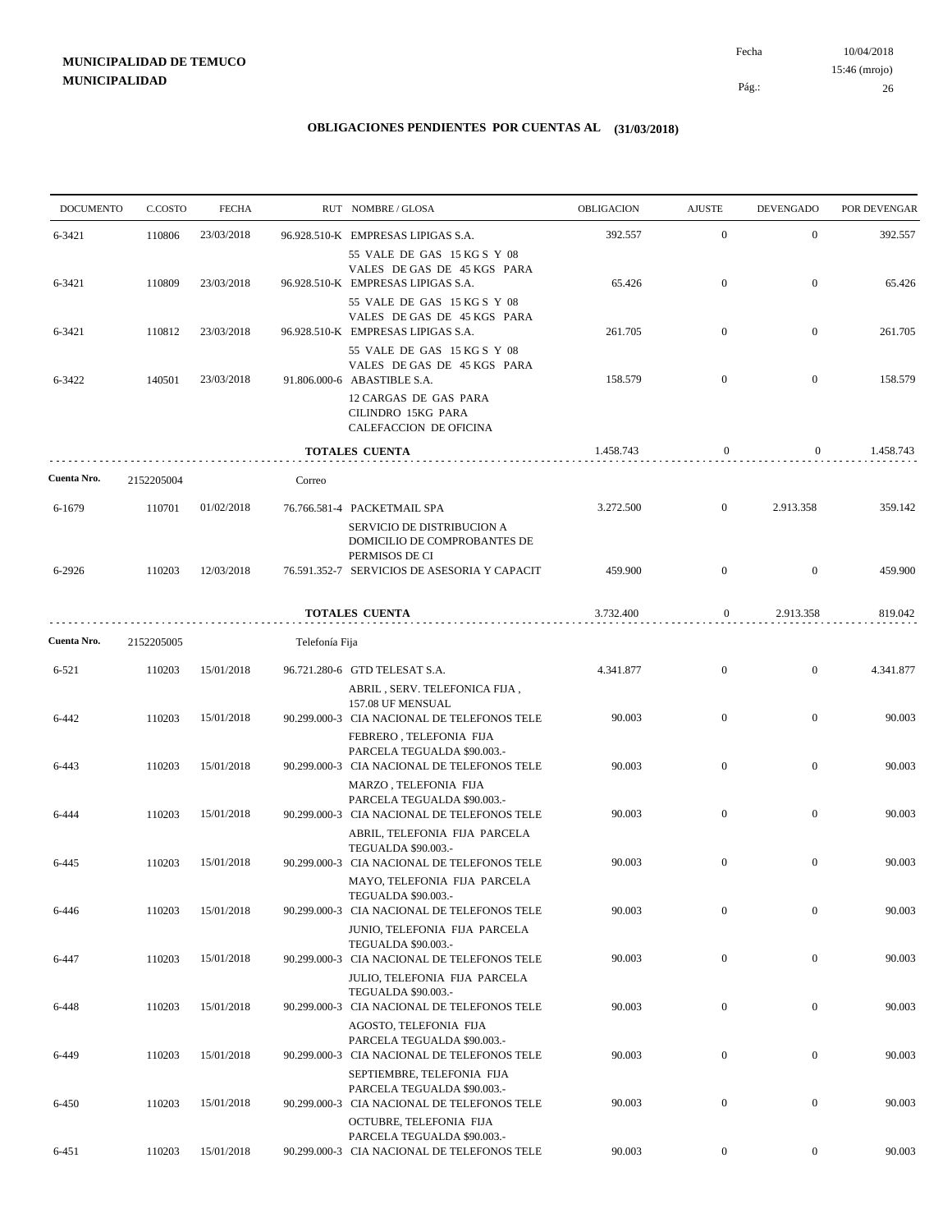10/04/2018 26 Pág.: Fecha 15:46 (mrojo)

| <b>DOCUMENTO</b> | C.COSTO    | <b>FECHA</b> |                | RUT NOMBRE/GLOSA                                                                                                                                                   | OBLIGACION | <b>AJUSTE</b>    | <b>DEVENGADO</b> | POR DEVENGAR |
|------------------|------------|--------------|----------------|--------------------------------------------------------------------------------------------------------------------------------------------------------------------|------------|------------------|------------------|--------------|
| 6-3421           | 110806     | 23/03/2018   |                | 96.928.510-K EMPRESAS LIPIGAS S.A.                                                                                                                                 | 392.557    | $\mathbf{0}$     | $\mathbf{0}$     | 392.557      |
| 6-3421           | 110809     | 23/03/2018   |                | 55 VALE DE GAS 15 KG S Y 08<br>VALES DE GAS DE 45 KGS PARA<br>96.928.510-K EMPRESAS LIPIGAS S.A.<br>55 VALE DE GAS 15 KG S Y 08                                    | 65.426     | $\mathbf{0}$     | $\mathbf{0}$     | 65.426       |
| 6-3421           | 110812     | 23/03/2018   |                | VALES DE GAS DE 45 KGS PARA<br>96.928.510-K EMPRESAS LIPIGAS S.A.                                                                                                  | 261.705    | $\mathbf{0}$     | $\mathbf{0}$     | 261.705      |
| 6-3422           | 140501     | 23/03/2018   |                | 55 VALE DE GAS 15 KG S Y 08<br>VALES DE GAS DE 45 KGS PARA<br>91.806.000-6 ABASTIBLE S.A.<br>12 CARGAS DE GAS PARA<br>CILINDRO 15KG PARA<br>CALEFACCION DE OFICINA | 158.579    | $\boldsymbol{0}$ | $\mathbf{0}$     | 158.579      |
|                  |            |              |                | TOTALES CUENTA                                                                                                                                                     | 1.458.743  | $\mathbf{0}$     | $\mathbf{0}$     | 1.458.743    |
| Cuenta Nro.      | 2152205004 |              | Correo         |                                                                                                                                                                    |            |                  |                  |              |
| 6-1679           | 110701     | 01/02/2018   |                | 76.766.581-4 PACKETMAIL SPA<br>SERVICIO DE DISTRIBUCION A<br>DOMICILIO DE COMPROBANTES DE                                                                          | 3.272.500  | $\mathbf{0}$     | 2.913.358        | 359.142      |
| 6-2926           | 110203     | 12/03/2018   |                | PERMISOS DE CI<br>76.591.352-7 SERVICIOS DE ASESORIA Y CAPACIT                                                                                                     | 459.900    | $\mathbf{0}$     | $\mathbf{0}$     | 459.900      |
|                  |            |              |                | TOTALES CUENTA                                                                                                                                                     | 3.732.400  | $\boldsymbol{0}$ | 2.913.358        | 819.042      |
| Cuenta Nro.      | 2152205005 |              | Telefonía Fija |                                                                                                                                                                    |            |                  |                  |              |
| 6-521            | 110203     | 15/01/2018   |                | 96.721.280-6 GTD TELESAT S.A.<br>ABRIL, SERV. TELEFONICA FIJA,                                                                                                     | 4.341.877  | $\mathbf{0}$     | $\mathbf{0}$     | 4.341.877    |
| 6-442            | 110203     | 15/01/2018   |                | 157.08 UF MENSUAL<br>90.299.000-3 CIA NACIONAL DE TELEFONOS TELE<br>FEBRERO, TELEFONIA FIJA                                                                        | 90.003     | $\mathbf{0}$     | $\mathbf{0}$     | 90.003       |
| 6-443            | 110203     | 15/01/2018   |                | PARCELA TEGUALDA \$90.003.-<br>90.299.000-3 CIA NACIONAL DE TELEFONOS TELE                                                                                         | 90.003     | $\mathbf{0}$     | $\mathbf{0}$     | 90.003       |
| 6-444            | 110203     | 15/01/2018   |                | MARZO, TELEFONIA FIJA<br>PARCELA TEGUALDA \$90.003 .-<br>90.299.000-3 CIA NACIONAL DE TELEFONOS TELE                                                               | 90.003     | $\mathbf{0}$     | $\mathbf{0}$     | 90.003       |
| 6-445            | 110203     | 15/01/2018   |                | ABRIL, TELEFONIA FIJA PARCELA<br>TEGUALDA \$90.003.-<br>90.299.000-3 CIA NACIONAL DE TELEFONOS TELE                                                                | 90.003     | $\boldsymbol{0}$ | $\mathbf{0}$     | 90.003       |
|                  |            |              |                | MAYO, TELEFONIA FIJA PARCELA<br>TEGUALDA \$90.003.-                                                                                                                |            |                  |                  |              |
| 6-446            | 110203     | 15/01/2018   |                | 90.299.000-3 CIA NACIONAL DE TELEFONOS TELE<br>JUNIO, TELEFONIA FIJA PARCELA<br>TEGUALDA \$90.003.-                                                                | 90.003     | $\boldsymbol{0}$ | $\boldsymbol{0}$ | 90.003       |
| 6-447            | 110203     | 15/01/2018   |                | 90.299.000-3 CIA NACIONAL DE TELEFONOS TELE<br><b>JULIO. TELEFONIA FIJA PARCELA</b>                                                                                | 90.003     | $\overline{0}$   | $\boldsymbol{0}$ | 90.003       |
| 6-448            | 110203     | 15/01/2018   |                | TEGUALDA \$90.003.-<br>90.299.000-3 CIA NACIONAL DE TELEFONOS TELE                                                                                                 | 90.003     | $\boldsymbol{0}$ | $\boldsymbol{0}$ | 90.003       |
| 6-449            | 110203     | 15/01/2018   |                | AGOSTO, TELEFONIA FIJA<br>PARCELA TEGUALDA \$90.003.-<br>90.299.000-3 CIA NACIONAL DE TELEFONOS TELE                                                               | 90.003     | $\overline{0}$   | $\bf{0}$         | 90.003       |
| 6-450            | 110203     | 15/01/2018   |                | SEPTIEMBRE, TELEFONIA FIJA<br>PARCELA TEGUALDA \$90.003.-<br>90.299.000-3 CIA NACIONAL DE TELEFONOS TELE                                                           | 90.003     | $\boldsymbol{0}$ | $\boldsymbol{0}$ | 90.003       |
| 6-451            | 110203     | 15/01/2018   |                | OCTUBRE, TELEFONIA FIJA<br>PARCELA TEGUALDA \$90.003.-<br>90.299.000-3 CIA NACIONAL DE TELEFONOS TELE                                                              | 90.003     | $\boldsymbol{0}$ | $\mathbf{0}$     | 90.003       |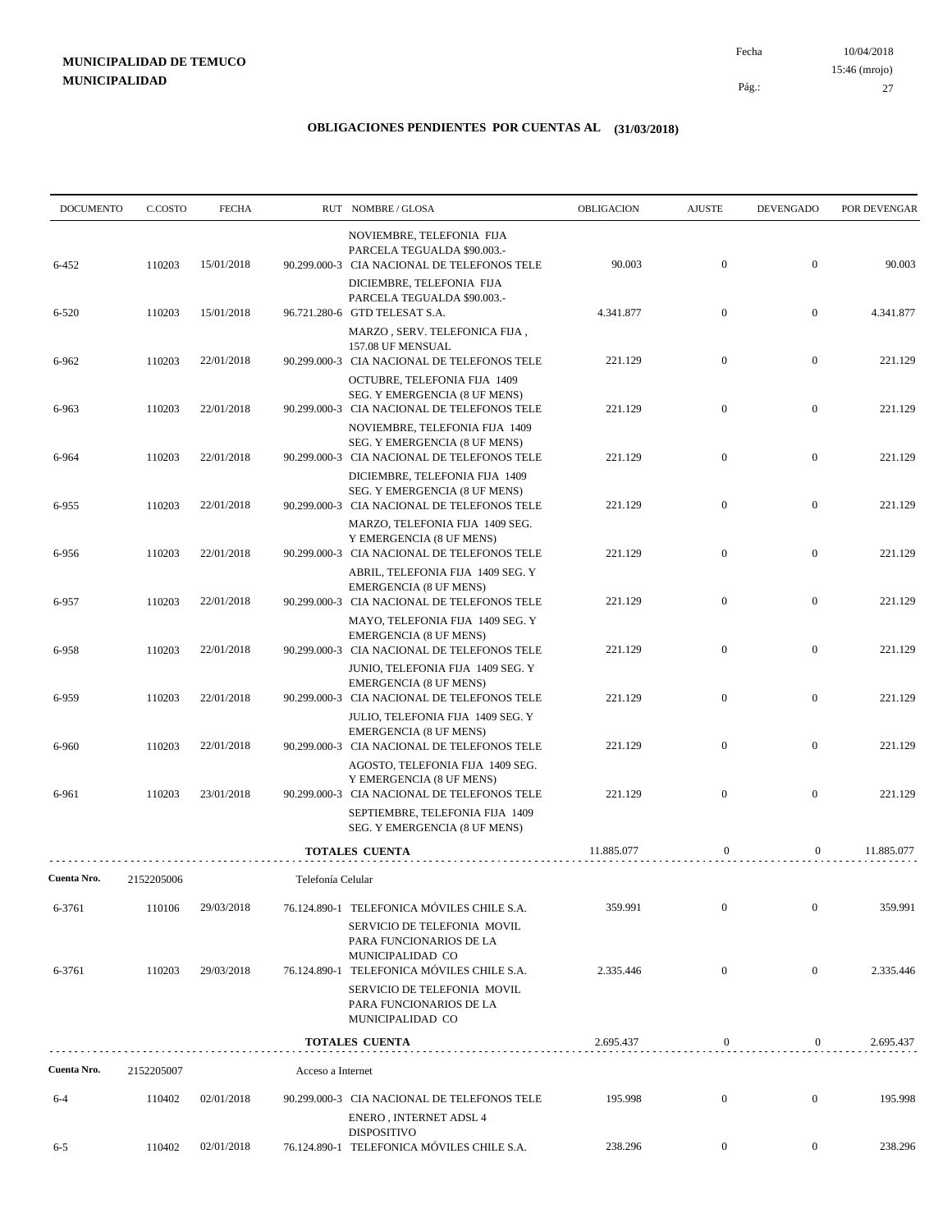10/04/2018 27 Pág.: Fecha 15:46 (mrojo)

| <b>DOCUMENTO</b> | C.COSTO              | <b>FECHA</b> |                   | RUT NOMBRE/GLOSA                                                                                                  | OBLIGACION | <b>AJUSTE</b>    | <b>DEVENGADO</b> | POR DEVENGAR |
|------------------|----------------------|--------------|-------------------|-------------------------------------------------------------------------------------------------------------------|------------|------------------|------------------|--------------|
| 6-452            | 110203               | 15/01/2018   |                   | NOVIEMBRE, TELEFONIA FIJA<br>PARCELA TEGUALDA \$90.003.-<br>90.299.000-3 CIA NACIONAL DE TELEFONOS TELE           | 90.003     | $\boldsymbol{0}$ | $\mathbf{0}$     | 90.003       |
| 6-520            | 110203               | 15/01/2018   |                   | DICIEMBRE, TELEFONIA FIJA<br>PARCELA TEGUALDA \$90.003 .-<br>96.721.280-6 GTD TELESAT S.A.                        | 4.341.877  | $\mathbf{0}$     | $\mathbf{0}$     | 4.341.877    |
| 6-962            | 110203               | 22/01/2018   |                   | MARZO, SERV. TELEFONICA FIJA,<br>157.08 UF MENSUAL<br>90.299.000-3 CIA NACIONAL DE TELEFONOS TELE                 | 221.129    | $\mathbf{0}$     | $\boldsymbol{0}$ | 221.129      |
| 6-963            | 110203               | 22/01/2018   |                   | OCTUBRE, TELEFONIA FIJA 1409<br>SEG. Y EMERGENCIA (8 UF MENS)<br>90.299.000-3 CIA NACIONAL DE TELEFONOS TELE      | 221.129    | $\mathbf{0}$     | $\mathbf{0}$     | 221.129      |
| 6-964            | 110203               | 22/01/2018   |                   | NOVIEMBRE, TELEFONIA FIJA 1409<br>SEG. Y EMERGENCIA (8 UF MENS)<br>90.299.000-3 CIA NACIONAL DE TELEFONOS TELE    | 221.129    | $\mathbf{0}$     | $\mathbf{0}$     | 221.129      |
| 6-955            | 110203               | 22/01/2018   |                   | DICIEMBRE, TELEFONIA FIJA 1409<br>SEG. Y EMERGENCIA (8 UF MENS)<br>90.299.000-3 CIA NACIONAL DE TELEFONOS TELE    | 221.129    | $\mathbf{0}$     | $\mathbf{0}$     | 221.129      |
| 6-956            | 110203               | 22/01/2018   |                   | MARZO, TELEFONIA FIJA 1409 SEG.<br>Y EMERGENCIA (8 UF MENS)<br>90.299.000-3 CIA NACIONAL DE TELEFONOS TELE        | 221.129    | $\boldsymbol{0}$ | $\mathbf{0}$     | 221.129      |
| 6-957            | 110203               | 22/01/2018   |                   | ABRIL, TELEFONIA FIJA 1409 SEG. Y<br><b>EMERGENCIA (8 UF MENS)</b><br>90.299.000-3 CIA NACIONAL DE TELEFONOS TELE | 221.129    | $\boldsymbol{0}$ | $\mathbf{0}$     | 221.129      |
| 6-958            | 110203               | 22/01/2018   |                   | MAYO, TELEFONIA FIJA 1409 SEG. Y<br><b>EMERGENCIA (8 UF MENS)</b><br>90.299.000-3 CIA NACIONAL DE TELEFONOS TELE  | 221.129    | $\mathbf{0}$     | $\mathbf{0}$     | 221.129      |
| 6-959            | 110203               | 22/01/2018   |                   | JUNIO, TELEFONIA FIJA 1409 SEG. Y<br><b>EMERGENCIA (8 UF MENS)</b><br>90.299.000-3 CIA NACIONAL DE TELEFONOS TELE | 221.129    | $\boldsymbol{0}$ | $\boldsymbol{0}$ | 221.129      |
| 6-960            | 110203               | 22/01/2018   |                   | JULIO, TELEFONIA FIJA 1409 SEG. Y<br><b>EMERGENCIA (8 UF MENS)</b><br>90.299.000-3 CIA NACIONAL DE TELEFONOS TELE | 221.129    | $\mathbf{0}$     | $\mathbf{0}$     | 221.129      |
| 6-961            | 110203               | 23/01/2018   |                   | AGOSTO, TELEFONIA FIJA 1409 SEG.<br>Y EMERGENCIA (8 UF MENS)<br>90.299.000-3 CIA NACIONAL DE TELEFONOS TELE       | 221.129    | $\mathbf{0}$     | $\mathbf{0}$     | 221.129      |
|                  |                      |              |                   | SEPTIEMBRE, TELEFONIA FIJA 1409<br>SEG. Y EMERGENCIA (8 UF MENS)                                                  |            |                  |                  |              |
| Cuenta Nro.      |                      |              |                   | <b>TOTALES CUENTA</b>                                                                                             | 11.885.077 | $\mathbf{0}$     | $\overline{0}$   | 11.885.077   |
| 6-3761           | 2152205006<br>110106 | 29/03/2018   | Telefonía Celular | 76.124.890-1 TELEFONICA MÓVILES CHILE S.A.                                                                        | 359.991    | $\mathbf{0}$     | $\mathbf{0}$     | 359.991      |
| 6-3761           | 110203               | 29/03/2018   | 76.124.890-1      | SERVICIO DE TELEFONIA MOVIL<br>PARA FUNCIONARIOS DE LA<br>MUNICIPALIDAD CO<br>TELEFONICA MÓVILES CHILE S.A.       | 2.335.446  | $\boldsymbol{0}$ | $\mathbf{0}$     | 2.335.446    |
|                  |                      |              |                   | SERVICIO DE TELEFONIA MOVIL<br>PARA FUNCIONARIOS DE LA<br>MUNICIPALIDAD CO                                        |            |                  |                  |              |
|                  |                      |              |                   | <b>TOTALES CUENTA</b>                                                                                             | 2.695.437  | $\boldsymbol{0}$ | $\boldsymbol{0}$ | 2.695.437    |
| Cuenta Nro.      | 2152205007           |              | Acceso a Internet |                                                                                                                   |            |                  |                  |              |
| $6 - 4$          | 110402               | 02/01/2018   |                   | 90.299.000-3 CIA NACIONAL DE TELEFONOS TELE<br>ENERO, INTERNET ADSL 4                                             | 195.998    | $\bf{0}$         | $\boldsymbol{0}$ | 195.998      |
| $6 - 5$          | 110402               | 02/01/2018   |                   | <b>DISPOSITIVO</b><br>76.124.890-1 TELEFONICA MÓVILES CHILE S.A.                                                  | 238.296    | $\overline{0}$   | $\boldsymbol{0}$ | 238.296      |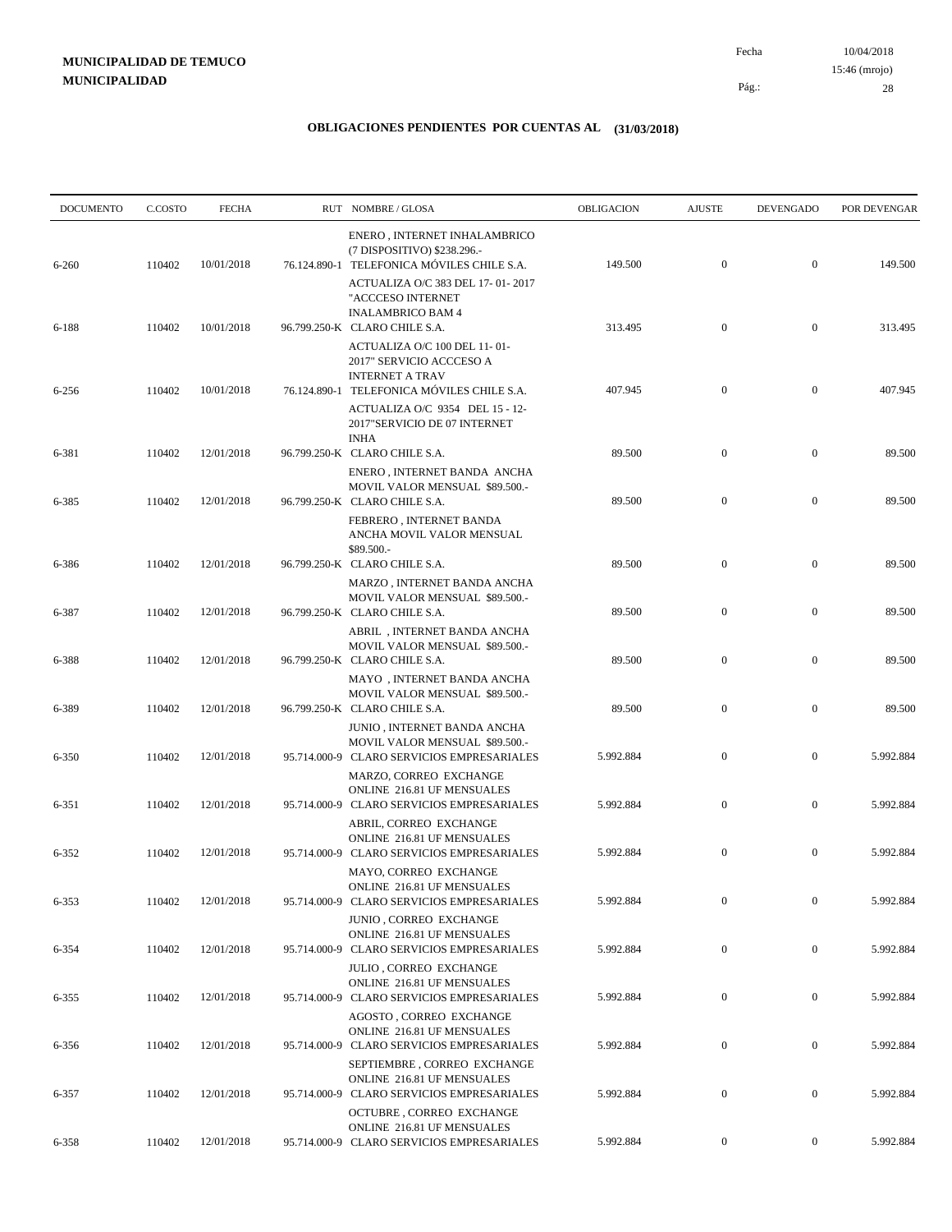10/04/2018 28 Pág.: Fecha 15:46 (mrojo)

| <b>DOCUMENTO</b> | C.COSTO | <b>FECHA</b> | RUT NOMBRE/GLOSA                                                                                                   | <b>OBLIGACION</b> | <b>AJUSTE</b>    | <b>DEVENGADO</b> | POR DEVENGAR |
|------------------|---------|--------------|--------------------------------------------------------------------------------------------------------------------|-------------------|------------------|------------------|--------------|
| $6 - 260$        | 110402  | 10/01/2018   | ENERO, INTERNET INHALAMBRICO<br>(7 DISPOSITIVO) \$238.296.-<br>76.124.890-1 TELEFONICA MÓVILES CHILE S.A.          | 149.500           | $\overline{0}$   | $\boldsymbol{0}$ | 149.500      |
| 6-188            | 110402  | 10/01/2018   | ACTUALIZA O/C 383 DEL 17-01-2017<br>"ACCCESO INTERNET<br><b>INALAMBRICO BAM 4</b><br>96.799.250-K CLARO CHILE S.A. | 313.495           | $\mathbf{0}$     | $\boldsymbol{0}$ | 313.495      |
|                  |         |              | ACTUALIZA O/C 100 DEL 11-01-<br>2017" SERVICIO ACCCESO A<br><b>INTERNET A TRAV</b>                                 |                   |                  |                  |              |
| $6 - 256$        | 110402  | 10/01/2018   | 76.124.890-1 TELEFONICA MÓVILES CHILE S.A.<br>ACTUALIZA O/C 9354 DEL 15 - 12-<br>2017"SERVICIO DE 07 INTERNET      | 407.945           | $\boldsymbol{0}$ | $\boldsymbol{0}$ | 407.945      |
| 6-381            | 110402  | 12/01/2018   | INHA<br>96.799.250-K CLARO CHILE S.A.<br>ENERO, INTERNET BANDA ANCHA<br>MOVIL VALOR MENSUAL \$89.500 .-            | 89.500            | $\boldsymbol{0}$ | $\boldsymbol{0}$ | 89.500       |
| 6-385            | 110402  | 12/01/2018   | 96.799.250-K CLARO CHILE S.A.<br>FEBRERO, INTERNET BANDA<br>ANCHA MOVIL VALOR MENSUAL<br>\$89.500.-                | 89.500            | $\boldsymbol{0}$ | $\boldsymbol{0}$ | 89.500       |
| 6-386            | 110402  | 12/01/2018   | 96.799.250-K CLARO CHILE S.A.<br>MARZO, INTERNET BANDA ANCHA<br>MOVIL VALOR MENSUAL \$89.500.-                     | 89.500            | $\mathbf{0}$     | $\boldsymbol{0}$ | 89.500       |
| 6-387            | 110402  | 12/01/2018   | 96.799.250-K CLARO CHILE S.A.<br>ABRIL, INTERNET BANDA ANCHA<br>MOVIL VALOR MENSUAL \$89.500.-                     | 89.500            | $\boldsymbol{0}$ | $\boldsymbol{0}$ | 89.500       |
| 6-388            | 110402  | 12/01/2018   | 96.799.250-K CLARO CHILE S.A.<br>MAYO , INTERNET BANDA ANCHA<br>MOVIL VALOR MENSUAL \$89.500.-                     | 89.500            | $\boldsymbol{0}$ | $\boldsymbol{0}$ | 89.500       |
| 6-389            | 110402  | 12/01/2018   | 96.799.250-K CLARO CHILE S.A.<br>JUNIO, INTERNET BANDA ANCHA                                                       | 89.500            | $\overline{0}$   | $\boldsymbol{0}$ | 89.500       |
| 6-350            | 110402  | 12/01/2018   | MOVIL VALOR MENSUAL \$89.500.-<br>95.714.000-9 CLARO SERVICIOS EMPRESARIALES<br>MARZO, CORREO EXCHANGE             | 5.992.884         | $\boldsymbol{0}$ | $\boldsymbol{0}$ | 5.992.884    |
| 6-351            | 110402  | 12/01/2018   | ONLINE 216.81 UF MENSUALES<br>95.714.000-9 CLARO SERVICIOS EMPRESARIALES<br>ABRIL, CORREO EXCHANGE                 | 5.992.884         | $\boldsymbol{0}$ | $\boldsymbol{0}$ | 5.992.884    |
| 6-352            | 110402  | 12/01/2018   | ONLINE 216.81 UF MENSUALES<br>95.714.000-9 CLARO SERVICIOS EMPRESARIALES<br>MAYO, CORREO EXCHANGE                  | 5.992.884         | $\mathbf{0}$     | $\boldsymbol{0}$ | 5.992.884    |
| 6-353            | 110402  | 12/01/2018   | ONLINE 216.81 UF MENSUALES<br>95.714.000-9 CLARO SERVICIOS EMPRESARIALES<br>JUNIO, CORREO EXCHANGE                 | 5.992.884         | $\boldsymbol{0}$ | $\boldsymbol{0}$ | 5.992.884    |
| 6-354            | 110402  | 12/01/2018   | ONLINE 216.81 UF MENSUALES<br>95.714.000-9 CLARO SERVICIOS EMPRESARIALES<br>JULIO, CORREO EXCHANGE                 | 5.992.884         | $\boldsymbol{0}$ | $\boldsymbol{0}$ | 5.992.884    |
| 6-355            | 110402  | 12/01/2018   | ONLINE 216.81 UF MENSUALES<br>95.714.000-9 CLARO SERVICIOS EMPRESARIALES<br>AGOSTO, CORREO EXCHANGE                | 5.992.884         | $\mathbf{0}$     | $\boldsymbol{0}$ | 5.992.884    |
| 6-356            | 110402  | 12/01/2018   | ONLINE 216.81 UF MENSUALES<br>95.714.000-9 CLARO SERVICIOS EMPRESARIALES<br>SEPTIEMBRE, CORREO EXCHANGE            | 5.992.884         | $\boldsymbol{0}$ | $\boldsymbol{0}$ | 5.992.884    |
| 6-357            | 110402  | 12/01/2018   | ONLINE 216.81 UF MENSUALES<br>95.714.000-9 CLARO SERVICIOS EMPRESARIALES<br>OCTUBRE, CORREO EXCHANGE               | 5.992.884         | $\boldsymbol{0}$ | $\boldsymbol{0}$ | 5.992.884    |
| 6-358            | 110402  | 12/01/2018   | ONLINE 216.81 UF MENSUALES<br>95.714.000-9 CLARO SERVICIOS EMPRESARIALES                                           | 5.992.884         | $\overline{0}$   | $\boldsymbol{0}$ | 5.992.884    |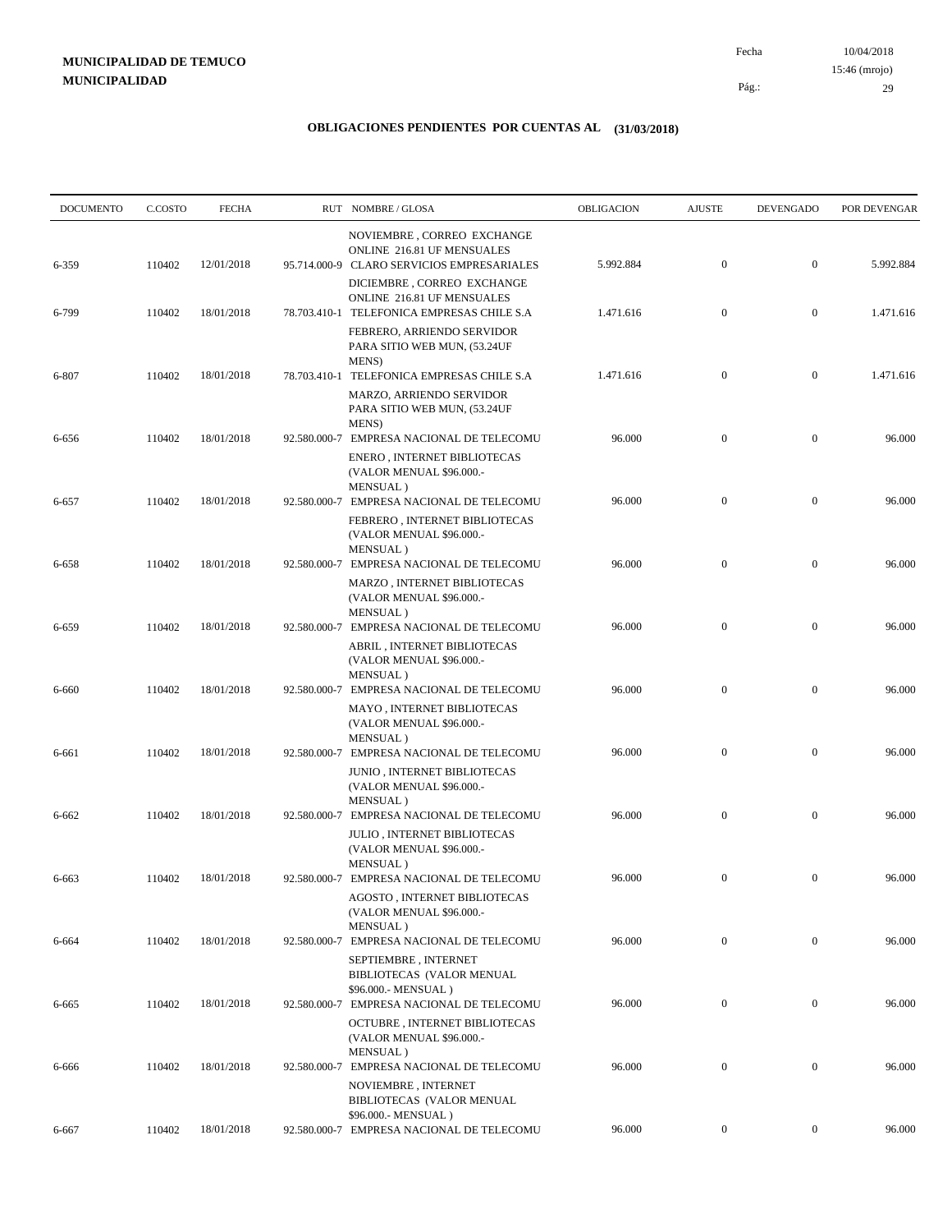10/04/2018 29 Pág.: Fecha 15:46 (mrojo)

| C.COSTO | <b>FECHA</b>     |                          |                                                                             | OBLIGACION                                                                                                                                                                                                                                                                                                                                                                                                                                                                                                                                                                                                                                                                                                                                                                                                                                                                         | <b>AJUSTE</b>       | <b>DEVENGADO</b>                     | POR DEVENGAR                         |
|---------|------------------|--------------------------|-----------------------------------------------------------------------------|------------------------------------------------------------------------------------------------------------------------------------------------------------------------------------------------------------------------------------------------------------------------------------------------------------------------------------------------------------------------------------------------------------------------------------------------------------------------------------------------------------------------------------------------------------------------------------------------------------------------------------------------------------------------------------------------------------------------------------------------------------------------------------------------------------------------------------------------------------------------------------|---------------------|--------------------------------------|--------------------------------------|
| 110402  | 12/01/2018       |                          | NOVIEMBRE, CORREO EXCHANGE<br>ONLINE 216.81 UF MENSUALES                    | 5.992.884                                                                                                                                                                                                                                                                                                                                                                                                                                                                                                                                                                                                                                                                                                                                                                                                                                                                          | $\boldsymbol{0}$    | $\boldsymbol{0}$                     | 5.992.884                            |
| 110402  | 18/01/2018       |                          | DICIEMBRE, CORREO EXCHANGE<br>ONLINE 216.81 UF MENSUALES                    | 1.471.616                                                                                                                                                                                                                                                                                                                                                                                                                                                                                                                                                                                                                                                                                                                                                                                                                                                                          | $\boldsymbol{0}$    | $\boldsymbol{0}$                     | 1.471.616                            |
|         |                  |                          | FEBRERO, ARRIENDO SERVIDOR<br>PARA SITIO WEB MUN, (53.24UF<br><b>MENS</b> ) |                                                                                                                                                                                                                                                                                                                                                                                                                                                                                                                                                                                                                                                                                                                                                                                                                                                                                    |                     |                                      |                                      |
|         |                  |                          | MARZO, ARRIENDO SERVIDOR<br>PARA SITIO WEB MUN, (53.24UF                    |                                                                                                                                                                                                                                                                                                                                                                                                                                                                                                                                                                                                                                                                                                                                                                                                                                                                                    |                     |                                      | 1.471.616                            |
| 110402  | 18/01/2018       |                          | ENERO, INTERNET BIBLIOTECAS<br>(VALOR MENUAL \$96.000.-                     | 96.000                                                                                                                                                                                                                                                                                                                                                                                                                                                                                                                                                                                                                                                                                                                                                                                                                                                                             | $\boldsymbol{0}$    | $\boldsymbol{0}$                     | 96.000                               |
| 110402  | 18/01/2018       |                          | FEBRERO, INTERNET BIBLIOTECAS                                               | 96.000                                                                                                                                                                                                                                                                                                                                                                                                                                                                                                                                                                                                                                                                                                                                                                                                                                                                             | $\boldsymbol{0}$    | $\mathbf{0}$                         | 96.000                               |
| 110402  | 18/01/2018       |                          | MENSUAL)                                                                    | 96.000                                                                                                                                                                                                                                                                                                                                                                                                                                                                                                                                                                                                                                                                                                                                                                                                                                                                             | $\boldsymbol{0}$    | $\boldsymbol{0}$                     | 96.000                               |
| 110402  | 18/01/2018       |                          | (VALOR MENUAL \$96.000.-<br>MENSUAL)                                        | 96.000                                                                                                                                                                                                                                                                                                                                                                                                                                                                                                                                                                                                                                                                                                                                                                                                                                                                             | $\boldsymbol{0}$    | $\mathbf{0}$                         | 96.000                               |
|         |                  |                          | ABRIL, INTERNET BIBLIOTECAS<br>(VALOR MENUAL \$96.000.-<br>MENSUAL)         |                                                                                                                                                                                                                                                                                                                                                                                                                                                                                                                                                                                                                                                                                                                                                                                                                                                                                    |                     |                                      |                                      |
|         |                  |                          | MAYO, INTERNET BIBLIOTECAS<br>(VALOR MENUAL \$96.000.-                      |                                                                                                                                                                                                                                                                                                                                                                                                                                                                                                                                                                                                                                                                                                                                                                                                                                                                                    |                     |                                      | 96.000                               |
| 110402  | 18/01/2018       |                          | JUNIO, INTERNET BIBLIOTECAS<br>(VALOR MENUAL \$96.000.-                     | 96.000                                                                                                                                                                                                                                                                                                                                                                                                                                                                                                                                                                                                                                                                                                                                                                                                                                                                             | $\boldsymbol{0}$    | $\boldsymbol{0}$                     | 96.000                               |
| 110402  | 18/01/2018       |                          | MENSUAL)<br><b>JULIO, INTERNET BIBLIOTECAS</b>                              | 96.000                                                                                                                                                                                                                                                                                                                                                                                                                                                                                                                                                                                                                                                                                                                                                                                                                                                                             | $\mathbf{0}$        | $\boldsymbol{0}$                     | 96.000                               |
| 110402  | 18/01/2018       |                          | MENSUAL)                                                                    | 96.000                                                                                                                                                                                                                                                                                                                                                                                                                                                                                                                                                                                                                                                                                                                                                                                                                                                                             | $\mathbf{0}$        | $\boldsymbol{0}$                     | 96.000                               |
| 110402  | 18/01/2018       |                          | (VALOR MENUAL \$96.000 .-<br>MENSUAL)                                       | 96.000                                                                                                                                                                                                                                                                                                                                                                                                                                                                                                                                                                                                                                                                                                                                                                                                                                                                             | $\overline{0}$      | $\boldsymbol{0}$                     | 96.000                               |
|         |                  |                          | SEPTIEMBRE. INTERNET<br>BIBLIOTECAS (VALOR MENUAL<br>\$96.000.- MENSUAL)    |                                                                                                                                                                                                                                                                                                                                                                                                                                                                                                                                                                                                                                                                                                                                                                                                                                                                                    |                     |                                      |                                      |
| 110402  | 18/01/2018       |                          | OCTUBRE, INTERNET BIBLIOTECAS<br>(VALOR MENUAL \$96.000.-                   | 96.000                                                                                                                                                                                                                                                                                                                                                                                                                                                                                                                                                                                                                                                                                                                                                                                                                                                                             | $\mathbf{0}$        | $\boldsymbol{0}$                     | 96.000                               |
| 110402  | 18/01/2018       |                          | MENSUAL)<br>NOVIEMBRE, INTERNET                                             | 96.000                                                                                                                                                                                                                                                                                                                                                                                                                                                                                                                                                                                                                                                                                                                                                                                                                                                                             | $\boldsymbol{0}$    | $\boldsymbol{0}$                     | 96.000                               |
| 110402  | 18/01/2018       |                          | BIBLIOTECAS (VALOR MENUAL<br>\$96.000.- MENSUAL)                            | 96.000                                                                                                                                                                                                                                                                                                                                                                                                                                                                                                                                                                                                                                                                                                                                                                                                                                                                             | $\overline{0}$      | $\boldsymbol{0}$                     | 96.000                               |
|         | 110402<br>110402 | 18/01/2018<br>18/01/2018 |                                                                             | RUT NOMBRE/GLOSA<br>95.714.000-9 CLARO SERVICIOS EMPRESARIALES<br>78.703.410-1 TELEFONICA EMPRESAS CHILE S.A<br>78.703.410-1<br>TELEFONICA EMPRESAS CHILE S.A<br>MENS)<br>92.580.000-7 EMPRESA NACIONAL DE TELECOMU<br>MENSUAL)<br>92.580.000-7 EMPRESA NACIONAL DE TELECOMU<br>(VALOR MENUAL \$96.000.-<br>92.580.000-7 EMPRESA NACIONAL DE TELECOMU<br>MARZO, INTERNET BIBLIOTECAS<br>92.580.000-7 EMPRESA NACIONAL DE TELECOMU<br>92.580.000-7 EMPRESA NACIONAL DE TELECOMU<br>MENSUAL)<br>92.580.000-7 EMPRESA NACIONAL DE TELECOMU<br>92.580.000-7 EMPRESA NACIONAL DE TELECOMU<br>(VALOR MENUAL \$96.000 .-<br>92.580.000-7 EMPRESA NACIONAL DE TELECOMU<br>AGOSTO, INTERNET BIBLIOTECAS<br>92.580.000-7 EMPRESA NACIONAL DE TELECOMU<br>92.580.000-7 EMPRESA NACIONAL DE TELECOMU<br>92.580.000-7 EMPRESA NACIONAL DE TELECOMU<br>92.580.000-7 EMPRESA NACIONAL DE TELECOMU | 1.471.616<br>96.000 | $\boldsymbol{0}$<br>$\boldsymbol{0}$ | $\boldsymbol{0}$<br>$\boldsymbol{0}$ |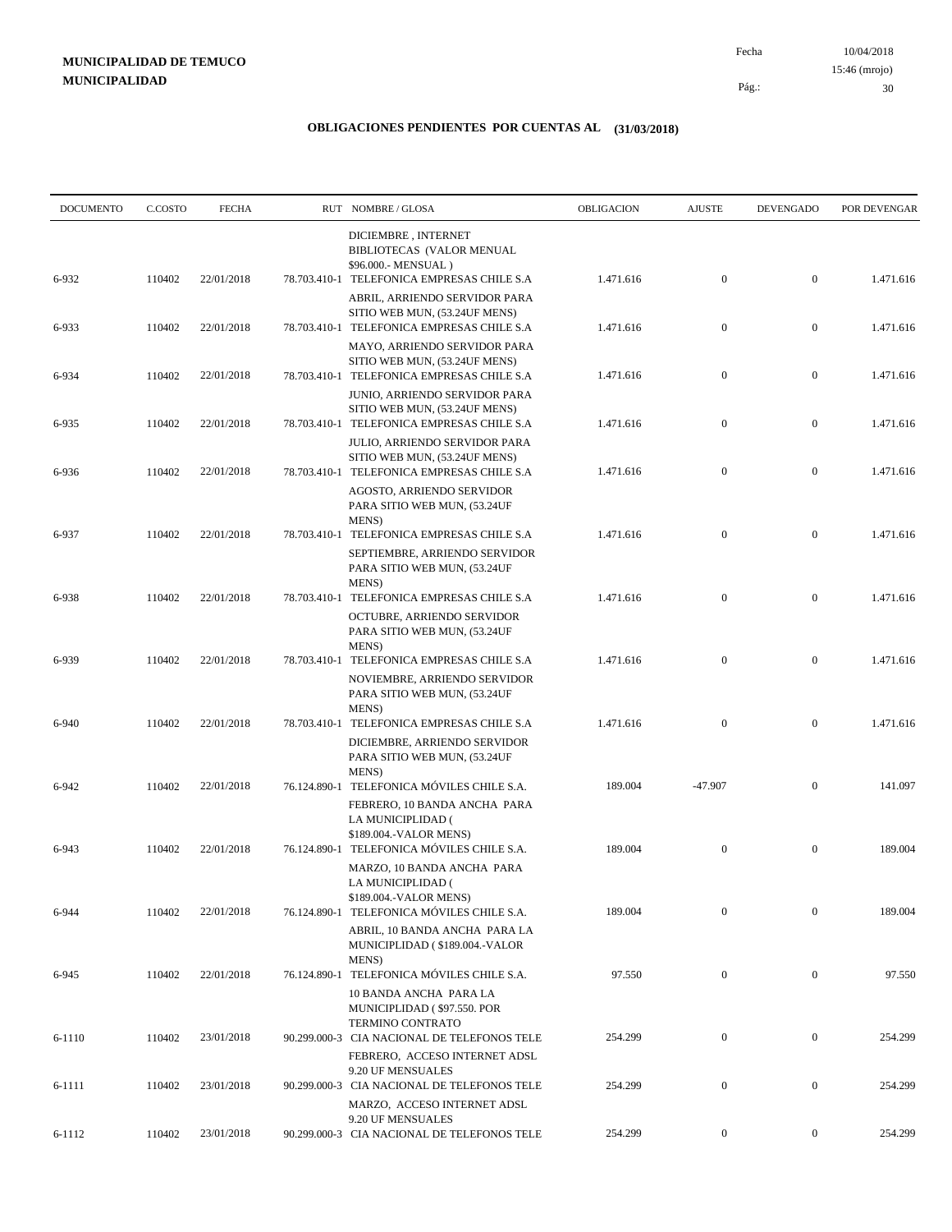10/04/2018 30 Pág.: Fecha 15:46 (mrojo)

| <b>DOCUMENTO</b> | C.COSTO | <b>FECHA</b> |              | RUT NOMBRE/GLOSA                                                                                                      | OBLIGACION | <b>AJUSTE</b>    | <b>DEVENGADO</b> | POR DEVENGAR |
|------------------|---------|--------------|--------------|-----------------------------------------------------------------------------------------------------------------------|------------|------------------|------------------|--------------|
| 6-932            | 110402  | 22/01/2018   |              | DICIEMBRE, INTERNET<br>BIBLIOTECAS (VALOR MENUAL<br>\$96.000.- MENSUAL)<br>78.703.410-1 TELEFONICA EMPRESAS CHILE S.A | 1.471.616  | $\boldsymbol{0}$ | $\boldsymbol{0}$ | 1.471.616    |
|                  |         |              |              | ABRIL, ARRIENDO SERVIDOR PARA<br>SITIO WEB MUN, (53.24UF MENS)                                                        |            |                  |                  |              |
| 6-933            | 110402  | 22/01/2018   |              | 78.703.410-1 TELEFONICA EMPRESAS CHILE S.A<br>MAYO, ARRIENDO SERVIDOR PARA                                            | 1.471.616  | $\boldsymbol{0}$ | $\boldsymbol{0}$ | 1.471.616    |
| 6-934            | 110402  | 22/01/2018   |              | SITIO WEB MUN, (53.24UF MENS)<br>78.703.410-1 TELEFONICA EMPRESAS CHILE S.A                                           | 1.471.616  | $\boldsymbol{0}$ | $\boldsymbol{0}$ | 1.471.616    |
| 6-935            | 110402  | 22/01/2018   |              | JUNIO, ARRIENDO SERVIDOR PARA<br>SITIO WEB MUN, (53.24UF MENS)<br>78.703.410-1 TELEFONICA EMPRESAS CHILE S.A          | 1.471.616  | $\boldsymbol{0}$ | $\boldsymbol{0}$ | 1.471.616    |
|                  |         |              |              | JULIO, ARRIENDO SERVIDOR PARA<br>SITIO WEB MUN, (53.24UF MENS)                                                        |            |                  |                  |              |
| 6-936            | 110402  | 22/01/2018   |              | 78.703.410-1 TELEFONICA EMPRESAS CHILE S.A<br>AGOSTO, ARRIENDO SERVIDOR                                               | 1.471.616  | $\mathbf{0}$     | $\boldsymbol{0}$ | 1.471.616    |
| 6-937            | 110402  | 22/01/2018   | 78.703.410-1 | PARA SITIO WEB MUN, (53.24UF<br>MENS)<br>TELEFONICA EMPRESAS CHILE S.A                                                | 1.471.616  | $\boldsymbol{0}$ | $\boldsymbol{0}$ | 1.471.616    |
|                  |         |              |              | SEPTIEMBRE, ARRIENDO SERVIDOR<br>PARA SITIO WEB MUN, (53.24UF                                                         |            |                  |                  |              |
| 6-938            | 110402  | 22/01/2018   |              | <b>MENS</b> )<br>78.703.410-1 TELEFONICA EMPRESAS CHILE S.A<br>OCTUBRE, ARRIENDO SERVIDOR                             | 1.471.616  | $\mathbf{0}$     | $\boldsymbol{0}$ | 1.471.616    |
|                  |         |              |              | PARA SITIO WEB MUN, (53.24UF<br><b>MENS</b> )                                                                         |            |                  |                  |              |
| 6-939            | 110402  | 22/01/2018   |              | 78.703.410-1 TELEFONICA EMPRESAS CHILE S.A<br>NOVIEMBRE, ARRIENDO SERVIDOR<br>PARA SITIO WEB MUN, (53.24UF<br>MENS)   | 1.471.616  | $\boldsymbol{0}$ | $\boldsymbol{0}$ | 1.471.616    |
| 6-940            | 110402  | 22/01/2018   | 78.703.410-1 | TELEFONICA EMPRESAS CHILE S.A<br>DICIEMBRE, ARRIENDO SERVIDOR<br>PARA SITIO WEB MUN, (53.24UF                         | 1.471.616  | $\mathbf{0}$     | $\boldsymbol{0}$ | 1.471.616    |
| 6-942            | 110402  | 22/01/2018   |              | MENS)<br>76.124.890-1 TELEFONICA MÓVILES CHILE S.A.                                                                   | 189.004    | $-47.907$        | $\boldsymbol{0}$ | 141.097      |
|                  |         |              |              | FEBRERO, 10 BANDA ANCHA PARA<br>LA MUNICIPLIDAD (<br>\$189.004.-VALOR MENS)                                           |            |                  |                  |              |
| 6-943            | 110402  | 22/01/2018   |              | 76.124.890-1 TELEFONICA MÓVILES CHILE S.A.<br>MARZO, 10 BANDA ANCHA PARA                                              | 189.004    | $\mathbf{0}$     | $\boldsymbol{0}$ | 189.004      |
| 6-944            | 110402  | 22/01/2018   |              | LA MUNICIPLIDAD (<br>\$189.004.-VALOR MENS)<br>76.124.890-1 TELEFONICA MÓVILES CHILE S.A.                             | 189.004    | $\boldsymbol{0}$ | $\boldsymbol{0}$ | 189.004      |
|                  |         |              |              | ABRIL, 10 BANDA ANCHA PARA LA<br>MUNICIPLIDAD (\$189.004.-VALOR<br>MENS)                                              |            |                  |                  |              |
| 6-945            | 110402  | 22/01/2018   | 76.124.890-1 | TELEFONICA MÓVILES CHILE S.A.<br>10 BANDA ANCHA PARA LA<br>MUNICIPLIDAD (\$97.550. POR                                | 97.550     | $\mathbf{0}$     | $\boldsymbol{0}$ | 97.550       |
| 6-1110           | 110402  | 23/01/2018   |              | TERMINO CONTRATO<br>90.299.000-3 CIA NACIONAL DE TELEFONOS TELE                                                       | 254.299    | $\boldsymbol{0}$ | $\boldsymbol{0}$ | 254.299      |
| 6-1111           | 110402  | 23/01/2018   |              | FEBRERO, ACCESO INTERNET ADSL<br>9.20 UF MENSUALES<br>90.299.000-3 CIA NACIONAL DE TELEFONOS TELE                     | 254.299    | $\mathbf{0}$     | $\boldsymbol{0}$ | 254.299      |
|                  |         |              |              | MARZO, ACCESO INTERNET ADSL<br>9.20 UF MENSUALES                                                                      |            |                  |                  |              |
| 6-1112           | 110402  | 23/01/2018   |              | 90.299.000-3 CIA NACIONAL DE TELEFONOS TELE                                                                           | 254.299    | $\overline{0}$   | $\overline{0}$   | 254.299      |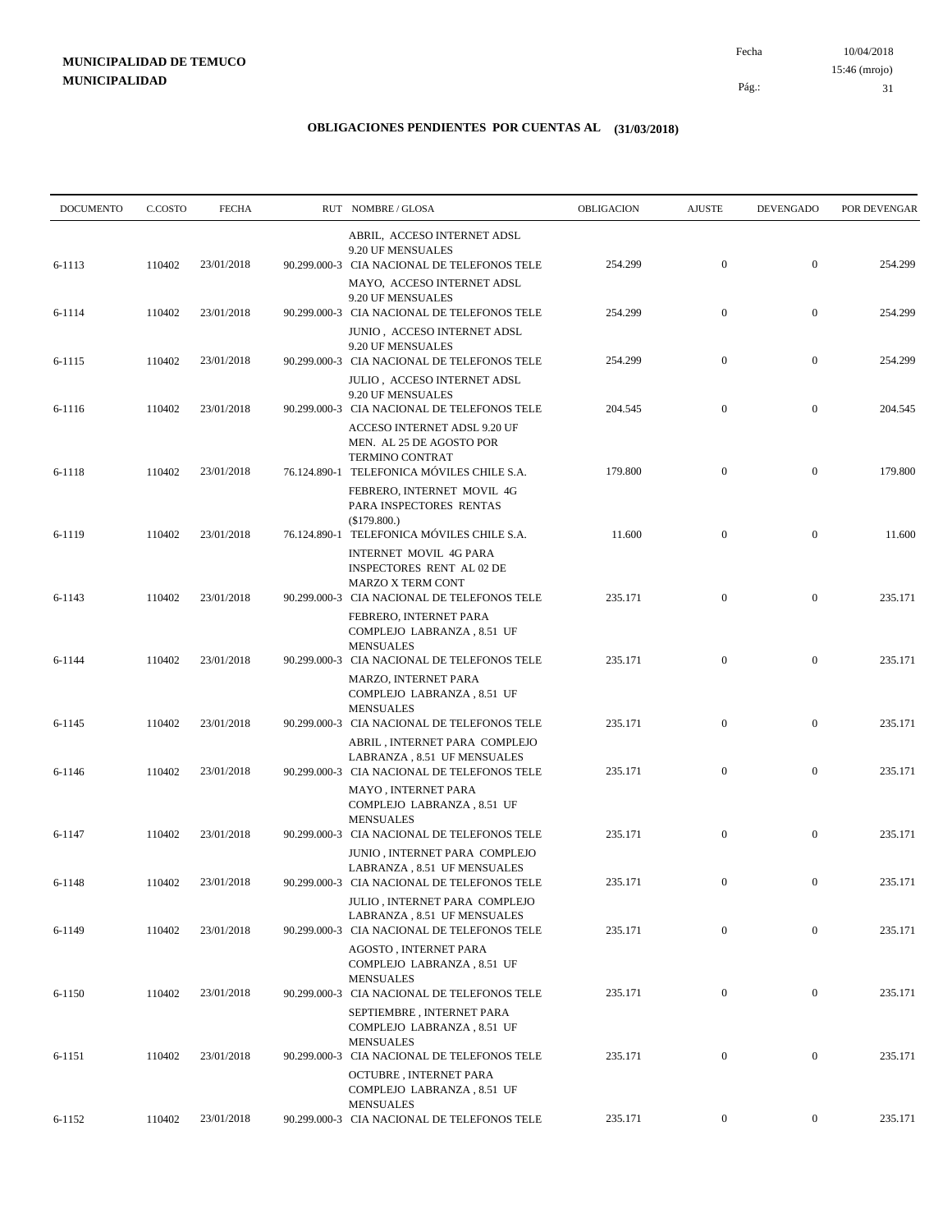10/04/2018 31 Pág.: Fecha 15:46 (mrojo)

| <b>DOCUMENTO</b> | C.COSTO | <b>FECHA</b> | RUT NOMBRE/GLOSA                                                                                                          | OBLIGACION | <b>AJUSTE</b>    | <b>DEVENGADO</b> | POR DEVENGAR |
|------------------|---------|--------------|---------------------------------------------------------------------------------------------------------------------------|------------|------------------|------------------|--------------|
|                  |         |              | ABRIL, ACCESO INTERNET ADSL<br>9.20 UF MENSUALES                                                                          |            |                  |                  |              |
| 6-1113           | 110402  | 23/01/2018   | 90.299.000-3 CIA NACIONAL DE TELEFONOS TELE<br>MAYO, ACCESO INTERNET ADSL                                                 | 254.299    | $\mathbf{0}$     | $\mathbf{0}$     | 254.299      |
| 6-1114           | 110402  | 23/01/2018   | 9.20 UF MENSUALES<br>90.299.000-3 CIA NACIONAL DE TELEFONOS TELE<br>JUNIO, ACCESO INTERNET ADSL                           | 254.299    | $\mathbf{0}$     | $\mathbf{0}$     | 254.299      |
| 6-1115           | 110402  | 23/01/2018   | 9.20 UF MENSUALES<br>90.299.000-3 CIA NACIONAL DE TELEFONOS TELE                                                          | 254.299    | $\mathbf{0}$     | $\boldsymbol{0}$ | 254.299      |
| 6-1116           | 110402  | 23/01/2018   | JULIO, ACCESO INTERNET ADSL<br>9.20 UF MENSUALES<br>90.299.000-3 CIA NACIONAL DE TELEFONOS TELE                           | 204.545    | $\mathbf{0}$     | $\mathbf{0}$     | 204.545      |
| 6-1118           | 110402  | 23/01/2018   | ACCESO INTERNET ADSL 9.20 UF<br>MEN. AL 25 DE AGOSTO POR<br>TERMINO CONTRAT<br>76.124.890-1 TELEFONICA MÓVILES CHILE S.A. | 179.800    | $\mathbf{0}$     | $\boldsymbol{0}$ | 179.800      |
|                  |         |              | FEBRERO, INTERNET MOVIL 4G<br>PARA INSPECTORES RENTAS<br>(\$179.800.)                                                     |            |                  |                  |              |
| 6-1119           | 110402  | 23/01/2018   | 76.124.890-1 TELEFONICA MÓVILES CHILE S.A.<br><b>INTERNET MOVIL 4G PARA</b>                                               | 11.600     | $\mathbf{0}$     | $\mathbf{0}$     | 11.600       |
| 6-1143           | 110402  | 23/01/2018   | <b>INSPECTORES RENT AL 02 DE</b><br><b>MARZO X TERM CONT</b><br>90.299.000-3 CIA NACIONAL DE TELEFONOS TELE               | 235.171    | $\mathbf{0}$     | $\boldsymbol{0}$ | 235.171      |
| 6-1144           | 110402  | 23/01/2018   | FEBRERO, INTERNET PARA<br>COMPLEJO LABRANZA, 8.51 UF<br><b>MENSUALES</b><br>90.299.000-3 CIA NACIONAL DE TELEFONOS TELE   | 235.171    | $\mathbf{0}$     | $\mathbf{0}$     | 235.171      |
|                  |         |              | MARZO, INTERNET PARA<br>COMPLEJO LABRANZA, 8.51 UF                                                                        |            |                  |                  |              |
| 6-1145           | 110402  | 23/01/2018   | <b>MENSUALES</b><br>90.299.000-3 CIA NACIONAL DE TELEFONOS TELE<br>ABRIL, INTERNET PARA COMPLEJO                          | 235.171    | $\boldsymbol{0}$ | $\mathbf{0}$     | 235.171      |
| 6-1146           | 110402  | 23/01/2018   | LABRANZA, 8.51 UF MENSUALES<br>90.299.000-3 CIA NACIONAL DE TELEFONOS TELE<br><b>MAYO, INTERNET PARA</b>                  | 235.171    | $\mathbf{0}$     | $\boldsymbol{0}$ | 235.171      |
|                  | 110402  | 23/01/2018   | COMPLEJO LABRANZA, 8.51 UF<br><b>MENSUALES</b><br>90.299.000-3 CIA NACIONAL DE TELEFONOS TELE                             | 235.171    | $\mathbf{0}$     | $\mathbf{0}$     | 235.171      |
| 6-1147           |         |              | JUNIO, INTERNET PARA COMPLEJO<br>LABRANZA, 8.51 UF MENSUALES                                                              |            |                  |                  |              |
| 6-1148           | 110402  | 23/01/2018   | 90.299.000-3 CIA NACIONAL DE TELEFONOS TELE<br>JULIO, INTERNET PARA COMPLEJO<br>LABRANZA, 8.51 UF MENSUALES               | 235.171    | $\mathbf{0}$     | $\boldsymbol{0}$ | 235.171      |
| 6-1149           | 110402  | 23/01/2018   | 90.299.000-3 CIA NACIONAL DE TELEFONOS TELE<br>AGOSTO, INTERNET PARA                                                      | 235.171    | $\boldsymbol{0}$ | $\boldsymbol{0}$ | 235.171      |
| 6-1150           | 110402  | 23/01/2018   | COMPLEJO LABRANZA, 8.51 UF<br><b>MENSUALES</b><br>90.299.000-3 CIA NACIONAL DE TELEFONOS TELE                             | 235.171    | $\boldsymbol{0}$ | $\boldsymbol{0}$ | 235.171      |
|                  |         |              | SEPTIEMBRE, INTERNET PARA<br>COMPLEJO LABRANZA, 8.51 UF<br><b>MENSUALES</b>                                               |            |                  |                  |              |
| 6-1151           | 110402  | 23/01/2018   | 90.299.000-3 CIA NACIONAL DE TELEFONOS TELE<br>OCTUBRE, INTERNET PARA<br>COMPLEJO LABRANZA, 8.51 UF                       | 235.171    | $\boldsymbol{0}$ | $\boldsymbol{0}$ | 235.171      |
| 6-1152           | 110402  | 23/01/2018   | <b>MENSUALES</b><br>90.299.000-3 CIA NACIONAL DE TELEFONOS TELE                                                           | 235.171    | $\boldsymbol{0}$ | $\boldsymbol{0}$ | 235.171      |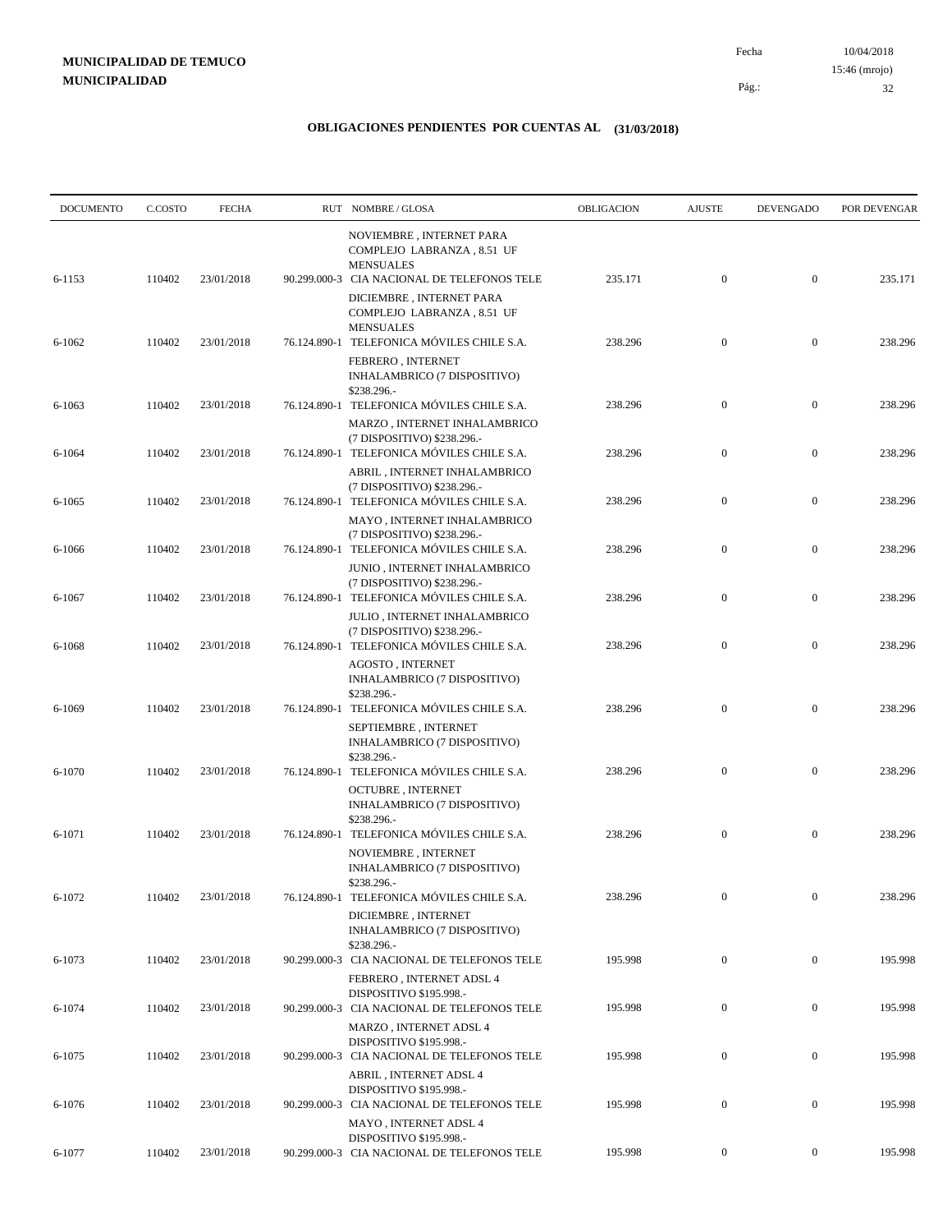| <b>DOCUMENTO</b> | C.COSTO | <b>FECHA</b> | RUT NOMBRE/GLOSA                                                                                                              | OBLIGACION | <b>AJUSTE</b>    | <b>DEVENGADO</b> | POR DEVENGAR |
|------------------|---------|--------------|-------------------------------------------------------------------------------------------------------------------------------|------------|------------------|------------------|--------------|
| 6-1153           | 110402  | 23/01/2018   | NOVIEMBRE, INTERNET PARA<br>COMPLEJO LABRANZA, 8.51 UF<br><b>MENSUALES</b><br>90.299.000-3 CIA NACIONAL DE TELEFONOS TELE     | 235.171    | $\mathbf{0}$     | $\mathbf{0}$     | 235.171      |
|                  |         |              | DICIEMBRE, INTERNET PARA<br>COMPLEJO LABRANZA, 8.51 UF<br><b>MENSUALES</b>                                                    |            |                  |                  |              |
| 6-1062           | 110402  | 23/01/2018   | 76.124.890-1 TELEFONICA MÓVILES CHILE S.A.<br>FEBRERO, INTERNET<br>INHALAMBRICO (7 DISPOSITIVO)                               | 238.296    | $\boldsymbol{0}$ | $\boldsymbol{0}$ | 238.296      |
| 6-1063           | 110402  | 23/01/2018   | \$238.296.-<br>76.124.890-1 TELEFONICA MÓVILES CHILE S.A.<br>MARZO, INTERNET INHALAMBRICO                                     | 238.296    | $\boldsymbol{0}$ | $\boldsymbol{0}$ | 238.296      |
| 6-1064           | 110402  | 23/01/2018   | (7 DISPOSITIVO) \$238.296.-<br>76.124.890-1 TELEFONICA MÓVILES CHILE S.A.<br>ABRIL, INTERNET INHALAMBRICO                     | 238.296    | $\boldsymbol{0}$ | $\boldsymbol{0}$ | 238.296      |
| 6-1065           | 110402  | 23/01/2018   | (7 DISPOSITIVO) \$238.296.-<br>76.124.890-1 TELEFONICA MÓVILES CHILE S.A.<br>MAYO, INTERNET INHALAMBRICO                      | 238.296    | $\mathbf{0}$     | $\boldsymbol{0}$ | 238.296      |
| 6-1066           | 110402  | 23/01/2018   | (7 DISPOSITIVO) \$238.296.-<br>76.124.890-1 TELEFONICA MÓVILES CHILE S.A.<br>JUNIO, INTERNET INHALAMBRICO                     | 238.296    | $\boldsymbol{0}$ | $\boldsymbol{0}$ | 238.296      |
| 6-1067           | 110402  | 23/01/2018   | (7 DISPOSITIVO) \$238.296.-<br>76.124.890-1 TELEFONICA MÓVILES CHILE S.A.                                                     | 238.296    | $\boldsymbol{0}$ | $\boldsymbol{0}$ | 238.296      |
| 6-1068           | 110402  | 23/01/2018   | JULIO, INTERNET INHALAMBRICO<br>(7 DISPOSITIVO) \$238.296.-<br>76.124.890-1 TELEFONICA MÓVILES CHILE S.A.<br>AGOSTO, INTERNET | 238.296    | $\boldsymbol{0}$ | $\boldsymbol{0}$ | 238.296      |
| 6-1069           | 110402  | 23/01/2018   | INHALAMBRICO (7 DISPOSITIVO)<br>\$238.296.-<br>76.124.890-1 TELEFONICA MÓVILES CHILE S.A.                                     | 238.296    | $\mathbf{0}$     | $\mathbf{0}$     | 238.296      |
|                  |         |              | SEPTIEMBRE, INTERNET<br>INHALAMBRICO (7 DISPOSITIVO)<br>\$238.296.-                                                           |            |                  |                  |              |
| 6-1070           | 110402  | 23/01/2018   | 76.124.890-1 TELEFONICA MÓVILES CHILE S.A.<br><b>OCTUBRE, INTERNET</b><br>INHALAMBRICO (7 DISPOSITIVO)<br>\$238.296.-         | 238.296    | $\boldsymbol{0}$ | $\boldsymbol{0}$ | 238.296      |
| 6-1071           | 110402  | 23/01/2018   | 76.124.890-1 TELEFONICA MÓVILES CHILE S.A.<br>NOVIEMBRE, INTERNET<br>INHALAMBRICO (7 DISPOSITIVO)                             | 238.296    | $\mathbf{0}$     | $\boldsymbol{0}$ | 238.296      |
| 6-1072           | 110402  | 23/01/2018   | \$238.296.-<br>76.124.890-1 TELEFONICA MÓVILES CHILE S.A.<br>DICIEMBRE, INTERNET                                              | 238.296    | $\mathbf{0}$     | $\bf{0}$         | 238.296      |
| 6-1073           | 110402  | 23/01/2018   | INHALAMBRICO (7 DISPOSITIVO)<br>\$238.296.-<br>90.299.000-3 CIA NACIONAL DE TELEFONOS TELE                                    | 195.998    | $\overline{0}$   | $\mathbf{0}$     | 195.998      |
| 6-1074           | 110402  | 23/01/2018   | FEBRERO, INTERNET ADSL 4<br>DISPOSITIVO \$195.998.-<br>90.299.000-3 CIA NACIONAL DE TELEFONOS TELE                            | 195.998    | $\boldsymbol{0}$ | $\boldsymbol{0}$ | 195.998      |
| 6-1075           | 110402  | 23/01/2018   | MARZO, INTERNET ADSL 4<br>DISPOSITIVO \$195.998.-<br>90.299.000-3 CIA NACIONAL DE TELEFONOS TELE                              | 195.998    | $\boldsymbol{0}$ | $\boldsymbol{0}$ | 195.998      |
| 6-1076           | 110402  | 23/01/2018   | ABRIL, INTERNET ADSL 4<br>DISPOSITIVO \$195.998.-<br>90.299.000-3 CIA NACIONAL DE TELEFONOS TELE                              | 195.998    | $\boldsymbol{0}$ | $\mathbf{0}$     | 195.998      |
| 6-1077           | 110402  | 23/01/2018   | MAYO, INTERNET ADSL 4<br>DISPOSITIVO \$195.998.-<br>90.299.000-3 CIA NACIONAL DE TELEFONOS TELE                               | 195.998    | $\overline{0}$   | $\boldsymbol{0}$ | 195.998      |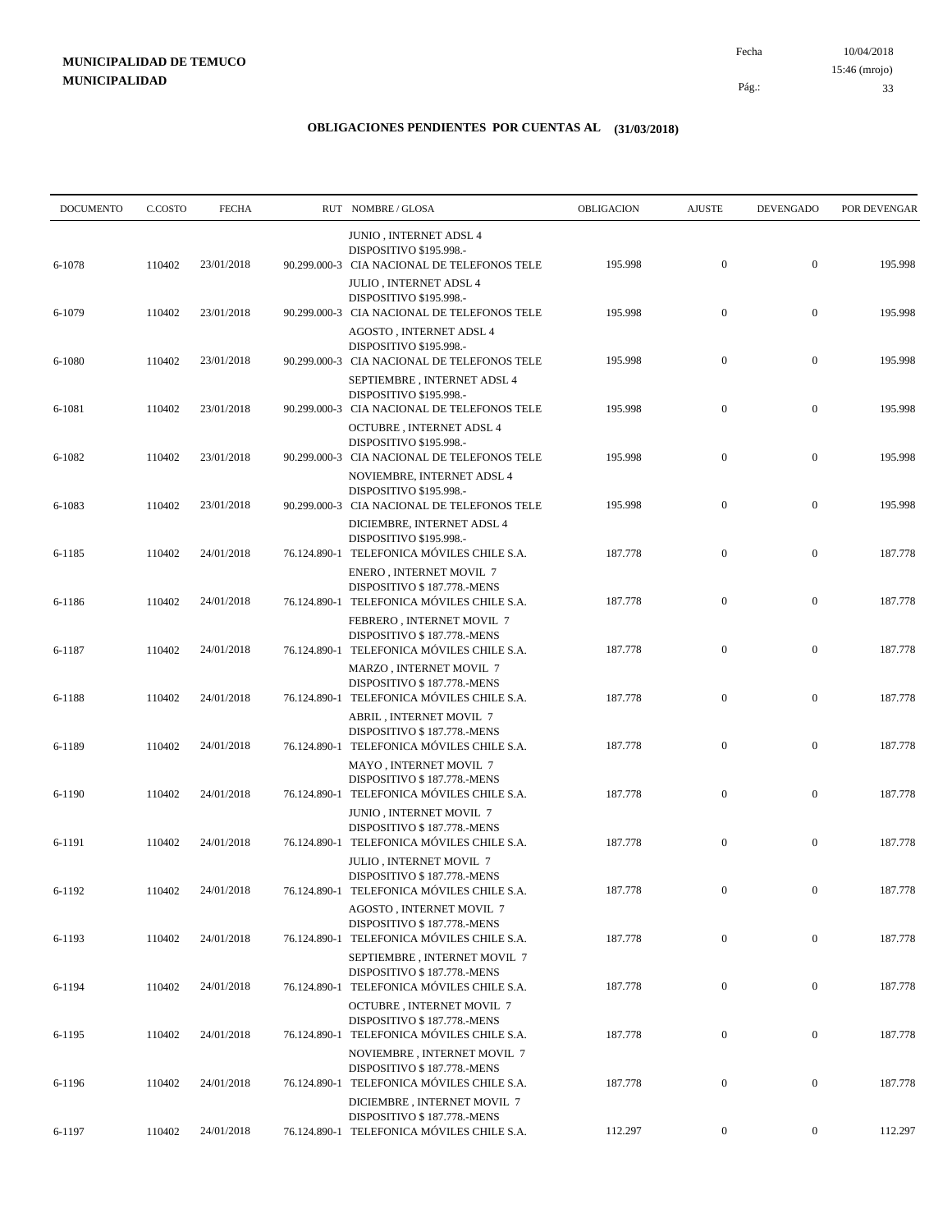10/04/2018 33 Pág.: Fecha 15:46 (mrojo)

| <b>DOCUMENTO</b> | C.COSTO | <b>FECHA</b> |              | RUT NOMBRE/GLOSA                                                                                          | <b>OBLIGACION</b> | <b>AJUSTE</b>    | <b>DEVENGADO</b> | POR DEVENGAR |
|------------------|---------|--------------|--------------|-----------------------------------------------------------------------------------------------------------|-------------------|------------------|------------------|--------------|
|                  |         |              |              | <b>JUNIO, INTERNET ADSL 4</b><br>DISPOSITIVO \$195.998.-                                                  |                   |                  |                  |              |
| 6-1078           | 110402  | 23/01/2018   |              | 90.299.000-3 CIA NACIONAL DE TELEFONOS TELE<br><b>JULIO, INTERNET ADSL 4</b>                              | 195.998           | $\mathbf{0}$     | $\mathbf{0}$     | 195.998      |
| 6-1079           | 110402  | 23/01/2018   |              | DISPOSITIVO \$195.998.-<br>90.299.000-3 CIA NACIONAL DE TELEFONOS TELE<br>AGOSTO, INTERNET ADSL 4         | 195.998           | $\boldsymbol{0}$ | $\boldsymbol{0}$ | 195.998      |
| 6-1080           | 110402  | 23/01/2018   |              | DISPOSITIVO \$195.998.-<br>90.299.000-3 CIA NACIONAL DE TELEFONOS TELE<br>SEPTIEMBRE, INTERNET ADSL 4     | 195.998           | $\boldsymbol{0}$ | $\boldsymbol{0}$ | 195.998      |
| 6-1081           | 110402  | 23/01/2018   |              | DISPOSITIVO \$195.998.-<br>90.299.000-3 CIA NACIONAL DE TELEFONOS TELE                                    | 195.998           | $\boldsymbol{0}$ | $\boldsymbol{0}$ | 195.998      |
| 6-1082           | 110402  | 23/01/2018   |              | OCTUBRE, INTERNET ADSL 4<br>DISPOSITIVO \$195.998.-<br>90.299.000-3 CIA NACIONAL DE TELEFONOS TELE        | 195.998           | $\boldsymbol{0}$ | $\mathbf{0}$     | 195.998      |
| 6-1083           | 110402  | 23/01/2018   |              | NOVIEMBRE, INTERNET ADSL 4<br>DISPOSITIVO \$195.998.-<br>90.299.000-3 CIA NACIONAL DE TELEFONOS TELE      | 195.998           | $\boldsymbol{0}$ | $\boldsymbol{0}$ | 195.998      |
| 6-1185           | 110402  | 24/01/2018   | 76.124.890-1 | DICIEMBRE, INTERNET ADSL 4<br>DISPOSITIVO \$195.998.-<br>TELEFONICA MÓVILES CHILE S.A.                    | 187.778           | $\boldsymbol{0}$ | $\boldsymbol{0}$ | 187.778      |
| 6-1186           | 110402  | 24/01/2018   |              | ENERO, INTERNET MOVIL 7<br>DISPOSITIVO \$187.778.-MENS<br>76.124.890-1 TELEFONICA MÓVILES CHILE S.A.      | 187.778           | $\boldsymbol{0}$ | $\boldsymbol{0}$ | 187.778      |
| 6-1187           | 110402  | 24/01/2018   |              | FEBRERO, INTERNET MOVIL 7<br>DISPOSITIVO \$187.778.-MENS<br>76.124.890-1 TELEFONICA MÓVILES CHILE S.A.    | 187.778           | $\boldsymbol{0}$ | $\boldsymbol{0}$ | 187.778      |
| 6-1188           | 110402  | 24/01/2018   |              | MARZO, INTERNET MOVIL 7<br>DISPOSITIVO \$187.778.-MENS<br>76.124.890-1 TELEFONICA MÓVILES CHILE S.A.      | 187.778           | $\boldsymbol{0}$ | $\boldsymbol{0}$ | 187.778      |
|                  |         |              |              | ABRIL, INTERNET MOVIL 7<br>DISPOSITIVO \$187.778.-MENS                                                    |                   |                  |                  |              |
| 6-1189           | 110402  | 24/01/2018   |              | 76.124.890-1 TELEFONICA MÓVILES CHILE S.A.<br>MAYO, INTERNET MOVIL 7<br>DISPOSITIVO \$187.778.-MENS       | 187.778           | $\boldsymbol{0}$ | $\mathbf{0}$     | 187.778      |
| 6-1190           | 110402  | 24/01/2018   |              | 76.124.890-1 TELEFONICA MÓVILES CHILE S.A.<br>JUNIO, INTERNET MOVIL 7<br>DISPOSITIVO \$187.778.-MENS      | 187.778           | $\boldsymbol{0}$ | $\boldsymbol{0}$ | 187.778      |
| 6-1191           | 110402  | 24/01/2018   | 76.124.890-1 | TELEFONICA MÓVILES CHILE S.A.<br>JULIO, INTERNET MOVIL 7                                                  | 187.778           | $\boldsymbol{0}$ | $\mathbf{0}$     | 187.778      |
| 6-1192           | 110402  | 24/01/2018   |              | DISPOSITIVO \$187.778.-MENS<br>76.124.890-1 TELEFONICA MÓVILES CHILE S.A.<br>AGOSTO, INTERNET MOVIL 7     | 187.778           | $\mathbf{0}$     | $\bf{0}$         | 187.778      |
| 6-1193           | 110402  | 24/01/2018   |              | DISPOSITIVO \$187.778.-MENS<br>76.124.890-1 TELEFONICA MÓVILES CHILE S.A.                                 | 187.778           | $\boldsymbol{0}$ | $\mathbf{0}$     | 187.778      |
| 6-1194           | 110402  | 24/01/2018   |              | SEPTIEMBRE, INTERNET MOVIL 7<br>DISPOSITIVO \$187.778.-MENS<br>76.124.890-1 TELEFONICA MÓVILES CHILE S.A. | 187.778           | $\boldsymbol{0}$ | $\boldsymbol{0}$ | 187.778      |
| 6-1195           | 110402  | 24/01/2018   |              | OCTUBRE, INTERNET MOVIL 7<br>DISPOSITIVO \$187.778.-MENS<br>76.124.890-1 TELEFONICA MÓVILES CHILE S.A.    | 187.778           | $\overline{0}$   | $\boldsymbol{0}$ | 187.778      |
|                  |         | 24/01/2018   |              | NOVIEMBRE, INTERNET MOVIL 7<br>DISPOSITIVO \$187.778.-MENS<br>76.124.890-1 TELEFONICA MÓVILES CHILE S.A.  | 187.778           | $\boldsymbol{0}$ | $\boldsymbol{0}$ | 187.778      |
| 6-1196           | 110402  |              |              | DICIEMBRE, INTERNET MOVIL 7<br>DISPOSITIVO \$187.778.-MENS                                                |                   |                  |                  |              |
| 6-1197           | 110402  | 24/01/2018   |              | 76.124.890-1 TELEFONICA MÓVILES CHILE S.A.                                                                | 112.297           | $\boldsymbol{0}$ | $\boldsymbol{0}$ | 112.297      |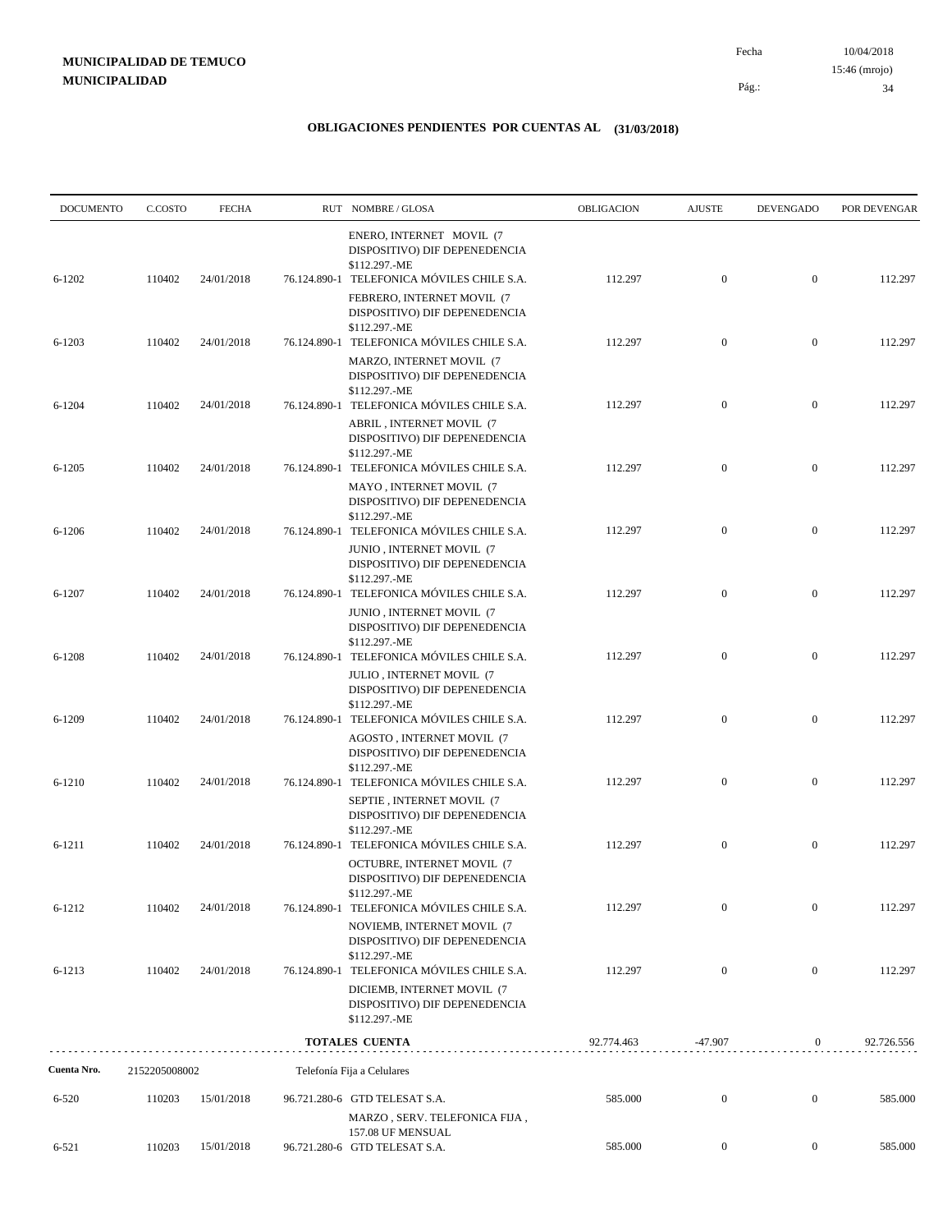| <b>DOCUMENTO</b> | C.COSTO       | <b>FECHA</b> | RUT NOMBRE/GLOSA                                                                                                           | OBLIGACION | <b>AJUSTE</b>    | <b>DEVENGADO</b> | POR DEVENGAR |
|------------------|---------------|--------------|----------------------------------------------------------------------------------------------------------------------------|------------|------------------|------------------|--------------|
| $6 - 1202$       | 110402        | 24/01/2018   | ENERO, INTERNET MOVIL (7<br>DISPOSITIVO) DIF DEPENEDENCIA<br>\$112.297.-ME<br>76.124.890-1 TELEFONICA MÓVILES CHILE S.A.   | 112.297    | $\mathbf{0}$     | $\mathbf{0}$     | 112.297      |
|                  |               |              | FEBRERO, INTERNET MOVIL (7<br>DISPOSITIVO) DIF DEPENEDENCIA<br>\$112.297.-ME                                               |            |                  |                  |              |
| $6 - 1203$       | 110402        | 24/01/2018   | 76.124.890-1 TELEFONICA MÓVILES CHILE S.A.<br>MARZO, INTERNET MOVIL (7<br>DISPOSITIVO) DIF DEPENEDENCIA                    | 112.297    | $\mathbf{0}$     | $\boldsymbol{0}$ | 112.297      |
| $6 - 1204$       | 110402        | 24/01/2018   | \$112.297.-ME<br>76.124.890-1 TELEFONICA MÓVILES CHILE S.A.<br>ABRIL, INTERNET MOVIL (7<br>DISPOSITIVO) DIF DEPENEDENCIA   | 112.297    | $\boldsymbol{0}$ | $\boldsymbol{0}$ | 112.297      |
| $6 - 1205$       | 110402        | 24/01/2018   | \$112.297.-ME<br>76.124.890-1 TELEFONICA MÓVILES CHILE S.A.                                                                | 112.297    | $\mathbf{0}$     | $\boldsymbol{0}$ | 112.297      |
|                  |               |              | MAYO, INTERNET MOVIL (7<br>DISPOSITIVO) DIF DEPENEDENCIA<br>\$112.297.-ME                                                  |            |                  |                  |              |
| $6 - 1206$       | 110402        | 24/01/2018   | 76.124.890-1 TELEFONICA MÓVILES CHILE S.A.<br>JUNIO, INTERNET MOVIL (7<br>DISPOSITIVO) DIF DEPENEDENCIA<br>\$112.297.-ME   | 112.297    | $\mathbf{0}$     | $\boldsymbol{0}$ | 112.297      |
| $6 - 1207$       | 110402        | 24/01/2018   | 76.124.890-1 TELEFONICA MÓVILES CHILE S.A.<br>JUNIO, INTERNET MOVIL (7<br>DISPOSITIVO) DIF DEPENEDENCIA                    | 112.297    | $\mathbf{0}$     | $\boldsymbol{0}$ | 112.297      |
| $6 - 1208$       | 110402        | 24/01/2018   | \$112.297.-ME<br>76.124.890-1 TELEFONICA MÓVILES CHILE S.A.<br>JULIO, INTERNET MOVIL (7                                    | 112.297    | $\mathbf{0}$     | $\boldsymbol{0}$ | 112.297      |
| 6-1209           | 110402        | 24/01/2018   | DISPOSITIVO) DIF DEPENEDENCIA<br>\$112.297.-ME<br>76.124.890-1 TELEFONICA MÓVILES CHILE S.A.                               | 112.297    | $\boldsymbol{0}$ | $\boldsymbol{0}$ | 112.297      |
|                  |               |              | AGOSTO, INTERNET MOVIL (7<br>DISPOSITIVO) DIF DEPENEDENCIA<br>\$112.297.-ME                                                |            |                  |                  |              |
| 6-1210           | 110402        | 24/01/2018   | 76.124.890-1 TELEFONICA MÓVILES CHILE S.A.<br>SEPTIE, INTERNET MOVIL (7<br>DISPOSITIVO) DIF DEPENEDENCIA                   | 112.297    | $\mathbf{0}$     | $\boldsymbol{0}$ | 112.297      |
| $6 - 1211$       | 110402        | 24/01/2018   | \$112.297.-ME<br>76.124.890-1 TELEFONICA MÓVILES CHILE S.A.<br>OCTUBRE, INTERNET MOVIL (7<br>DISPOSITIVO) DIF DEPENEDENCIA | 112.297    | $\mathbf{0}$     | $\boldsymbol{0}$ | 112.297      |
| $6 - 1212$       | 110402        | 24/01/2018   | \$112.297.-ME<br>76.124.890-1 TELEFONICA MÓVILES CHILE S.A.<br>NOVIEMB, INTERNET MOVIL (7<br>DISPOSITIVO) DIF DEPENEDENCIA | 112.297    | $\boldsymbol{0}$ | $\mathbf{0}$     | 112.297      |
| 6-1213           | 110402        | 24/01/2018   | \$112.297.-ME<br>76.124.890-1 TELEFONICA MÓVILES CHILE S.A.<br>DICIEMB, INTERNET MOVIL (7<br>DISPOSITIVO) DIF DEPENEDENCIA | 112.297    | $\mathbf{0}$     | $\boldsymbol{0}$ | 112.297      |
|                  |               |              | \$112.297.-ME<br><b>TOTALES CUENTA</b>                                                                                     | 92.774.463 | $-47.907$        | $\overline{0}$   | 92.726.556   |
| Cuenta Nro.      | 2152205008002 |              | Telefonía Fija a Celulares                                                                                                 |            |                  |                  |              |
| $6 - 520$        | 110203        | 15/01/2018   | 96.721.280-6 GTD TELESAT S.A.<br>MARZO, SERV. TELEFONICA FIJA,                                                             | 585.000    | $\boldsymbol{0}$ | $\boldsymbol{0}$ | 585.000      |
| $6 - 521$        | 110203        | 15/01/2018   | 157.08 UF MENSUAL<br>96.721.280-6 GTD TELESAT S.A.                                                                         | 585.000    | $\boldsymbol{0}$ | $\overline{0}$   | 585.000      |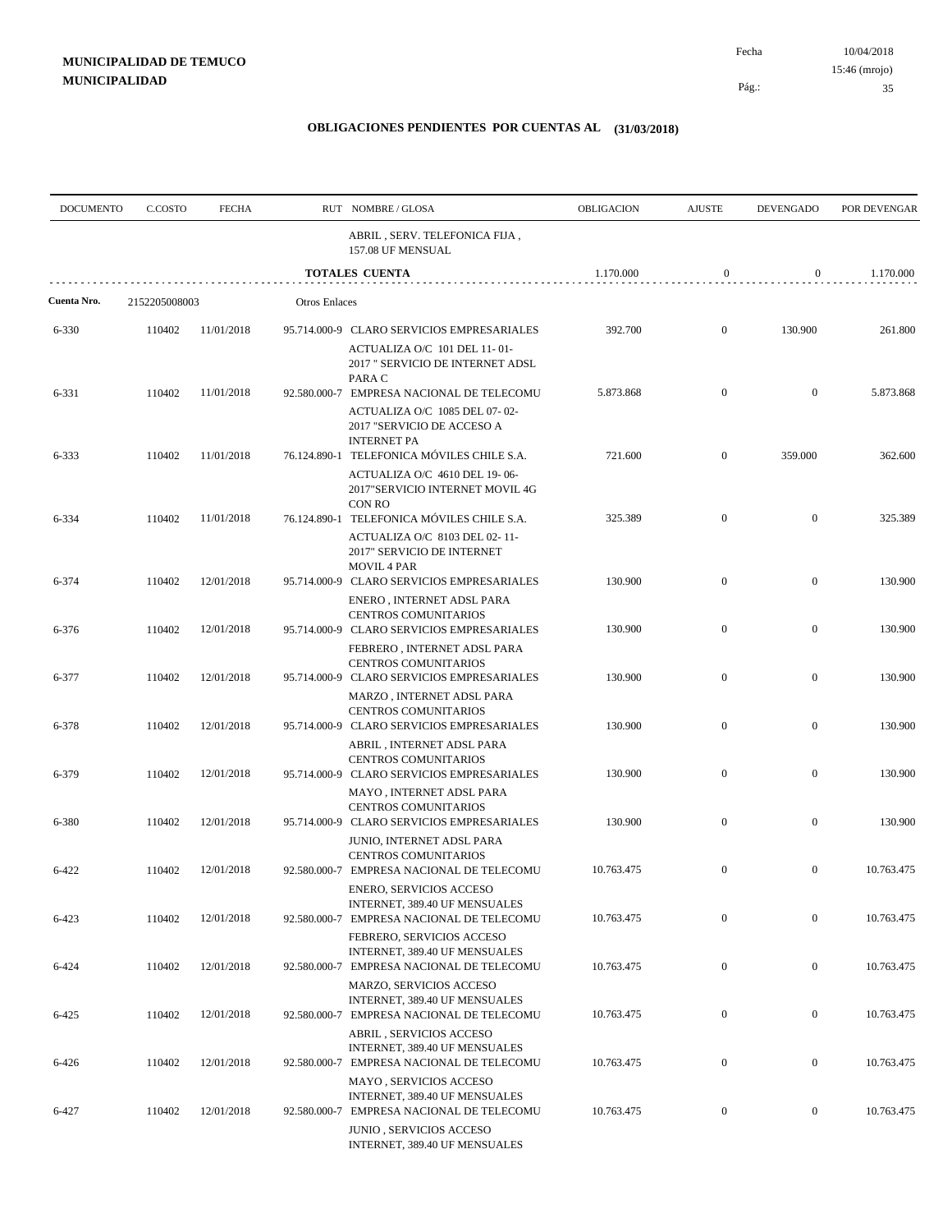| <b>DOCUMENTO</b> | C.COSTO       | <b>FECHA</b> |                      | RUT NOMBRE/GLOSA                                                                                                         | OBLIGACION | <b>AJUSTE</b>    | <b>DEVENGADO</b> | POR DEVENGAR |
|------------------|---------------|--------------|----------------------|--------------------------------------------------------------------------------------------------------------------------|------------|------------------|------------------|--------------|
|                  |               |              |                      | ABRIL, SERV. TELEFONICA FIJA,<br>157.08 UF MENSUAL                                                                       |            |                  |                  |              |
|                  |               |              |                      | <b>TOTALES CUENTA</b>                                                                                                    | 1.170.000  | $\boldsymbol{0}$ | $\mathbf{0}$     | 1.170.000    |
| Cuenta Nro.      | 2152205008003 |              | <b>Otros Enlaces</b> |                                                                                                                          |            |                  |                  |              |
| 6-330            | 110402        | 11/01/2018   |                      | 95.714.000-9 CLARO SERVICIOS EMPRESARIALES<br>ACTUALIZA O/C 101 DEL 11-01-                                               | 392.700    | $\mathbf{0}$     | 130.900          | 261.800      |
| 6-331            | 110402        | 11/01/2018   |                      | 2017 " SERVICIO DE INTERNET ADSL<br>PARA C<br>92.580.000-7 EMPRESA NACIONAL DE TELECOMU                                  | 5.873.868  | $\mathbf{0}$     | $\mathbf{0}$     | 5.873.868    |
|                  |               |              |                      | ACTUALIZA O/C 1085 DEL 07-02-<br>2017 "SERVICIO DE ACCESO A<br><b>INTERNET PA</b>                                        |            |                  |                  |              |
| 6-333            | 110402        | 11/01/2018   |                      | 76.124.890-1 TELEFONICA MÓVILES CHILE S.A.<br>ACTUALIZA O/C 4610 DEL 19-06-<br>2017"SERVICIO INTERNET MOVIL 4G<br>CON RO | 721.600    | $\mathbf{0}$     | 359.000          | 362.600      |
| 6-334            | 110402        | 11/01/2018   |                      | 76.124.890-1 TELEFONICA MÓVILES CHILE S.A.<br>ACTUALIZA O/C 8103 DEL 02-11-<br>2017" SERVICIO DE INTERNET                | 325.389    | $\boldsymbol{0}$ | $\boldsymbol{0}$ | 325.389      |
| 6-374            | 110402        | 12/01/2018   |                      | <b>MOVIL 4 PAR</b><br>95.714.000-9 CLARO SERVICIOS EMPRESARIALES<br>ENERO, INTERNET ADSL PARA                            | 130.900    | $\mathbf{0}$     | $\boldsymbol{0}$ | 130.900      |
| 6-376            | 110402        | 12/01/2018   |                      | CENTROS COMUNITARIOS<br>95.714.000-9 CLARO SERVICIOS EMPRESARIALES                                                       | 130.900    | $\mathbf{0}$     | $\boldsymbol{0}$ | 130.900      |
| 6-377            | 110402        | 12/01/2018   |                      | FEBRERO, INTERNET ADSL PARA<br><b>CENTROS COMUNITARIOS</b><br>95.714.000-9 CLARO SERVICIOS EMPRESARIALES                 | 130.900    | $\mathbf{0}$     | $\boldsymbol{0}$ | 130.900      |
| 6-378            | 110402        | 12/01/2018   |                      | MARZO, INTERNET ADSL PARA<br>CENTROS COMUNITARIOS<br>95.714.000-9 CLARO SERVICIOS EMPRESARIALES                          | 130.900    | $\boldsymbol{0}$ | $\boldsymbol{0}$ | 130.900      |
| 6-379            | 110402        | 12/01/2018   |                      | ABRIL, INTERNET ADSL PARA<br>CENTROS COMUNITARIOS<br>95.714.000-9 CLARO SERVICIOS EMPRESARIALES                          | 130.900    | $\boldsymbol{0}$ | $\boldsymbol{0}$ | 130.900      |
| 6-380            | 110402        | 12/01/2018   |                      | MAYO, INTERNET ADSL PARA<br><b>CENTROS COMUNITARIOS</b><br>95.714.000-9 CLARO SERVICIOS EMPRESARIALES                    | 130.900    | $\boldsymbol{0}$ | $\boldsymbol{0}$ | 130.900      |
| 6-422            | 110402        | 12/01/2018   |                      | JUNIO, INTERNET ADSL PARA<br><b>CENTROS COMUNITARIOS</b><br>92.580.000-7 EMPRESA NACIONAL DE TELECOMU                    | 10.763.475 | $\boldsymbol{0}$ | $\boldsymbol{0}$ | 10.763.475   |
| 6-423            | 110402        | 12/01/2018   |                      | ENERO, SERVICIOS ACCESO<br>INTERNET, 389.40 UF MENSUALES<br>92.580.000-7 EMPRESA NACIONAL DE TELECOMU                    | 10.763.475 | $\boldsymbol{0}$ | $\boldsymbol{0}$ | 10.763.475   |
| 6-424            | 110402        | 12/01/2018   |                      | FEBRERO, SERVICIOS ACCESO<br>INTERNET, 389.40 UF MENSUALES<br>92.580.000-7 EMPRESA NACIONAL DE TELECOMU                  | 10.763.475 | $\boldsymbol{0}$ | $\boldsymbol{0}$ | 10.763.475   |
|                  |               |              |                      | MARZO, SERVICIOS ACCESO<br>INTERNET, 389.40 UF MENSUALES                                                                 |            |                  |                  |              |
| 6-425            | 110402        | 12/01/2018   |                      | 92.580.000-7 EMPRESA NACIONAL DE TELECOMU<br><b>ABRIL, SERVICIOS ACCESO</b><br>INTERNET, 389.40 UF MENSUALES             | 10.763.475 | $\boldsymbol{0}$ | $\boldsymbol{0}$ | 10.763.475   |
| 6-426            | 110402        | 12/01/2018   |                      | 92.580.000-7 EMPRESA NACIONAL DE TELECOMU<br>MAYO, SERVICIOS ACCESO<br>INTERNET, 389.40 UF MENSUALES                     | 10.763.475 | $\boldsymbol{0}$ | $\boldsymbol{0}$ | 10.763.475   |
| 6-427            | 110402        | 12/01/2018   |                      | 92.580.000-7 EMPRESA NACIONAL DE TELECOMU<br>JUNIO, SERVICIOS ACCESO<br>INTERNET, 389.40 UF MENSUALES                    | 10.763.475 | $\boldsymbol{0}$ | $\boldsymbol{0}$ | 10.763.475   |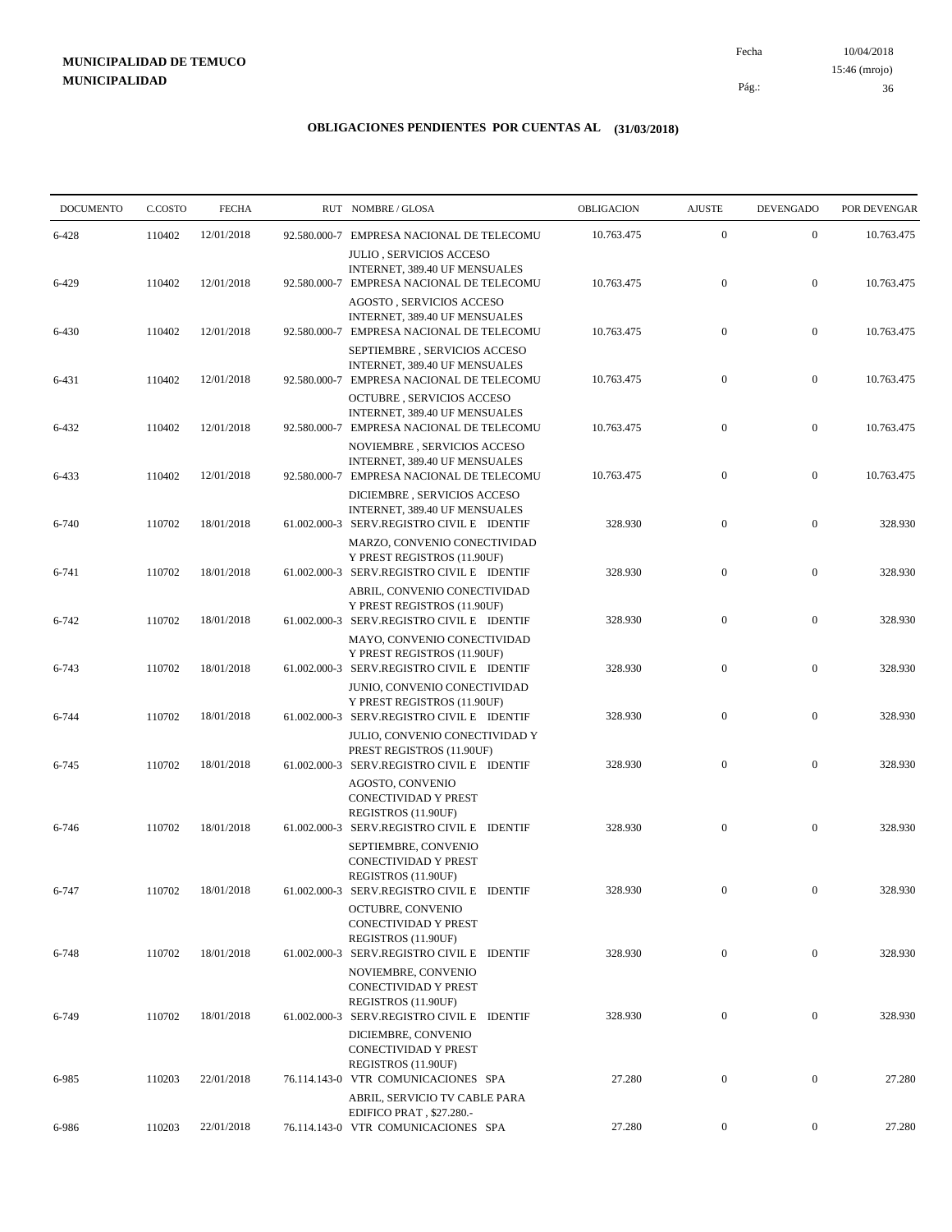10/04/2018 36 Pág.: Fecha

### **OBLIGACIONES PENDIENTES POR CUENTAS AL (31/03/2018)**

| <b>DOCUMENTO</b> | C.COSTO | <b>FECHA</b> |              | RUT NOMBRE/GLOSA                                                                                               | OBLIGACION | <b>AJUSTE</b>    | <b>DEVENGADO</b> | POR DEVENGAR |
|------------------|---------|--------------|--------------|----------------------------------------------------------------------------------------------------------------|------------|------------------|------------------|--------------|
| 6-428            | 110402  | 12/01/2018   | 92.580.000-7 | EMPRESA NACIONAL DE TELECOMU                                                                                   | 10.763.475 | $\boldsymbol{0}$ | $\mathbf{0}$     | 10.763.475   |
| 6-429            | 110402  | 12/01/2018   |              | JULIO, SERVICIOS ACCESO<br>INTERNET, 389.40 UF MENSUALES<br>92.580.000-7 EMPRESA NACIONAL DE TELECOMU          | 10.763.475 | $\boldsymbol{0}$ | $\boldsymbol{0}$ | 10.763.475   |
| 6-430            | 110402  | 12/01/2018   |              | AGOSTO, SERVICIOS ACCESO<br>INTERNET, 389.40 UF MENSUALES<br>92.580.000-7 EMPRESA NACIONAL DE TELECOMU         | 10.763.475 | $\boldsymbol{0}$ | $\boldsymbol{0}$ | 10.763.475   |
| 6-431            | 110402  | 12/01/2018   |              | SEPTIEMBRE, SERVICIOS ACCESO<br>INTERNET, 389.40 UF MENSUALES<br>92.580.000-7 EMPRESA NACIONAL DE TELECOMU     | 10.763.475 | $\boldsymbol{0}$ | $\boldsymbol{0}$ | 10.763.475   |
| 6-432            | 110402  | 12/01/2018   |              | <b>OCTUBRE, SERVICIOS ACCESO</b><br>INTERNET, 389.40 UF MENSUALES<br>92.580.000-7 EMPRESA NACIONAL DE TELECOMU | 10.763.475 | $\boldsymbol{0}$ | $\boldsymbol{0}$ | 10.763.475   |
|                  | 110402  | 12/01/2018   |              | NOVIEMBRE, SERVICIOS ACCESO<br>INTERNET, 389.40 UF MENSUALES                                                   | 10.763.475 | $\boldsymbol{0}$ | $\boldsymbol{0}$ | 10.763.475   |
| 6-433            |         |              |              | 92.580.000-7 EMPRESA NACIONAL DE TELECOMU<br>DICIEMBRE, SERVICIOS ACCESO<br>INTERNET, 389.40 UF MENSUALES      |            |                  |                  |              |
| 6-740            | 110702  | 18/01/2018   |              | 61.002.000-3 SERV.REGISTRO CIVIL E IDENTIF<br>MARZO, CONVENIO CONECTIVIDAD<br>Y PREST REGISTROS (11.90UF)      | 328.930    | $\mathbf{0}$     | $\mathbf{0}$     | 328.930      |
| 6-741            | 110702  | 18/01/2018   |              | 61.002.000-3 SERV.REGISTRO CIVIL E IDENTIF<br>ABRIL, CONVENIO CONECTIVIDAD<br>Y PREST REGISTROS (11.90UF)      | 328.930    | $\boldsymbol{0}$ | $\boldsymbol{0}$ | 328.930      |
| 6-742            | 110702  | 18/01/2018   |              | 61.002.000-3 SERV.REGISTRO CIVIL E IDENTIF<br>MAYO, CONVENIO CONECTIVIDAD                                      | 328.930    | $\boldsymbol{0}$ | $\boldsymbol{0}$ | 328.930      |
| 6-743            | 110702  | 18/01/2018   |              | Y PREST REGISTROS (11.90UF)<br>61.002.000-3 SERV.REGISTRO CIVIL E IDENTIF<br>JUNIO, CONVENIO CONECTIVIDAD      | 328.930    | $\boldsymbol{0}$ | $\boldsymbol{0}$ | 328.930      |
| 6-744            | 110702  | 18/01/2018   |              | Y PREST REGISTROS (11.90UF)<br>61.002.000-3 SERV.REGISTRO CIVIL E IDENTIF                                      | 328.930    | $\boldsymbol{0}$ | $\boldsymbol{0}$ | 328.930      |
| 6-745            | 110702  | 18/01/2018   |              | JULIO, CONVENIO CONECTIVIDAD Y<br>PREST REGISTROS (11.90UF)<br>61.002.000-3 SERV.REGISTRO CIVIL E IDENTIF      | 328.930    | $\boldsymbol{0}$ | $\mathbf{0}$     | 328.930      |
|                  |         |              |              | AGOSTO, CONVENIO<br><b>CONECTIVIDAD Y PREST</b><br>REGISTROS (11.90UF)                                         |            |                  |                  |              |
| 6-746            | 110702  | 18/01/2018   |              | 61.002.000-3 SERV.REGISTRO CIVIL E IDENTIF<br>SEPTIEMBRE, CONVENIO<br>CONECTIVIDAD Y PREST                     | 328.930    | $\boldsymbol{0}$ | $\mathbf{0}$     | 328.930      |
| 6-747            | 110702  | 18/01/2018   |              | REGISTROS (11.90UF)<br>61.002.000-3 SERV.REGISTRO CIVIL E IDENTIF<br>OCTUBRE, CONVENIO                         | 328.930    | $^{\circ}$       | $\Omega$         | 328.930      |
| $6 - 748$        | 110702  | 18/01/2018   |              | CONECTIVIDAD Y PREST<br>REGISTROS (11.90UF)<br>61.002.000-3 SERV.REGISTRO CIVIL E IDENTIF                      | 328.930    | $\boldsymbol{0}$ | $\mathbf{0}$     | 328.930      |
|                  |         |              |              | NOVIEMBRE, CONVENIO<br>CONECTIVIDAD Y PREST                                                                    |            |                  |                  |              |
| 6-749            | 110702  | 18/01/2018   |              | REGISTROS (11.90UF)<br>61.002.000-3 SERV.REGISTRO CIVIL E IDENTIF<br>DICIEMBRE, CONVENIO                       | 328.930    | $\boldsymbol{0}$ | $\mathbf{0}$     | 328.930      |
| 6-985            | 110203  | 22/01/2018   |              | CONECTIVIDAD Y PREST<br>REGISTROS (11.90UF)<br>76.114.143-0 VTR COMUNICACIONES SPA                             | 27.280     | $\boldsymbol{0}$ | $\boldsymbol{0}$ | 27.280       |
|                  |         |              |              | ABRIL, SERVICIO TV CABLE PARA<br>EDIFICO PRAT, \$27.280.-                                                      |            |                  |                  |              |
| 6-986            | 110203  | 22/01/2018   |              | 76.114.143-0 VTR COMUNICACIONES SPA                                                                            | 27.280     | $\overline{0}$   | $\boldsymbol{0}$ | 27.280       |

15:46 (mrojo)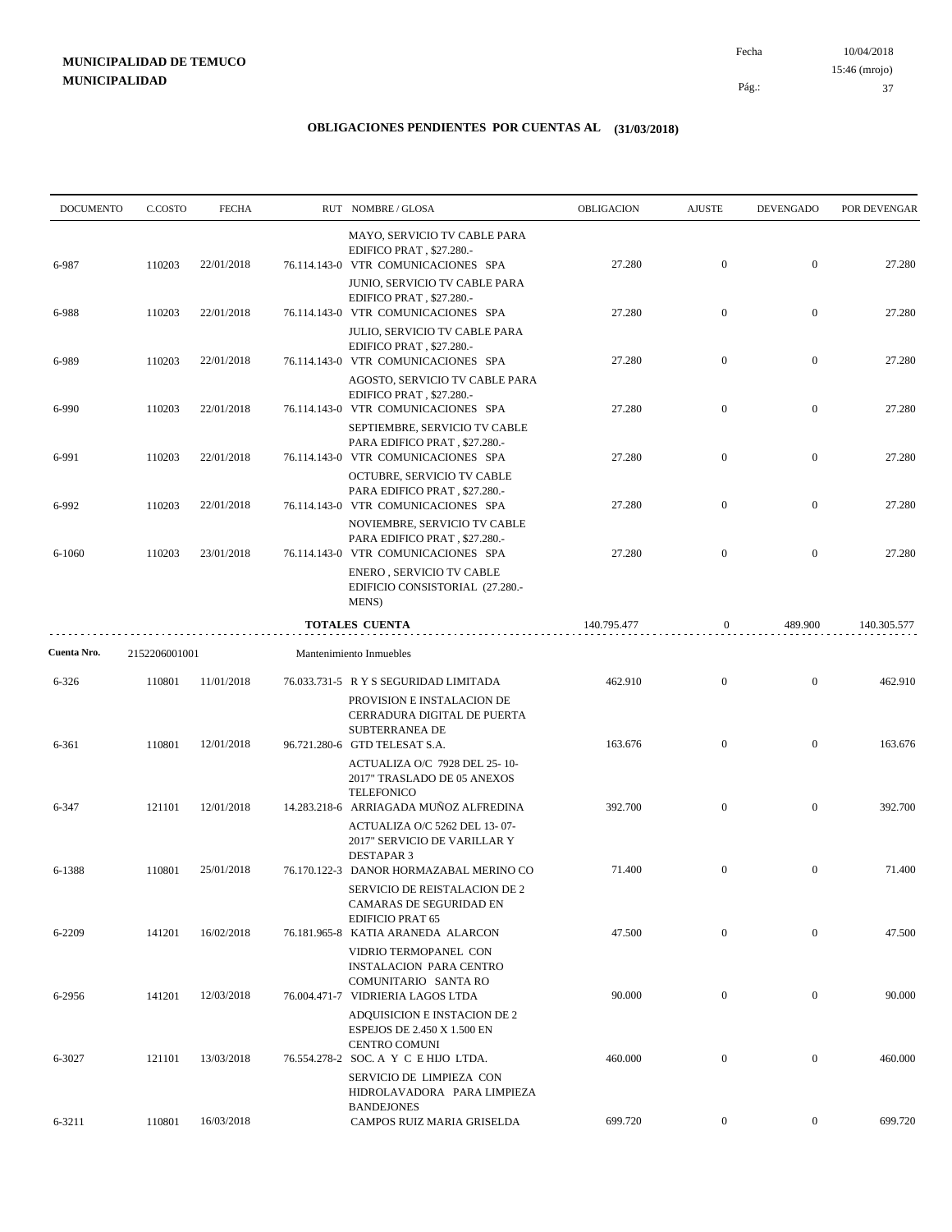10/04/2018 37 Pág.: Fecha 15:46 (mrojo)

| <b>DOCUMENTO</b> | C.COSTO       | <b>FECHA</b> | RUT NOMBRE/GLOSA                                                                                                         | OBLIGACION  | <b>AJUSTE</b>    | <b>DEVENGADO</b> | POR DEVENGAR |
|------------------|---------------|--------------|--------------------------------------------------------------------------------------------------------------------------|-------------|------------------|------------------|--------------|
| 6-987            | 110203        | 22/01/2018   | MAYO, SERVICIO TV CABLE PARA<br>EDIFICO PRAT, \$27.280.-<br>76.114.143-0 VTR COMUNICACIONES SPA                          | 27.280      | $\boldsymbol{0}$ | $\boldsymbol{0}$ | 27.280       |
| 6-988            | 110203        | 22/01/2018   | JUNIO, SERVICIO TV CABLE PARA<br>EDIFICO PRAT, \$27.280.-<br>76.114.143-0 VTR COMUNICACIONES SPA                         | 27.280      | $\mathbf{0}$     | $\boldsymbol{0}$ | 27.280       |
|                  |               |              | JULIO, SERVICIO TV CABLE PARA<br>EDIFICO PRAT, \$27.280.-                                                                |             |                  |                  |              |
| 6-989            | 110203        | 22/01/2018   | 76.114.143-0 VTR COMUNICACIONES SPA<br>AGOSTO, SERVICIO TV CABLE PARA                                                    | 27.280      | $\mathbf{0}$     | $\boldsymbol{0}$ | 27.280       |
| 6-990            | 110203        | 22/01/2018   | EDIFICO PRAT, \$27.280.-<br>76.114.143-0 VTR COMUNICACIONES SPA                                                          | 27.280      | $\mathbf{0}$     | $\boldsymbol{0}$ | 27.280       |
| 6-991            | 110203        | 22/01/2018   | SEPTIEMBRE, SERVICIO TV CABLE<br>PARA EDIFICO PRAT, \$27.280.-<br>76.114.143-0 VTR COMUNICACIONES SPA                    | 27.280      | $\boldsymbol{0}$ | $\boldsymbol{0}$ | 27.280       |
| 6-992            | 110203        | 22/01/2018   | OCTUBRE, SERVICIO TV CABLE<br>PARA EDIFICO PRAT, \$27.280.-<br>76.114.143-0 VTR COMUNICACIONES SPA                       | 27.280      | $\mathbf{0}$     | $\boldsymbol{0}$ | 27.280       |
| 6-1060           | 110203        | 23/01/2018   | NOVIEMBRE, SERVICIO TV CABLE<br>PARA EDIFICO PRAT, \$27.280.-<br>76.114.143-0 VTR COMUNICACIONES SPA                     | 27.280      | $\overline{0}$   | $\mathbf{0}$     | 27.280       |
|                  |               |              | ENERO, SERVICIO TV CABLE<br>EDIFICIO CONSISTORIAL (27.280.-<br>MENS)                                                     |             |                  |                  |              |
|                  |               |              | <b>TOTALES CUENTA</b>                                                                                                    | 140.795.477 | $\boldsymbol{0}$ | 489.900          | 140.305.577  |
| Cuenta Nro.      | 2152206001001 |              | Mantenimiento Inmuebles                                                                                                  |             |                  |                  |              |
| $6 - 326$        | 110801        | 11/01/2018   | 76.033.731-5 R Y S SEGURIDAD LIMITADA                                                                                    | 462.910     | $\mathbf{0}$     | $\boldsymbol{0}$ | 462.910      |
| 6-361            | 110801        | 12/01/2018   | PROVISION E INSTALACION DE<br>CERRADURA DIGITAL DE PUERTA<br>SUBTERRANEA DE<br>96.721.280-6 GTD TELESAT S.A.             | 163.676     | $\mathbf{0}$     | $\boldsymbol{0}$ | 163.676      |
|                  |               |              | ACTUALIZA O/C 7928 DEL 25-10-<br>2017" TRASLADO DE 05 ANEXOS<br><b>TELEFONICO</b>                                        |             |                  |                  |              |
| 6-347            | 121101        | 12/01/2018   | 14.283.218-6 ARRIAGADA MUÑOZ ALFREDINA<br>ACTUALIZA O/C 5262 DEL 13-07-<br>2017" SERVICIO DE VARILLAR Y                  | 392.700     | $\boldsymbol{0}$ | $\boldsymbol{0}$ | 392.700      |
| 6-1388           | 110801        | 25/01/2018   | <b>DESTAPAR 3</b><br>76.170.122-3 DANOR HORMAZABAL MERINO CO<br>SERVICIO DE REISTALACION DE 2<br>CAMARAS DE SEGURIDAD EN | 71.400      | $\boldsymbol{0}$ | $\boldsymbol{0}$ | 71.400       |
| 6-2209           | 141201        | 16/02/2018   | <b>EDIFICIO PRAT 65</b><br>76.181.965-8 KATIA ARANEDA ALARCON                                                            | 47.500      | $\boldsymbol{0}$ | $\boldsymbol{0}$ | 47.500       |
|                  |               |              | VIDRIO TERMOPANEL CON<br><b>INSTALACION PARA CENTRO</b><br>COMUNITARIO SANTA RO                                          |             |                  |                  |              |
| 6-2956           | 141201        | 12/03/2018   | 76.004.471-7 VIDRIERIA LAGOS LTDA<br>ADQUISICION E INSTACION DE 2<br><b>ESPEJOS DE 2.450 X 1.500 EN</b>                  | 90.000      | $\boldsymbol{0}$ | $\boldsymbol{0}$ | 90.000       |
| 6-3027           | 121101        | 13/03/2018   | <b>CENTRO COMUNI</b><br>76.554.278-2 SOC. A Y C E HIJO LTDA.<br>SERVICIO DE LIMPIEZA CON                                 | 460.000     | $\boldsymbol{0}$ | $\boldsymbol{0}$ | 460.000      |
|                  |               |              | HIDROLAVADORA PARA LIMPIEZA<br><b>BANDEJONES</b>                                                                         |             |                  |                  |              |
| 6-3211           | 110801        | 16/03/2018   | CAMPOS RUIZ MARIA GRISELDA                                                                                               | 699.720     | $\boldsymbol{0}$ | $\boldsymbol{0}$ | 699.720      |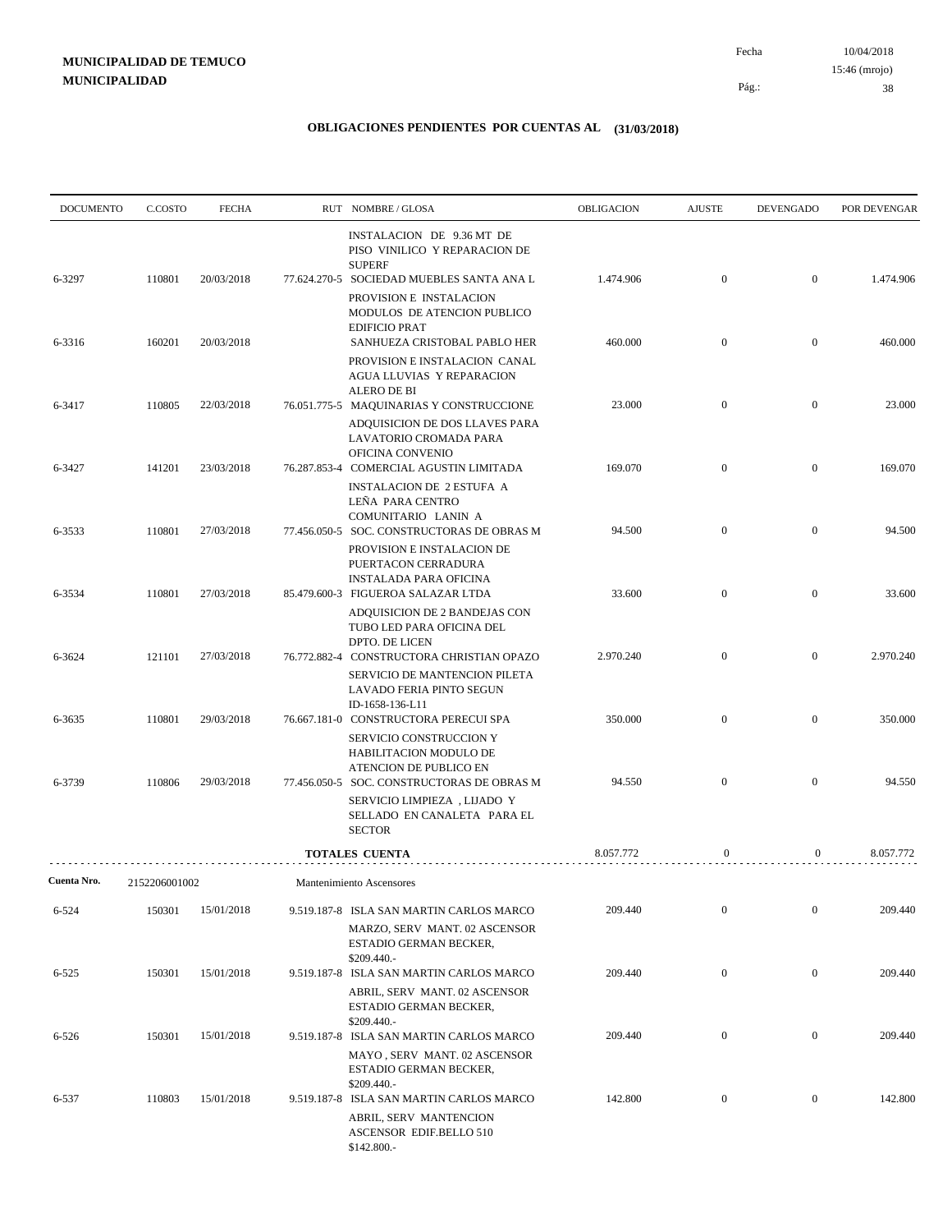| <b>DOCUMENTO</b> | C.COSTO       | <b>FECHA</b> | RUT NOMBRE/GLOSA                                                                                                                                             | OBLIGACION | <b>AJUSTE</b>    | <b>DEVENGADO</b> | POR DEVENGAR |
|------------------|---------------|--------------|--------------------------------------------------------------------------------------------------------------------------------------------------------------|------------|------------------|------------------|--------------|
| 6-3297           | 110801        | 20/03/2018   | INSTALACION DE 9.36 MT DE<br>PISO VINILICO Y REPARACION DE<br><b>SUPERF</b><br>77.624.270-5 SOCIEDAD MUEBLES SANTA ANA L                                     | 1.474.906  | $\boldsymbol{0}$ | $\overline{0}$   | 1.474.906    |
|                  |               |              | PROVISION E INSTALACION<br>MODULOS DE ATENCION PUBLICO<br><b>EDIFICIO PRAT</b>                                                                               |            |                  |                  |              |
| 6-3316           | 160201        | 20/03/2018   | SANHUEZA CRISTOBAL PABLO HER<br>PROVISION E INSTALACION CANAL<br><b>AGUA LLUVIAS Y REPARACION</b><br><b>ALERO DE BI</b>                                      | 460.000    | $\mathbf{0}$     | $\mathbf{0}$     | 460.000      |
| 6-3417           | 110805        | 22/03/2018   | 76.051.775-5 MAQUINARIAS Y CONSTRUCCIONE<br>ADQUISICION DE DOS LLAVES PARA<br>LAVATORIO CROMADA PARA<br>OFICINA CONVENIO                                     | 23.000     | $\boldsymbol{0}$ | $\mathbf{0}$     | 23.000       |
| 6-3427           | 141201        | 23/03/2018   | 76.287.853-4 COMERCIAL AGUSTIN LIMITADA<br><b>INSTALACION DE 2 ESTUFA A</b><br>LEÑA PARA CENTRO<br>COMUNITARIO LANIN A                                       | 169.070    | $\boldsymbol{0}$ | $\boldsymbol{0}$ | 169.070      |
| 6-3533           | 110801        | 27/03/2018   | 77.456.050-5 SOC. CONSTRUCTORAS DE OBRAS M<br>PROVISION E INSTALACION DE<br>PUERTACON CERRADURA                                                              | 94.500     | $\boldsymbol{0}$ | $\boldsymbol{0}$ | 94.500       |
| 6-3534           | 110801        | 27/03/2018   | <b>INSTALADA PARA OFICINA</b><br>85.479.600-3 FIGUEROA SALAZAR LTDA<br>ADQUISICION DE 2 BANDEJAS CON<br>TUBO LED PARA OFICINA DEL                            | 33.600     | $\boldsymbol{0}$ | $\boldsymbol{0}$ | 33.600       |
| 6-3624           | 121101        | 27/03/2018   | <b>DPTO. DE LICEN</b><br>76.772.882-4 CONSTRUCTORA CHRISTIAN OPAZO<br>SERVICIO DE MANTENCION PILETA<br>LAVADO FERIA PINTO SEGUN                              | 2.970.240  | $\boldsymbol{0}$ | $\mathbf{0}$     | 2.970.240    |
| 6-3635           | 110801        | 29/03/2018   | ID-1658-136-L11<br>76.667.181-0 CONSTRUCTORA PERECUI SPA<br>SERVICIO CONSTRUCCION Y                                                                          | 350.000    | $\boldsymbol{0}$ | $\boldsymbol{0}$ | 350.000      |
| 6-3739           | 110806        | 29/03/2018   | HABILITACION MODULO DE<br>ATENCION DE PUBLICO EN<br>77.456.050-5 SOC. CONSTRUCTORAS DE OBRAS M<br>SERVICIO LIMPIEZA, LIJADO Y<br>SELLADO EN CANALETA PARA EL | 94.550     | $\boldsymbol{0}$ | $\boldsymbol{0}$ | 94.550       |
|                  |               |              | <b>SECTOR</b><br><b>TOTALES CUENTA</b>                                                                                                                       | 8.057.772  | $\mathbf{0}$     | $\overline{0}$   | 8.057.772    |
| Cuenta Nro.      | 2152206001002 |              | Mantenimiento Ascensores                                                                                                                                     |            |                  |                  |              |
| 6-524            | 150301        | 15/01/2018   | 9.519.187-8 ISLA SAN MARTIN CARLOS MARCO<br>MARZO, SERV MANT. 02 ASCENSOR<br>ESTADIO GERMAN BECKER,                                                          | 209.440    | $\mathbf{0}$     | $\mathbf{0}$     | 209.440      |
| $6 - 525$        | 150301        | 15/01/2018   | \$209.440.-<br>9.519.187-8 ISLA SAN MARTIN CARLOS MARCO<br>ABRIL, SERV MANT. 02 ASCENSOR<br>ESTADIO GERMAN BECKER,                                           | 209.440    | $\mathbf{0}$     | $\boldsymbol{0}$ | 209.440      |
| $6 - 526$        | 150301        | 15/01/2018   | \$209.440.-<br>9.519.187-8 ISLA SAN MARTIN CARLOS MARCO<br>MAYO, SERV MANT. 02 ASCENSOR<br>ESTADIO GERMAN BECKER,                                            | 209.440    | $\mathbf{0}$     | $\boldsymbol{0}$ | 209.440      |
| 6-537            | 110803        | 15/01/2018   | $$209.440-$<br>9.519.187-8 ISLA SAN MARTIN CARLOS MARCO<br>ABRIL, SERV MANTENCION<br>ASCENSOR EDIF.BELLO 510<br>\$142.800 .-                                 | 142.800    | $\boldsymbol{0}$ | $\boldsymbol{0}$ | 142.800      |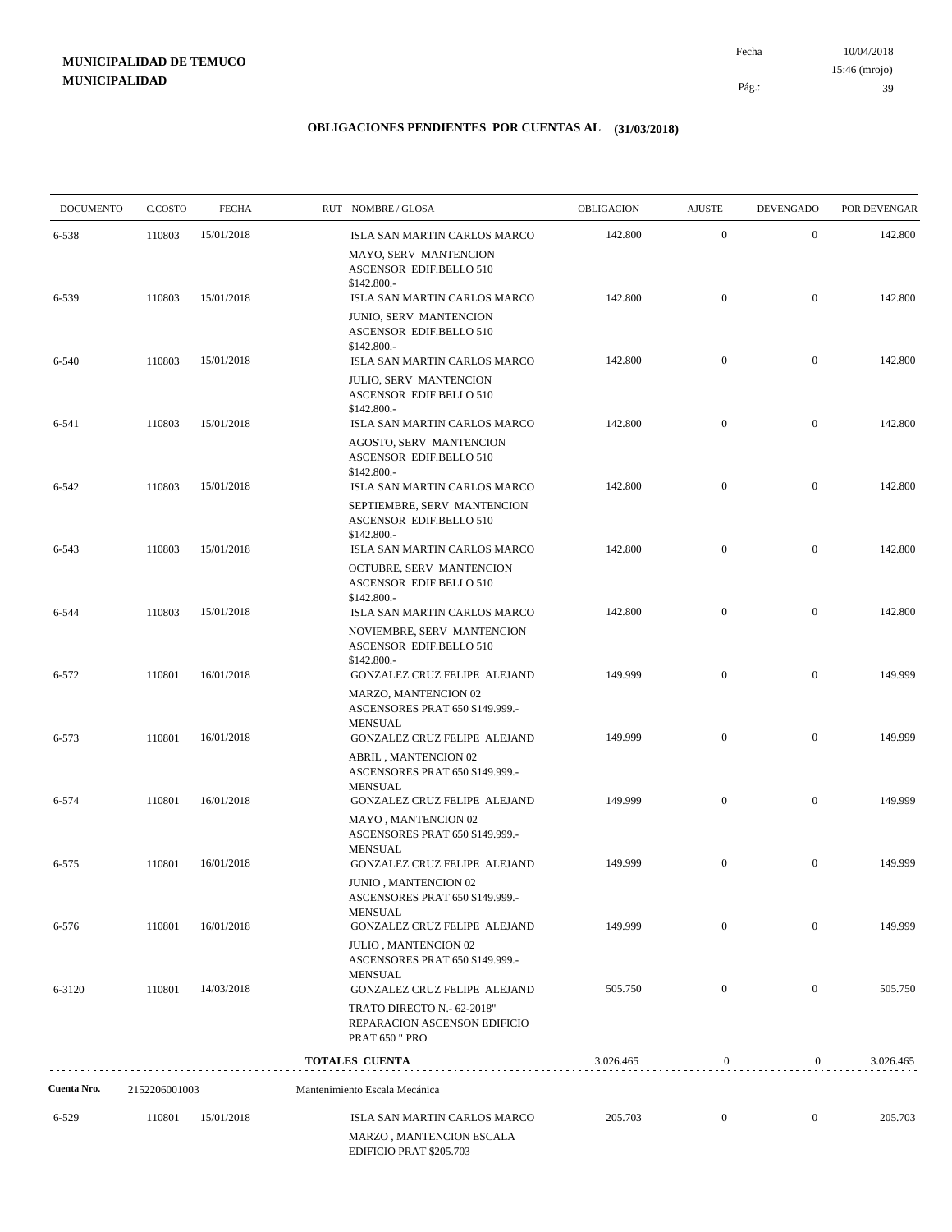10/04/2018 39 Pág.: Fecha 15:46 (mrojo)

| <b>DOCUMENTO</b> | C.COSTO       | <b>FECHA</b> | RUT NOMBRE/GLOSA                                                                                          | OBLIGACION | <b>AJUSTE</b>    | <b>DEVENGADO</b> | POR DEVENGAR |
|------------------|---------------|--------------|-----------------------------------------------------------------------------------------------------------|------------|------------------|------------------|--------------|
| 6-538            | 110803        | 15/01/2018   | ISLA SAN MARTIN CARLOS MARCO                                                                              | 142.800    | $\boldsymbol{0}$ | $\boldsymbol{0}$ | 142.800      |
|                  |               |              | MAYO, SERV MANTENCION<br>ASCENSOR EDIF.BELLO 510<br>$$142.800-$                                           |            |                  |                  |              |
| 6-539            | 110803        | 15/01/2018   | ISLA SAN MARTIN CARLOS MARCO                                                                              | 142.800    | $\overline{0}$   | $\overline{0}$   | 142.800      |
|                  |               |              | JUNIO, SERV MANTENCION<br>ASCENSOR EDIF.BELLO 510<br>\$142.800.-                                          |            |                  |                  |              |
| 6-540            | 110803        | 15/01/2018   | ISLA SAN MARTIN CARLOS MARCO                                                                              | 142.800    | $\mathbf{0}$     | $\mathbf{0}$     | 142.800      |
|                  |               |              | JULIO, SERV MANTENCION<br><b>ASCENSOR EDIF.BELLO 510</b><br>$$142.800-$                                   |            |                  |                  |              |
| 6-541            | 110803        | 15/01/2018   | ISLA SAN MARTIN CARLOS MARCO                                                                              | 142.800    | $\mathbf{0}$     | $\mathbf{0}$     | 142.800      |
|                  |               |              | AGOSTO, SERV MANTENCION<br>ASCENSOR EDIF.BELLO 510<br>\$142.800.-                                         |            |                  |                  |              |
| 6-542            | 110803        | 15/01/2018   | ISLA SAN MARTIN CARLOS MARCO                                                                              | 142.800    | $\mathbf{0}$     | $\mathbf{0}$     | 142.800      |
|                  |               |              | SEPTIEMBRE, SERV MANTENCION<br>ASCENSOR EDIF.BELLO 510<br>$$142.800-$                                     |            |                  |                  |              |
| 6-543            | 110803        | 15/01/2018   | ISLA SAN MARTIN CARLOS MARCO                                                                              | 142.800    | $\mathbf{0}$     | $\mathbf{0}$     | 142.800      |
|                  |               |              | OCTUBRE, SERV MANTENCION<br>ASCENSOR EDIF.BELLO 510<br>\$142.800.-                                        |            |                  |                  |              |
| 6-544            | 110803        | 15/01/2018   | ISLA SAN MARTIN CARLOS MARCO                                                                              | 142.800    | $\mathbf{0}$     | $\mathbf{0}$     | 142.800      |
|                  |               |              | NOVIEMBRE, SERV MANTENCION<br>ASCENSOR EDIF.BELLO 510<br>\$142.800.-                                      |            | $\mathbf{0}$     |                  |              |
| 6-572            | 110801        | 16/01/2018   | GONZALEZ CRUZ FELIPE ALEJAND                                                                              | 149.999    |                  | $\mathbf{0}$     | 149.999      |
| 6-573            | 110801        | 16/01/2018   | MARZO, MANTENCION 02<br>ASCENSORES PRAT 650 \$149.999.-<br><b>MENSUAL</b><br>GONZALEZ CRUZ FELIPE ALEJAND | 149.999    | $\mathbf{0}$     | $\mathbf{0}$     | 149.999      |
|                  |               |              | <b>ABRIL, MANTENCION 02</b><br>ASCENSORES PRAT 650 \$149.999.-<br><b>MENSUAL</b>                          |            |                  |                  |              |
| 6-574            | 110801        | 16/01/2018   | GONZALEZ CRUZ FELIPE ALEJAND                                                                              | 149.999    | $\mathbf{0}$     | $\mathbf{0}$     | 149.999      |
|                  |               |              | MAYO, MANTENCION 02<br>ASCENSORES PRAT 650 \$149.999.-<br><b>MENSUAL</b>                                  |            |                  |                  |              |
| 6-575            | 110801        | 16/01/2018   | GONZALEZ CRUZ FELIPE ALEJAND                                                                              | 149.999    | $\boldsymbol{0}$ | $\boldsymbol{0}$ | 149.999      |
|                  |               |              | <b>JUNIO, MANTENCION 02</b><br>ASCENSORES PRAT 650 \$149.999.-<br><b>MENSUAL</b>                          |            |                  |                  |              |
| 6-576            | 110801        | 16/01/2018   | GONZALEZ CRUZ FELIPE ALEJAND                                                                              | 149.999    | $\overline{0}$   | $\overline{0}$   | 149.999      |
|                  |               |              | JULIO, MANTENCION 02<br>ASCENSORES PRAT 650 \$149.999.-<br><b>MENSUAL</b>                                 |            |                  |                  |              |
| 6-3120           | 110801        | 14/03/2018   | GONZALEZ CRUZ FELIPE ALEJAND                                                                              | 505.750    | $\mathbf{0}$     | $\overline{0}$   | 505.750      |
|                  |               |              | TRATO DIRECTO N.- 62-2018"<br>REPARACION ASCENSON EDIFICIO<br><b>PRAT 650 " PRO</b>                       |            |                  |                  |              |
|                  |               |              | <b>TOTALES CUENTA</b>                                                                                     | 3.026.465  | $\boldsymbol{0}$ | $\mathbf{0}$     | 3.026.465    |
| Cuenta Nro.      | 2152206001003 |              | Mantenimiento Escala Mecánica                                                                             |            |                  |                  |              |
| 6-529            | 110801        | 15/01/2018   | ISLA SAN MARTIN CARLOS MARCO                                                                              | 205.703    | $\boldsymbol{0}$ | $\mathbf{0}$     | 205.703      |
|                  |               |              | MARZO, MANTENCION ESCALA<br>EDIFICIO PRAT \$205.703                                                       |            |                  |                  |              |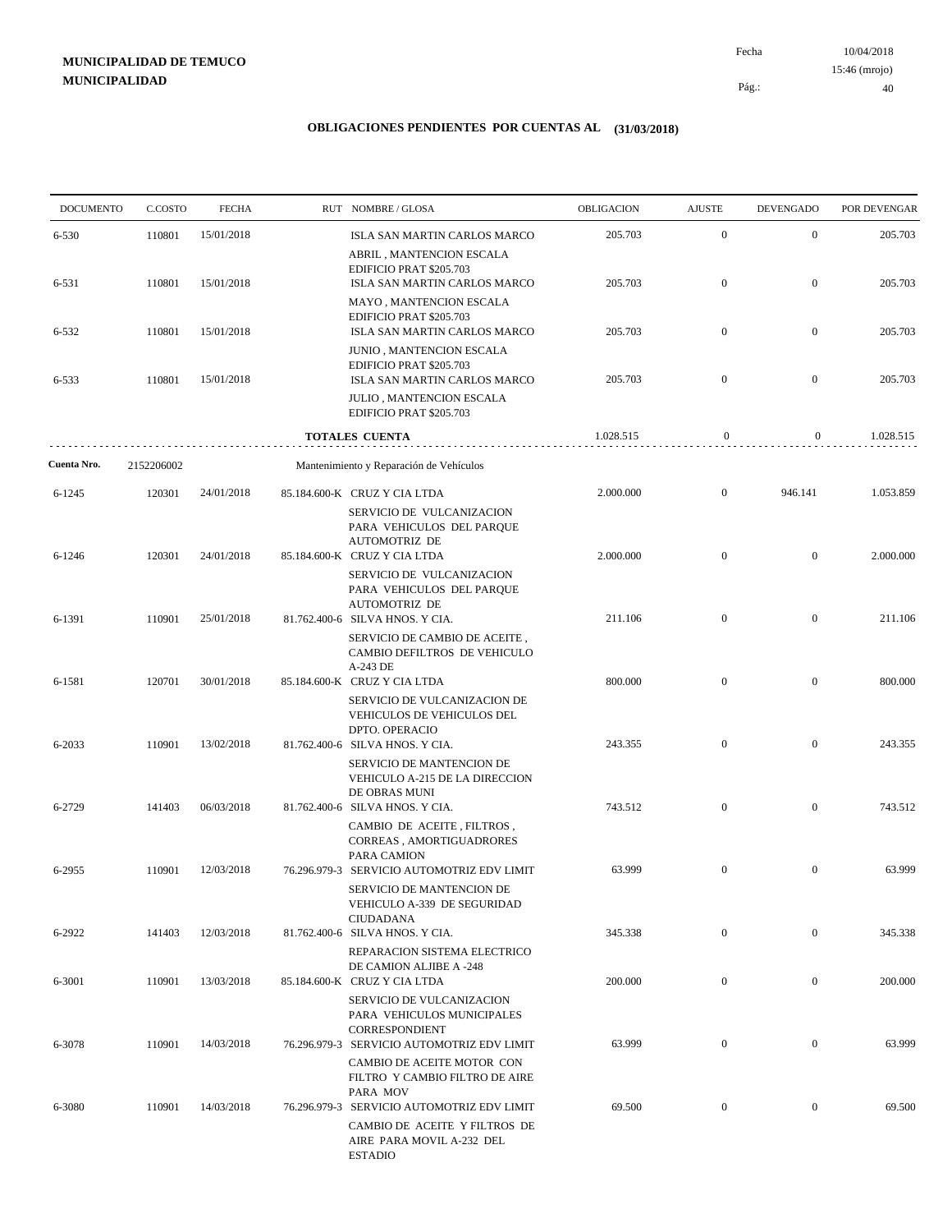10/04/2018 40 Pág.: Fecha 15:46 (mrojo)

| <b>DOCUMENTO</b> | C.COSTO    | <b>FECHA</b> | RUT NOMBRE/GLOSA                                                                                                                  | OBLIGACION | <b>AJUSTE</b>    | <b>DEVENGADO</b> | POR DEVENGAR |
|------------------|------------|--------------|-----------------------------------------------------------------------------------------------------------------------------------|------------|------------------|------------------|--------------|
| 6-530            | 110801     | 15/01/2018   | ISLA SAN MARTIN CARLOS MARCO                                                                                                      | 205.703    | $\mathbf{0}$     | $\mathbf{0}$     | 205.703      |
|                  |            |              | ABRIL, MANTENCION ESCALA<br>EDIFICIO PRAT \$205.703                                                                               |            |                  |                  |              |
| 6-531            | 110801     | 15/01/2018   | ISLA SAN MARTIN CARLOS MARCO<br>MAYO, MANTENCION ESCALA                                                                           | 205.703    | $\mathbf{0}$     | $\mathbf{0}$     | 205.703      |
| 6-532            | 110801     | 15/01/2018   | EDIFICIO PRAT \$205.703<br>ISLA SAN MARTIN CARLOS MARCO                                                                           | 205.703    | $\mathbf{0}$     | $\mathbf{0}$     | 205.703      |
| 6-533            | 110801     | 15/01/2018   | JUNIO, MANTENCION ESCALA<br>EDIFICIO PRAT \$205.703<br>ISLA SAN MARTIN CARLOS MARCO                                               | 205.703    | $\mathbf{0}$     | $\mathbf{0}$     | 205.703      |
|                  |            |              | JULIO, MANTENCION ESCALA<br>EDIFICIO PRAT \$205.703                                                                               |            |                  |                  |              |
|                  |            |              | TOTALES CUENTA                                                                                                                    | 1.028.515  | $\mathbf{0}$     | $\overline{0}$   | 1.028.515    |
| Cuenta Nro.      | 2152206002 |              | Mantenimiento y Reparación de Vehículos                                                                                           |            |                  |                  |              |
| 6-1245           | 120301     | 24/01/2018   | 85.184.600-K CRUZ Y CIA LTDA                                                                                                      | 2.000.000  | $\mathbf{0}$     | 946.141          | 1.053.859    |
| 6-1246           | 120301     | 24/01/2018   | SERVICIO DE VULCANIZACION<br>PARA VEHICULOS DEL PARQUE<br><b>AUTOMOTRIZ DE</b><br>85.184.600-K CRUZ Y CIA LTDA                    | 2.000.000  | $\boldsymbol{0}$ | $\mathbf{0}$     | 2.000.000    |
|                  |            |              | SERVICIO DE VULCANIZACION<br>PARA VEHICULOS DEL PARQUE<br><b>AUTOMOTRIZ DE</b>                                                    |            |                  |                  |              |
| 6-1391           | 110901     | 25/01/2018   | 81.762.400-6 SILVA HNOS. Y CIA.<br>SERVICIO DE CAMBIO DE ACEITE,<br>CAMBIO DEFILTROS DE VEHICULO<br>A-243 DE                      | 211.106    | $\mathbf{0}$     | $\mathbf{0}$     | 211.106      |
| 6-1581           | 120701     | 30/01/2018   | 85.184.600-K CRUZ Y CIA LTDA<br>SERVICIO DE VULCANIZACION DE<br>VEHICULOS DE VEHICULOS DEL                                        | 800.000    | $\boldsymbol{0}$ | $\mathbf{0}$     | 800.000      |
| 6-2033           | 110901     | 13/02/2018   | DPTO. OPERACIO<br>81.762.400-6 SILVA HNOS. Y CIA.<br>SERVICIO DE MANTENCION DE<br>VEHICULO A-215 DE LA DIRECCION<br>DE OBRAS MUNI | 243.355    | $\mathbf{0}$     | $\mathbf{0}$     | 243.355      |
| 6-2729           | 141403     | 06/03/2018   | 81.762.400-6 SILVA HNOS. Y CIA.<br>CAMBIO DE ACEITE, FILTROS,<br>CORREAS, AMORTIGUADRORES<br>PARA CAMION                          | 743.512    | $\boldsymbol{0}$ | $\mathbf{0}$     | 743.512      |
| 6-2955           | 110901     | 12/03/2018   | 76.296.979-3 SERVICIO AUTOMOTRIZ EDV LIMIT<br>SERVICIO DE MANTENCION DE<br>VEHICULO A-339 DE SEGURIDAD<br><b>CIUDADANA</b>        | 63.999     | $\boldsymbol{0}$ | $\mathbf{0}$     | 63.999       |
| 6-2922           | 141403     | 12/03/2018   | 81.762.400-6 SILVA HNOS. Y CIA.<br>REPARACION SISTEMA ELECTRICO                                                                   | 345.338    | $\boldsymbol{0}$ | $\bf{0}$         | 345.338      |
| 6-3001           | 110901     | 13/03/2018   | DE CAMION ALJIBE A -248<br>85.184.600-K CRUZ Y CIA LTDA<br>SERVICIO DE VULCANIZACION<br>PARA VEHICULOS MUNICIPALES                | 200.000    | $\mathbf{0}$     | $\boldsymbol{0}$ | 200.000      |
| 6-3078           | 110901     | 14/03/2018   | CORRESPONDIENT<br>76.296.979-3 SERVICIO AUTOMOTRIZ EDV LIMIT<br>CAMBIO DE ACEITE MOTOR CON                                        | 63.999     | $\boldsymbol{0}$ | $\boldsymbol{0}$ | 63.999       |
| 6-3080           | 110901     | 14/03/2018   | FILTRO Y CAMBIO FILTRO DE AIRE<br>PARA MOV<br>76.296.979-3 SERVICIO AUTOMOTRIZ EDV LIMIT                                          | 69.500     | $\boldsymbol{0}$ | $\boldsymbol{0}$ | 69.500       |
|                  |            |              | CAMBIO DE ACEITE Y FILTROS DE<br>AIRE PARA MOVIL A-232 DEL<br><b>ESTADIO</b>                                                      |            |                  |                  |              |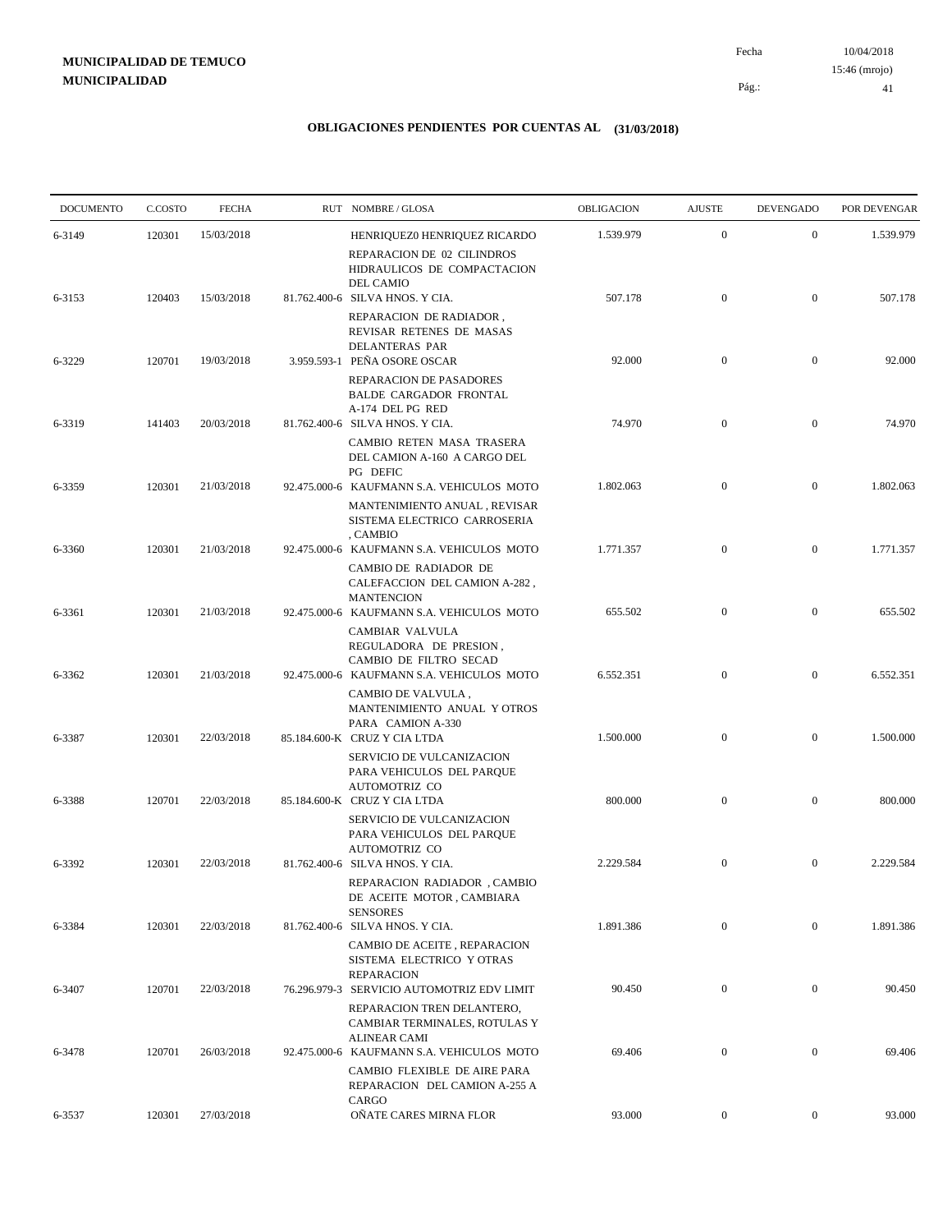10/04/2018 41 Pág.: Fecha 15:46 (mrojo)

| <b>DOCUMENTO</b> | C.COSTO | <b>FECHA</b> | RUT NOMBRE/GLOSA                                                                                                      | OBLIGACION | <b>AJUSTE</b>    | <b>DEVENGADO</b> | POR DEVENGAR |
|------------------|---------|--------------|-----------------------------------------------------------------------------------------------------------------------|------------|------------------|------------------|--------------|
| 6-3149           | 120301  | 15/03/2018   | HENRIQUEZ0 HENRIQUEZ RICARDO<br>REPARACION DE 02 CILINDROS                                                            | 1.539.979  | $\mathbf{0}$     | $\mathbf{0}$     | 1.539.979    |
|                  |         |              | HIDRAULICOS DE COMPACTACION<br><b>DEL CAMIO</b>                                                                       |            |                  |                  |              |
| 6-3153           | 120403  | 15/03/2018   | 81.762.400-6 SILVA HNOS. Y CIA.<br>REPARACION DE RADIADOR,<br>REVISAR RETENES DE MASAS                                | 507.178    | $\mathbf{0}$     | $\mathbf{0}$     | 507.178      |
| 6-3229           | 120701  | 19/03/2018   | DELANTERAS PAR<br>3.959.593-1 PEÑA OSORE OSCAR<br>REPARACION DE PASADORES<br><b>BALDE CARGADOR FRONTAL</b>            | 92.000     | $\boldsymbol{0}$ | $\mathbf{0}$     | 92.000       |
| 6-3319           | 141403  | 20/03/2018   | A-174 DEL PG RED<br>81.762.400-6 SILVA HNOS. Y CIA.                                                                   | 74.970     | $\mathbf{0}$     | $\mathbf{0}$     | 74.970       |
|                  |         |              | CAMBIO RETEN MASA TRASERA<br>DEL CAMION A-160 A CARGO DEL<br>PG DEFIC                                                 |            |                  |                  |              |
| 6-3359           | 120301  | 21/03/2018   | 92.475.000-6 KAUFMANN S.A. VEHICULOS MOTO<br>MANTENIMIENTO ANUAL, REVISAR<br>SISTEMA ELECTRICO CARROSERIA<br>, CAMBIO | 1.802.063  | $\boldsymbol{0}$ | $\mathbf{0}$     | 1.802.063    |
| 6-3360           | 120301  | 21/03/2018   | 92.475.000-6 KAUFMANN S.A. VEHICULOS MOTO<br>CAMBIO DE RADIADOR DE<br>CALEFACCION DEL CAMION A-282,                   | 1.771.357  | $\mathbf{0}$     | $\mathbf{0}$     | 1.771.357    |
| 6-3361           | 120301  | 21/03/2018   | <b>MANTENCION</b><br>92.475.000-6 KAUFMANN S.A. VEHICULOS MOTO                                                        | 655.502    | $\boldsymbol{0}$ | $\mathbf{0}$     | 655.502      |
| 6-3362           | 120301  | 21/03/2018   | CAMBIAR VALVULA<br>REGULADORA DE PRESION,<br>CAMBIO DE FILTRO SECAD<br>92.475.000-6 KAUFMANN S.A. VEHICULOS MOTO      | 6.552.351  | $\mathbf{0}$     | $\overline{0}$   | 6.552.351    |
|                  |         |              | CAMBIO DE VALVULA,<br>MANTENIMIENTO ANUAL Y OTROS<br>PARA CAMION A-330                                                |            |                  |                  |              |
| 6-3387           | 120301  | 22/03/2018   | 85.184.600-K CRUZ Y CIA LTDA<br>SERVICIO DE VULCANIZACION<br>PARA VEHICULOS DEL PARQUE<br>AUTOMOTRIZ CO               | 1.500.000  | $\boldsymbol{0}$ | $\mathbf{0}$     | 1.500.000    |
| 6-3388           | 120701  | 22/03/2018   | 85.184.600-K CRUZ Y CIA LTDA<br>SERVICIO DE VULCANIZACION<br>PARA VEHICULOS DEL PARQUE                                | 800.000    | $\mathbf{0}$     | $\mathbf{0}$     | 800.000      |
| 6-3392           | 120301  | 22/03/2018   | AUTOMOTRIZ CO<br>81.762.400-6 SILVA HNOS. Y CIA.<br>REPARACION RADIADOR, CAMBIO                                       | 2.229.584  | $\mathbf{0}$     | $\mathbf{0}$     | 2.229.584    |
|                  |         |              | DE ACEITE MOTOR, CAMBIARA<br><b>SENSORES</b>                                                                          |            |                  |                  |              |
| 6-3384           | 120301  | 22/03/2018   | 81.762.400-6 SILVA HNOS. Y CIA.<br>CAMBIO DE ACEITE, REPARACION<br>SISTEMA ELECTRICO Y OTRAS                          | 1.891.386  | $\boldsymbol{0}$ | $\mathbf{0}$     | 1.891.386    |
| 6-3407           | 120701  | 22/03/2018   | <b>REPARACION</b><br>76.296.979-3 SERVICIO AUTOMOTRIZ EDV LIMIT<br>REPARACION TREN DELANTERO,                         | 90.450     | $\boldsymbol{0}$ | $\boldsymbol{0}$ | 90.450       |
| 6-3478           | 120701  | 26/03/2018   | CAMBIAR TERMINALES, ROTULAS Y<br>ALINEAR CAMI<br>92.475.000-6 KAUFMANN S.A. VEHICULOS MOTO                            | 69.406     | $\boldsymbol{0}$ | $\boldsymbol{0}$ | 69.406       |
|                  |         |              | CAMBIO FLEXIBLE DE AIRE PARA<br>REPARACION DEL CAMION A-255 A<br>CARGO                                                |            |                  |                  |              |
| 6-3537           | 120301  | 27/03/2018   | OÑATE CARES MIRNA FLOR                                                                                                | 93.000     | $\mathbf{0}$     | $\boldsymbol{0}$ | 93.000       |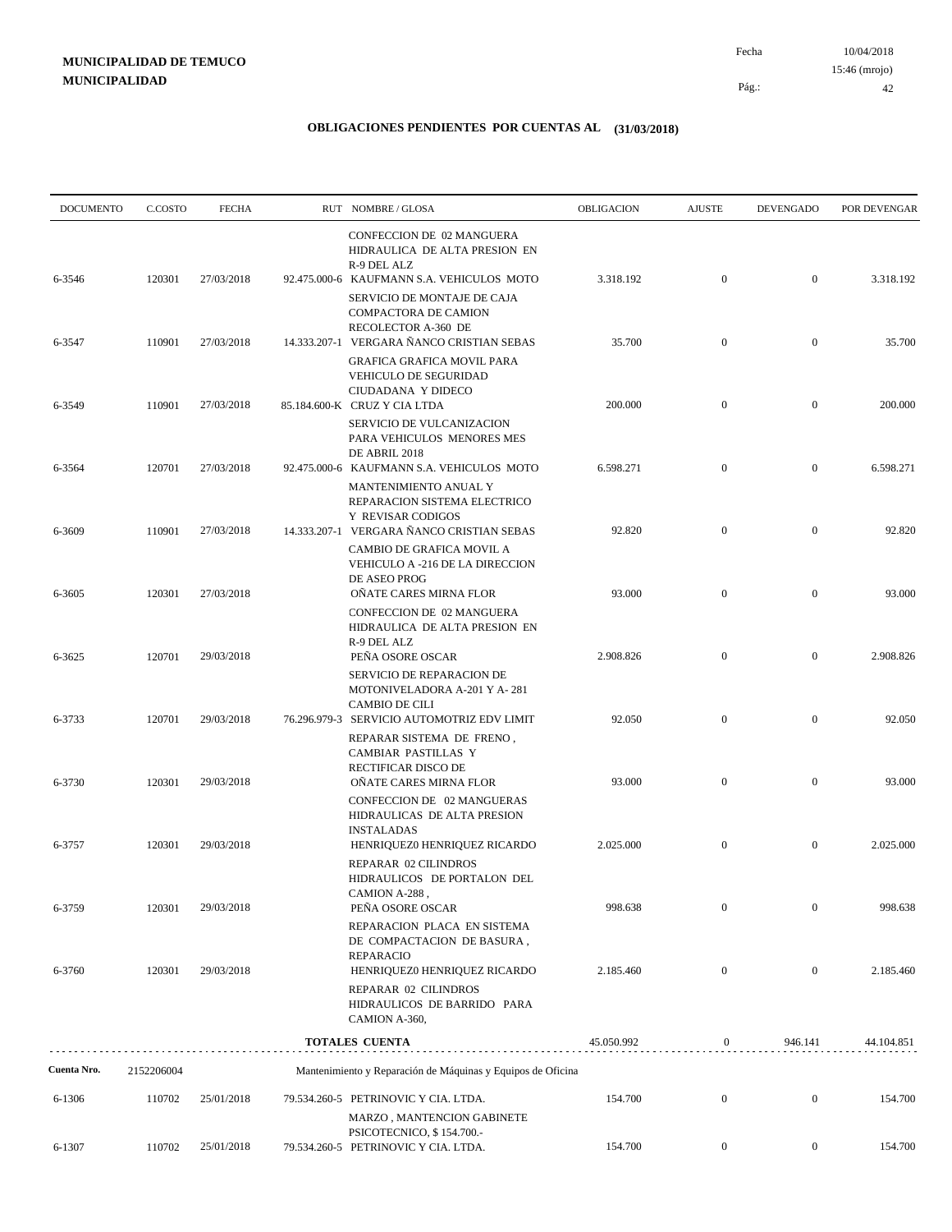| <b>DOCUMENTO</b> | C.COSTO    | <b>FECHA</b> | RUT NOMBRE/GLOSA                                                                                                       | OBLIGACION | <b>AJUSTE</b>    | <b>DEVENGADO</b> | POR DEVENGAR |
|------------------|------------|--------------|------------------------------------------------------------------------------------------------------------------------|------------|------------------|------------------|--------------|
| 6-3546           | 120301     | 27/03/2018   | CONFECCION DE 02 MANGUERA<br>HIDRAULICA DE ALTA PRESION EN<br>R-9 DEL ALZ<br>92.475.000-6 KAUFMANN S.A. VEHICULOS MOTO | 3.318.192  | $\mathbf{0}$     | $\overline{0}$   | 3.318.192    |
|                  |            |              | SERVICIO DE MONTAJE DE CAJA<br><b>COMPACTORA DE CAMION</b><br>RECOLECTOR A-360 DE                                      |            |                  |                  |              |
| 6-3547           | 110901     | 27/03/2018   | 14.333.207-1 VERGARA ÑANCO CRISTIAN SEBAS<br>GRAFICA GRAFICA MOVIL PARA                                                | 35.700     | $\boldsymbol{0}$ | $\mathbf{0}$     | 35.700       |
| 6-3549           | 110901     | 27/03/2018   | VEHICULO DE SEGURIDAD<br>CIUDADANA Y DIDECO<br>85.184.600-K CRUZ Y CIA LTDA                                            | 200.000    | $\mathbf{0}$     | $\overline{0}$   | 200.000      |
|                  |            |              | SERVICIO DE VULCANIZACION<br>PARA VEHICULOS MENORES MES<br>DE ABRIL 2018                                               |            |                  |                  |              |
| 6-3564           | 120701     | 27/03/2018   | 92.475.000-6 KAUFMANN S.A. VEHICULOS MOTO<br>MANTENIMIENTO ANUAL Y<br>REPARACION SISTEMA ELECTRICO                     | 6.598.271  | $\boldsymbol{0}$ | $\boldsymbol{0}$ | 6.598.271    |
| 6-3609           | 110901     | 27/03/2018   | <b>Y REVISAR CODIGOS</b><br>14.333.207-1 VERGARA ÑANCO CRISTIAN SEBAS                                                  | 92.820     | $\boldsymbol{0}$ | $\boldsymbol{0}$ | 92.820       |
| 6-3605           | 120301     | 27/03/2018   | CAMBIO DE GRAFICA MOVIL A<br>VEHICULO A -216 DE LA DIRECCION<br>DE ASEO PROG<br>OÑATE CARES MIRNA FLOR                 | 93.000     | $\boldsymbol{0}$ | $\boldsymbol{0}$ | 93.000       |
| 6-3625           | 120701     | 29/03/2018   | CONFECCION DE 02 MANGUERA<br>HIDRAULICA DE ALTA PRESION EN<br>R-9 DEL ALZ<br>PEÑA OSORE OSCAR                          | 2.908.826  | $\boldsymbol{0}$ | $\boldsymbol{0}$ | 2.908.826    |
|                  |            |              | SERVICIO DE REPARACION DE<br>MOTONIVELADORA A-201 Y A-281<br><b>CAMBIO DE CILI</b>                                     |            |                  |                  |              |
| 6-3733           | 120701     | 29/03/2018   | 76.296.979-3 SERVICIO AUTOMOTRIZ EDV LIMIT<br>REPARAR SISTEMA DE FRENO,<br>CAMBIAR PASTILLAS Y                         | 92.050     | $\mathbf{0}$     | $\boldsymbol{0}$ | 92.050       |
| 6-3730           | 120301     | 29/03/2018   | RECTIFICAR DISCO DE<br>OÑATE CARES MIRNA FLOR<br>CONFECCION DE 02 MANGUERAS                                            | 93.000     | $\mathbf{0}$     | $\boldsymbol{0}$ | 93.000       |
| 6-3757           | 120301     | 29/03/2018   | HIDRAULICAS DE ALTA PRESION<br><b>INSTALADAS</b><br>HENRIQUEZ0 HENRIQUEZ RICARDO<br>REPARAR 02 CILINDROS               | 2.025.000  | $\boldsymbol{0}$ | $\boldsymbol{0}$ | 2.025.000    |
| 6-3759           | 120301     | 29/03/2018   | HIDRAULICOS DE PORTALON DEL<br>CAMION A-288,<br>PEÑA OSORE OSCAR                                                       | 998.638    | $\boldsymbol{0}$ | $\mathbf{0}$     | 998.638      |
|                  |            |              | REPARACION PLACA EN SISTEMA<br>DE COMPACTACION DE BASURA,<br><b>REPARACIO</b>                                          |            |                  |                  |              |
| 6-3760           | 120301     | 29/03/2018   | HENRIQUEZ0 HENRIQUEZ RICARDO<br>REPARAR 02 CILINDROS<br>HIDRAULICOS DE BARRIDO PARA<br>CAMION A-360,                   | 2.185.460  | $\mathbf{0}$     | $\boldsymbol{0}$ | 2.185.460    |
|                  |            |              | <b>TOTALES CUENTA</b>                                                                                                  | 45.050.992 | $\boldsymbol{0}$ | 946.141          | 44.104.851   |
| Cuenta Nro.      | 2152206004 |              | Mantenimiento y Reparación de Máquinas y Equipos de Oficina                                                            |            |                  |                  |              |
| 6-1306           | 110702     | 25/01/2018   | 79.534.260-5 PETRINOVIC Y CIA. LTDA.                                                                                   | 154.700    | $\boldsymbol{0}$ | $\boldsymbol{0}$ | 154.700      |
|                  |            |              | MARZO, MANTENCION GABINETE<br>PSICOTECNICO, \$154.700.-<br>79.534.260-5 PETRINOVIC Y CIA. LTDA.                        | 154.700    | $\mathbf{0}$     | $\mathbf{0}$     | 154.700      |
| 6-1307           | 110702     | 25/01/2018   |                                                                                                                        |            |                  |                  |              |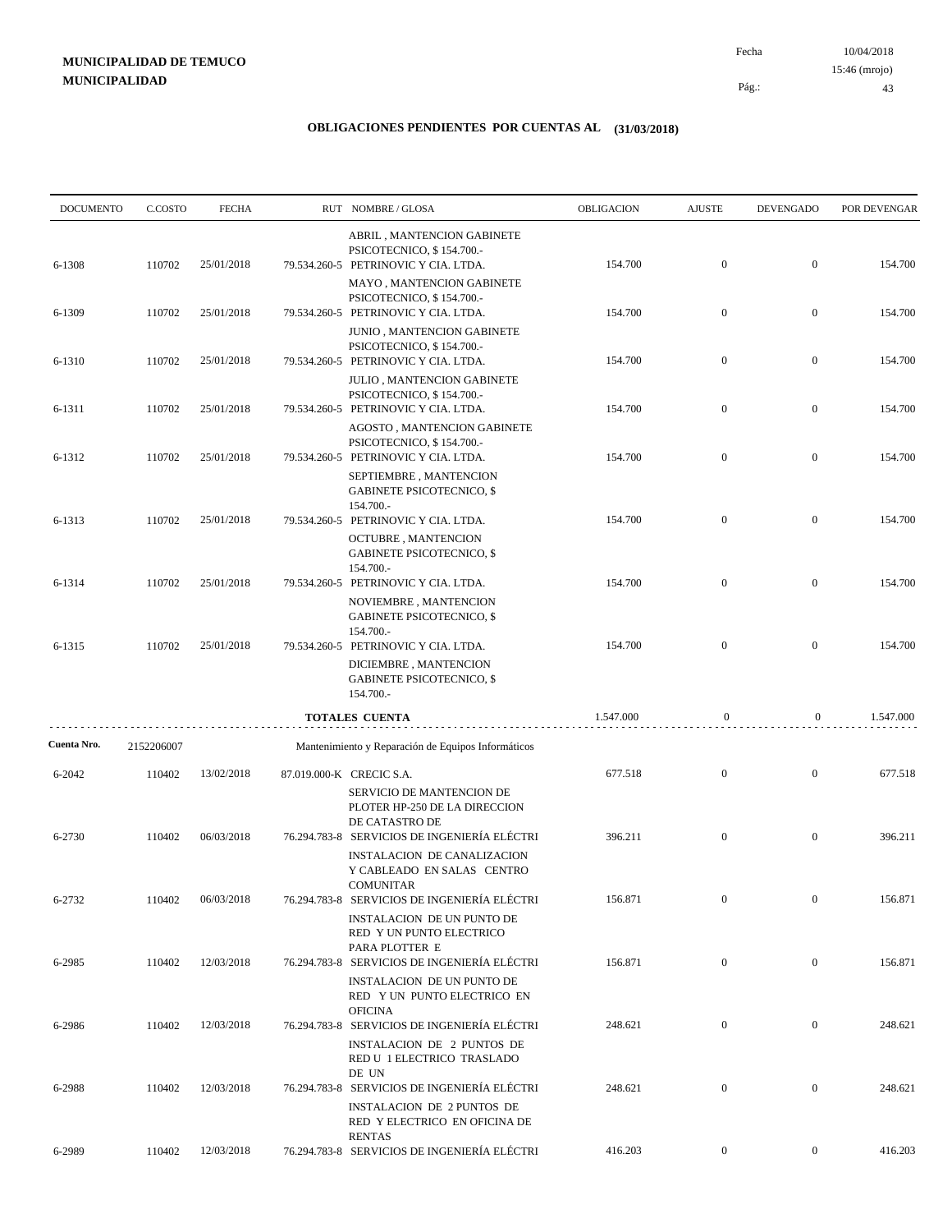10/04/2018 43 Pág.: Fecha 15:46 (mrojo)

| <b>DOCUMENTO</b> | C.COSTO    | <b>FECHA</b> | RUT NOMBRE/GLOSA                                                                                                | OBLIGACION | <b>AJUSTE</b>    | <b>DEVENGADO</b> | POR DEVENGAR |
|------------------|------------|--------------|-----------------------------------------------------------------------------------------------------------------|------------|------------------|------------------|--------------|
| 6-1308           | 110702     | 25/01/2018   | ABRIL, MANTENCION GABINETE<br>PSICOTECNICO, \$154.700.-<br>79.534.260-5 PETRINOVIC Y CIA. LTDA.                 | 154.700    | $\mathbf{0}$     | $\boldsymbol{0}$ | 154.700      |
|                  |            |              | MAYO, MANTENCION GABINETE<br>PSICOTECNICO, \$154.700.-                                                          |            |                  |                  |              |
| 6-1309           | 110702     | 25/01/2018   | 79.534.260-5 PETRINOVIC Y CIA. LTDA.<br><b>JUNIO, MANTENCION GABINETE</b><br>PSICOTECNICO, \$154.700.-          | 154.700    | $\mathbf{0}$     | $\boldsymbol{0}$ | 154.700      |
| 6-1310           | 110702     | 25/01/2018   | 79.534.260-5 PETRINOVIC Y CIA. LTDA.<br><b>JULIO, MANTENCION GABINETE</b>                                       | 154.700    | $\boldsymbol{0}$ | $\boldsymbol{0}$ | 154.700      |
| 6-1311           | 110702     | 25/01/2018   | PSICOTECNICO, \$154.700.-<br>79.534.260-5 PETRINOVIC Y CIA. LTDA.<br>AGOSTO, MANTENCION GABINETE                | 154.700    | $\mathbf{0}$     | $\boldsymbol{0}$ | 154.700      |
| 6-1312           | 110702     | 25/01/2018   | PSICOTECNICO, \$154.700.-<br>79.534.260-5 PETRINOVIC Y CIA. LTDA.                                               | 154.700    | $\mathbf{0}$     | $\boldsymbol{0}$ | 154.700      |
|                  |            |              | SEPTIEMBRE, MANTENCION<br><b>GABINETE PSICOTECNICO, \$</b><br>154.700.-                                         |            |                  |                  |              |
| 6-1313           | 110702     | 25/01/2018   | 79.534.260-5 PETRINOVIC Y CIA. LTDA.<br><b>OCTUBRE, MANTENCION</b><br><b>GABINETE PSICOTECNICO, \$</b>          | 154.700    | $\mathbf{0}$     | $\boldsymbol{0}$ | 154.700      |
| 6-1314           | 110702     | 25/01/2018   | 154.700.-<br>79.534.260-5 PETRINOVIC Y CIA. LTDA.                                                               | 154.700    | $\boldsymbol{0}$ | $\boldsymbol{0}$ | 154.700      |
|                  |            |              | NOVIEMBRE, MANTENCION<br><b>GABINETE PSICOTECNICO, \$</b><br>154.700.-                                          |            |                  |                  |              |
| 6-1315           | 110702     | 25/01/2018   | 79.534.260-5 PETRINOVIC Y CIA. LTDA.<br>DICIEMBRE, MANTENCION<br><b>GABINETE PSICOTECNICO, \$</b>               | 154.700    | $\mathbf{0}$     | $\boldsymbol{0}$ | 154.700      |
|                  |            |              | 154.700.-<br><b>TOTALES CUENTA</b>                                                                              | 1.547.000  | $\boldsymbol{0}$ | $\overline{0}$   | 1.547.000    |
| Cuenta Nro.      | 2152206007 |              | Mantenimiento y Reparación de Equipos Informáticos                                                              |            |                  |                  |              |
| 6-2042           | 110402     | 13/02/2018   | 87.019.000-K CRECIC S.A.<br>SERVICIO DE MANTENCION DE                                                           | 677.518    | $\mathbf{0}$     | $\boldsymbol{0}$ | 677.518      |
| 6-2730           | 110402     | 06/03/2018   | PLOTER HP-250 DE LA DIRECCION<br>DE CATASTRO DE<br>76.294.783-8 SERVICIOS DE INGENIERÍA ELÉCTRI                 | 396.211    | $\mathbf{0}$     | $\boldsymbol{0}$ | 396.211      |
|                  |            |              | <b>INSTALACION DE CANALIZACION</b><br>Y CABLEADO EN SALAS CENTRO<br><b>COMUNITAR</b>                            |            |                  |                  |              |
| 6-2732           | 110402     | 06/03/2018   | 76.294.783-8 SERVICIOS DE INGENIERÍA ELÉCTRI<br><b>INSTALACION DE UN PUNTO DE</b><br>RED Y UN PUNTO ELECTRICO   | 156.871    | $\boldsymbol{0}$ | $\boldsymbol{0}$ | 156.871      |
| 6-2985           | 110402     | 12/03/2018   | PARA PLOTTER E<br>76.294.783-8 SERVICIOS DE INGENIERÍA ELÉCTRI                                                  | 156.871    | $\boldsymbol{0}$ | $\boldsymbol{0}$ | 156.871      |
|                  |            |              | <b>INSTALACION DE UN PUNTO DE</b><br>RED Y UN PUNTO ELECTRICO EN<br><b>OFICINA</b>                              |            |                  |                  |              |
| 6-2986           | 110402     | 12/03/2018   | 76.294.783-8 SERVICIOS DE INGENIERÍA ELÉCTRI<br><b>INSTALACION DE 2 PUNTOS DE</b><br>RED U 1 ELECTRICO TRASLADO | 248.621    | $\boldsymbol{0}$ | $\boldsymbol{0}$ | 248.621      |
| 6-2988           | 110402     | 12/03/2018   | DE UN<br>76.294.783-8 SERVICIOS DE INGENIERÍA ELÉCTRI                                                           | 248.621    | $\boldsymbol{0}$ | $\boldsymbol{0}$ | 248.621      |
|                  |            |              | <b>INSTALACION DE 2 PUNTOS DE</b><br>RED Y ELECTRICO EN OFICINA DE<br><b>RENTAS</b>                             |            |                  |                  |              |
| 6-2989           | 110402     | 12/03/2018   | 76.294.783-8 SERVICIOS DE INGENIERÍA ELÉCTRI                                                                    | 416.203    | $\overline{0}$   | $\overline{0}$   | 416.203      |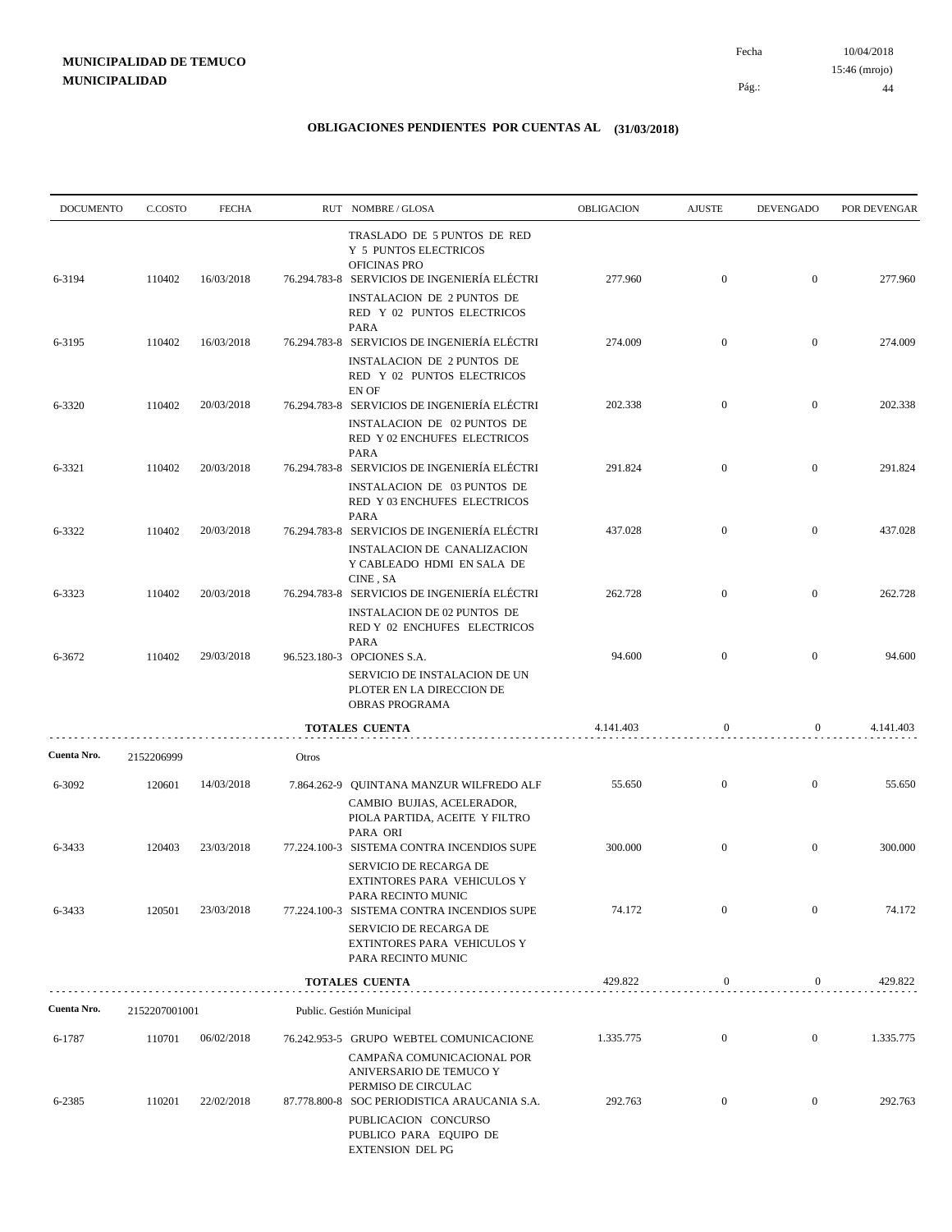| <b>DOCUMENTO</b> | C.COSTO       | <b>FECHA</b> |       | RUT NOMBRE/GLOSA                                                                                                                                                                               | <b>OBLIGACION</b> | <b>AJUSTE</b>    | <b>DEVENGADO</b> | POR DEVENGAR |
|------------------|---------------|--------------|-------|------------------------------------------------------------------------------------------------------------------------------------------------------------------------------------------------|-------------------|------------------|------------------|--------------|
| 6-3194           | 110402        | 16/03/2018   |       | TRASLADO DE 5 PUNTOS DE RED<br>Y 5 PUNTOS ELECTRICOS<br><b>OFICINAS PRO</b><br>76.294.783-8 SERVICIOS DE INGENIERÍA ELÉCTRI<br><b>INSTALACION DE 2 PUNTOS DE</b><br>RED Y 02 PUNTOS ELECTRICOS | 277.960           | $\mathbf{0}$     | $\overline{0}$   | 277.960      |
| 6-3195           | 110402        | 16/03/2018   |       | <b>PARA</b><br>76.294.783-8 SERVICIOS DE INGENIERÍA ELÉCTRI<br><b>INSTALACION DE 2 PUNTOS DE</b><br>RED Y 02 PUNTOS ELECTRICOS                                                                 | 274.009           | $\overline{0}$   | $\mathbf{0}$     | 274.009      |
| 6-3320           | 110402        | 20/03/2018   |       | EN OF<br>76.294.783-8 SERVICIOS DE INGENIERÍA ELÉCTRI<br>INSTALACION DE 02 PUNTOS DE<br>RED Y 02 ENCHUFES ELECTRICOS                                                                           | 202.338           | $\mathbf{0}$     | $\overline{0}$   | 202.338      |
| 6-3321           | 110402        | 20/03/2018   |       | <b>PARA</b><br>76.294.783-8 SERVICIOS DE INGENIERÍA ELÉCTRI<br><b>INSTALACION DE 03 PUNTOS DE</b><br>RED Y 03 ENCHUFES ELECTRICOS                                                              | 291.824           | $\overline{0}$   | $\overline{0}$   | 291.824      |
| 6-3322           | 110402        | 20/03/2018   |       | <b>PARA</b><br>76.294.783-8 SERVICIOS DE INGENIERÍA ELÉCTRI<br>INSTALACION DE CANALIZACION<br>Y CABLEADO HDMI EN SALA DE                                                                       | 437.028           | $\mathbf{0}$     | $\mathbf{0}$     | 437.028      |
| 6-3323           | 110402        | 20/03/2018   |       | CINE . SA<br>76.294.783-8 SERVICIOS DE INGENIERÍA ELÉCTRI<br><b>INSTALACION DE 02 PUNTOS DE</b><br>RED Y 02 ENCHUFES ELECTRICOS                                                                | 262.728           | $\mathbf{0}$     | $\overline{0}$   | 262.728      |
| 6-3672           | 110402        | 29/03/2018   |       | <b>PARA</b><br>96.523.180-3 OPCIONES S.A.<br>SERVICIO DE INSTALACION DE UN<br>PLOTER EN LA DIRECCION DE<br>OBRAS PROGRAMA                                                                      | 94.600            | $\overline{0}$   | $\overline{0}$   | 94.600       |
|                  |               |              |       | <b>TOTALES CUENTA</b>                                                                                                                                                                          | 4.141.403         | $\bf{0}$         | 0                | 4.141.403    |
| Cuenta Nro.      | 2152206999    |              | Otros |                                                                                                                                                                                                |                   |                  |                  |              |
| 6-3092           | 120601        | 14/03/2018   |       | 7.864.262-9 QUINTANA MANZUR WILFREDO ALF<br>CAMBIO BUJIAS, ACELERADOR,<br>PIOLA PARTIDA, ACEITE Y FILTRO<br>PARA ORI                                                                           | 55.650            | $\mathbf{0}$     | $\boldsymbol{0}$ | 55.650       |
| 6-3433           | 120403        | 23/03/2018   |       | 77.224.100-3 SISTEMA CONTRA INCENDIOS SUPE<br>SERVICIO DE RECARGA DE<br>EXTINTORES PARA VEHICULOS Y<br>PARA RECINTO MUNIC                                                                      | 300.000           | $\mathbf{0}$     | $\mathbf{0}$     | 300.000      |
| 6-3433           | 120501        | 23/03/2018   |       | 77.224.100-3 SISTEMA CONTRA INCENDIOS SUPE<br>SERVICIO DE RECARGA DE<br>EXTINTORES PARA VEHICULOS Y<br>PARA RECINTO MUNIC                                                                      | 74.172            | $\overline{0}$   | $\overline{0}$   | 74.172       |
|                  |               |              |       | <b>TOTALES CUENTA</b>                                                                                                                                                                          | 429.822           | $\boldsymbol{0}$ | $\boldsymbol{0}$ | 429.822      |
| Cuenta Nro.      | 2152207001001 |              |       | Public. Gestión Municipal                                                                                                                                                                      |                   |                  |                  |              |
| 6-1787           | 110701        | 06/02/2018   |       | 76.242.953-5 GRUPO WEBTEL COMUNICACIONE<br>CAMPAÑA COMUNICACIONAL POR<br>ANIVERSARIO DE TEMUCO Y                                                                                               | 1.335.775         | $\mathbf{0}$     | $\overline{0}$   | 1.335.775    |
| 6-2385           | 110201        | 22/02/2018   |       | PERMISO DE CIRCULAC<br>87.778.800-8 SOC PERIODISTICA ARAUCANIA S.A.<br>PUBLICACION CONCURSO<br>PUBLICO PARA EQUIPO DE<br><b>EXTENSION DEL PG</b>                                               | 292.763           | $\boldsymbol{0}$ | $\boldsymbol{0}$ | 292.763      |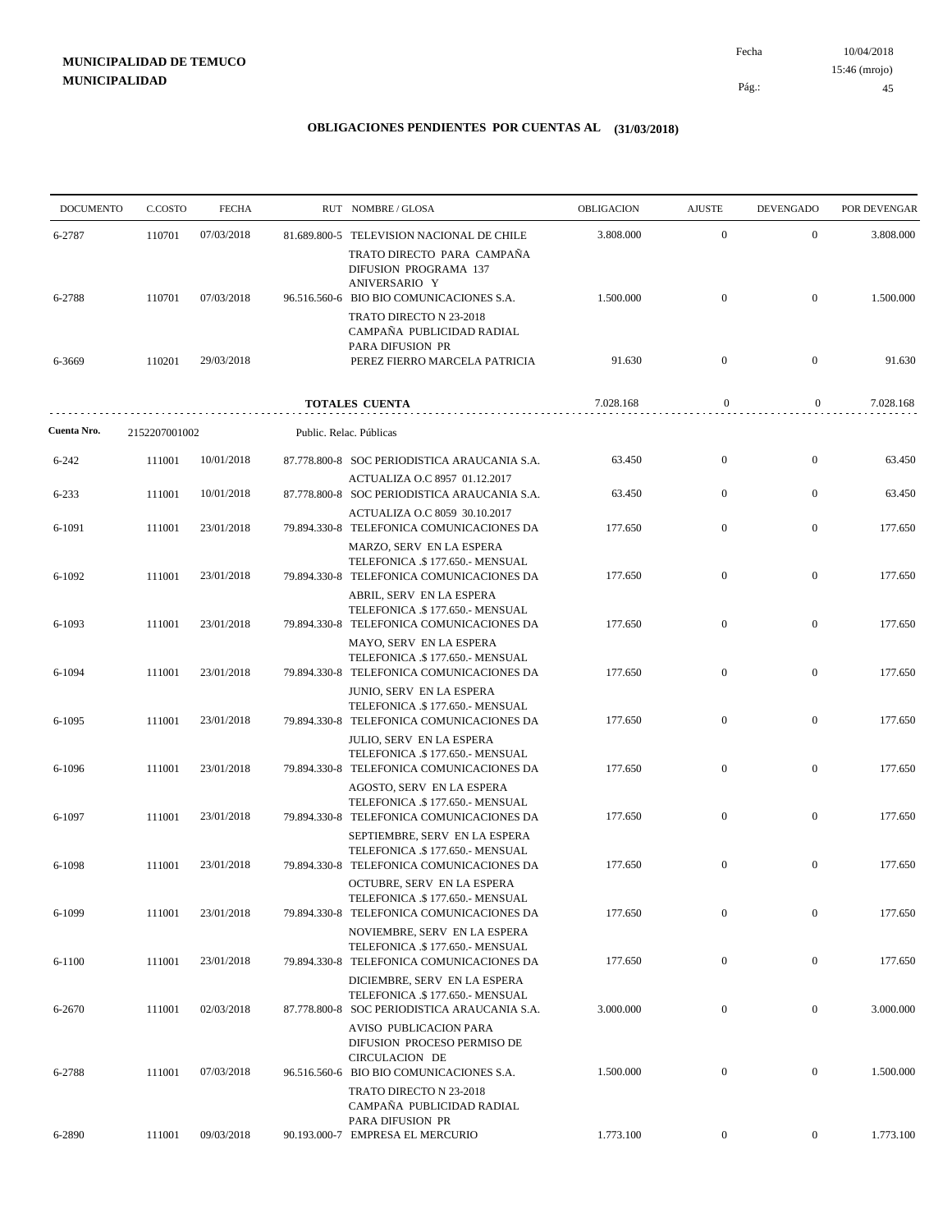| <b>DOCUMENTO</b> | C.COSTO       | <b>FECHA</b> | RUT NOMBRE/GLOSA                                                                                                    | OBLIGACION | <b>AJUSTE</b>    | <b>DEVENGADO</b> | POR DEVENGAR |
|------------------|---------------|--------------|---------------------------------------------------------------------------------------------------------------------|------------|------------------|------------------|--------------|
| 6-2787           | 110701        | 07/03/2018   | 81.689.800-5 TELEVISION NACIONAL DE CHILE                                                                           | 3.808.000  | $\overline{0}$   | $\overline{0}$   | 3.808.000    |
| 6-2788           | 110701        | 07/03/2018   | TRATO DIRECTO PARA CAMPAÑA<br>DIFUSION PROGRAMA 137<br>ANIVERSARIO Y<br>96.516.560-6 BIO BIO COMUNICACIONES S.A.    | 1.500.000  | $\mathbf{0}$     | $\overline{0}$   | 1.500.000    |
| 6-3669           | 110201        | 29/03/2018   | TRATO DIRECTO N 23-2018<br>CAMPAÑA PUBLICIDAD RADIAL<br>PARA DIFUSION PR<br>PEREZ FIERRO MARCELA PATRICIA           | 91.630     | $\overline{0}$   | $\overline{0}$   | 91.630       |
|                  |               |              | TOTALES CUENTA                                                                                                      | 7.028.168  | $\boldsymbol{0}$ | $\mathbf{0}$     | 7.028.168    |
| Cuenta Nro.      | 2152207001002 |              | Public. Relac. Públicas                                                                                             |            |                  |                  |              |
| 6-242            | 111001        | 10/01/2018   | 87.778.800-8 SOC PERIODISTICA ARAUCANIA S.A.                                                                        | 63.450     | $\mathbf{0}$     | $\mathbf{0}$     | 63.450       |
| 6-233            | 111001        | 10/01/2018   | ACTUALIZA O.C 8957 01.12.2017<br>87.778.800-8 SOC PERIODISTICA ARAUCANIA S.A.                                       | 63.450     | $\overline{0}$   | $\mathbf{0}$     | 63.450       |
| 6-1091           | 111001        | 23/01/2018   | ACTUALIZA O.C 8059 30.10.2017<br>79.894.330-8 TELEFONICA COMUNICACIONES DA                                          | 177.650    | $\overline{0}$   | $\boldsymbol{0}$ | 177.650      |
| 6-1092           | 111001        | 23/01/2018   | MARZO, SERV EN LA ESPERA<br>TELEFONICA .\$ 177.650.- MENSUAL<br>79.894.330-8 TELEFONICA COMUNICACIONES DA           | 177.650    | $\mathbf{0}$     | $\mathbf{0}$     | 177.650      |
| 6-1093           | 111001        | 23/01/2018   | ABRIL, SERV EN LA ESPERA<br>TELEFONICA .\$177.650.- MENSUAL<br>79.894.330-8 TELEFONICA COMUNICACIONES DA            | 177.650    | $\mathbf{0}$     | $\mathbf{0}$     | 177.650      |
| 6-1094           | 111001        | 23/01/2018   | MAYO, SERV EN LA ESPERA<br>TELEFONICA .\$177.650.- MENSUAL<br>79.894.330-8 TELEFONICA COMUNICACIONES DA             | 177.650    | $\mathbf{0}$     | $\boldsymbol{0}$ | 177.650      |
| 6-1095           | 111001        | 23/01/2018   | JUNIO, SERV EN LA ESPERA<br>TELEFONICA .\$177.650.- MENSUAL<br>79.894.330-8 TELEFONICA COMUNICACIONES DA            | 177.650    | $\mathbf{0}$     | $\mathbf{0}$     | 177.650      |
| 6-1096           | 111001        | 23/01/2018   | JULIO, SERV EN LA ESPERA<br>TELEFONICA .\$177.650.- MENSUAL<br>79.894.330-8 TELEFONICA COMUNICACIONES DA            | 177.650    | $\mathbf{0}$     | $\mathbf{0}$     | 177.650      |
| 6-1097           | 111001        | 23/01/2018   | AGOSTO, SERV EN LA ESPERA<br>TELEFONICA .\$177.650.- MENSUAL<br>79.894.330-8 TELEFONICA COMUNICACIONES DA           | 177.650    | $\overline{0}$   | $\mathbf{0}$     | 177.650      |
| 6-1098           | 111001        | 23/01/2018   | SEPTIEMBRE, SERV EN LA ESPERA<br>TELEFONICA .\$177.650.- MENSUAL<br>79.894.330-8 TELEFONICA COMUNICACIONES DA       | 177.650    | $\boldsymbol{0}$ | $\mathbf{0}$     | 177.650      |
| 6-1099           | 111001        | 23/01/2018   | OCTUBRE, SERV EN LA ESPERA<br>TELEFONICA .\$ 177.650.- MENSUAL<br>79.894.330-8 TELEFONICA COMUNICACIONES DA         | 177.650    | $\boldsymbol{0}$ | $\boldsymbol{0}$ | 177.650      |
| 6-1100           | 111001        | 23/01/2018   | NOVIEMBRE, SERV EN LA ESPERA<br>TELEFONICA .\$177.650.- MENSUAL<br>79.894.330-8 TELEFONICA COMUNICACIONES DA        | 177.650    | $\overline{0}$   | $\bf{0}$         | 177.650      |
| 6-2670           | 111001        | 02/03/2018   | DICIEMBRE, SERV EN LA ESPERA<br>TELEFONICA .\$177.650.- MENSUAL<br>87.778.800-8 SOC PERIODISTICA ARAUCANIA S.A.     | 3.000.000  | $\boldsymbol{0}$ | $\boldsymbol{0}$ | 3.000.000    |
| 6-2788           | 111001        | 07/03/2018   | AVISO PUBLICACION PARA<br>DIFUSION PROCESO PERMISO DE<br>CIRCULACION DE<br>96.516.560-6 BIO BIO COMUNICACIONES S.A. | 1.500.000  | $\boldsymbol{0}$ | $\boldsymbol{0}$ | 1.500.000    |
|                  |               |              | TRATO DIRECTO N 23-2018<br>CAMPAÑA PUBLICIDAD RADIAL<br>PARA DIFUSION PR                                            |            |                  |                  |              |
| 6-2890           | 111001        | 09/03/2018   | 90.193.000-7 EMPRESA EL MERCURIO                                                                                    | 1.773.100  | $\overline{0}$   | $\overline{0}$   | 1.773.100    |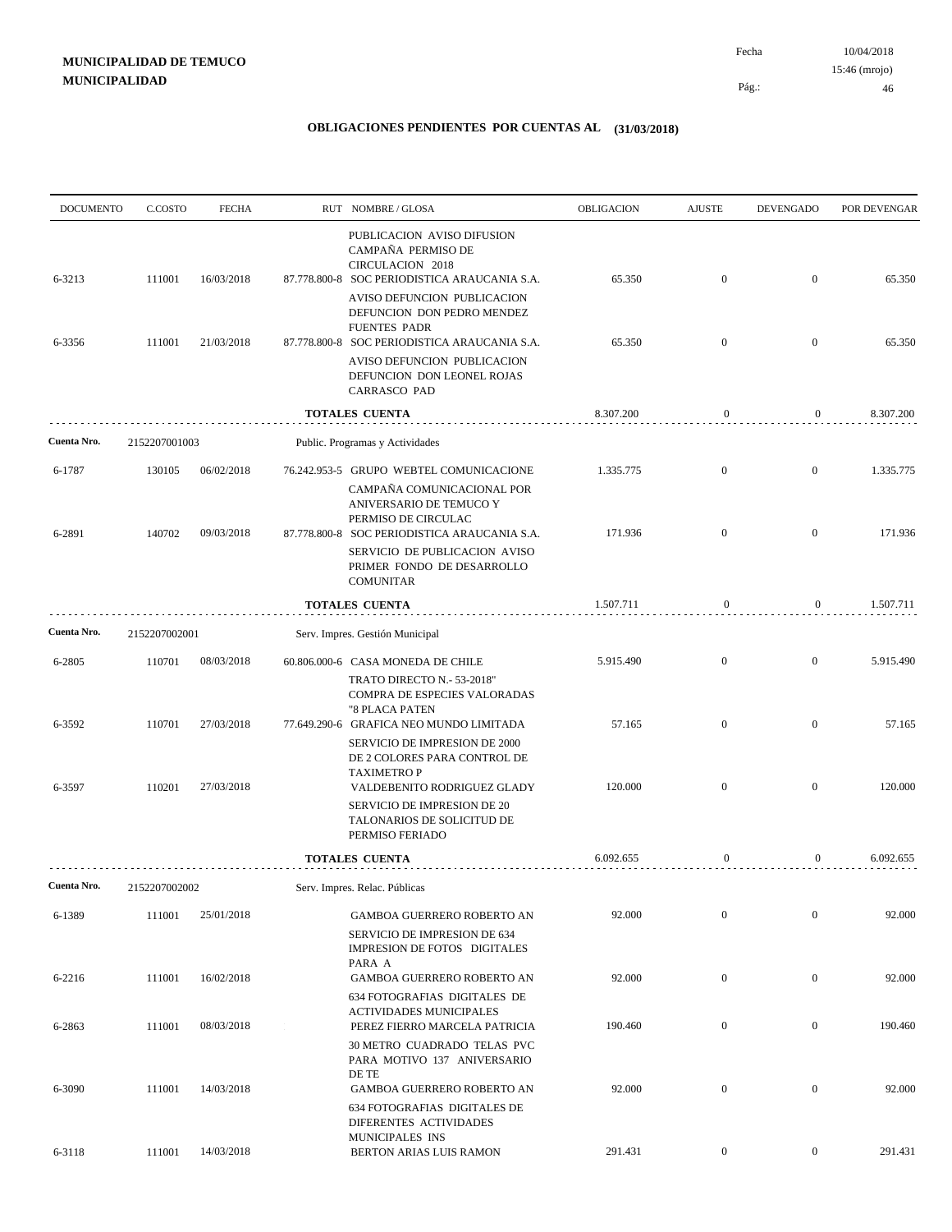| <b>DOCUMENTO</b> | C.COSTO       | <b>FECHA</b> | RUT NOMBRE/GLOSA                                                                                                                                                                                   | OBLIGACION | <b>AJUSTE</b>    | <b>DEVENGADO</b> | POR DEVENGAR |
|------------------|---------------|--------------|----------------------------------------------------------------------------------------------------------------------------------------------------------------------------------------------------|------------|------------------|------------------|--------------|
| 6-3213           | 111001        | 16/03/2018   | PUBLICACION AVISO DIFUSION<br>CAMPAÑA PERMISO DE<br>CIRCULACION 2018<br>87.778.800-8 SOC PERIODISTICA ARAUCANIA S.A.                                                                               | 65.350     | $\mathbf{0}$     | $\mathbf{0}$     | 65.350       |
| 6-3356           | 111001        | 21/03/2018   | AVISO DEFUNCION PUBLICACION<br>DEFUNCION DON PEDRO MENDEZ<br><b>FUENTES PADR</b><br>87.778.800-8 SOC PERIODISTICA ARAUCANIA S.A.<br>AVISO DEFUNCION PUBLICACION                                    | 65.350     | $\mathbf{0}$     | $\mathbf{0}$     | 65.350       |
|                  |               |              | DEFUNCION DON LEONEL ROJAS<br><b>CARRASCO PAD</b>                                                                                                                                                  |            |                  |                  |              |
|                  |               |              | <b>TOTALES CUENTA</b>                                                                                                                                                                              | 8.307.200  | $\mathbf{0}$     | $\boldsymbol{0}$ | 8.307.200    |
| Cuenta Nro.      | 2152207001003 |              | Public. Programas y Actividades                                                                                                                                                                    |            |                  |                  |              |
| 6-1787           | 130105        | 06/02/2018   | 76.242.953-5 GRUPO WEBTEL COMUNICACIONE<br>CAMPAÑA COMUNICACIONAL POR<br>ANIVERSARIO DE TEMUCO Y                                                                                                   | 1.335.775  | $\boldsymbol{0}$ | $\mathbf{0}$     | 1.335.775    |
| 6-2891           | 140702        | 09/03/2018   | PERMISO DE CIRCULAC<br>87.778.800-8 SOC PERIODISTICA ARAUCANIA S.A.<br>SERVICIO DE PUBLICACION AVISO                                                                                               | 171.936    | $\mathbf{0}$     | $\mathbf{0}$     | 171.936      |
|                  |               |              | PRIMER FONDO DE DESARROLLO<br><b>COMUNITAR</b>                                                                                                                                                     |            |                  |                  |              |
|                  |               |              | <b>TOTALES CUENTA</b>                                                                                                                                                                              | 1.507.711  | $\mathbf{0}$     | $\boldsymbol{0}$ | 1.507.711    |
| Cuenta Nro.      | 2152207002001 |              | Serv. Impres. Gestión Municipal                                                                                                                                                                    |            |                  |                  |              |
| 6-2805           | 110701        | 08/03/2018   | 60.806.000-6 CASA MONEDA DE CHILE<br>TRATO DIRECTO N.- 53-2018"                                                                                                                                    | 5.915.490  | $\mathbf{0}$     | $\mathbf{0}$     | 5.915.490    |
| 6-3592           | 110701        | 27/03/2018   | COMPRA DE ESPECIES VALORADAS<br>"8 PLACA PATEN<br>77.649.290-6 GRAFICA NEO MUNDO LIMITADA                                                                                                          | 57.165     | $\mathbf{0}$     | $\mathbf{0}$     | 57.165       |
| 6-3597           | 110201        | 27/03/2018   | SERVICIO DE IMPRESION DE 2000<br>DE 2 COLORES PARA CONTROL DE<br><b>TAXIMETRO P</b><br>VALDEBENITO RODRIGUEZ GLADY<br>SERVICIO DE IMPRESION DE 20<br>TALONARIOS DE SOLICITUD DE<br>PERMISO FERIADO | 120.000    | $\mathbf{0}$     | $\mathbf{0}$     | 120.000      |
|                  |               |              | TOTALES CUENTA                                                                                                                                                                                     | 6.092.655  | $\mathbf{0}$     | 0                | 6.092.655    |
| Cuenta Nro.      | 2152207002002 |              | Serv. Impres. Relac. Públicas                                                                                                                                                                      |            |                  |                  |              |
| 6-1389           | 111001        | 25/01/2018   | GAMBOA GUERRERO ROBERTO AN<br>SERVICIO DE IMPRESION DE 634                                                                                                                                         | 92.000     | $\boldsymbol{0}$ | $\boldsymbol{0}$ | 92.000       |
| 6-2216           | 111001        | 16/02/2018   | IMPRESION DE FOTOS DIGITALES<br>PARA A<br><b>GAMBOA GUERRERO ROBERTO AN</b>                                                                                                                        | 92.000     | $\boldsymbol{0}$ | $\mathbf{0}$     | 92.000       |
| 6-2863           | 111001        | 08/03/2018   | 634 FOTOGRAFIAS DIGITALES DE<br><b>ACTIVIDADES MUNICIPALES</b><br>PEREZ FIERRO MARCELA PATRICIA                                                                                                    | 190.460    | $\boldsymbol{0}$ | $\boldsymbol{0}$ | 190.460      |
|                  |               |              | <b>30 METRO CUADRADO TELAS PVC</b><br>PARA MOTIVO 137 ANIVERSARIO<br>DE TE                                                                                                                         |            |                  |                  |              |
| 6-3090           | 111001        | 14/03/2018   | <b>GAMBOA GUERRERO ROBERTO AN</b><br>634 FOTOGRAFIAS DIGITALES DE<br>DIFERENTES ACTIVIDADES                                                                                                        | 92.000     | $\boldsymbol{0}$ | $\boldsymbol{0}$ | 92.000       |
| 6-3118           | 111001        | 14/03/2018   | MUNICIPALES INS<br>BERTON ARIAS LUIS RAMON                                                                                                                                                         | 291.431    | $\mathbf{0}$     | $\boldsymbol{0}$ | 291.431      |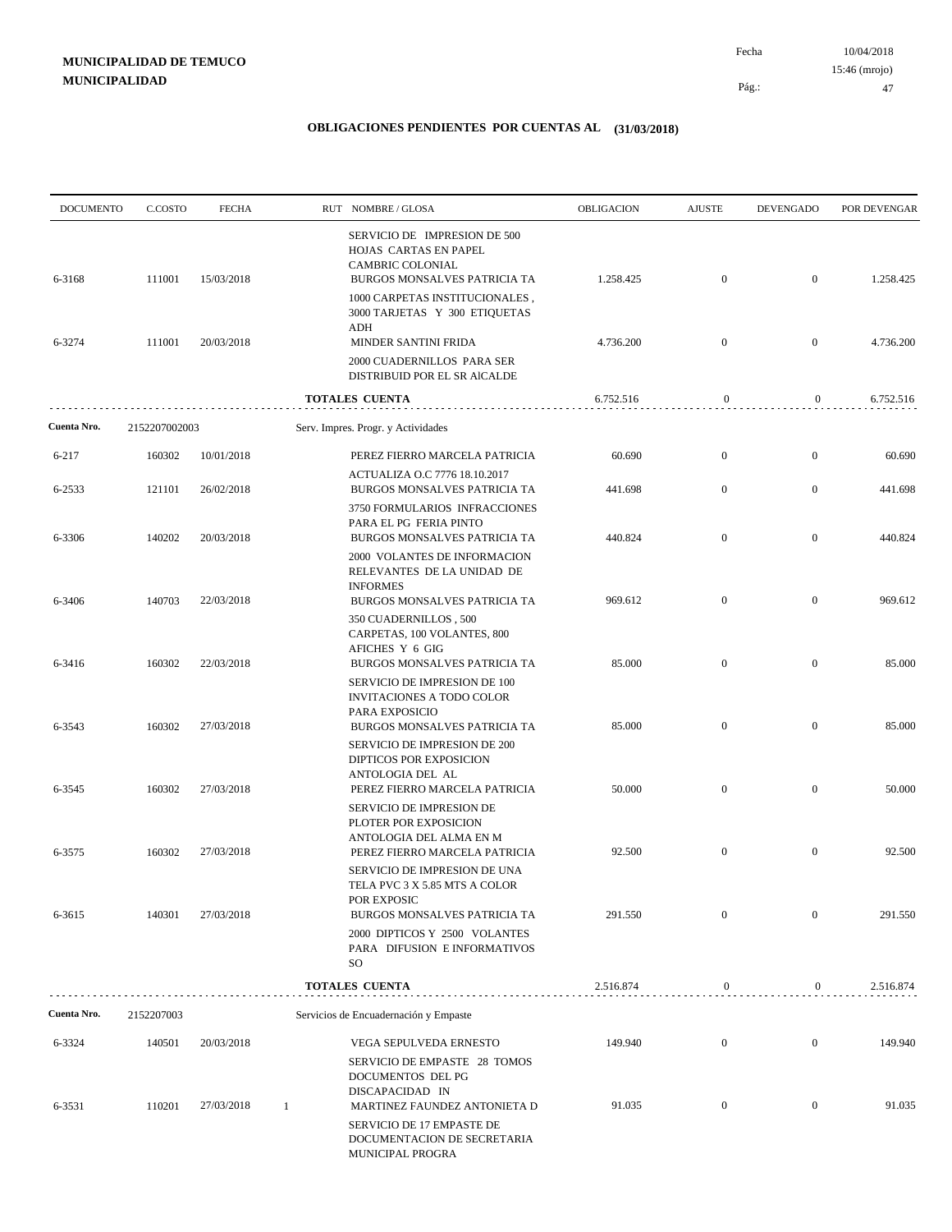10/04/2018 47 Pág.: Fecha 15:46 (mrojo)

| <b>DOCUMENTO</b> | C.COSTO       | <b>FECHA</b> | RUT NOMBRE/GLOSA                                                                                           | <b>OBLIGACION</b> | <b>AJUSTE</b>    | <b>DEVENGADO</b> | POR DEVENGAR |
|------------------|---------------|--------------|------------------------------------------------------------------------------------------------------------|-------------------|------------------|------------------|--------------|
| 6-3168           | 111001        | 15/03/2018   | SERVICIO DE IMPRESION DE 500<br>HOJAS CARTAS EN PAPEL<br>CAMBRIC COLONIAL<br>BURGOS MONSALVES PATRICIA TA  | 1.258.425         | $\mathbf{0}$     | $\overline{0}$   | 1.258.425    |
|                  |               |              | 1000 CARPETAS INSTITUCIONALES,<br>3000 TARJETAS Y 300 ETIQUETAS<br>ADH                                     |                   |                  |                  |              |
| 6-3274           | 111001        | 20/03/2018   | MINDER SANTINI FRIDA<br>2000 CUADERNILLOS PARA SER                                                         | 4.736.200         | $\mathbf{0}$     | $\overline{0}$   | 4.736.200    |
|                  |               |              | DISTRIBUID POR EL SR AICALDE<br>TOTALES CUENTA                                                             | 6.752.516         | $\boldsymbol{0}$ | $\overline{0}$   | 6.752.516    |
| Cuenta Nro.      | 2152207002003 |              | Serv. Impres. Progr. y Actividades                                                                         |                   |                  |                  |              |
| 6-217            | 160302        | 10/01/2018   | PEREZ FIERRO MARCELA PATRICIA                                                                              | 60.690            | $\mathbf{0}$     | $\mathbf{0}$     | 60.690       |
|                  |               |              | ACTUALIZA O.C 7776 18.10.2017                                                                              |                   |                  |                  |              |
| 6-2533           | 121101        | 26/02/2018   | BURGOS MONSALVES PATRICIA TA                                                                               | 441.698           | $\mathbf{0}$     | $\overline{0}$   | 441.698      |
| 6-3306           | 140202        | 20/03/2018   | 3750 FORMULARIOS INFRACCIONES<br>PARA EL PG FERIA PINTO<br>BURGOS MONSALVES PATRICIA TA                    | 440.824           | $\mathbf{0}$     | $\overline{0}$   | 440.824      |
|                  |               |              | 2000 VOLANTES DE INFORMACION<br>RELEVANTES DE LA UNIDAD DE<br><b>INFORMES</b>                              |                   |                  |                  |              |
| 6-3406           | 140703        | 22/03/2018   | BURGOS MONSALVES PATRICIA TA<br>350 CUADERNILLOS, 500<br>CARPETAS, 100 VOLANTES, 800                       | 969.612           | $\mathbf{0}$     | $\mathbf{0}$     | 969.612      |
| 6-3416           | 160302        | 22/03/2018   | AFICHES Y 6 GIG<br>BURGOS MONSALVES PATRICIA TA<br>SERVICIO DE IMPRESION DE 100                            | 85.000            | $\mathbf{0}$     | $\overline{0}$   | 85.000       |
| 6-3543           | 160302        | 27/03/2018   | INVITACIONES A TODO COLOR<br>PARA EXPOSICIO<br>BURGOS MONSALVES PATRICIA TA                                | 85.000            | $\mathbf{0}$     | $\overline{0}$   | 85.000       |
|                  |               |              | SERVICIO DE IMPRESION DE 200<br><b>DIPTICOS POR EXPOSICION</b><br>ANTOLOGIA DEL AL                         |                   |                  |                  |              |
| 6-3545           | 160302        | 27/03/2018   | PEREZ FIERRO MARCELA PATRICIA<br>SERVICIO DE IMPRESION DE                                                  | 50.000            | $\mathbf{0}$     | $\mathbf{0}$     | 50.000       |
| 6-3575           | 160302        | 27/03/2018   | PLOTER POR EXPOSICION<br>ANTOLOGIA DEL ALMA EN M<br>PEREZ FIERRO MARCELA PATRICIA                          | 92.500            | $\overline{0}$   | $\overline{0}$   | 92.500       |
|                  |               |              | SERVICIO DE IMPRESION DE UNA<br>TELA PVC 3 X 5.85 MTS A COLOR                                              |                   |                  |                  |              |
| 6-3615           | 140301        | 27/03/2018   | POR EXPOSIC<br>BURGOS MONSALVES PATRICIA TA                                                                | 291.550           | $\mathbf{0}$     | $\mathbf{0}$     | 291.550      |
|                  |               |              | 2000 DIPTICOS Y 2500 VOLANTES<br>PARA DIFUSION E INFORMATIVOS<br>SO.                                       |                   |                  |                  |              |
|                  |               |              | <b>TOTALES CUENTA</b>                                                                                      | 2.516.874         | $\boldsymbol{0}$ | 0                | 2.516.874    |
| Cuenta Nro.      | 2152207003    |              | Servicios de Encuadernación y Empaste                                                                      |                   |                  |                  |              |
| 6-3324           | 140501        | 20/03/2018   | VEGA SEPULVEDA ERNESTO                                                                                     | 149.940           | $\mathbf{0}$     | $\overline{0}$   | 149.940      |
| 6-3531           | 110201        | 27/03/2018   | SERVICIO DE EMPASTE 28 TOMOS<br>DOCUMENTOS DEL PG<br>DISCAPACIDAD IN<br>-1<br>MARTINEZ FAUNDEZ ANTONIETA D | 91.035            | $\mathbf{0}$     | $\mathbf{0}$     | 91.035       |
|                  |               |              | SERVICIO DE 17 EMPASTE DE<br>DOCUMENTACION DE SECRETARIA<br>MUNICIPAL PROGRA                               |                   |                  |                  |              |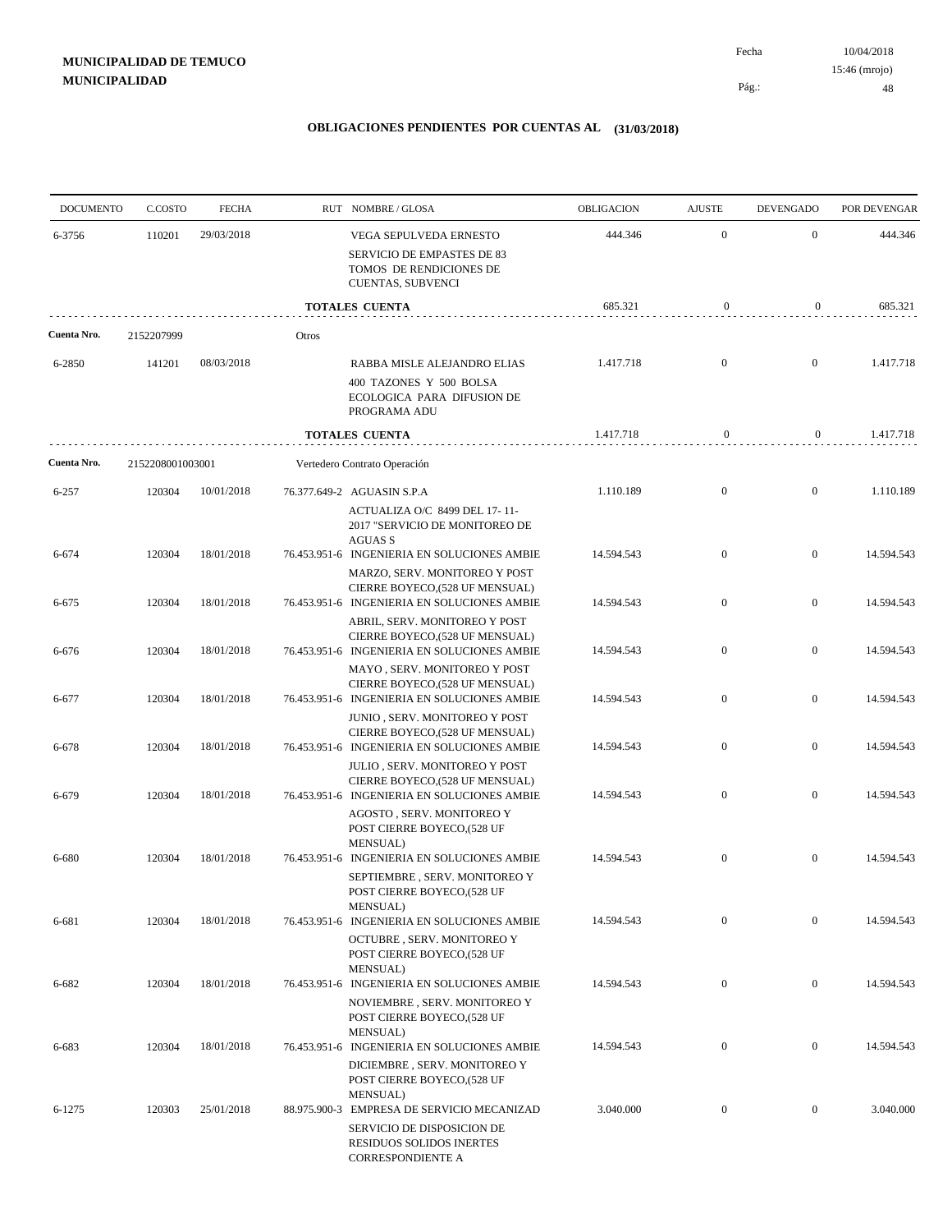| <b>DOCUMENTO</b> | C.COSTO          | <b>FECHA</b> |       | RUT NOMBRE/GLOSA                                                                                                | OBLIGACION | <b>AJUSTE</b>    | <b>DEVENGADO</b> | POR DEVENGAR |
|------------------|------------------|--------------|-------|-----------------------------------------------------------------------------------------------------------------|------------|------------------|------------------|--------------|
| 6-3756           | 110201           | 29/03/2018   |       | VEGA SEPULVEDA ERNESTO                                                                                          | 444.346    | $\mathbf{0}$     | $\boldsymbol{0}$ | 444.346      |
|                  |                  |              |       | SERVICIO DE EMPASTES DE 83<br>TOMOS DE RENDICIONES DE<br><b>CUENTAS, SUBVENCI</b>                               |            |                  |                  |              |
|                  |                  |              |       | <b>TOTALES CUENTA</b>                                                                                           | 685.321    | $\boldsymbol{0}$ | $\overline{0}$   | 685.321      |
| Cuenta Nro.      | 2152207999       |              | Otros |                                                                                                                 |            |                  |                  |              |
| 6-2850           | 141201           | 08/03/2018   |       | RABBA MISLE ALEJANDRO ELIAS<br>400 TAZONES Y 500 BOLSA<br>ECOLOGICA PARA DIFUSION DE<br>PROGRAMA ADU            | 1.417.718  | $\mathbf{0}$     | $\boldsymbol{0}$ | 1.417.718    |
|                  |                  |              |       | <b>TOTALES CUENTA</b>                                                                                           | 1.417.718  | $\bf{0}$         | $\overline{0}$   | 1.417.718    |
| Cuenta Nro.      | 2152208001003001 |              |       | Vertedero Contrato Operación                                                                                    |            |                  |                  |              |
| $6 - 257$        | 120304           | 10/01/2018   |       | 76.377.649-2 AGUASIN S.P.A                                                                                      | 1.110.189  | $\mathbf{0}$     | $\boldsymbol{0}$ | 1.110.189    |
|                  |                  |              |       | ACTUALIZA O/C 8499 DEL 17-11-<br>2017 "SERVICIO DE MONITOREO DE<br><b>AGUAS S</b>                               |            |                  |                  |              |
| 6-674            | 120304           | 18/01/2018   |       | 76.453.951-6 INGENIERIA EN SOLUCIONES AMBIE<br>MARZO, SERV. MONITOREO Y POST                                    | 14.594.543 | $\mathbf{0}$     | $\boldsymbol{0}$ | 14.594.543   |
| 6-675            | 120304           | 18/01/2018   |       | CIERRE BOYECO,(528 UF MENSUAL)<br>76.453.951-6 INGENIERIA EN SOLUCIONES AMBIE                                   | 14.594.543 | $\mathbf{0}$     | $\boldsymbol{0}$ | 14.594.543   |
| 6-676            | 120304           | 18/01/2018   |       | ABRIL, SERV. MONITOREO Y POST<br>CIERRE BOYECO, (528 UF MENSUAL)<br>76.453.951-6 INGENIERIA EN SOLUCIONES AMBIE | 14.594.543 | $\mathbf{0}$     | $\boldsymbol{0}$ | 14.594.543   |
| 6-677            | 120304           | 18/01/2018   |       | MAYO, SERV. MONITOREO Y POST<br>CIERRE BOYECO,(528 UF MENSUAL)<br>76.453.951-6 INGENIERIA EN SOLUCIONES AMBIE   | 14.594.543 | $\boldsymbol{0}$ | $\mathbf{0}$     | 14.594.543   |
| 6-678            | 120304           | 18/01/2018   |       | JUNIO, SERV. MONITOREO Y POST<br>CIERRE BOYECO, (528 UF MENSUAL)<br>76.453.951-6 INGENIERIA EN SOLUCIONES AMBIE | 14.594.543 | $\mathbf{0}$     | $\boldsymbol{0}$ | 14.594.543   |
|                  |                  |              |       | <b>JULIO, SERV. MONITOREO Y POST</b><br>CIERRE BOYECO, (528 UF MENSUAL)                                         |            |                  |                  |              |
| 6-679            | 120304           | 18/01/2018   |       | 76.453.951-6 INGENIERIA EN SOLUCIONES AMBIE<br>AGOSTO, SERV. MONITOREO Y<br>POST CIERRE BOYECO,(528 UF          | 14.594.543 | $\mathbf{0}$     | $\boldsymbol{0}$ | 14.594.543   |
| 6-680            | 120304           | 18/01/2018   |       | MENSUAL)<br>76.453.951-6 INGENIERIA EN SOLUCIONES AMBIE<br>SEPTIEMBRE, SERV. MONITOREO Y                        | 14.594.543 | $\mathbf{0}$     | $\boldsymbol{0}$ | 14.594.543   |
|                  |                  |              |       | POST CIERRE BOYECO,(528 UF<br>MENSUAL)<br>76.453.951-6 INGENIERIA EN SOLUCIONES AMBIE                           |            | $\overline{0}$   | $\boldsymbol{0}$ |              |
| 6-681            | 120304           | 18/01/2018   |       | <b>OCTUBRE, SERV. MONITOREO Y</b><br>POST CIERRE BOYECO,(528 UF                                                 | 14.594.543 |                  |                  | 14.594.543   |
| 6-682            | 120304           | 18/01/2018   |       | MENSUAL)<br>76.453.951-6 INGENIERIA EN SOLUCIONES AMBIE<br>NOVIEMBRE, SERV. MONITOREO Y                         | 14.594.543 | $\mathbf{0}$     | $\overline{0}$   | 14.594.543   |
|                  |                  |              |       | POST CIERRE BOYECO,(528 UF<br>MENSUAL)                                                                          |            | $\boldsymbol{0}$ | $\overline{0}$   |              |
| 6-683            | 120304           | 18/01/2018   |       | 76.453.951-6 INGENIERIA EN SOLUCIONES AMBIE<br>DICIEMBRE, SERV. MONITOREO Y<br>POST CIERRE BOYECO,(528 UF       | 14.594.543 |                  |                  | 14.594.543   |
| 6-1275           | 120303           | 25/01/2018   |       | MENSUAL)<br>88.975.900-3 EMPRESA DE SERVICIO MECANIZAD<br>SERVICIO DE DISPOSICION DE                            | 3.040.000  | $\mathbf{0}$     | $\mathbf{0}$     | 3.040.000    |
|                  |                  |              |       | RESIDUOS SOLIDOS INERTES<br>CORRESPONDIENTE A                                                                   |            |                  |                  |              |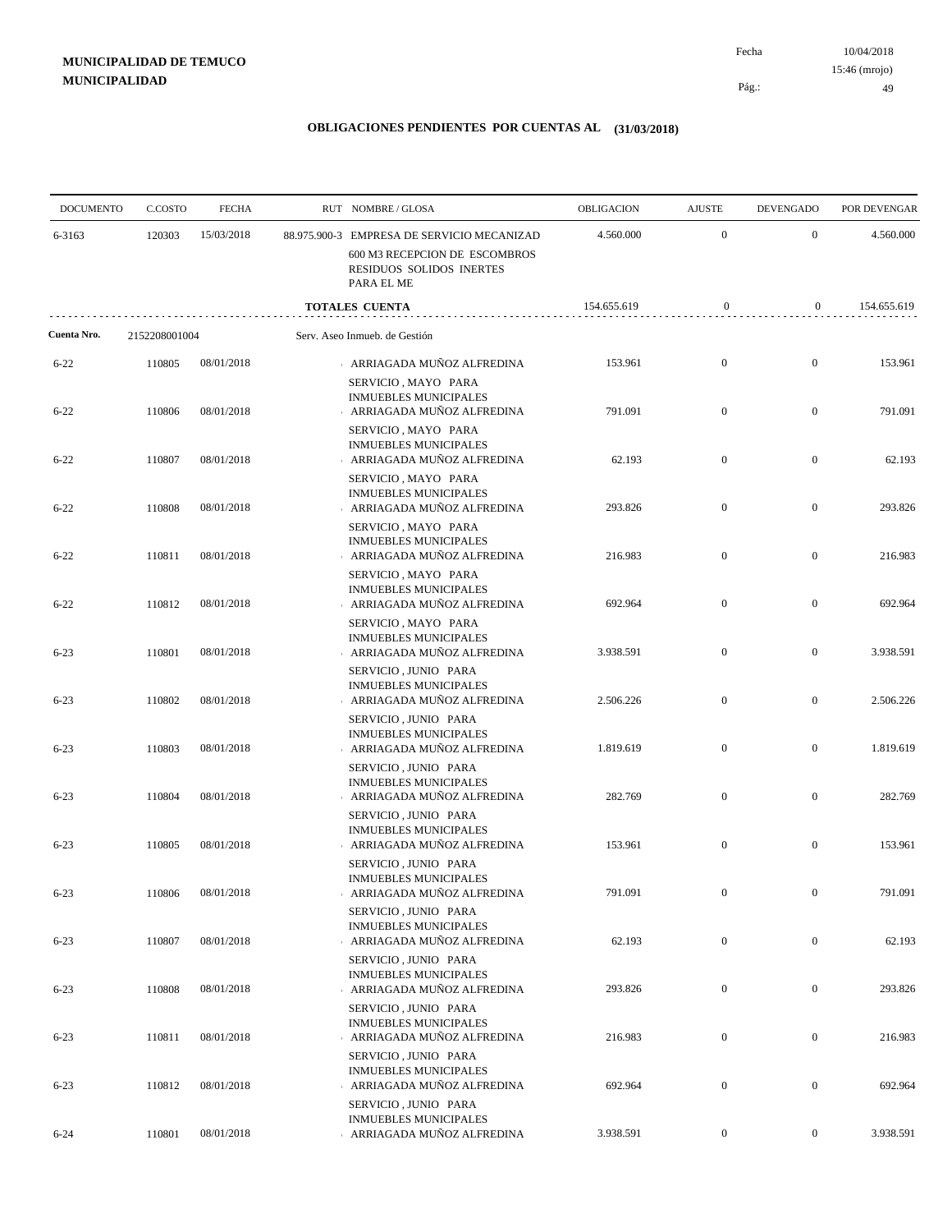| <b>DOCUMENTO</b> | C.COSTO       | <b>FECHA</b> | RUT NOMBRE/GLOSA                                                                  | OBLIGACION  | <b>AJUSTE</b>    | <b>DEVENGADO</b> | POR DEVENGAR |
|------------------|---------------|--------------|-----------------------------------------------------------------------------------|-------------|------------------|------------------|--------------|
| 6-3163           | 120303        | 15/03/2018   | 88.975.900-3 EMPRESA DE SERVICIO MECANIZAD                                        | 4.560.000   | $\mathbf{0}$     | $\boldsymbol{0}$ | 4.560.000    |
|                  |               |              | 600 M3 RECEPCION DE ESCOMBROS<br>RESIDUOS SOLIDOS INERTES<br>PARA EL ME           |             |                  |                  |              |
|                  |               |              | <b>TOTALES CUENTA</b>                                                             | 154.655.619 | $\boldsymbol{0}$ | $\bf{0}$         | 154.655.619  |
| Cuenta Nro.      | 2152208001004 |              | Serv. Aseo Inmueb. de Gestión                                                     |             |                  |                  |              |
| $6 - 22$         | 110805        | 08/01/2018   | ARRIAGADA MUÑOZ ALFREDINA<br>SERVICIO, MAYO PARA                                  | 153.961     | $\boldsymbol{0}$ | $\boldsymbol{0}$ | 153.961      |
| $6 - 22$         | 110806        | 08/01/2018   | <b>INMUEBLES MUNICIPALES</b><br>ARRIAGADA MUÑOZ ALFREDINA                         | 791.091     | $\mathbf{0}$     | $\boldsymbol{0}$ | 791.091      |
| $6 - 22$         | 110807        | 08/01/2018   | SERVICIO, MAYO PARA<br><b>INMUEBLES MUNICIPALES</b><br>ARRIAGADA MUÑOZ ALFREDINA  | 62.193      | $\boldsymbol{0}$ | $\boldsymbol{0}$ | 62.193       |
| $6 - 22$         | 110808        | 08/01/2018   | SERVICIO, MAYO PARA<br><b>INMUEBLES MUNICIPALES</b><br>ARRIAGADA MUÑOZ ALFREDINA  | 293.826     | $\boldsymbol{0}$ | $\boldsymbol{0}$ | 293.826      |
|                  |               |              | SERVICIO, MAYO PARA<br><b>INMUEBLES MUNICIPALES</b>                               |             |                  |                  |              |
| $6 - 22$         | 110811        | 08/01/2018   | ARRIAGADA MUÑOZ ALFREDINA<br>SERVICIO, MAYO PARA<br><b>INMUEBLES MUNICIPALES</b>  | 216.983     | $\mathbf{0}$     | $\boldsymbol{0}$ | 216.983      |
| $6 - 22$         | 110812        | 08/01/2018   | ARRIAGADA MUÑOZ ALFREDINA<br>SERVICIO, MAYO PARA                                  | 692.964     | $\boldsymbol{0}$ | $\boldsymbol{0}$ | 692.964      |
| $6 - 23$         | 110801        | 08/01/2018   | <b>INMUEBLES MUNICIPALES</b><br>ARRIAGADA MUÑOZ ALFREDINA                         | 3.938.591   | $\mathbf{0}$     | $\boldsymbol{0}$ | 3.938.591    |
| $6 - 23$         | 110802        | 08/01/2018   | SERVICIO, JUNIO PARA<br><b>INMUEBLES MUNICIPALES</b><br>ARRIAGADA MUÑOZ ALFREDINA | 2.506.226   | $\boldsymbol{0}$ | $\boldsymbol{0}$ | 2.506.226    |
| $6 - 23$         | 110803        | 08/01/2018   | SERVICIO, JUNIO PARA<br><b>INMUEBLES MUNICIPALES</b><br>ARRIAGADA MUÑOZ ALFREDINA | 1.819.619   | $\boldsymbol{0}$ | $\boldsymbol{0}$ | 1.819.619    |
|                  |               |              | SERVICIO, JUNIO PARA<br><b>INMUEBLES MUNICIPALES</b>                              |             |                  |                  |              |
| $6 - 23$         | 110804        | 08/01/2018   | ARRIAGADA MUÑOZ ALFREDINA<br>SERVICIO, JUNIO PARA                                 | 282.769     | $\boldsymbol{0}$ | $\boldsymbol{0}$ | 282.769      |
| $6 - 23$         | 110805        | 08/01/2018   | <b>INMUEBLES MUNICIPALES</b><br>ARRIAGADA MUÑOZ ALFREDINA<br>SERVICIO, JUNIO PARA | 153.961     | $\boldsymbol{0}$ | $\boldsymbol{0}$ | 153.961      |
| $6 - 23$         | 110806        | 08/01/2018   | <b>INMUEBLES MUNICIPALES</b><br>ARRIAGADA MUÑOZ ALFREDINA                         | 791.091     | $\mathbf{0}$     | $\mathbf{0}$     | 791.091      |
| $6 - 23$         | 110807        | 08/01/2018   | SERVICIO, JUNIO PARA<br><b>INMUEBLES MUNICIPALES</b><br>ARRIAGADA MUÑOZ ALFREDINA | 62.193      | $\mathbf{0}$     | $\bf{0}$         | 62.193       |
| $6 - 23$         | 110808        | 08/01/2018   | SERVICIO, JUNIO PARA<br><b>INMUEBLES MUNICIPALES</b><br>ARRIAGADA MUÑOZ ALFREDINA | 293.826     | $\boldsymbol{0}$ | $\bf{0}$         | 293.826      |
|                  |               |              | SERVICIO, JUNIO PARA<br><b>INMUEBLES MUNICIPALES</b>                              |             |                  |                  |              |
| $6 - 23$         | 110811        | 08/01/2018   | ARRIAGADA MUÑOZ ALFREDINA<br>SERVICIO, JUNIO PARA                                 | 216.983     | $\overline{0}$   | $\boldsymbol{0}$ | 216.983      |
| $6 - 23$         | 110812        | 08/01/2018   | <b>INMUEBLES MUNICIPALES</b><br>ARRIAGADA MUÑOZ ALFREDINA<br>SERVICIO, JUNIO PARA | 692.964     | $\boldsymbol{0}$ | $\boldsymbol{0}$ | 692.964      |
| $6 - 24$         | 110801        | 08/01/2018   | <b>INMUEBLES MUNICIPALES</b><br>ARRIAGADA MUÑOZ ALFREDINA                         | 3.938.591   | $\boldsymbol{0}$ | $\mathbf{0}$     | 3.938.591    |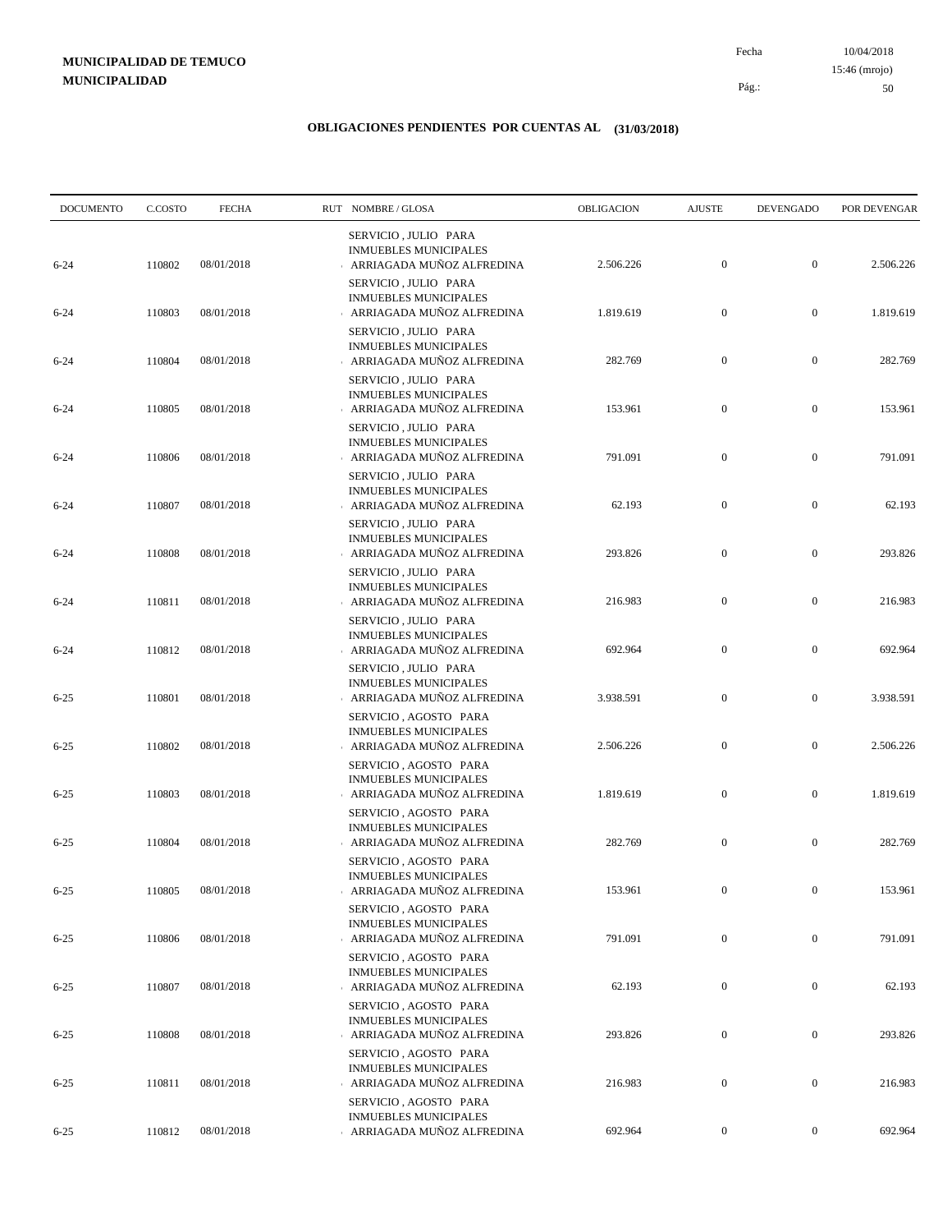10/04/2018 50 Pág.: Fecha 15:46 (mrojo)

| <b>DOCUMENTO</b> | C.COSTO | <b>FECHA</b> | RUT NOMBRE/GLOSA                                                                   | OBLIGACION | <b>AJUSTE</b>    | <b>DEVENGADO</b> | POR DEVENGAR |
|------------------|---------|--------------|------------------------------------------------------------------------------------|------------|------------------|------------------|--------------|
| $6 - 24$         | 110802  | 08/01/2018   | SERVICIO, JULIO PARA<br><b>INMUEBLES MUNICIPALES</b><br>ARRIAGADA MUÑOZ ALFREDINA  | 2.506.226  | $\mathbf{0}$     | $\boldsymbol{0}$ | 2.506.226    |
| $6 - 24$         | 110803  | 08/01/2018   | SERVICIO, JULIO PARA<br><b>INMUEBLES MUNICIPALES</b><br>ARRIAGADA MUÑOZ ALFREDINA  | 1.819.619  | $\boldsymbol{0}$ | $\boldsymbol{0}$ | 1.819.619    |
| $6 - 24$         | 110804  | 08/01/2018   | SERVICIO, JULIO PARA<br><b>INMUEBLES MUNICIPALES</b><br>ARRIAGADA MUÑOZ ALFREDINA  | 282.769    | $\boldsymbol{0}$ | $\boldsymbol{0}$ | 282.769      |
| $6 - 24$         | 110805  | 08/01/2018   | SERVICIO, JULIO PARA<br><b>INMUEBLES MUNICIPALES</b><br>ARRIAGADA MUÑOZ ALFREDINA  | 153.961    | $\boldsymbol{0}$ | $\boldsymbol{0}$ | 153.961      |
| $6 - 24$         | 110806  | 08/01/2018   | SERVICIO, JULIO PARA<br><b>INMUEBLES MUNICIPALES</b><br>ARRIAGADA MUÑOZ ALFREDINA  | 791.091    | $\boldsymbol{0}$ | $\boldsymbol{0}$ | 791.091      |
| $6 - 24$         | 110807  | 08/01/2018   | SERVICIO, JULIO PARA<br><b>INMUEBLES MUNICIPALES</b><br>ARRIAGADA MUÑOZ ALFREDINA  | 62.193     | $\boldsymbol{0}$ | $\boldsymbol{0}$ | 62.193       |
|                  |         |              | SERVICIO, JULIO PARA<br><b>INMUEBLES MUNICIPALES</b>                               |            | $\boldsymbol{0}$ | $\boldsymbol{0}$ |              |
| $6 - 24$         | 110808  | 08/01/2018   | ARRIAGADA MUÑOZ ALFREDINA<br>SERVICIO, JULIO PARA<br><b>INMUEBLES MUNICIPALES</b>  | 293.826    |                  |                  | 293.826      |
| $6 - 24$         | 110811  | 08/01/2018   | ARRIAGADA MUÑOZ ALFREDINA<br>SERVICIO, JULIO PARA<br><b>INMUEBLES MUNICIPALES</b>  | 216.983    | $\boldsymbol{0}$ | $\boldsymbol{0}$ | 216.983      |
| $6 - 24$         | 110812  | 08/01/2018   | ARRIAGADA MUÑOZ ALFREDINA<br>SERVICIO, JULIO PARA<br><b>INMUEBLES MUNICIPALES</b>  | 692.964    | $\boldsymbol{0}$ | $\boldsymbol{0}$ | 692.964      |
| $6 - 25$         | 110801  | 08/01/2018   | ARRIAGADA MUÑOZ ALFREDINA<br>SERVICIO, AGOSTO PARA<br><b>INMUEBLES MUNICIPALES</b> | 3.938.591  | $\boldsymbol{0}$ | $\boldsymbol{0}$ | 3.938.591    |
| $6 - 25$         | 110802  | 08/01/2018   | ARRIAGADA MUÑOZ ALFREDINA<br>SERVICIO, AGOSTO PARA                                 | 2.506.226  | $\mathbf{0}$     | $\boldsymbol{0}$ | 2.506.226    |
| $6 - 25$         | 110803  | 08/01/2018   | <b>INMUEBLES MUNICIPALES</b><br>ARRIAGADA MUÑOZ ALFREDINA<br>SERVICIO, AGOSTO PARA | 1.819.619  | $\boldsymbol{0}$ | $\boldsymbol{0}$ | 1.819.619    |
| $6 - 25$         | 110804  | 08/01/2018   | <b>INMUEBLES MUNICIPALES</b><br>ARRIAGADA MUÑOZ ALFREDINA<br>SERVICIO, AGOSTO PARA | 282.769    | $\boldsymbol{0}$ | $\boldsymbol{0}$ | 282.769      |
| $6 - 25$         | 110805  | 08/01/2018   | <b>INMUEBLES MUNICIPALES</b><br>ARRIAGADA MUÑOZ ALFREDINA<br>SERVICIO, AGOSTO PARA | 153.961    | $\overline{0}$   | $\mathbf{0}$     | 153.961      |
| $6 - 25$         | 110806  | 08/01/2018   | <b>INMUEBLES MUNICIPALES</b><br>ARRIAGADA MUÑOZ ALFREDINA<br>SERVICIO, AGOSTO PARA | 791.091    | $\boldsymbol{0}$ | $\mathbf{0}$     | 791.091      |
| $6 - 25$         | 110807  | 08/01/2018   | <b>INMUEBLES MUNICIPALES</b><br>ARRIAGADA MUÑOZ ALFREDINA                          | 62.193     | $\boldsymbol{0}$ | $\boldsymbol{0}$ | 62.193       |
| $6 - 25$         | 110808  | 08/01/2018   | SERVICIO, AGOSTO PARA<br><b>INMUEBLES MUNICIPALES</b><br>ARRIAGADA MUÑOZ ALFREDINA | 293.826    | $\boldsymbol{0}$ | $\boldsymbol{0}$ | 293.826      |
| $6 - 25$         | 110811  | 08/01/2018   | SERVICIO, AGOSTO PARA<br><b>INMUEBLES MUNICIPALES</b><br>ARRIAGADA MUÑOZ ALFREDINA | 216.983    | $\boldsymbol{0}$ | $\boldsymbol{0}$ | 216.983      |
| $6 - 25$         | 110812  | 08/01/2018   | SERVICIO, AGOSTO PARA<br><b>INMUEBLES MUNICIPALES</b><br>ARRIAGADA MUÑOZ ALFREDINA | 692.964    | $\boldsymbol{0}$ | $\boldsymbol{0}$ | 692.964      |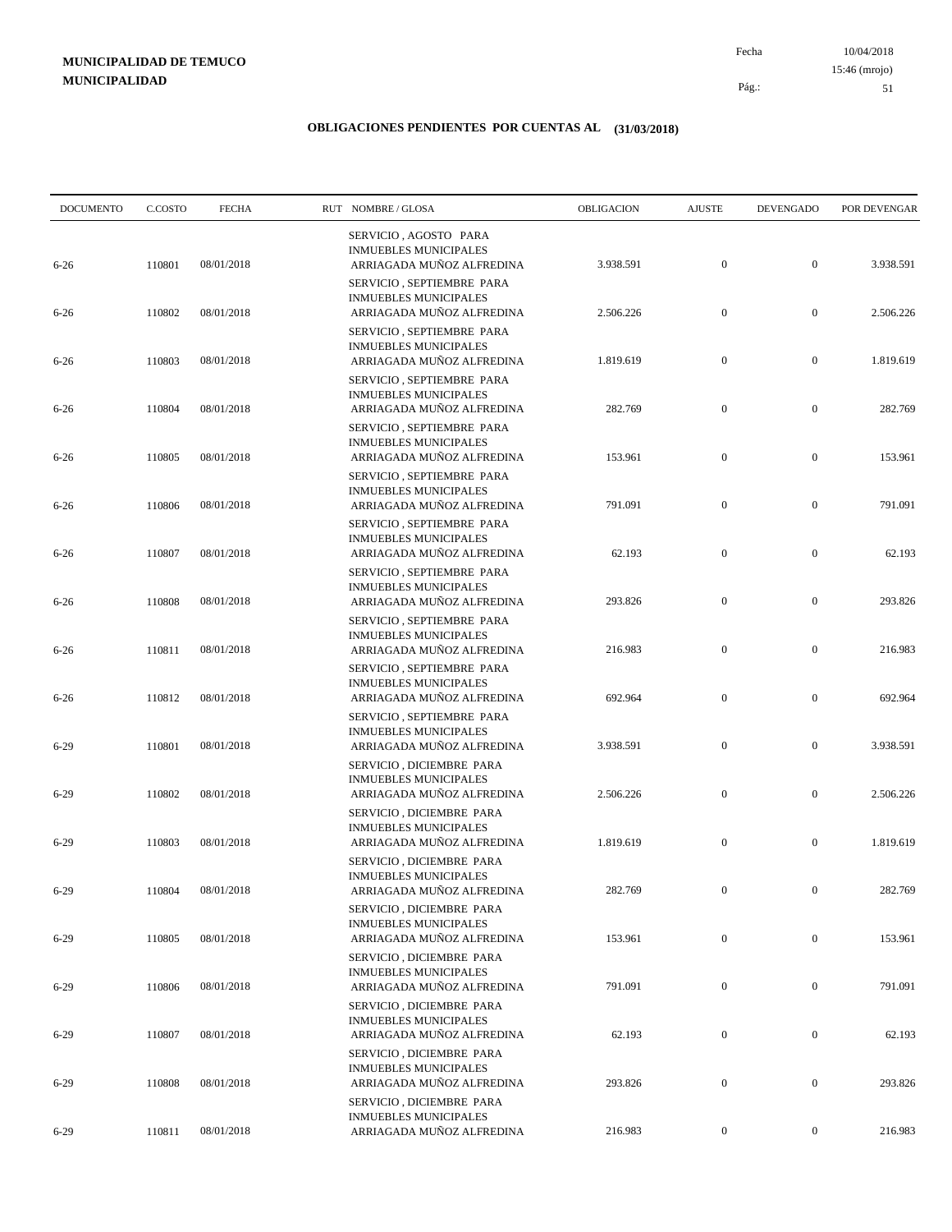10/04/2018 51 Pág.: Fecha 15:46 (mrojo)

| OBLIGACION | <b>AJUSTE</b>                              | <b>DEVENGADO</b>                                                       | POR DEVENGAR                                                             |
|------------|--------------------------------------------|------------------------------------------------------------------------|--------------------------------------------------------------------------|
| 3.938.591  | $\boldsymbol{0}$                           | $\boldsymbol{0}$                                                       | 3.938.591                                                                |
| 2.506.226  | $\boldsymbol{0}$                           | $\boldsymbol{0}$                                                       | 2.506.226                                                                |
|            |                                            |                                                                        | 1.819.619                                                                |
|            |                                            |                                                                        |                                                                          |
| 282.769    | $\boldsymbol{0}$                           | $\boldsymbol{0}$                                                       | 282.769                                                                  |
| 153.961    | $\boldsymbol{0}$                           | $\boldsymbol{0}$                                                       | 153.961                                                                  |
| 791.091    | $\boldsymbol{0}$                           | $\boldsymbol{0}$                                                       | 791.091                                                                  |
| 62.193     | $\boldsymbol{0}$                           | $\mathbf{0}$                                                           | 62.193                                                                   |
|            |                                            |                                                                        | 293.826                                                                  |
|            |                                            |                                                                        |                                                                          |
|            |                                            |                                                                        | 216.983                                                                  |
| 692.964    | $\boldsymbol{0}$                           | $\boldsymbol{0}$                                                       | 692.964                                                                  |
| 3.938.591  | $\mathbf{0}$                               | $\boldsymbol{0}$                                                       | 3.938.591                                                                |
| 2.506.226  | $\mathbf{0}$                               | $\boldsymbol{0}$                                                       | 2.506.226                                                                |
| 1.819.619  | $\boldsymbol{0}$                           | $\boldsymbol{0}$                                                       | 1.819.619                                                                |
|            |                                            |                                                                        | 282.769                                                                  |
|            |                                            |                                                                        |                                                                          |
| 153.961    | $\boldsymbol{0}$                           | $\mathbf{0}$                                                           | 153.961                                                                  |
| 791.091    | $\boldsymbol{0}$                           | $\boldsymbol{0}$                                                       | 791.091                                                                  |
| 62.193     | $\boldsymbol{0}$                           | $\boldsymbol{0}$                                                       | 62.193                                                                   |
| 293.826    | $\boldsymbol{0}$                           | $\boldsymbol{0}$                                                       | 293.826                                                                  |
| 216.983    | $\mathbf{0}$                               | $\boldsymbol{0}$                                                       | 216.983                                                                  |
|            | 1.819.619<br>293.826<br>216.983<br>282.769 | $\boldsymbol{0}$<br>$\boldsymbol{0}$<br>$\mathbf{0}$<br>$\overline{0}$ | $\boldsymbol{0}$<br>$\boldsymbol{0}$<br>$\boldsymbol{0}$<br>$\mathbf{0}$ |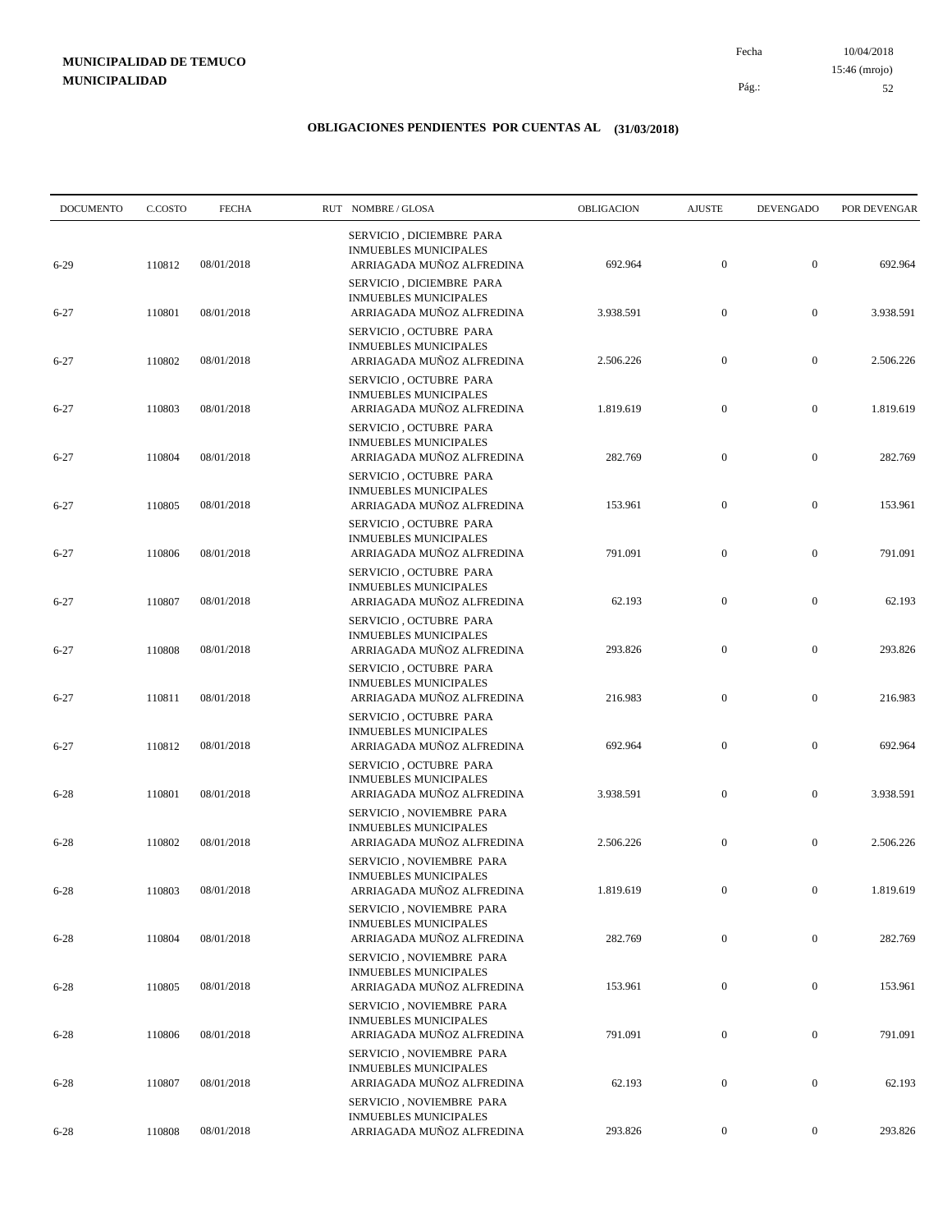10/04/2018 52 Pág.: Fecha 15:46 (mrojo)

| <b>DOCUMENTO</b> | C.COSTO | <b>FECHA</b> | RUT NOMBRE/GLOSA                                                                      | OBLIGACION | <b>AJUSTE</b>    | <b>DEVENGADO</b> | POR DEVENGAR |
|------------------|---------|--------------|---------------------------------------------------------------------------------------|------------|------------------|------------------|--------------|
| $6-29$           | 110812  | 08/01/2018   | SERVICIO, DICIEMBRE PARA<br><b>INMUEBLES MUNICIPALES</b><br>ARRIAGADA MUÑOZ ALFREDINA | 692.964    | $\boldsymbol{0}$ | $\mathbf{0}$     | 692.964      |
| $6 - 27$         | 110801  | 08/01/2018   | SERVICIO, DICIEMBRE PARA<br><b>INMUEBLES MUNICIPALES</b><br>ARRIAGADA MUÑOZ ALFREDINA | 3.938.591  | $\mathbf{0}$     | $\boldsymbol{0}$ | 3.938.591    |
| $6 - 27$         | 110802  | 08/01/2018   | SERVICIO, OCTUBRE PARA<br><b>INMUEBLES MUNICIPALES</b><br>ARRIAGADA MUÑOZ ALFREDINA   | 2.506.226  | $\boldsymbol{0}$ | $\boldsymbol{0}$ | 2.506.226    |
| $6 - 27$         | 110803  | 08/01/2018   | SERVICIO, OCTUBRE PARA<br><b>INMUEBLES MUNICIPALES</b><br>ARRIAGADA MUÑOZ ALFREDINA   | 1.819.619  | $\boldsymbol{0}$ | $\boldsymbol{0}$ | 1.819.619    |
| $6 - 27$         | 110804  | 08/01/2018   | SERVICIO, OCTUBRE PARA<br><b>INMUEBLES MUNICIPALES</b><br>ARRIAGADA MUÑOZ ALFREDINA   | 282.769    | $\boldsymbol{0}$ | $\boldsymbol{0}$ | 282.769      |
| $6 - 27$         | 110805  | 08/01/2018   | SERVICIO, OCTUBRE PARA<br><b>INMUEBLES MUNICIPALES</b><br>ARRIAGADA MUÑOZ ALFREDINA   | 153.961    | $\boldsymbol{0}$ | $\boldsymbol{0}$ | 153.961      |
| $6 - 27$         | 110806  | 08/01/2018   | SERVICIO, OCTUBRE PARA<br><b>INMUEBLES MUNICIPALES</b><br>ARRIAGADA MUÑOZ ALFREDINA   | 791.091    | $\boldsymbol{0}$ | $\boldsymbol{0}$ | 791.091      |
| $6 - 27$         | 110807  | 08/01/2018   | SERVICIO, OCTUBRE PARA<br><b>INMUEBLES MUNICIPALES</b><br>ARRIAGADA MUÑOZ ALFREDINA   | 62.193     | $\boldsymbol{0}$ | $\boldsymbol{0}$ | 62.193       |
| $6 - 27$         | 110808  | 08/01/2018   | SERVICIO, OCTUBRE PARA<br><b>INMUEBLES MUNICIPALES</b><br>ARRIAGADA MUÑOZ ALFREDINA   | 293.826    | $\mathbf{0}$     | $\boldsymbol{0}$ | 293.826      |
| $6 - 27$         | 110811  | 08/01/2018   | SERVICIO, OCTUBRE PARA<br><b>INMUEBLES MUNICIPALES</b><br>ARRIAGADA MUÑOZ ALFREDINA   | 216.983    | $\boldsymbol{0}$ | $\boldsymbol{0}$ | 216.983      |
| $6 - 27$         | 110812  | 08/01/2018   | SERVICIO, OCTUBRE PARA<br><b>INMUEBLES MUNICIPALES</b><br>ARRIAGADA MUÑOZ ALFREDINA   | 692.964    | $\mathbf{0}$     | $\boldsymbol{0}$ | 692.964      |
| $6 - 28$         | 110801  | 08/01/2018   | SERVICIO, OCTUBRE PARA<br><b>INMUEBLES MUNICIPALES</b><br>ARRIAGADA MUÑOZ ALFREDINA   | 3.938.591  | $\boldsymbol{0}$ | $\boldsymbol{0}$ | 3.938.591    |
| $6 - 28$         | 110802  | 08/01/2018   | SERVICIO, NOVIEMBRE PARA<br><b>INMUEBLES MUNICIPALES</b><br>ARRIAGADA MUÑOZ ALFREDINA | 2.506.226  | $\boldsymbol{0}$ | $\boldsymbol{0}$ | 2.506.226    |
| $6 - 28$         | 110803  | 08/01/2018   | SERVICIO, NOVIEMBRE PARA<br><b>INMUEBLES MUNICIPALES</b><br>ARRIAGADA MUÑOZ ALFREDINA | 1.819.619  | $\mathbf{0}$     | $\mathbf{0}$     | 1.819.619    |
| $6 - 28$         | 110804  | 08/01/2018   | SERVICIO, NOVIEMBRE PARA<br><b>INMUEBLES MUNICIPALES</b><br>ARRIAGADA MUÑOZ ALFREDINA | 282.769    | $\boldsymbol{0}$ | $\mathbf{0}$     | 282.769      |
| $6 - 28$         | 110805  | 08/01/2018   | SERVICIO, NOVIEMBRE PARA<br><b>INMUEBLES MUNICIPALES</b><br>ARRIAGADA MUÑOZ ALFREDINA | 153.961    | $\boldsymbol{0}$ | $\boldsymbol{0}$ | 153.961      |
| $6 - 28$         | 110806  | 08/01/2018   | SERVICIO, NOVIEMBRE PARA<br><b>INMUEBLES MUNICIPALES</b><br>ARRIAGADA MUÑOZ ALFREDINA | 791.091    | $\boldsymbol{0}$ | $\boldsymbol{0}$ | 791.091      |
| $6 - 28$         | 110807  | 08/01/2018   | SERVICIO, NOVIEMBRE PARA<br><b>INMUEBLES MUNICIPALES</b><br>ARRIAGADA MUÑOZ ALFREDINA | 62.193     | $\boldsymbol{0}$ | $\boldsymbol{0}$ | 62.193       |
|                  |         |              | SERVICIO, NOVIEMBRE PARA<br><b>INMUEBLES MUNICIPALES</b>                              |            |                  |                  |              |
| $6 - 28$         | 110808  | 08/01/2018   | ARRIAGADA MUÑOZ ALFREDINA                                                             | 293.826    | $\boldsymbol{0}$ | $\boldsymbol{0}$ | 293.826      |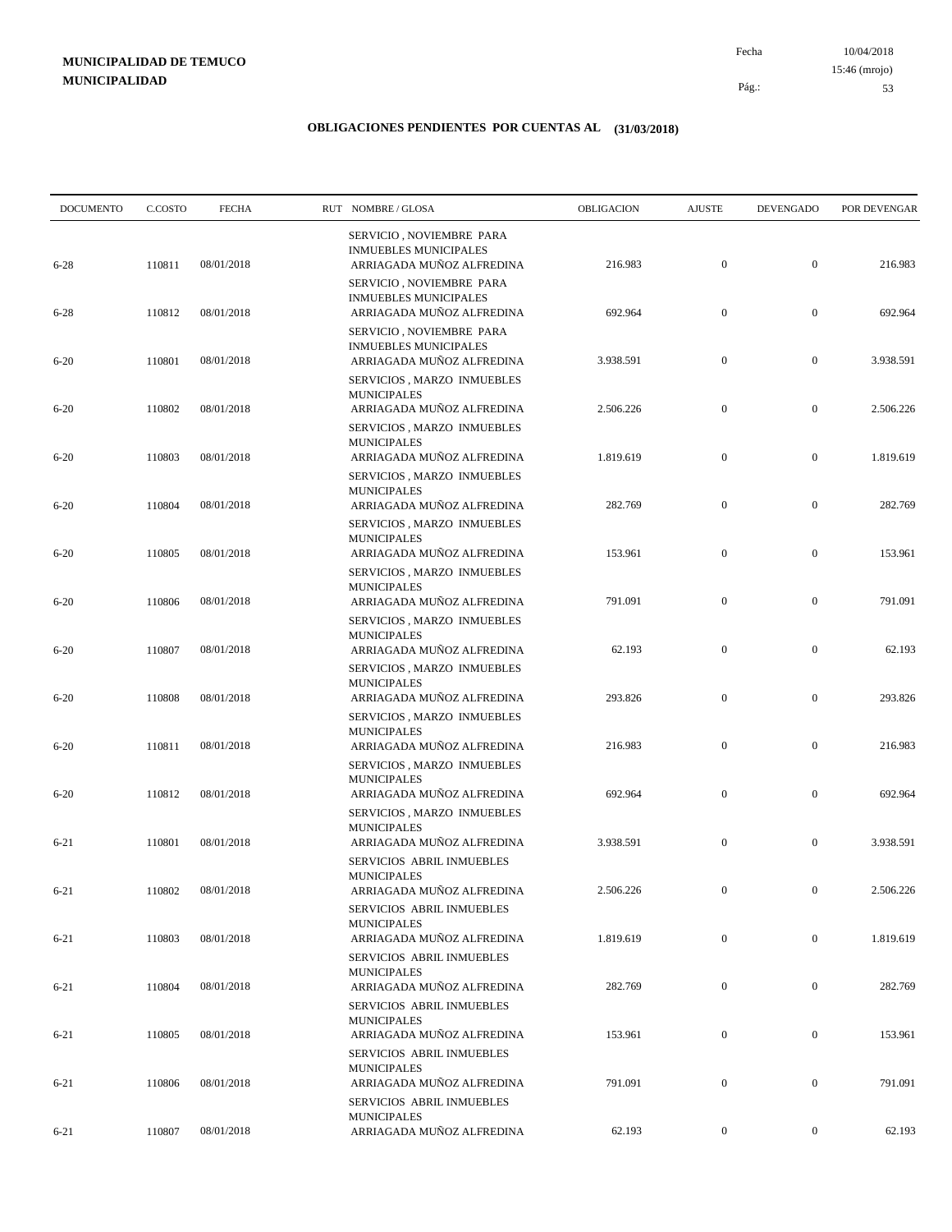10/04/2018 53 Pág.: Fecha 15:46 (mrojo)

| <b>DOCUMENTO</b> | C.COSTO | <b>FECHA</b> | RUT NOMBRE/GLOSA                                                                                            | OBLIGACION | <b>AJUSTE</b>    | <b>DEVENGADO</b> | POR DEVENGAR |
|------------------|---------|--------------|-------------------------------------------------------------------------------------------------------------|------------|------------------|------------------|--------------|
| $6 - 28$         | 110811  | 08/01/2018   | SERVICIO, NOVIEMBRE PARA<br><b>INMUEBLES MUNICIPALES</b><br>ARRIAGADA MUÑOZ ALFREDINA                       | 216.983    | $\boldsymbol{0}$ | $\boldsymbol{0}$ | 216.983      |
| $6 - 28$         | 110812  | 08/01/2018   | SERVICIO, NOVIEMBRE PARA<br><b>INMUEBLES MUNICIPALES</b><br>ARRIAGADA MUÑOZ ALFREDINA                       | 692.964    | $\boldsymbol{0}$ | $\boldsymbol{0}$ | 692.964      |
| $6 - 20$         | 110801  | 08/01/2018   | SERVICIO, NOVIEMBRE PARA<br><b>INMUEBLES MUNICIPALES</b><br>ARRIAGADA MUÑOZ ALFREDINA                       | 3.938.591  | $\boldsymbol{0}$ | $\boldsymbol{0}$ | 3.938.591    |
| $6 - 20$         | 110802  | 08/01/2018   | SERVICIOS, MARZO INMUEBLES<br><b>MUNICIPALES</b><br>ARRIAGADA MUÑOZ ALFREDINA                               | 2.506.226  | $\boldsymbol{0}$ | $\boldsymbol{0}$ | 2.506.226    |
| $6 - 20$         | 110803  | 08/01/2018   | SERVICIOS, MARZO INMUEBLES<br><b>MUNICIPALES</b><br>ARRIAGADA MUÑOZ ALFREDINA                               | 1.819.619  | $\boldsymbol{0}$ | $\boldsymbol{0}$ | 1.819.619    |
| $6 - 20$         | 110804  | 08/01/2018   | SERVICIOS, MARZO INMUEBLES<br><b>MUNICIPALES</b><br>ARRIAGADA MUÑOZ ALFREDINA                               | 282.769    | $\boldsymbol{0}$ | $\boldsymbol{0}$ | 282.769      |
| $6 - 20$         | 110805  | 08/01/2018   | SERVICIOS, MARZO INMUEBLES<br><b>MUNICIPALES</b><br>ARRIAGADA MUÑOZ ALFREDINA                               | 153.961    | $\boldsymbol{0}$ | $\boldsymbol{0}$ | 153.961      |
| $6 - 20$         | 110806  | 08/01/2018   | SERVICIOS, MARZO INMUEBLES<br><b>MUNICIPALES</b><br>ARRIAGADA MUÑOZ ALFREDINA<br>SERVICIOS, MARZO INMUEBLES | 791.091    | $\boldsymbol{0}$ | $\boldsymbol{0}$ | 791.091      |
| $6 - 20$         | 110807  | 08/01/2018   | <b>MUNICIPALES</b><br>ARRIAGADA MUÑOZ ALFREDINA                                                             | 62.193     | $\boldsymbol{0}$ | $\boldsymbol{0}$ | 62.193       |
| $6 - 20$         | 110808  | 08/01/2018   | SERVICIOS, MARZO INMUEBLES<br><b>MUNICIPALES</b><br>ARRIAGADA MUÑOZ ALFREDINA                               | 293.826    | $\boldsymbol{0}$ | $\boldsymbol{0}$ | 293.826      |
| $6 - 20$         | 110811  | 08/01/2018   | SERVICIOS, MARZO INMUEBLES<br><b>MUNICIPALES</b><br>ARRIAGADA MUÑOZ ALFREDINA                               | 216.983    | $\boldsymbol{0}$ | $\boldsymbol{0}$ | 216.983      |
| $6 - 20$         | 110812  | 08/01/2018   | SERVICIOS, MARZO INMUEBLES<br><b>MUNICIPALES</b><br>ARRIAGADA MUÑOZ ALFREDINA                               | 692.964    | $\boldsymbol{0}$ | $\boldsymbol{0}$ | 692.964      |
| $6 - 21$         | 110801  | 08/01/2018   | SERVICIOS, MARZO INMUEBLES<br><b>MUNICIPALES</b><br>ARRIAGADA MUÑOZ ALFREDINA                               | 3.938.591  | $\boldsymbol{0}$ | $\boldsymbol{0}$ | 3.938.591    |
| $6 - 21$         | 110802  | 08/01/2018   | SERVICIOS ABRIL INMUEBLES<br><b>MUNICIPALES</b><br>ARRIAGADA MUÑOZ ALFREDINA                                | 2.506.226  | $\mathbf{0}$     | $\mathbf{0}$     | 2.506.226    |
| $6 - 21$         | 110803  | 08/01/2018   | SERVICIOS ABRIL INMUEBLES<br><b>MUNICIPALES</b><br>ARRIAGADA MUÑOZ ALFREDINA                                | 1.819.619  | $\boldsymbol{0}$ | $\boldsymbol{0}$ | 1.819.619    |
| $6 - 21$         | 110804  | 08/01/2018   | SERVICIOS ABRIL INMUEBLES<br><b>MUNICIPALES</b><br>ARRIAGADA MUÑOZ ALFREDINA                                | 282.769    | $\boldsymbol{0}$ | $\boldsymbol{0}$ | 282.769      |
| $6 - 21$         | 110805  | 08/01/2018   | SERVICIOS ABRIL INMUEBLES<br><b>MUNICIPALES</b><br>ARRIAGADA MUÑOZ ALFREDINA                                | 153.961    | $\boldsymbol{0}$ | $\boldsymbol{0}$ | 153.961      |
| $6 - 21$         | 110806  | 08/01/2018   | SERVICIOS ABRIL INMUEBLES<br><b>MUNICIPALES</b><br>ARRIAGADA MUÑOZ ALFREDINA                                | 791.091    | $\boldsymbol{0}$ | $\boldsymbol{0}$ | 791.091      |
|                  |         |              | SERVICIOS ABRIL INMUEBLES<br><b>MUNICIPALES</b>                                                             |            |                  |                  |              |
| $6 - 21$         | 110807  | 08/01/2018   | ARRIAGADA MUÑOZ ALFREDINA                                                                                   | 62.193     | $\boldsymbol{0}$ | $\boldsymbol{0}$ | 62.193       |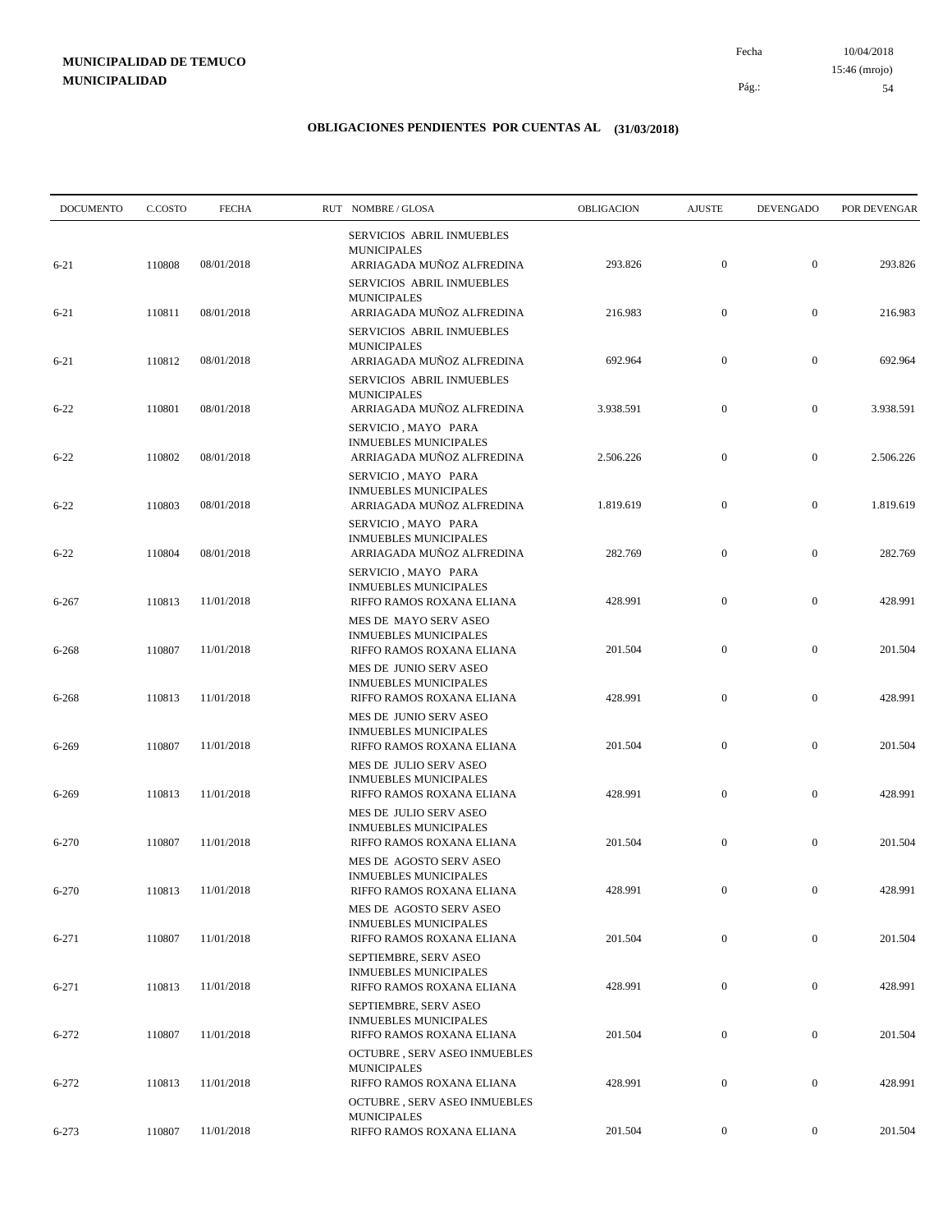10/04/2018 54 Pág.: Fecha 15:46 (mrojo)

| <b>DOCUMENTO</b> | C.COSTO | <b>FECHA</b> | RUT NOMBRE/GLOSA                                                                       | OBLIGACION | <b>AJUSTE</b>    | <b>DEVENGADO</b> | POR DEVENGAR |
|------------------|---------|--------------|----------------------------------------------------------------------------------------|------------|------------------|------------------|--------------|
|                  |         |              | SERVICIOS ABRIL INMUEBLES<br><b>MUNICIPALES</b>                                        |            |                  |                  |              |
| $6 - 21$         | 110808  | 08/01/2018   | ARRIAGADA MUÑOZ ALFREDINA<br>SERVICIOS ABRIL INMUEBLES<br><b>MUNICIPALES</b>           | 293.826    | $\mathbf{0}$     | $\boldsymbol{0}$ | 293.826      |
| $6 - 21$         | 110811  | 08/01/2018   | ARRIAGADA MUÑOZ ALFREDINA<br>SERVICIOS ABRIL INMUEBLES                                 | 216.983    | $\boldsymbol{0}$ | $\boldsymbol{0}$ | 216.983      |
| $6 - 21$         | 110812  | 08/01/2018   | <b>MUNICIPALES</b><br>ARRIAGADA MUÑOZ ALFREDINA<br>SERVICIOS ABRIL INMUEBLES           | 692.964    | $\boldsymbol{0}$ | $\boldsymbol{0}$ | 692.964      |
| $6 - 22$         | 110801  | 08/01/2018   | <b>MUNICIPALES</b><br>ARRIAGADA MUÑOZ ALFREDINA<br>SERVICIO, MAYO PARA                 | 3.938.591  | $\boldsymbol{0}$ | $\boldsymbol{0}$ | 3.938.591    |
| $6 - 22$         | 110802  | 08/01/2018   | <b>INMUEBLES MUNICIPALES</b><br>ARRIAGADA MUÑOZ ALFREDINA                              | 2.506.226  | $\boldsymbol{0}$ | $\boldsymbol{0}$ | 2.506.226    |
| $6 - 22$         | 110803  | 08/01/2018   | SERVICIO, MAYO PARA<br><b>INMUEBLES MUNICIPALES</b><br>ARRIAGADA MUÑOZ ALFREDINA       | 1.819.619  | $\boldsymbol{0}$ | $\boldsymbol{0}$ | 1.819.619    |
| $6 - 22$         | 110804  | 08/01/2018   | SERVICIO, MAYO PARA<br><b>INMUEBLES MUNICIPALES</b><br>ARRIAGADA MUÑOZ ALFREDINA       | 282.769    | $\boldsymbol{0}$ | $\boldsymbol{0}$ | 282.769      |
| $6 - 267$        | 110813  | 11/01/2018   | SERVICIO, MAYO PARA<br><b>INMUEBLES MUNICIPALES</b><br>RIFFO RAMOS ROXANA ELIANA       | 428.991    | $\boldsymbol{0}$ | $\boldsymbol{0}$ | 428.991      |
| $6 - 268$        | 110807  | 11/01/2018   | MES DE MAYO SERV ASEO<br><b>INMUEBLES MUNICIPALES</b><br>RIFFO RAMOS ROXANA ELIANA     | 201.504    | $\boldsymbol{0}$ | $\boldsymbol{0}$ | 201.504      |
| 6-268            | 110813  | 11/01/2018   | MES DE JUNIO SERV ASEO<br><b>INMUEBLES MUNICIPALES</b><br>RIFFO RAMOS ROXANA ELIANA    | 428.991    | $\boldsymbol{0}$ | $\boldsymbol{0}$ | 428.991      |
|                  |         |              | MES DE JUNIO SERV ASEO<br><b>INMUEBLES MUNICIPALES</b>                                 |            |                  |                  |              |
| 6-269            | 110807  | 11/01/2018   | RIFFO RAMOS ROXANA ELIANA<br>MES DE JULIO SERV ASEO<br><b>INMUEBLES MUNICIPALES</b>    | 201.504    | $\boldsymbol{0}$ | $\boldsymbol{0}$ | 201.504      |
| 6-269            | 110813  | 11/01/2018   | RIFFO RAMOS ROXANA ELIANA<br>MES DE JULIO SERV ASEO<br><b>INMUEBLES MUNICIPALES</b>    | 428.991    | $\mathbf{0}$     | $\boldsymbol{0}$ | 428.991      |
| 6-270            | 110807  | 11/01/2018   | RIFFO RAMOS ROXANA ELIANA<br>MES DE AGOSTO SERV ASEO                                   | 201.504    | $\boldsymbol{0}$ | $\boldsymbol{0}$ | 201.504      |
| 6-270            | 110813  | 11/01/2018   | <b>INMUEBLES MUNICIPALES</b><br>RIFFO RAMOS ROXANA ELIANA<br>MES DE AGOSTO SERV ASEO   | 428.991    | $\mathbf{0}$     | $\mathbf{0}$     | 428.991      |
| $6 - 271$        | 110807  | 11/01/2018   | <b>INMUEBLES MUNICIPALES</b><br>RIFFO RAMOS ROXANA ELIANA                              | 201.504    | $\boldsymbol{0}$ | $\boldsymbol{0}$ | 201.504      |
| 6-271            | 110813  | 11/01/2018   | SEPTIEMBRE, SERV ASEO<br><b>INMUEBLES MUNICIPALES</b><br>RIFFO RAMOS ROXANA ELIANA     | 428.991    | $\boldsymbol{0}$ | $\boldsymbol{0}$ | 428.991      |
| $6 - 272$        | 110807  | 11/01/2018   | SEPTIEMBRE, SERV ASEO<br><b>INMUEBLES MUNICIPALES</b><br>RIFFO RAMOS ROXANA ELIANA     | 201.504    | $\boldsymbol{0}$ | $\boldsymbol{0}$ | 201.504      |
| $6 - 272$        | 110813  | 11/01/2018   | <b>OCTUBRE, SERV ASEO INMUEBLES</b><br><b>MUNICIPALES</b><br>RIFFO RAMOS ROXANA ELIANA | 428.991    | $\boldsymbol{0}$ | $\boldsymbol{0}$ | 428.991      |
|                  |         |              | <b>OCTUBRE, SERV ASEO INMUEBLES</b><br><b>MUNICIPALES</b>                              |            |                  |                  |              |
| 6-273            | 110807  | 11/01/2018   | RIFFO RAMOS ROXANA ELIANA                                                              | 201.504    | $\boldsymbol{0}$ | $\boldsymbol{0}$ | 201.504      |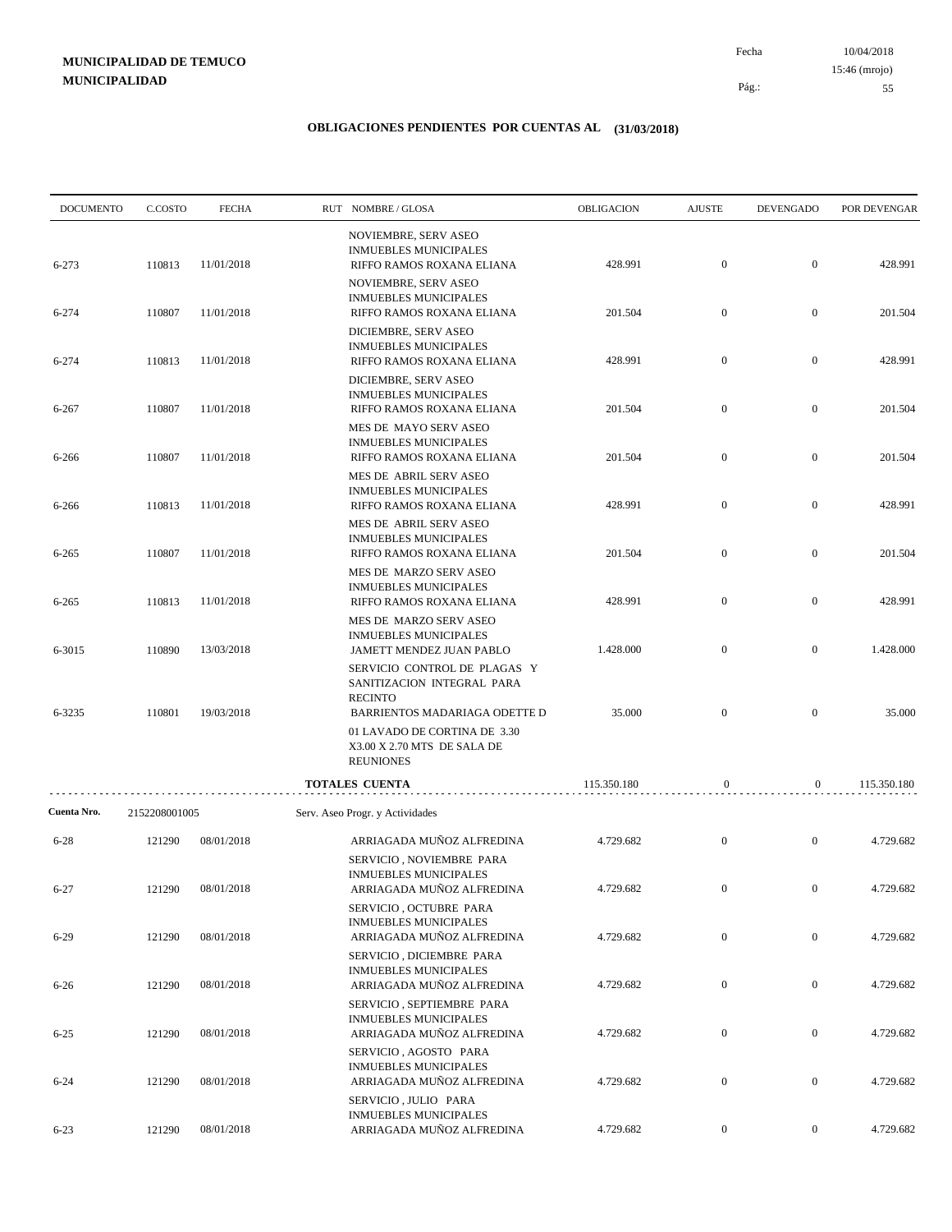10/04/2018 55 Pág.: Fecha 15:46 (mrojo)

| <b>DOCUMENTO</b><br>C.COSTO | <b>FECHA</b>               |                                                         |                           | OBLIGACION                                                                                                                                                                                                                                                                                                                                                                                                                                                                                                                                                                                                                                                                                                                                                                                                                                                                                                                                                                                                                                                                                                                                                                                                                                                                                                                                                                                                                                                                                                                                                         | <b>AJUSTE</b>                   | <b>DEVENGADO</b>                                         | POR DEVENGAR                                             |
|-----------------------------|----------------------------|---------------------------------------------------------|---------------------------|--------------------------------------------------------------------------------------------------------------------------------------------------------------------------------------------------------------------------------------------------------------------------------------------------------------------------------------------------------------------------------------------------------------------------------------------------------------------------------------------------------------------------------------------------------------------------------------------------------------------------------------------------------------------------------------------------------------------------------------------------------------------------------------------------------------------------------------------------------------------------------------------------------------------------------------------------------------------------------------------------------------------------------------------------------------------------------------------------------------------------------------------------------------------------------------------------------------------------------------------------------------------------------------------------------------------------------------------------------------------------------------------------------------------------------------------------------------------------------------------------------------------------------------------------------------------|---------------------------------|----------------------------------------------------------|----------------------------------------------------------|
| 110813                      | 11/01/2018                 |                                                         |                           | 428.991                                                                                                                                                                                                                                                                                                                                                                                                                                                                                                                                                                                                                                                                                                                                                                                                                                                                                                                                                                                                                                                                                                                                                                                                                                                                                                                                                                                                                                                                                                                                                            | $\boldsymbol{0}$                | $\boldsymbol{0}$                                         | 428.991                                                  |
| 110807                      | 11/01/2018                 |                                                         |                           | 201.504                                                                                                                                                                                                                                                                                                                                                                                                                                                                                                                                                                                                                                                                                                                                                                                                                                                                                                                                                                                                                                                                                                                                                                                                                                                                                                                                                                                                                                                                                                                                                            | $\boldsymbol{0}$                | $\boldsymbol{0}$                                         | 201.504                                                  |
|                             |                            |                                                         |                           |                                                                                                                                                                                                                                                                                                                                                                                                                                                                                                                                                                                                                                                                                                                                                                                                                                                                                                                                                                                                                                                                                                                                                                                                                                                                                                                                                                                                                                                                                                                                                                    |                                 |                                                          | 428.991                                                  |
|                             |                            |                                                         |                           |                                                                                                                                                                                                                                                                                                                                                                                                                                                                                                                                                                                                                                                                                                                                                                                                                                                                                                                                                                                                                                                                                                                                                                                                                                                                                                                                                                                                                                                                                                                                                                    |                                 |                                                          |                                                          |
| 110807                      | 11/01/2018                 |                                                         | RIFFO RAMOS ROXANA ELIANA | 201.504                                                                                                                                                                                                                                                                                                                                                                                                                                                                                                                                                                                                                                                                                                                                                                                                                                                                                                                                                                                                                                                                                                                                                                                                                                                                                                                                                                                                                                                                                                                                                            | $\mathbf{0}$                    | $\boldsymbol{0}$                                         | 201.504                                                  |
| 110807                      | 11/01/2018                 |                                                         |                           | 201.504                                                                                                                                                                                                                                                                                                                                                                                                                                                                                                                                                                                                                                                                                                                                                                                                                                                                                                                                                                                                                                                                                                                                                                                                                                                                                                                                                                                                                                                                                                                                                            | $\boldsymbol{0}$                | $\boldsymbol{0}$                                         | 201.504                                                  |
| 110813                      | 11/01/2018                 |                                                         |                           | 428.991                                                                                                                                                                                                                                                                                                                                                                                                                                                                                                                                                                                                                                                                                                                                                                                                                                                                                                                                                                                                                                                                                                                                                                                                                                                                                                                                                                                                                                                                                                                                                            | $\boldsymbol{0}$                | $\mathbf{0}$                                             | 428.991                                                  |
| 110807                      | 11/01/2018                 |                                                         |                           | 201.504                                                                                                                                                                                                                                                                                                                                                                                                                                                                                                                                                                                                                                                                                                                                                                                                                                                                                                                                                                                                                                                                                                                                                                                                                                                                                                                                                                                                                                                                                                                                                            | $\boldsymbol{0}$                | $\mathbf{0}$                                             | 201.504                                                  |
|                             |                            |                                                         |                           |                                                                                                                                                                                                                                                                                                                                                                                                                                                                                                                                                                                                                                                                                                                                                                                                                                                                                                                                                                                                                                                                                                                                                                                                                                                                                                                                                                                                                                                                                                                                                                    |                                 |                                                          |                                                          |
|                             |                            |                                                         |                           |                                                                                                                                                                                                                                                                                                                                                                                                                                                                                                                                                                                                                                                                                                                                                                                                                                                                                                                                                                                                                                                                                                                                                                                                                                                                                                                                                                                                                                                                                                                                                                    |                                 |                                                          | 428.991                                                  |
| 110890                      | 13/03/2018                 |                                                         |                           | 1.428.000                                                                                                                                                                                                                                                                                                                                                                                                                                                                                                                                                                                                                                                                                                                                                                                                                                                                                                                                                                                                                                                                                                                                                                                                                                                                                                                                                                                                                                                                                                                                                          | $\boldsymbol{0}$                | $\mathbf{0}$                                             | 1.428.000                                                |
| 110801                      | 19/03/2018                 |                                                         |                           | 35.000                                                                                                                                                                                                                                                                                                                                                                                                                                                                                                                                                                                                                                                                                                                                                                                                                                                                                                                                                                                                                                                                                                                                                                                                                                                                                                                                                                                                                                                                                                                                                             | $\boldsymbol{0}$                | $\boldsymbol{0}$                                         | 35.000                                                   |
|                             |                            |                                                         |                           |                                                                                                                                                                                                                                                                                                                                                                                                                                                                                                                                                                                                                                                                                                                                                                                                                                                                                                                                                                                                                                                                                                                                                                                                                                                                                                                                                                                                                                                                                                                                                                    |                                 |                                                          |                                                          |
|                             |                            |                                                         |                           | 115.350.180                                                                                                                                                                                                                                                                                                                                                                                                                                                                                                                                                                                                                                                                                                                                                                                                                                                                                                                                                                                                                                                                                                                                                                                                                                                                                                                                                                                                                                                                                                                                                        | $\boldsymbol{0}$                | $\mathbf{0}$                                             | 115.350.180                                              |
|                             |                            |                                                         |                           |                                                                                                                                                                                                                                                                                                                                                                                                                                                                                                                                                                                                                                                                                                                                                                                                                                                                                                                                                                                                                                                                                                                                                                                                                                                                                                                                                                                                                                                                                                                                                                    |                                 |                                                          |                                                          |
| 121290                      | 08/01/2018                 |                                                         |                           | 4.729.682                                                                                                                                                                                                                                                                                                                                                                                                                                                                                                                                                                                                                                                                                                                                                                                                                                                                                                                                                                                                                                                                                                                                                                                                                                                                                                                                                                                                                                                                                                                                                          | $\boldsymbol{0}$                | $\mathbf{0}$                                             | 4.729.682                                                |
| 121290                      | 08/01/2018                 |                                                         | ARRIAGADA MUÑOZ ALFREDINA | 4.729.682                                                                                                                                                                                                                                                                                                                                                                                                                                                                                                                                                                                                                                                                                                                                                                                                                                                                                                                                                                                                                                                                                                                                                                                                                                                                                                                                                                                                                                                                                                                                                          | $\mathbf{0}$                    | $\boldsymbol{0}$                                         | 4.729.682                                                |
| 121290                      | 08/01/2018                 |                                                         |                           | 4.729.682                                                                                                                                                                                                                                                                                                                                                                                                                                                                                                                                                                                                                                                                                                                                                                                                                                                                                                                                                                                                                                                                                                                                                                                                                                                                                                                                                                                                                                                                                                                                                          | $\boldsymbol{0}$                | $\overline{0}$                                           | 4.729.682                                                |
|                             |                            |                                                         |                           |                                                                                                                                                                                                                                                                                                                                                                                                                                                                                                                                                                                                                                                                                                                                                                                                                                                                                                                                                                                                                                                                                                                                                                                                                                                                                                                                                                                                                                                                                                                                                                    |                                 |                                                          | 4.729.682                                                |
|                             |                            |                                                         |                           |                                                                                                                                                                                                                                                                                                                                                                                                                                                                                                                                                                                                                                                                                                                                                                                                                                                                                                                                                                                                                                                                                                                                                                                                                                                                                                                                                                                                                                                                                                                                                                    |                                 |                                                          |                                                          |
| 121290                      | 08/01/2018                 |                                                         |                           | 4.729.682                                                                                                                                                                                                                                                                                                                                                                                                                                                                                                                                                                                                                                                                                                                                                                                                                                                                                                                                                                                                                                                                                                                                                                                                                                                                                                                                                                                                                                                                                                                                                          | $\overline{0}$                  | $\bf{0}$                                                 | 4.729.682                                                |
| 121290                      | 08/01/2018                 |                                                         |                           | 4.729.682                                                                                                                                                                                                                                                                                                                                                                                                                                                                                                                                                                                                                                                                                                                                                                                                                                                                                                                                                                                                                                                                                                                                                                                                                                                                                                                                                                                                                                                                                                                                                          | $\overline{0}$                  | $\boldsymbol{0}$                                         | 4.729.682                                                |
| 121290                      | 08/01/2018                 |                                                         | ARRIAGADA MUÑOZ ALFREDINA | 4.729.682                                                                                                                                                                                                                                                                                                                                                                                                                                                                                                                                                                                                                                                                                                                                                                                                                                                                                                                                                                                                                                                                                                                                                                                                                                                                                                                                                                                                                                                                                                                                                          | $\boldsymbol{0}$                | $\boldsymbol{0}$                                         | 4.729.682                                                |
|                             | 110813<br>110813<br>121290 | 11/01/2018<br>11/01/2018<br>2152208001005<br>08/01/2018 |                           | RUT NOMBRE/GLOSA<br>NOVIEMBRE, SERV ASEO<br><b>INMUEBLES MUNICIPALES</b><br>RIFFO RAMOS ROXANA ELIANA<br>NOVIEMBRE, SERV ASEO<br><b>INMUEBLES MUNICIPALES</b><br>RIFFO RAMOS ROXANA ELIANA<br>DICIEMBRE, SERV ASEO<br><b>INMUEBLES MUNICIPALES</b><br>RIFFO RAMOS ROXANA ELIANA<br>DICIEMBRE, SERV ASEO<br><b>INMUEBLES MUNICIPALES</b><br>MES DE MAYO SERV ASEO<br><b>INMUEBLES MUNICIPALES</b><br>RIFFO RAMOS ROXANA ELIANA<br>MES DE ABRIL SERV ASEO<br><b>INMUEBLES MUNICIPALES</b><br>RIFFO RAMOS ROXANA ELIANA<br>MES DE ABRIL SERV ASEO<br><b>INMUEBLES MUNICIPALES</b><br>RIFFO RAMOS ROXANA ELIANA<br>MES DE MARZO SERV ASEO<br><b>INMUEBLES MUNICIPALES</b><br>RIFFO RAMOS ROXANA ELIANA<br>MES DE MARZO SERV ASEO<br><b>INMUEBLES MUNICIPALES</b><br>JAMETT MENDEZ JUAN PABLO<br>SERVICIO CONTROL DE PLAGAS Y<br>SANITIZACION INTEGRAL PARA<br><b>RECINTO</b><br>BARRIENTOS MADARIAGA ODETTE D<br>01 LAVADO DE CORTINA DE 3.30<br>X3.00 X 2.70 MTS DE SALA DE<br><b>REUNIONES</b><br>TOTALES CUENTA<br>Serv. Aseo Progr. y Actividades<br>ARRIAGADA MUÑOZ ALFREDINA<br>SERVICIO, NOVIEMBRE PARA<br><b>INMUEBLES MUNICIPALES</b><br>SERVICIO, OCTUBRE PARA<br><b>INMUEBLES MUNICIPALES</b><br>ARRIAGADA MUÑOZ ALFREDINA<br>SERVICIO, DICIEMBRE PARA<br><b>INMUEBLES MUNICIPALES</b><br>ARRIAGADA MUÑOZ ALFREDINA<br>SERVICIO, SEPTIEMBRE PARA<br><b>INMUEBLES MUNICIPALES</b><br>ARRIAGADA MUÑOZ ALFREDINA<br>SERVICIO, AGOSTO PARA<br><b>INMUEBLES MUNICIPALES</b><br>ARRIAGADA MUÑOZ ALFREDINA<br>SERVICIO, JULIO PARA<br><b>INMUEBLES MUNICIPALES</b> | 428.991<br>428.991<br>4.729.682 | $\boldsymbol{0}$<br>$\boldsymbol{0}$<br>$\boldsymbol{0}$ | $\boldsymbol{0}$<br>$\boldsymbol{0}$<br>$\boldsymbol{0}$ |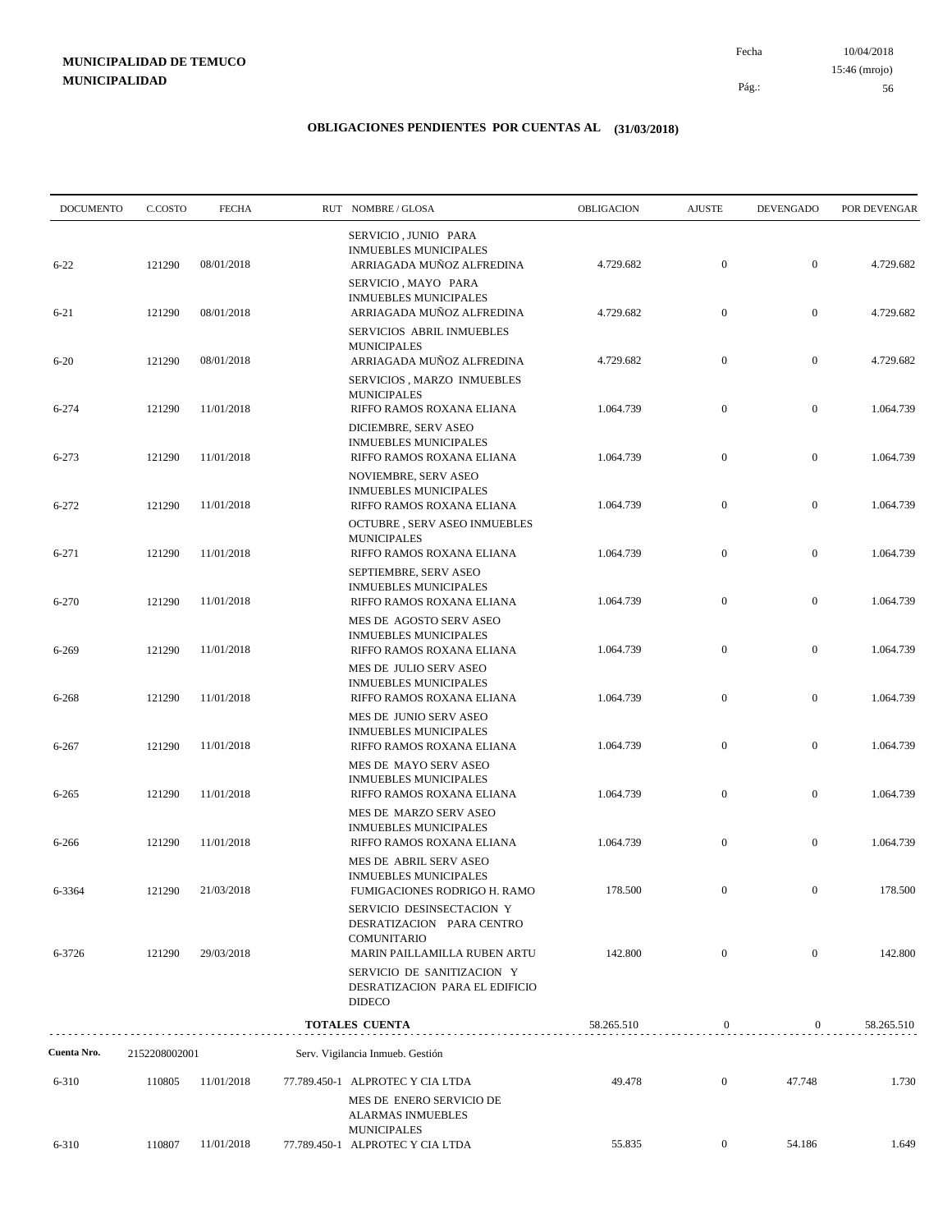10/04/2018 56 Pág.: Fecha 15:46 (mrojo)

| <b>DOCUMENTO</b> | C.COSTO       | <b>FECHA</b> | RUT NOMBRE / GLOSA                                                                                             | OBLIGACION | <b>AJUSTE</b>    | <b>DEVENGADO</b> | POR DEVENGAR |
|------------------|---------------|--------------|----------------------------------------------------------------------------------------------------------------|------------|------------------|------------------|--------------|
| $6 - 22$         | 121290        | 08/01/2018   | SERVICIO, JUNIO PARA<br><b>INMUEBLES MUNICIPALES</b><br>ARRIAGADA MUÑOZ ALFREDINA                              | 4.729.682  | $\mathbf{0}$     | $\mathbf{0}$     | 4.729.682    |
| $6 - 21$         | 121290        | 08/01/2018   | SERVICIO, MAYO PARA<br><b>INMUEBLES MUNICIPALES</b><br>ARRIAGADA MUÑOZ ALFREDINA                               | 4.729.682  | $\mathbf{0}$     | $\mathbf{0}$     | 4.729.682    |
| $6 - 20$         | 121290        | 08/01/2018   | SERVICIOS ABRIL INMUEBLES<br><b>MUNICIPALES</b><br>ARRIAGADA MUÑOZ ALFREDINA                                   | 4.729.682  | $\boldsymbol{0}$ | $\boldsymbol{0}$ | 4.729.682    |
|                  |               |              | SERVICIOS, MARZO INMUEBLES<br><b>MUNICIPALES</b>                                                               |            |                  |                  |              |
| 6-274            | 121290        | 11/01/2018   | RIFFO RAMOS ROXANA ELIANA<br>DICIEMBRE, SERV ASEO<br><b>INMUEBLES MUNICIPALES</b>                              | 1.064.739  | $\overline{0}$   | $\boldsymbol{0}$ | 1.064.739    |
| 6-273            | 121290        | 11/01/2018   | RIFFO RAMOS ROXANA ELIANA<br>NOVIEMBRE, SERV ASEO                                                              | 1.064.739  | $\overline{0}$   | $\mathbf{0}$     | 1.064.739    |
| 6-272            | 121290        | 11/01/2018   | <b>INMUEBLES MUNICIPALES</b><br>RIFFO RAMOS ROXANA ELIANA<br>OCTUBRE, SERV ASEO INMUEBLES                      | 1.064.739  | $\boldsymbol{0}$ | $\boldsymbol{0}$ | 1.064.739    |
| 6-271            | 121290        | 11/01/2018   | <b>MUNICIPALES</b><br>RIFFO RAMOS ROXANA ELIANA                                                                | 1.064.739  | $\boldsymbol{0}$ | $\mathbf{0}$     | 1.064.739    |
| 6-270            | 121290        | 11/01/2018   | SEPTIEMBRE, SERV ASEO<br><b>INMUEBLES MUNICIPALES</b><br>RIFFO RAMOS ROXANA ELIANA                             | 1.064.739  | $\mathbf{0}$     | $\boldsymbol{0}$ | 1.064.739    |
| 6-269            | 121290        | 11/01/2018   | MES DE AGOSTO SERV ASEO<br><b>INMUEBLES MUNICIPALES</b><br>RIFFO RAMOS ROXANA ELIANA                           | 1.064.739  | $\boldsymbol{0}$ | $\boldsymbol{0}$ | 1.064.739    |
| 6-268            | 121290        | 11/01/2018   | MES DE JULIO SERV ASEO<br><b>INMUEBLES MUNICIPALES</b><br>RIFFO RAMOS ROXANA ELIANA                            | 1.064.739  | $\boldsymbol{0}$ | $\boldsymbol{0}$ | 1.064.739    |
|                  |               |              | MES DE JUNIO SERV ASEO<br><b>INMUEBLES MUNICIPALES</b>                                                         |            |                  |                  |              |
| 6-267            | 121290        | 11/01/2018   | RIFFO RAMOS ROXANA ELIANA<br>MES DE MAYO SERV ASEO<br><b>INMUEBLES MUNICIPALES</b>                             | 1.064.739  | $\overline{0}$   | $\mathbf{0}$     | 1.064.739    |
| 6-265            | 121290        | 11/01/2018   | RIFFO RAMOS ROXANA ELIANA<br>MES DE MARZO SERV ASEO                                                            | 1.064.739  | $\boldsymbol{0}$ | $\boldsymbol{0}$ | 1.064.739    |
| 6-266            | 121290        | 11/01/2018   | <b>INMUEBLES MUNICIPALES</b><br>RIFFO RAMOS ROXANA ELIANA<br>MES DE ABRIL SERV ASEO                            | 1.064.739  | $\boldsymbol{0}$ | $\boldsymbol{0}$ | 1.064.739    |
| 6-3364           | 121290        | 21/03/2018   | <b>INMUEBLES MUNICIPALES</b><br>FUMIGACIONES RODRIGO H. RAMO                                                   | 178.500    | $\mathbf{0}$     | $\mathbf{0}$     | 178.500      |
| 6-3726           | 121290        | 29/03/2018   | SERVICIO DESINSECTACION Y<br>DESRATIZACION PARA CENTRO<br>COMUNITARIO<br>MARIN PAILLAMILLA RUBEN ARTU          | 142.800    | $\boldsymbol{0}$ | $\boldsymbol{0}$ | 142.800      |
|                  |               |              | SERVICIO DE SANITIZACION Y<br>DESRATIZACION PARA EL EDIFICIO<br><b>DIDECO</b>                                  |            |                  |                  |              |
|                  |               |              | TOTALES CUENTA                                                                                                 | 58.265.510 | $\mathbf{0}$     | $\mathbf{0}$     | 58.265.510   |
| Cuenta Nro.      | 2152208002001 |              | Serv. Vigilancia Inmueb. Gestión                                                                               |            |                  |                  |              |
| 6-310            | 110805        | 11/01/2018   | 77.789.450-1 ALPROTEC Y CIA LTDA<br>MES DE ENERO SERVICIO DE<br><b>ALARMAS INMUEBLES</b><br><b>MUNICIPALES</b> | 49.478     | $\mathbf{0}$     | 47.748           | 1.730        |
| 6-310            | 110807        | 11/01/2018   | 77.789.450-1 ALPROTEC Y CIA LTDA                                                                               | 55.835     | $\mathbf{0}$     | 54.186           | 1.649        |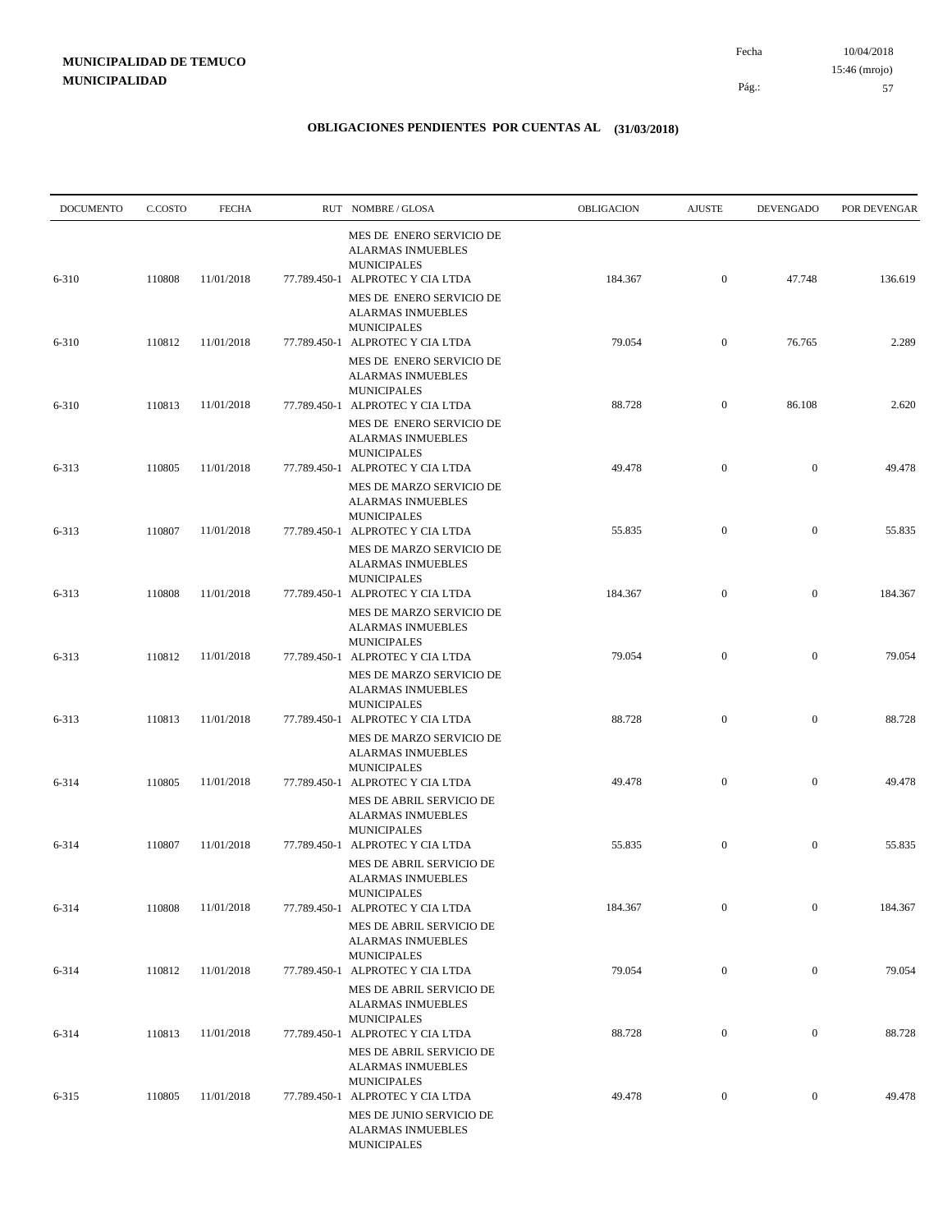| <b>DOCUMENTO</b> | C.COSTO | <b>FECHA</b> | RUT NOMBRE/GLOSA                                                                                               | OBLIGACION | <b>AJUSTE</b>    | <b>DEVENGADO</b> | POR DEVENGAR |
|------------------|---------|--------------|----------------------------------------------------------------------------------------------------------------|------------|------------------|------------------|--------------|
| 6-310            | 110808  | 11/01/2018   | MES DE ENERO SERVICIO DE<br><b>ALARMAS INMUEBLES</b><br><b>MUNICIPALES</b><br>77.789.450-1 ALPROTEC Y CIA LTDA | 184.367    | $\mathbf{0}$     | 47.748           | 136.619      |
|                  |         |              | MES DE ENERO SERVICIO DE<br><b>ALARMAS INMUEBLES</b><br><b>MUNICIPALES</b>                                     |            |                  |                  |              |
| 6-310            | 110812  | 11/01/2018   | 77.789.450-1 ALPROTEC Y CIA LTDA<br>MES DE ENERO SERVICIO DE<br><b>ALARMAS INMUEBLES</b>                       | 79.054     | $\mathbf{0}$     | 76.765           | 2.289        |
| 6-310            | 110813  | 11/01/2018   | <b>MUNICIPALES</b><br>77.789.450-1 ALPROTEC Y CIA LTDA<br>MES DE ENERO SERVICIO DE                             | 88.728     | $\mathbf{0}$     | 86.108           | 2.620        |
| 6-313            | 110805  | 11/01/2018   | <b>ALARMAS INMUEBLES</b><br><b>MUNICIPALES</b><br>77.789.450-1 ALPROTEC Y CIA LTDA                             | 49.478     | $\mathbf{0}$     | $\mathbf{0}$     | 49.478       |
|                  |         |              | MES DE MARZO SERVICIO DE<br><b>ALARMAS INMUEBLES</b>                                                           |            |                  |                  |              |
| 6-313            | 110807  | 11/01/2018   | <b>MUNICIPALES</b><br>77.789.450-1 ALPROTEC Y CIA LTDA<br>MES DE MARZO SERVICIO DE                             | 55.835     | $\boldsymbol{0}$ | $\mathbf{0}$     | 55.835       |
| 6-313            | 110808  | 11/01/2018   | <b>ALARMAS INMUEBLES</b><br><b>MUNICIPALES</b><br>77.789.450-1 ALPROTEC Y CIA LTDA                             | 184.367    | $\boldsymbol{0}$ | $\boldsymbol{0}$ | 184.367      |
|                  |         |              | MES DE MARZO SERVICIO DE<br><b>ALARMAS INMUEBLES</b><br><b>MUNICIPALES</b>                                     |            |                  |                  |              |
| 6-313            | 110812  | 11/01/2018   | 77.789.450-1 ALPROTEC Y CIA LTDA<br>MES DE MARZO SERVICIO DE<br><b>ALARMAS INMUEBLES</b>                       | 79.054     | $\mathbf{0}$     | $\mathbf{0}$     | 79.054       |
| 6-313            | 110813  | 11/01/2018   | <b>MUNICIPALES</b><br>77.789.450-1 ALPROTEC Y CIA LTDA<br>MES DE MARZO SERVICIO DE                             | 88.728     | $\boldsymbol{0}$ | $\mathbf{0}$     | 88.728       |
| 6-314            | 110805  | 11/01/2018   | <b>ALARMAS INMUEBLES</b><br><b>MUNICIPALES</b><br>77.789.450-1 ALPROTEC Y CIA LTDA                             | 49.478     | $\boldsymbol{0}$ | $\mathbf{0}$     | 49.478       |
|                  |         |              | MES DE ABRIL SERVICIO DE<br><b>ALARMAS INMUEBLES</b><br><b>MUNICIPALES</b>                                     |            |                  |                  |              |
| 6-314            | 110807  | 11/01/2018   | 77.789.450-1 ALPROTEC Y CIA LTDA<br>MES DE ABRIL SERVICIO DE                                                   | 55.835     | $\boldsymbol{0}$ | $\boldsymbol{0}$ | 55.835       |
| 6-314            | 110808  | 11/01/2018   | <b>ALARMAS INMUEBLES</b><br>MUNICIPALES<br>77.789.450-1 ALPROTEC Y CIA LTDA                                    | 184.367    | $\boldsymbol{0}$ | $\boldsymbol{0}$ | 184.367      |
|                  |         |              | MES DE ABRIL SERVICIO DE<br><b>ALARMAS INMUEBLES</b><br><b>MUNICIPALES</b>                                     |            |                  |                  |              |
| 6-314            | 110812  | 11/01/2018   | 77.789.450-1 ALPROTEC Y CIA LTDA<br>MES DE ABRIL SERVICIO DE<br><b>ALARMAS INMUEBLES</b>                       | 79.054     | $\boldsymbol{0}$ | $\boldsymbol{0}$ | 79.054       |
| 6-314            | 110813  | 11/01/2018   | <b>MUNICIPALES</b><br>77.789.450-1 ALPROTEC Y CIA LTDA<br>MES DE ABRIL SERVICIO DE                             | 88.728     | $\boldsymbol{0}$ | $\boldsymbol{0}$ | 88.728       |
| $6 - 315$        | 110805  | 11/01/2018   | <b>ALARMAS INMUEBLES</b><br><b>MUNICIPALES</b><br>77.789.450-1 ALPROTEC Y CIA LTDA                             | 49.478     | $\boldsymbol{0}$ | $\boldsymbol{0}$ | 49.478       |
|                  |         |              | MES DE JUNIO SERVICIO DE<br>ALARMAS INMUEBLES<br><b>MUNICIPALES</b>                                            |            |                  |                  |              |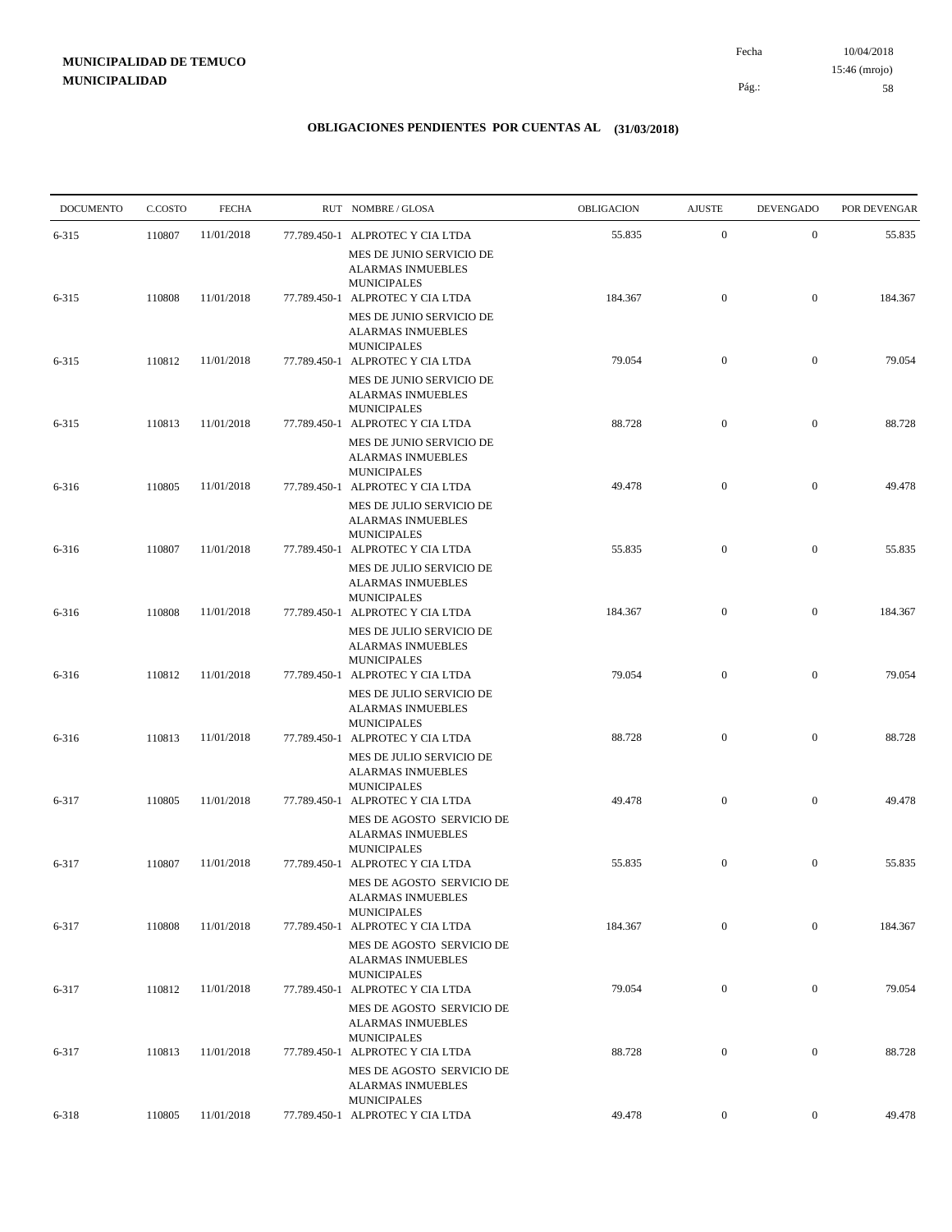10/04/2018 58 Pág.: Fecha 15:46 (mrojo)

| <b>DOCUMENTO</b> | C.COSTO | <b>FECHA</b> | RUT NOMBRE/GLOSA                                                                                               | OBLIGACION | <b>AJUSTE</b>    | <b>DEVENGADO</b> | POR DEVENGAR |
|------------------|---------|--------------|----------------------------------------------------------------------------------------------------------------|------------|------------------|------------------|--------------|
| 6-315            | 110807  | 11/01/2018   | 77.789.450-1 ALPROTEC Y CIA LTDA                                                                               | 55.835     | $\mathbf{0}$     | $\boldsymbol{0}$ | 55.835       |
| 6-315            | 110808  | 11/01/2018   | MES DE JUNIO SERVICIO DE<br><b>ALARMAS INMUEBLES</b><br><b>MUNICIPALES</b><br>77.789.450-1 ALPROTEC Y CIA LTDA | 184.367    | $\mathbf{0}$     | $\boldsymbol{0}$ | 184.367      |
|                  |         |              | MES DE JUNIO SERVICIO DE<br><b>ALARMAS INMUEBLES</b><br><b>MUNICIPALES</b>                                     |            |                  |                  |              |
| 6-315            | 110812  | 11/01/2018   | 77.789.450-1 ALPROTEC Y CIA LTDA<br>MES DE JUNIO SERVICIO DE                                                   | 79.054     | $\boldsymbol{0}$ | $\boldsymbol{0}$ | 79.054       |
| 6-315            | 110813  | 11/01/2018   | <b>ALARMAS INMUEBLES</b><br><b>MUNICIPALES</b><br>77.789.450-1 ALPROTEC Y CIA LTDA                             | 88.728     | $\mathbf{0}$     | $\boldsymbol{0}$ | 88.728       |
|                  |         |              | MES DE JUNIO SERVICIO DE<br><b>ALARMAS INMUEBLES</b><br><b>MUNICIPALES</b>                                     |            |                  |                  |              |
| 6-316            | 110805  | 11/01/2018   | 77.789.450-1 ALPROTEC Y CIA LTDA<br>MES DE JULIO SERVICIO DE<br><b>ALARMAS INMUEBLES</b>                       | 49.478     | $\mathbf{0}$     | $\boldsymbol{0}$ | 49.478       |
| 6-316            | 110807  | 11/01/2018   | <b>MUNICIPALES</b><br>77.789.450-1 ALPROTEC Y CIA LTDA<br>MES DE JULIO SERVICIO DE                             | 55.835     | $\mathbf{0}$     | $\boldsymbol{0}$ | 55.835       |
| 6-316            | 110808  | 11/01/2018   | <b>ALARMAS INMUEBLES</b><br><b>MUNICIPALES</b><br>77.789.450-1 ALPROTEC Y CIA LTDA                             | 184.367    | $\mathbf{0}$     | $\boldsymbol{0}$ | 184.367      |
|                  |         |              | MES DE JULIO SERVICIO DE<br><b>ALARMAS INMUEBLES</b><br><b>MUNICIPALES</b>                                     |            |                  |                  |              |
| 6-316            | 110812  | 11/01/2018   | 77.789.450-1 ALPROTEC Y CIA LTDA<br>MES DE JULIO SERVICIO DE<br><b>ALARMAS INMUEBLES</b>                       | 79.054     | $\mathbf{0}$     | $\boldsymbol{0}$ | 79.054       |
| 6-316            | 110813  | 11/01/2018   | <b>MUNICIPALES</b><br>77.789.450-1 ALPROTEC Y CIA LTDA                                                         | 88.728     | $\mathbf{0}$     | $\boldsymbol{0}$ | 88.728       |
|                  | 110805  | 11/01/2018   | MES DE JULIO SERVICIO DE<br><b>ALARMAS INMUEBLES</b><br><b>MUNICIPALES</b>                                     | 49.478     | $\boldsymbol{0}$ | $\boldsymbol{0}$ | 49.478       |
| 6-317            |         |              | 77.789.450-1 ALPROTEC Y CIA LTDA<br>MES DE AGOSTO SERVICIO DE<br><b>ALARMAS INMUEBLES</b>                      |            |                  |                  |              |
| 6-317            | 110807  | 11/01/2018   | <b>MUNICIPALES</b><br>77.789.450-1 ALPROTEC Y CIA LTDA<br>MES DE AGOSTO SERVICIO DE                            | 55.835     | $\mathbf{0}$     | $\mathbf{0}$     | 55.835       |
| 6-317            | 110808  | 11/01/2018   | ALARMAS INMUEBLES<br><b>MUNICIPALES</b><br>77.789.450-1 ALPROTEC Y CIA LTDA                                    | 184.367    | $\mathbf{0}$     | $\boldsymbol{0}$ | 184.367      |
|                  |         |              | MES DE AGOSTO SERVICIO DE<br><b>ALARMAS INMUEBLES</b><br><b>MUNICIPALES</b>                                    |            |                  |                  |              |
| 6-317            | 110812  | 11/01/2018   | 77.789.450-1 ALPROTEC Y CIA LTDA<br>MES DE AGOSTO SERVICIO DE                                                  | 79.054     | $\boldsymbol{0}$ | $\boldsymbol{0}$ | 79.054       |
| 6-317            | 110813  | 11/01/2018   | <b>ALARMAS INMUEBLES</b><br><b>MUNICIPALES</b><br>77.789.450-1 ALPROTEC Y CIA LTDA                             | 88.728     | $\boldsymbol{0}$ | $\boldsymbol{0}$ | 88.728       |
|                  |         |              | MES DE AGOSTO SERVICIO DE<br><b>ALARMAS INMUEBLES</b><br><b>MUNICIPALES</b>                                    |            |                  |                  |              |
| $6 - 318$        | 110805  | 11/01/2018   | 77.789.450-1 ALPROTEC Y CIA LTDA                                                                               | 49.478     | $\overline{0}$   | $\bf{0}$         | 49.478       |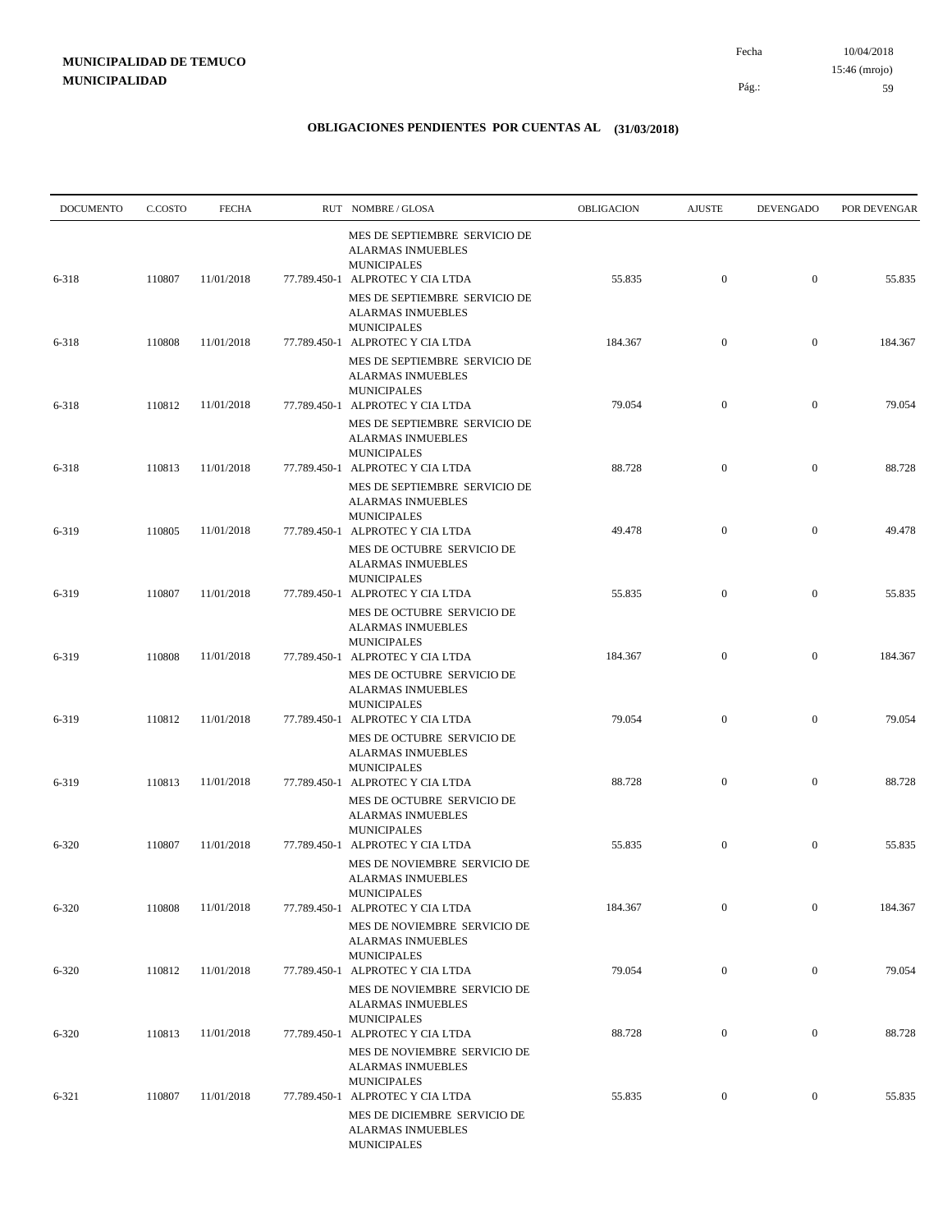| <b>DOCUMENTO</b> | C.COSTO | <b>FECHA</b> | RUT NOMBRE/GLOSA                                                                                                    | OBLIGACION | <b>AJUSTE</b>    | <b>DEVENGADO</b> | POR DEVENGAR |
|------------------|---------|--------------|---------------------------------------------------------------------------------------------------------------------|------------|------------------|------------------|--------------|
| 6-318            | 110807  | 11/01/2018   | MES DE SEPTIEMBRE SERVICIO DE<br><b>ALARMAS INMUEBLES</b><br><b>MUNICIPALES</b><br>77.789.450-1 ALPROTEC Y CIA LTDA | 55.835     | $\mathbf{0}$     | $\boldsymbol{0}$ | 55.835       |
|                  |         |              | MES DE SEPTIEMBRE SERVICIO DE<br><b>ALARMAS INMUEBLES</b><br><b>MUNICIPALES</b>                                     |            |                  |                  |              |
| 6-318            | 110808  | 11/01/2018   | 77.789.450-1 ALPROTEC Y CIA LTDA<br>MES DE SEPTIEMBRE SERVICIO DE<br><b>ALARMAS INMUEBLES</b>                       | 184.367    | $\mathbf{0}$     | $\boldsymbol{0}$ | 184.367      |
| 6-318            | 110812  | 11/01/2018   | <b>MUNICIPALES</b><br>77.789.450-1 ALPROTEC Y CIA LTDA<br>MES DE SEPTIEMBRE SERVICIO DE<br><b>ALARMAS INMUEBLES</b> | 79.054     | $\mathbf{0}$     | $\boldsymbol{0}$ | 79.054       |
| 6-318            | 110813  | 11/01/2018   | <b>MUNICIPALES</b><br>77.789.450-1 ALPROTEC Y CIA LTDA<br>MES DE SEPTIEMBRE SERVICIO DE                             | 88.728     | $\overline{0}$   | $\boldsymbol{0}$ | 88.728       |
| 6-319            | 110805  | 11/01/2018   | <b>ALARMAS INMUEBLES</b><br><b>MUNICIPALES</b><br>77.789.450-1 ALPROTEC Y CIA LTDA                                  | 49.478     | $\mathbf{0}$     | $\boldsymbol{0}$ | 49.478       |
| 6-319            | 110807  | 11/01/2018   | MES DE OCTUBRE SERVICIO DE<br><b>ALARMAS INMUEBLES</b><br><b>MUNICIPALES</b><br>77.789.450-1 ALPROTEC Y CIA LTDA    | 55.835     | $\mathbf{0}$     | $\boldsymbol{0}$ | 55.835       |
|                  |         |              | MES DE OCTUBRE SERVICIO DE<br><b>ALARMAS INMUEBLES</b><br><b>MUNICIPALES</b>                                        |            |                  |                  |              |
| 6-319            | 110808  | 11/01/2018   | 77.789.450-1 ALPROTEC Y CIA LTDA<br>MES DE OCTUBRE SERVICIO DE<br>ALARMAS INMUEBLES                                 | 184.367    | $\mathbf{0}$     | $\boldsymbol{0}$ | 184.367      |
| 6-319            | 110812  | 11/01/2018   | <b>MUNICIPALES</b><br>77.789.450-1 ALPROTEC Y CIA LTDA<br>MES DE OCTUBRE SERVICIO DE<br><b>ALARMAS INMUEBLES</b>    | 79.054     | $\mathbf{0}$     | $\boldsymbol{0}$ | 79.054       |
| 6-319            | 110813  | 11/01/2018   | <b>MUNICIPALES</b><br>77.789.450-1 ALPROTEC Y CIA LTDA<br>MES DE OCTUBRE SERVICIO DE                                | 88.728     | $\mathbf{0}$     | $\boldsymbol{0}$ | 88.728       |
| $6 - 320$        | 110807  | 11/01/2018   | <b>ALARMAS INMUEBLES</b><br><b>MUNICIPALES</b><br>77.789.450-1 ALPROTEC Y CIA LTDA<br>MES DE NOVIEMBRE SERVICIO DE  | 55.835     | $\mathbf{0}$     | $\boldsymbol{0}$ | 55.835       |
| $6 - 320$        | 110808  | 11/01/2018   | <b>ALARMAS INMUEBLES</b><br><b>MUNICIPALES</b><br>77.789.450-1 ALPROTEC Y CIA LTDA                                  | 184.367    | $\boldsymbol{0}$ | $\boldsymbol{0}$ | 184.367      |
|                  |         |              | MES DE NOVIEMBRE SERVICIO DE<br><b>ALARMAS INMUEBLES</b><br><b>MUNICIPALES</b>                                      |            |                  |                  |              |
| $6 - 320$        | 110812  | 11/01/2018   | 77.789.450-1 ALPROTEC Y CIA LTDA<br>MES DE NOVIEMBRE SERVICIO DE<br><b>ALARMAS INMUEBLES</b>                        | 79.054     | $\mathbf{0}$     | $\boldsymbol{0}$ | 79.054       |
| $6 - 320$        | 110813  | 11/01/2018   | <b>MUNICIPALES</b><br>77.789.450-1 ALPROTEC Y CIA LTDA<br>MES DE NOVIEMBRE SERVICIO DE                              | 88.728     | $\mathbf{0}$     | $\boldsymbol{0}$ | 88.728       |
| $6 - 321$        | 110807  | 11/01/2018   | <b>ALARMAS INMUEBLES</b><br><b>MUNICIPALES</b><br>77.789.450-1 ALPROTEC Y CIA LTDA                                  | 55.835     | $\mathbf{0}$     | $\boldsymbol{0}$ | 55.835       |
|                  |         |              | MES DE DICIEMBRE SERVICIO DE<br><b>ALARMAS INMUEBLES</b><br><b>MUNICIPALES</b>                                      |            |                  |                  |              |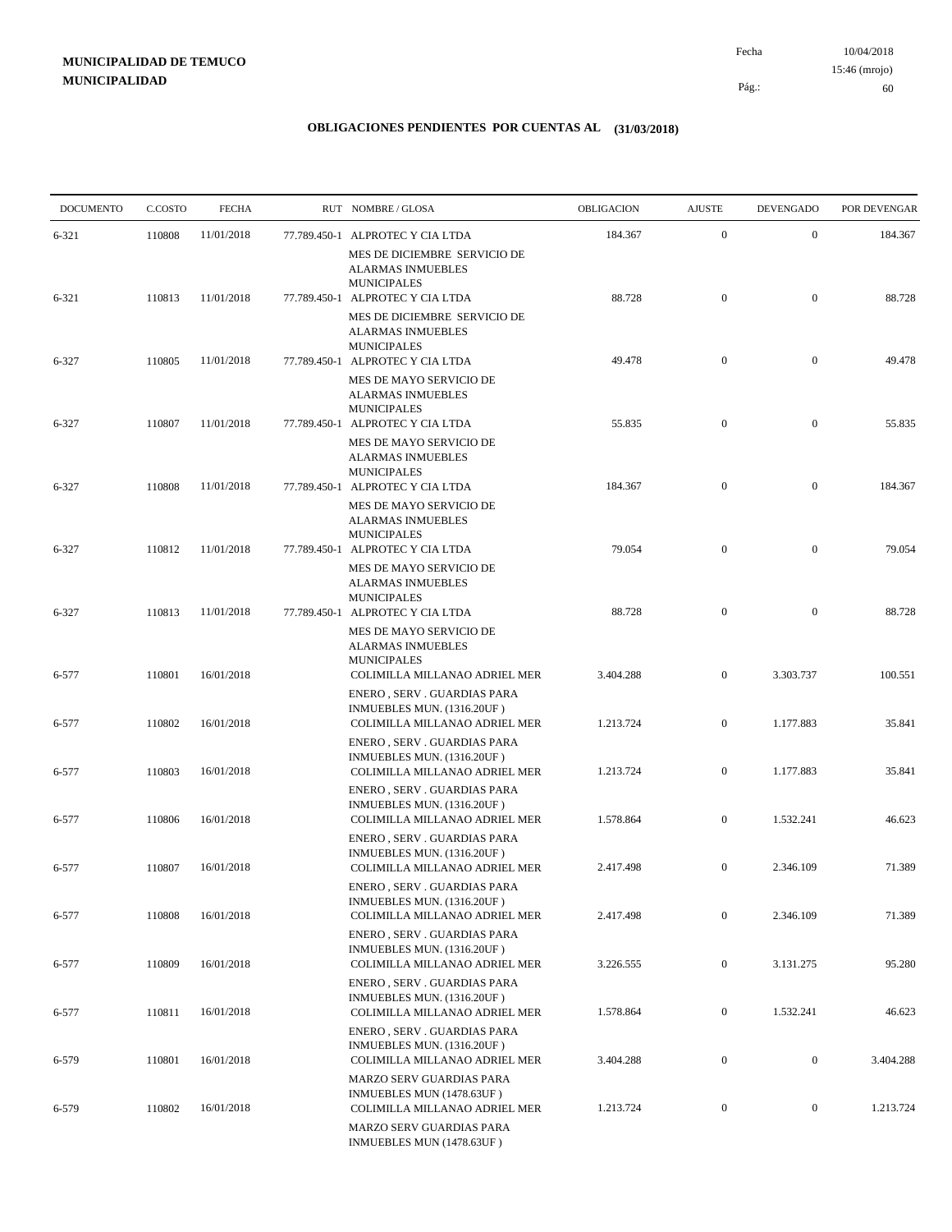10/04/2018 60 Pág.: Fecha 15:46 (mrojo)

| <b>DOCUMENTO</b> | C.COSTO | <b>FECHA</b> | RUT NOMBRE/GLOSA                                                                          | <b>OBLIGACION</b> | <b>AJUSTE</b>    | <b>DEVENGADO</b> | POR DEVENGAR |
|------------------|---------|--------------|-------------------------------------------------------------------------------------------|-------------------|------------------|------------------|--------------|
| $6 - 321$        | 110808  | 11/01/2018   | 77.789.450-1 ALPROTEC Y CIA LTDA                                                          | 184.367           | $\boldsymbol{0}$ | $\boldsymbol{0}$ | 184.367      |
|                  |         |              | MES DE DICIEMBRE SERVICIO DE<br><b>ALARMAS INMUEBLES</b>                                  |                   |                  |                  |              |
| $6 - 321$        | 110813  | 11/01/2018   | <b>MUNICIPALES</b><br>77.789.450-1 ALPROTEC Y CIA LTDA                                    | 88.728            | $\mathbf{0}$     | $\mathbf{0}$     | 88.728       |
|                  |         |              | MES DE DICIEMBRE SERVICIO DE<br><b>ALARMAS INMUEBLES</b><br><b>MUNICIPALES</b>            |                   |                  |                  |              |
| 6-327            | 110805  | 11/01/2018   | 77.789.450-1 ALPROTEC Y CIA LTDA                                                          | 49.478            | $\mathbf{0}$     | $\mathbf{0}$     | 49.478       |
|                  |         |              | MES DE MAYO SERVICIO DE<br><b>ALARMAS INMUEBLES</b><br><b>MUNICIPALES</b>                 |                   |                  |                  |              |
| 6-327            | 110807  | 11/01/2018   | 77.789.450-1 ALPROTEC Y CIA LTDA                                                          | 55.835            | $\mathbf{0}$     | $\mathbf{0}$     | 55.835       |
|                  |         |              | MES DE MAYO SERVICIO DE<br><b>ALARMAS INMUEBLES</b><br><b>MUNICIPALES</b>                 |                   |                  |                  |              |
| 6-327            | 110808  | 11/01/2018   | 77.789.450-1 ALPROTEC Y CIA LTDA<br>MES DE MAYO SERVICIO DE                               | 184.367           | $\mathbf{0}$     | $\mathbf{0}$     | 184.367      |
| 6-327            | 110812  | 11/01/2018   | <b>ALARMAS INMUEBLES</b><br><b>MUNICIPALES</b><br>77.789.450-1 ALPROTEC Y CIA LTDA        | 79.054            | $\mathbf{0}$     | $\mathbf{0}$     | 79.054       |
|                  |         |              | MES DE MAYO SERVICIO DE                                                                   |                   |                  |                  |              |
| 6-327            | 110813  | 11/01/2018   | <b>ALARMAS INMUEBLES</b><br><b>MUNICIPALES</b><br>77.789.450-1 ALPROTEC Y CIA LTDA        | 88.728            | $\mathbf{0}$     | $\overline{0}$   | 88.728       |
|                  |         |              | MES DE MAYO SERVICIO DE<br><b>ALARMAS INMUEBLES</b><br><b>MUNICIPALES</b>                 |                   |                  |                  |              |
| 6-577            | 110801  | 16/01/2018   | COLIMILLA MILLANAO ADRIEL MER<br>ENERO, SERV. GUARDIAS PARA                               | 3.404.288         | $\mathbf{0}$     | 3.303.737        | 100.551      |
| 6-577            | 110802  | 16/01/2018   | INMUEBLES MUN. (1316.20UF)<br>COLIMILLA MILLANAO ADRIEL MER                               | 1.213.724         | $\overline{0}$   | 1.177.883        | 35.841       |
| 6-577            | 110803  | 16/01/2018   | ENERO, SERV. GUARDIAS PARA<br>INMUEBLES MUN. (1316.20UF)<br>COLIMILLA MILLANAO ADRIEL MER | 1.213.724         | $\boldsymbol{0}$ | 1.177.883        | 35.841       |
|                  |         |              | ENERO, SERV. GUARDIAS PARA                                                                |                   |                  |                  |              |
| 6-577            | 110806  | 16/01/2018   | INMUEBLES MUN. (1316.20UF)<br>COLIMILLA MILLANAO ADRIEL MER                               | 1.578.864         | $\mathbf{0}$     | 1.532.241        | 46.623       |
| 6-577            | 110807  | 16/01/2018   | ENERO, SERV. GUARDIAS PARA<br>INMUEBLES MUN. (1316.20UF)<br>COLIMILLA MILLANAO ADRIEL MER | 2.417.498         | $\mathbf{0}$     | 2.346.109        | 71.389       |
| 6-577            | 110808  | 16/01/2018   | ENERO. SERV. GUARDIAS PARA<br>INMUEBLES MUN. (1316.20UF)<br>COLIMILLA MILLANAO ADRIEL MER | 2.417.498         | $\boldsymbol{0}$ | 2.346.109        | 71.389       |
|                  |         |              | ENERO, SERV. GUARDIAS PARA<br>INMUEBLES MUN. (1316.20UF)                                  |                   |                  |                  |              |
| 6-577            | 110809  | 16/01/2018   | COLIMILLA MILLANAO ADRIEL MER                                                             | 3.226.555         | $\boldsymbol{0}$ | 3.131.275        | 95.280       |
| 6-577            | 110811  | 16/01/2018   | ENERO, SERV. GUARDIAS PARA<br>INMUEBLES MUN. (1316.20UF)<br>COLIMILLA MILLANAO ADRIEL MER | 1.578.864         | $\overline{0}$   | 1.532.241        | 46.623       |
| 6-579            | 110801  | 16/01/2018   | ENERO, SERV. GUARDIAS PARA<br>INMUEBLES MUN. (1316.20UF)<br>COLIMILLA MILLANAO ADRIEL MER | 3.404.288         | $\boldsymbol{0}$ | $\boldsymbol{0}$ | 3.404.288    |
|                  |         |              | MARZO SERV GUARDIAS PARA<br>INMUEBLES MUN (1478.63UF)                                     |                   |                  |                  |              |
| 6-579            | 110802  | 16/01/2018   | COLIMILLA MILLANAO ADRIEL MER<br>MARZO SERV GUARDIAS PARA<br>INMUEBLES MUN (1478.63UF)    | 1.213.724         | $\boldsymbol{0}$ | $\boldsymbol{0}$ | 1.213.724    |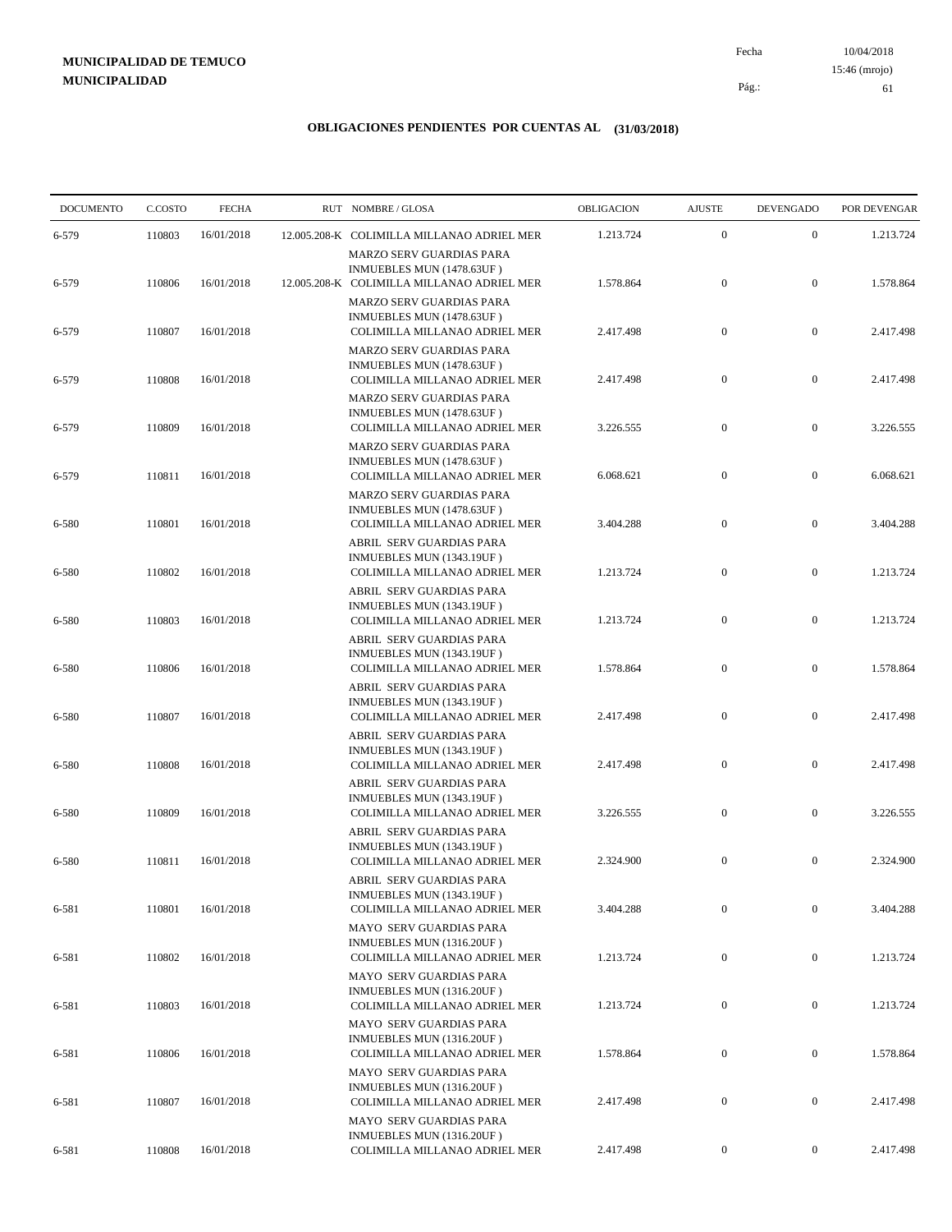10/04/2018 61 Pág.: Fecha 15:46 (mrojo)

| <b>DOCUMENTO</b> | C.COSTO | <b>FECHA</b> | RUT NOMBRE/GLOSA                                                                              | OBLIGACION | <b>AJUSTE</b>    | <b>DEVENGADO</b> | POR DEVENGAR |
|------------------|---------|--------------|-----------------------------------------------------------------------------------------------|------------|------------------|------------------|--------------|
| 6-579            | 110803  | 16/01/2018   | 12.005.208-K COLIMILLA MILLANAO ADRIEL MER                                                    | 1.213.724  | $\boldsymbol{0}$ | $\boldsymbol{0}$ | 1.213.724    |
|                  |         |              | MARZO SERV GUARDIAS PARA<br>INMUEBLES MUN (1478.63UF)                                         |            |                  |                  |              |
| 6-579            | 110806  | 16/01/2018   | 12.005.208-K COLIMILLA MILLANAO ADRIEL MER<br>MARZO SERV GUARDIAS PARA                        | 1.578.864  | $\boldsymbol{0}$ | $\mathbf{0}$     | 1.578.864    |
| 6-579            | 110807  | 16/01/2018   | INMUEBLES MUN (1478.63UF)<br>COLIMILLA MILLANAO ADRIEL MER                                    | 2.417.498  | $\boldsymbol{0}$ | $\mathbf{0}$     | 2.417.498    |
| 6-579            | 110808  | 16/01/2018   | <b>MARZO SERV GUARDIAS PARA</b><br>INMUEBLES MUN (1478.63UF)<br>COLIMILLA MILLANAO ADRIEL MER | 2.417.498  | $\boldsymbol{0}$ | $\boldsymbol{0}$ | 2.417.498    |
| 6-579            | 110809  | 16/01/2018   | MARZO SERV GUARDIAS PARA<br>INMUEBLES MUN (1478.63UF)<br>COLIMILLA MILLANAO ADRIEL MER        | 3.226.555  | $\boldsymbol{0}$ | $\mathbf{0}$     | 3.226.555    |
| 6-579            | 110811  | 16/01/2018   | MARZO SERV GUARDIAS PARA<br>INMUEBLES MUN (1478.63UF)<br>COLIMILLA MILLANAO ADRIEL MER        | 6.068.621  | $\boldsymbol{0}$ | $\mathbf{0}$     | 6.068.621    |
| 6-580            | 110801  | 16/01/2018   | MARZO SERV GUARDIAS PARA<br>INMUEBLES MUN (1478.63UF)<br>COLIMILLA MILLANAO ADRIEL MER        | 3.404.288  | $\boldsymbol{0}$ | $\boldsymbol{0}$ | 3.404.288    |
| 6-580            | 110802  | 16/01/2018   | ABRIL SERV GUARDIAS PARA<br>INMUEBLES MUN (1343.19UF)<br>COLIMILLA MILLANAO ADRIEL MER        | 1.213.724  | $\boldsymbol{0}$ | $\boldsymbol{0}$ | 1.213.724    |
|                  |         |              | ABRIL SERV GUARDIAS PARA<br>INMUEBLES MUN (1343.19UF)                                         |            |                  |                  |              |
| 6-580            | 110803  | 16/01/2018   | COLIMILLA MILLANAO ADRIEL MER<br>ABRIL SERV GUARDIAS PARA<br>INMUEBLES MUN (1343.19UF)        | 1.213.724  | $\boldsymbol{0}$ | $\mathbf{0}$     | 1.213.724    |
| 6-580            | 110806  | 16/01/2018   | COLIMILLA MILLANAO ADRIEL MER<br>ABRIL SERV GUARDIAS PARA<br>INMUEBLES MUN (1343.19UF)        | 1.578.864  | $\boldsymbol{0}$ | $\mathbf{0}$     | 1.578.864    |
| 6-580            | 110807  | 16/01/2018   | COLIMILLA MILLANAO ADRIEL MER<br>ABRIL SERV GUARDIAS PARA                                     | 2.417.498  | $\boldsymbol{0}$ | $\boldsymbol{0}$ | 2.417.498    |
| 6-580            | 110808  | 16/01/2018   | INMUEBLES MUN (1343.19UF)<br>COLIMILLA MILLANAO ADRIEL MER<br>ABRIL SERV GUARDIAS PARA        | 2.417.498  | $\mathbf{0}$     | $\mathbf{0}$     | 2.417.498    |
| 6-580            | 110809  | 16/01/2018   | INMUEBLES MUN (1343.19UF)<br>COLIMILLA MILLANAO ADRIEL MER                                    | 3.226.555  | $\boldsymbol{0}$ | $\boldsymbol{0}$ | 3.226.555    |
| 6-580            | 110811  | 16/01/2018   | ABRIL SERV GUARDIAS PARA<br>INMUEBLES MUN (1343.19UF)<br>COLIMILLA MILLANAO ADRIEL MER        | 2.324.900  | $\boldsymbol{0}$ | $\boldsymbol{0}$ | 2.324.900    |
| 6-581            | 110801  | 16/01/2018   | ABRIL SERV GUARDIAS PARA<br>INMUEBLES MUN (1343.19UF)<br>COLIMILLA MILLANAO ADRIEL MER        | 3.404.288  | $\mathbf{0}$     | $\boldsymbol{0}$ | 3.404.288    |
|                  |         |              | MAYO SERV GUARDIAS PARA<br>INMUEBLES MUN (1316.20UF)                                          |            |                  |                  |              |
| 6-581            | 110802  | 16/01/2018   | COLIMILLA MILLANAO ADRIEL MER<br>MAYO SERV GUARDIAS PARA<br>INMUEBLES MUN (1316.20UF)         | 1.213.724  | $\boldsymbol{0}$ | $\boldsymbol{0}$ | 1.213.724    |
| 6-581            | 110803  | 16/01/2018   | COLIMILLA MILLANAO ADRIEL MER<br><b>MAYO SERV GUARDIAS PARA</b>                               | 1.213.724  | $\boldsymbol{0}$ | $\boldsymbol{0}$ | 1.213.724    |
| 6-581            | 110806  | 16/01/2018   | INMUEBLES MUN (1316.20UF)<br>COLIMILLA MILLANAO ADRIEL MER<br>MAYO SERV GUARDIAS PARA         | 1.578.864  | $\mathbf{0}$     | $\boldsymbol{0}$ | 1.578.864    |
| 6-581            | 110807  | 16/01/2018   | INMUEBLES MUN (1316.20UF)<br>COLIMILLA MILLANAO ADRIEL MER                                    | 2.417.498  | $\boldsymbol{0}$ | $\boldsymbol{0}$ | 2.417.498    |
| 6-581            | 110808  | 16/01/2018   | MAYO SERV GUARDIAS PARA<br>INMUEBLES MUN (1316.20UF)<br>COLIMILLA MILLANAO ADRIEL MER         | 2.417.498  | $\boldsymbol{0}$ | $\boldsymbol{0}$ | 2.417.498    |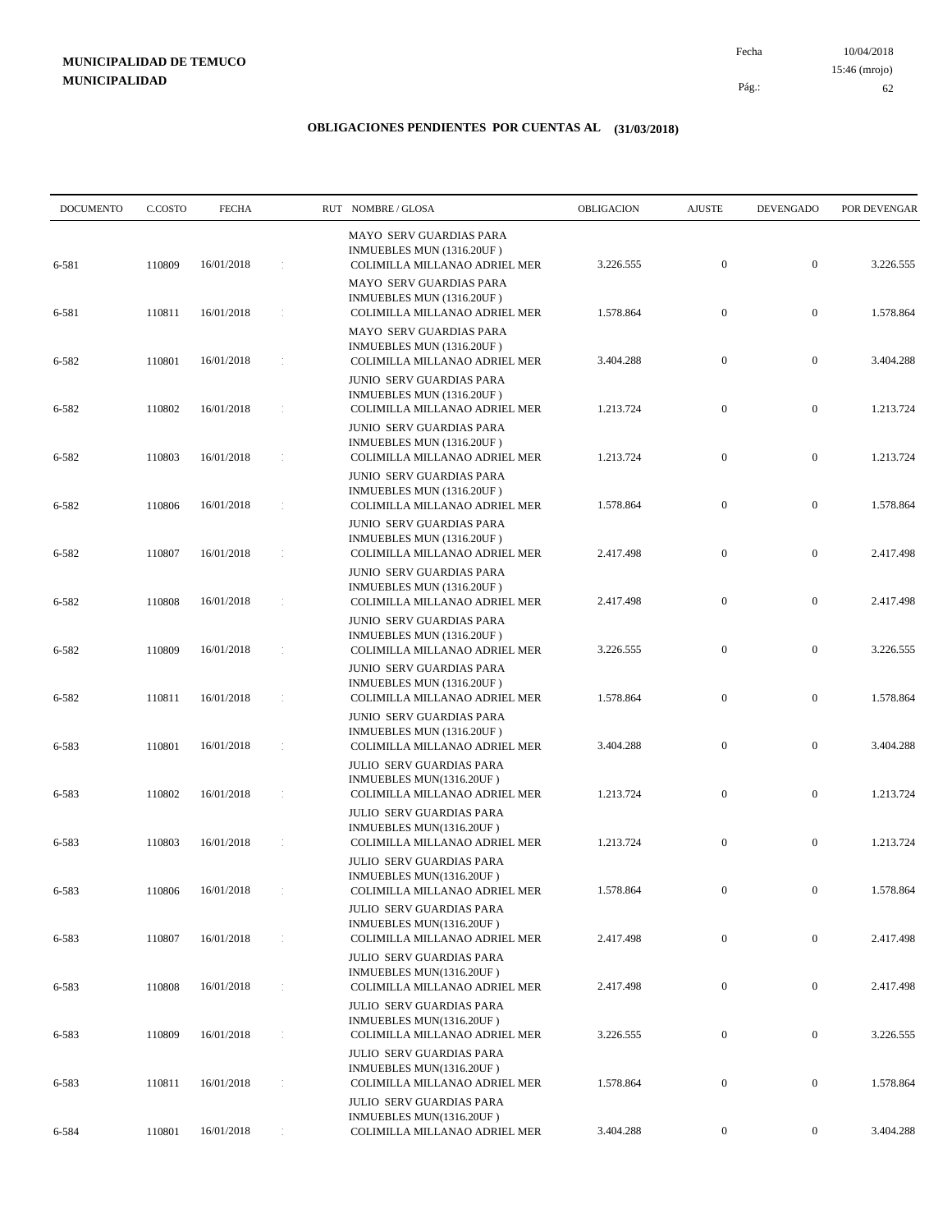10/04/2018 62 Pág.: Fecha 15:46 (mrojo)

| <b>DOCUMENTO</b> | C.COSTO | <b>FECHA</b> |    | RUT NOMBRE/GLOSA                                                                              | OBLIGACION | <b>AJUSTE</b>    | <b>DEVENGADO</b> | POR DEVENGAR |
|------------------|---------|--------------|----|-----------------------------------------------------------------------------------------------|------------|------------------|------------------|--------------|
| 6-581            | 110809  | 16/01/2018   |    | <b>MAYO SERV GUARDIAS PARA</b><br>INMUEBLES MUN (1316.20UF)<br>COLIMILLA MILLANAO ADRIEL MER  | 3.226.555  | $\boldsymbol{0}$ | $\boldsymbol{0}$ | 3.226.555    |
| 6-581            | 110811  | 16/01/2018   |    | <b>MAYO SERV GUARDIAS PARA</b><br>INMUEBLES MUN (1316.20UF)<br>COLIMILLA MILLANAO ADRIEL MER  | 1.578.864  | $\boldsymbol{0}$ | $\boldsymbol{0}$ | 1.578.864    |
| 6-582            | 110801  | 16/01/2018   |    | MAYO SERV GUARDIAS PARA<br>INMUEBLES MUN (1316.20UF)<br>COLIMILLA MILLANAO ADRIEL MER         | 3.404.288  | $\boldsymbol{0}$ | $\boldsymbol{0}$ | 3.404.288    |
| 6-582            | 110802  | 16/01/2018   |    | <b>JUNIO SERV GUARDIAS PARA</b><br>INMUEBLES MUN (1316.20UF)<br>COLIMILLA MILLANAO ADRIEL MER | 1.213.724  | $\mathbf{0}$     | $\boldsymbol{0}$ | 1.213.724    |
| 6-582            | 110803  | 16/01/2018   |    | JUNIO SERV GUARDIAS PARA<br>INMUEBLES MUN (1316.20UF)<br>COLIMILLA MILLANAO ADRIEL MER        | 1.213.724  | $\boldsymbol{0}$ | $\boldsymbol{0}$ | 1.213.724    |
| 6-582            | 110806  | 16/01/2018   |    | JUNIO SERV GUARDIAS PARA<br>INMUEBLES MUN (1316.20UF)<br>COLIMILLA MILLANAO ADRIEL MER        | 1.578.864  | $\mathbf{0}$     | $\boldsymbol{0}$ | 1.578.864    |
| 6-582            | 110807  | 16/01/2018   |    | JUNIO SERV GUARDIAS PARA<br>INMUEBLES MUN (1316.20UF)<br>COLIMILLA MILLANAO ADRIEL MER        | 2.417.498  | $\mathbf{0}$     | $\mathbf{0}$     | 2.417.498    |
|                  |         |              |    | JUNIO SERV GUARDIAS PARA<br>INMUEBLES MUN (1316.20UF)                                         |            |                  |                  |              |
| 6-582            | 110808  | 16/01/2018   |    | COLIMILLA MILLANAO ADRIEL MER<br><b>JUNIO SERV GUARDIAS PARA</b><br>INMUEBLES MUN (1316.20UF) | 2.417.498  | $\boldsymbol{0}$ | $\boldsymbol{0}$ | 2.417.498    |
| 6-582            | 110809  | 16/01/2018   |    | COLIMILLA MILLANAO ADRIEL MER<br><b>JUNIO SERV GUARDIAS PARA</b><br>INMUEBLES MUN (1316.20UF) | 3.226.555  | $\mathbf{0}$     | $\boldsymbol{0}$ | 3.226.555    |
| 6-582            | 110811  | 16/01/2018   | ÷  | COLIMILLA MILLANAO ADRIEL MER<br>JUNIO SERV GUARDIAS PARA<br>INMUEBLES MUN (1316.20UF)        | 1.578.864  | $\boldsymbol{0}$ | $\boldsymbol{0}$ | 1.578.864    |
| 6-583            | 110801  | 16/01/2018   |    | COLIMILLA MILLANAO ADRIEL MER<br><b>JULIO SERV GUARDIAS PARA</b><br>INMUEBLES MUN(1316.20UF)  | 3.404.288  | $\mathbf{0}$     | $\mathbf{0}$     | 3.404.288    |
| 6-583            | 110802  | 16/01/2018   |    | COLIMILLA MILLANAO ADRIEL MER<br><b>JULIO SERV GUARDIAS PARA</b>                              | 1.213.724  | $\mathbf{0}$     | $\mathbf{0}$     | 1.213.724    |
| 6-583            | 110803  | 16/01/2018   |    | INMUEBLES MUN(1316.20UF)<br>COLIMILLA MILLANAO ADRIEL MER<br><b>JULIO SERV GUARDIAS PARA</b>  | 1.213.724  | $\mathbf{0}$     | $\boldsymbol{0}$ | 1.213.724    |
| 6-583            | 110806  | 16/01/2018   |    | INMUEBLES MUN(1316.20UF)<br>COLIMILLA MILLANAO ADRIEL MER<br><b>JULIO SERV GUARDIAS PARA</b>  | 1.578.864  | $\overline{0}$   | $\overline{0}$   | 1.578.864    |
| 6-583            | 110807  | 16/01/2018   |    | INMUEBLES MUN(1316.20UF)<br>COLIMILLA MILLANAO ADRIEL MER<br>JULIO SERV GUARDIAS PARA         | 2.417.498  | $\boldsymbol{0}$ | $\mathbf{0}$     | 2.417.498    |
| 6-583            | 110808  | 16/01/2018   | ÷. | INMUEBLES MUN(1316.20UF)<br>COLIMILLA MILLANAO ADRIEL MER<br><b>JULIO SERV GUARDIAS PARA</b>  | 2.417.498  | $\boldsymbol{0}$ | $\boldsymbol{0}$ | 2.417.498    |
| 6-583            | 110809  | 16/01/2018   |    | INMUEBLES MUN(1316.20UF)<br>COLIMILLA MILLANAO ADRIEL MER<br><b>JULIO SERV GUARDIAS PARA</b>  | 3.226.555  | $\boldsymbol{0}$ | $\boldsymbol{0}$ | 3.226.555    |
| 6-583            | 110811  | 16/01/2018   |    | INMUEBLES MUN(1316.20UF)<br>COLIMILLA MILLANAO ADRIEL MER                                     | 1.578.864  | $\boldsymbol{0}$ | $\boldsymbol{0}$ | 1.578.864    |
| 6-584            | 110801  | 16/01/2018   |    | JULIO SERV GUARDIAS PARA<br>INMUEBLES MUN(1316.20UF)<br>COLIMILLA MILLANAO ADRIEL MER         | 3.404.288  | $\mathbf{0}$     | $\boldsymbol{0}$ | 3.404.288    |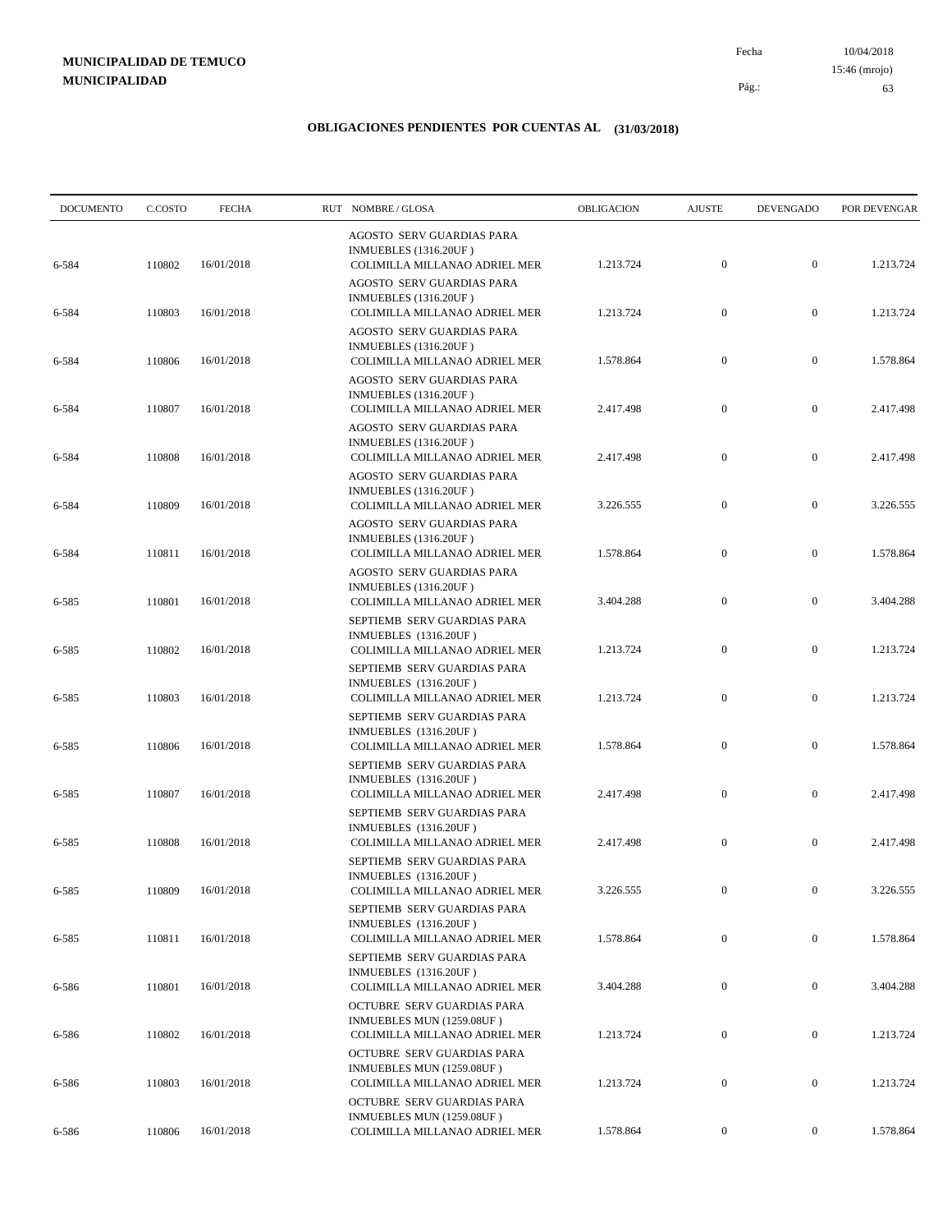10/04/2018 63 Pág.: Fecha 15:46 (mrojo)

| <b>DOCUMENTO</b> | C.COSTO | <b>FECHA</b> | RUT NOMBRE/GLOSA                                                                             | OBLIGACION | <b>AJUSTE</b>    | <b>DEVENGADO</b> | POR DEVENGAR |
|------------------|---------|--------------|----------------------------------------------------------------------------------------------|------------|------------------|------------------|--------------|
| 6-584            | 110802  | 16/01/2018   | AGOSTO SERV GUARDIAS PARA<br><b>INMUEBLES</b> (1316.20UF)<br>COLIMILLA MILLANAO ADRIEL MER   | 1.213.724  | $\mathbf{0}$     | $\mathbf{0}$     | 1.213.724    |
| 6-584            | 110803  | 16/01/2018   | <b>AGOSTO SERV GUARDIAS PARA</b><br>INMUEBLES (1316.20UF)<br>COLIMILLA MILLANAO ADRIEL MER   | 1.213.724  | $\boldsymbol{0}$ | $\boldsymbol{0}$ | 1.213.724    |
| 6-584            | 110806  | 16/01/2018   | AGOSTO SERV GUARDIAS PARA<br>INMUEBLES (1316.20UF)<br>COLIMILLA MILLANAO ADRIEL MER          | 1.578.864  | $\boldsymbol{0}$ | $\boldsymbol{0}$ | 1.578.864    |
| 6-584            | 110807  | 16/01/2018   | AGOSTO SERV GUARDIAS PARA<br><b>INMUEBLES</b> (1316.20UF)<br>COLIMILLA MILLANAO ADRIEL MER   | 2.417.498  | $\mathbf{0}$     | $\boldsymbol{0}$ | 2.417.498    |
| 6-584            | 110808  | 16/01/2018   | AGOSTO SERV GUARDIAS PARA<br><b>INMUEBLES</b> (1316.20UF)<br>COLIMILLA MILLANAO ADRIEL MER   | 2.417.498  | $\mathbf{0}$     | $\boldsymbol{0}$ | 2.417.498    |
| 6-584            | 110809  | 16/01/2018   | AGOSTO SERV GUARDIAS PARA<br><b>INMUEBLES</b> (1316.20UF)<br>COLIMILLA MILLANAO ADRIEL MER   | 3.226.555  | $\mathbf{0}$     | $\boldsymbol{0}$ | 3.226.555    |
| 6-584            | 110811  | 16/01/2018   | AGOSTO SERV GUARDIAS PARA<br><b>INMUEBLES</b> (1316.20UF)<br>COLIMILLA MILLANAO ADRIEL MER   | 1.578.864  | $\mathbf{0}$     | $\boldsymbol{0}$ | 1.578.864    |
| 6-585            | 110801  | 16/01/2018   | AGOSTO SERV GUARDIAS PARA<br>INMUEBLES (1316.20UF)<br>COLIMILLA MILLANAO ADRIEL MER          | 3.404.288  | $\boldsymbol{0}$ | $\boldsymbol{0}$ | 3.404.288    |
| 6-585            | 110802  | 16/01/2018   | SEPTIEMB SERV GUARDIAS PARA<br>INMUEBLES (1316.20UF)<br>COLIMILLA MILLANAO ADRIEL MER        | 1.213.724  | $\mathbf{0}$     | $\boldsymbol{0}$ | 1.213.724    |
| 6-585            | 110803  | 16/01/2018   | SEPTIEMB SERV GUARDIAS PARA<br>INMUEBLES (1316.20UF)<br>COLIMILLA MILLANAO ADRIEL MER        | 1.213.724  | $\mathbf{0}$     | $\boldsymbol{0}$ | 1.213.724    |
| 6-585            | 110806  | 16/01/2018   | SEPTIEMB SERV GUARDIAS PARA<br>INMUEBLES (1316.20UF)<br>COLIMILLA MILLANAO ADRIEL MER        | 1.578.864  | $\mathbf{0}$     | $\boldsymbol{0}$ | 1.578.864    |
| 6-585            | 110807  | 16/01/2018   | SEPTIEMB SERV GUARDIAS PARA<br>INMUEBLES (1316.20UF)<br>COLIMILLA MILLANAO ADRIEL MER        | 2.417.498  | $\mathbf{0}$     | $\boldsymbol{0}$ | 2.417.498    |
| 6-585            | 110808  | 16/01/2018   | SEPTIEMB SERV GUARDIAS PARA<br><b>INMUEBLES</b> (1316.20UF)<br>COLIMILLA MILLANAO ADRIEL MER | 2.417.498  | $\mathbf{0}$     | $\boldsymbol{0}$ | 2.417.498    |
| 6-585            | 110809  | 16/01/2018   | SEPTIEMB SERV GUARDIAS PARA<br><b>INMUEBLES</b> (1316.20UF)<br>COLIMILLA MILLANAO ADRIEL MER | 3.226.555  | $\overline{0}$   | $\overline{0}$   | 3.226.555    |
|                  |         |              | SEPTIEMB SERV GUARDIAS PARA<br>INMUEBLES (1316.20UF)                                         |            |                  |                  |              |
| 6-585            | 110811  | 16/01/2018   | COLIMILLA MILLANAO ADRIEL MER<br>SEPTIEMB SERV GUARDIAS PARA<br>INMUEBLES (1316.20UF)        | 1.578.864  | $\mathbf{0}$     | $\overline{0}$   | 1.578.864    |
| 6-586            | 110801  | 16/01/2018   | COLIMILLA MILLANAO ADRIEL MER<br>OCTUBRE SERV GUARDIAS PARA<br>INMUEBLES MUN (1259.08UF)     | 3.404.288  | $\boldsymbol{0}$ | $\boldsymbol{0}$ | 3.404.288    |
| 6-586            | 110802  | 16/01/2018   | COLIMILLA MILLANAO ADRIEL MER<br>OCTUBRE SERV GUARDIAS PARA<br>INMUEBLES MUN (1259.08UF)     | 1.213.724  | $\mathbf{0}$     | $\boldsymbol{0}$ | 1.213.724    |
| 6-586            | 110803  | 16/01/2018   | COLIMILLA MILLANAO ADRIEL MER<br>OCTUBRE SERV GUARDIAS PARA                                  | 1.213.724  | $\boldsymbol{0}$ | $\boldsymbol{0}$ | 1.213.724    |
| 6-586            | 110806  | 16/01/2018   | INMUEBLES MUN (1259.08UF)<br>COLIMILLA MILLANAO ADRIEL MER                                   | 1.578.864  | $\boldsymbol{0}$ | $\boldsymbol{0}$ | 1.578.864    |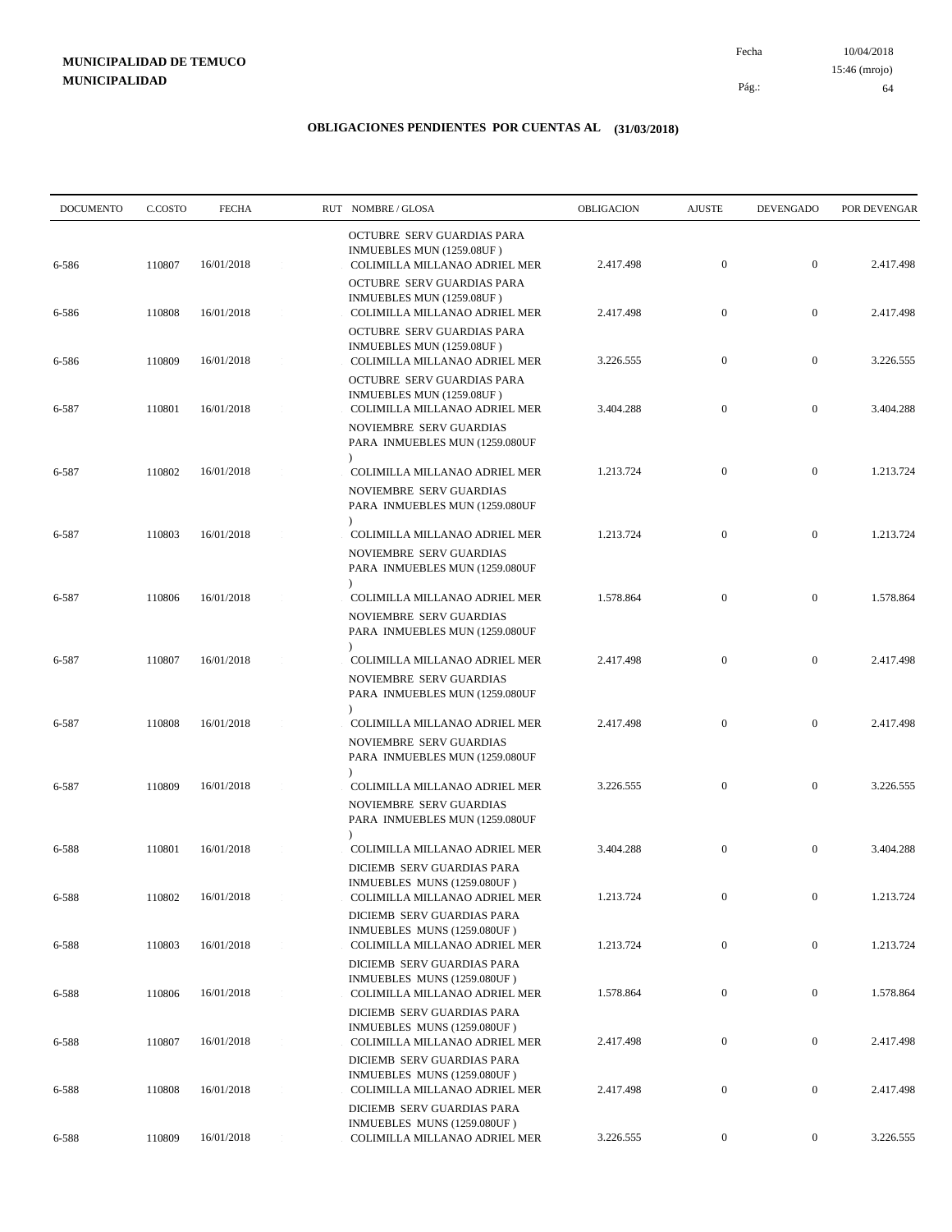10/04/2018 64 Pág.: Fecha 15:46 (mrojo)

| <b>DOCUMENTO</b> | C.COSTO | <b>FECHA</b> | RUT NOMBRE/GLOSA                                                                                        | OBLIGACION | <b>AJUSTE</b>    | <b>DEVENGADO</b> | POR DEVENGAR |
|------------------|---------|--------------|---------------------------------------------------------------------------------------------------------|------------|------------------|------------------|--------------|
| 6-586            | 110807  | 16/01/2018   | OCTUBRE SERV GUARDIAS PARA<br>INMUEBLES MUN (1259.08UF)<br>COLIMILLA MILLANAO ADRIEL MER                | 2.417.498  | $\boldsymbol{0}$ | $\boldsymbol{0}$ | 2.417.498    |
| 6-586            | 110808  | 16/01/2018   | OCTUBRE SERV GUARDIAS PARA<br>INMUEBLES MUN (1259.08UF)<br>COLIMILLA MILLANAO ADRIEL MER                | 2.417.498  | $\mathbf{0}$     | $\boldsymbol{0}$ | 2.417.498    |
|                  |         |              | OCTUBRE SERV GUARDIAS PARA<br>INMUEBLES MUN (1259.08UF)                                                 |            |                  |                  |              |
| 6-586            | 110809  | 16/01/2018   | COLIMILLA MILLANAO ADRIEL MER<br>OCTUBRE SERV GUARDIAS PARA<br>INMUEBLES MUN (1259.08UF)                | 3.226.555  | $\mathbf{0}$     | $\mathbf{0}$     | 3.226.555    |
| 6-587            | 110801  | 16/01/2018   | COLIMILLA MILLANAO ADRIEL MER<br>NOVIEMBRE SERV GUARDIAS<br>PARA INMUEBLES MUN (1259.080UF              | 3.404.288  | $\mathbf{0}$     | $\boldsymbol{0}$ | 3.404.288    |
| 6-587            | 110802  | 16/01/2018   | $\lambda$<br>COLIMILLA MILLANAO ADRIEL MER                                                              | 1.213.724  | $\mathbf{0}$     | $\boldsymbol{0}$ | 1.213.724    |
|                  |         |              | NOVIEMBRE SERV GUARDIAS<br>PARA INMUEBLES MUN (1259.080UF<br>$\lambda$                                  |            |                  |                  |              |
| 6-587            | 110803  | 16/01/2018   | COLIMILLA MILLANAO ADRIEL MER<br>NOVIEMBRE SERV GUARDIAS<br>PARA INMUEBLES MUN (1259.080UF              | 1.213.724  | $\boldsymbol{0}$ | $\boldsymbol{0}$ | 1.213.724    |
| 6-587            | 110806  | 16/01/2018   | $\lambda$<br>COLIMILLA MILLANAO ADRIEL MER<br>NOVIEMBRE SERV GUARDIAS<br>PARA INMUEBLES MUN (1259.080UF | 1.578.864  | $\boldsymbol{0}$ | $\boldsymbol{0}$ | 1.578.864    |
| 6-587            | 110807  | 16/01/2018   | $\lambda$<br>COLIMILLA MILLANAO ADRIEL MER<br>NOVIEMBRE SERV GUARDIAS<br>PARA INMUEBLES MUN (1259.080UF | 2.417.498  | $\mathbf{0}$     | $\boldsymbol{0}$ | 2.417.498    |
| 6-587            | 110808  | 16/01/2018   | COLIMILLA MILLANAO ADRIEL MER<br>NOVIEMBRE SERV GUARDIAS<br>PARA INMUEBLES MUN (1259.080UF              | 2.417.498  | $\mathbf{0}$     | $\boldsymbol{0}$ | 2.417.498    |
| 6-587            | 110809  | 16/01/2018   | $\lambda$<br>COLIMILLA MILLANAO ADRIEL MER<br>NOVIEMBRE SERV GUARDIAS                                   | 3.226.555  | $\boldsymbol{0}$ | $\boldsymbol{0}$ | 3.226.555    |
| 6-588            | 110801  | 16/01/2018   | PARA INMUEBLES MUN (1259.080UF<br>$\lambda$<br>COLIMILLA MILLANAO ADRIEL MER                            | 3.404.288  | $\mathbf{0}$     | $\mathbf{0}$     | 3.404.288    |
|                  |         |              | DICIEMB SERV GUARDIAS PARA<br>INMUEBLES MUNS (1259.080UF)                                               |            |                  |                  |              |
| 6-588            | 110802  | 16/01/2018   | COLIMILLA MILLANAO ADRIEL MER<br>DICIEMB SERV GUARDIAS PARA                                             | 1.213.724  | $\boldsymbol{0}$ | $\bf{0}$         | 1.213.724    |
| 6-588            | 110803  | 16/01/2018   | INMUEBLES MUNS (1259.080UF)<br>COLIMILLA MILLANAO ADRIEL MER<br>DICIEMB SERV GUARDIAS PARA              | 1.213.724  | $\boldsymbol{0}$ | $\boldsymbol{0}$ | 1.213.724    |
| 6-588            | 110806  | 16/01/2018   | INMUEBLES MUNS (1259.080UF)<br>COLIMILLA MILLANAO ADRIEL MER                                            | 1.578.864  | $\boldsymbol{0}$ | $\boldsymbol{0}$ | 1.578.864    |
| 6-588            | 110807  | 16/01/2018   | DICIEMB SERV GUARDIAS PARA<br>INMUEBLES MUNS (1259.080UF)<br>COLIMILLA MILLANAO ADRIEL MER              | 2.417.498  | $\boldsymbol{0}$ | $\boldsymbol{0}$ | 2.417.498    |
|                  |         |              | DICIEMB SERV GUARDIAS PARA<br>INMUEBLES MUNS (1259.080UF)                                               |            | $\boldsymbol{0}$ | $\bf{0}$         |              |
| 6-588            | 110808  | 16/01/2018   | COLIMILLA MILLANAO ADRIEL MER<br>DICIEMB SERV GUARDIAS PARA<br>INMUEBLES MUNS (1259.080UF)              | 2.417.498  |                  |                  | 2.417.498    |
| 6-588            | 110809  | 16/01/2018   | COLIMILLA MILLANAO ADRIEL MER                                                                           | 3.226.555  | $\boldsymbol{0}$ | $\boldsymbol{0}$ | 3.226.555    |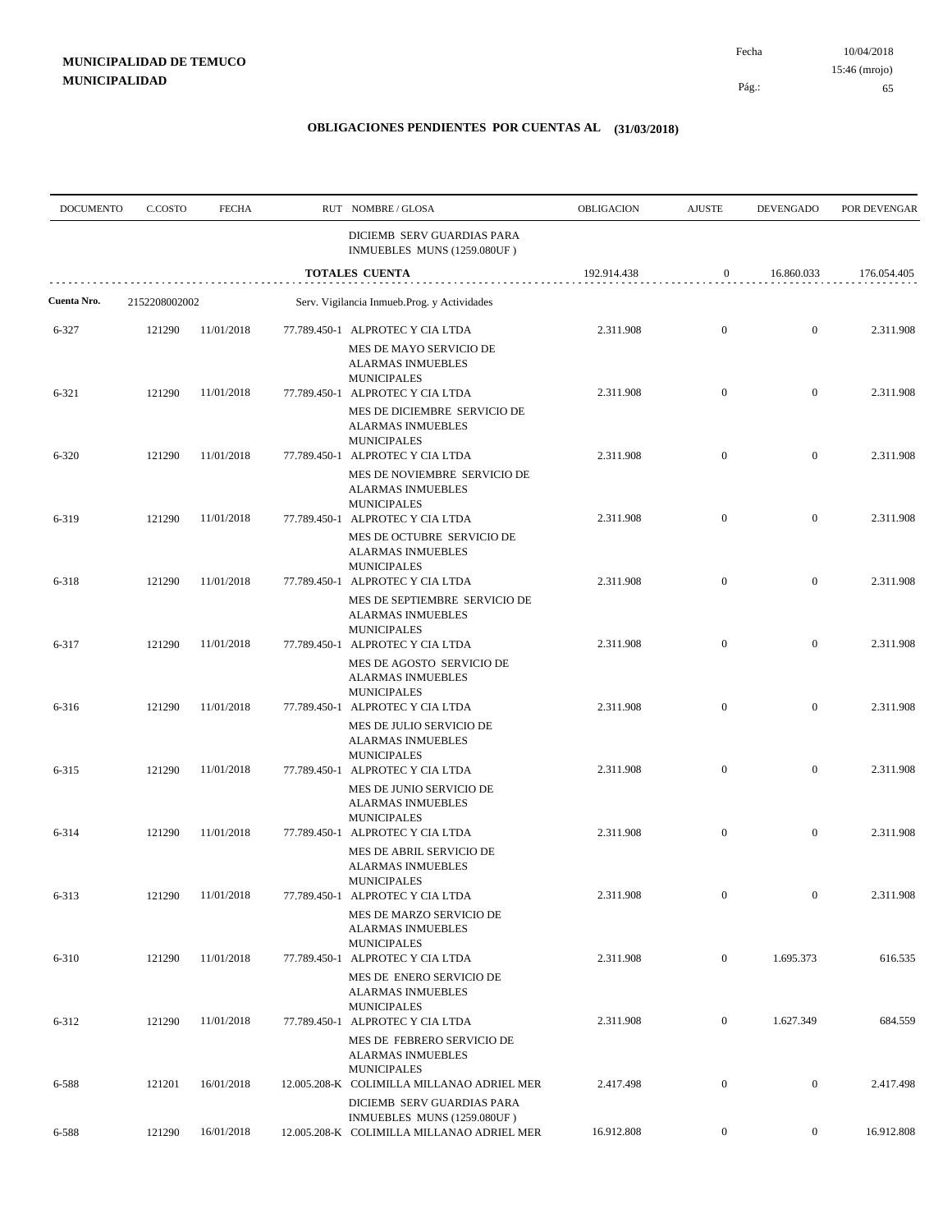Pág.:

Fecha

65

| <b>DOCUMENTO</b> | C.COSTO       | <b>FECHA</b> | RUT NOMBRE/GLOSA                                                                                                                       | OBLIGACION  | <b>AJUSTE</b>    | <b>DEVENGADO</b> | POR DEVENGAR |
|------------------|---------------|--------------|----------------------------------------------------------------------------------------------------------------------------------------|-------------|------------------|------------------|--------------|
|                  |               |              | DICIEMB SERV GUARDIAS PARA<br>INMUEBLES MUNS (1259.080UF)                                                                              |             |                  |                  |              |
|                  |               |              | TOTALES CUENTA                                                                                                                         | 192.914.438 | $\boldsymbol{0}$ | 16.860.033       | 176.054.405  |
| Cuenta Nro.      | 2152208002002 |              | Serv. Vigilancia Inmueb.Prog. y Actividades                                                                                            |             |                  |                  |              |
| 6-327            | 121290        | 11/01/2018   | 77.789.450-1 ALPROTEC Y CIA LTDA<br>MES DE MAYO SERVICIO DE<br><b>ALARMAS INMUEBLES</b><br><b>MUNICIPALES</b>                          | 2.311.908   | $\boldsymbol{0}$ | $\mathbf{0}$     | 2.311.908    |
| 6-321            | 121290        | 11/01/2018   | 77.789.450-1 ALPROTEC Y CIA LTDA<br>MES DE DICIEMBRE SERVICIO DE<br><b>ALARMAS INMUEBLES</b><br><b>MUNICIPALES</b>                     | 2.311.908   | $\boldsymbol{0}$ | $\mathbf{0}$     | 2.311.908    |
| 6-320            | 121290        | 11/01/2018   | 77.789.450-1 ALPROTEC Y CIA LTDA<br>MES DE NOVIEMBRE SERVICIO DE<br><b>ALARMAS INMUEBLES</b>                                           | 2.311.908   | $\boldsymbol{0}$ | $\mathbf{0}$     | 2.311.908    |
| 6-319            | 121290        | 11/01/2018   | <b>MUNICIPALES</b><br>77.789.450-1 ALPROTEC Y CIA LTDA<br>MES DE OCTUBRE SERVICIO DE<br><b>ALARMAS INMUEBLES</b><br><b>MUNICIPALES</b> | 2.311.908   | $\boldsymbol{0}$ | $\mathbf{0}$     | 2.311.908    |
| 6-318            | 121290        | 11/01/2018   | 77.789.450-1 ALPROTEC Y CIA LTDA<br>MES DE SEPTIEMBRE SERVICIO DE<br><b>ALARMAS INMUEBLES</b><br><b>MUNICIPALES</b>                    | 2.311.908   | $\boldsymbol{0}$ | $\mathbf{0}$     | 2.311.908    |
| 6-317            | 121290        | 11/01/2018   | 77.789.450-1 ALPROTEC Y CIA LTDA<br>MES DE AGOSTO SERVICIO DE<br><b>ALARMAS INMUEBLES</b><br><b>MUNICIPALES</b>                        | 2.311.908   | $\boldsymbol{0}$ | $\mathbf{0}$     | 2.311.908    |
| 6-316            | 121290        | 11/01/2018   | 77.789.450-1 ALPROTEC Y CIA LTDA<br>MES DE JULIO SERVICIO DE<br><b>ALARMAS INMUEBLES</b><br><b>MUNICIPALES</b>                         | 2.311.908   | $\mathbf{0}$     | $\mathbf{0}$     | 2.311.908    |
| $6 - 315$        | 121290        | 11/01/2018   | 77.789.450-1 ALPROTEC Y CIA LTDA<br>MES DE JUNIO SERVICIO DE<br><b>ALARMAS INMUEBLES</b><br><b>MUNICIPALES</b>                         | 2.311.908   | $\boldsymbol{0}$ | $\mathbf{0}$     | 2.311.908    |
| 6-314            | 121290        | 11/01/2018   | 77.789.450-1 ALPROTEC Y CIA LTDA<br>MES DE ABRIL SERVICIO DE<br>ALARMAS INMUEBLES<br><b>MUNICIPALES</b>                                | 2.311.908   | $\boldsymbol{0}$ | $\mathbf{0}$     | 2.311.908    |
| 6-313            | 121290        | 11/01/2018   | 77.789.450-1 ALPROTEC Y CIA LTDA<br>MES DE MARZO SERVICIO DE<br><b>ALARMAS INMUEBLES</b><br><b>MUNICIPALES</b>                         | 2.311.908   |                  |                  | 2.311.908    |
| $6 - 310$        | 121290        | 11/01/2018   | 77.789.450-1 ALPROTEC Y CIA LTDA<br>MES DE ENERO SERVICIO DE<br><b>ALARMAS INMUEBLES</b><br><b>MUNICIPALES</b>                         | 2.311.908   | $\overline{0}$   | 1.695.373        | 616.535      |
| $6 - 312$        | 121290        | 11/01/2018   | 77.789.450-1 ALPROTEC Y CIA LTDA<br>MES DE FEBRERO SERVICIO DE<br><b>ALARMAS INMUEBLES</b><br><b>MUNICIPALES</b>                       | 2.311.908   | $\mathbf{0}$     | 1.627.349        | 684.559      |
| 6-588            | 121201        | 16/01/2018   | 12.005.208-K COLIMILLA MILLANAO ADRIEL MER<br>DICIEMB SERV GUARDIAS PARA<br>INMUEBLES MUNS (1259.080UF)                                | 2.417.498   | $\boldsymbol{0}$ | $\boldsymbol{0}$ | 2.417.498    |
| 6-588            | 121290        | 16/01/2018   | 12.005.208-K COLIMILLA MILLANAO ADRIEL MER                                                                                             | 16.912.808  | $\boldsymbol{0}$ | $\boldsymbol{0}$ | 16.912.808   |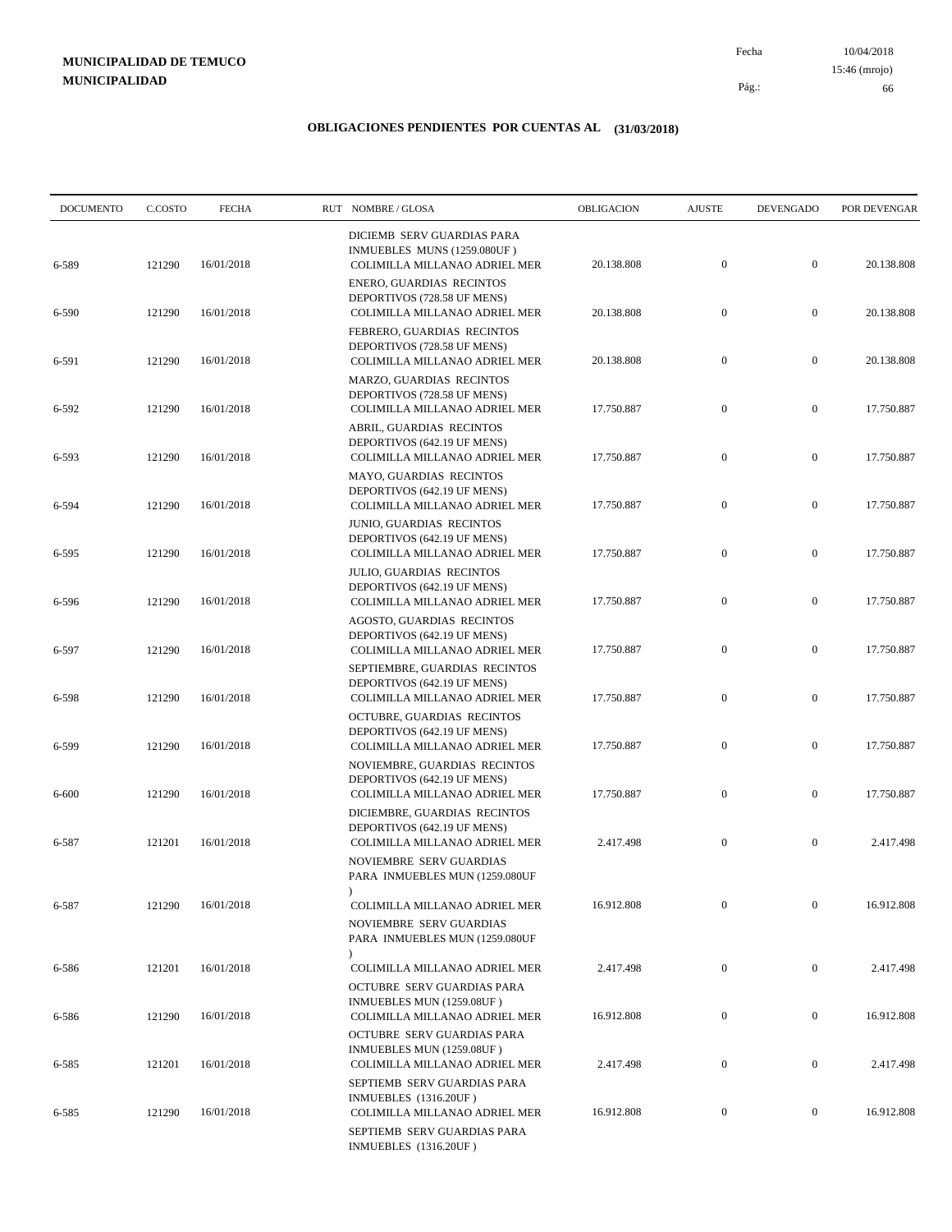10/04/2018 66 Pág.: Fecha 15:46 (mrojo)

| <b>DOCUMENTO</b> | C.COSTO | <b>FECHA</b> | RUT NOMBRE/GLOSA                                                                                                          | <b>OBLIGACION</b> | <b>AJUSTE</b>    | <b>DEVENGADO</b> | POR DEVENGAR |
|------------------|---------|--------------|---------------------------------------------------------------------------------------------------------------------------|-------------------|------------------|------------------|--------------|
| 6-589            | 121290  | 16/01/2018   | DICIEMB SERV GUARDIAS PARA<br>INMUEBLES MUNS (1259.080UF)<br>COLIMILLA MILLANAO ADRIEL MER                                | 20.138.808        | $\boldsymbol{0}$ | $\mathbf{0}$     | 20.138.808   |
| 6-590            | 121290  | 16/01/2018   | ENERO, GUARDIAS RECINTOS<br>DEPORTIVOS (728.58 UF MENS)<br>COLIMILLA MILLANAO ADRIEL MER                                  | 20.138.808        | $\mathbf{0}$     | $\mathbf{0}$     | 20.138.808   |
| 6-591            | 121290  | 16/01/2018   | FEBRERO, GUARDIAS RECINTOS<br>DEPORTIVOS (728.58 UF MENS)<br>COLIMILLA MILLANAO ADRIEL MER                                | 20.138.808        | $\boldsymbol{0}$ | $\mathbf{0}$     | 20.138.808   |
| 6-592            | 121290  | 16/01/2018   | MARZO, GUARDIAS RECINTOS<br>DEPORTIVOS (728.58 UF MENS)<br>COLIMILLA MILLANAO ADRIEL MER                                  | 17.750.887        | $\mathbf{0}$     | $\mathbf{0}$     | 17.750.887   |
| 6-593            | 121290  | 16/01/2018   | ABRIL, GUARDIAS RECINTOS<br>DEPORTIVOS (642.19 UF MENS)<br>COLIMILLA MILLANAO ADRIEL MER                                  | 17.750.887        | $\boldsymbol{0}$ | $\mathbf{0}$     | 17.750.887   |
| 6-594            | 121290  | 16/01/2018   | MAYO, GUARDIAS RECINTOS<br>DEPORTIVOS (642.19 UF MENS)<br>COLIMILLA MILLANAO ADRIEL MER                                   | 17.750.887        | $\mathbf{0}$     | $\mathbf{0}$     | 17.750.887   |
| 6-595            | 121290  | 16/01/2018   | JUNIO, GUARDIAS RECINTOS<br>DEPORTIVOS (642.19 UF MENS)<br>COLIMILLA MILLANAO ADRIEL MER                                  | 17.750.887        | $\mathbf{0}$     | $\mathbf{0}$     | 17.750.887   |
|                  |         | 16/01/2018   | <b>JULIO, GUARDIAS RECINTOS</b><br>DEPORTIVOS (642.19 UF MENS)                                                            |                   | $\boldsymbol{0}$ | $\mathbf{0}$     | 17.750.887   |
| 6-596            | 121290  |              | COLIMILLA MILLANAO ADRIEL MER<br>AGOSTO, GUARDIAS RECINTOS<br>DEPORTIVOS (642.19 UF MENS)                                 | 17.750.887        |                  |                  |              |
| 6-597            | 121290  | 16/01/2018   | COLIMILLA MILLANAO ADRIEL MER<br>SEPTIEMBRE, GUARDIAS RECINTOS<br>DEPORTIVOS (642.19 UF MENS)                             | 17.750.887        | $\mathbf{0}$     | $\mathbf{0}$     | 17.750.887   |
| 6-598            | 121290  | 16/01/2018   | COLIMILLA MILLANAO ADRIEL MER<br>OCTUBRE, GUARDIAS RECINTOS<br>DEPORTIVOS (642.19 UF MENS)                                | 17.750.887        | $\mathbf{0}$     | $\mathbf{0}$     | 17.750.887   |
| 6-599            | 121290  | 16/01/2018   | COLIMILLA MILLANAO ADRIEL MER<br>NOVIEMBRE, GUARDIAS RECINTOS<br>DEPORTIVOS (642.19 UF MENS)                              | 17.750.887        | $\mathbf{0}$     | $\mathbf{0}$     | 17.750.887   |
| 6-600            | 121290  | 16/01/2018   | COLIMILLA MILLANAO ADRIEL MER<br>DICIEMBRE, GUARDIAS RECINTOS                                                             | 17.750.887        | $\mathbf{0}$     | $\mathbf{0}$     | 17.750.887   |
| 6-587            | 121201  | 16/01/2018   | DEPORTIVOS (642.19 UF MENS)<br>COLIMILLA MILLANAO ADRIEL MER<br>NOVIEMBRE SERV GUARDIAS<br>PARA INMUEBLES MUN (1259.080UF | 2.417.498         | $\mathbf{0}$     | $\mathbf{0}$     | 2.417.498    |
| 6-587            | 121290  | 16/01/2018   | $\lambda$<br>COLIMILLA MILLANAO ADRIEL MER<br>NOVIEMBRE SERV GUARDIAS<br>PARA INMUEBLES MUN (1259.080UF                   | 16.912.808        | $\boldsymbol{0}$ | $\mathbf{0}$     | 16.912.808   |
| 6-586            | 121201  | 16/01/2018   | $\lambda$<br>COLIMILLA MILLANAO ADRIEL MER<br>OCTUBRE SERV GUARDIAS PARA                                                  | 2.417.498         | $\boldsymbol{0}$ | $\boldsymbol{0}$ | 2.417.498    |
| 6-586            | 121290  | 16/01/2018   | INMUEBLES MUN (1259.08UF)<br>COLIMILLA MILLANAO ADRIEL MER                                                                | 16.912.808        | $\boldsymbol{0}$ | $\boldsymbol{0}$ | 16.912.808   |
| 6-585            | 121201  | 16/01/2018   | OCTUBRE SERV GUARDIAS PARA<br>INMUEBLES MUN (1259.08UF)<br>COLIMILLA MILLANAO ADRIEL MER                                  | 2.417.498         | $\boldsymbol{0}$ | $\boldsymbol{0}$ | 2.417.498    |
| 6-585            | 121290  | 16/01/2018   | SEPTIEMB SERV GUARDIAS PARA<br>INMUEBLES (1316.20UF)<br>COLIMILLA MILLANAO ADRIEL MER                                     | 16.912.808        | $\boldsymbol{0}$ | $\boldsymbol{0}$ | 16.912.808   |
|                  |         |              | SEPTIEMB SERV GUARDIAS PARA<br>INMUEBLES (1316.20UF)                                                                      |                   |                  |                  |              |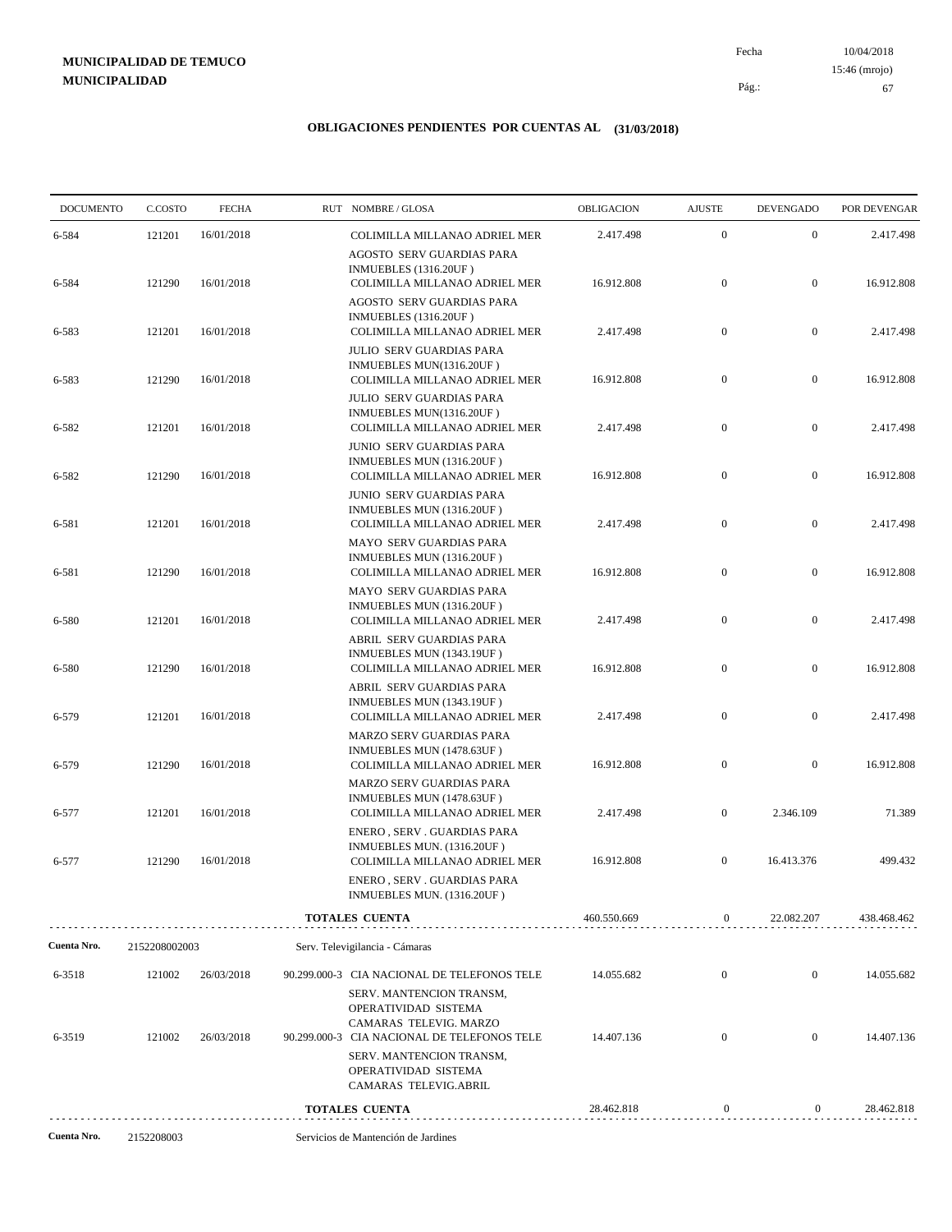10/04/2018 67 Pág.: Fecha 15:46 (mrojo)

| <b>DOCUMENTO</b> | C.COSTO       | <b>FECHA</b> | RUT NOMBRE/GLOSA                                                                                                                                   | OBLIGACION  | <b>AJUSTE</b>    | <b>DEVENGADO</b> | POR DEVENGAR |
|------------------|---------------|--------------|----------------------------------------------------------------------------------------------------------------------------------------------------|-------------|------------------|------------------|--------------|
| 6-584            | 121201        | 16/01/2018   | COLIMILLA MILLANAO ADRIEL MER                                                                                                                      | 2.417.498   | $\boldsymbol{0}$ | $\mathbf{0}$     | 2.417.498    |
| 6-584            | 121290        | 16/01/2018   | AGOSTO SERV GUARDIAS PARA<br><b>INMUEBLES</b> (1316.20UF)<br>COLIMILLA MILLANAO ADRIEL MER                                                         | 16.912.808  | $\mathbf{0}$     | $\overline{0}$   | 16.912.808   |
| 6-583            | 121201        | 16/01/2018   | AGOSTO SERV GUARDIAS PARA<br>INMUEBLES (1316.20UF)<br>COLIMILLA MILLANAO ADRIEL MER                                                                | 2.417.498   | $\boldsymbol{0}$ | $\boldsymbol{0}$ | 2.417.498    |
| 6-583            | 121290        | 16/01/2018   | JULIO SERV GUARDIAS PARA<br>INMUEBLES MUN(1316.20UF)<br>COLIMILLA MILLANAO ADRIEL MER<br><b>JULIO SERV GUARDIAS PARA</b>                           | 16.912.808  | $\boldsymbol{0}$ | $\overline{0}$   | 16.912.808   |
| 6-582            | 121201        | 16/01/2018   | INMUEBLES MUN(1316.20UF)<br>COLIMILLA MILLANAO ADRIEL MER                                                                                          | 2.417.498   | $\mathbf{0}$     | $\overline{0}$   | 2.417.498    |
| 6-582            | 121290        | 16/01/2018   | JUNIO SERV GUARDIAS PARA<br>INMUEBLES MUN (1316.20UF)<br>COLIMILLA MILLANAO ADRIEL MER                                                             | 16.912.808  | $\boldsymbol{0}$ | $\mathbf{0}$     | 16.912.808   |
| 6-581            | 121201        | 16/01/2018   | JUNIO SERV GUARDIAS PARA<br>INMUEBLES MUN (1316.20UF)<br>COLIMILLA MILLANAO ADRIEL MER                                                             | 2.417.498   | $\boldsymbol{0}$ | $\boldsymbol{0}$ | 2.417.498    |
| 6-581            | 121290        | 16/01/2018   | MAYO SERV GUARDIAS PARA<br>INMUEBLES MUN (1316.20UF)<br>COLIMILLA MILLANAO ADRIEL MER                                                              | 16.912.808  | $\mathbf{0}$     | $\mathbf{0}$     | 16.912.808   |
| 6-580            | 121201        | 16/01/2018   | MAYO SERV GUARDIAS PARA<br>INMUEBLES MUN (1316.20UF)<br>COLIMILLA MILLANAO ADRIEL MER                                                              | 2.417.498   | $\boldsymbol{0}$ | $\boldsymbol{0}$ | 2.417.498    |
| 6-580            | 121290        | 16/01/2018   | ABRIL SERV GUARDIAS PARA<br>INMUEBLES MUN (1343.19UF)<br>COLIMILLA MILLANAO ADRIEL MER                                                             | 16.912.808  | $\boldsymbol{0}$ | $\overline{0}$   | 16.912.808   |
| 6-579            | 121201        | 16/01/2018   | ABRIL SERV GUARDIAS PARA<br>INMUEBLES MUN (1343.19UF)<br>COLIMILLA MILLANAO ADRIEL MER                                                             | 2.417.498   | $\boldsymbol{0}$ | $\boldsymbol{0}$ | 2.417.498    |
| 6-579            | 121290        | 16/01/2018   | MARZO SERV GUARDIAS PARA<br>INMUEBLES MUN (1478.63UF)<br>COLIMILLA MILLANAO ADRIEL MER                                                             | 16.912.808  | $\mathbf{0}$     | $\mathbf{0}$     | 16.912.808   |
| 6-577            | 121201        | 16/01/2018   | MARZO SERV GUARDIAS PARA<br>INMUEBLES MUN (1478.63UF)<br>COLIMILLA MILLANAO ADRIEL MER                                                             | 2.417.498   | $\boldsymbol{0}$ | 2.346.109        | 71.389       |
| 6-577            | 121290        | 16/01/2018   | ENERO, SERV. GUARDIAS PARA<br>INMUEBLES MUN. (1316.20UF)<br>COLIMILLA MILLANAO ADRIEL MER                                                          | 16.912.808  | $\mathbf{0}$     | 16.413.376       | 499.432      |
|                  |               |              | ENERO, SERV. GUARDIAS PARA<br>INMUEBLES MUN. (1316.20UF)                                                                                           |             |                  |                  |              |
|                  |               |              | <b>TOTALES CUENTA</b>                                                                                                                              | 460.550.669 | $\bf{0}$         | 22.082.207       | 438.468.462  |
| Cuenta Nro.      | 2152208002003 |              | Serv. Televigilancia - Cámaras                                                                                                                     |             |                  |                  |              |
| 6-3518           | 121002        | 26/03/2018   | 90.299.000-3 CIA NACIONAL DE TELEFONOS TELE<br>SERV. MANTENCION TRANSM,<br>OPERATIVIDAD SISTEMA                                                    | 14.055.682  | $\mathbf{0}$     | $\mathbf{0}$     | 14.055.682   |
| 6-3519           | 121002        | 26/03/2018   | CAMARAS TELEVIG. MARZO<br>90.299.000-3 CIA NACIONAL DE TELEFONOS TELE<br>SERV. MANTENCION TRANSM,<br>OPERATIVIDAD SISTEMA<br>CAMARAS TELEVIG.ABRIL | 14.407.136  | $\mathbf{0}$     | $\boldsymbol{0}$ | 14.407.136   |
|                  |               |              | <b>TOTALES CUENTA</b>                                                                                                                              | 28.462.818  | $\mathbf{0}$     | $\boldsymbol{0}$ | 28.462.818   |
| Cuenta Nro.      | 2152208003    |              | Servicios de Mantención de Jardines                                                                                                                |             |                  |                  |              |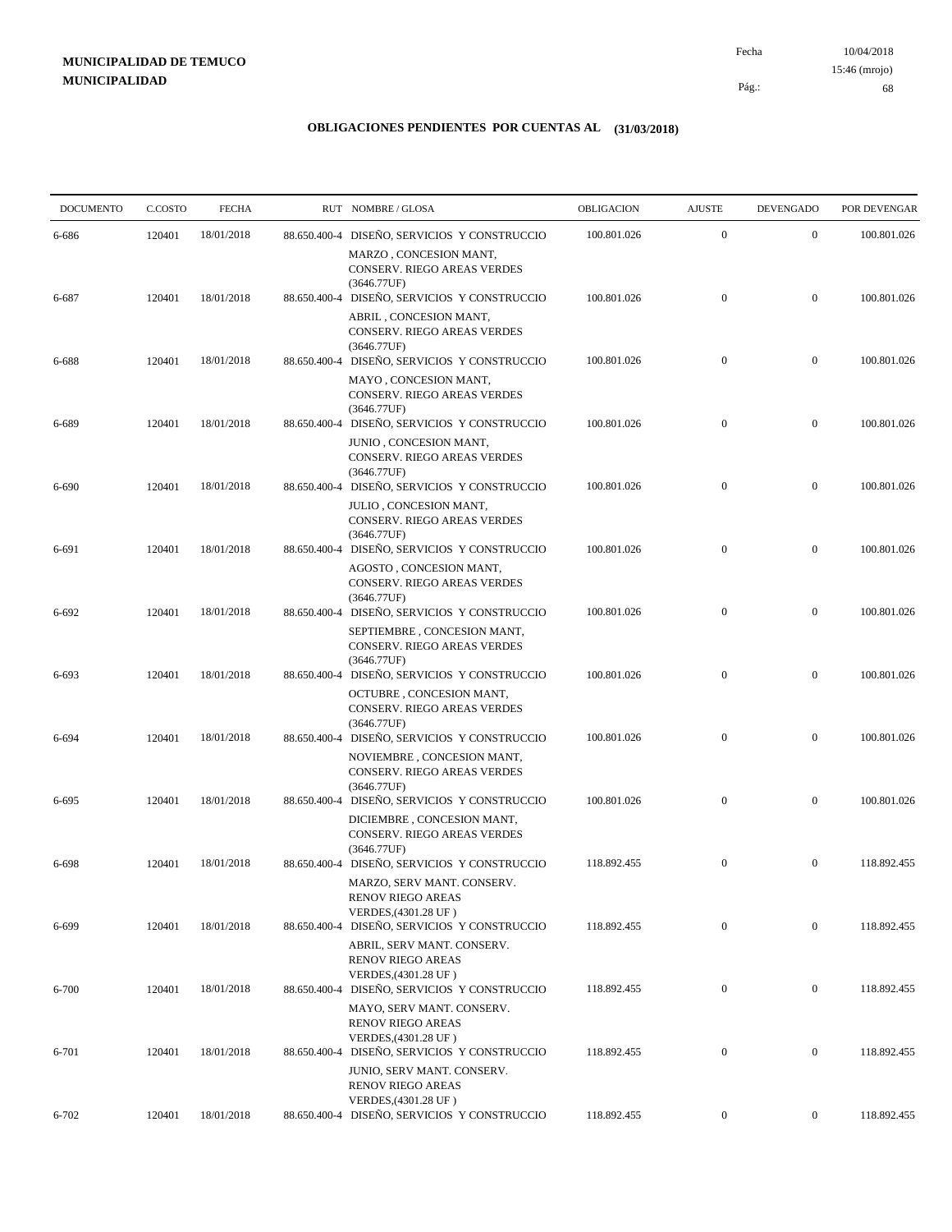10/04/2018 68 Pág.: Fecha 15:46 (mrojo)

| <b>DOCUMENTO</b> | C.COSTO | <b>FECHA</b> |              | RUT NOMBRE/GLOSA                                                                                                     | OBLIGACION  | <b>AJUSTE</b>    | <b>DEVENGADO</b> | POR DEVENGAR |
|------------------|---------|--------------|--------------|----------------------------------------------------------------------------------------------------------------------|-------------|------------------|------------------|--------------|
| 6-686            | 120401  | 18/01/2018   |              | 88.650.400-4 DISEÑO, SERVICIOS Y CONSTRUCCIO                                                                         | 100.801.026 | $\boldsymbol{0}$ | $\mathbf{0}$     | 100.801.026  |
|                  |         |              |              | MARZO, CONCESION MANT,<br>CONSERV. RIEGO AREAS VERDES                                                                |             |                  |                  |              |
| 6-687            | 120401  | 18/01/2018   | 88.650.400-4 | (3646.77UF)<br>DISEÑO, SERVICIOS Y CONSTRUCCIO                                                                       | 100.801.026 | $\boldsymbol{0}$ | $\boldsymbol{0}$ | 100.801.026  |
|                  |         |              |              | ABRIL, CONCESION MANT,<br><b>CONSERV. RIEGO AREAS VERDES</b><br>(3646.77UF)                                          |             |                  |                  |              |
| 6-688            | 120401  | 18/01/2018   |              | 88.650.400-4 DISEÑO, SERVICIOS Y CONSTRUCCIO                                                                         | 100.801.026 | $\mathbf{0}$     | $\mathbf{0}$     | 100.801.026  |
|                  |         |              |              | MAYO, CONCESION MANT,<br>CONSERV. RIEGO AREAS VERDES<br>(3646.77UF)                                                  |             |                  |                  |              |
| 6-689            | 120401  | 18/01/2018   | 88.650.400-4 | DISEÑO, SERVICIOS Y CONSTRUCCIO                                                                                      | 100.801.026 | $\mathbf{0}$     | $\mathbf{0}$     | 100.801.026  |
| 6-690            | 120401  | 18/01/2018   |              | JUNIO, CONCESION MANT,<br>CONSERV. RIEGO AREAS VERDES<br>(3646.77UF)<br>88.650.400-4 DISEÑO, SERVICIOS Y CONSTRUCCIO | 100.801.026 | $\mathbf{0}$     | $\boldsymbol{0}$ | 100.801.026  |
|                  |         |              |              | JULIO, CONCESION MANT,<br>CONSERV. RIEGO AREAS VERDES<br>(3646.77UF)                                                 |             |                  |                  |              |
| 6-691            | 120401  | 18/01/2018   | 88.650.400-4 | DISEÑO, SERVICIOS Y CONSTRUCCIO                                                                                      | 100.801.026 | $\boldsymbol{0}$ | $\overline{0}$   | 100.801.026  |
|                  |         |              |              | AGOSTO, CONCESION MANT,<br>CONSERV. RIEGO AREAS VERDES<br>(3646.77UF)                                                |             |                  |                  |              |
| 6-692            | 120401  | 18/01/2018   |              | 88.650.400-4 DISEÑO, SERVICIOS Y CONSTRUCCIO                                                                         | 100.801.026 | $\mathbf{0}$     | $\boldsymbol{0}$ | 100.801.026  |
|                  |         |              |              | SEPTIEMBRE, CONCESION MANT,<br>CONSERV. RIEGO AREAS VERDES<br>(3646.77UF)                                            |             |                  |                  |              |
| 6-693            | 120401  | 18/01/2018   |              | 88.650.400-4 DISEÑO, SERVICIOS Y CONSTRUCCIO<br>OCTUBRE, CONCESION MANT,                                             | 100.801.026 | $\mathbf{0}$     | $\mathbf{0}$     | 100.801.026  |
| 6-694            | 120401  | 18/01/2018   |              | CONSERV. RIEGO AREAS VERDES<br>(3646.77UF)<br>88.650.400-4 DISEÑO, SERVICIOS Y CONSTRUCCIO                           | 100.801.026 | $\boldsymbol{0}$ | $\boldsymbol{0}$ | 100.801.026  |
|                  |         |              |              | NOVIEMBRE, CONCESION MANT,<br>CONSERV. RIEGO AREAS VERDES                                                            |             |                  |                  |              |
| 6-695            | 120401  | 18/01/2018   |              | (3646.77UF)<br>88.650.400-4 DISEÑO, SERVICIOS Y CONSTRUCCIO                                                          | 100.801.026 | $\boldsymbol{0}$ | $\boldsymbol{0}$ | 100.801.026  |
|                  |         |              |              | DICIEMBRE, CONCESION MANT,<br>CONSERV. RIEGO AREAS VERDES<br>(3646.77UF)                                             |             |                  |                  |              |
| 6-698            | 120401  | 18/01/2018   | 88.650.400-4 | DISEÑO, SERVICIOS Y CONSTRUCCIO                                                                                      | 118.892.455 | $\mathbf{0}$     | $\boldsymbol{0}$ | 118.892.455  |
|                  |         |              |              | MARZO, SERV MANT. CONSERV.<br><b>RENOV RIEGO AREAS</b><br>VERDES, (4301.28 UF)                                       |             |                  |                  |              |
| 6-699            | 120401  | 18/01/2018   | 88.650.400-4 | DISEÑO, SERVICIOS Y CONSTRUCCIO<br>ABRIL, SERV MANT. CONSERV.                                                        | 118.892.455 | $\mathbf{0}$     | $\boldsymbol{0}$ | 118.892.455  |
| 6-700            | 120401  | 18/01/2018   | 88.650.400-4 | <b>RENOV RIEGO AREAS</b><br>VERDES, (4301.28 UF)<br>DISEÑO, SERVICIOS Y CONSTRUCCIO                                  | 118.892.455 | $\mathbf{0}$     | $\boldsymbol{0}$ | 118.892.455  |
|                  |         |              |              | MAYO, SERV MANT. CONSERV.<br><b>RENOV RIEGO AREAS</b><br>VERDES, (4301.28 UF)                                        |             |                  |                  |              |
| 6-701            | 120401  | 18/01/2018   |              | 88.650.400-4 DISEÑO, SERVICIOS Y CONSTRUCCIO                                                                         | 118.892.455 | $\mathbf{0}$     | $\boldsymbol{0}$ | 118.892.455  |
|                  |         |              |              | JUNIO, SERV MANT. CONSERV.<br><b>RENOV RIEGO AREAS</b><br>VERDES, (4301.28 UF)                                       |             |                  |                  |              |
| 6-702            | 120401  | 18/01/2018   |              | 88.650.400-4 DISEÑO, SERVICIOS Y CONSTRUCCIO                                                                         | 118.892.455 | $\overline{0}$   | $\overline{0}$   | 118.892.455  |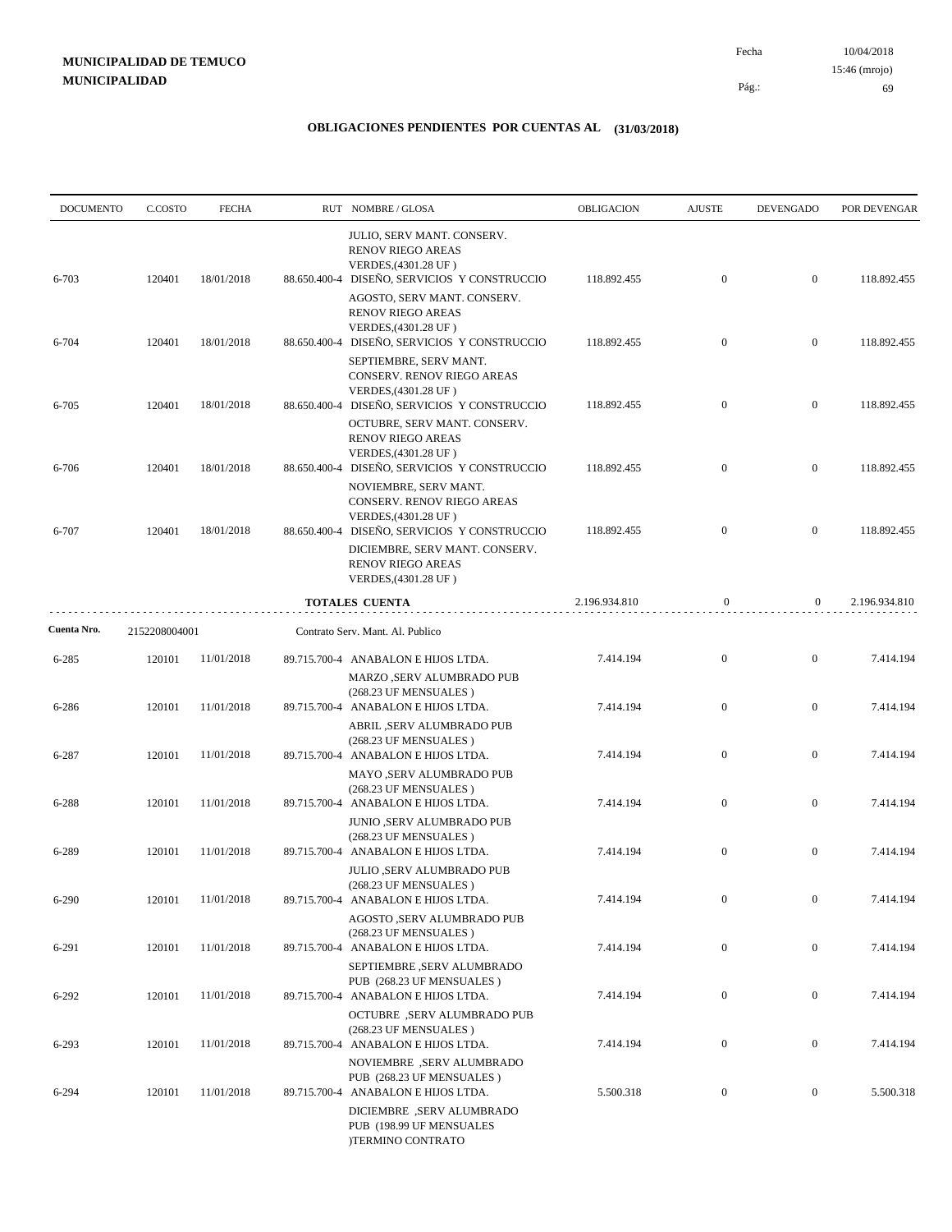| <b>DOCUMENTO</b> | C.COSTO       | <b>FECHA</b> |              | RUT NOMBRE/GLOSA                                                                                                                               | OBLIGACION    | <b>AJUSTE</b>    | <b>DEVENGADO</b> | POR DEVENGAR  |
|------------------|---------------|--------------|--------------|------------------------------------------------------------------------------------------------------------------------------------------------|---------------|------------------|------------------|---------------|
| 6-703            | 120401        | 18/01/2018   | 88.650.400-4 | JULIO, SERV MANT. CONSERV.<br><b>RENOV RIEGO AREAS</b><br>VERDES, (4301.28 UF)<br>DISEÑO, SERVICIOS Y CONSTRUCCIO                              | 118.892.455   | $\mathbf{0}$     | $\boldsymbol{0}$ | 118.892.455   |
|                  |               |              |              | AGOSTO, SERV MANT. CONSERV.<br><b>RENOV RIEGO AREAS</b><br>VERDES, (4301.28 UF)                                                                |               |                  |                  |               |
| 6-704            | 120401        | 18/01/2018   |              | 88.650.400-4 DISEÑO, SERVICIOS Y CONSTRUCCIO<br>SEPTIEMBRE, SERV MANT.<br>CONSERV. RENOV RIEGO AREAS                                           | 118.892.455   | $\mathbf{0}$     | $\boldsymbol{0}$ | 118.892.455   |
| $6 - 705$        | 120401        | 18/01/2018   | 88.650.400-4 | VERDES, (4301.28 UF)<br>DISEÑO, SERVICIOS Y CONSTRUCCIO                                                                                        | 118.892.455   | $\mathbf{0}$     | $\boldsymbol{0}$ | 118.892.455   |
| 6-706            | 120401        | 18/01/2018   |              | OCTUBRE, SERV MANT. CONSERV.<br><b>RENOV RIEGO AREAS</b><br>VERDES, (4301.28 UF)<br>88.650.400-4 DISEÑO, SERVICIOS Y CONSTRUCCIO               | 118.892.455   | $\mathbf{0}$     | $\mathbf{0}$     | 118.892.455   |
|                  |               |              |              | NOVIEMBRE, SERV MANT.<br>CONSERV. RENOV RIEGO AREAS<br>VERDES, (4301.28 UF)                                                                    |               |                  |                  |               |
| 6-707            | 120401        | 18/01/2018   |              | 88.650.400-4 DISEÑO, SERVICIOS Y CONSTRUCCIO<br>DICIEMBRE, SERV MANT. CONSERV.<br><b>RENOV RIEGO AREAS</b>                                     | 118.892.455   | $\overline{0}$   | $\overline{0}$   | 118.892.455   |
|                  |               |              |              | VERDES, (4301.28 UF)                                                                                                                           |               |                  |                  |               |
|                  |               |              |              | <b>TOTALES CUENTA</b>                                                                                                                          | 2.196.934.810 | $\boldsymbol{0}$ | $\overline{0}$   | 2.196.934.810 |
| Cuenta Nro.      | 2152208004001 |              |              | Contrato Serv. Mant. Al. Publico                                                                                                               |               |                  |                  |               |
| $6 - 285$        | 120101        | 11/01/2018   |              | 89.715.700-4 ANABALON E HIJOS LTDA.<br>MARZO ,SERV ALUMBRADO PUB                                                                               | 7.414.194     | $\boldsymbol{0}$ | $\mathbf{0}$     | 7.414.194     |
| 6-286            | 120101        | 11/01/2018   |              | (268.23 UF MENSUALES)<br>89.715.700-4 ANABALON E HIJOS LTDA.<br>ABRIL ,SERV ALUMBRADO PUB                                                      | 7.414.194     | $\mathbf{0}$     | $\mathbf{0}$     | 7.414.194     |
| 6-287            | 120101        | 11/01/2018   |              | (268.23 UF MENSUALES)<br>89.715.700-4 ANABALON E HIJOS LTDA.                                                                                   | 7.414.194     | $\mathbf{0}$     | $\mathbf{0}$     | 7.414.194     |
| 6-288            | 120101        | 11/01/2018   |              | MAYO ,SERV ALUMBRADO PUB<br>(268.23 UF MENSUALES)<br>89.715.700-4 ANABALON E HIJOS LTDA.                                                       | 7.414.194     | $\mathbf{0}$     | $\mathbf{0}$     | 7.414.194     |
| 6-289            | 120101        | 11/01/2018   |              | <b>JUNIO ,SERV ALUMBRADO PUB</b><br>(268.23 UF MENSUALES)<br>89.715.700-4 ANABALON E HIJOS LTDA.                                               | 7.414.194     | $\mathbf{0}$     | $\mathbf{0}$     | 7.414.194     |
| $6 - 290$        | 120101        | 11/01/2018   |              | JULIO ,SERV ALUMBRADO PUB<br>(268.23 UF MENSUALES)<br>89.715.700-4 ANABALON E HIJOS LTDA.                                                      | 7.414.194     | $\boldsymbol{0}$ | $\boldsymbol{0}$ | 7.414.194     |
|                  |               |              |              | AGOSTO ,SERV ALUMBRADO PUB<br>(268.23 UF MENSUALES)                                                                                            |               |                  |                  |               |
| 6-291            | 120101        | 11/01/2018   |              | 89.715.700-4 ANABALON E HIJOS LTDA.<br>SEPTIEMBRE ,SERV ALUMBRADO<br>PUB (268.23 UF MENSUALES)                                                 | 7.414.194     | $\boldsymbol{0}$ | $\boldsymbol{0}$ | 7.414.194     |
| $6 - 292$        | 120101        | 11/01/2018   |              | 89.715.700-4 ANABALON E HIJOS LTDA.<br><b>OCTUBRE</b> , SERV ALUMBRADO PUB                                                                     | 7.414.194     | $\boldsymbol{0}$ | $\boldsymbol{0}$ | 7.414.194     |
| $6 - 293$        | 120101        | 11/01/2018   |              | (268.23 UF MENSUALES)<br>89.715.700-4 ANABALON E HIJOS LTDA.<br>NOVIEMBRE, SERV ALUMBRADO                                                      | 7.414.194     | $\boldsymbol{0}$ | $\boldsymbol{0}$ | 7.414.194     |
| 6-294            | 120101        | 11/01/2018   |              | PUB (268.23 UF MENSUALES)<br>89.715.700-4 ANABALON E HIJOS LTDA.<br>DICIEMBRE, SERV ALUMBRADO<br>PUB (198.99 UF MENSUALES<br>)TERMINO CONTRATO | 5.500.318     | $\boldsymbol{0}$ | $\boldsymbol{0}$ | 5.500.318     |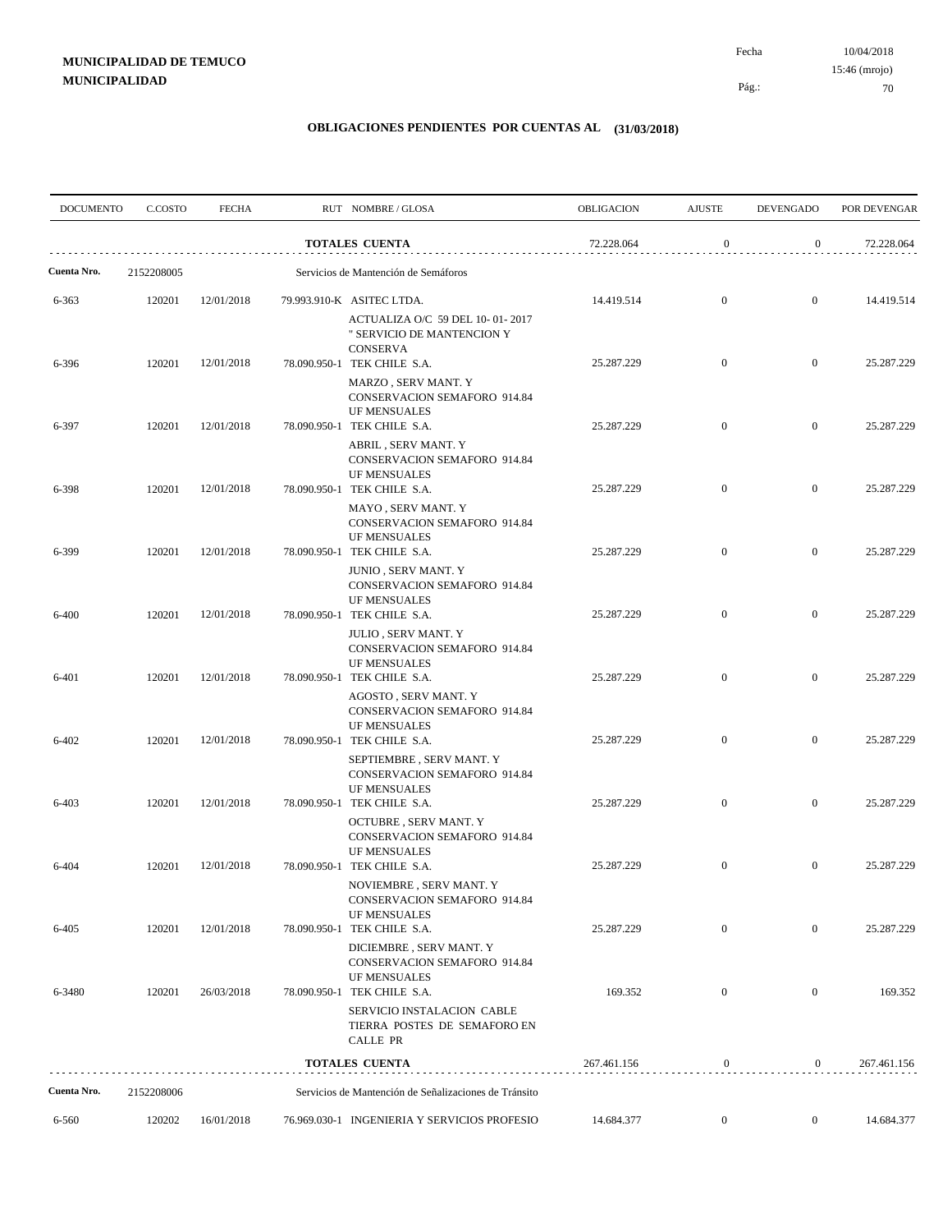| <b>DOCUMENTO</b>     | C.COSTO              | <b>FECHA</b> | RUT NOMBRE/GLOSA                                                                                                        | <b>OBLIGACION</b> | <b>AJUSTE</b>    | <b>DEVENGADO</b> | POR DEVENGAR |
|----------------------|----------------------|--------------|-------------------------------------------------------------------------------------------------------------------------|-------------------|------------------|------------------|--------------|
|                      |                      |              | <b>TOTALES CUENTA</b>                                                                                                   | 72.228.064        | $\boldsymbol{0}$ | $\overline{0}$   | 72.228.064   |
| Cuenta Nro.          | 2152208005           |              | Servicios de Mantención de Semáforos                                                                                    |                   |                  |                  |              |
| 6-363                | 120201               | 12/01/2018   | 79.993.910-K ASITEC LTDA.<br>ACTUALIZA O/C 59 DEL 10-01-2017                                                            | 14.419.514        | $\mathbf{0}$     | $\overline{0}$   | 14.419.514   |
| 6-396                | 120201               | 12/01/2018   | " SERVICIO DE MANTENCION Y<br><b>CONSERVA</b><br>78.090.950-1 TEK CHILE S.A.                                            | 25.287.229        | $\overline{0}$   | $\overline{0}$   | 25.287.229   |
|                      |                      |              | MARZO, SERV MANT. Y<br><b>CONSERVACION SEMAFORO 914.84</b><br><b>UF MENSUALES</b>                                       |                   |                  |                  |              |
| 6-397                | 120201               | 12/01/2018   | 78.090.950-1 TEK CHILE S.A.<br>ABRIL, SERV MANT. Y<br>CONSERVACION SEMAFORO 914.84<br>UF MENSUALES                      | 25.287.229        | $\overline{0}$   | $\overline{0}$   | 25.287.229   |
| 6-398                | 120201               | 12/01/2018   | 78.090.950-1 TEK CHILE S.A.<br>MAYO, SERV MANT. Y<br><b>CONSERVACION SEMAFORO 914.84</b>                                | 25.287.229        | $\overline{0}$   | $\overline{0}$   | 25.287.229   |
| 6-399                | 120201               | 12/01/2018   | <b>UF MENSUALES</b><br>78.090.950-1 TEK CHILE S.A.<br><b>JUNIO, SERV MANT. Y</b><br><b>CONSERVACION SEMAFORO 914.84</b> | 25.287.229        | $\mathbf{0}$     | $\overline{0}$   | 25.287.229   |
| 6-400                | 120201               | 12/01/2018   | <b>UF MENSUALES</b><br>78.090.950-1 TEK CHILE S.A.<br><b>JULIO, SERV MANT. Y</b><br><b>CONSERVACION SEMAFORO 914.84</b> | 25.287.229        | $\overline{0}$   | $\overline{0}$   | 25.287.229   |
| 6-401                | 120201               | 12/01/2018   | <b>UF MENSUALES</b><br>78.090.950-1 TEK CHILE S.A.<br>AGOSTO, SERV MANT. Y<br>CONSERVACION SEMAFORO 914.84              | 25.287.229        | $\overline{0}$   | $\overline{0}$   | 25.287.229   |
| 6-402                | 120201               | 12/01/2018   | <b>UF MENSUALES</b><br>78.090.950-1 TEK CHILE S.A.<br>SEPTIEMBRE, SERV MANT. Y<br>CONSERVACION SEMAFORO 914.84          | 25.287.229        | $\mathbf{0}$     | $\overline{0}$   | 25.287.229   |
| 6-403                | 120201               | 12/01/2018   | <b>UF MENSUALES</b><br>78.090.950-1 TEK CHILE S.A.<br>OCTUBRE, SERV MANT. Y<br><b>CONSERVACION SEMAFORO 914.84</b>      | 25.287.229        | $\mathbf{0}$     | $\overline{0}$   | 25.287.229   |
| 6-404                | 120201               | 12/01/2018   | <b>UF MENSUALES</b><br>78.090.950-1 TEK CHILE S.A.<br>NOVIEMBRE, SERV MANT. Y                                           | 25.287.229        | $\mathbf{0}$     | $\overline{0}$   | 25.287.229   |
| 6-405                | 120201               | 12/01/2018   | <b>CONSERVACION SEMAFORO 914.84</b><br><b>UF MENSUALES</b><br>78.090.950-1 TEK CHILE S.A.<br>DICIEMBRE, SERV MANT. Y    | 25.287.229        | $\mathbf{0}$     | $\mathbf{0}$     | 25.287.229   |
| 6-3480               | 120201               | 26/03/2018   | CONSERVACION SEMAFORO 914.84<br>UF MENSUALES<br>78.090.950-1 TEK CHILE S.A.<br>SERVICIO INSTALACION CABLE               | 169.352           | $\boldsymbol{0}$ | $\mathbf{0}$     | 169.352      |
|                      |                      |              | TIERRA POSTES DE SEMAFORO EN<br>CALLE PR                                                                                |                   |                  |                  |              |
|                      |                      |              | <b>TOTALES CUENTA</b>                                                                                                   | 267.461.156       | $\bf{0}$         | $\mathbf{0}$     | 267.461.156  |
| Cuenta Nro.<br>6-560 | 2152208006<br>120202 | 16/01/2018   | Servicios de Mantención de Señalizaciones de Tránsito<br>76.969.030-1 INGENIERIA Y SERVICIOS PROFESIO                   | 14.684.377        | $\mathbf{0}$     | $\bf{0}$         | 14.684.377   |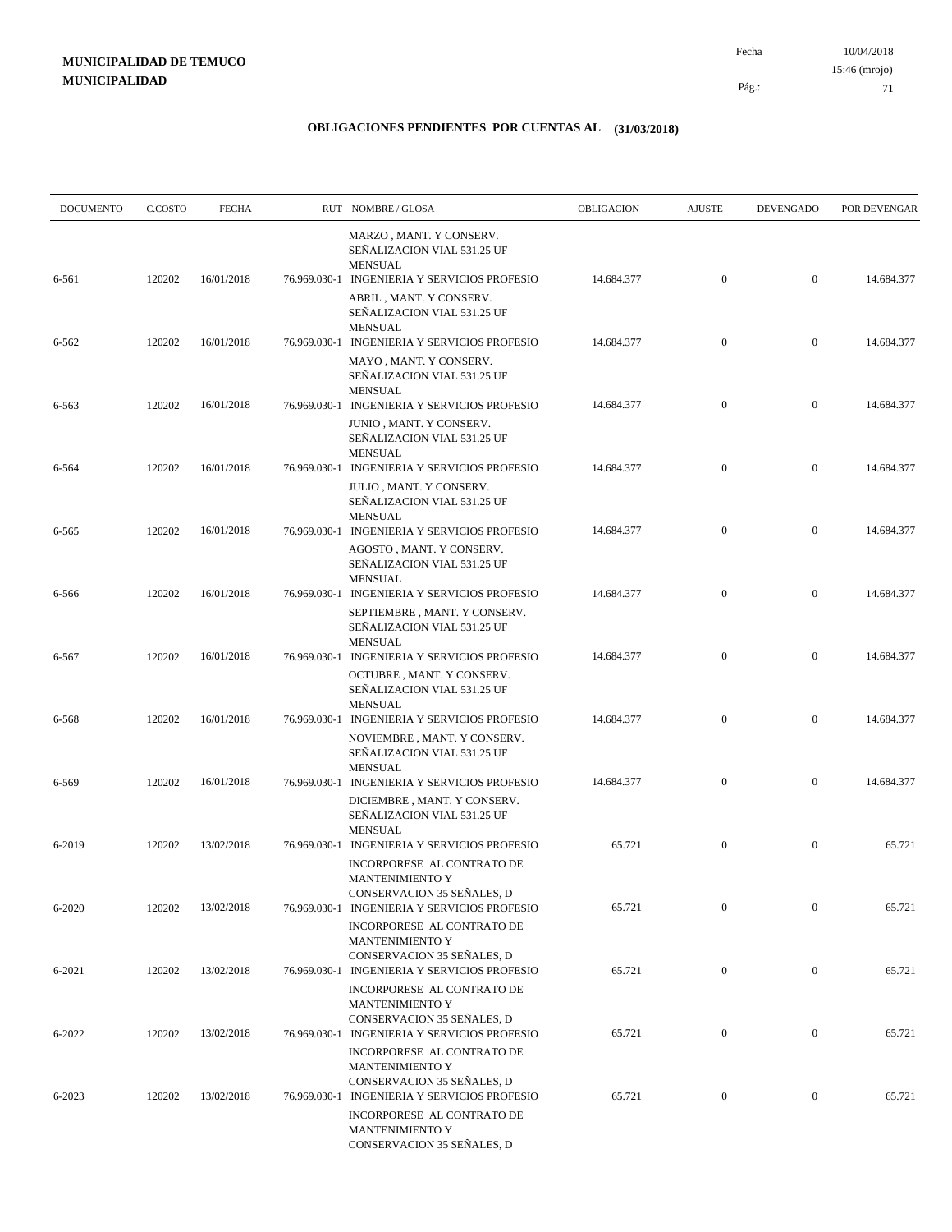| <b>DOCUMENTO</b> | C.COSTO | <b>FECHA</b> |              | RUT NOMBRE/GLOSA                                                                                                              | <b>OBLIGACION</b> | <b>AJUSTE</b>    | <b>DEVENGADO</b> | POR DEVENGAR |
|------------------|---------|--------------|--------------|-------------------------------------------------------------------------------------------------------------------------------|-------------------|------------------|------------------|--------------|
| 6-561            | 120202  | 16/01/2018   |              | MARZO, MANT. Y CONSERV.<br>SEÑALIZACION VIAL 531.25 UF<br><b>MENSUAL</b><br>76.969.030-1 INGENIERIA Y SERVICIOS PROFESIO      | 14.684.377        | $\boldsymbol{0}$ | $\mathbf{0}$     | 14.684.377   |
|                  |         |              |              | ABRIL, MANT. Y CONSERV.<br>SEÑALIZACION VIAL 531.25 UF<br><b>MENSUAL</b>                                                      |                   |                  |                  |              |
| 6-562            | 120202  | 16/01/2018   |              | 76.969.030-1 INGENIERIA Y SERVICIOS PROFESIO<br>MAYO, MANT. Y CONSERV.<br>SEÑALIZACION VIAL 531.25 UF<br><b>MENSUAL</b>       | 14.684.377        | $\mathbf{0}$     | $\mathbf{0}$     | 14.684.377   |
| 6-563            | 120202  | 16/01/2018   |              | 76.969.030-1 INGENIERIA Y SERVICIOS PROFESIO<br>JUNIO, MANT. Y CONSERV.<br>SEÑALIZACION VIAL 531.25 UF<br><b>MENSUAL</b>      | 14.684.377        | $\mathbf{0}$     | $\mathbf{0}$     | 14.684.377   |
| 6-564            | 120202  | 16/01/2018   |              | 76.969.030-1 INGENIERIA Y SERVICIOS PROFESIO<br>JULIO, MANT. Y CONSERV.<br>SEÑALIZACION VIAL 531.25 UF                        | 14.684.377        | $\mathbf{0}$     | $\boldsymbol{0}$ | 14.684.377   |
| 6-565            | 120202  | 16/01/2018   |              | <b>MENSUAL</b><br>76.969.030-1 INGENIERIA Y SERVICIOS PROFESIO<br>AGOSTO, MANT. Y CONSERV.                                    | 14.684.377        | $\boldsymbol{0}$ | $\mathbf{0}$     | 14.684.377   |
| 6-566            | 120202  | 16/01/2018   |              | SEÑALIZACION VIAL 531.25 UF<br><b>MENSUAL</b><br>76.969.030-1 INGENIERIA Y SERVICIOS PROFESIO                                 | 14.684.377        | $\mathbf{0}$     | $\mathbf{0}$     | 14.684.377   |
| 6-567            | 120202  | 16/01/2018   |              | SEPTIEMBRE, MANT. Y CONSERV.<br>SEÑALIZACION VIAL 531.25 UF<br><b>MENSUAL</b><br>76.969.030-1 INGENIERIA Y SERVICIOS PROFESIO | 14.684.377        | $\mathbf{0}$     | $\boldsymbol{0}$ | 14.684.377   |
|                  |         |              |              | OCTUBRE, MANT. Y CONSERV.<br>SEÑALIZACION VIAL 531.25 UF<br><b>MENSUAL</b>                                                    |                   |                  |                  |              |
| 6-568            | 120202  | 16/01/2018   |              | 76.969.030-1 INGENIERIA Y SERVICIOS PROFESIO<br>NOVIEMBRE, MANT. Y CONSERV.<br>SEÑALIZACION VIAL 531.25 UF                    | 14.684.377        | $\boldsymbol{0}$ | $\mathbf{0}$     | 14.684.377   |
| 6-569            | 120202  | 16/01/2018   |              | <b>MENSUAL</b><br>76.969.030-1 INGENIERIA Y SERVICIOS PROFESIO<br>DICIEMBRE, MANT. Y CONSERV.<br>SEÑALIZACION VIAL 531.25 UF  | 14.684.377        | $\mathbf{0}$     | $\mathbf{0}$     | 14.684.377   |
| 6-2019           | 120202  | 13/02/2018   | 76.969.030-1 | <b>MENSUAL</b><br>INGENIERIA Y SERVICIOS PROFESIO<br>INCORPORESE AL CONTRATO DE                                               | 65.721            | $\boldsymbol{0}$ | $\mathbf{0}$     | 65.721       |
| 6-2020           | 120202  | 13/02/2018   |              | <b>MANTENIMIENTO Y</b><br>CONSERVACION 35 SEÑALES, D<br>76.969.030-1 INGENIERIA Y SERVICIOS PROFESIO                          | 65.721            | $\boldsymbol{0}$ | $\boldsymbol{0}$ | 65.721       |
| 6-2021           | 120202  | 13/02/2018   |              | INCORPORESE AL CONTRATO DE<br>MANTENIMIENTO Y<br>CONSERVACION 35 SEÑALES, D<br>76.969.030-1 INGENIERIA Y SERVICIOS PROFESIO   | 65.721            | $\boldsymbol{0}$ | $\boldsymbol{0}$ | 65.721       |
|                  |         |              |              | INCORPORESE AL CONTRATO DE<br><b>MANTENIMIENTO Y</b><br>CONSERVACION 35 SEÑALES, D                                            |                   |                  |                  |              |
| 6-2022           | 120202  | 13/02/2018   |              | 76.969.030-1 INGENIERIA Y SERVICIOS PROFESIO<br>INCORPORESE AL CONTRATO DE<br>MANTENIMIENTO Y                                 | 65.721            | $\boldsymbol{0}$ | $\boldsymbol{0}$ | 65.721       |
| 6-2023           | 120202  | 13/02/2018   |              | CONSERVACION 35 SEÑALES, D<br>76.969.030-1 INGENIERIA Y SERVICIOS PROFESIO<br>INCORPORESE AL CONTRATO DE                      | 65.721            | $\mathbf{0}$     | $\boldsymbol{0}$ | 65.721       |
|                  |         |              |              | MANTENIMIENTO Y<br>CONSERVACION 35 SEÑALES, D                                                                                 |                   |                  |                  |              |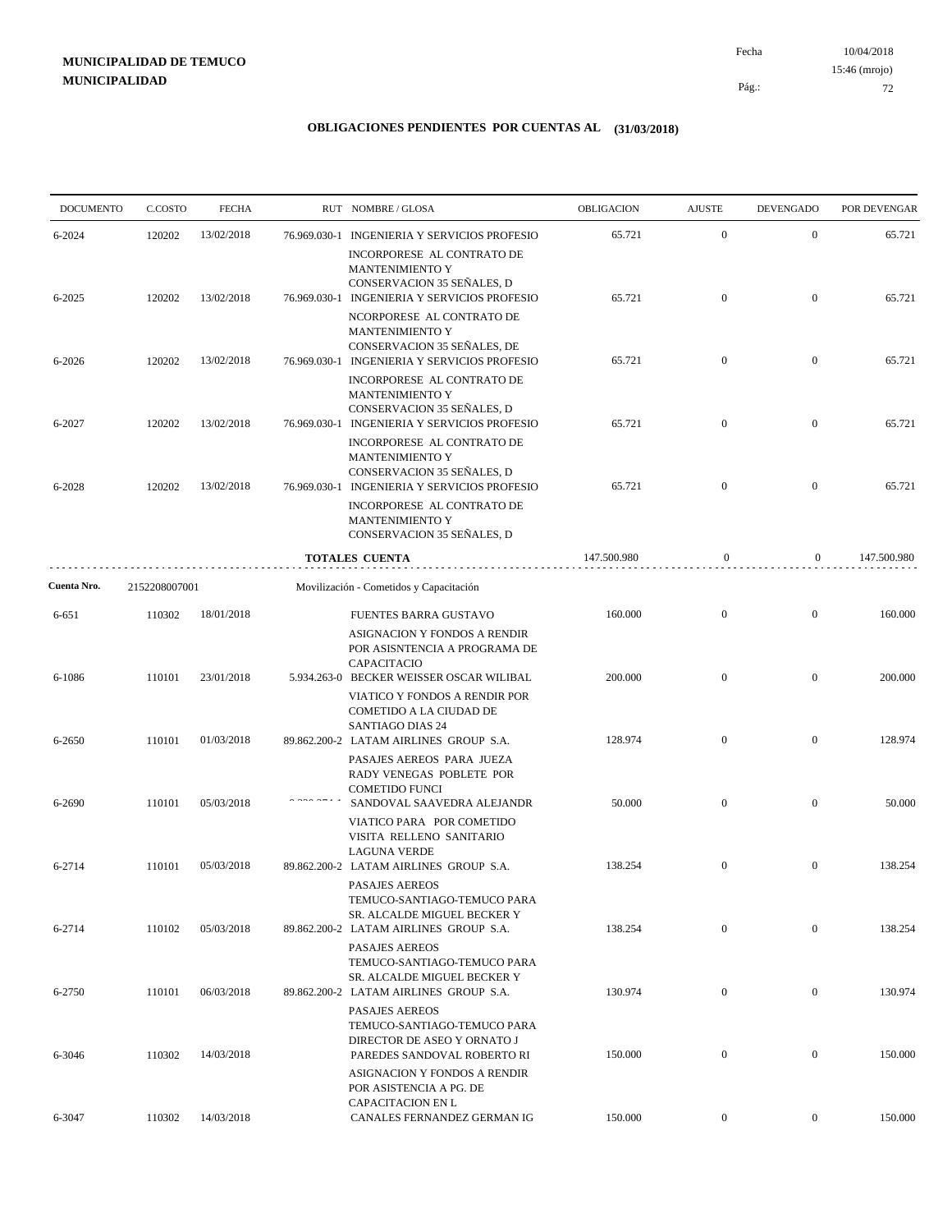10/04/2018 72 Pág.: Fecha 15:46 (mrojo)

| <b>DOCUMENTO</b> | C.COSTO       | <b>FECHA</b> | RUT NOMBRE/GLOSA                                                                                                                   | OBLIGACION  | <b>AJUSTE</b>    | <b>DEVENGADO</b> | POR DEVENGAR |
|------------------|---------------|--------------|------------------------------------------------------------------------------------------------------------------------------------|-------------|------------------|------------------|--------------|
| 6-2024           | 120202        | 13/02/2018   | 76.969.030-1 INGENIERIA Y SERVICIOS PROFESIO                                                                                       | 65.721      | $\mathbf{0}$     | $\mathbf{0}$     | 65.721       |
| 6-2025           | 120202        | 13/02/2018   | INCORPORESE AL CONTRATO DE<br>MANTENIMIENTO Y<br>CONSERVACION 35 SEÑALES, D<br>76.969.030-1 INGENIERIA Y SERVICIOS PROFESIO        | 65.721      | $\mathbf{0}$     | $\overline{0}$   | 65.721       |
|                  |               |              | NCORPORESE AL CONTRATO DE<br>MANTENIMIENTO Y<br>CONSERVACION 35 SEÑALES, DE                                                        |             |                  |                  |              |
| 6-2026           | 120202        | 13/02/2018   | 76.969.030-1 INGENIERIA Y SERVICIOS PROFESIO<br>INCORPORESE AL CONTRATO DE<br>MANTENIMIENTO Y                                      | 65.721      | $\mathbf{0}$     | $\overline{0}$   | 65.721       |
| 6-2027           | 120202        | 13/02/2018   | CONSERVACION 35 SEÑALES, D<br>76.969.030-1 INGENIERIA Y SERVICIOS PROFESIO                                                         | 65.721      | $\overline{0}$   | $\overline{0}$   | 65.721       |
| 6-2028           | 120202        | 13/02/2018   | INCORPORESE AL CONTRATO DE<br><b>MANTENIMIENTO Y</b><br>CONSERVACION 35 SEÑALES, D<br>76.969.030-1 INGENIERIA Y SERVICIOS PROFESIO | 65.721      | $\mathbf{0}$     | $\overline{0}$   | 65.721       |
|                  |               |              | INCORPORESE AL CONTRATO DE<br><b>MANTENIMIENTO Y</b><br>CONSERVACION 35 SEÑALES, D                                                 |             |                  |                  |              |
|                  |               |              | <b>TOTALES CUENTA</b>                                                                                                              | 147.500.980 | $\mathbf{0}$     | $\mathbf{0}$     | 147.500.980  |
| Cuenta Nro.      | 2152208007001 |              | Movilización - Cometidos y Capacitación                                                                                            |             |                  |                  |              |
| 6-651            | 110302        | 18/01/2018   | FUENTES BARRA GUSTAVO<br><b>ASIGNACION Y FONDOS A RENDIR</b>                                                                       | 160.000     | $\mathbf{0}$     | $\overline{0}$   | 160.000      |
| 6-1086           | 110101        | 23/01/2018   | POR ASISNTENCIA A PROGRAMA DE<br>CAPACITACIO<br>5.934.263-0 BECKER WEISSER OSCAR WILIBAL                                           | 200.000     | $\mathbf{0}$     | $\boldsymbol{0}$ | 200.000      |
|                  |               |              | VIATICO Y FONDOS A RENDIR POR<br>COMETIDO A LA CIUDAD DE<br><b>SANTIAGO DIAS 24</b>                                                |             |                  |                  |              |
| 6-2650           | 110101        | 01/03/2018   | 89.862.200-2 LATAM AIRLINES GROUP S.A.<br>PASAJES AEREOS PARA JUEZA<br>RADY VENEGAS POBLETE POR                                    | 128.974     | $\mathbf{0}$     | $\overline{0}$   | 128.974      |
| 6-2690           | 110101        | 05/03/2018   | <b>COMETIDO FUNCI</b><br>SANDOVAL SAAVEDRA ALEJANDR<br>VIATICO PARA POR COMETIDO                                                   | 50.000      | $\overline{0}$   | $\overline{0}$   | 50.000       |
| 6-2714           | 110101        | 05/03/2018   | VISITA RELLENO SANITARIO<br><b>LAGUNA VERDE</b><br>89.862.200-2 LATAM AIRLINES GROUP S.A.                                          | 138.254     | $\mathbf{0}$     | $\mathbf{0}$     | 138.254      |
|                  |               |              | <b>PASAJES AEREOS</b><br>TEMUCO-SANTIAGO-TEMUCO PARA<br>SR. ALCALDE MIGUEL BECKER Y                                                |             |                  |                  |              |
| 6-2714           | 110102        | 05/03/2018   | 89.862.200-2 LATAM AIRLINES GROUP S.A.<br>PASAJES AEREOS                                                                           | 138.254     | $\mathbf{0}$     | $\mathbf{0}$     | 138.254      |
| 6-2750           | 110101        | 06/03/2018   | TEMUCO-SANTIAGO-TEMUCO PARA<br>SR. ALCALDE MIGUEL BECKER Y<br>89.862.200-2 LATAM AIRLINES GROUP S.A.                               | 130.974     | $\mathbf{0}$     | $\mathbf{0}$     | 130.974      |
| 6-3046           | 110302        | 14/03/2018   | PASAJES AEREOS<br>TEMUCO-SANTIAGO-TEMUCO PARA<br>DIRECTOR DE ASEO Y ORNATO J<br>PAREDES SANDOVAL ROBERTO RI                        | 150.000     | $\boldsymbol{0}$ | $\mathbf{0}$     | 150.000      |
|                  |               |              | ASIGNACION Y FONDOS A RENDIR<br>POR ASISTENCIA A PG. DE<br>CAPACITACION EN L                                                       |             |                  |                  |              |
| 6-3047           | 110302        | 14/03/2018   | CANALES FERNANDEZ GERMAN IG                                                                                                        | 150.000     | $\overline{0}$   | $\overline{0}$   | 150.000      |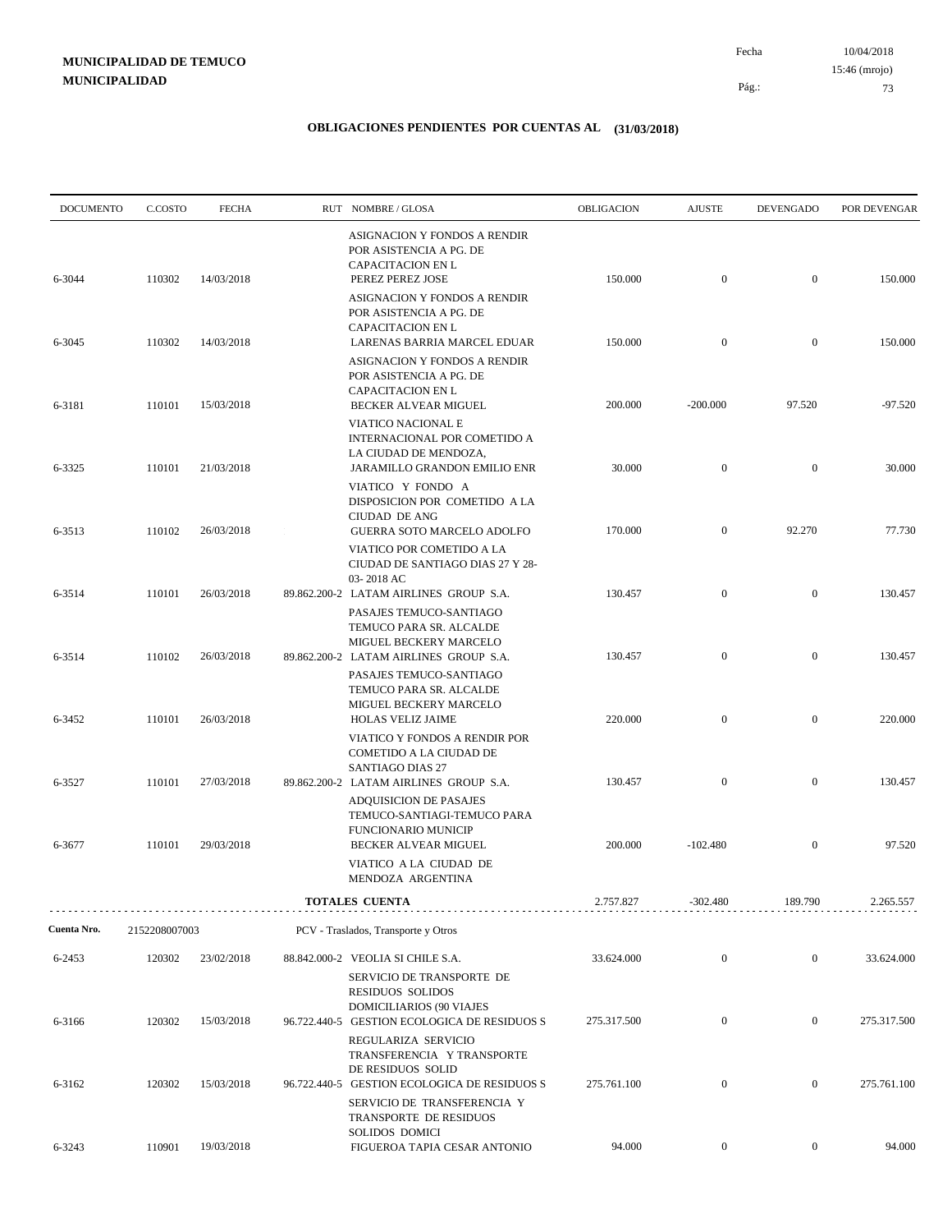| <b>DOCUMENTO</b> | C.COSTO       | <b>FECHA</b> | RUT NOMBRE/GLOSA                                                                                                                       | OBLIGACION  | <b>AJUSTE</b>    | <b>DEVENGADO</b> | POR DEVENGAR |
|------------------|---------------|--------------|----------------------------------------------------------------------------------------------------------------------------------------|-------------|------------------|------------------|--------------|
| 6-3044           | 110302        | 14/03/2018   | ASIGNACION Y FONDOS A RENDIR<br>POR ASISTENCIA A PG. DE<br>CAPACITACION EN L<br>PEREZ PEREZ JOSE                                       | 150.000     | $\mathbf{0}$     | $\overline{0}$   | 150.000      |
|                  |               |              | ASIGNACION Y FONDOS A RENDIR<br>POR ASISTENCIA A PG. DE<br><b>CAPACITACION EN L</b>                                                    |             |                  |                  |              |
| 6-3045           | 110302        | 14/03/2018   | LARENAS BARRIA MARCEL EDUAR<br>ASIGNACION Y FONDOS A RENDIR<br>POR ASISTENCIA A PG. DE                                                 | 150.000     | $\mathbf{0}$     | $\overline{0}$   | 150.000      |
| 6-3181           | 110101        | 15/03/2018   | <b>CAPACITACION EN L</b><br><b>BECKER ALVEAR MIGUEL</b><br>VIATICO NACIONAL E<br>INTERNACIONAL POR COMETIDO A<br>LA CIUDAD DE MENDOZA, | 200.000     | $-200.000$       | 97.520           | $-97.520$    |
| 6-3325           | 110101        | 21/03/2018   | JARAMILLO GRANDON EMILIO ENR<br>VIATICO Y FONDO A<br>DISPOSICION POR COMETIDO A LA                                                     | 30.000      | $\mathbf{0}$     | $\overline{0}$   | 30.000       |
| 6-3513           | 110102        | 26/03/2018   | CIUDAD DE ANG<br>GUERRA SOTO MARCELO ADOLFO<br>VIATICO POR COMETIDO A LA                                                               | 170.000     | $\mathbf{0}$     | 92.270           | 77.730       |
| 6-3514           | 110101        | 26/03/2018   | CIUDAD DE SANTIAGO DIAS 27 Y 28-<br>03-2018 AC<br>89.862.200-2 LATAM AIRLINES GROUP S.A.                                               | 130.457     | $\mathbf{0}$     | $\mathbf{0}$     | 130.457      |
| 6-3514           | 110102        | 26/03/2018   | PASAJES TEMUCO-SANTIAGO<br>TEMUCO PARA SR. ALCALDE<br>MIGUEL BECKERY MARCELO<br>89.862.200-2 LATAM AIRLINES GROUP S.A.                 | 130.457     | $\mathbf{0}$     | $\mathbf{0}$     | 130.457      |
| 6-3452           | 110101        | 26/03/2018   | PASAJES TEMUCO-SANTIAGO<br>TEMUCO PARA SR. ALCALDE<br>MIGUEL BECKERY MARCELO<br><b>HOLAS VELIZ JAIME</b>                               | 220.000     | $\mathbf{0}$     | $\mathbf{0}$     | 220.000      |
|                  |               |              | VIATICO Y FONDOS A RENDIR POR<br>COMETIDO A LA CIUDAD DE<br>SANTIAGO DIAS 27                                                           |             |                  |                  |              |
| 6-3527           | 110101        | 27/03/2018   | 89.862.200-2 LATAM AIRLINES GROUP S.A.<br><b>ADQUISICION DE PASAJES</b><br>TEMUCO-SANTIAGI-TEMUCO PARA                                 | 130.457     | $\mathbf{0}$     | $\mathbf{0}$     | 130.457      |
| 6-3677           | 110101        | 29/03/2018   | <b>FUNCIONARIO MUNICIP</b><br>BECKER ALVEAR MIGUEL<br>VIATICO A LA CIUDAD DE<br>MENDOZA ARGENTINA                                      | 200.000     | $-102.480$       | $\mathbf{0}$     | 97.520       |
|                  |               |              | <b>TOTALES CUENTA</b>                                                                                                                  | 2.757.827   | $-302.480$       | 189.790          | 2.265.557    |
| Cuenta Nro.      | 2152208007003 |              | PCV - Traslados, Transporte y Otros                                                                                                    |             |                  |                  |              |
| 6-2453           | 120302        | 23/02/2018   | 88.842.000-2 VEOLIA SI CHILE S.A.<br>SERVICIO DE TRANSPORTE DE                                                                         | 33.624.000  | $\mathbf{0}$     | $\boldsymbol{0}$ | 33.624.000   |
| 6-3166           | 120302        | 15/03/2018   | <b>RESIDUOS SOLIDOS</b><br><b>DOMICILIARIOS (90 VIAJES</b><br>96.722.440-5 GESTION ECOLOGICA DE RESIDUOS S                             | 275.317.500 | $\mathbf{0}$     | $\mathbf{0}$     | 275.317.500  |
|                  |               |              | REGULARIZA SERVICIO<br>TRANSFERENCIA Y TRANSPORTE<br>DE RESIDUOS SOLID                                                                 |             |                  |                  |              |
| 6-3162           | 120302        | 15/03/2018   | 96.722.440-5 GESTION ECOLOGICA DE RESIDUOS S<br>SERVICIO DE TRANSFERENCIA Y<br>TRANSPORTE DE RESIDUOS                                  | 275.761.100 | $\boldsymbol{0}$ | $\boldsymbol{0}$ | 275.761.100  |
| 6-3243           | 110901        | 19/03/2018   | SOLIDOS DOMICI<br>FIGUEROA TAPIA CESAR ANTONIO                                                                                         | 94.000      | $\overline{0}$   | $\overline{0}$   | 94.000       |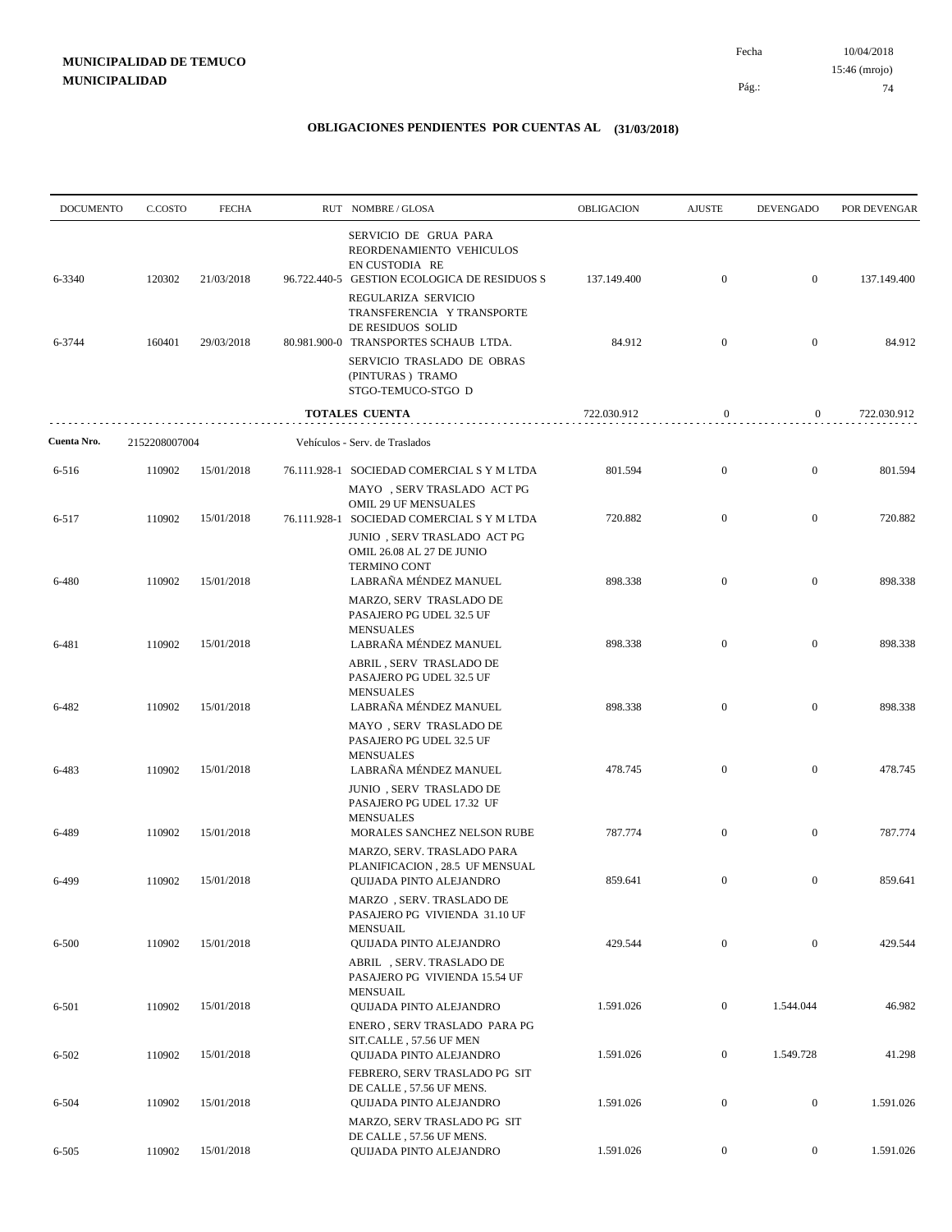| <b>DOCUMENTO</b> | C.COSTO       | <b>FECHA</b> | RUT NOMBRE/GLOSA                                                                                                                              | OBLIGACION  | <b>AJUSTE</b>    | <b>DEVENGADO</b> | POR DEVENGAR |
|------------------|---------------|--------------|-----------------------------------------------------------------------------------------------------------------------------------------------|-------------|------------------|------------------|--------------|
| 6-3340           | 120302        | 21/03/2018   | SERVICIO DE GRUA PARA<br>REORDENAMIENTO VEHICULOS<br>EN CUSTODIA RE<br>96.722.440-5 GESTION ECOLOGICA DE RESIDUOS S                           | 137.149.400 | $\mathbf{0}$     | $\mathbf{0}$     | 137.149.400  |
| 6-3744           | 160401        | 29/03/2018   | REGULARIZA SERVICIO<br>TRANSFERENCIA Y TRANSPORTE<br>DE RESIDUOS SOLID<br>80.981.900-0 TRANSPORTES SCHAUB LTDA.<br>SERVICIO TRASLADO DE OBRAS | 84.912      | $\mathbf{0}$     | $\mathbf{0}$     | 84.912       |
|                  |               |              | (PINTURAS) TRAMO<br>STGO-TEMUCO-STGO D                                                                                                        |             |                  |                  |              |
|                  |               |              | TOTALES CUENTA                                                                                                                                | 722.030.912 | $\mathbf{0}$     | $\mathbf{0}$     | 722.030.912  |
| Cuenta Nro.      | 2152208007004 |              | Vehículos - Serv. de Traslados                                                                                                                |             |                  |                  |              |
| 6-516            | 110902        | 15/01/2018   | 76.111.928-1 SOCIEDAD COMERCIAL S Y M LTDA<br>MAYO, SERV TRASLADO ACT PG                                                                      | 801.594     | $\boldsymbol{0}$ | $\boldsymbol{0}$ | 801.594      |
| 6-517            | 110902        | 15/01/2018   | OMIL 29 UF MENSUALES<br>76.111.928-1 SOCIEDAD COMERCIAL S Y M LTDA<br>JUNIO, SERV TRASLADO ACT PG                                             | 720.882     | $\boldsymbol{0}$ | $\mathbf{0}$     | 720.882      |
| 6-480            | 110902        | 15/01/2018   | OMIL 26.08 AL 27 DE JUNIO<br><b>TERMINO CONT</b><br>LABRAÑA MÉNDEZ MANUEL                                                                     | 898.338     | $\overline{0}$   | $\mathbf{0}$     | 898.338      |
|                  |               |              | MARZO, SERV TRASLADO DE<br>PASAJERO PG UDEL 32.5 UF<br><b>MENSUALES</b>                                                                       |             |                  |                  |              |
| 6-481            | 110902        | 15/01/2018   | LABRAÑA MÉNDEZ MANUEL<br>ABRIL, SERV TRASLADO DE<br>PASAJERO PG UDEL 32.5 UF                                                                  | 898.338     | $\boldsymbol{0}$ | $\mathbf{0}$     | 898.338      |
| 6-482            | 110902        | 15/01/2018   | <b>MENSUALES</b><br>LABRAÑA MÉNDEZ MANUEL<br>MAYO, SERV TRASLADO DE<br>PASAJERO PG UDEL 32.5 UF                                               | 898.338     | $\boldsymbol{0}$ | $\mathbf{0}$     | 898.338      |
| 6-483            | 110902        | 15/01/2018   | <b>MENSUALES</b><br>LABRAÑA MÉNDEZ MANUEL                                                                                                     | 478.745     | $\mathbf{0}$     | $\mathbf{0}$     | 478.745      |
|                  |               |              | JUNIO, SERV TRASLADO DE<br>PASAJERO PG UDEL 17.32 UF<br><b>MENSUALES</b>                                                                      |             |                  |                  |              |
| 6-489            | 110902        | 15/01/2018   | MORALES SANCHEZ NELSON RUBE<br>MARZO, SERV. TRASLADO PARA                                                                                     | 787.774     | $\boldsymbol{0}$ | $\mathbf{0}$     | 787.774      |
| 6-499            | 110902        | 15/01/2018   | PLANIFICACION, 28.5 UF MENSUAL<br><b>OUIJADA PINTO ALEJANDRO</b><br>MARZO, SERV. TRASLADO DE                                                  | 859.641     | $\boldsymbol{0}$ | $\boldsymbol{0}$ | 859.641      |
| 6-500            | 110902        | 15/01/2018   | PASAJERO PG VIVIENDA 31.10 UF<br><b>MENSUAIL</b><br>QUIJADA PINTO ALEJANDRO                                                                   | 429.544     | $\boldsymbol{0}$ | $\mathbf{0}$     | 429.544      |
|                  |               |              | ABRIL, SERV. TRASLADO DE<br>PASAJERO PG VIVIENDA 15.54 UF<br><b>MENSUAIL</b>                                                                  |             |                  |                  |              |
| 6-501            | 110902        | 15/01/2018   | QUIJADA PINTO ALEJANDRO<br>ENERO, SERV TRASLADO PARA PG<br>SIT.CALLE, 57.56 UF MEN                                                            | 1.591.026   | $\overline{0}$   | 1.544.044        | 46.982       |
| 6-502            | 110902        | 15/01/2018   | <b>OUIJADA PINTO ALEJANDRO</b><br>FEBRERO, SERV TRASLADO PG SIT                                                                               | 1.591.026   | $\overline{0}$   | 1.549.728        | 41.298       |
| 6-504            | 110902        | 15/01/2018   | DE CALLE, 57.56 UF MENS.<br>QUIJADA PINTO ALEJANDRO<br>MARZO, SERV TRASLADO PG SIT                                                            | 1.591.026   | $\overline{0}$   | $\boldsymbol{0}$ | 1.591.026    |
| 6-505            | 110902        | 15/01/2018   | DE CALLE, 57.56 UF MENS.<br>QUIJADA PINTO ALEJANDRO                                                                                           | 1.591.026   | $\boldsymbol{0}$ | $\boldsymbol{0}$ | 1.591.026    |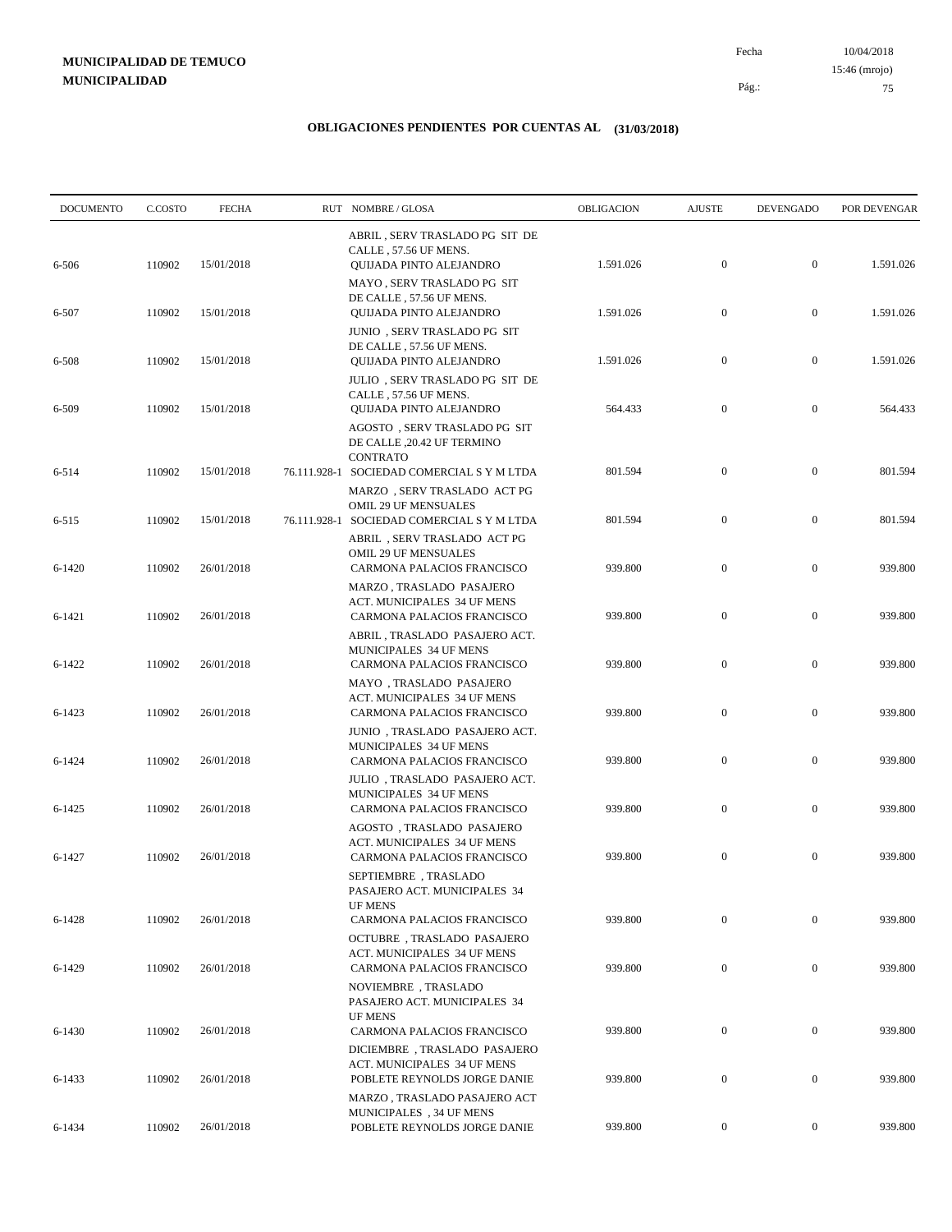10/04/2018 75 Pág.: Fecha 15:46 (mrojo)

| <b>DOCUMENTO</b> | C.COSTO | <b>FECHA</b> | RUT NOMBRE/GLOSA                                                                             | OBLIGACION | <b>AJUSTE</b>    | <b>DEVENGADO</b> | POR DEVENGAR |
|------------------|---------|--------------|----------------------------------------------------------------------------------------------|------------|------------------|------------------|--------------|
| 6-506            | 110902  | 15/01/2018   | ABRIL, SERV TRASLADO PG SIT DE<br>CALLE, 57.56 UF MENS.<br>QUIJADA PINTO ALEJANDRO           | 1.591.026  | $\mathbf{0}$     | $\mathbf{0}$     | 1.591.026    |
| 6-507            | 110902  | 15/01/2018   | MAYO, SERV TRASLADO PG SIT<br>DE CALLE, 57.56 UF MENS.<br>QUIJADA PINTO ALEJANDRO            | 1.591.026  | $\boldsymbol{0}$ | $\mathbf{0}$     | 1.591.026    |
|                  |         |              | JUNIO, SERV TRASLADO PG SIT<br>DE CALLE, 57.56 UF MENS.                                      |            |                  |                  |              |
| 6-508            | 110902  | 15/01/2018   | QUIJADA PINTO ALEJANDRO<br>JULIO, SERV TRASLADO PG SIT DE<br>CALLE, 57.56 UF MENS.           | 1.591.026  | $\boldsymbol{0}$ | $\mathbf{0}$     | 1.591.026    |
| 6-509            | 110902  | 15/01/2018   | QUIJADA PINTO ALEJANDRO<br>AGOSTO, SERV TRASLADO PG SIT<br>DE CALLE , 20.42 UF TERMINO       | 564.433    | $\boldsymbol{0}$ | $\mathbf{0}$     | 564.433      |
| 6-514            | 110902  | 15/01/2018   | <b>CONTRATO</b><br>76.111.928-1 SOCIEDAD COMERCIAL S Y M LTDA<br>MARZO, SERV TRASLADO ACT PG | 801.594    | $\boldsymbol{0}$ | $\mathbf{0}$     | 801.594      |
| $6 - 515$        | 110902  | 15/01/2018   | OMIL 29 UF MENSUALES<br>76.111.928-1 SOCIEDAD COMERCIAL S Y M LTDA                           | 801.594    | $\mathbf{0}$     | $\mathbf{0}$     | 801.594      |
| $6 - 1420$       | 110902  | 26/01/2018   | ABRIL, SERV TRASLADO ACT PG<br><b>OMIL 29 UF MENSUALES</b><br>CARMONA PALACIOS FRANCISCO     | 939.800    | $\boldsymbol{0}$ | $\mathbf{0}$     | 939.800      |
| 6-1421           | 110902  | 26/01/2018   | MARZO, TRASLADO PASAJERO<br>ACT. MUNICIPALES 34 UF MENS<br>CARMONA PALACIOS FRANCISCO        | 939.800    | $\boldsymbol{0}$ | $\mathbf{0}$     | 939.800      |
| 6-1422           | 110902  | 26/01/2018   | ABRIL, TRASLADO PASAJERO ACT.<br>MUNICIPALES 34 UF MENS<br>CARMONA PALACIOS FRANCISCO        | 939.800    | $\boldsymbol{0}$ | $\mathbf{0}$     | 939.800      |
| 6-1423           | 110902  | 26/01/2018   | MAYO, TRASLADO PASAJERO<br>ACT. MUNICIPALES 34 UF MENS<br>CARMONA PALACIOS FRANCISCO         | 939.800    | $\mathbf{0}$     | $\mathbf{0}$     | 939.800      |
| 6-1424           | 110902  | 26/01/2018   | JUNIO, TRASLADO PASAJERO ACT.<br>MUNICIPALES 34 UF MENS<br>CARMONA PALACIOS FRANCISCO        | 939.800    | $\boldsymbol{0}$ | $\mathbf{0}$     | 939.800      |
| 6-1425           | 110902  | 26/01/2018   | JULIO, TRASLADO PASAJERO ACT.<br>MUNICIPALES 34 UF MENS<br>CARMONA PALACIOS FRANCISCO        | 939.800    | $\boldsymbol{0}$ | $\mathbf{0}$     | 939.800      |
| 6-1427           | 110902  | 26/01/2018   | AGOSTO, TRASLADO PASAJERO<br>ACT. MUNICIPALES 34 UF MENS<br>CARMONA PALACIOS FRANCISCO       | 939.800    | $\boldsymbol{0}$ | $\mathbf{0}$     | 939.800      |
|                  |         |              | SEPTIEMBRE, TRASLADO<br>PASAJERO ACT. MUNICIPALES 34                                         |            |                  |                  |              |
| 6-1428           | 110902  | 26/01/2018   | <b>UF MENS</b><br>CARMONA PALACIOS FRANCISCO<br>OCTUBRE, TRASLADO PASAJERO                   | 939.800    | $\mathbf{0}$     | $\mathbf{0}$     | 939.800      |
| 6-1429           | 110902  | 26/01/2018   | <b>ACT. MUNICIPALES 34 UF MENS</b><br>CARMONA PALACIOS FRANCISCO<br>NOVIEMBRE, TRASLADO      | 939.800    | $\boldsymbol{0}$ | $\boldsymbol{0}$ | 939.800      |
| 6-1430           | 110902  | 26/01/2018   | PASAJERO ACT. MUNICIPALES 34<br><b>UF MENS</b><br>CARMONA PALACIOS FRANCISCO                 | 939.800    | $\boldsymbol{0}$ | $\boldsymbol{0}$ | 939.800      |
|                  |         |              | DICIEMBRE, TRASLADO PASAJERO<br>ACT. MUNICIPALES 34 UF MENS                                  |            |                  |                  |              |
| 6-1433           | 110902  | 26/01/2018   | POBLETE REYNOLDS JORGE DANIE<br>MARZO, TRASLADO PASAJERO ACT                                 | 939.800    | $\boldsymbol{0}$ | $\boldsymbol{0}$ | 939.800      |
| 6-1434           | 110902  | 26/01/2018   | MUNICIPALES, 34 UF MENS<br>POBLETE REYNOLDS JORGE DANIE                                      | 939.800    | $\overline{0}$   | $\boldsymbol{0}$ | 939.800      |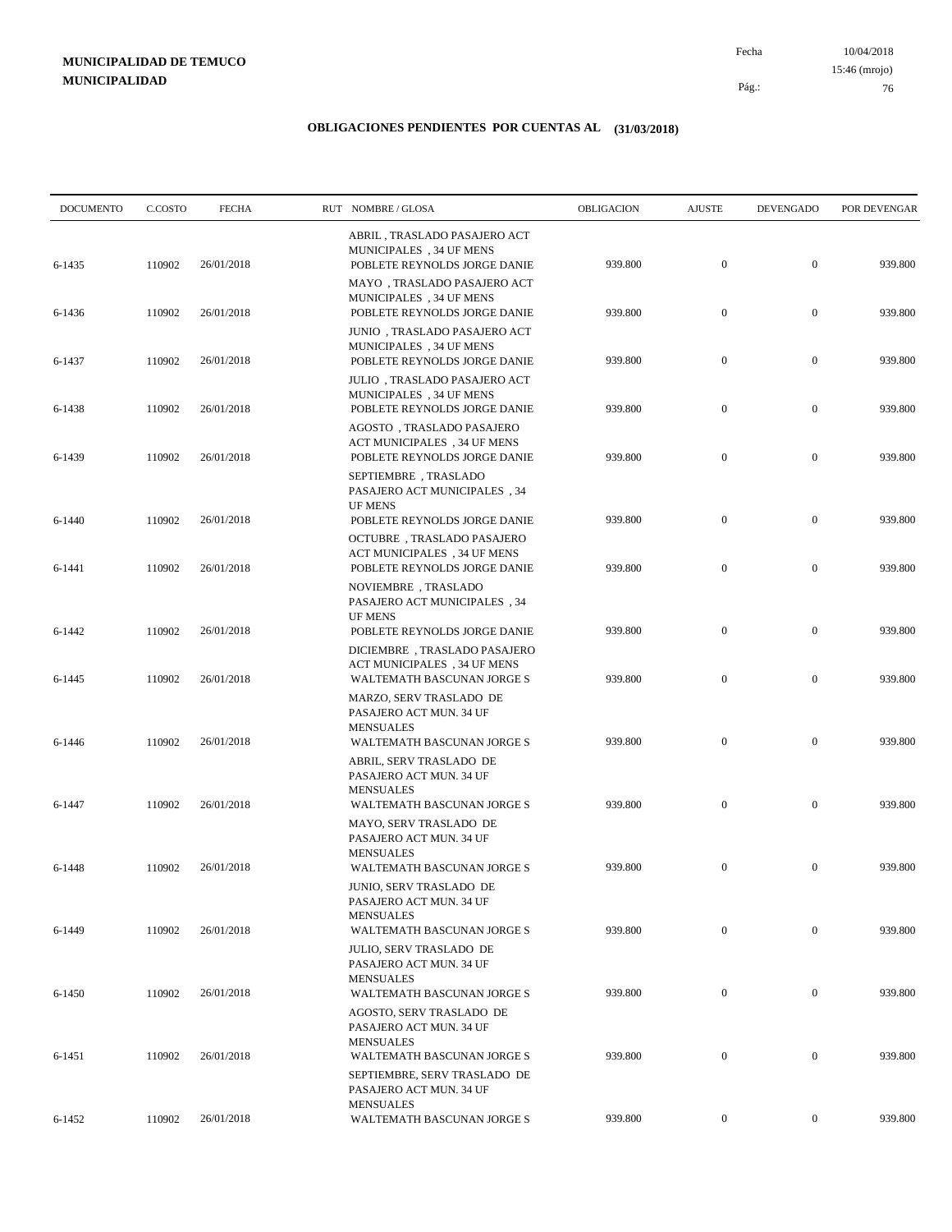10/04/2018 76 Pág.: Fecha

### **OBLIGACIONES PENDIENTES POR CUENTAS AL (31/03/2018)**

| <b>DOCUMENTO</b> | C.COSTO | <b>FECHA</b> | RUT NOMBRE/GLOSA                                                                            | OBLIGACION | <b>AJUSTE</b>    | DEVENGADO        | POR DEVENGAR |
|------------------|---------|--------------|---------------------------------------------------------------------------------------------|------------|------------------|------------------|--------------|
| 6-1435           | 110902  | 26/01/2018   | ABRIL, TRASLADO PASAJERO ACT<br>MUNICIPALES, 34 UF MENS<br>POBLETE REYNOLDS JORGE DANIE     | 939.800    | $\mathbf{0}$     | $\boldsymbol{0}$ | 939.800      |
| 6-1436           | 110902  | 26/01/2018   | MAYO, TRASLADO PASAJERO ACT<br>MUNICIPALES, 34 UF MENS<br>POBLETE REYNOLDS JORGE DANIE      | 939.800    | $\boldsymbol{0}$ | $\mathbf{0}$     | 939.800      |
| 6-1437           | 110902  | 26/01/2018   | JUNIO, TRASLADO PASAJERO ACT<br>MUNICIPALES, 34 UF MENS<br>POBLETE REYNOLDS JORGE DANIE     | 939.800    | $\boldsymbol{0}$ | $\boldsymbol{0}$ | 939.800      |
| 6-1438           | 110902  | 26/01/2018   | JULIO, TRASLADO PASAJERO ACT<br>MUNICIPALES, 34 UF MENS<br>POBLETE REYNOLDS JORGE DANIE     | 939.800    | $\boldsymbol{0}$ | $\boldsymbol{0}$ | 939.800      |
| 6-1439           | 110902  | 26/01/2018   | AGOSTO, TRASLADO PASAJERO<br>ACT MUNICIPALES, 34 UF MENS<br>POBLETE REYNOLDS JORGE DANIE    | 939.800    | $\boldsymbol{0}$ | $\mathbf{0}$     | 939.800      |
|                  |         |              | SEPTIEMBRE, TRASLADO<br><b>PASAJERO ACT MUNICIPALES</b> , 34<br><b>UF MENS</b>              |            |                  |                  |              |
| $6 - 1440$       | 110902  | 26/01/2018   | POBLETE REYNOLDS JORGE DANIE<br>OCTUBRE, TRASLADO PASAJERO                                  | 939.800    | $\boldsymbol{0}$ | $\mathbf{0}$     | 939.800      |
| 6-1441           | 110902  | 26/01/2018   | ACT MUNICIPALES, 34 UF MENS<br>POBLETE REYNOLDS JORGE DANIE                                 | 939.800    | $\mathbf{0}$     | $\mathbf{0}$     | 939.800      |
|                  |         | 26/01/2018   | NOVIEMBRE, TRASLADO<br>PASAJERO ACT MUNICIPALES, 34<br><b>UF MENS</b>                       |            | $\mathbf{0}$     | $\mathbf{0}$     | 939.800      |
| 6-1442           | 110902  |              | POBLETE REYNOLDS JORGE DANIE<br>DICIEMBRE, TRASLADO PASAJERO<br>ACT MUNICIPALES, 34 UF MENS | 939.800    |                  |                  |              |
| 6-1445           | 110902  | 26/01/2018   | WALTEMATH BASCUNAN JORGE S<br>MARZO, SERV TRASLADO DE<br>PASAJERO ACT MUN. 34 UF            | 939.800    | $\mathbf{0}$     | $\boldsymbol{0}$ | 939.800      |
| 6-1446           | 110902  | 26/01/2018   | <b>MENSUALES</b><br>WALTEMATH BASCUNAN JORGE S                                              | 939.800    | $\boldsymbol{0}$ | $\mathbf{0}$     | 939.800      |
|                  |         |              | ABRIL, SERV TRASLADO DE<br>PASAJERO ACT MUN. 34 UF<br><b>MENSUALES</b>                      |            |                  |                  |              |
| 6-1447           | 110902  | 26/01/2018   | WALTEMATH BASCUNAN JORGE S<br>MAYO, SERV TRASLADO DE<br>PASAJERO ACT MUN. 34 UF             | 939.800    | $\mathbf{0}$     | $\mathbf{0}$     | 939.800      |
| 6-1448           | 110902  | 26/01/2018   | <b>MENSUALES</b><br>WALTEMATH BASCUNAN JORGE S<br>JUNIO, SERV TRASLADO DE                   | 939.800    | $\mathbf{0}$     | $\mathbf{0}$     | 939.800      |
|                  | 110902  | 26/01/2018   | PASAJERO ACT MUN. 34 UF<br><b>MENSUALES</b><br>WALTEMATH BASCUNAN JORGE S                   | 939.800    | $\boldsymbol{0}$ | $\overline{0}$   | 939.800      |
| 6-1449           |         |              | <b>JULIO, SERV TRASLADO DE</b><br>PASAJERO ACT MUN. 34 UF                                   |            |                  |                  |              |
| 6-1450           | 110902  | 26/01/2018   | <b>MENSUALES</b><br>WALTEMATH BASCUNAN JORGE S<br>AGOSTO, SERV TRASLADO DE                  | 939.800    | $\boldsymbol{0}$ | $\boldsymbol{0}$ | 939.800      |
| 6-1451           | 110902  | 26/01/2018   | PASAJERO ACT MUN. 34 UF<br><b>MENSUALES</b><br>WALTEMATH BASCUNAN JORGE S                   | 939.800    | $\mathbf{0}$     | $\mathbf{0}$     | 939.800      |
|                  |         |              | SEPTIEMBRE, SERV TRASLADO DE<br>PASAJERO ACT MUN. 34 UF                                     |            |                  |                  |              |
| 6-1452           | 110902  | 26/01/2018   | <b>MENSUALES</b><br>WALTEMATH BASCUNAN JORGE S                                              | 939.800    | $\overline{0}$   | $\boldsymbol{0}$ | 939.800      |

15:46 (mrojo)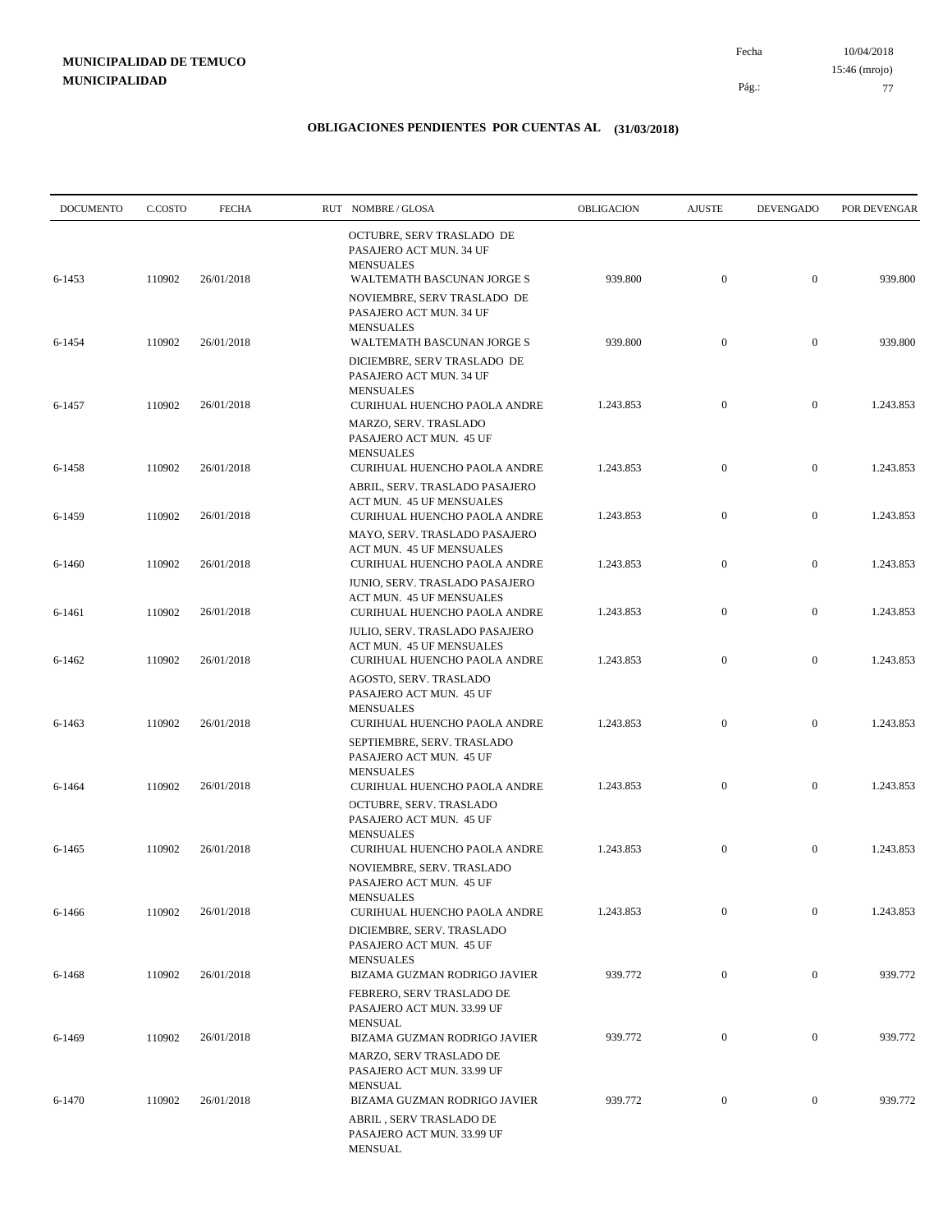10/04/2018 77 Pág.: Fecha 15:46 (mrojo)

| <b>DOCUMENTO</b> | C.COSTO | <b>FECHA</b> | RUT NOMBRE/GLOSA                                                                                          | OBLIGACION | <b>AJUSTE</b>    | <b>DEVENGADO</b> | POR DEVENGAR |
|------------------|---------|--------------|-----------------------------------------------------------------------------------------------------------|------------|------------------|------------------|--------------|
| 6-1453           | 110902  | 26/01/2018   | OCTUBRE, SERV TRASLADO DE<br>PASAJERO ACT MUN. 34 UF<br><b>MENSUALES</b><br>WALTEMATH BASCUNAN JORGE S    | 939.800    | $\boldsymbol{0}$ | $\mathbf{0}$     | 939.800      |
|                  |         |              | NOVIEMBRE, SERV TRASLADO DE<br>PASAJERO ACT MUN. 34 UF<br><b>MENSUALES</b>                                |            |                  |                  |              |
| 6-1454           | 110902  | 26/01/2018   | WALTEMATH BASCUNAN JORGE S<br>DICIEMBRE, SERV TRASLADO DE<br>PASAJERO ACT MUN. 34 UF                      | 939.800    | $\mathbf{0}$     | $\mathbf{0}$     | 939.800      |
| 6-1457           | 110902  | 26/01/2018   | <b>MENSUALES</b><br>CURIHUAL HUENCHO PAOLA ANDRE<br>MARZO, SERV. TRASLADO<br>PASAJERO ACT MUN. 45 UF      | 1.243.853  | $\mathbf{0}$     | $\mathbf{0}$     | 1.243.853    |
| 6-1458           | 110902  | 26/01/2018   | <b>MENSUALES</b><br>CURIHUAL HUENCHO PAOLA ANDRE                                                          | 1.243.853  | $\boldsymbol{0}$ | $\mathbf{0}$     | 1.243.853    |
| 6-1459           | 110902  | 26/01/2018   | ABRIL, SERV. TRASLADO PASAJERO<br>ACT MUN. 45 UF MENSUALES<br>CURIHUAL HUENCHO PAOLA ANDRE                | 1.243.853  | $\boldsymbol{0}$ | $\mathbf{0}$     | 1.243.853    |
| 6-1460           | 110902  | 26/01/2018   | MAYO, SERV. TRASLADO PASAJERO<br>ACT MUN. 45 UF MENSUALES<br>CURIHUAL HUENCHO PAOLA ANDRE                 | 1.243.853  | $\boldsymbol{0}$ | $\mathbf{0}$     | 1.243.853    |
|                  | 110902  | 26/01/2018   | JUNIO, SERV. TRASLADO PASAJERO<br>ACT MUN. 45 UF MENSUALES                                                | 1.243.853  | $\boldsymbol{0}$ | $\mathbf{0}$     | 1.243.853    |
| 6-1461           |         |              | CURIHUAL HUENCHO PAOLA ANDRE<br><b>JULIO, SERV. TRASLADO PASAJERO</b><br><b>ACT MUN. 45 UF MENSUALES</b>  |            |                  |                  |              |
| 6-1462           | 110902  | 26/01/2018   | CURIHUAL HUENCHO PAOLA ANDRE<br>AGOSTO, SERV. TRASLADO<br>PASAJERO ACT MUN. 45 UF<br><b>MENSUALES</b>     | 1.243.853  | $\boldsymbol{0}$ | $\mathbf{0}$     | 1.243.853    |
| 6-1463           | 110902  | 26/01/2018   | CURIHUAL HUENCHO PAOLA ANDRE<br>SEPTIEMBRE, SERV. TRASLADO<br>PASAJERO ACT MUN. 45 UF<br><b>MENSUALES</b> | 1.243.853  | $\mathbf{0}$     | $\mathbf{0}$     | 1.243.853    |
| 6-1464           | 110902  | 26/01/2018   | CURIHUAL HUENCHO PAOLA ANDRE<br>OCTUBRE, SERV. TRASLADO<br>PASAJERO ACT MUN. 45 UF                        | 1.243.853  | $\boldsymbol{0}$ | $\mathbf{0}$     | 1.243.853    |
| 6-1465           | 110902  | 26/01/2018   | <b>MENSUALES</b><br>CURIHUAL HUENCHO PAOLA ANDRE<br>NOVIEMBRE, SERV. TRASLADO<br>PASAJERO ACT MUN. 45 UF  | 1.243.853  | $\boldsymbol{0}$ | $\mathbf{0}$     | 1.243.853    |
| 6-1466           | 110902  | 26/01/2018   | <b>MENSUALES</b><br>CURIHUAL HUENCHO PAOLA ANDRE                                                          | 1.243.853  | $\boldsymbol{0}$ | $\mathbf{0}$     | 1.243.853    |
| 6-1468           | 110902  | 26/01/2018   | DICIEMBRE, SERV. TRASLADO<br>PASAJERO ACT MUN. 45 UF<br><b>MENSUALES</b><br>BIZAMA GUZMAN RODRIGO JAVIER  | 939.772    | $\boldsymbol{0}$ | $\mathbf{0}$     | 939.772      |
|                  |         |              | FEBRERO, SERV TRASLADO DE<br>PASAJERO ACT MUN. 33.99 UF                                                   |            |                  |                  |              |
| 6-1469           | 110902  | 26/01/2018   | <b>MENSUAL</b><br>BIZAMA GUZMAN RODRIGO JAVIER<br>MARZO, SERV TRASLADO DE                                 | 939.772    | $\boldsymbol{0}$ | $\mathbf{0}$     | 939.772      |
| 6-1470           | 110902  | 26/01/2018   | PASAJERO ACT MUN. 33.99 UF<br><b>MENSUAL</b><br>BIZAMA GUZMAN RODRIGO JAVIER                              | 939.772    | $\boldsymbol{0}$ | $\boldsymbol{0}$ | 939.772      |
|                  |         |              | ABRIL, SERV TRASLADO DE<br>PASAJERO ACT MUN. 33.99 UF<br>MENSUAL                                          |            |                  |                  |              |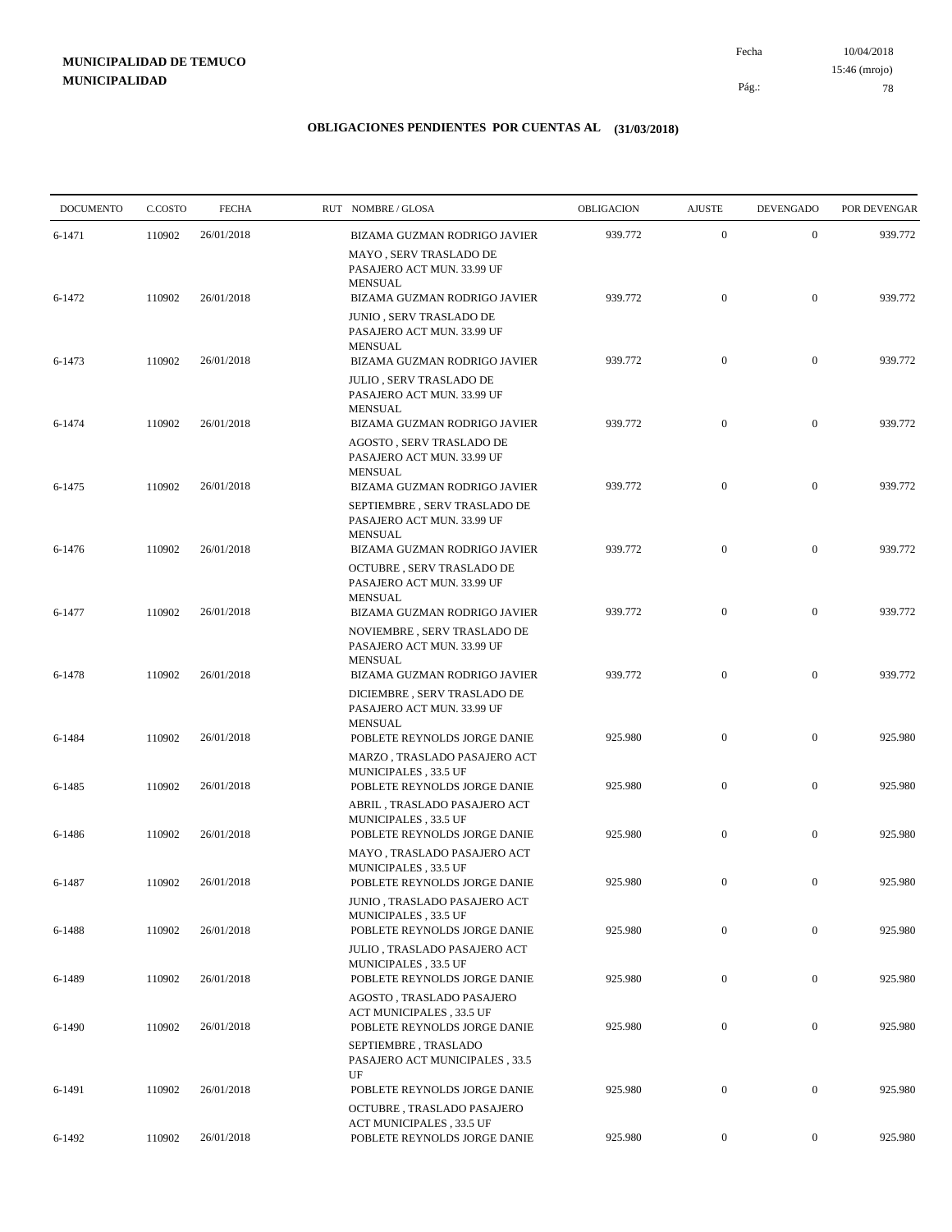10/04/2018 78 Pág.: Fecha 15:46 (mrojo)

| <b>DOCUMENTO</b> | C.COSTO | <b>FECHA</b> | RUT NOMBRE/GLOSA                                                                                            | OBLIGACION | <b>AJUSTE</b>    | <b>DEVENGADO</b> | POR DEVENGAR |
|------------------|---------|--------------|-------------------------------------------------------------------------------------------------------------|------------|------------------|------------------|--------------|
| 6-1471           | 110902  | 26/01/2018   | BIZAMA GUZMAN RODRIGO JAVIER                                                                                | 939.772    | $\boldsymbol{0}$ | $\mathbf{0}$     | 939.772      |
|                  |         |              | MAYO, SERV TRASLADO DE<br>PASAJERO ACT MUN. 33.99 UF<br><b>MENSUAL</b>                                      |            |                  |                  |              |
| 6-1472           | 110902  | 26/01/2018   | BIZAMA GUZMAN RODRIGO JAVIER                                                                                | 939.772    | $\boldsymbol{0}$ | $\mathbf{0}$     | 939.772      |
|                  |         |              | JUNIO, SERV TRASLADO DE<br>PASAJERO ACT MUN. 33.99 UF<br><b>MENSUAL</b>                                     |            |                  |                  |              |
| 6-1473           | 110902  | 26/01/2018   | BIZAMA GUZMAN RODRIGO JAVIER                                                                                | 939.772    | $\boldsymbol{0}$ | $\boldsymbol{0}$ | 939.772      |
|                  |         |              | JULIO, SERV TRASLADO DE<br>PASAJERO ACT MUN. 33.99 UF<br><b>MENSUAL</b>                                     |            |                  |                  |              |
| 6-1474           | 110902  | 26/01/2018   | BIZAMA GUZMAN RODRIGO JAVIER                                                                                | 939.772    | $\mathbf{0}$     | $\mathbf{0}$     | 939.772      |
|                  |         |              | AGOSTO, SERV TRASLADO DE<br>PASAJERO ACT MUN. 33.99 UF<br><b>MENSUAL</b>                                    |            |                  |                  |              |
| 6-1475           | 110902  | 26/01/2018   | BIZAMA GUZMAN RODRIGO JAVIER                                                                                | 939.772    | $\boldsymbol{0}$ | $\mathbf{0}$     | 939.772      |
|                  |         |              | SEPTIEMBRE, SERV TRASLADO DE<br>PASAJERO ACT MUN. 33.99 UF<br><b>MENSUAL</b>                                |            |                  |                  |              |
| 6-1476           | 110902  | 26/01/2018   | BIZAMA GUZMAN RODRIGO JAVIER                                                                                | 939.772    | $\boldsymbol{0}$ | $\mathbf{0}$     | 939.772      |
|                  |         |              | OCTUBRE, SERV TRASLADO DE<br>PASAJERO ACT MUN. 33.99 UF<br><b>MENSUAL</b>                                   |            |                  |                  |              |
| 6-1477           | 110902  | 26/01/2018   | BIZAMA GUZMAN RODRIGO JAVIER                                                                                | 939.772    | $\mathbf{0}$     | $\mathbf{0}$     | 939.772      |
| 6-1478           | 110902  | 26/01/2018   | NOVIEMBRE, SERV TRASLADO DE<br>PASAJERO ACT MUN. 33.99 UF<br><b>MENSUAL</b><br>BIZAMA GUZMAN RODRIGO JAVIER | 939.772    | $\mathbf{0}$     | $\mathbf{0}$     | 939.772      |
|                  |         |              | DICIEMBRE, SERV TRASLADO DE<br>PASAJERO ACT MUN. 33.99 UF                                                   |            |                  |                  |              |
| 6-1484           | 110902  | 26/01/2018   | <b>MENSUAL</b><br>POBLETE REYNOLDS JORGE DANIE                                                              | 925.980    | $\boldsymbol{0}$ | $\boldsymbol{0}$ | 925.980      |
|                  |         |              | MARZO, TRASLADO PASAJERO ACT<br>MUNICIPALES, 33.5 UF                                                        |            |                  |                  |              |
| 6-1485           | 110902  | 26/01/2018   | POBLETE REYNOLDS JORGE DANIE                                                                                | 925.980    | $\boldsymbol{0}$ | $\mathbf{0}$     | 925.980      |
| 6-1486           | 110902  | 26/01/2018   | ABRIL, TRASLADO PASAJERO ACT<br>MUNICIPALES, 33.5 UF<br>POBLETE REYNOLDS JORGE DANIE                        | 925.980    | $\boldsymbol{0}$ | $\mathbf{0}$     | 925.980      |
|                  |         |              | MAYO, TRASLADO PASAJERO ACT<br>MUNICIPALES, 33.5 UF                                                         |            |                  |                  |              |
| 6-1487           | 110902  | 26/01/2018   | POBLETE REYNOLDS JORGE DANIE                                                                                | 925.980    | $\mathbf{0}$     | $\mathbf{0}$     | 925.980      |
| 6-1488           | 110902  | 26/01/2018   | JUNIO, TRASLADO PASAJERO ACT<br>MUNICIPALES, 33.5 UF<br>POBLETE REYNOLDS JORGE DANIE                        | 925.980    | $\boldsymbol{0}$ | $\boldsymbol{0}$ | 925.980      |
|                  |         |              | JULIO, TRASLADO PASAJERO ACT                                                                                |            |                  |                  |              |
| 6-1489           | 110902  | 26/01/2018   | MUNICIPALES, 33.5 UF<br>POBLETE REYNOLDS JORGE DANIE                                                        | 925.980    | $\boldsymbol{0}$ | $\boldsymbol{0}$ | 925.980      |
| 6-1490           | 110902  | 26/01/2018   | AGOSTO, TRASLADO PASAJERO<br>ACT MUNICIPALES, 33.5 UF<br>POBLETE REYNOLDS JORGE DANIE                       | 925.980    | $\boldsymbol{0}$ | $\boldsymbol{0}$ | 925.980      |
|                  |         |              | SEPTIEMBRE, TRASLADO<br>PASAJERO ACT MUNICIPALES, 33.5                                                      |            |                  |                  |              |
| 6-1491           | 110902  | 26/01/2018   | UF<br>POBLETE REYNOLDS JORGE DANIE                                                                          | 925.980    | $\boldsymbol{0}$ | $\boldsymbol{0}$ | 925.980      |
| 6-1492           | 110902  | 26/01/2018   | OCTUBRE, TRASLADO PASAJERO<br>ACT MUNICIPALES, 33.5 UF<br>POBLETE REYNOLDS JORGE DANIE                      | 925.980    | $\boldsymbol{0}$ | $\boldsymbol{0}$ | 925.980      |
|                  |         |              |                                                                                                             |            |                  |                  |              |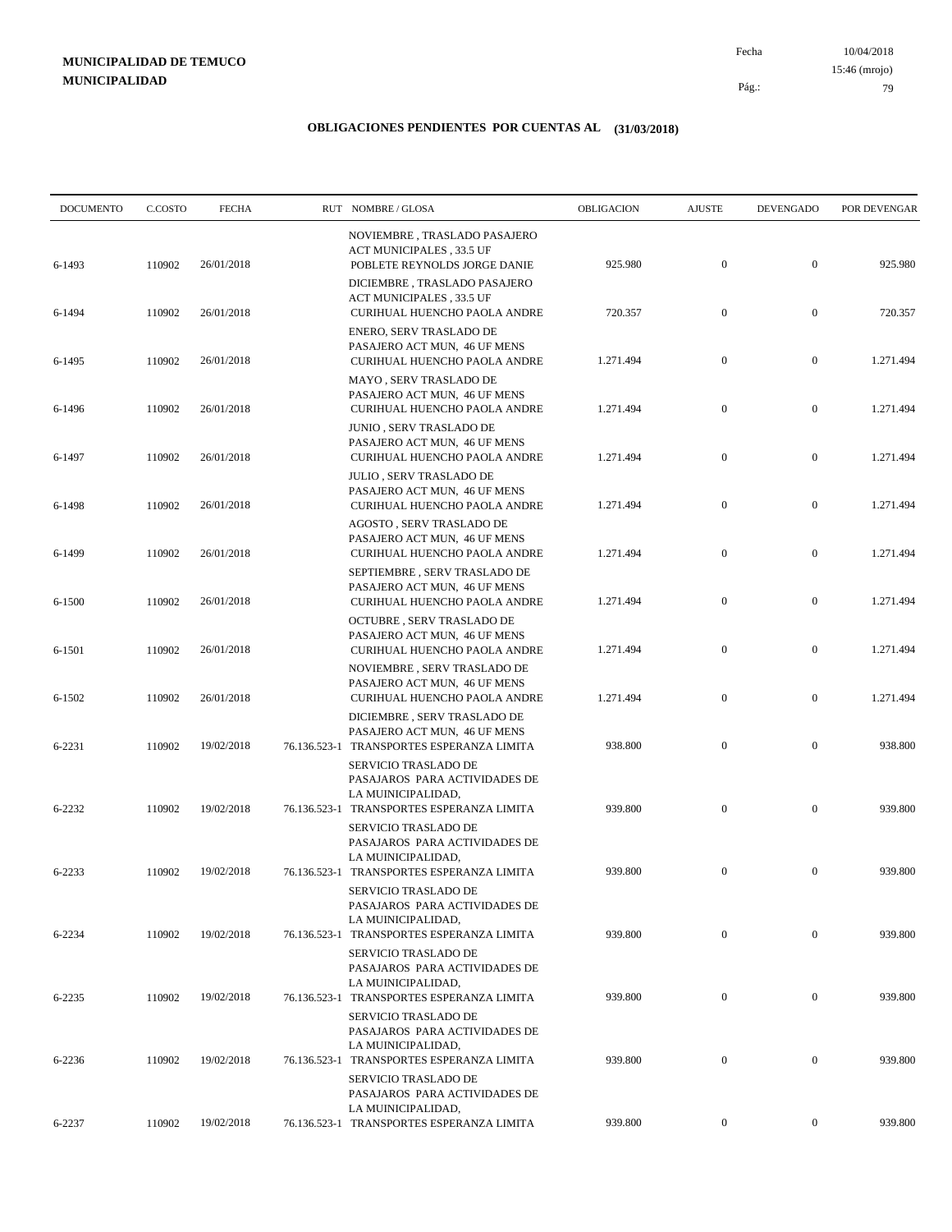10/04/2018 79 Pág.: Fecha 15:46 (mrojo)

| <b>DOCUMENTO</b> | C.COSTO | <b>FECHA</b> | RUT NOMBRE/GLOSA                                                                                                         | OBLIGACION | <b>AJUSTE</b>    | <b>DEVENGADO</b> | POR DEVENGAR |
|------------------|---------|--------------|--------------------------------------------------------------------------------------------------------------------------|------------|------------------|------------------|--------------|
| 6-1493           | 110902  | 26/01/2018   | NOVIEMBRE, TRASLADO PASAJERO<br>ACT MUNICIPALES, 33.5 UF<br>POBLETE REYNOLDS JORGE DANIE                                 | 925.980    | $\mathbf{0}$     | $\mathbf{0}$     | 925.980      |
| 6-1494           | 110902  | 26/01/2018   | DICIEMBRE, TRASLADO PASAJERO<br>ACT MUNICIPALES, 33.5 UF<br>CURIHUAL HUENCHO PAOLA ANDRE                                 | 720.357    | $\mathbf{0}$     | $\boldsymbol{0}$ | 720.357      |
| 6-1495           | 110902  | 26/01/2018   | ENERO, SERV TRASLADO DE<br>PASAJERO ACT MUN, 46 UF MENS<br>CURIHUAL HUENCHO PAOLA ANDRE                                  | 1.271.494  | $\boldsymbol{0}$ | $\mathbf{0}$     | 1.271.494    |
| 6-1496           | 110902  | 26/01/2018   | MAYO, SERV TRASLADO DE<br>PASAJERO ACT MUN, 46 UF MENS<br>CURIHUAL HUENCHO PAOLA ANDRE                                   | 1.271.494  | $\mathbf{0}$     | $\boldsymbol{0}$ | 1.271.494    |
| 6-1497           | 110902  | 26/01/2018   | <b>JUNIO , SERV TRASLADO DE</b><br>PASAJERO ACT MUN, 46 UF MENS<br>CURIHUAL HUENCHO PAOLA ANDRE                          | 1.271.494  | $\boldsymbol{0}$ | $\mathbf{0}$     | 1.271.494    |
| 6-1498           | 110902  | 26/01/2018   | JULIO, SERV TRASLADO DE<br>PASAJERO ACT MUN, 46 UF MENS<br>CURIHUAL HUENCHO PAOLA ANDRE                                  | 1.271.494  | $\mathbf{0}$     | $\mathbf{0}$     | 1.271.494    |
| 6-1499           | 110902  | 26/01/2018   | AGOSTO, SERV TRASLADO DE<br>PASAJERO ACT MUN, 46 UF MENS<br>CURIHUAL HUENCHO PAOLA ANDRE                                 | 1.271.494  | $\mathbf{0}$     | $\mathbf{0}$     | 1.271.494    |
| 6-1500           | 110902  | 26/01/2018   | SEPTIEMBRE, SERV TRASLADO DE<br>PASAJERO ACT MUN, 46 UF MENS<br>CURIHUAL HUENCHO PAOLA ANDRE                             | 1.271.494  | $\mathbf{0}$     | $\mathbf{0}$     | 1.271.494    |
| 6-1501           | 110902  | 26/01/2018   | OCTUBRE, SERV TRASLADO DE<br>PASAJERO ACT MUN, 46 UF MENS<br>CURIHUAL HUENCHO PAOLA ANDRE                                | 1.271.494  | $\mathbf{0}$     | $\mathbf{0}$     | 1.271.494    |
| 6-1502           | 110902  | 26/01/2018   | NOVIEMBRE, SERV TRASLADO DE<br>PASAJERO ACT MUN, 46 UF MENS<br>CURIHUAL HUENCHO PAOLA ANDRE                              | 1.271.494  | $\mathbf{0}$     | $\mathbf{0}$     | 1.271.494    |
| 6-2231           | 110902  | 19/02/2018   | DICIEMBRE, SERV TRASLADO DE<br>PASAJERO ACT MUN, 46 UF MENS<br>76.136.523-1 TRANSPORTES ESPERANZA LIMITA                 | 938.800    | $\mathbf{0}$     | $\mathbf{0}$     | 938.800      |
| 6-2232           | 110902  | 19/02/2018   | SERVICIO TRASLADO DE<br>PASAJAROS PARA ACTIVIDADES DE<br>LA MUINICIPALIDAD,<br>76.136.523-1 TRANSPORTES ESPERANZA LIMITA | 939.800    | $\boldsymbol{0}$ | $\mathbf{0}$     | 939.800      |
|                  |         |              | SERVICIO TRASLADO DE<br>PASAJAROS PARA ACTIVIDADES DE<br>LA MUINICIPALIDAD,                                              |            |                  |                  |              |
| 6-2233           | 110902  | 19/02/2018   | 76.136.523-1 TRANSPORTES ESPERANZA LIMITA<br>SERVICIO TRASLADO DE<br>PASAJAROS PARA ACTIVIDADES DE                       | 939.800    | $\mathbf{0}$     | $\mathbf{0}$     | 939.800      |
| 6-2234           | 110902  | 19/02/2018   | LA MUINICIPALIDAD,<br>76.136.523-1 TRANSPORTES ESPERANZA LIMITA<br>SERVICIO TRASLADO DE                                  | 939.800    | $\boldsymbol{0}$ | $\mathbf{0}$     | 939.800      |
| 6-2235           | 110902  | 19/02/2018   | PASAJAROS PARA ACTIVIDADES DE<br>LA MUINICIPALIDAD,<br>76.136.523-1 TRANSPORTES ESPERANZA LIMITA                         | 939.800    | $\boldsymbol{0}$ | $\mathbf{0}$     | 939.800      |
|                  |         |              | <b>SERVICIO TRASLADO DE</b><br>PASAJAROS PARA ACTIVIDADES DE<br>LA MUINICIPALIDAD,                                       |            |                  |                  |              |
| 6-2236           | 110902  | 19/02/2018   | 76.136.523-1 TRANSPORTES ESPERANZA LIMITA<br><b>SERVICIO TRASLADO DE</b><br>PASAJAROS PARA ACTIVIDADES DE                | 939.800    | $\boldsymbol{0}$ | $\boldsymbol{0}$ | 939.800      |
| 6-2237           | 110902  | 19/02/2018   | LA MUINICIPALIDAD,<br>76.136.523-1 TRANSPORTES ESPERANZA LIMITA                                                          | 939.800    | $\overline{0}$   | $\mathbf{0}$     | 939.800      |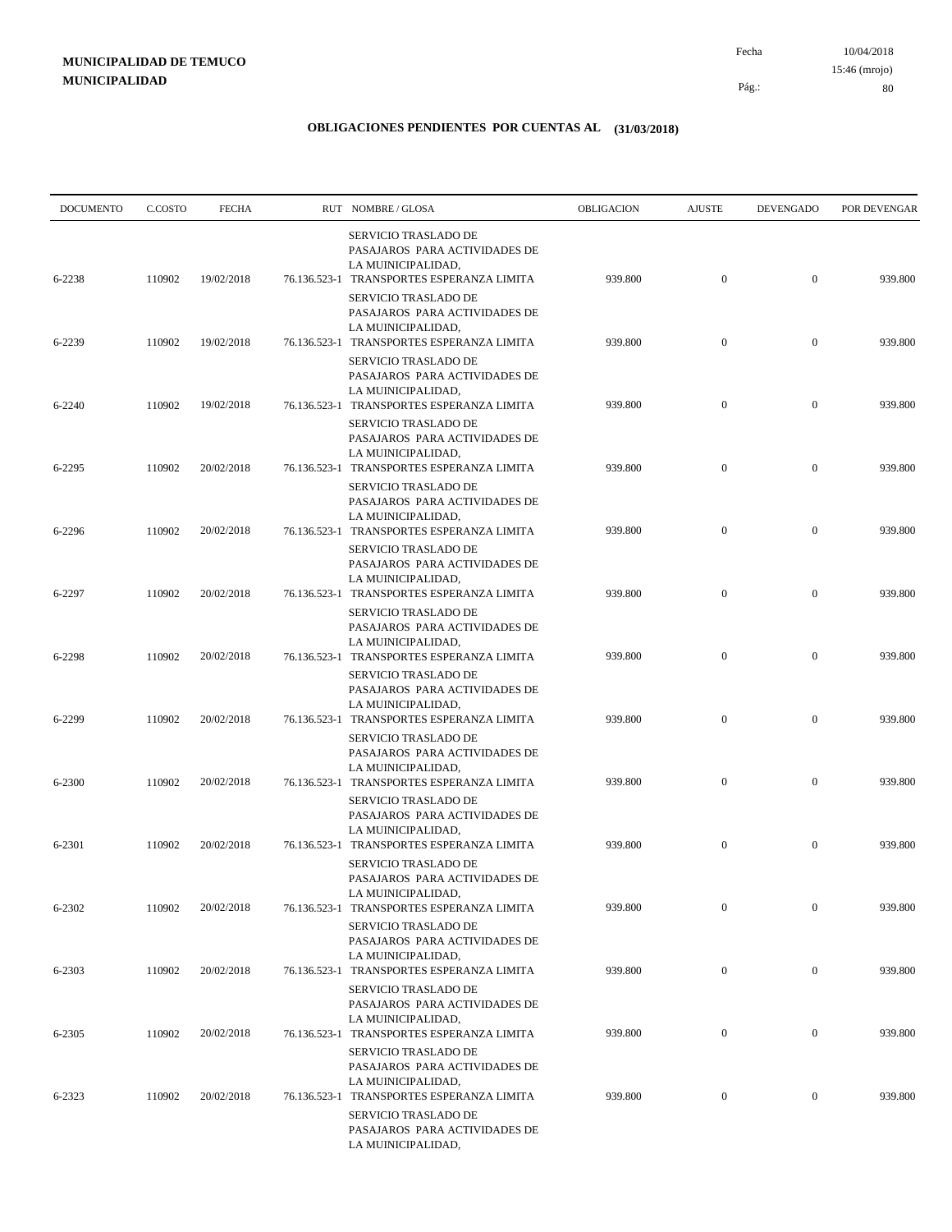| <b>DOCUMENTO</b> | C.COSTO | <b>FECHA</b> |              | RUT NOMBRE/GLOSA                                                                                                                | OBLIGACION | <b>AJUSTE</b>    | <b>DEVENGADO</b> | POR DEVENGAR |
|------------------|---------|--------------|--------------|---------------------------------------------------------------------------------------------------------------------------------|------------|------------------|------------------|--------------|
| 6-2238           | 110902  | 19/02/2018   |              | <b>SERVICIO TRASLADO DE</b><br>PASAJAROS PARA ACTIVIDADES DE<br>LA MUINICIPALIDAD,<br>76.136.523-1 TRANSPORTES ESPERANZA LIMITA | 939.800    | $\boldsymbol{0}$ | $\mathbf{0}$     | 939.800      |
|                  |         |              |              | <b>SERVICIO TRASLADO DE</b><br>PASAJAROS PARA ACTIVIDADES DE<br>LA MUINICIPALIDAD,                                              |            |                  |                  |              |
| 6-2239           | 110902  | 19/02/2018   |              | 76.136.523-1 TRANSPORTES ESPERANZA LIMITA<br><b>SERVICIO TRASLADO DE</b><br>PASAJAROS PARA ACTIVIDADES DE                       | 939.800    | $\mathbf{0}$     | $\mathbf{0}$     | 939.800      |
| 6-2240           | 110902  | 19/02/2018   | 76.136.523-1 | LA MUINICIPALIDAD,<br>TRANSPORTES ESPERANZA LIMITA<br>SERVICIO TRASLADO DE                                                      | 939.800    | $\mathbf{0}$     | $\mathbf{0}$     | 939.800      |
| 6-2295           | 110902  | 20/02/2018   |              | PASAJAROS PARA ACTIVIDADES DE<br>LA MUINICIPALIDAD,<br>76.136.523-1 TRANSPORTES ESPERANZA LIMITA                                | 939.800    | $\mathbf{0}$     | $\mathbf{0}$     | 939.800      |
| 6-2296           | 110902  | 20/02/2018   |              | SERVICIO TRASLADO DE<br>PASAJAROS PARA ACTIVIDADES DE<br>LA MUINICIPALIDAD,<br>76.136.523-1 TRANSPORTES ESPERANZA LIMITA        | 939.800    | $\mathbf{0}$     | $\mathbf{0}$     | 939.800      |
|                  |         |              |              | <b>SERVICIO TRASLADO DE</b><br>PASAJAROS PARA ACTIVIDADES DE<br>LA MUINICIPALIDAD,                                              |            |                  |                  |              |
| 6-2297           | 110902  | 20/02/2018   |              | 76.136.523-1 TRANSPORTES ESPERANZA LIMITA<br><b>SERVICIO TRASLADO DE</b><br>PASAJAROS PARA ACTIVIDADES DE<br>LA MUINICIPALIDAD, | 939.800    | $\mathbf{0}$     | $\mathbf{0}$     | 939.800      |
| 6-2298           | 110902  | 20/02/2018   |              | 76.136.523-1 TRANSPORTES ESPERANZA LIMITA<br>SERVICIO TRASLADO DE<br>PASAJAROS PARA ACTIVIDADES DE                              | 939.800    | $\mathbf{0}$     | $\mathbf{0}$     | 939.800      |
| 6-2299           | 110902  | 20/02/2018   |              | LA MUINICIPALIDAD,<br>76.136.523-1 TRANSPORTES ESPERANZA LIMITA<br>SERVICIO TRASLADO DE                                         | 939.800    | $\mathbf{0}$     | $\mathbf{0}$     | 939.800      |
| 6-2300           | 110902  | 20/02/2018   |              | PASAJAROS PARA ACTIVIDADES DE<br>LA MUINICIPALIDAD,<br>76.136.523-1 TRANSPORTES ESPERANZA LIMITA                                | 939.800    | $\mathbf{0}$     | $\mathbf{0}$     | 939.800      |
| 6-2301           | 110902  | 20/02/2018   |              | <b>SERVICIO TRASLADO DE</b><br>PASAJAROS PARA ACTIVIDADES DE<br>LA MUINICIPALIDAD,<br>76.136.523-1 TRANSPORTES ESPERANZA LIMITA | 939.800    | $\boldsymbol{0}$ | $\mathbf{0}$     | 939.800      |
|                  |         |              |              | <b>SERVICIO TRASLADO DE</b><br>PASAJAROS PARA ACTIVIDADES DE<br>LA MUINICIPALIDAD,                                              |            |                  |                  |              |
| 6-2302           | 110902  | 20/02/2018   |              | 76.136.523-1 TRANSPORTES ESPERANZA LIMITA<br>SERVICIO TRASLADO DE<br>PASAJAROS PARA ACTIVIDADES DE                              | 939.800    | $\mathbf{0}$     | $\mathbf{0}$     | 939.800      |
| 6-2303           | 110902  | 20/02/2018   |              | LA MUINICIPALIDAD,<br>76.136.523-1 TRANSPORTES ESPERANZA LIMITA<br>SERVICIO TRASLADO DE                                         | 939.800    | $\boldsymbol{0}$ | $\boldsymbol{0}$ | 939.800      |
| 6-2305           | 110902  | 20/02/2018   |              | PASAJAROS PARA ACTIVIDADES DE<br>LA MUINICIPALIDAD,<br>76.136.523-1 TRANSPORTES ESPERANZA LIMITA                                | 939.800    | $\boldsymbol{0}$ | $\boldsymbol{0}$ | 939.800      |
|                  |         |              |              | SERVICIO TRASLADO DE<br>PASAJAROS PARA ACTIVIDADES DE<br>LA MUINICIPALIDAD,                                                     |            |                  |                  |              |
| 6-2323           | 110902  | 20/02/2018   |              | 76.136.523-1 TRANSPORTES ESPERANZA LIMITA<br>SERVICIO TRASLADO DE<br>PASAJAROS PARA ACTIVIDADES DE<br>LA MUINICIPALIDAD,        | 939.800    | $\boldsymbol{0}$ | $\boldsymbol{0}$ | 939.800      |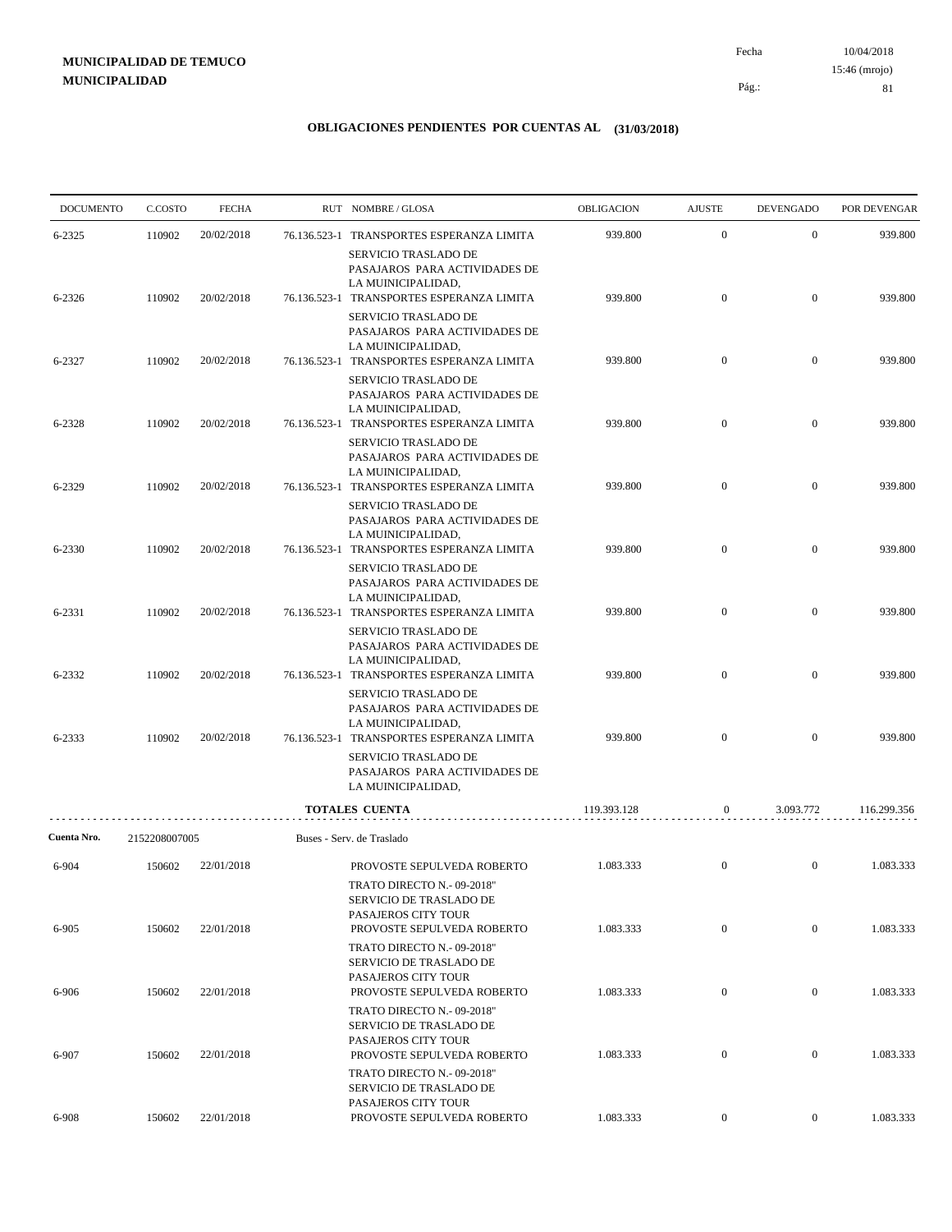10/04/2018 81 Pág.: Fecha 15:46 (mrojo)

| <b>DOCUMENTO</b> | C.COSTO       | <b>FECHA</b> |              | RUT NOMBRE/GLOSA                                                                                                         | <b>OBLIGACION</b> | <b>AJUSTE</b>    | <b>DEVENGADO</b> | POR DEVENGAR |
|------------------|---------------|--------------|--------------|--------------------------------------------------------------------------------------------------------------------------|-------------------|------------------|------------------|--------------|
| 6-2325           | 110902        | 20/02/2018   | 76.136.523-1 | TRANSPORTES ESPERANZA LIMITA<br>SERVICIO TRASLADO DE<br>PASAJAROS PARA ACTIVIDADES DE                                    | 939.800           | $\mathbf{0}$     | $\boldsymbol{0}$ | 939.800      |
| 6-2326           | 110902        | 20/02/2018   |              | LA MUINICIPALIDAD,<br>76.136.523-1 TRANSPORTES ESPERANZA LIMITA                                                          | 939.800           | $\mathbf{0}$     | $\boldsymbol{0}$ | 939.800      |
| 6-2327           | 110902        | 20/02/2018   |              | SERVICIO TRASLADO DE<br>PASAJAROS PARA ACTIVIDADES DE<br>LA MUINICIPALIDAD,<br>76.136.523-1 TRANSPORTES ESPERANZA LIMITA | 939.800           | $\mathbf{0}$     | $\mathbf{0}$     | 939.800      |
|                  |               |              |              | SERVICIO TRASLADO DE<br>PASAJAROS PARA ACTIVIDADES DE<br>LA MUINICIPALIDAD,                                              |                   |                  |                  |              |
| 6-2328           | 110902        | 20/02/2018   |              | 76.136.523-1 TRANSPORTES ESPERANZA LIMITA<br>SERVICIO TRASLADO DE                                                        | 939.800           | $\mathbf{0}$     | $\mathbf{0}$     | 939.800      |
| 6-2329           | 110902        | 20/02/2018   |              | PASAJAROS PARA ACTIVIDADES DE<br>LA MUINICIPALIDAD,<br>76.136.523-1 TRANSPORTES ESPERANZA LIMITA                         | 939.800           | $\overline{0}$   | $\mathbf{0}$     | 939.800      |
| 6-2330           | 110902        | 20/02/2018   |              | SERVICIO TRASLADO DE<br>PASAJAROS PARA ACTIVIDADES DE<br>LA MUINICIPALIDAD,<br>76.136.523-1 TRANSPORTES ESPERANZA LIMITA | 939.800           | $\mathbf{0}$     | $\mathbf{0}$     | 939.800      |
|                  |               |              |              | SERVICIO TRASLADO DE<br>PASAJAROS PARA ACTIVIDADES DE<br>LA MUINICIPALIDAD,                                              |                   |                  |                  |              |
| 6-2331           | 110902        | 20/02/2018   |              | 76.136.523-1 TRANSPORTES ESPERANZA LIMITA<br>SERVICIO TRASLADO DE<br>PASAJAROS PARA ACTIVIDADES DE                       | 939.800           | $\overline{0}$   | $\mathbf{0}$     | 939.800      |
| 6-2332           | 110902        | 20/02/2018   |              | LA MUINICIPALIDAD,<br>76.136.523-1 TRANSPORTES ESPERANZA LIMITA                                                          | 939.800           | $\mathbf{0}$     | $\mathbf{0}$     | 939.800      |
| 6-2333           | 110902        | 20/02/2018   |              | SERVICIO TRASLADO DE<br>PASAJAROS PARA ACTIVIDADES DE<br>LA MUINICIPALIDAD,<br>76.136.523-1 TRANSPORTES ESPERANZA LIMITA | 939.800           | $\overline{0}$   | $\overline{0}$   | 939.800      |
|                  |               |              |              | SERVICIO TRASLADO DE<br>PASAJAROS PARA ACTIVIDADES DE<br>LA MUINICIPALIDAD,                                              |                   |                  |                  |              |
|                  |               |              |              | TOTALES CUENTA                                                                                                           | 119.393.128       | $\boldsymbol{0}$ | 3.093.772        | 116.299.356  |
| Cuenta Nro.      | 2152208007005 |              |              | Buses - Serv. de Traslado                                                                                                |                   |                  |                  |              |
| 6-904            | 150602        | 22/01/2018   |              | PROVOSTE SEPULVEDA ROBERTO<br>TRATO DIRECTO N.- 09-2018"<br>SERVICIO DE TRASLADO DE<br>PASAJEROS CITY TOUR               | 1.083.333         | $\mathbf{0}$     | $\mathbf{0}$     | 1.083.333    |
| 6-905            | 150602        | 22/01/2018   |              | PROVOSTE SEPULVEDA ROBERTO<br>TRATO DIRECTO N.- 09-2018"                                                                 | 1.083.333         | $\boldsymbol{0}$ | $\mathbf{0}$     | 1.083.333    |
| 6-906            | 150602        | 22/01/2018   |              | SERVICIO DE TRASLADO DE<br>PASAJEROS CITY TOUR<br>PROVOSTE SEPULVEDA ROBERTO                                             | 1.083.333         | $\boldsymbol{0}$ | $\mathbf{0}$     | 1.083.333    |
|                  |               |              |              | TRATO DIRECTO N.- 09-2018"<br>SERVICIO DE TRASLADO DE<br>PASAJEROS CITY TOUR                                             |                   |                  |                  |              |
| 6-907            | 150602        | 22/01/2018   |              | PROVOSTE SEPULVEDA ROBERTO<br>TRATO DIRECTO N.- 09-2018"<br>SERVICIO DE TRASLADO DE                                      | 1.083.333         | $\boldsymbol{0}$ | $\mathbf{0}$     | 1.083.333    |
| 6-908            | 150602        | 22/01/2018   |              | PASAJEROS CITY TOUR<br>PROVOSTE SEPULVEDA ROBERTO                                                                        | 1.083.333         | $\overline{0}$   | $\overline{0}$   | 1.083.333    |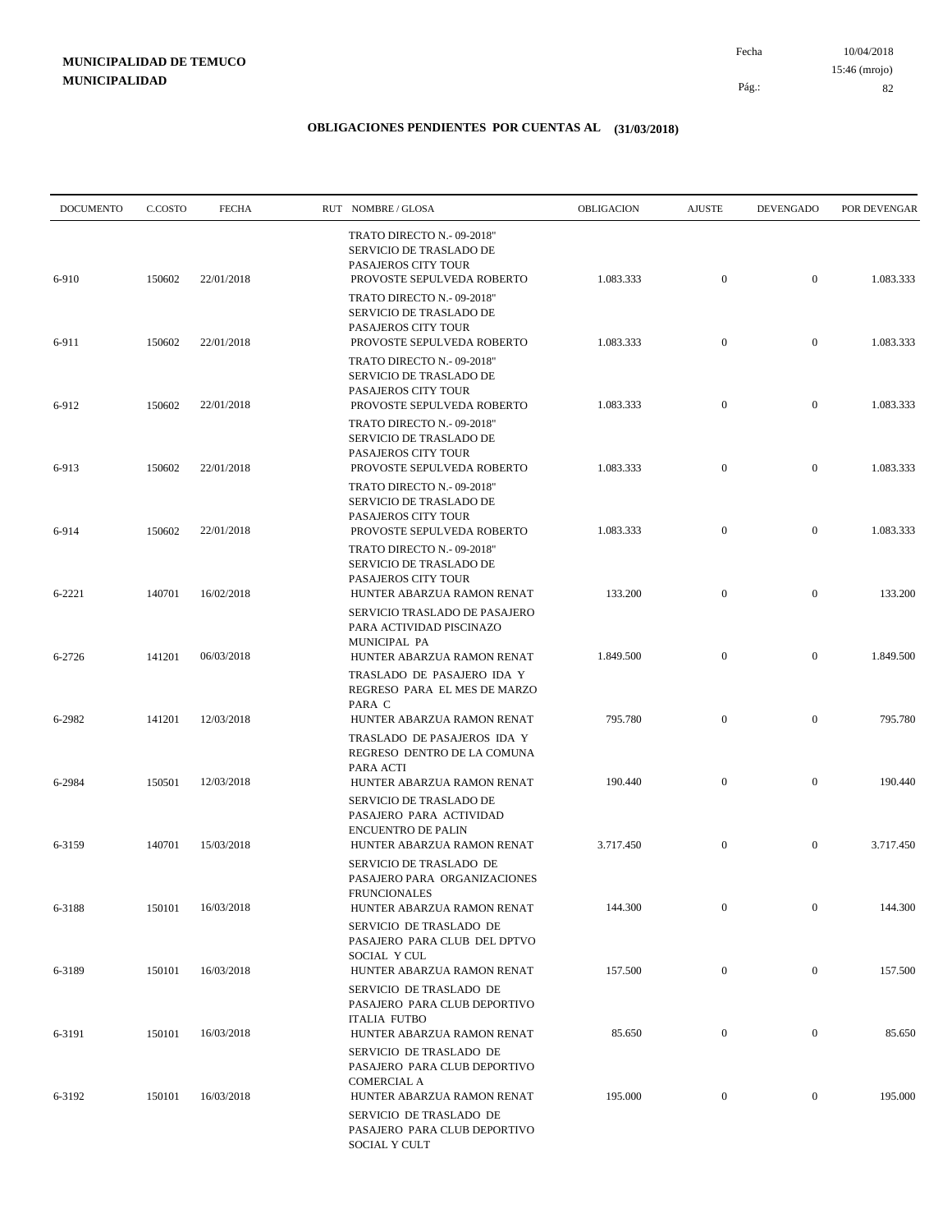10/04/2018 82 Pág.: Fecha 15:46 (mrojo)

| <b>DOCUMENTO</b> | C.COSTO | <b>FECHA</b> | RUT NOMBRE/GLOSA                                                                                                  | OBLIGACION | <b>AJUSTE</b>    | <b>DEVENGADO</b> | POR DEVENGAR |
|------------------|---------|--------------|-------------------------------------------------------------------------------------------------------------------|------------|------------------|------------------|--------------|
| 6-910            | 150602  | 22/01/2018   | TRATO DIRECTO N.- 09-2018"<br>SERVICIO DE TRASLADO DE<br>PASAJEROS CITY TOUR<br>PROVOSTE SEPULVEDA ROBERTO        | 1.083.333  | $\boldsymbol{0}$ | $\mathbf{0}$     | 1.083.333    |
|                  |         |              | TRATO DIRECTO N.- 09-2018"<br><b>SERVICIO DE TRASLADO DE</b><br>PASAJEROS CITY TOUR                               |            |                  |                  |              |
| 6-911            | 150602  | 22/01/2018   | PROVOSTE SEPULVEDA ROBERTO<br>TRATO DIRECTO N.- 09-2018"<br>SERVICIO DE TRASLADO DE<br>PASAJEROS CITY TOUR        | 1.083.333  | $\boldsymbol{0}$ | $\mathbf{0}$     | 1.083.333    |
| 6-912            | 150602  | 22/01/2018   | PROVOSTE SEPULVEDA ROBERTO<br>TRATO DIRECTO N.- 09-2018"<br>SERVICIO DE TRASLADO DE                               | 1.083.333  | $\mathbf{0}$     | $\mathbf{0}$     | 1.083.333    |
| 6-913            | 150602  | 22/01/2018   | PASAJEROS CITY TOUR<br>PROVOSTE SEPULVEDA ROBERTO<br>TRATO DIRECTO N.- 09-2018"                                   | 1.083.333  | $\boldsymbol{0}$ | $\mathbf{0}$     | 1.083.333    |
| 6-914            | 150602  | 22/01/2018   | SERVICIO DE TRASLADO DE<br>PASAJEROS CITY TOUR<br>PROVOSTE SEPULVEDA ROBERTO                                      | 1.083.333  | $\boldsymbol{0}$ | $\mathbf{0}$     | 1.083.333    |
| 6-2221           | 140701  | 16/02/2018   | TRATO DIRECTO N.- 09-2018"<br><b>SERVICIO DE TRASLADO DE</b><br>PASAJEROS CITY TOUR<br>HUNTER ABARZUA RAMON RENAT | 133.200    | $\boldsymbol{0}$ | $\mathbf{0}$     | 133.200      |
| 6-2726           | 141201  | 06/03/2018   | SERVICIO TRASLADO DE PASAJERO<br>PARA ACTIVIDAD PISCINAZO<br>MUNICIPAL PA<br>HUNTER ABARZUA RAMON RENAT           | 1.849.500  | $\overline{0}$   | $\mathbf{0}$     | 1.849.500    |
|                  |         |              | TRASLADO DE PASAJERO IDA Y<br>REGRESO PARA EL MES DE MARZO<br>PARA C                                              |            |                  |                  |              |
| 6-2982           | 141201  | 12/03/2018   | HUNTER ABARZUA RAMON RENAT<br>TRASLADO DE PASAJEROS IDA Y<br>REGRESO DENTRO DE LA COMUNA<br>PARA ACTI             | 795.780    | $\boldsymbol{0}$ | $\mathbf{0}$     | 795.780      |
| 6-2984           | 150501  | 12/03/2018   | HUNTER ABARZUA RAMON RENAT<br>SERVICIO DE TRASLADO DE<br>PASAJERO PARA ACTIVIDAD                                  | 190.440    | $\boldsymbol{0}$ | $\mathbf{0}$     | 190.440      |
| 6-3159           | 140701  | 15/03/2018   | <b>ENCUENTRO DE PALIN</b><br>HUNTER ABARZUA RAMON RENAT<br>SERVICIO DE TRASLADO DE                                | 3.717.450  | $\boldsymbol{0}$ | $\mathbf{0}$     | 3.717.450    |
| 6-3188           | 150101  | 16/03/2018   | PASAJERO PARA ORGANIZACIONES<br><b>FRUNCIONALES</b><br>HUNTER ABARZUA RAMON RENAT                                 | 144.300    | $\mathbf{0}$     | $\mathbf{0}$     | 144.300      |
|                  |         |              | SERVICIO DE TRASLADO DE<br>PASAJERO PARA CLUB DEL DPTVO<br>SOCIAL Y CUL                                           |            |                  |                  |              |
| 6-3189           | 150101  | 16/03/2018   | HUNTER ABARZUA RAMON RENAT<br>SERVICIO DE TRASLADO DE<br>PASAJERO PARA CLUB DEPORTIVO                             | 157.500    | $\boldsymbol{0}$ | $\boldsymbol{0}$ | 157.500      |
| 6-3191           | 150101  | 16/03/2018   | <b>ITALIA FUTBO</b><br>HUNTER ABARZUA RAMON RENAT<br>SERVICIO DE TRASLADO DE                                      | 85.650     | $\boldsymbol{0}$ | $\boldsymbol{0}$ | 85.650       |
| 6-3192           | 150101  | 16/03/2018   | PASAJERO PARA CLUB DEPORTIVO<br><b>COMERCIAL A</b><br>HUNTER ABARZUA RAMON RENAT                                  | 195.000    | $\bf{0}$         | $\boldsymbol{0}$ | 195.000      |
|                  |         |              | SERVICIO DE TRASLADO DE<br>PASAJERO PARA CLUB DEPORTIVO<br>SOCIAL Y CULT                                          |            |                  |                  |              |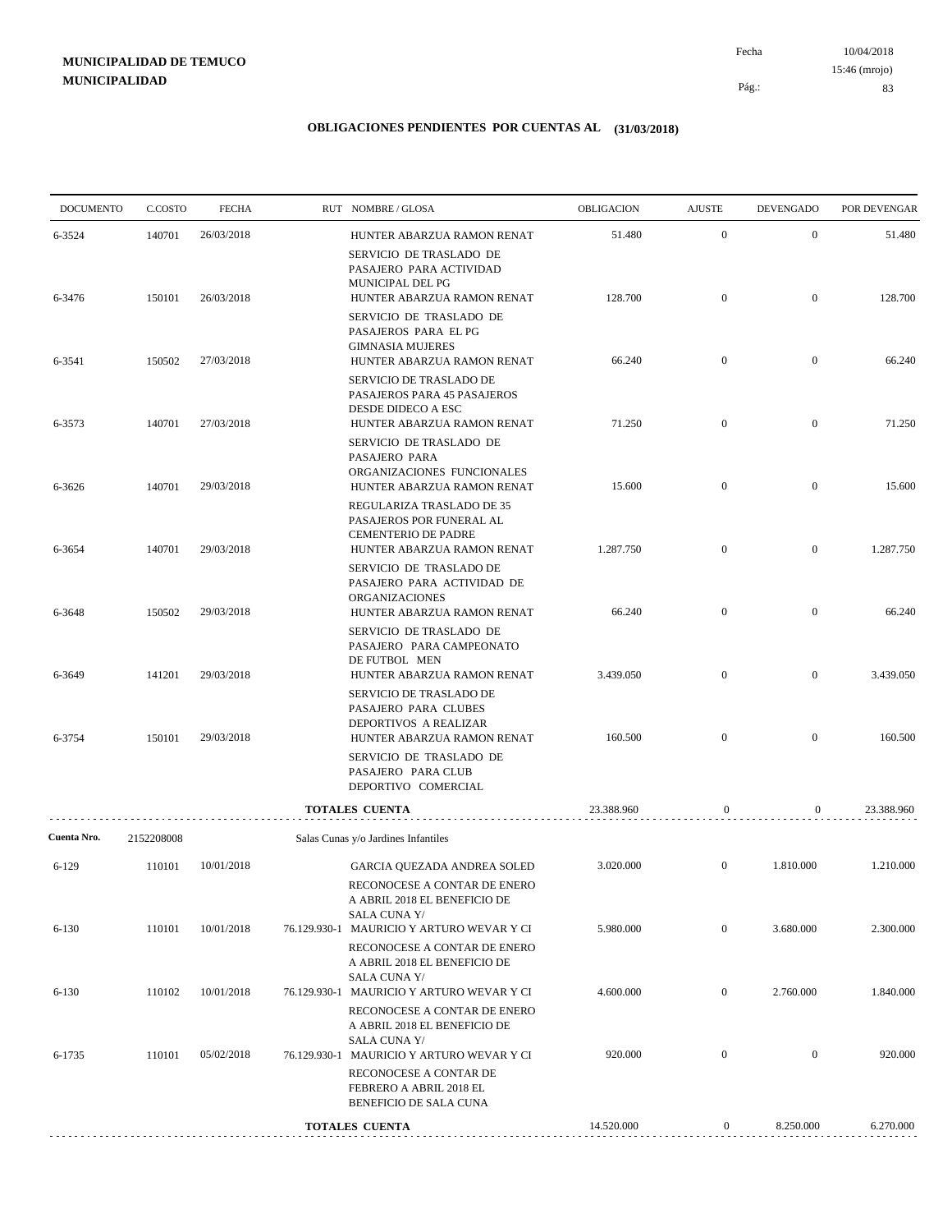10/04/2018 83 Pág.: Fecha 15:46 (mrojo)

| <b>DOCUMENTO</b> | C.COSTO    | <b>FECHA</b> | RUT NOMBRE/GLOSA                                                                                                      | OBLIGACION | <b>AJUSTE</b>    | <b>DEVENGADO</b> | POR DEVENGAR |
|------------------|------------|--------------|-----------------------------------------------------------------------------------------------------------------------|------------|------------------|------------------|--------------|
| 6-3524           | 140701     | 26/03/2018   | HUNTER ABARZUA RAMON RENAT                                                                                            | 51.480     | $\boldsymbol{0}$ | $\mathbf{0}$     | 51.480       |
| 6-3476           | 150101     | 26/03/2018   | SERVICIO DE TRASLADO DE<br>PASAJERO PARA ACTIVIDAD<br>MUNICIPAL DEL PG<br>HUNTER ABARZUA RAMON RENAT                  | 128.700    | $\mathbf{0}$     | $\overline{0}$   | 128.700      |
|                  |            |              | SERVICIO DE TRASLADO DE<br>PASAJEROS PARA EL PG<br><b>GIMNASIA MUJERES</b>                                            |            |                  |                  |              |
| 6-3541           | 150502     | 27/03/2018   | HUNTER ABARZUA RAMON RENAT                                                                                            | 66.240     | $\mathbf{0}$     | $\boldsymbol{0}$ | 66.240       |
| 6-3573           | 140701     | 27/03/2018   | SERVICIO DE TRASLADO DE<br>PASAJEROS PARA 45 PASAJEROS<br>DESDE DIDECO A ESC<br>HUNTER ABARZUA RAMON RENAT            | 71.250     | $\mathbf{0}$     | $\mathbf{0}$     | 71.250       |
|                  |            |              | SERVICIO DE TRASLADO DE<br>PASAJERO PARA<br>ORGANIZACIONES FUNCIONALES                                                |            |                  |                  |              |
| 6-3626           | 140701     | 29/03/2018   | HUNTER ABARZUA RAMON RENAT<br>REGULARIZA TRASLADO DE 35<br>PASAJEROS POR FUNERAL AL<br>CEMENTERIO DE PADRE            | 15.600     | $\mathbf{0}$     | $\boldsymbol{0}$ | 15.600       |
| 6-3654           | 140701     | 29/03/2018   | HUNTER ABARZUA RAMON RENAT<br>SERVICIO DE TRASLADO DE                                                                 | 1.287.750  | $\mathbf{0}$     | $\boldsymbol{0}$ | 1.287.750    |
| 6-3648           | 150502     | 29/03/2018   | PASAJERO PARA ACTIVIDAD DE<br>ORGANIZACIONES<br>HUNTER ABARZUA RAMON RENAT                                            | 66.240     | $\mathbf{0}$     | $\boldsymbol{0}$ | 66.240       |
|                  |            |              | SERVICIO DE TRASLADO DE<br>PASAJERO PARA CAMPEONATO<br>DE FUTBOL MEN                                                  |            |                  |                  |              |
| 6-3649           | 141201     | 29/03/2018   | HUNTER ABARZUA RAMON RENAT<br>SERVICIO DE TRASLADO DE<br>PASAJERO PARA CLUBES<br>DEPORTIVOS A REALIZAR                | 3.439.050  | $\mathbf{0}$     | $\boldsymbol{0}$ | 3.439.050    |
| 6-3754           | 150101     | 29/03/2018   | HUNTER ABARZUA RAMON RENAT<br>SERVICIO DE TRASLADO DE<br>PASAJERO PARA CLUB<br>DEPORTIVO COMERCIAL                    | 160.500    | $\mathbf{0}$     | $\mathbf{0}$     | 160.500      |
|                  |            |              | <b>TOTALES CUENTA</b>                                                                                                 | 23.388.960 | 0                | 0                | 23.388.960   |
| Cuenta Nro.      | 2152208008 |              | Salas Cunas y/o Jardines Infantiles                                                                                   |            |                  |                  |              |
| $6-129$          | 110101     | 10/01/2018   | GARCIA QUEZADA ANDREA SOLED<br>RECONOCESE A CONTAR DE ENERO                                                           | 3.020.000  | $\mathbf{0}$     | 1.810.000        | 1.210.000    |
| $6 - 130$        | 110101     | 10/01/2018   | A ABRIL 2018 EL BENEFICIO DE<br><b>SALA CUNA Y/</b><br>76.129.930-1 MAURICIO Y ARTURO WEVAR Y CI                      | 5.980.000  | $\mathbf{0}$     | 3.680.000        | 2.300.000    |
|                  |            |              | RECONOCESE A CONTAR DE ENERO<br>A ABRIL 2018 EL BENEFICIO DE<br><b>SALA CUNA Y/</b>                                   |            |                  |                  |              |
| $6 - 130$        | 110102     | 10/01/2018   | 76.129.930-1 MAURICIO Y ARTURO WEVAR Y CI<br>RECONOCESE A CONTAR DE ENERO<br>A ABRIL 2018 EL BENEFICIO DE             | 4.600.000  | $\mathbf{0}$     | 2.760.000        | 1.840.000    |
| 6-1735           | 110101     | 05/02/2018   | <b>SALA CUNA Y/</b><br>76.129.930-1 MAURICIO Y ARTURO WEVAR Y CI<br>RECONOCESE A CONTAR DE<br>FEBRERO A ABRIL 2018 EL | 920.000    | $\boldsymbol{0}$ | $\mathbf{0}$     | 920.000      |
|                  |            |              | BENEFICIO DE SALA CUNA                                                                                                |            |                  |                  |              |
|                  |            |              | <b>TOTALES CUENTA</b>                                                                                                 | 14.520.000 | $\boldsymbol{0}$ | 8.250.000        | 6.270.000    |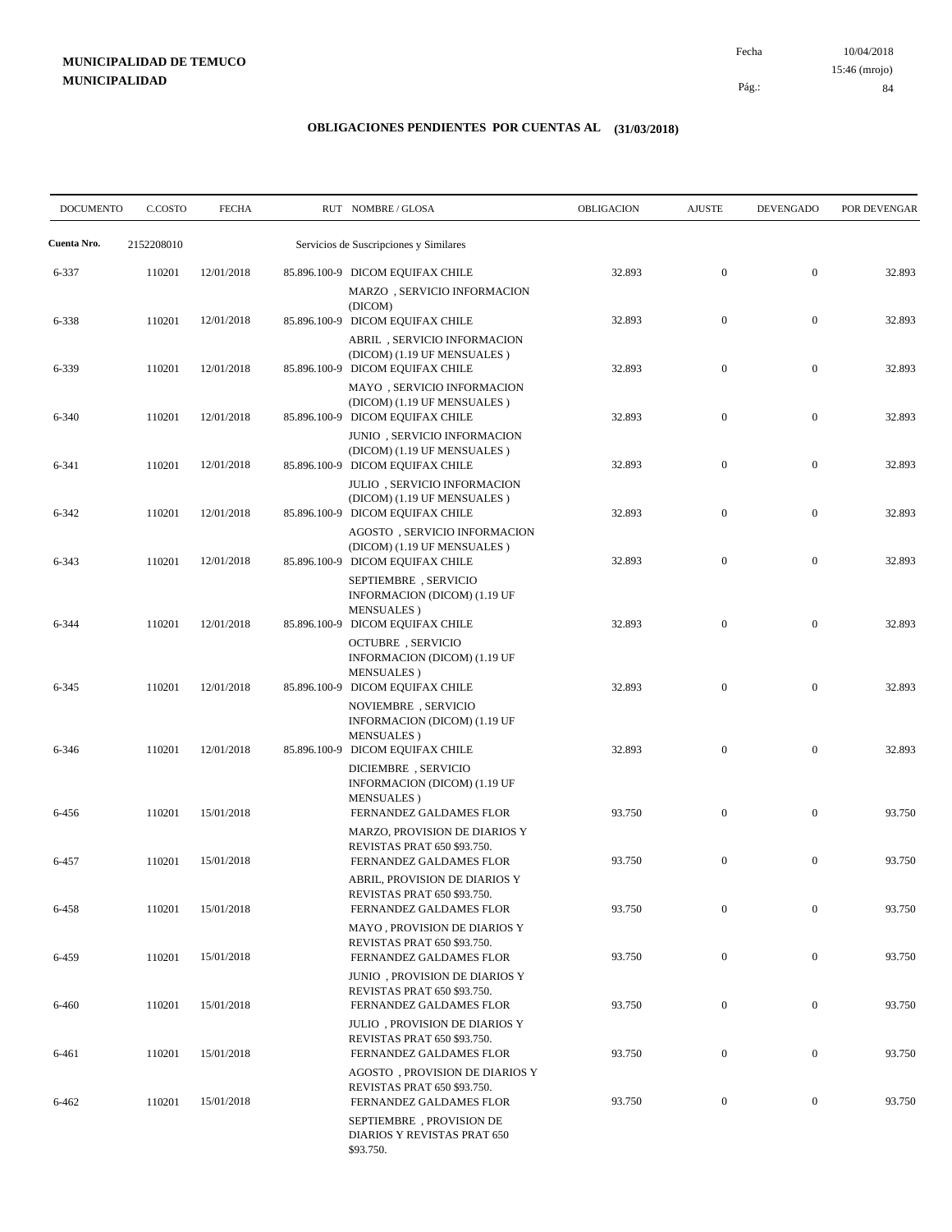10/04/2018 84 Pág.: Fecha 15:46 (mrojo)

| <b>DOCUMENTO</b> | C.COSTO    | <b>FECHA</b> | RUT NOMBRE/GLOSA                                                                                | OBLIGACION | <b>AJUSTE</b>    | <b>DEVENGADO</b> | POR DEVENGAR |
|------------------|------------|--------------|-------------------------------------------------------------------------------------------------|------------|------------------|------------------|--------------|
| Cuenta Nro.      | 2152208010 |              | Servicios de Suscripciones y Similares                                                          |            |                  |                  |              |
| 6-337            | 110201     | 12/01/2018   | 85.896.100-9 DICOM EQUIFAX CHILE<br>MARZO, SERVICIO INFORMACION                                 | 32.893     | $\mathbf{0}$     | $\mathbf{0}$     | 32.893       |
| 6-338            | 110201     | 12/01/2018   | (DICOM)<br>85.896.100-9 DICOM EQUIFAX CHILE<br>ABRIL, SERVICIO INFORMACION                      | 32.893     | $\mathbf{0}$     | $\mathbf{0}$     | 32.893       |
| 6-339            | 110201     | 12/01/2018   | (DICOM) (1.19 UF MENSUALES)<br>85.896.100-9 DICOM EQUIFAX CHILE<br>MAYO, SERVICIO INFORMACION   | 32.893     | $\boldsymbol{0}$ | $\mathbf{0}$     | 32.893       |
| 6-340            | 110201     | 12/01/2018   | (DICOM) (1.19 UF MENSUALES)<br>85.896.100-9 DICOM EQUIFAX CHILE<br>JUNIO, SERVICIO INFORMACION  | 32.893     | $\boldsymbol{0}$ | $\mathbf{0}$     | 32.893       |
| 6-341            | 110201     | 12/01/2018   | (DICOM) (1.19 UF MENSUALES)<br>85.896.100-9 DICOM EQUIFAX CHILE                                 | 32.893     | $\mathbf{0}$     | $\mathbf{0}$     | 32.893       |
| 6-342            | 110201     | 12/01/2018   | JULIO, SERVICIO INFORMACION<br>(DICOM) (1.19 UF MENSUALES)<br>85.896.100-9 DICOM EQUIFAX CHILE  | 32.893     | $\boldsymbol{0}$ | $\mathbf{0}$     | 32.893       |
| 6-343            | 110201     | 12/01/2018   | AGOSTO, SERVICIO INFORMACION<br>(DICOM) (1.19 UF MENSUALES)<br>85.896.100-9 DICOM EQUIFAX CHILE | 32.893     | $\mathbf{0}$     | $\mathbf{0}$     | 32.893       |
|                  |            |              | SEPTIEMBRE, SERVICIO<br>INFORMACION (DICOM) (1.19 UF<br>MENSUALES)                              |            |                  |                  |              |
| 6-344            | 110201     | 12/01/2018   | 85.896.100-9 DICOM EQUIFAX CHILE<br><b>OCTUBRE</b> , SERVICIO<br>INFORMACION (DICOM) (1.19 UF   | 32.893     | $\mathbf{0}$     | $\mathbf{0}$     | 32.893       |
| 6-345            | 110201     | 12/01/2018   | MENSUALES)<br>85.896.100-9 DICOM EQUIFAX CHILE<br>NOVIEMBRE, SERVICIO                           | 32.893     | $\mathbf{0}$     | $\mathbf{0}$     | 32.893       |
| 6-346            | 110201     | 12/01/2018   | INFORMACION (DICOM) (1.19 UF<br><b>MENSUALES</b> )<br>85.896.100-9 DICOM EQUIFAX CHILE          | 32.893     | $\mathbf{0}$     | $\mathbf{0}$     | 32.893       |
|                  |            |              | DICIEMBRE, SERVICIO<br>INFORMACION (DICOM) (1.19 UF<br><b>MENSUALES</b> )                       |            |                  |                  |              |
| 6-456            | 110201     | 15/01/2018   | FERNANDEZ GALDAMES FLOR<br>MARZO, PROVISION DE DIARIOS Y<br>REVISTAS PRAT 650 \$93.750.         | 93.750     | $\mathbf{0}$     | $\mathbf{0}$     | 93.750       |
| 6-457            | 110201     | 15/01/2018   | FERNANDEZ GALDAMES FLOR<br>ABRIL, PROVISION DE DIARIOS Y                                        | 93.750     | $\mathbf{0}$     | $\boldsymbol{0}$ | 93.750       |
| 6-458            | 110201     | 15/01/2018   | REVISTAS PRAT 650 \$93.750.<br>FERNANDEZ GALDAMES FLOR<br>MAYO, PROVISION DE DIARIOS Y          | 93.750     | $\mathbf{0}$     | $\boldsymbol{0}$ | 93.750       |
| 6-459            | 110201     | 15/01/2018   | REVISTAS PRAT 650 \$93.750.<br>FERNANDEZ GALDAMES FLOR                                          | 93.750     | $\boldsymbol{0}$ | $\boldsymbol{0}$ | 93.750       |
| 6-460            | 110201     | 15/01/2018   | JUNIO, PROVISION DE DIARIOS Y<br>REVISTAS PRAT 650 \$93.750.<br>FERNANDEZ GALDAMES FLOR         | 93.750     | $\boldsymbol{0}$ | $\overline{0}$   | 93.750       |
| 6-461            | 110201     | 15/01/2018   | JULIO, PROVISION DE DIARIOS Y<br>REVISTAS PRAT 650 \$93.750.<br>FERNANDEZ GALDAMES FLOR         | 93.750     | $\boldsymbol{0}$ | $\overline{0}$   | 93.750       |
| 6-462            | 110201     | 15/01/2018   | AGOSTO, PROVISION DE DIARIOS Y<br>REVISTAS PRAT 650 \$93.750.<br>FERNANDEZ GALDAMES FLOR        | 93.750     | $\boldsymbol{0}$ | $\boldsymbol{0}$ | 93.750       |
|                  |            |              | SEPTIEMBRE, PROVISION DE<br>DIARIOS Y REVISTAS PRAT 650<br>\$93.750.                            |            |                  |                  |              |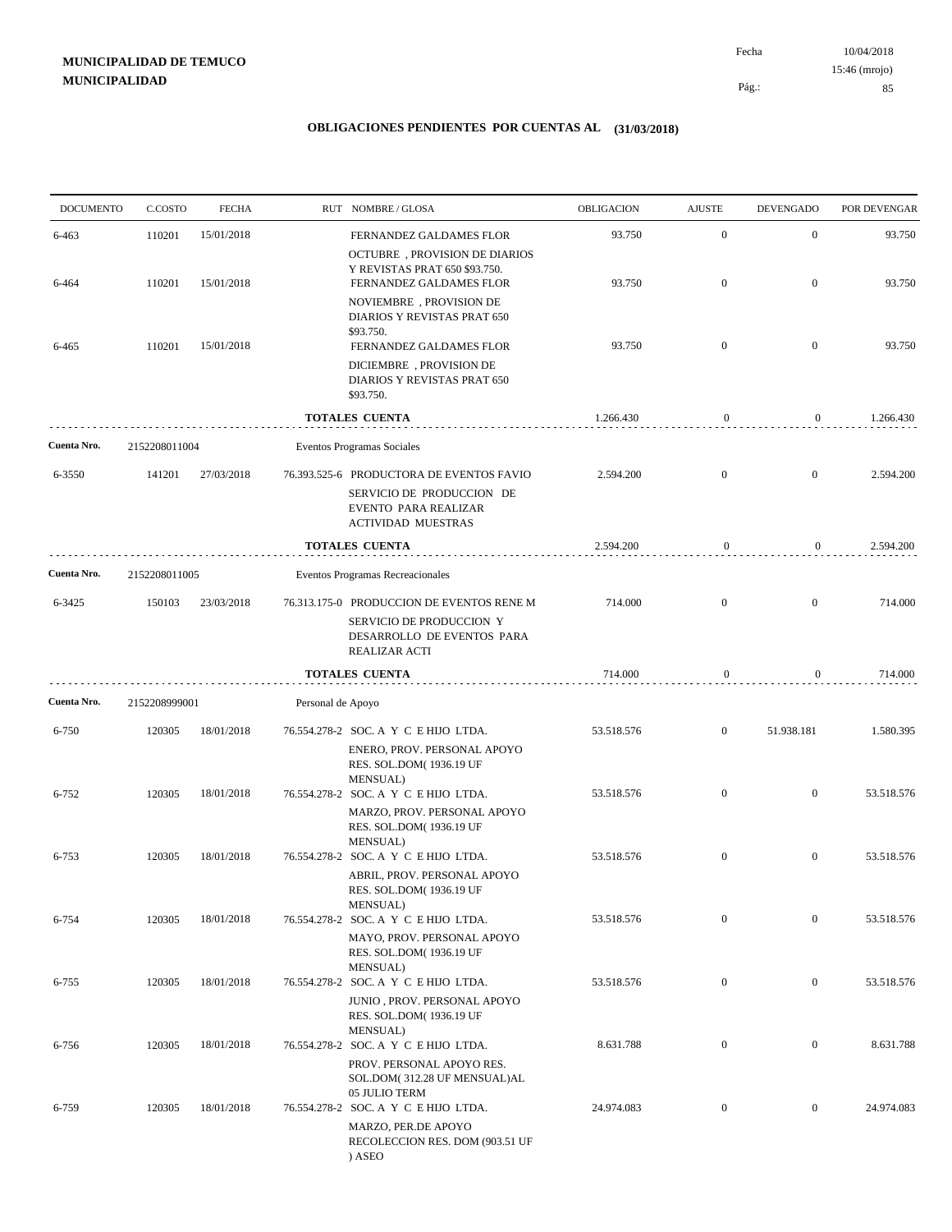10/04/2018 85 Pág.: Fecha 15:46 (mrojo)

| <b>DOCUMENTO</b> | C.COSTO       | <b>FECHA</b> |                   | RUT NOMBRE/GLOSA                                                                                           | OBLIGACION | <b>AJUSTE</b>    | <b>DEVENGADO</b> |                                                                                                                                                                                           |
|------------------|---------------|--------------|-------------------|------------------------------------------------------------------------------------------------------------|------------|------------------|------------------|-------------------------------------------------------------------------------------------------------------------------------------------------------------------------------------------|
| 6-463            | 110201        | 15/01/2018   |                   | FERNANDEZ GALDAMES FLOR                                                                                    | 93.750     | $\mathbf{0}$     | $\mathbf{0}$     |                                                                                                                                                                                           |
|                  |               |              |                   | <b>OCTUBRE</b> , PROVISION DE DIARIOS<br>Y REVISTAS PRAT 650 \$93.750.                                     |            |                  |                  |                                                                                                                                                                                           |
| 6-464            | 110201        | 15/01/2018   |                   | FERNANDEZ GALDAMES FLOR                                                                                    | 93.750     | $\mathbf{0}$     | $\mathbf{0}$     |                                                                                                                                                                                           |
|                  |               |              |                   | NOVIEMBRE, PROVISION DE<br>DIARIOS Y REVISTAS PRAT 650<br>\$93.750.                                        |            |                  |                  |                                                                                                                                                                                           |
| 6-465            | 110201        | 15/01/2018   |                   | FERNANDEZ GALDAMES FLOR                                                                                    | 93.750     | $\mathbf{0}$     | $\overline{0}$   |                                                                                                                                                                                           |
|                  |               |              |                   | DICIEMBRE, PROVISION DE<br>DIARIOS Y REVISTAS PRAT 650<br>\$93.750.                                        |            |                  |                  | POR DEVENGAR<br>93.750<br>93.750<br>93.750<br>1.266.430<br>2.594.200<br>2.594.200<br>714.000<br>714.000<br>1.580.395<br>53.518.576<br>53.518.576<br>53.518.576<br>53.518.576<br>8.631.788 |
|                  |               |              |                   | <b>TOTALES CUENTA</b>                                                                                      | 1.266.430  | $\boldsymbol{0}$ | $\overline{0}$   |                                                                                                                                                                                           |
| Cuenta Nro.      | 2152208011004 |              |                   | Eventos Programas Sociales                                                                                 |            |                  |                  |                                                                                                                                                                                           |
| 6-3550           | 141201        | 27/03/2018   |                   | 76.393.525-6 PRODUCTORA DE EVENTOS FAVIO                                                                   | 2.594.200  | $\mathbf{0}$     | $\mathbf{0}$     |                                                                                                                                                                                           |
|                  |               |              |                   | SERVICIO DE PRODUCCION DE<br>EVENTO PARA REALIZAR<br><b>ACTIVIDAD MUESTRAS</b>                             |            |                  |                  |                                                                                                                                                                                           |
|                  |               |              |                   | <b>TOTALES CUENTA</b>                                                                                      | 2.594.200  | $\boldsymbol{0}$ | $\overline{0}$   |                                                                                                                                                                                           |
| Cuenta Nro.      | 2152208011005 |              |                   | Eventos Programas Recreacionales                                                                           |            |                  |                  |                                                                                                                                                                                           |
| 6-3425           | 150103        | 23/03/2018   |                   | 76.313.175-0 PRODUCCION DE EVENTOS RENE M                                                                  | 714.000    | $\mathbf{0}$     | $\mathbf{0}$     |                                                                                                                                                                                           |
|                  |               |              |                   | SERVICIO DE PRODUCCION Y<br>DESARROLLO DE EVENTOS PARA<br>REALIZAR ACTI                                    |            |                  |                  |                                                                                                                                                                                           |
|                  |               |              |                   | <b>TOTALES CUENTA</b>                                                                                      | 714.000    | 0                | 0                |                                                                                                                                                                                           |
| Cuenta Nro.      | 2152208999001 |              | Personal de Apoyo |                                                                                                            |            |                  |                  |                                                                                                                                                                                           |
| $6 - 750$        | 120305        | 18/01/2018   |                   | 76.554.278-2 SOC. A Y C E HIJO LTDA.<br>ENERO, PROV. PERSONAL APOYO<br>RES. SOL.DOM(1936.19 UF<br>MENSUAL) | 53.518.576 | $\mathbf{0}$     | 51.938.181       |                                                                                                                                                                                           |
| $6 - 752$        | 120305        | 18/01/2018   |                   | 76.554.278-2 SOC. A Y C E HIJO LTDA.                                                                       | 53.518.576 | $\mathbf{0}$     | $\mathbf{0}$     |                                                                                                                                                                                           |
|                  |               |              |                   | MARZO, PROV. PERSONAL APOYO<br>RES. SOL.DOM(1936.19 UF                                                     |            |                  |                  |                                                                                                                                                                                           |
| 6-753            | 120305        | 18/01/2018   |                   | <b>MENSUAL</b> )<br>76.554.278-2 SOC. A Y C E HIJO LTDA.                                                   | 53.518.576 | $\mathbf{0}$     | $\mathbf{0}$     |                                                                                                                                                                                           |
|                  |               |              |                   | ABRIL, PROV. PERSONAL APOYO<br>RES. SOL.DOM(1936.19 UF<br>MENSUAL)                                         |            |                  |                  |                                                                                                                                                                                           |
| 6-754            | 120305        | 18/01/2018   |                   | 76.554.278-2 SOC. A Y C E HIJO LTDA.                                                                       | 53.518.576 | $\mathbf{0}$     | $\boldsymbol{0}$ |                                                                                                                                                                                           |
|                  |               |              |                   | MAYO, PROV. PERSONAL APOYO<br>RES. SOL.DOM(1936.19 UF<br>MENSUAL)                                          |            |                  |                  |                                                                                                                                                                                           |
| $6 - 755$        | 120305        | 18/01/2018   |                   | 76.554.278-2 SOC. A Y C E HIJO LTDA.                                                                       | 53.518.576 | $\mathbf{0}$     | $\overline{0}$   |                                                                                                                                                                                           |
|                  |               |              |                   | JUNIO, PROV. PERSONAL APOYO<br>RES. SOL.DOM(1936.19 UF<br>MENSUAL)                                         |            |                  |                  |                                                                                                                                                                                           |
| 6-756            | 120305        | 18/01/2018   |                   | 76.554.278-2 SOC. A Y C E HIJO LTDA.                                                                       | 8.631.788  | $\boldsymbol{0}$ | $\overline{0}$   |                                                                                                                                                                                           |
|                  |               |              |                   | PROV. PERSONAL APOYO RES.<br>SOL.DOM(312.28 UF MENSUAL)AL<br>05 JULIO TERM                                 |            |                  |                  |                                                                                                                                                                                           |
| 6-759            | 120305        | 18/01/2018   |                   | 76.554.278-2 SOC. A Y C E HIJO LTDA.<br>MARZO, PER.DE APOYO<br>RECOLECCION RES. DOM (903.51 UF<br>) ASEO   | 24.974.083 | $\mathbf{0}$     | $\mathbf{0}$     | 24.974.083                                                                                                                                                                                |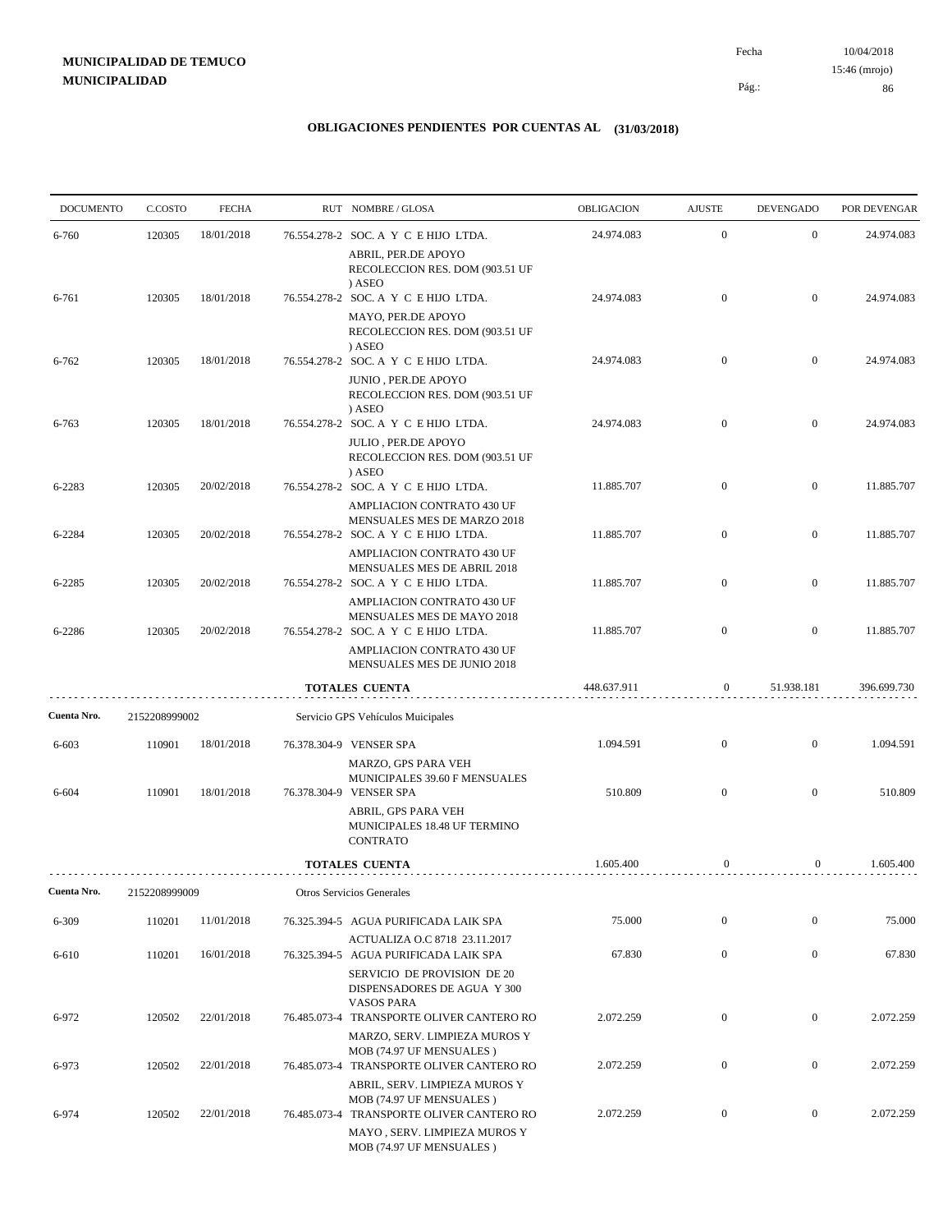10/04/2018 86 Pág.: Fecha 15:46 (mrojo)

| <b>DOCUMENTO</b> | C.COSTO       | <b>FECHA</b> | RUT NOMBRE/GLOSA                                                                                       | OBLIGACION  | <b>AJUSTE</b>    | <b>DEVENGADO</b> | POR DEVENGAR |
|------------------|---------------|--------------|--------------------------------------------------------------------------------------------------------|-------------|------------------|------------------|--------------|
| $6 - 760$        | 120305        | 18/01/2018   | 76.554.278-2 SOC. A Y C E HIJO LTDA.                                                                   | 24.974.083  | $\mathbf{0}$     | $\overline{0}$   | 24.974.083   |
|                  |               |              | ABRIL, PER.DE APOYO<br>RECOLECCION RES. DOM (903.51 UF<br>) ASEO                                       |             |                  |                  |              |
| 6-761            | 120305        | 18/01/2018   | 76.554.278-2 SOC. A Y C E HIJO LTDA.                                                                   | 24.974.083  | $\overline{0}$   | $\overline{0}$   | 24.974.083   |
|                  |               |              | MAYO, PER.DE APOYO<br>RECOLECCION RES. DOM (903.51 UF<br>) ASEO                                        |             |                  |                  |              |
| $6 - 762$        | 120305        | 18/01/2018   | 76.554.278-2 SOC. A Y C E HIJO LTDA.                                                                   | 24.974.083  | $\overline{0}$   | $\overline{0}$   | 24.974.083   |
|                  |               |              | JUNIO, PER.DE APOYO<br>RECOLECCION RES. DOM (903.51 UF<br>) ASEO                                       |             |                  |                  |              |
| 6-763            | 120305        | 18/01/2018   | 76.554.278-2 SOC. A Y C E HIJO LTDA.                                                                   | 24.974.083  | $\overline{0}$   | $\overline{0}$   | 24.974.083   |
|                  |               |              | <b>JULIO, PER.DE APOYO</b><br>RECOLECCION RES. DOM (903.51 UF<br>) ASEO                                |             |                  |                  |              |
| 6-2283           | 120305        | 20/02/2018   | 76.554.278-2 SOC. A Y C E HIJO LTDA.                                                                   | 11.885.707  | $\overline{0}$   | $\mathbf{0}$     | 11.885.707   |
| 6-2284           | 120305        | 20/02/2018   | AMPLIACION CONTRATO 430 UF<br>MENSUALES MES DE MARZO 2018<br>76.554.278-2 SOC. A Y C E HIJO LTDA.      | 11.885.707  | $\overline{0}$   | $\overline{0}$   | 11.885.707   |
|                  |               |              | AMPLIACION CONTRATO 430 UF                                                                             |             |                  |                  |              |
| 6-2285           | 120305        | 20/02/2018   | MENSUALES MES DE ABRIL 2018<br>76.554.278-2 SOC. A Y C E HIJO LTDA.                                    | 11.885.707  | $\overline{0}$   | $\mathbf{0}$     | 11.885.707   |
| 6-2286           | 120305        | 20/02/2018   | AMPLIACION CONTRATO 430 UF<br>MENSUALES MES DE MAYO 2018<br>76.554.278-2 SOC. A Y C E HIJO LTDA.       | 11.885.707  | $\overline{0}$   | $\overline{0}$   | 11.885.707   |
|                  |               |              | AMPLIACION CONTRATO 430 UF<br>MENSUALES MES DE JUNIO 2018                                              |             |                  |                  |              |
|                  |               |              | <b>TOTALES CUENTA</b>                                                                                  | 448.637.911 | $\overline{0}$   | 51.938.181       | 396.699.730  |
| Cuenta Nro.      | 2152208999002 |              | Servicio GPS Vehículos Muicipales                                                                      |             |                  |                  |              |
| 6-603            | 110901        | 18/01/2018   | 76.378.304-9 VENSER SPA                                                                                | 1.094.591   | $\overline{0}$   | $\overline{0}$   | 1.094.591    |
| 6-604            | 110901        | 18/01/2018   | MARZO, GPS PARA VEH<br>MUNICIPALES 39.60 F MENSUALES<br>76.378.304-9 VENSER SPA                        | 510.809     | $\overline{0}$   | $\overline{0}$   | 510.809      |
|                  |               |              | ABRIL, GPS PARA VEH<br>MUNICIPALES 18.48 UF TERMINO<br><b>CONTRATO</b>                                 |             |                  |                  |              |
|                  |               |              | <b>TOTALES CUENTA</b>                                                                                  | 1.605.400   | 0                | $\overline{0}$   | 1.605.400    |
| Cuenta Nro.      | 2152208999009 |              | Otros Servicios Generales                                                                              |             |                  |                  |              |
| 6-309            | 110201        | 11/01/2018   | 76.325.394-5 AGUA PURIFICADA LAIK SPA                                                                  | 75.000      | $\boldsymbol{0}$ | $\boldsymbol{0}$ | 75.000       |
| 6-610            | 110201        | 16/01/2018   | ACTUALIZA O.C 8718 23.11.2017<br>76.325.394-5 AGUA PURIFICADA LAIK SPA                                 | 67.830      | $\mathbf{0}$     | $\boldsymbol{0}$ | 67.830       |
|                  |               |              | SERVICIO DE PROVISION DE 20<br>DISPENSADORES DE AGUA Y 300<br><b>VASOS PARA</b>                        |             |                  |                  |              |
| 6-972            | 120502        | 22/01/2018   | 76.485.073-4 TRANSPORTE OLIVER CANTERO RO                                                              | 2.072.259   | $\boldsymbol{0}$ | $\boldsymbol{0}$ | 2.072.259    |
| 6-973            | 120502        | 22/01/2018   | MARZO, SERV. LIMPIEZA MUROS Y<br>MOB (74.97 UF MENSUALES)<br>76.485.073-4 TRANSPORTE OLIVER CANTERO RO | 2.072.259   | $\boldsymbol{0}$ | $\boldsymbol{0}$ | 2.072.259    |
| 6-974            | 120502        | 22/01/2018   | ABRIL, SERV. LIMPIEZA MUROS Y<br>MOB (74.97 UF MENSUALES)                                              | 2.072.259   | $\boldsymbol{0}$ | $\boldsymbol{0}$ | 2.072.259    |
|                  |               |              | 76.485.073-4 TRANSPORTE OLIVER CANTERO RO<br>MAYO, SERV. LIMPIEZA MUROS Y<br>MOB (74.97 UF MENSUALES)  |             |                  |                  |              |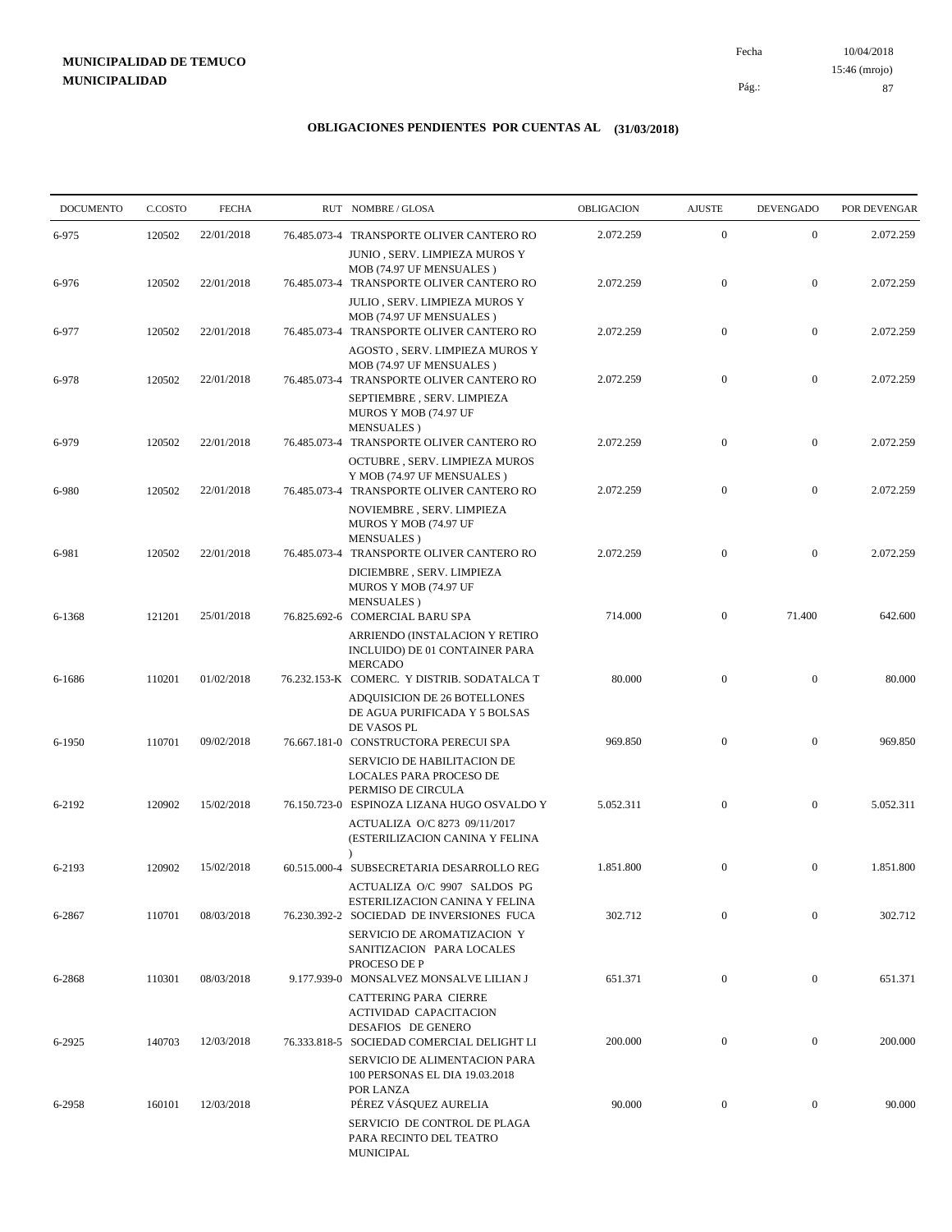10/04/2018 87 Pág.: Fecha 15:46 (mrojo)

| <b>DOCUMENTO</b> | C.COSTO | <b>FECHA</b> | RUT NOMBRE/GLOSA                                                                                                | OBLIGACION | <b>AJUSTE</b>    | <b>DEVENGADO</b> | POR DEVENGAR |
|------------------|---------|--------------|-----------------------------------------------------------------------------------------------------------------|------------|------------------|------------------|--------------|
| 6-975            | 120502  | 22/01/2018   | 76.485.073-4 TRANSPORTE OLIVER CANTERO RO                                                                       | 2.072.259  | $\mathbf{0}$     | $\mathbf{0}$     | 2.072.259    |
| 6-976            | 120502  | 22/01/2018   | JUNIO , SERV. LIMPIEZA MUROS Y<br>MOB (74.97 UF MENSUALES)<br>76.485.073-4 TRANSPORTE OLIVER CANTERO RO         | 2.072.259  | $\boldsymbol{0}$ | $\mathbf{0}$     | 2.072.259    |
| 6-977            | 120502  | 22/01/2018   | JULIO, SERV. LIMPIEZA MUROS Y<br>MOB (74.97 UF MENSUALES)<br>76.485.073-4 TRANSPORTE OLIVER CANTERO RO          | 2.072.259  | $\boldsymbol{0}$ | $\mathbf{0}$     | 2.072.259    |
| 6-978            | 120502  | 22/01/2018   | AGOSTO, SERV. LIMPIEZA MUROS Y<br>MOB (74.97 UF MENSUALES)<br>76.485.073-4 TRANSPORTE OLIVER CANTERO RO         | 2.072.259  | $\boldsymbol{0}$ | $\mathbf{0}$     | 2.072.259    |
|                  |         |              | SEPTIEMBRE, SERV. LIMPIEZA<br>MUROS Y MOB (74.97 UF<br><b>MENSUALES</b> )                                       |            |                  |                  |              |
| 6-979            | 120502  | 22/01/2018   | 76.485.073-4 TRANSPORTE OLIVER CANTERO RO<br>OCTUBRE, SERV. LIMPIEZA MUROS                                      | 2.072.259  | $\mathbf{0}$     | $\mathbf{0}$     | 2.072.259    |
| 6-980            | 120502  | 22/01/2018   | Y MOB (74.97 UF MENSUALES)<br>76.485.073-4 TRANSPORTE OLIVER CANTERO RO<br>NOVIEMBRE, SERV. LIMPIEZA            | 2.072.259  | $\mathbf{0}$     | $\mathbf{0}$     | 2.072.259    |
| 6-981            | 120502  | 22/01/2018   | MUROS Y MOB (74.97 UF<br><b>MENSUALES</b> )<br>76.485.073-4 TRANSPORTE OLIVER CANTERO RO                        | 2.072.259  | $\mathbf{0}$     | $\mathbf{0}$     | 2.072.259    |
|                  |         |              | DICIEMBRE, SERV. LIMPIEZA<br>MUROS Y MOB (74.97 UF<br><b>MENSUALES</b> )                                        |            |                  |                  |              |
| 6-1368           | 121201  | 25/01/2018   | 76.825.692-6 COMERCIAL BARU SPA<br>ARRIENDO (INSTALACION Y RETIRO<br>INCLUIDO) DE 01 CONTAINER PARA             | 714.000    | $\boldsymbol{0}$ | 71.400           | 642.600      |
| 6-1686           | 110201  | 01/02/2018   | <b>MERCADO</b><br>76.232.153-K COMERC. Y DISTRIB. SODATALCA T<br>ADQUISICION DE 26 BOTELLONES                   | 80.000     | $\mathbf{0}$     | $\mathbf{0}$     | 80.000       |
| 6-1950           | 110701  | 09/02/2018   | DE AGUA PURIFICADA Y 5 BOLSAS<br>DE VASOS PL<br>76.667.181-0 CONSTRUCTORA PERECUI SPA                           | 969.850    | $\mathbf{0}$     | $\mathbf{0}$     | 969.850      |
|                  |         |              | SERVICIO DE HABILITACION DE<br>LOCALES PARA PROCESO DE<br>PERMISO DE CIRCULA                                    |            |                  |                  |              |
| 6-2192           | 120902  | 15/02/2018   | 76.150.723-0 ESPINOZA LIZANA HUGO OSVALDO Y<br>ACTUALIZA O/C 8273 09/11/2017<br>(ESTERILIZACION CANINA Y FELINA | 5.052.311  | $\mathbf{0}$     | $\mathbf{0}$     | 5.052.311    |
| 6-2193           | 120902  | 15/02/2018   | $\lambda$<br>60.515.000-4 SUBSECRETARIA DESARROLLO REG                                                          | 1.851.800  | $\mathbf{0}$     | $\mathbf{0}$     | 1.851.800    |
| 6-2867           | 110701  | 08/03/2018   | ACTUALIZA O/C 9907 SALDOS PG<br>ESTERILIZACION CANINA Y FELINA<br>76.230.392-2 SOCIEDAD DE INVERSIONES FUCA     | 302.712    | $\mathbf{0}$     | $\mathbf{0}$     | 302.712      |
|                  |         |              | SERVICIO DE AROMATIZACION Y<br>SANITIZACION PARA LOCALES<br>PROCESO DE P                                        |            |                  |                  |              |
| 6-2868           | 110301  | 08/03/2018   | 9.177.939-0 MONSALVEZ MONSALVE LILIAN J<br><b>CATTERING PARA CIERRE</b>                                         | 651.371    | $\boldsymbol{0}$ | $\mathbf{0}$     | 651.371      |
| 6-2925           | 140703  | 12/03/2018   | <b>ACTIVIDAD CAPACITACION</b><br><b>DESAFIOS DE GENERO</b><br>76.333.818-5 SOCIEDAD COMERCIAL DELIGHT LI        | 200.000    | $\mathbf{0}$     | $\boldsymbol{0}$ | 200.000      |
|                  |         |              | <b>SERVICIO DE ALIMENTACION PARA</b><br>100 PERSONAS EL DIA 19.03.2018<br>POR LANZA                             |            |                  |                  |              |
| 6-2958           | 160101  | 12/03/2018   | PÉREZ VÁSQUEZ AURELIA<br>SERVICIO DE CONTROL DE PLAGA<br>PARA RECINTO DEL TEATRO<br>MUNICIPAL                   | 90.000     | $\mathbf{0}$     | $\mathbf{0}$     | 90.000       |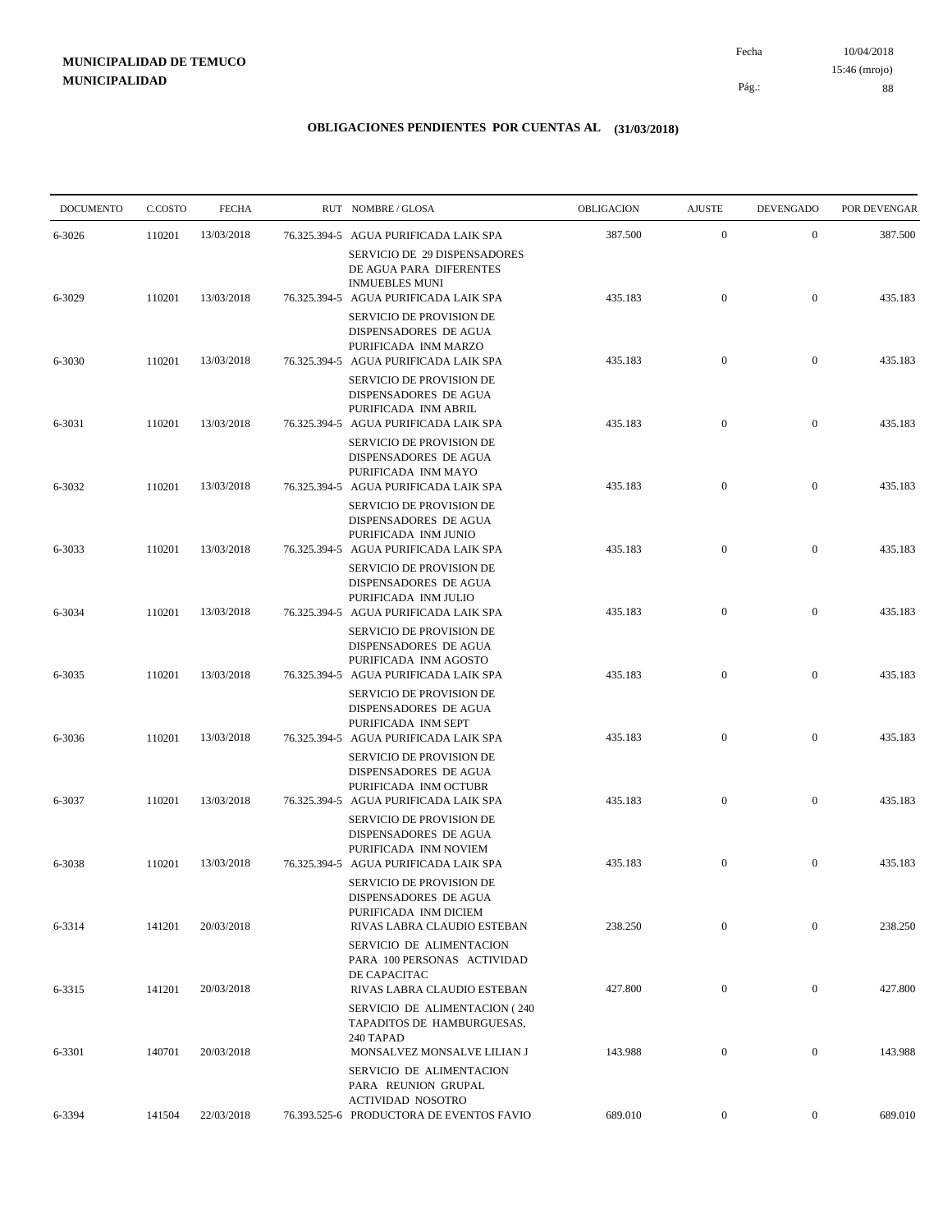10/04/2018 88 Pág.: Fecha 15:46 (mrojo)

| <b>DOCUMENTO</b> | C.COSTO | <b>FECHA</b> | RUT NOMBRE/GLOSA                                                                                                                                      | <b>OBLIGACION</b> | <b>AJUSTE</b>    | <b>DEVENGADO</b> | POR DEVENGAR |
|------------------|---------|--------------|-------------------------------------------------------------------------------------------------------------------------------------------------------|-------------------|------------------|------------------|--------------|
| 6-3026           | 110201  | 13/03/2018   | 76.325.394-5 AGUA PURIFICADA LAIK SPA<br>SERVICIO DE 29 DISPENSADORES                                                                                 | 387.500           | $\boldsymbol{0}$ | $\mathbf{0}$     | 387.500      |
| 6-3029           | 110201  | 13/03/2018   | DE AGUA PARA DIFERENTES<br><b>INMUEBLES MUNI</b><br>76.325.394-5 AGUA PURIFICADA LAIK SPA<br><b>SERVICIO DE PROVISION DE</b><br>DISPENSADORES DE AGUA | 435.183           | $\boldsymbol{0}$ | $\mathbf{0}$     | 435.183      |
| 6-3030           | 110201  | 13/03/2018   | PURIFICADA INM MARZO<br>76.325.394-5 AGUA PURIFICADA LAIK SPA<br>SERVICIO DE PROVISION DE                                                             | 435.183           | $\boldsymbol{0}$ | $\mathbf{0}$     | 435.183      |
| 6-3031           | 110201  | 13/03/2018   | DISPENSADORES DE AGUA<br>PURIFICADA INM ABRIL<br>76.325.394-5 AGUA PURIFICADA LAIK SPA                                                                | 435.183           | $\boldsymbol{0}$ | $\mathbf{0}$     | 435.183      |
| 6-3032           | 110201  | 13/03/2018   | SERVICIO DE PROVISION DE<br>DISPENSADORES DE AGUA<br>PURIFICADA INM MAYO<br>76.325.394-5 AGUA PURIFICADA LAIK SPA                                     | 435.183           | $\boldsymbol{0}$ | $\boldsymbol{0}$ | 435.183      |
|                  |         |              | SERVICIO DE PROVISION DE<br>DISPENSADORES DE AGUA<br>PURIFICADA INM JUNIO                                                                             |                   |                  |                  |              |
| 6-3033           | 110201  | 13/03/2018   | 76.325.394-5 AGUA PURIFICADA LAIK SPA<br><b>SERVICIO DE PROVISION DE</b><br>DISPENSADORES DE AGUA<br>PURIFICADA INM JULIO                             | 435.183           | $\boldsymbol{0}$ | $\mathbf{0}$     | 435.183      |
| 6-3034           | 110201  | 13/03/2018   | 76.325.394-5 AGUA PURIFICADA LAIK SPA<br>SERVICIO DE PROVISION DE<br>DISPENSADORES DE AGUA                                                            | 435.183           | $\boldsymbol{0}$ | $\boldsymbol{0}$ | 435.183      |
| 6-3035           | 110201  | 13/03/2018   | PURIFICADA INM AGOSTO<br>76.325.394-5 AGUA PURIFICADA LAIK SPA<br>SERVICIO DE PROVISION DE                                                            | 435.183           | $\boldsymbol{0}$ | $\boldsymbol{0}$ | 435.183      |
| 6-3036           | 110201  | 13/03/2018   | DISPENSADORES DE AGUA<br>PURIFICADA INM SEPT<br>76.325.394-5 AGUA PURIFICADA LAIK SPA<br>SERVICIO DE PROVISION DE                                     | 435.183           | $\boldsymbol{0}$ | $\mathbf{0}$     | 435.183      |
| 6-3037           | 110201  | 13/03/2018   | DISPENSADORES DE AGUA<br>PURIFICADA INM OCTUBR<br>76.325.394-5 AGUA PURIFICADA LAIK SPA                                                               | 435.183           | $\mathbf{0}$     | $\boldsymbol{0}$ | 435.183      |
| 6-3038           | 110201  | 13/03/2018   | <b>SERVICIO DE PROVISION DE</b><br>DISPENSADORES DE AGUA<br>PURIFICADA INM NOVIEM<br>76.325.394-5 AGUA PURIFICADA LAIK SPA                            | 435.183           | $\boldsymbol{0}$ | $\bf{0}$         | 435.183      |
|                  |         |              | SERVICIO DE PROVISION DE<br>DISPENSADORES DE AGUA<br>PURIFICADA INM DICIEM                                                                            |                   |                  |                  |              |
| 6-3314           | 141201  | 20/03/2018   | RIVAS LABRA CLAUDIO ESTEBAN<br>SERVICIO DE ALIMENTACION<br>PARA 100 PERSONAS ACTIVIDAD                                                                | 238.250           | $\mathbf{0}$     | $\boldsymbol{0}$ | 238.250      |
| 6-3315           | 141201  | 20/03/2018   | DE CAPACITAC<br>RIVAS LABRA CLAUDIO ESTEBAN<br>SERVICIO DE ALIMENTACION (240<br>TAPADITOS DE HAMBURGUESAS,                                            | 427.800           | $\boldsymbol{0}$ | $\boldsymbol{0}$ | 427.800      |
| 6-3301           | 140701  | 20/03/2018   | 240 TAPAD<br>MONSALVEZ MONSALVE LILIAN J<br>SERVICIO DE ALIMENTACION                                                                                  | 143.988           | $\boldsymbol{0}$ | $\boldsymbol{0}$ | 143.988      |
| 6-3394           | 141504  | 22/03/2018   | PARA REUNION GRUPAL<br>ACTIVIDAD NOSOTRO<br>76.393.525-6 PRODUCTORA DE EVENTOS FAVIO                                                                  | 689.010           | $\overline{0}$   | $\overline{0}$   | 689.010      |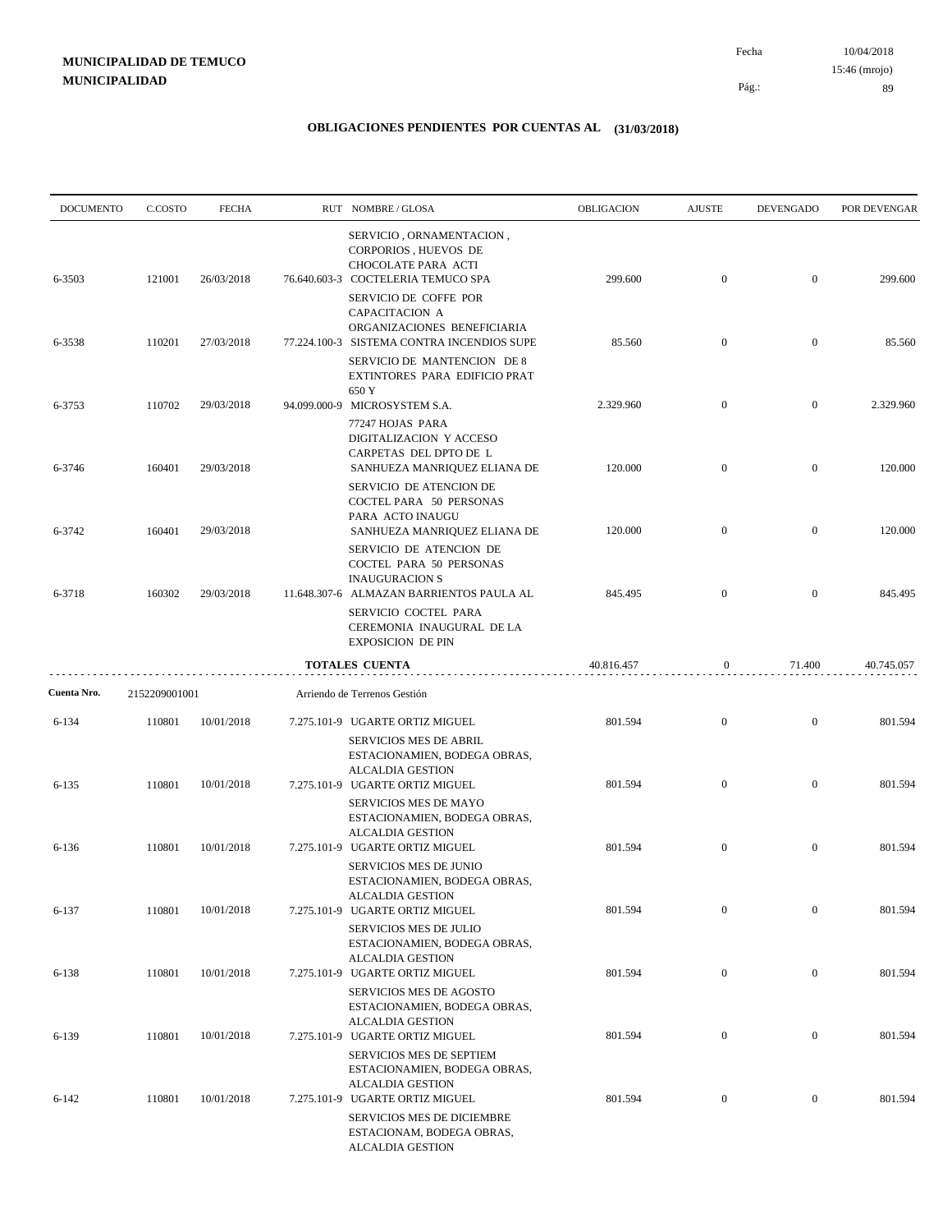| <b>DOCUMENTO</b> | C.COSTO       | <b>FECHA</b> |              | RUT NOMBRE/GLOSA                                                                                                            | <b>OBLIGACION</b> | <b>AJUSTE</b>    | <b>DEVENGADO</b> | POR DEVENGAR |
|------------------|---------------|--------------|--------------|-----------------------------------------------------------------------------------------------------------------------------|-------------------|------------------|------------------|--------------|
| 6-3503           | 121001        | 26/03/2018   |              | SERVICIO, ORNAMENTACION,<br>CORPORIOS, HUEVOS DE<br>CHOCOLATE PARA ACTI<br>76.640.603-3 COCTELERIA TEMUCO SPA               | 299.600           | $\boldsymbol{0}$ | $\overline{0}$   | 299.600      |
|                  |               |              |              | SERVICIO DE COFFE POR<br>CAPACITACION A<br>ORGANIZACIONES BENEFICIARIA                                                      |                   |                  |                  |              |
| 6-3538           | 110201        | 27/03/2018   |              | 77.224.100-3 SISTEMA CONTRA INCENDIOS SUPE<br>SERVICIO DE MANTENCION DE 8<br>EXTINTORES PARA EDIFICIO PRAT<br>650 Y         | 85.560            | $\mathbf{0}$     | $\overline{0}$   | 85.560       |
| 6-3753           | 110702        | 29/03/2018   | 94.099.000-9 | MICROSYSTEM S.A.                                                                                                            | 2.329.960         | $\mathbf{0}$     | $\mathbf{0}$     | 2.329.960    |
| 6-3746           | 160401        | 29/03/2018   |              | 77247 HOJAS PARA<br>DIGITALIZACION Y ACCESO<br>CARPETAS DEL DPTO DE L<br>SANHUEZA MANRIQUEZ ELIANA DE                       | 120.000           | $\boldsymbol{0}$ | $\mathbf{0}$     | 120.000      |
|                  |               |              |              | SERVICIO DE ATENCION DE<br>COCTEL PARA 50 PERSONAS<br>PARA ACTO INAUGU                                                      |                   |                  |                  |              |
| 6-3742           | 160401        | 29/03/2018   |              | SANHUEZA MANRIQUEZ ELIANA DE<br>SERVICIO DE ATENCION DE<br>COCTEL PARA 50 PERSONAS<br><b>INAUGURACION S</b>                 | 120.000           | $\boldsymbol{0}$ | $\overline{0}$   | 120.000      |
| 6-3718           | 160302        | 29/03/2018   |              | 11.648.307-6 ALMAZAN BARRIENTOS PAULA AL<br>SERVICIO COCTEL PARA<br>CEREMONIA INAUGURAL DE LA<br><b>EXPOSICION DE PIN</b>   | 845.495           | $\overline{0}$   | $\mathbf{0}$     | 845.495      |
|                  |               |              |              | TOTALES CUENTA                                                                                                              | 40.816.457        | 0                | 71.400           | 40.745.057   |
| Cuenta Nro.      | 2152209001001 |              |              | Arriendo de Terrenos Gestión                                                                                                |                   |                  |                  |              |
| 6-134            | 110801        | 10/01/2018   |              | 7.275.101-9 UGARTE ORTIZ MIGUEL<br><b>SERVICIOS MES DE ABRIL</b><br>ESTACIONAMIEN, BODEGA OBRAS,<br><b>ALCALDIA GESTION</b> | 801.594           | $\boldsymbol{0}$ | $\mathbf{0}$     | 801.594      |
| 6-135            | 110801        | 10/01/2018   |              | 7.275.101-9 UGARTE ORTIZ MIGUEL<br><b>SERVICIOS MES DE MAYO</b><br>ESTACIONAMIEN, BODEGA OBRAS,<br><b>ALCALDIA GESTION</b>  | 801.594           | $\boldsymbol{0}$ | $\overline{0}$   | 801.594      |
| 6-136            | 110801        | 10/01/2018   |              | 7.275.101-9 UGARTE ORTIZ MIGUEL<br>SERVICIOS MES DE JUNIO<br>ESTACIONAMIEN, BODEGA OBRAS,<br><b>ALCALDIA GESTION</b>        | 801.594           | $\boldsymbol{0}$ | $\mathbf{0}$     | 801.594      |
| 6-137            | 110801        | 10/01/2018   |              | 7.275.101-9 UGARTE ORTIZ MIGUEL<br>SERVICIOS MES DE JULIO<br>ESTACIONAMIEN, BODEGA OBRAS,<br><b>ALCALDIA GESTION</b>        | 801.594           | $\mathbf{0}$     | $\boldsymbol{0}$ | 801.594      |
| 6-138            | 110801        | 10/01/2018   |              | 7.275.101-9 UGARTE ORTIZ MIGUEL<br>SERVICIOS MES DE AGOSTO<br>ESTACIONAMIEN, BODEGA OBRAS,<br><b>ALCALDIA GESTION</b>       | 801.594           | $\boldsymbol{0}$ | $\boldsymbol{0}$ | 801.594      |
| 6-139            | 110801        | 10/01/2018   |              | 7.275.101-9 UGARTE ORTIZ MIGUEL<br>SERVICIOS MES DE SEPTIEM<br>ESTACIONAMIEN, BODEGA OBRAS,<br><b>ALCALDIA GESTION</b>      | 801.594           | $\boldsymbol{0}$ | $\boldsymbol{0}$ | 801.594      |
| $6 - 142$        | 110801        | 10/01/2018   |              | 7.275.101-9 UGARTE ORTIZ MIGUEL<br>SERVICIOS MES DE DICIEMBRE<br>ESTACIONAM, BODEGA OBRAS,<br>ALCALDIA GESTION              | 801.594           | $\boldsymbol{0}$ | $\boldsymbol{0}$ | 801.594      |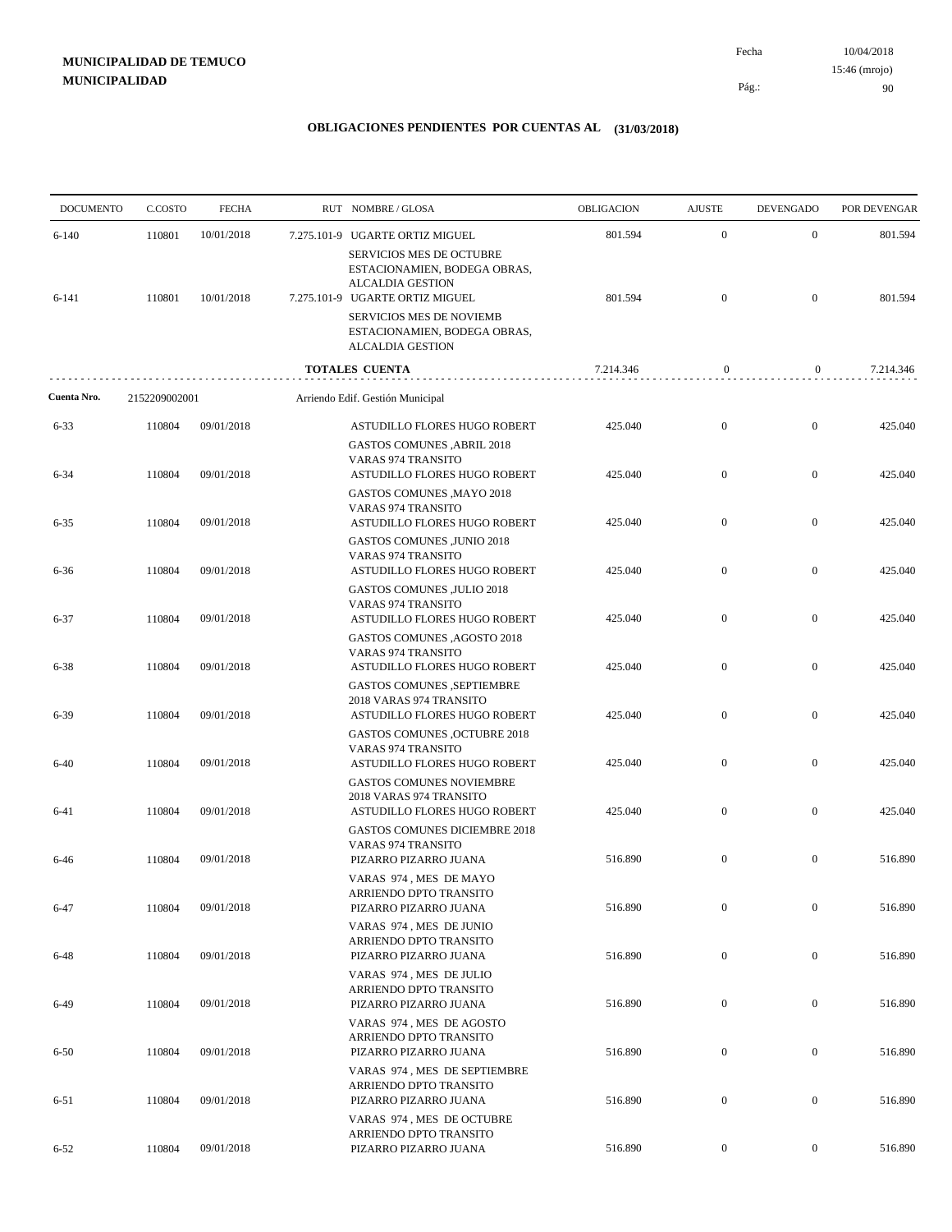| <b>DOCUMENTO</b> | C.COSTO       | <b>FECHA</b> | RUT NOMBRE/GLOSA                                                                                                       | <b>OBLIGACION</b> | <b>AJUSTE</b>    | <b>DEVENGADO</b> | POR DEVENGAR |
|------------------|---------------|--------------|------------------------------------------------------------------------------------------------------------------------|-------------------|------------------|------------------|--------------|
| $6 - 140$        | 110801        | 10/01/2018   | 7.275.101-9 UGARTE ORTIZ MIGUEL                                                                                        | 801.594           | $\boldsymbol{0}$ | $\mathbf{0}$     | 801.594      |
| 6-141            | 110801        | 10/01/2018   | SERVICIOS MES DE OCTUBRE<br>ESTACIONAMIEN, BODEGA OBRAS,<br><b>ALCALDIA GESTION</b><br>7.275.101-9 UGARTE ORTIZ MIGUEL | 801.594           | $\boldsymbol{0}$ | $\mathbf{0}$     | 801.594      |
|                  |               |              | <b>SERVICIOS MES DE NOVIEMB</b><br>ESTACIONAMIEN, BODEGA OBRAS,<br><b>ALCALDIA GESTION</b>                             |                   |                  |                  |              |
|                  |               |              | <b>TOTALES CUENTA</b>                                                                                                  | 7.214.346         | $\boldsymbol{0}$ | $\mathbf{0}$     | 7.214.346    |
| Cuenta Nro.      | 2152209002001 |              | Arriendo Edif. Gestión Municipal                                                                                       |                   |                  |                  |              |
| $6 - 33$         | 110804        | 09/01/2018   | ASTUDILLO FLORES HUGO ROBERT<br><b>GASTOS COMUNES , ABRIL 2018</b>                                                     | 425.040           | $\boldsymbol{0}$ | $\mathbf{0}$     | 425.040      |
| $6 - 34$         | 110804        | 09/01/2018   | <b>VARAS 974 TRANSITO</b><br>ASTUDILLO FLORES HUGO ROBERT<br><b>GASTOS COMUNES , MAYO 2018</b>                         | 425.040           | $\boldsymbol{0}$ | $\mathbf{0}$     | 425.040      |
| $6 - 35$         | 110804        | 09/01/2018   | <b>VARAS 974 TRANSITO</b><br>ASTUDILLO FLORES HUGO ROBERT<br><b>GASTOS COMUNES ,JUNIO 2018</b>                         | 425.040           | $\mathbf{0}$     | $\mathbf{0}$     | 425.040      |
| $6 - 36$         | 110804        | 09/01/2018   | VARAS 974 TRANSITO<br>ASTUDILLO FLORES HUGO ROBERT<br><b>GASTOS COMUNES ,JULIO 2018</b>                                | 425.040           | $\boldsymbol{0}$ | $\mathbf{0}$     | 425.040      |
| $6 - 37$         | 110804        | 09/01/2018   | <b>VARAS 974 TRANSITO</b><br>ASTUDILLO FLORES HUGO ROBERT<br>GASTOS COMUNES , AGOSTO 2018                              | 425.040           | $\mathbf{0}$     | $\mathbf{0}$     | 425.040      |
| 6-38             | 110804        | 09/01/2018   | <b>VARAS 974 TRANSITO</b><br>ASTUDILLO FLORES HUGO ROBERT                                                              | 425.040           | $\mathbf{0}$     | $\mathbf{0}$     | 425.040      |
| $6 - 39$         | 110804        | 09/01/2018   | <b>GASTOS COMUNES ,SEPTIEMBRE</b><br>2018 VARAS 974 TRANSITO<br>ASTUDILLO FLORES HUGO ROBERT                           | 425.040           | $\boldsymbol{0}$ | $\mathbf{0}$     | 425.040      |
| $6-40$           | 110804        | 09/01/2018   | <b>GASTOS COMUNES ,OCTUBRE 2018</b><br><b>VARAS 974 TRANSITO</b><br>ASTUDILLO FLORES HUGO ROBERT                       | 425.040           | $\mathbf{0}$     | $\mathbf{0}$     | 425.040      |
| $6 - 41$         | 110804        | 09/01/2018   | <b>GASTOS COMUNES NOVIEMBRE</b><br>2018 VARAS 974 TRANSITO<br>ASTUDILLO FLORES HUGO ROBERT                             | 425.040           | $\boldsymbol{0}$ | $\mathbf{0}$     | 425.040      |
|                  |               |              | <b>GASTOS COMUNES DICIEMBRE 2018</b><br><b>VARAS 974 TRANSITO</b>                                                      |                   |                  |                  |              |
| 6-46             | 110804        | 09/01/2018   | PIZARRO PIZARRO JUANA<br>VARAS 974, MES DE MAYO<br>ARRIENDO DPTO TRANSITO                                              | 516.890           | $\mathbf{0}$     | $\mathbf{0}$     | 516.890      |
| $6 - 47$         | 110804        | 09/01/2018   | PIZARRO PIZARRO JUANA<br>VARAS 974, MES DE JUNIO                                                                       | 516.890           | $\boldsymbol{0}$ | $\boldsymbol{0}$ | 516.890      |
| 6-48             | 110804        | 09/01/2018   | ARRIENDO DPTO TRANSITO<br>PIZARRO PIZARRO JUANA<br>VARAS 974, MES DE JULIO                                             | 516.890           | $\boldsymbol{0}$ | $\boldsymbol{0}$ | 516.890      |
| 6-49             | 110804        | 09/01/2018   | ARRIENDO DPTO TRANSITO<br>PIZARRO PIZARRO JUANA                                                                        | 516.890           | $\boldsymbol{0}$ | $\boldsymbol{0}$ | 516.890      |
| $6 - 50$         | 110804        | 09/01/2018   | VARAS 974, MES DE AGOSTO<br>ARRIENDO DPTO TRANSITO<br>PIZARRO PIZARRO JUANA                                            | 516.890           | $\boldsymbol{0}$ | $\boldsymbol{0}$ | 516.890      |
| $6 - 51$         | 110804        | 09/01/2018   | VARAS 974, MES DE SEPTIEMBRE<br>ARRIENDO DPTO TRANSITO<br>PIZARRO PIZARRO JUANA                                        | 516.890           | $\boldsymbol{0}$ | $\boldsymbol{0}$ | 516.890      |
|                  |               |              | VARAS 974, MES DE OCTUBRE<br>ARRIENDO DPTO TRANSITO                                                                    |                   |                  |                  |              |
| $6 - 52$         | 110804        | 09/01/2018   | PIZARRO PIZARRO JUANA                                                                                                  | 516.890           | $\boldsymbol{0}$ | $\boldsymbol{0}$ | 516.890      |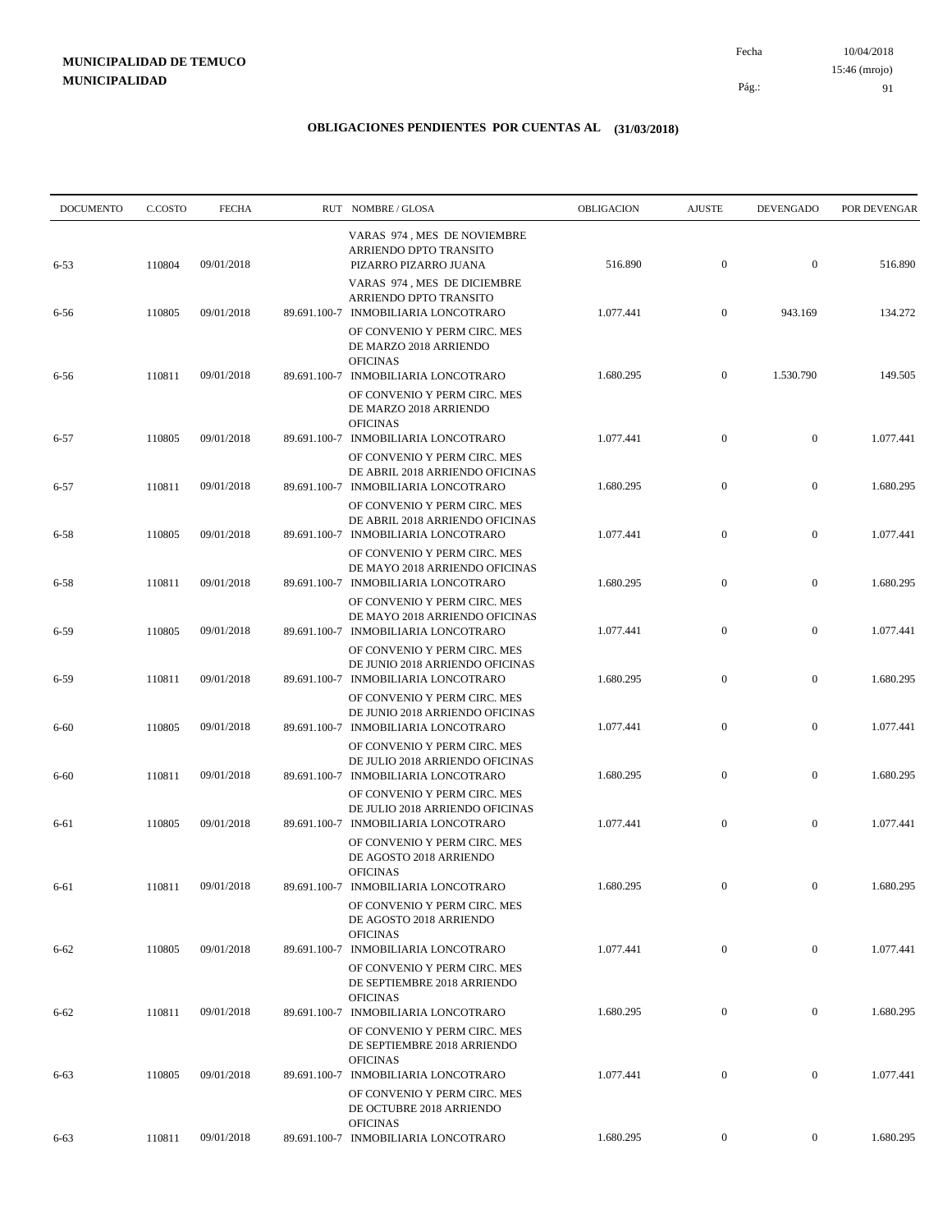10/04/2018 Pág.: Fecha

### **OBLIGACIONES PENDIENTES POR CUENTAS AL (31/03/2018)**

| <b>DOCUMENTO</b> | C.COSTO | <b>FECHA</b> | RUT NOMBRE/GLOSA                                                                                                       | <b>OBLIGACION</b> | <b>AJUSTE</b>    | <b>DEVENGADO</b> | POR DEVENGAR |
|------------------|---------|--------------|------------------------------------------------------------------------------------------------------------------------|-------------------|------------------|------------------|--------------|
| $6 - 53$         | 110804  | 09/01/2018   | VARAS 974, MES DE NOVIEMBRE<br>ARRIENDO DPTO TRANSITO<br>PIZARRO PIZARRO JUANA                                         | 516.890           | $\mathbf{0}$     | $\boldsymbol{0}$ | 516.890      |
| 6-56             | 110805  | 09/01/2018   | VARAS 974, MES DE DICIEMBRE<br>ARRIENDO DPTO TRANSITO<br>89.691.100-7 INMOBILIARIA LONCOTRARO                          | 1.077.441         | $\overline{0}$   | 943.169          | 134.272      |
| 6-56             | 110811  | 09/01/2018   | OF CONVENIO Y PERM CIRC. MES<br>DE MARZO 2018 ARRIENDO<br><b>OFICINAS</b><br>89.691.100-7 INMOBILIARIA LONCOTRARO      | 1.680.295         | $\mathbf{0}$     | 1.530.790        | 149.505      |
| $6 - 57$         | 110805  | 09/01/2018   | OF CONVENIO Y PERM CIRC. MES<br>DE MARZO 2018 ARRIENDO<br><b>OFICINAS</b><br>89.691.100-7 INMOBILIARIA LONCOTRARO      | 1.077.441         | $\mathbf{0}$     | $\boldsymbol{0}$ | 1.077.441    |
| $6 - 57$         | 110811  | 09/01/2018   | OF CONVENIO Y PERM CIRC. MES<br>DE ABRIL 2018 ARRIENDO OFICINAS<br>89.691.100-7 INMOBILIARIA LONCOTRARO                | 1.680.295         | $\mathbf{0}$     | $\boldsymbol{0}$ | 1.680.295    |
| $6 - 58$         | 110805  | 09/01/2018   | OF CONVENIO Y PERM CIRC. MES<br>DE ABRIL 2018 ARRIENDO OFICINAS<br>89.691.100-7 INMOBILIARIA LONCOTRARO                | 1.077.441         | $\mathbf{0}$     | $\boldsymbol{0}$ | 1.077.441    |
| $6 - 58$         | 110811  | 09/01/2018   | OF CONVENIO Y PERM CIRC. MES<br>DE MAYO 2018 ARRIENDO OFICINAS<br>89.691.100-7 INMOBILIARIA LONCOTRARO                 | 1.680.295         | $\mathbf{0}$     | $\boldsymbol{0}$ | 1.680.295    |
| $6 - 59$         | 110805  | 09/01/2018   | OF CONVENIO Y PERM CIRC. MES<br>DE MAYO 2018 ARRIENDO OFICINAS<br>89.691.100-7 INMOBILIARIA LONCOTRARO                 | 1.077.441         | $\boldsymbol{0}$ | $\boldsymbol{0}$ | 1.077.441    |
| $6 - 59$         | 110811  | 09/01/2018   | OF CONVENIO Y PERM CIRC. MES<br>DE JUNIO 2018 ARRIENDO OFICINAS<br>89.691.100-7 INMOBILIARIA LONCOTRARO                | 1.680.295         | $\boldsymbol{0}$ | $\boldsymbol{0}$ | 1.680.295    |
| $6 - 60$         | 110805  | 09/01/2018   | OF CONVENIO Y PERM CIRC. MES<br>DE JUNIO 2018 ARRIENDO OFICINAS<br>89.691.100-7 INMOBILIARIA LONCOTRARO                | 1.077.441         | $\mathbf{0}$     | $\mathbf{0}$     | 1.077.441    |
| $6 - 60$         | 110811  | 09/01/2018   | OF CONVENIO Y PERM CIRC. MES<br>DE JULIO 2018 ARRIENDO OFICINAS<br>89.691.100-7 INMOBILIARIA LONCOTRARO                | 1.680.295         | $\boldsymbol{0}$ | $\boldsymbol{0}$ | 1.680.295    |
| 6-61             | 110805  | 09/01/2018   | OF CONVENIO Y PERM CIRC. MES<br>DE JULIO 2018 ARRIENDO OFICINAS<br>89.691.100-7 INMOBILIARIA LONCOTRARO                | 1.077.441         | $\mathbf{0}$     | $\boldsymbol{0}$ | 1.077.441    |
|                  |         |              | OF CONVENIO Y PERM CIRC. MES<br>DE AGOSTO 2018 ARRIENDO<br><b>OFICINAS</b>                                             |                   |                  |                  |              |
| 6-61             | 110811  | 09/01/2018   | 89.691.100-7 INMOBILIARIA LONCOTRARO<br>OF CONVENIO Y PERM CIRC. MES<br>DE AGOSTO 2018 ARRIENDO                        | 1.680.295         | $\mathbf{0}$     | $\mathbf{0}$     | 1.680.295    |
| $6 - 62$         | 110805  | 09/01/2018   | <b>OFICINAS</b><br>89.691.100-7 INMOBILIARIA LONCOTRARO<br>OF CONVENIO Y PERM CIRC. MES                                | 1.077.441         | $\mathbf{0}$     | $\mathbf{0}$     | 1.077.441    |
| $6 - 62$         | 110811  | 09/01/2018   | DE SEPTIEMBRE 2018 ARRIENDO<br><b>OFICINAS</b><br>89.691.100-7 INMOBILIARIA LONCOTRARO                                 | 1.680.295         | $\boldsymbol{0}$ | $\mathbf{0}$     | 1.680.295    |
| $6 - 63$         | 110805  | 09/01/2018   | OF CONVENIO Y PERM CIRC. MES<br>DE SEPTIEMBRE 2018 ARRIENDO<br><b>OFICINAS</b><br>89.691.100-7 INMOBILIARIA LONCOTRARO | 1.077.441         | $\mathbf{0}$     | $\boldsymbol{0}$ | 1.077.441    |
|                  |         |              | OF CONVENIO Y PERM CIRC. MES<br>DE OCTUBRE 2018 ARRIENDO                                                               |                   |                  |                  |              |
| $6 - 63$         | 110811  | 09/01/2018   | <b>OFICINAS</b><br>89.691.100-7 INMOBILIARIA LONCOTRARO                                                                | 1.680.295         | $\overline{0}$   | $\mathbf{0}$     | 1.680.295    |

91 15:46 (mrojo)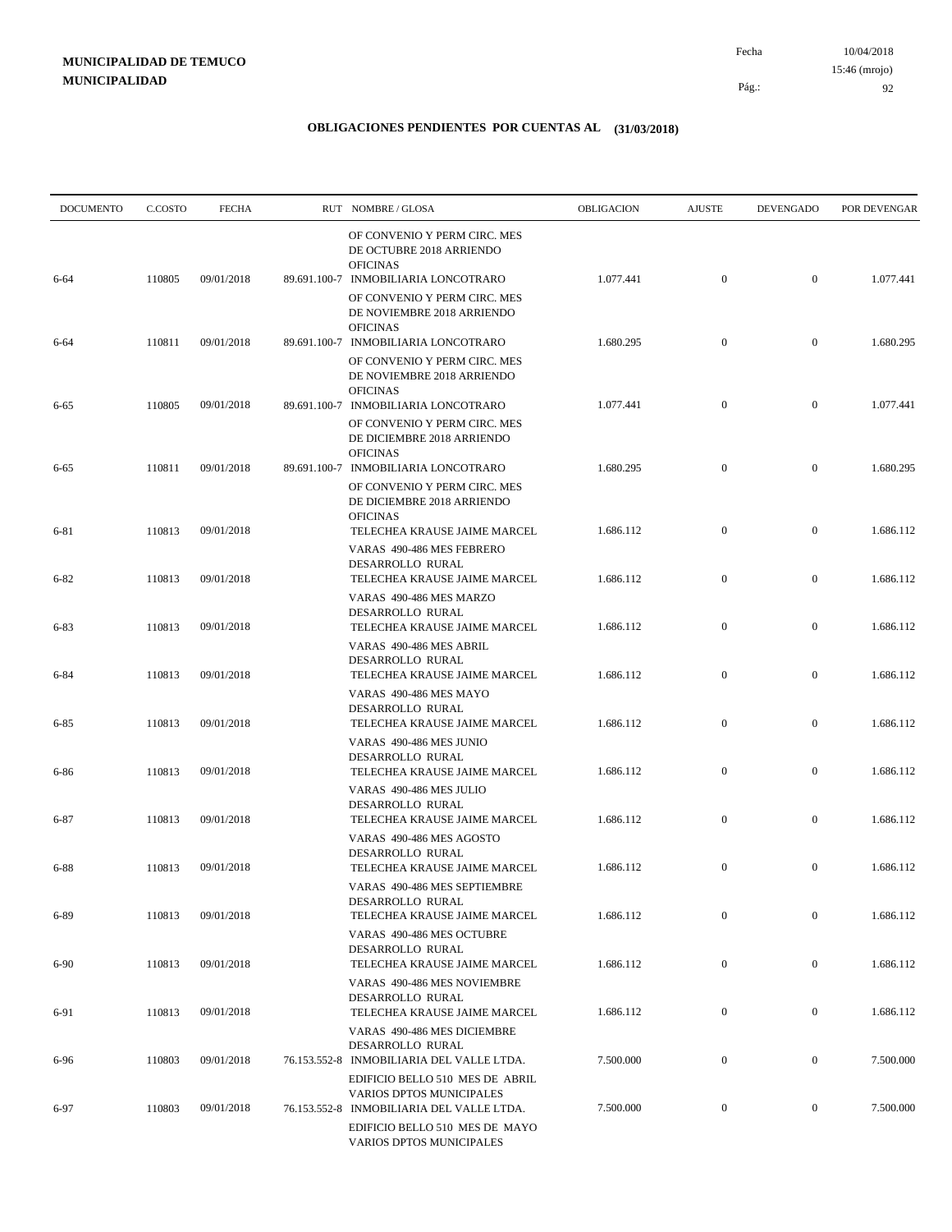| <b>DOCUMENTO</b> | C.COSTO | <b>FECHA</b> | RUT NOMBRE/GLOSA                                                                                                             | OBLIGACION | <b>AJUSTE</b>    | <b>DEVENGADO</b> | POR DEVENGAR |
|------------------|---------|--------------|------------------------------------------------------------------------------------------------------------------------------|------------|------------------|------------------|--------------|
| $6 - 64$         | 110805  | 09/01/2018   | OF CONVENIO Y PERM CIRC. MES<br>DE OCTUBRE 2018 ARRIENDO<br><b>OFICINAS</b><br>89.691.100-7 INMOBILIARIA LONCOTRARO          | 1.077.441  | $\boldsymbol{0}$ | $\overline{0}$   | 1.077.441    |
|                  |         |              | OF CONVENIO Y PERM CIRC. MES<br>DE NOVIEMBRE 2018 ARRIENDO<br><b>OFICINAS</b>                                                |            |                  |                  |              |
| 6-64             | 110811  | 09/01/2018   | 89.691.100-7 INMOBILIARIA LONCOTRARO<br>OF CONVENIO Y PERM CIRC. MES<br>DE NOVIEMBRE 2018 ARRIENDO                           | 1.680.295  | $\mathbf{0}$     | $\mathbf{0}$     | 1.680.295    |
| $6 - 65$         | 110805  | 09/01/2018   | <b>OFICINAS</b><br>89.691.100-7 INMOBILIARIA LONCOTRARO<br>OF CONVENIO Y PERM CIRC. MES<br>DE DICIEMBRE 2018 ARRIENDO        | 1.077.441  | $\mathbf{0}$     | $\mathbf{0}$     | 1.077.441    |
| $6 - 65$         | 110811  | 09/01/2018   | <b>OFICINAS</b><br>89.691.100-7 INMOBILIARIA LONCOTRARO<br>OF CONVENIO Y PERM CIRC. MES                                      | 1.680.295  | $\mathbf{0}$     | $\mathbf{0}$     | 1.680.295    |
| 6-81             | 110813  | 09/01/2018   | DE DICIEMBRE 2018 ARRIENDO<br><b>OFICINAS</b><br>TELECHEA KRAUSE JAIME MARCEL                                                | 1.686.112  | $\boldsymbol{0}$ | $\mathbf{0}$     | 1.686.112    |
| $6 - 82$         | 110813  | 09/01/2018   | VARAS 490-486 MES FEBRERO<br>DESARROLLO RURAL<br>TELECHEA KRAUSE JAIME MARCEL<br>VARAS 490-486 MES MARZO<br>DESARROLLO RURAL | 1.686.112  | $\boldsymbol{0}$ | $\mathbf{0}$     | 1.686.112    |
| $6 - 83$         | 110813  | 09/01/2018   | TELECHEA KRAUSE JAIME MARCEL<br>VARAS 490-486 MES ABRIL                                                                      | 1.686.112  | $\boldsymbol{0}$ | $\mathbf{0}$     | 1.686.112    |
| $6 - 84$         | 110813  | 09/01/2018   | DESARROLLO RURAL<br>TELECHEA KRAUSE JAIME MARCEL<br>VARAS 490-486 MES MAYO                                                   | 1.686.112  | $\mathbf{0}$     | $\mathbf{0}$     | 1.686.112    |
| $6 - 85$         | 110813  | 09/01/2018   | DESARROLLO RURAL<br>TELECHEA KRAUSE JAIME MARCEL                                                                             | 1.686.112  | $\boldsymbol{0}$ | $\mathbf{0}$     | 1.686.112    |
| 6-86             | 110813  | 09/01/2018   | VARAS 490-486 MES JUNIO<br>DESARROLLO RURAL<br>TELECHEA KRAUSE JAIME MARCEL                                                  | 1.686.112  | $\boldsymbol{0}$ | $\mathbf{0}$     | 1.686.112    |
| $6 - 87$         | 110813  | 09/01/2018   | VARAS 490-486 MES JULIO<br>DESARROLLO RURAL<br>TELECHEA KRAUSE JAIME MARCEL                                                  | 1.686.112  | $\boldsymbol{0}$ | $\mathbf{0}$     | 1.686.112    |
| $6 - 88$         | 110813  | 09/01/2018   | VARAS 490-486 MES AGOSTO<br>DESARROLLO RURAL<br>TELECHEA KRAUSE JAIME MARCEL                                                 | 1.686.112  | $\mathbf{0}$     | $\mathbf{0}$     | 1.686.112    |
| 6-89             | 110813  | 09/01/2018   | VARAS 490-486 MES SEPTIEMBRE<br>DESARROLLO RURAL<br>TELECHEA KRAUSE JAIME MARCEL                                             | 1.686.112  | $\boldsymbol{0}$ | $\mathbf{0}$     | 1.686.112    |
| $6 - 90$         | 110813  | 09/01/2018   | VARAS 490-486 MES OCTUBRE<br>DESARROLLO RURAL<br>TELECHEA KRAUSE JAIME MARCEL                                                | 1.686.112  | $\boldsymbol{0}$ | $\boldsymbol{0}$ | 1.686.112    |
| 6-91             | 110813  | 09/01/2018   | VARAS 490-486 MES NOVIEMBRE<br>DESARROLLO RURAL<br>TELECHEA KRAUSE JAIME MARCEL<br>VARAS 490-486 MES DICIEMBRE               | 1.686.112  | $\boldsymbol{0}$ | $\mathbf{0}$     | 1.686.112    |
| 6-96             | 110803  | 09/01/2018   | DESARROLLO RURAL<br>76.153.552-8 INMOBILIARIA DEL VALLE LTDA.<br>EDIFICIO BELLO 510 MES DE ABRIL                             | 7.500.000  | $\boldsymbol{0}$ | $\boldsymbol{0}$ | 7.500.000    |
| 6-97             | 110803  | 09/01/2018   | VARIOS DPTOS MUNICIPALES<br>76.153.552-8 INMOBILIARIA DEL VALLE LTDA.                                                        | 7.500.000  | $\boldsymbol{0}$ | $\boldsymbol{0}$ | 7.500.000    |
|                  |         |              | EDIFICIO BELLO 510 MES DE MAYO<br>VARIOS DPTOS MUNICIPALES                                                                   |            |                  |                  |              |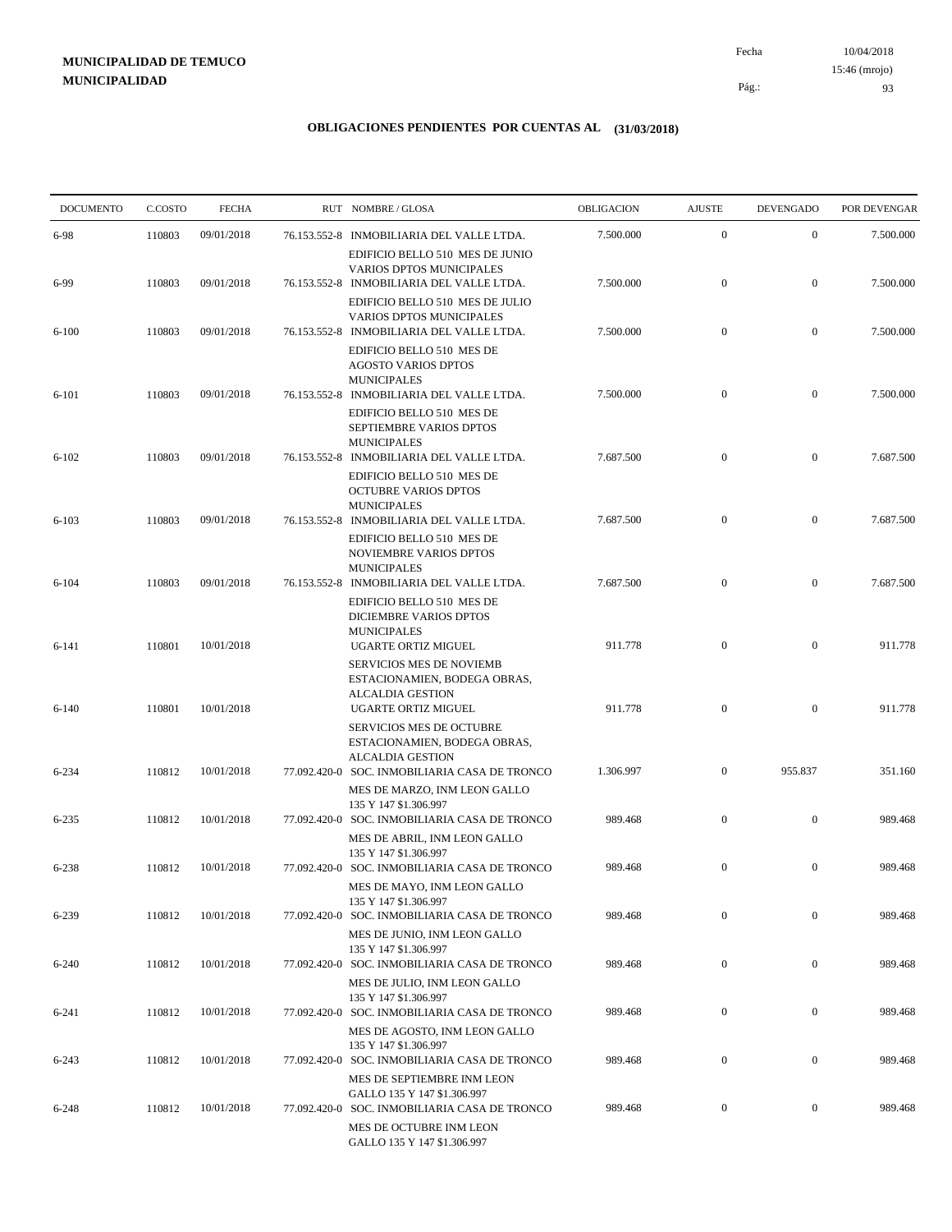10/04/2018 93 Pág.: Fecha 15:46 (mrojo)

| <b>DOCUMENTO</b> | C.COSTO | <b>FECHA</b> | RUT NOMBRE/GLOSA                                                                                                           | OBLIGACION | <b>AJUSTE</b>    | <b>DEVENGADO</b> | POR DEVENGAR |
|------------------|---------|--------------|----------------------------------------------------------------------------------------------------------------------------|------------|------------------|------------------|--------------|
| 6-98             | 110803  | 09/01/2018   | 76.153.552-8 INMOBILIARIA DEL VALLE LTDA.                                                                                  | 7.500.000  | $\mathbf{0}$     | $\mathbf{0}$     | 7.500.000    |
|                  |         |              | EDIFICIO BELLO 510 MES DE JUNIO<br>VARIOS DPTOS MUNICIPALES                                                                |            |                  |                  |              |
| 6-99             | 110803  | 09/01/2018   | 76.153.552-8 INMOBILIARIA DEL VALLE LTDA.                                                                                  | 7.500.000  | $\mathbf{0}$     | $\mathbf{0}$     | 7.500.000    |
|                  |         |              | EDIFICIO BELLO 510 MES DE JULIO<br><b>VARIOS DPTOS MUNICIPALES</b>                                                         |            |                  |                  |              |
| $6 - 100$        | 110803  | 09/01/2018   | 76.153.552-8 INMOBILIARIA DEL VALLE LTDA.<br>EDIFICIO BELLO 510 MES DE<br><b>AGOSTO VARIOS DPTOS</b><br><b>MUNICIPALES</b> | 7.500.000  | $\mathbf{0}$     | $\boldsymbol{0}$ | 7.500.000    |
| $6 - 101$        | 110803  | 09/01/2018   | 76.153.552-8 INMOBILIARIA DEL VALLE LTDA.<br>EDIFICIO BELLO 510 MES DE                                                     | 7.500.000  | $\mathbf{0}$     | $\boldsymbol{0}$ | 7.500.000    |
| $6 - 102$        | 110803  | 09/01/2018   | SEPTIEMBRE VARIOS DPTOS<br><b>MUNICIPALES</b><br>76.153.552-8 INMOBILIARIA DEL VALLE LTDA.                                 | 7.687.500  | $\boldsymbol{0}$ | $\mathbf{0}$     | 7.687.500    |
|                  |         |              | EDIFICIO BELLO 510 MES DE<br><b>OCTUBRE VARIOS DPTOS</b><br><b>MUNICIPALES</b>                                             |            |                  |                  |              |
| $6 - 103$        | 110803  | 09/01/2018   | 76.153.552-8 INMOBILIARIA DEL VALLE LTDA.<br>EDIFICIO BELLO 510 MES DE<br>NOVIEMBRE VARIOS DPTOS                           | 7.687.500  | $\mathbf{0}$     | $\mathbf{0}$     | 7.687.500    |
| $6 - 104$        | 110803  | 09/01/2018   | <b>MUNICIPALES</b><br>76.153.552-8 INMOBILIARIA DEL VALLE LTDA.<br>EDIFICIO BELLO 510 MES DE                               | 7.687.500  | $\mathbf{0}$     | $\mathbf{0}$     | 7.687.500    |
| 6-141            | 110801  | 10/01/2018   | DICIEMBRE VARIOS DPTOS<br><b>MUNICIPALES</b><br><b>UGARTE ORTIZ MIGUEL</b>                                                 | 911.778    | $\mathbf{0}$     | $\mathbf{0}$     | 911.778      |
|                  |         |              | <b>SERVICIOS MES DE NOVIEMB</b><br>ESTACIONAMIEN, BODEGA OBRAS,<br><b>ALCALDIA GESTION</b>                                 |            |                  |                  |              |
| $6-140$          | 110801  | 10/01/2018   | UGARTE ORTIZ MIGUEL<br>SERVICIOS MES DE OCTUBRE<br>ESTACIONAMIEN, BODEGA OBRAS,                                            | 911.778    | $\mathbf{0}$     | $\overline{0}$   | 911.778      |
| $6 - 234$        | 110812  | 10/01/2018   | <b>ALCALDIA GESTION</b><br>77.092.420-0 SOC. INMOBILIARIA CASA DE TRONCO<br>MES DE MARZO, INM LEON GALLO                   | 1.306.997  | $\overline{0}$   | 955.837          | 351.160      |
| $6 - 235$        | 110812  | 10/01/2018   | 135 Y 147 \$1.306.997<br>77.092.420-0 SOC. INMOBILIARIA CASA DE TRONCO<br>MES DE ABRIL, INM LEON GALLO                     | 989.468    | $\mathbf{0}$     | $\mathbf{0}$     | 989.468      |
| 6-238            | 110812  | 10/01/2018   | 135 Y 147 \$1.306.997<br>77.092.420-0 SOC. INMOBILIARIA CASA DE TRONCO                                                     | 989.468    | $\mathbf{0}$     | $\mathbf{0}$     | 989.468      |
| 6-239            | 110812  | 10/01/2018   | MES DE MAYO, INM LEON GALLO<br>135 Y 147 \$1.306.997<br>77.092.420-0 SOC. INMOBILIARIA CASA DE TRONCO                      | 989.468    | $\mathbf{0}$     | $\boldsymbol{0}$ | 989.468      |
| $6 - 240$        | 110812  | 10/01/2018   | MES DE JUNIO, INM LEON GALLO<br>135 Y 147 \$1.306.997<br>77.092.420-0 SOC. INMOBILIARIA CASA DE TRONCO                     | 989.468    | $\mathbf{0}$     | $\mathbf{0}$     | 989.468      |
| $6 - 241$        | 110812  | 10/01/2018   | MES DE JULIO, INM LEON GALLO<br>135 Y 147 \$1.306.997<br>77.092.420-0 SOC. INMOBILIARIA CASA DE TRONCO                     | 989.468    | $\mathbf{0}$     | $\mathbf{0}$     | 989.468      |
|                  |         |              | MES DE AGOSTO, INM LEON GALLO<br>135 Y 147 \$1.306.997                                                                     |            |                  |                  |              |
| $6 - 243$        | 110812  | 10/01/2018   | 77.092.420-0 SOC. INMOBILIARIA CASA DE TRONCO<br>MES DE SEPTIEMBRE INM LEON<br>GALLO 135 Y 147 \$1.306.997                 | 989.468    | $\mathbf{0}$     | $\boldsymbol{0}$ | 989.468      |
| $6 - 248$        | 110812  | 10/01/2018   | 77.092.420-0 SOC. INMOBILIARIA CASA DE TRONCO<br>MES DE OCTUBRE INM LEON<br>GALLO 135 Y 147 \$1.306.997                    | 989.468    | $\boldsymbol{0}$ | $\boldsymbol{0}$ | 989.468      |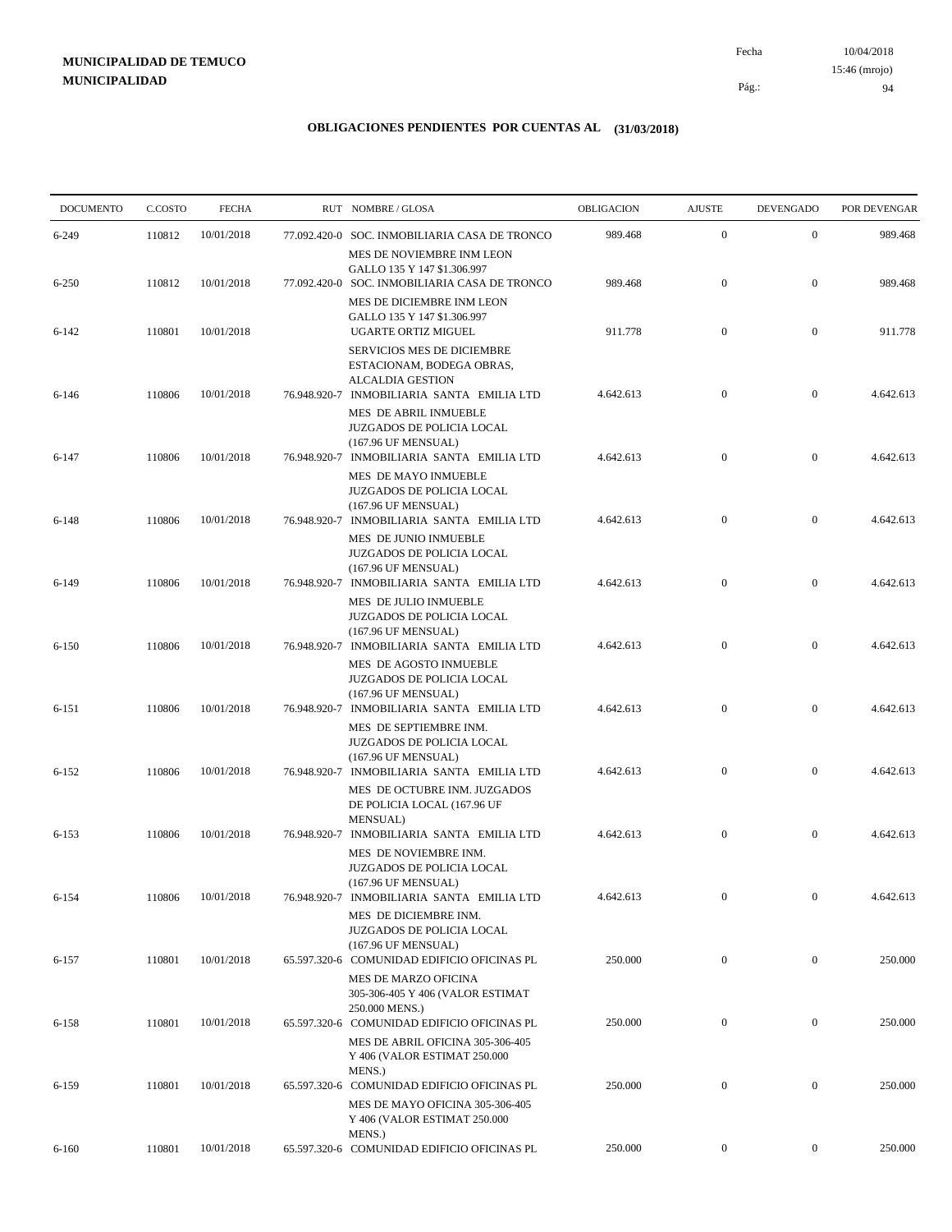10/04/2018 94 Pág.: Fecha 15:46 (mrojo)

| <b>DOCUMENTO</b> | C.COSTO | <b>FECHA</b> | RUT NOMBRE/GLOSA                                                                                                                        | OBLIGACION | <b>AJUSTE</b>    | <b>DEVENGADO</b> | POR DEVENGAR |
|------------------|---------|--------------|-----------------------------------------------------------------------------------------------------------------------------------------|------------|------------------|------------------|--------------|
| 6-249            | 110812  | 10/01/2018   | 77.092.420-0 SOC. INMOBILIARIA CASA DE TRONCO                                                                                           | 989.468    | $\mathbf{0}$     | $\mathbf{0}$     | 989.468      |
|                  |         |              | MES DE NOVIEMBRE INM LEON<br>GALLO 135 Y 147 \$1.306.997                                                                                |            |                  |                  |              |
| $6 - 250$        | 110812  | 10/01/2018   | 77.092.420-0 SOC. INMOBILIARIA CASA DE TRONCO<br>MES DE DICIEMBRE INM LEON                                                              | 989.468    | $\mathbf{0}$     | $\mathbf{0}$     | 989.468      |
| $6 - 142$        | 110801  | 10/01/2018   | GALLO 135 Y 147 \$1.306.997<br>UGARTE ORTIZ MIGUEL                                                                                      | 911.778    | $\mathbf{0}$     | $\mathbf{0}$     | 911.778      |
| 6-146            | 110806  | 10/01/2018   | <b>SERVICIOS MES DE DICIEMBRE</b><br>ESTACIONAM, BODEGA OBRAS,<br><b>ALCALDIA GESTION</b><br>76.948.920-7 INMOBILIARIA SANTA EMILIA LTD | 4.642.613  | $\mathbf{0}$     | $\boldsymbol{0}$ | 4.642.613    |
| $6 - 147$        | 110806  | 10/01/2018   | MES DE ABRIL INMUEBLE<br>JUZGADOS DE POLICIA LOCAL<br>(167.96 UF MENSUAL)<br>76.948.920-7 INMOBILIARIA SANTA EMILIA LTD                 | 4.642.613  | $\boldsymbol{0}$ | $\mathbf{0}$     | 4.642.613    |
|                  |         |              | MES DE MAYO INMUEBLE<br>JUZGADOS DE POLICIA LOCAL<br>(167.96 UF MENSUAL)                                                                |            |                  |                  |              |
| 6-148            | 110806  | 10/01/2018   | 76.948.920-7 INMOBILIARIA SANTA EMILIA LTD<br>MES DE JUNIO INMUEBLE<br>JUZGADOS DE POLICIA LOCAL<br>(167.96 UF MENSUAL)                 | 4.642.613  | $\mathbf{0}$     | $\mathbf{0}$     | 4.642.613    |
| 6-149            | 110806  | 10/01/2018   | 76.948.920-7 INMOBILIARIA SANTA EMILIA LTD<br>MES DE JULIO INMUEBLE<br>JUZGADOS DE POLICIA LOCAL                                        | 4.642.613  | $\mathbf{0}$     | $\mathbf{0}$     | 4.642.613    |
| $6 - 150$        | 110806  | 10/01/2018   | (167.96 UF MENSUAL)<br>76.948.920-7 INMOBILIARIA SANTA EMILIA LTD<br>MES DE AGOSTO INMUEBLE<br>JUZGADOS DE POLICIA LOCAL                | 4.642.613  | $\mathbf{0}$     | $\boldsymbol{0}$ | 4.642.613    |
| 6-151            | 110806  | 10/01/2018   | (167.96 UF MENSUAL)<br>76.948.920-7 INMOBILIARIA SANTA EMILIA LTD<br>MES DE SEPTIEMBRE INM.                                             | 4.642.613  | $\mathbf{0}$     | $\mathbf{0}$     | 4.642.613    |
| $6 - 152$        | 110806  | 10/01/2018   | JUZGADOS DE POLICIA LOCAL<br>(167.96 UF MENSUAL)<br>76.948.920-7 INMOBILIARIA SANTA EMILIA LTD<br>MES DE OCTUBRE INM. JUZGADOS          | 4.642.613  | $\mathbf{0}$     | $\mathbf{0}$     | 4.642.613    |
|                  | 110806  | 10/01/2018   | DE POLICIA LOCAL (167.96 UF<br><b>MENSUAL</b> )                                                                                         | 4.642.613  | $\mathbf{0}$     | $\mathbf{0}$     | 4.642.613    |
| $6 - 153$        |         |              | 76.948.920-7 INMOBILIARIA SANTA EMILIA LTD<br>MES DE NOVIEMBRE INM.<br>JUZGADOS DE POLICIA LOCAL                                        |            |                  |                  |              |
| $6 - 154$        | 110806  | 10/01/2018   | (167.96 UF MENSUAL)<br>76.948.920-7 INMOBILIARIA SANTA EMILIA LTD<br>MES DE DICIEMBRE INM.                                              | 4.642.613  | $\boldsymbol{0}$ | $\bf{0}$         | 4.642.613    |
| $6 - 157$        | 110801  | 10/01/2018   | JUZGADOS DE POLICIA LOCAL<br>(167.96 UF MENSUAL)<br>65.597.320-6 COMUNIDAD EDIFICIO OFICINAS PL                                         | 250.000    | $\overline{0}$   | $\overline{0}$   | 250.000      |
|                  |         |              | <b>MES DE MARZO OFICINA</b><br>305-306-405 Y 406 (VALOR ESTIMAT<br>250.000 MENS.)                                                       |            |                  |                  |              |
| $6 - 158$        | 110801  | 10/01/2018   | 65.597.320-6 COMUNIDAD EDIFICIO OFICINAS PL<br>MES DE ABRIL OFICINA 305-306-405<br>Y 406 (VALOR ESTIMAT 250.000                         | 250.000    | $\mathbf{0}$     | $\boldsymbol{0}$ | 250.000      |
| 6-159            | 110801  | 10/01/2018   | MENS.)<br>65.597.320-6 COMUNIDAD EDIFICIO OFICINAS PL<br>MES DE MAYO OFICINA 305-306-405                                                | 250.000    | $\mathbf{0}$     | $\mathbf{0}$     | 250.000      |
|                  |         | 10/01/2018   | Y 406 (VALOR ESTIMAT 250.000<br>MENS.)<br>65.597.320-6 COMUNIDAD EDIFICIO OFICINAS PL                                                   | 250.000    | $\overline{0}$   | $\boldsymbol{0}$ | 250.000      |
| $6 - 160$        | 110801  |              |                                                                                                                                         |            |                  |                  |              |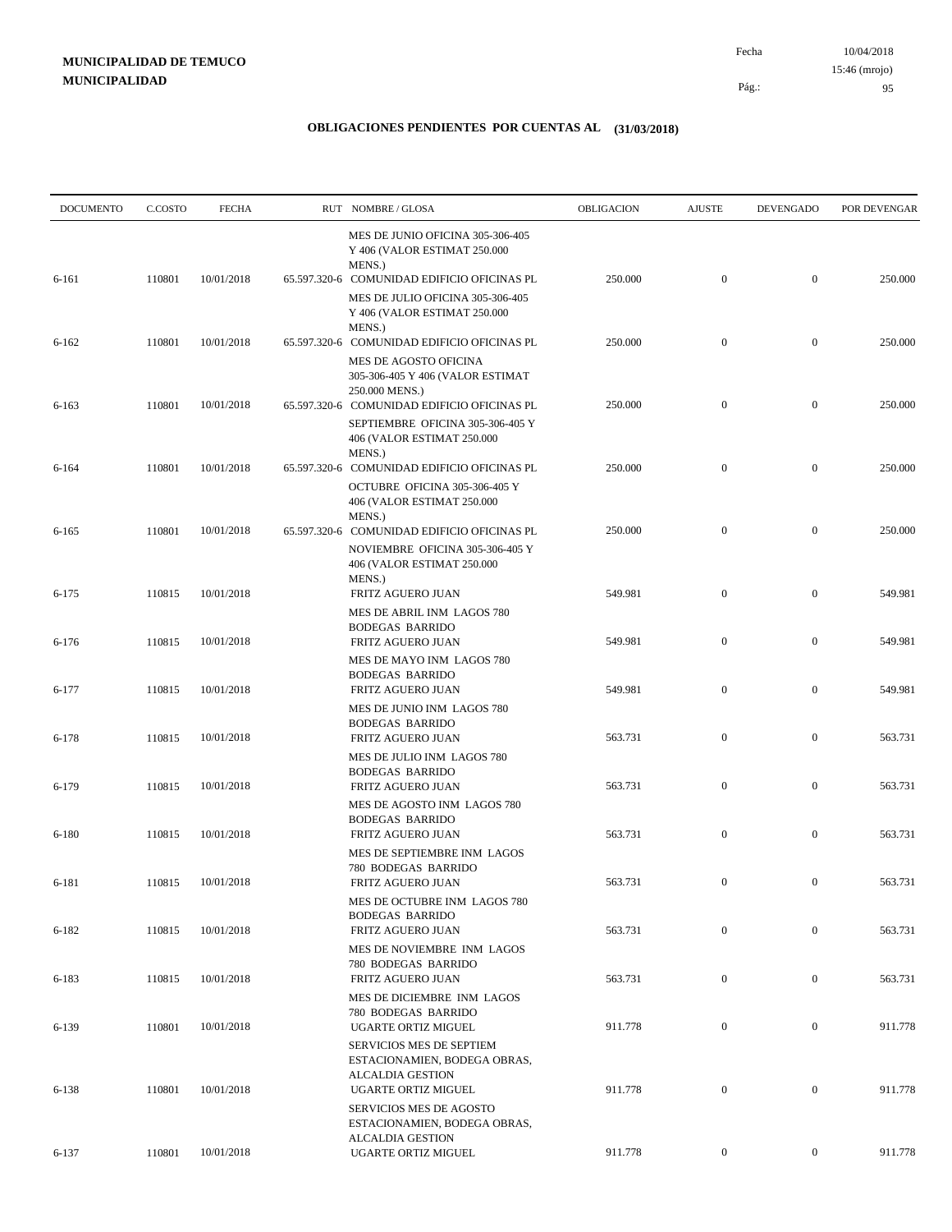| <b>DOCUMENTO</b> | C.COSTO | <b>FECHA</b> |              | RUT NOMBRE/GLOSA                                                                                                                | OBLIGACION | <b>AJUSTE</b>    | <b>DEVENGADO</b> | POR DEVENGAR |
|------------------|---------|--------------|--------------|---------------------------------------------------------------------------------------------------------------------------------|------------|------------------|------------------|--------------|
| 6-161            | 110801  | 10/01/2018   |              | MES DE JUNIO OFICINA 305-306-405<br>Y 406 (VALOR ESTIMAT 250.000<br>MENS.)<br>65.597.320-6 COMUNIDAD EDIFICIO OFICINAS PL       | 250.000    | $\mathbf{0}$     | $\boldsymbol{0}$ | 250.000      |
|                  |         |              |              | MES DE JULIO OFICINA 305-306-405<br>Y 406 (VALOR ESTIMAT 250.000<br>MENS.)                                                      |            |                  |                  |              |
| $6 - 162$        | 110801  | 10/01/2018   |              | 65.597.320-6 COMUNIDAD EDIFICIO OFICINAS PL<br>MES DE AGOSTO OFICINA<br>305-306-405 Y 406 (VALOR ESTIMAT                        | 250.000    | $\mathbf{0}$     | $\boldsymbol{0}$ | 250.000      |
| $6 - 163$        | 110801  | 10/01/2018   |              | 250.000 MENS.)<br>65.597.320-6 COMUNIDAD EDIFICIO OFICINAS PL<br>SEPTIEMBRE OFICINA 305-306-405 Y<br>406 (VALOR ESTIMAT 250.000 | 250.000    | $\boldsymbol{0}$ | $\boldsymbol{0}$ | 250.000      |
| 6-164            | 110801  | 10/01/2018   |              | MENS.)<br>65.597.320-6 COMUNIDAD EDIFICIO OFICINAS PL<br>OCTUBRE OFICINA 305-306-405 Y<br>406 (VALOR ESTIMAT 250.000            | 250.000    | $\boldsymbol{0}$ | $\mathbf{0}$     | 250.000      |
| $6 - 165$        | 110801  | 10/01/2018   | 65.597.320-6 | MENS.)<br>COMUNIDAD EDIFICIO OFICINAS PL<br>NOVIEMBRE OFICINA 305-306-405 Y<br>406 (VALOR ESTIMAT 250.000                       | 250.000    | $\boldsymbol{0}$ | $\boldsymbol{0}$ | 250.000      |
| $6 - 175$        | 110815  | 10/01/2018   |              | MENS.)<br>FRITZ AGUERO JUAN                                                                                                     | 549.981    | $\boldsymbol{0}$ | $\boldsymbol{0}$ | 549.981      |
| $6 - 176$        | 110815  | 10/01/2018   |              | MES DE ABRIL INM LAGOS 780<br><b>BODEGAS BARRIDO</b><br>FRITZ AGUERO JUAN                                                       | 549.981    | $\mathbf{0}$     | $\boldsymbol{0}$ | 549.981      |
| $6 - 177$        | 110815  | 10/01/2018   |              | MES DE MAYO INM LAGOS 780<br><b>BODEGAS BARRIDO</b><br>FRITZ AGUERO JUAN                                                        | 549.981    | $\boldsymbol{0}$ | $\boldsymbol{0}$ | 549.981      |
| $6 - 178$        | 110815  | 10/01/2018   |              | MES DE JUNIO INM LAGOS 780<br><b>BODEGAS BARRIDO</b><br>FRITZ AGUERO JUAN                                                       | 563.731    | $\mathbf{0}$     | $\mathbf{0}$     | 563.731      |
| 6-179            | 110815  | 10/01/2018   |              | MES DE JULIO INM LAGOS 780<br><b>BODEGAS BARRIDO</b><br>FRITZ AGUERO JUAN                                                       | 563.731    | $\mathbf{0}$     | $\boldsymbol{0}$ | 563.731      |
| 6-180            | 110815  | 10/01/2018   |              | MES DE AGOSTO INM LAGOS 780<br><b>BODEGAS BARRIDO</b><br>FRITZ AGUERO JUAN                                                      | 563.731    | $\boldsymbol{0}$ | $\boldsymbol{0}$ | 563.731      |
| 6-181            | 110815  | 10/01/2018   |              | MES DE SEPTIEMBRE INM LAGOS<br>780 BODEGAS BARRIDO<br>FRITZ AGUERO JUAN                                                         | 563.731    | $\mathbf{0}$     | $\boldsymbol{0}$ | 563.731      |
| $6 - 182$        | 110815  | 10/01/2018   |              | MES DE OCTUBRE INM LAGOS 780<br><b>BODEGAS BARRIDO</b><br>FRITZ AGUERO JUAN                                                     | 563.731    | $\mathbf{0}$     | $\boldsymbol{0}$ | 563.731      |
| 6-183            | 110815  | 10/01/2018   |              | MES DE NOVIEMBRE INM LAGOS<br>780 BODEGAS BARRIDO<br>FRITZ AGUERO JUAN                                                          | 563.731    | $\boldsymbol{0}$ | $\boldsymbol{0}$ | 563.731      |
| 6-139            | 110801  | 10/01/2018   |              | MES DE DICIEMBRE INM LAGOS<br>780 BODEGAS BARRIDO<br>UGARTE ORTIZ MIGUEL                                                        | 911.778    | $\boldsymbol{0}$ | $\boldsymbol{0}$ | 911.778      |
| $6 - 138$        | 110801  | 10/01/2018   |              | <b>SERVICIOS MES DE SEPTIEM</b><br>ESTACIONAMIEN, BODEGA OBRAS,<br><b>ALCALDIA GESTION</b><br>UGARTE ORTIZ MIGUEL               | 911.778    | $\mathbf{0}$     | $\boldsymbol{0}$ | 911.778      |
|                  |         |              |              | SERVICIOS MES DE AGOSTO<br>ESTACIONAMIEN, BODEGA OBRAS,<br><b>ALCALDIA GESTION</b>                                              |            |                  |                  |              |
| $6 - 137$        | 110801  | 10/01/2018   |              | UGARTE ORTIZ MIGUEL                                                                                                             | 911.778    | $\overline{0}$   | $\boldsymbol{0}$ | 911.778      |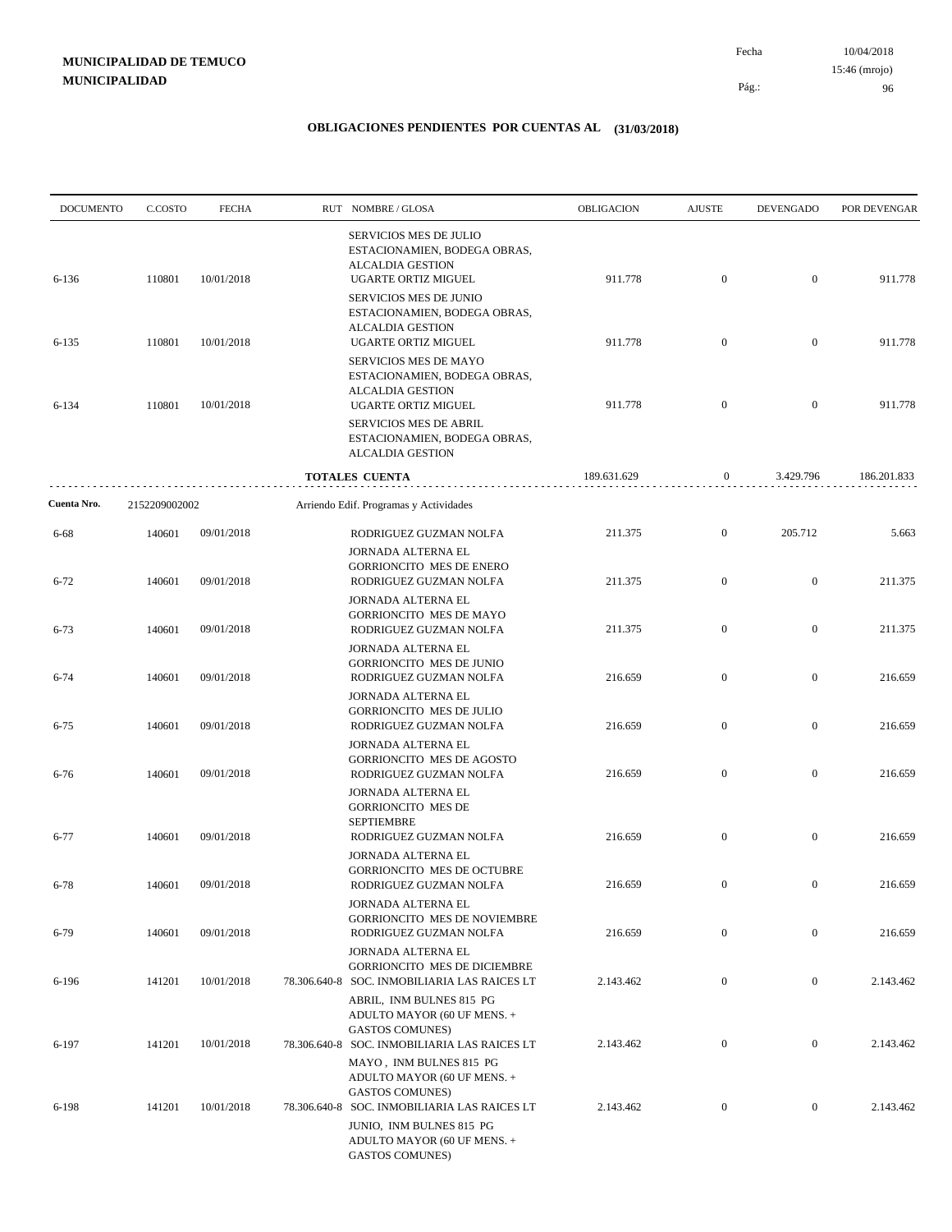| <b>DOCUMENTO</b> | C.COSTO       | <b>FECHA</b> | RUT NOMBRE/GLOSA                                                                                                | OBLIGACION  | <b>AJUSTE</b>    | <b>DEVENGADO</b> | POR DEVENGAR |
|------------------|---------------|--------------|-----------------------------------------------------------------------------------------------------------------|-------------|------------------|------------------|--------------|
| 6-136            | 110801        | 10/01/2018   | <b>SERVICIOS MES DE JULIO</b><br>ESTACIONAMIEN, BODEGA OBRAS,<br><b>ALCALDIA GESTION</b><br>UGARTE ORTIZ MIGUEL | 911.778     | $\boldsymbol{0}$ | $\mathbf{0}$     | 911.778      |
|                  |               |              | <b>SERVICIOS MES DE JUNIO</b><br>ESTACIONAMIEN, BODEGA OBRAS,<br><b>ALCALDIA GESTION</b>                        |             |                  |                  |              |
| $6 - 135$        | 110801        | 10/01/2018   | UGARTE ORTIZ MIGUEL<br><b>SERVICIOS MES DE MAYO</b><br>ESTACIONAMIEN, BODEGA OBRAS,                             | 911.778     | $\boldsymbol{0}$ | $\mathbf{0}$     | 911.778      |
| 6-134            | 110801        | 10/01/2018   | <b>ALCALDIA GESTION</b><br>UGARTE ORTIZ MIGUEL<br>SERVICIOS MES DE ABRIL                                        | 911.778     | $\boldsymbol{0}$ | $\mathbf{0}$     | 911.778      |
|                  |               |              | ESTACIONAMIEN, BODEGA OBRAS,<br><b>ALCALDIA GESTION</b>                                                         |             |                  |                  |              |
|                  |               |              | TOTALES CUENTA                                                                                                  | 189.631.629 | 0                | 3.429.796        | 186.201.833  |
| Cuenta Nro.      | 2152209002002 |              | Arriendo Edif. Programas y Actividades                                                                          |             |                  |                  |              |
| 6-68             | 140601        | 09/01/2018   | RODRIGUEZ GUZMAN NOLFA                                                                                          | 211.375     | $\overline{0}$   | 205.712          | 5.663        |
| $6 - 72$         | 140601        | 09/01/2018   | JORNADA ALTERNA EL<br><b>GORRIONCITO MES DE ENERO</b><br>RODRIGUEZ GUZMAN NOLFA                                 | 211.375     | $\boldsymbol{0}$ | $\mathbf{0}$     | 211.375      |
| $6 - 73$         | 140601        | 09/01/2018   | JORNADA ALTERNA EL<br><b>GORRIONCITO MES DE MAYO</b><br>RODRIGUEZ GUZMAN NOLFA                                  | 211.375     | $\boldsymbol{0}$ | $\mathbf{0}$     | 211.375      |
| $6 - 74$         | 140601        | 09/01/2018   | JORNADA ALTERNA EL<br><b>GORRIONCITO MES DE JUNIO</b><br>RODRIGUEZ GUZMAN NOLFA                                 | 216.659     | $\boldsymbol{0}$ | $\boldsymbol{0}$ | 216.659      |
| $6 - 75$         | 140601        | 09/01/2018   | JORNADA ALTERNA EL<br><b>GORRIONCITO MES DE JULIO</b><br>RODRIGUEZ GUZMAN NOLFA                                 | 216.659     | $\boldsymbol{0}$ | $\mathbf{0}$     | 216.659      |
| $6 - 76$         | 140601        | 09/01/2018   | JORNADA ALTERNA EL<br>GORRIONCITO MES DE AGOSTO<br>RODRIGUEZ GUZMAN NOLFA                                       | 216.659     | $\boldsymbol{0}$ | $\mathbf{0}$     | 216.659      |
|                  |               |              | JORNADA ALTERNA EL<br><b>GORRIONCITO MES DE</b><br><b>SEPTIEMBRE</b>                                            |             |                  |                  |              |
| $6 - 77$         | 140601        | 09/01/2018   | RODRIGUEZ GUZMAN NOLFA                                                                                          | 216.659     | $\boldsymbol{0}$ | $\mathbf{0}$     | 216.659      |
| $6 - 78$         | 140601        | 09/01/2018   | JORNADA ALTERNA EL<br><b>GORRIONCITO MES DE OCTUBRE</b><br>RODRIGUEZ GUZMAN NOLFA                               | 216.659     | $\boldsymbol{0}$ | $\mathbf{0}$     | 216.659      |
| $6 - 79$         | 140601        | 09/01/2018   | JORNADA ALTERNA EL<br>GORRIONCITO MES DE NOVIEMBRE<br>RODRIGUEZ GUZMAN NOLFA                                    | 216.659     | $\boldsymbol{0}$ | $\bf{0}$         | 216.659      |
| 6-196            | 141201        | 10/01/2018   | JORNADA ALTERNA EL<br>GORRIONCITO MES DE DICIEMBRE<br>78.306.640-8 SOC. INMOBILIARIA LAS RAICES LT              | 2.143.462   | $\overline{0}$   | $\boldsymbol{0}$ | 2.143.462    |
|                  |               |              | ABRIL, INM BULNES 815 PG<br>ADULTO MAYOR (60 UF MENS. +<br>GASTOS COMUNES)                                      |             |                  |                  |              |
| 6-197            | 141201        | 10/01/2018   | 78.306.640-8 SOC. INMOBILIARIA LAS RAICES LT<br>MAYO, INM BULNES 815 PG<br>ADULTO MAYOR (60 UF MENS. +          | 2.143.462   | $\boldsymbol{0}$ | $\boldsymbol{0}$ | 2.143.462    |
| 6-198            | 141201        | 10/01/2018   | <b>GASTOS COMUNES)</b><br>78.306.640-8 SOC. INMOBILIARIA LAS RAICES LT<br>JUNIO, INM BULNES 815 PG              | 2.143.462   | $\mathbf{0}$     | $\boldsymbol{0}$ | 2.143.462    |
|                  |               |              | ADULTO MAYOR (60 UF MENS. +<br>GASTOS COMUNES)                                                                  |             |                  |                  |              |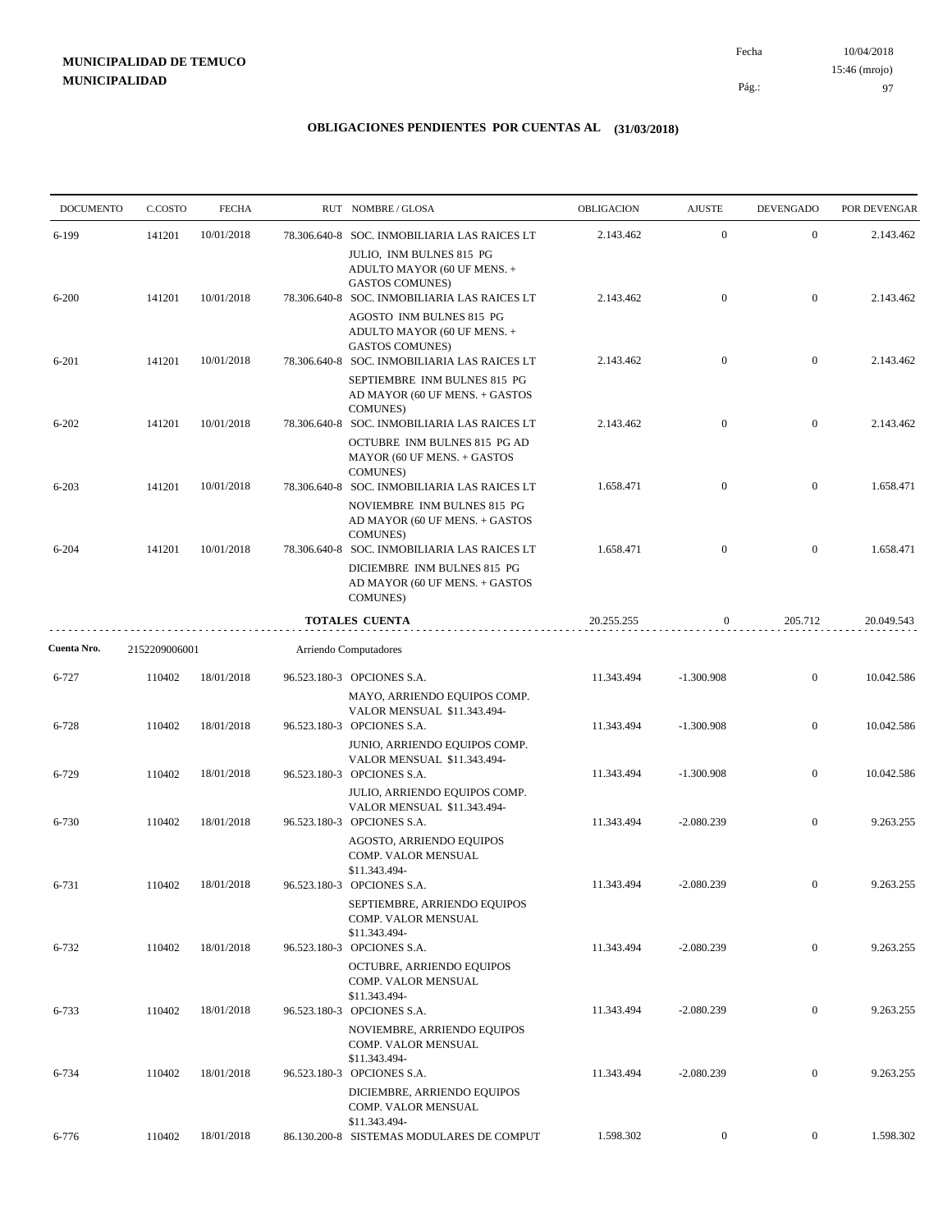10/04/2018 97 Pág.: Fecha 15:46 (mrojo)

| <b>DOCUMENTO</b> | C.COSTO       | <b>FECHA</b> | RUT NOMBRE/GLOSA                                                                                                                  | OBLIGACION | <b>AJUSTE</b> | <b>DEVENGADO</b> | POR DEVENGAR |
|------------------|---------------|--------------|-----------------------------------------------------------------------------------------------------------------------------------|------------|---------------|------------------|--------------|
| 6-199            | 141201        | 10/01/2018   | 78.306.640-8 SOC. INMOBILIARIA LAS RAICES LT                                                                                      | 2.143.462  | $\mathbf{0}$  | $\mathbf{0}$     | 2.143.462    |
|                  |               |              | JULIO, INM BULNES 815 PG<br>ADULTO MAYOR (60 UF MENS. +<br><b>GASTOS COMUNES)</b>                                                 |            |               |                  |              |
| $6 - 200$        | 141201        | 10/01/2018   | 78.306.640-8 SOC. INMOBILIARIA LAS RAICES LT<br>AGOSTO INM BULNES 815 PG<br>ADULTO MAYOR (60 UF MENS. +                           | 2.143.462  | $\mathbf{0}$  | $\mathbf{0}$     | 2.143.462    |
| 6-201            | 141201        | 10/01/2018   | GASTOS COMUNES)<br>78.306.640-8 SOC. INMOBILIARIA LAS RAICES LT<br>SEPTIEMBRE INM BULNES 815 PG<br>AD MAYOR (60 UF MENS. + GASTOS | 2.143.462  | $\mathbf{0}$  | $\mathbf{0}$     | 2.143.462    |
| $6 - 202$        | 141201        | 10/01/2018   | <b>COMUNES</b> )<br>78.306.640-8 SOC. INMOBILIARIA LAS RAICES LT<br>OCTUBRE INM BULNES 815 PG AD<br>MAYOR (60 UF MENS. + GASTOS   | 2.143.462  | $\mathbf{0}$  | $\mathbf{0}$     | 2.143.462    |
| $6 - 203$        | 141201        | 10/01/2018   | <b>COMUNES</b> )<br>78.306.640-8 SOC. INMOBILIARIA LAS RAICES LT<br>NOVIEMBRE INM BULNES 815 PG<br>AD MAYOR (60 UF MENS. + GASTOS | 1.658.471  | $\mathbf{0}$  | $\mathbf{0}$     | 1.658.471    |
| $6 - 204$        | 141201        | 10/01/2018   | <b>COMUNES</b> )<br>78.306.640-8 SOC. INMOBILIARIA LAS RAICES LT<br>DICIEMBRE INM BULNES 815 PG<br>AD MAYOR (60 UF MENS. + GASTOS | 1.658.471  | $\mathbf{0}$  | $\mathbf{0}$     | 1.658.471    |
|                  |               |              | <b>COMUNES</b> )<br><b>TOTALES CUENTA</b>                                                                                         | 20.255.255 | $\mathbf{0}$  | 205.712          | 20.049.543   |
| Cuenta Nro.      | 2152209006001 |              | Arriendo Computadores                                                                                                             |            |               |                  |              |
| 6-727            | 110402        | 18/01/2018   | 96.523.180-3 OPCIONES S.A.                                                                                                        | 11.343.494 | $-1.300.908$  | $\mathbf{0}$     | 10.042.586   |
| 6-728            | 110402        | 18/01/2018   | MAYO, ARRIENDO EQUIPOS COMP.<br>VALOR MENSUAL \$11.343.494-<br>96.523.180-3 OPCIONES S.A.                                         | 11.343.494 | $-1.300.908$  | $\mathbf{0}$     | 10.042.586   |
|                  |               |              | JUNIO, ARRIENDO EQUIPOS COMP.<br>VALOR MENSUAL \$11.343.494-                                                                      |            |               |                  |              |
| 6-729            | 110402        | 18/01/2018   | 96.523.180-3 OPCIONES S.A.<br>JULIO, ARRIENDO EQUIPOS COMP.<br>VALOR MENSUAL \$11.343.494-                                        | 11.343.494 | $-1.300.908$  | $\mathbf{0}$     | 10.042.586   |
| 6-730            | 110402        | 18/01/2018   | 96.523.180-3 OPCIONES S.A.<br>AGOSTO, ARRIENDO EQUIPOS<br>COMP. VALOR MENSUAL                                                     | 11.343.494 | $-2.080.239$  | $\mathbf{0}$     | 9.263.255    |
| 6-731            | 110402        | 18/01/2018   | \$11.343.494-<br>96.523.180-3 OPCIONES S.A.<br>SEPTIEMBRE, ARRIENDO EQUIPOS<br>COMP. VALOR MENSUAL                                | 11.343.494 | $-2.080.239$  | $\boldsymbol{0}$ | 9.263.255    |
| 6-732            | 110402        | 18/01/2018   | \$11.343.494-<br>96.523.180-3 OPCIONES S.A.<br>OCTUBRE, ARRIENDO EQUIPOS                                                          | 11.343.494 | $-2.080.239$  | $\overline{0}$   | 9.263.255    |
| 6-733            | 110402        | 18/01/2018   | COMP. VALOR MENSUAL<br>\$11.343.494-<br>96.523.180-3 OPCIONES S.A.                                                                | 11.343.494 | $-2.080.239$  | $\boldsymbol{0}$ | 9.263.255    |
| 6-734            | 110402        | 18/01/2018   | NOVIEMBRE, ARRIENDO EQUIPOS<br>COMP. VALOR MENSUAL<br>\$11.343.494-<br>96.523.180-3 OPCIONES S.A.                                 | 11.343.494 | $-2.080.239$  | $\overline{0}$   | 9.263.255    |
|                  |               |              | DICIEMBRE, ARRIENDO EQUIPOS<br>COMP. VALOR MENSUAL                                                                                |            |               |                  |              |
| 6-776            | 110402        | 18/01/2018   | \$11.343.494-<br>86.130.200-8 SISTEMAS MODULARES DE COMPUT                                                                        | 1.598.302  | $\mathbf{0}$  | $\mathbf{0}$     | 1.598.302    |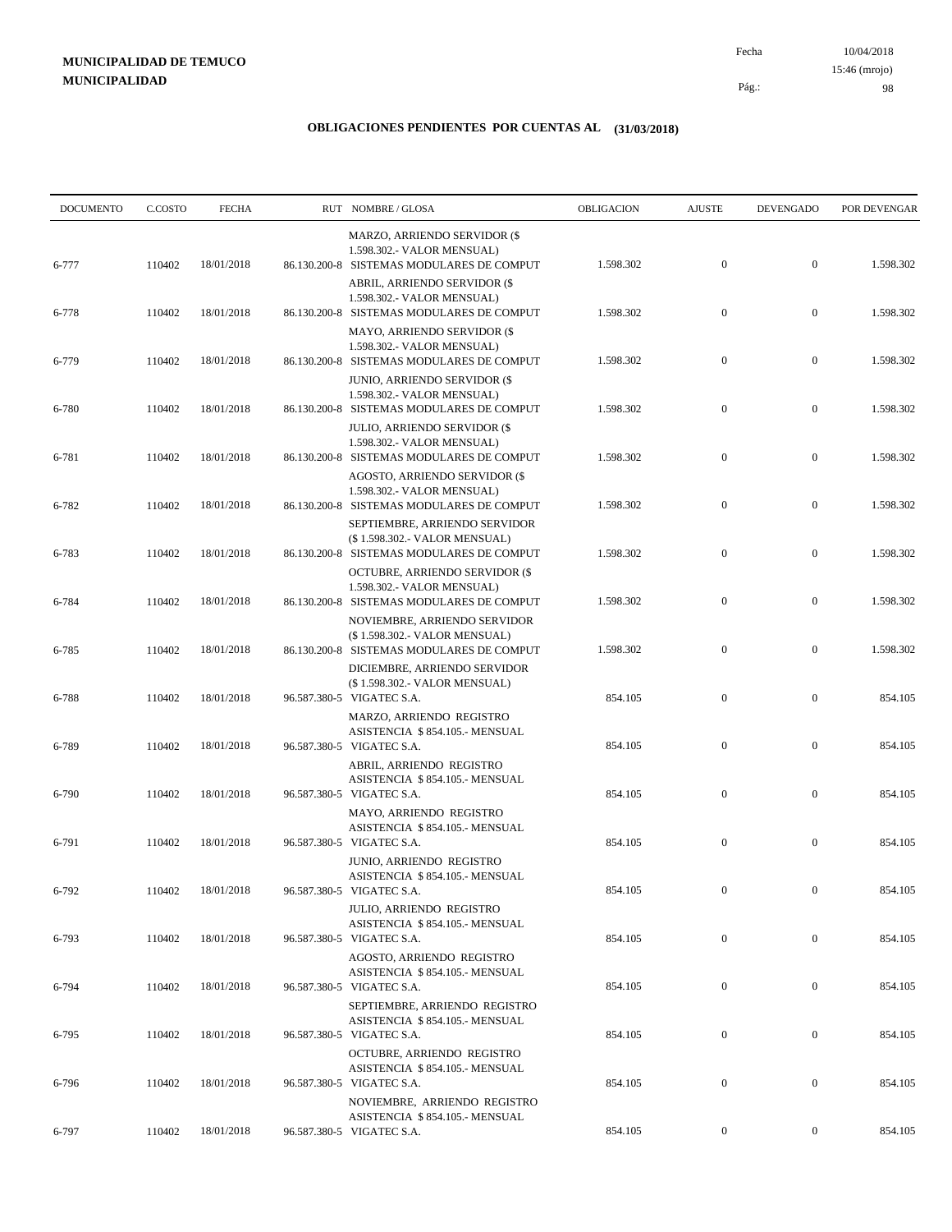10/04/2018 98 15:46 (mrojo)

Pág.:

Fecha

| <b>DOCUMENTO</b> | C.COSTO | <b>FECHA</b> | RUT NOMBRE/GLOSA                                                                                                | OBLIGACION | <b>AJUSTE</b>    | <b>DEVENGADO</b> | POR DEVENGAR |
|------------------|---------|--------------|-----------------------------------------------------------------------------------------------------------------|------------|------------------|------------------|--------------|
| 6-777            | 110402  | 18/01/2018   | MARZO, ARRIENDO SERVIDOR (\$<br>1.598.302.- VALOR MENSUAL)<br>86.130.200-8 SISTEMAS MODULARES DE COMPUT         | 1.598.302  | $\mathbf{0}$     | $\mathbf{0}$     | 1.598.302    |
| 6-778            | 110402  | 18/01/2018   | ABRIL, ARRIENDO SERVIDOR (\$<br>1.598.302.- VALOR MENSUAL)<br>86.130.200-8 SISTEMAS MODULARES DE COMPUT         | 1.598.302  | $\mathbf{0}$     | $\boldsymbol{0}$ | 1.598.302    |
| 6-779            | 110402  | 18/01/2018   | <b>MAYO, ARRIENDO SERVIDOR (\$</b><br>1.598.302.- VALOR MENSUAL)<br>86.130.200-8 SISTEMAS MODULARES DE COMPUT   | 1.598.302  | $\boldsymbol{0}$ | $\boldsymbol{0}$ | 1.598.302    |
| 6-780            | 110402  | 18/01/2018   | <b>JUNIO, ARRIENDO SERVIDOR (\$</b><br>1.598.302.- VALOR MENSUAL)<br>86.130.200-8 SISTEMAS MODULARES DE COMPUT  | 1.598.302  | $\mathbf{0}$     | $\mathbf{0}$     | 1.598.302    |
| 6-781            | 110402  | 18/01/2018   | <b>JULIO, ARRIENDO SERVIDOR (\$</b><br>1.598.302.- VALOR MENSUAL)<br>86.130.200-8 SISTEMAS MODULARES DE COMPUT  | 1.598.302  | $\boldsymbol{0}$ | $\boldsymbol{0}$ | 1.598.302    |
| 6-782            | 110402  | 18/01/2018   | <b>AGOSTO, ARRIENDO SERVIDOR (\$</b><br>1.598.302.- VALOR MENSUAL)<br>86.130.200-8 SISTEMAS MODULARES DE COMPUT | 1.598.302  | $\mathbf{0}$     | $\mathbf{0}$     | 1.598.302    |
| 6-783            | 110402  | 18/01/2018   | SEPTIEMBRE, ARRIENDO SERVIDOR<br>(\$1.598.302.- VALOR MENSUAL)<br>86.130.200-8 SISTEMAS MODULARES DE COMPUT     | 1.598.302  | $\mathbf{0}$     | $\mathbf{0}$     | 1.598.302    |
| 6-784            | 110402  | 18/01/2018   | OCTUBRE, ARRIENDO SERVIDOR (\$<br>1.598.302.- VALOR MENSUAL)<br>86.130.200-8 SISTEMAS MODULARES DE COMPUT       | 1.598.302  | $\mathbf{0}$     | $\mathbf{0}$     | 1.598.302    |
| 6-785            | 110402  | 18/01/2018   | NOVIEMBRE, ARRIENDO SERVIDOR<br>(\$1.598.302.- VALOR MENSUAL)<br>86.130.200-8 SISTEMAS MODULARES DE COMPUT      | 1.598.302  | $\mathbf{0}$     | $\mathbf{0}$     | 1.598.302    |
|                  |         |              | DICIEMBRE, ARRIENDO SERVIDOR<br>(\$1.598.302.- VALOR MENSUAL)                                                   |            |                  |                  |              |
| 6-788            | 110402  | 18/01/2018   | 96.587.380-5 VIGATEC S.A.<br>MARZO, ARRIENDO REGISTRO<br>ASISTENCIA \$854.105.- MENSUAL                         | 854.105    | $\mathbf{0}$     | $\boldsymbol{0}$ | 854.105      |
| 6-789            | 110402  | 18/01/2018   | 96.587.380-5 VIGATEC S.A.<br>ABRIL, ARRIENDO REGISTRO<br>ASISTENCIA \$854.105.- MENSUAL                         | 854.105    | $\mathbf{0}$     | $\boldsymbol{0}$ | 854.105      |
| 6-790            | 110402  | 18/01/2018   | 96.587.380-5 VIGATEC S.A.<br>MAYO, ARRIENDO REGISTRO<br>ASISTENCIA \$854.105.- MENSUAL                          | 854.105    | $\boldsymbol{0}$ | $\mathbf{0}$     | 854.105      |
| 6-791            | 110402  | 18/01/2018   | 96.587.380-5 VIGATEC S.A.<br>JUNIO, ARRIENDO REGISTRO<br>ASISTENCIA \$854.105.- MENSUAL                         | 854.105    | $\boldsymbol{0}$ | $\mathbf{0}$     | 854.105      |
| 6-792            | 110402  | 18/01/2018   | 96.587.380-5 VIGATEC S.A.<br>JULIO, ARRIENDO REGISTRO<br>ASISTENCIA \$854.105.- MENSUAL                         | 854.105    | $\mathbf{0}$     | $\Omega$         | 854.105      |
| 6-793            | 110402  | 18/01/2018   | 96.587.380-5 VIGATEC S.A.<br>AGOSTO, ARRIENDO REGISTRO<br>ASISTENCIA \$854.105.- MENSUAL                        | 854.105    | $\boldsymbol{0}$ | $\mathbf{0}$     | 854.105      |
| 6-794            | 110402  | 18/01/2018   | 96.587.380-5 VIGATEC S.A.<br>SEPTIEMBRE, ARRIENDO REGISTRO                                                      | 854.105    | $\boldsymbol{0}$ | $\overline{0}$   | 854.105      |
| 6-795            | 110402  | 18/01/2018   | ASISTENCIA \$854.105.- MENSUAL<br>96.587.380-5 VIGATEC S.A.<br>OCTUBRE, ARRIENDO REGISTRO                       | 854.105    | $\boldsymbol{0}$ | $\overline{0}$   | 854.105      |
| 6-796            | 110402  | 18/01/2018   | ASISTENCIA \$854.105.- MENSUAL<br>96.587.380-5 VIGATEC S.A.<br>NOVIEMBRE, ARRIENDO REGISTRO                     | 854.105    | $\boldsymbol{0}$ | $\mathbf{0}$     | 854.105      |
| 6-797            | 110402  | 18/01/2018   | ASISTENCIA \$854.105.- MENSUAL<br>96.587.380-5 VIGATEC S.A.                                                     | 854.105    | $\overline{0}$   | $\overline{0}$   | 854.105      |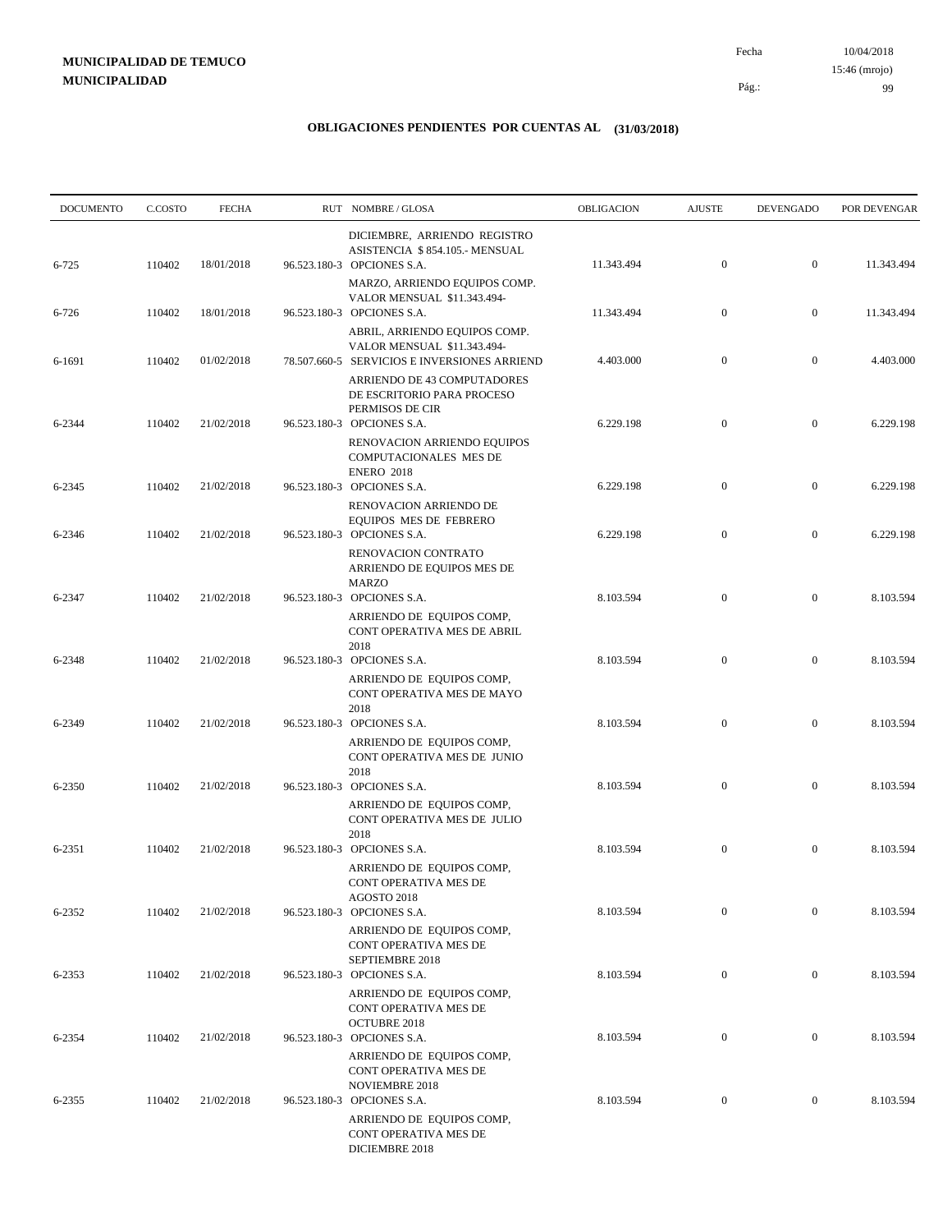10/04/2018 99 Pág.: Fecha 15:46 (mrojo)

| <b>DOCUMENTO</b> | C.COSTO | <b>FECHA</b> | RUT NOMBRE/GLOSA                                                                                             | OBLIGACION | <b>AJUSTE</b>    | <b>DEVENGADO</b> | POR DEVENGAR |
|------------------|---------|--------------|--------------------------------------------------------------------------------------------------------------|------------|------------------|------------------|--------------|
|                  |         |              | DICIEMBRE, ARRIENDO REGISTRO<br>ASISTENCIA \$854.105.- MENSUAL                                               |            |                  |                  |              |
| 6-725            | 110402  | 18/01/2018   | 96.523.180-3 OPCIONES S.A.<br>MARZO, ARRIENDO EQUIPOS COMP.                                                  | 11.343.494 | $\mathbf{0}$     | $\mathbf{0}$     | 11.343.494   |
| 6-726            | 110402  | 18/01/2018   | VALOR MENSUAL \$11.343.494-<br>96.523.180-3 OPCIONES S.A.                                                    | 11.343.494 | $\boldsymbol{0}$ | $\mathbf{0}$     | 11.343.494   |
| 6-1691           | 110402  | 01/02/2018   | ABRIL, ARRIENDO EQUIPOS COMP.<br>VALOR MENSUAL \$11.343.494-<br>78.507.660-5 SERVICIOS E INVERSIONES ARRIEND | 4.403.000  | $\boldsymbol{0}$ | $\boldsymbol{0}$ | 4.403.000    |
|                  |         |              | ARRIENDO DE 43 COMPUTADORES<br>DE ESCRITORIO PARA PROCESO<br>PERMISOS DE CIR                                 |            |                  |                  |              |
| 6-2344           | 110402  | 21/02/2018   | 96.523.180-3 OPCIONES S.A.<br>RENOVACION ARRIENDO EQUIPOS<br>COMPUTACIONALES MES DE<br><b>ENERO 2018</b>     | 6.229.198  | $\mathbf{0}$     | $\mathbf{0}$     | 6.229.198    |
| 6-2345           | 110402  | 21/02/2018   | 96.523.180-3 OPCIONES S.A.<br>RENOVACION ARRIENDO DE                                                         | 6.229.198  | $\boldsymbol{0}$ | $\mathbf{0}$     | 6.229.198    |
| 6-2346           | 110402  | 21/02/2018   | EQUIPOS MES DE FEBRERO<br>96.523.180-3 OPCIONES S.A.<br>RENOVACION CONTRATO<br>ARRIENDO DE EQUIPOS MES DE    | 6.229.198  | $\mathbf{0}$     | $\mathbf{0}$     | 6.229.198    |
| 6-2347           | 110402  | 21/02/2018   | <b>MARZO</b><br>96.523.180-3 OPCIONES S.A.<br>ARRIENDO DE EQUIPOS COMP,                                      | 8.103.594  | $\boldsymbol{0}$ | $\mathbf{0}$     | 8.103.594    |
| 6-2348           | 110402  | 21/02/2018   | CONT OPERATIVA MES DE ABRIL<br>2018<br>96.523.180-3 OPCIONES S.A.                                            | 8.103.594  | $\boldsymbol{0}$ | $\mathbf{0}$     | 8.103.594    |
|                  |         |              | ARRIENDO DE EQUIPOS COMP,<br>CONT OPERATIVA MES DE MAYO<br>2018                                              |            |                  |                  |              |
| 6-2349           | 110402  | 21/02/2018   | 96.523.180-3 OPCIONES S.A.<br>ARRIENDO DE EQUIPOS COMP,<br>CONT OPERATIVA MES DE JUNIO<br>2018               | 8.103.594  | $\boldsymbol{0}$ | $\mathbf{0}$     | 8.103.594    |
| 6-2350           | 110402  | 21/02/2018   | 96.523.180-3 OPCIONES S.A.<br>ARRIENDO DE EQUIPOS COMP,<br>CONT OPERATIVA MES DE JULIO                       | 8.103.594  | $\boldsymbol{0}$ | $\mathbf{0}$     | 8.103.594    |
| 6-2351           | 110402  | 21/02/2018   | 2018<br>96.523.180-3 OPCIONES S.A.<br>ARRIENDO DE EQUIPOS COMP,<br>CONT OPERATIVA MES DE                     | 8.103.594  | $\boldsymbol{0}$ | $\mathbf{0}$     | 8.103.594    |
| 6-2352           | 110402  | 21/02/2018   | AGOSTO 2018<br>96.523.180-3 OPCIONES S.A.<br>ARRIENDO DE EQUIPOS COMP,<br>CONT OPERATIVA MES DE              | 8.103.594  | $\mathbf{0}$     | $\boldsymbol{0}$ | 8.103.594    |
| 6-2353           | 110402  | 21/02/2018   | SEPTIEMBRE 2018<br>96.523.180-3 OPCIONES S.A.<br>ARRIENDO DE EQUIPOS COMP,                                   | 8.103.594  | $\boldsymbol{0}$ | $\overline{0}$   | 8.103.594    |
| 6-2354           | 110402  | 21/02/2018   | CONT OPERATIVA MES DE<br><b>OCTUBRE 2018</b><br>96.523.180-3 OPCIONES S.A.                                   | 8.103.594  | $\boldsymbol{0}$ | $\boldsymbol{0}$ | 8.103.594    |
|                  |         |              | ARRIENDO DE EQUIPOS COMP,<br>CONT OPERATIVA MES DE<br><b>NOVIEMBRE 2018</b>                                  |            |                  |                  |              |
| 6-2355           | 110402  | 21/02/2018   | 96.523.180-3 OPCIONES S.A.<br>ARRIENDO DE EQUIPOS COMP,<br>CONT OPERATIVA MES DE<br>DICIEMBRE 2018           | 8.103.594  | $\boldsymbol{0}$ | $\boldsymbol{0}$ | 8.103.594    |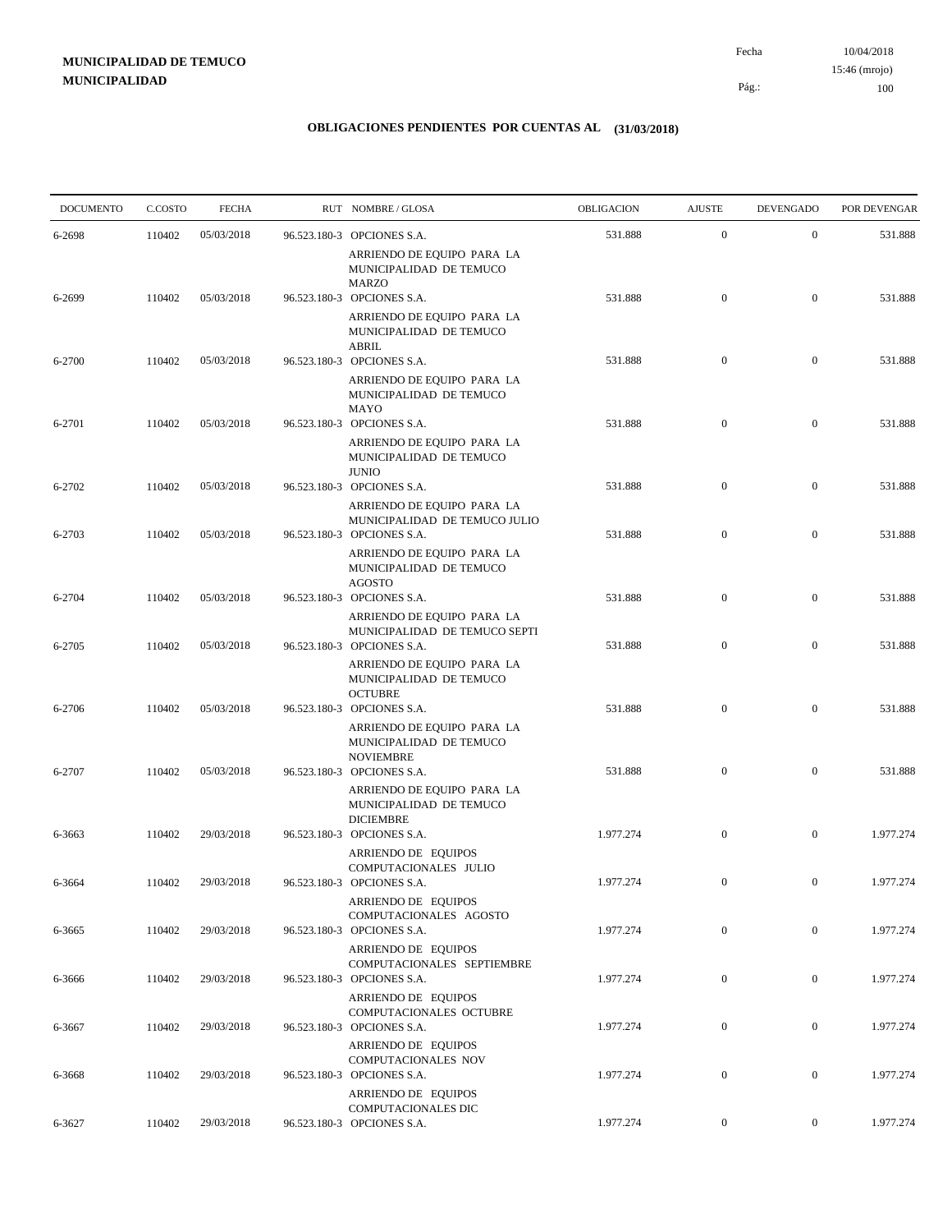| <b>DOCUMENTO</b> | C.COSTO | <b>FECHA</b> | RUT NOMBRE/GLOSA                                                                                     | OBLIGACION | <b>AJUSTE</b>    | <b>DEVENGADO</b> | POR DEVENGAR |
|------------------|---------|--------------|------------------------------------------------------------------------------------------------------|------------|------------------|------------------|--------------|
| 6-2698           | 110402  | 05/03/2018   | 96.523.180-3 OPCIONES S.A.                                                                           | 531.888    | $\mathbf{0}$     | $\mathbf{0}$     | 531.888      |
|                  |         |              | ARRIENDO DE EQUIPO PARA LA<br>MUNICIPALIDAD DE TEMUCO<br><b>MARZO</b>                                |            |                  |                  |              |
| 6-2699           | 110402  | 05/03/2018   | 96.523.180-3 OPCIONES S.A.                                                                           | 531.888    | $\boldsymbol{0}$ | $\mathbf{0}$     | 531.888      |
|                  |         |              | ARRIENDO DE EQUIPO PARA LA<br>MUNICIPALIDAD DE TEMUCO<br>ABRIL                                       |            |                  |                  |              |
| 6-2700           | 110402  | 05/03/2018   | 96.523.180-3 OPCIONES S.A.                                                                           | 531.888    | $\mathbf{0}$     | $\mathbf{0}$     | 531.888      |
|                  |         |              | ARRIENDO DE EQUIPO PARA LA<br>MUNICIPALIDAD DE TEMUCO<br>MAYO                                        |            |                  |                  |              |
| 6-2701           | 110402  | 05/03/2018   | 96.523.180-3 OPCIONES S.A.                                                                           | 531.888    | $\mathbf{0}$     | $\mathbf{0}$     | 531.888      |
|                  |         |              | ARRIENDO DE EQUIPO PARA LA<br>MUNICIPALIDAD DE TEMUCO<br><b>JUNIO</b>                                |            |                  |                  |              |
| 6-2702           | 110402  | 05/03/2018   | 96.523.180-3 OPCIONES S.A.                                                                           | 531.888    | $\boldsymbol{0}$ | $\mathbf{0}$     | 531.888      |
|                  |         |              | ARRIENDO DE EQUIPO PARA LA<br>MUNICIPALIDAD DE TEMUCO JULIO                                          |            |                  |                  |              |
| 6-2703           | 110402  | 05/03/2018   | 96.523.180-3 OPCIONES S.A.<br>ARRIENDO DE EQUIPO PARA LA<br>MUNICIPALIDAD DE TEMUCO<br><b>AGOSTO</b> | 531.888    | $\mathbf{0}$     | $\mathbf{0}$     | 531.888      |
| 6-2704           | 110402  | 05/03/2018   | 96.523.180-3 OPCIONES S.A.                                                                           | 531.888    | $\boldsymbol{0}$ | $\mathbf{0}$     | 531.888      |
| 6-2705           | 110402  | 05/03/2018   | ARRIENDO DE EQUIPO PARA LA<br>MUNICIPALIDAD DE TEMUCO SEPTI<br>96.523.180-3 OPCIONES S.A.            | 531.888    | $\boldsymbol{0}$ | $\mathbf{0}$     | 531.888      |
|                  |         |              | ARRIENDO DE EQUIPO PARA LA<br>MUNICIPALIDAD DE TEMUCO<br><b>OCTUBRE</b>                              |            |                  |                  |              |
| 6-2706           | 110402  | 05/03/2018   | 96.523.180-3 OPCIONES S.A.                                                                           | 531.888    | $\boldsymbol{0}$ | $\mathbf{0}$     | 531.888      |
|                  |         |              | ARRIENDO DE EQUIPO PARA LA<br>MUNICIPALIDAD DE TEMUCO<br><b>NOVIEMBRE</b>                            |            |                  |                  |              |
| 6-2707           | 110402  | 05/03/2018   | 96.523.180-3 OPCIONES S.A.<br>ARRIENDO DE EQUIPO PARA LA<br>MUNICIPALIDAD DE TEMUCO                  | 531.888    | $\mathbf{0}$     | $\mathbf{0}$     | 531.888      |
| 6-3663           | 110402  | 29/03/2018   | <b>DICIEMBRE</b><br>96.523.180-3 OPCIONES S.A.                                                       | 1.977.274  | $\mathbf{0}$     | $\mathbf{0}$     | 1.977.274    |
|                  |         |              | ARRIENDO DE EQUIPOS<br>COMPUTACIONALES JULIO                                                         |            |                  |                  |              |
| 6-3664           | 110402  | 29/03/2018   | 96.523.180-3 OPCIONES S.A.                                                                           | 1.977.274  | $\boldsymbol{0}$ | $\mathbf{0}$     | 1.977.274    |
| 6-3665           | 110402  | 29/03/2018   | ARRIENDO DE EQUIPOS<br>COMPUTACIONALES AGOSTO<br>96.523.180-3 OPCIONES S.A.                          | 1.977.274  | $\mathbf{0}$     | $\overline{0}$   | 1.977.274    |
| 6-3666           | 110402  | 29/03/2018   | ARRIENDO DE EQUIPOS<br>COMPUTACIONALES SEPTIEMBRE<br>96.523.180-3 OPCIONES S.A.                      | 1.977.274  | $\overline{0}$   | $\boldsymbol{0}$ | 1.977.274    |
|                  |         |              | ARRIENDO DE EQUIPOS                                                                                  |            |                  |                  |              |
| 6-3667           | 110402  | 29/03/2018   | COMPUTACIONALES OCTUBRE<br>96.523.180-3 OPCIONES S.A.                                                | 1.977.274  | $\boldsymbol{0}$ | $\boldsymbol{0}$ | 1.977.274    |
| 6-3668           | 110402  | 29/03/2018   | ARRIENDO DE EQUIPOS<br>COMPUTACIONALES NOV<br>96.523.180-3 OPCIONES S.A.                             | 1.977.274  | $\boldsymbol{0}$ | $\bf{0}$         | 1.977.274    |
|                  |         |              | ARRIENDO DE EQUIPOS                                                                                  |            |                  |                  |              |
| 6-3627           | 110402  | 29/03/2018   | COMPUTACIONALES DIC<br>96.523.180-3 OPCIONES S.A.                                                    | 1.977.274  | $\boldsymbol{0}$ | $\boldsymbol{0}$ | 1.977.274    |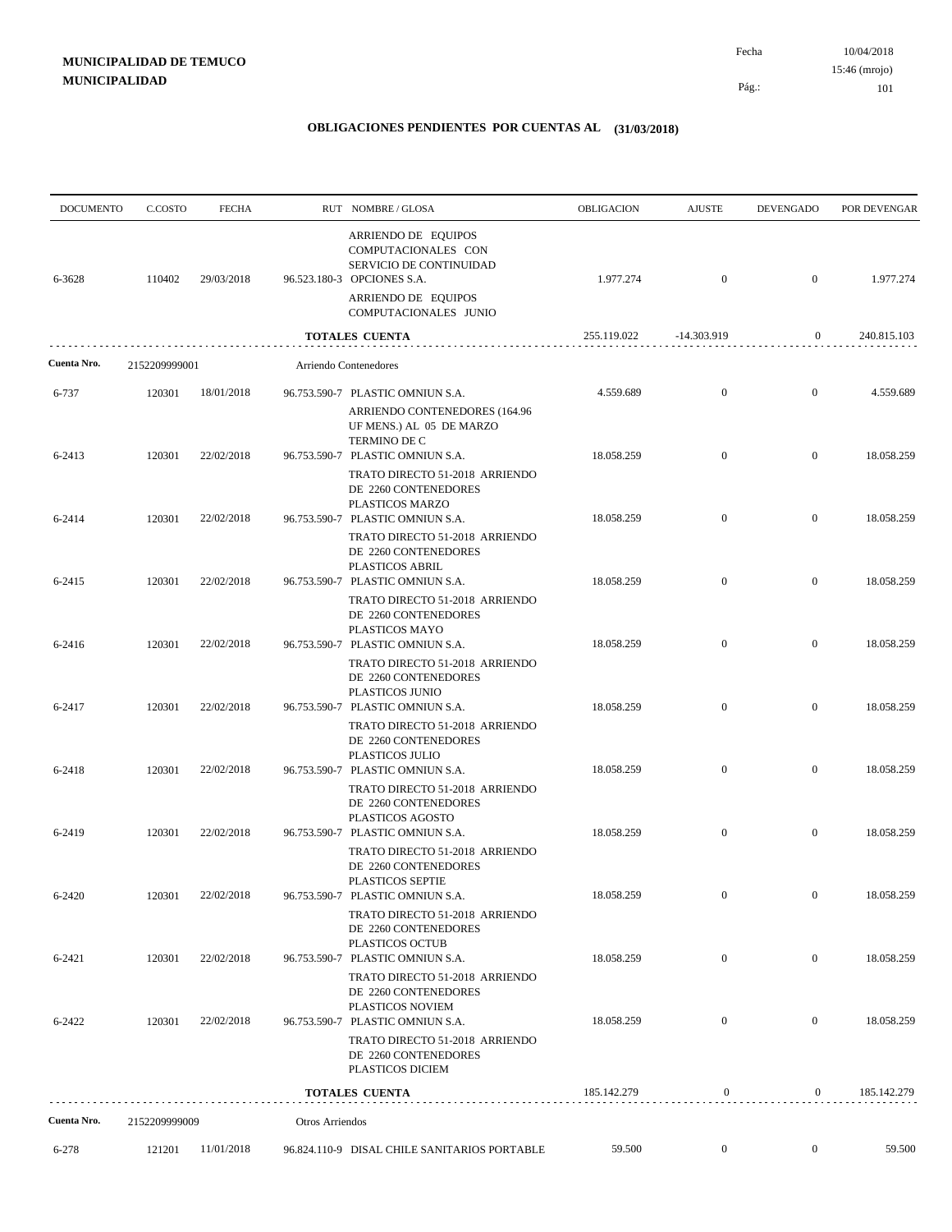10/04/2018 101 Pág.: Fecha 15:46 (mrojo)

| <b>DOCUMENTO</b> | C.COSTO       | <b>FECHA</b> |                 | RUT NOMBRE/GLOSA                                                                                              | OBLIGACION  | <b>AJUSTE</b>    | <b>DEVENGADO</b> | POR DEVENGAR |
|------------------|---------------|--------------|-----------------|---------------------------------------------------------------------------------------------------------------|-------------|------------------|------------------|--------------|
| 6-3628           | 110402        | 29/03/2018   |                 | ARRIENDO DE EQUIPOS<br>COMPUTACIONALES CON<br>SERVICIO DE CONTINUIDAD<br>96.523.180-3 OPCIONES S.A.           | 1.977.274   | $\mathbf{0}$     | $\overline{0}$   | 1.977.274    |
|                  |               |              |                 | ARRIENDO DE EQUIPOS<br>COMPUTACIONALES JUNIO                                                                  |             |                  |                  |              |
|                  |               |              |                 | TOTALES CUENTA                                                                                                | 255.119.022 | -14.303.919      | $\mathbf{0}$     | 240.815.103  |
| Cuenta Nro.      | 2152209999001 |              |                 | Arriendo Contenedores                                                                                         |             |                  |                  |              |
| 6-737            | 120301        | 18/01/2018   |                 | 96.753.590-7 PLASTIC OMNIUN S.A.                                                                              | 4.559.689   | $\mathbf{0}$     | $\mathbf{0}$     | 4.559.689    |
|                  |               |              |                 | ARRIENDO CONTENEDORES (164.96<br>UF MENS.) AL 05 DE MARZO<br>TERMINO DE C                                     |             | $\mathbf{0}$     | $\mathbf{0}$     | 18.058.259   |
| 6-2413           | 120301        | 22/02/2018   |                 | 96.753.590-7 PLASTIC OMNIUN S.A.<br>TRATO DIRECTO 51-2018 ARRIENDO<br>DE 2260 CONTENEDORES<br>PLASTICOS MARZO | 18.058.259  |                  |                  |              |
| 6-2414           | 120301        | 22/02/2018   |                 | 96.753.590-7 PLASTIC OMNIUN S.A.<br>TRATO DIRECTO 51-2018 ARRIENDO<br>DE 2260 CONTENEDORES                    | 18.058.259  | $\mathbf{0}$     | $\mathbf{0}$     | 18.058.259   |
| 6-2415           | 120301        | 22/02/2018   |                 | PLASTICOS ABRIL<br>96.753.590-7 PLASTIC OMNIUN S.A.<br>TRATO DIRECTO 51-2018 ARRIENDO                         | 18.058.259  | $\overline{0}$   | $\overline{0}$   | 18.058.259   |
| 6-2416           | 120301        | 22/02/2018   |                 | DE 2260 CONTENEDORES<br>PLASTICOS MAYO<br>96.753.590-7 PLASTIC OMNIUN S.A.                                    | 18.058.259  | $\mathbf{0}$     | $\mathbf{0}$     | 18.058.259   |
|                  |               |              |                 | TRATO DIRECTO 51-2018 ARRIENDO<br>DE 2260 CONTENEDORES<br>PLASTICOS JUNIO                                     |             |                  |                  |              |
| 6-2417           | 120301        | 22/02/2018   |                 | 96.753.590-7 PLASTIC OMNIUN S.A.<br>TRATO DIRECTO 51-2018 ARRIENDO<br>DE 2260 CONTENEDORES                    | 18.058.259  | $\overline{0}$   | $\overline{0}$   | 18.058.259   |
| 6-2418           | 120301        | 22/02/2018   |                 | PLASTICOS JULIO<br>96.753.590-7 PLASTIC OMNIUN S.A.<br>TRATO DIRECTO 51-2018 ARRIENDO<br>DE 2260 CONTENEDORES | 18.058.259  | $\mathbf{0}$     | $\mathbf{0}$     | 18.058.259   |
| 6-2419           | 120301        | 22/02/2018   |                 | PLASTICOS AGOSTO<br>96.753.590-7 PLASTIC OMNIUN S.A.<br>TRATO DIRECTO 51-2018 ARRIENDO                        | 18.058.259  | $\overline{0}$   | $\overline{0}$   | 18.058.259   |
| 6-2420           | 120301        | 22/02/2018   |                 | DE 2260 CONTENEDORES<br><b>PLASTICOS SEPTIE</b><br>96.753.590-7 PLASTIC OMNIUN S.A.                           | 18.058.259  | $\theta$         | $\bf{0}$         | 18.058.259   |
|                  |               |              |                 | TRATO DIRECTO 51-2018 ARRIENDO<br>DE 2260 CONTENEDORES<br>PLASTICOS OCTUB                                     |             |                  |                  |              |
| 6-2421           | 120301        | 22/02/2018   |                 | 96.753.590-7 PLASTIC OMNIUN S.A.<br>TRATO DIRECTO 51-2018 ARRIENDO                                            | 18.058.259  | $\mathbf{0}$     | $\overline{0}$   | 18.058.259   |
| 6-2422           | 120301        | 22/02/2018   |                 | DE 2260 CONTENEDORES<br>PLASTICOS NOVIEM<br>96.753.590-7 PLASTIC OMNIUN S.A.                                  | 18.058.259  | $\mathbf{0}$     | $\mathbf{0}$     | 18.058.259   |
|                  |               |              |                 | TRATO DIRECTO 51-2018 ARRIENDO<br>DE 2260 CONTENEDORES<br>PLASTICOS DICIEM                                    |             |                  |                  |              |
|                  |               |              |                 | <b>TOTALES CUENTA</b>                                                                                         | 185.142.279 | $\mathbf{0}$     | $\overline{0}$   | 185.142.279  |
| Cuenta Nro.      | 2152209999009 |              | Otros Arriendos |                                                                                                               |             |                  |                  |              |
| 6-278            | 121201        | 11/01/2018   |                 | 96.824.110-9 DISAL CHILE SANITARIOS PORTABLE                                                                  | 59.500      | $\boldsymbol{0}$ | $\overline{0}$   | 59.500       |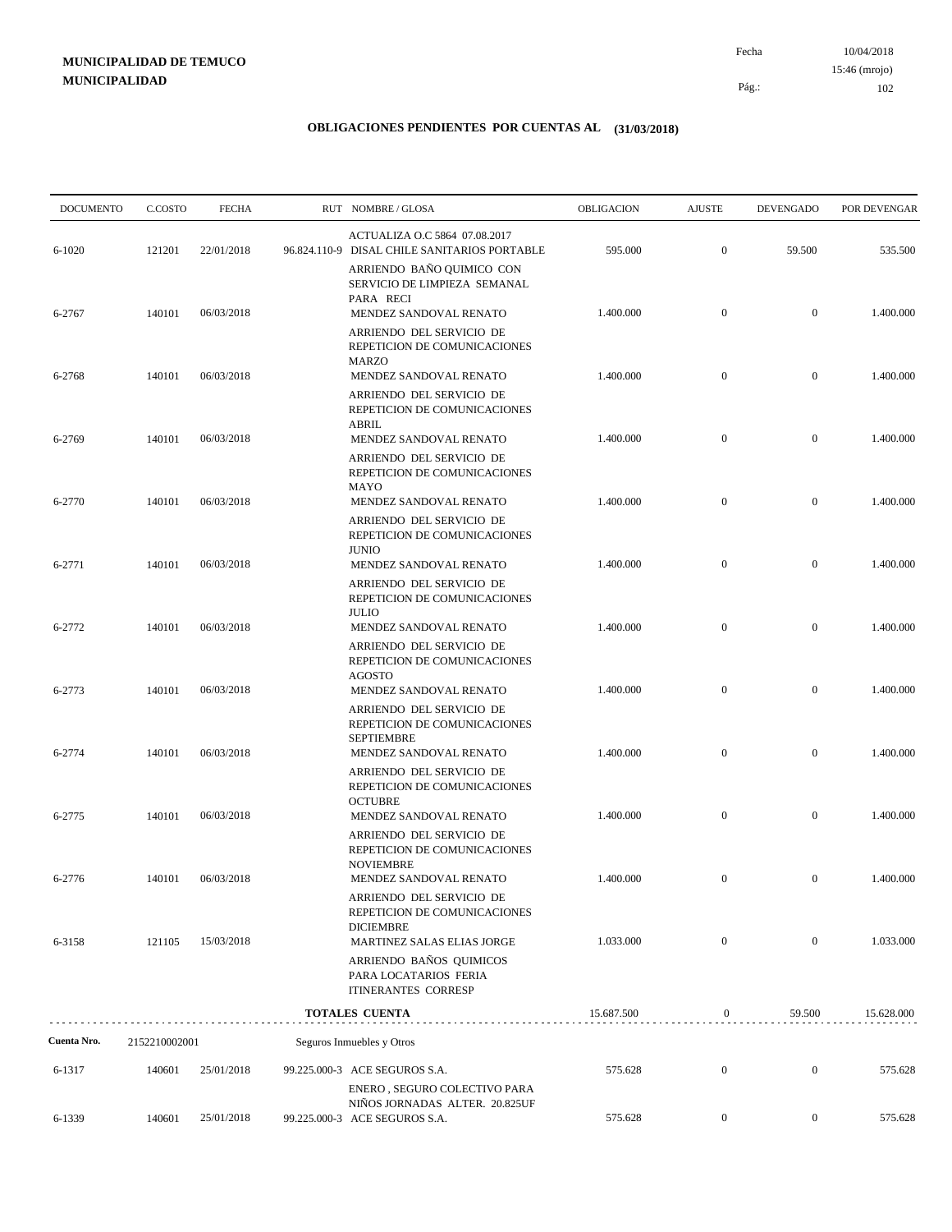10/04/2018 102 Pág.: Fecha 15:46 (mrojo)

| <b>DOCUMENTO</b> | C.COSTO       | <b>FECHA</b> | RUT NOMBRE/GLOSA                                                                                 | <b>OBLIGACION</b> | <b>AJUSTE</b>    | <b>DEVENGADO</b> | POR DEVENGAR |
|------------------|---------------|--------------|--------------------------------------------------------------------------------------------------|-------------------|------------------|------------------|--------------|
| $6 - 1020$       | 121201        | 22/01/2018   | ACTUALIZA O.C 5864 07.08.2017<br>96.824.110-9 DISAL CHILE SANITARIOS PORTABLE                    | 595.000           | $\overline{0}$   | 59.500           | 535.500      |
| 6-2767           | 140101        | 06/03/2018   | ARRIENDO BAÑO QUIMICO CON<br>SERVICIO DE LIMPIEZA SEMANAL<br>PARA RECI<br>MENDEZ SANDOVAL RENATO | 1.400.000         | $\boldsymbol{0}$ | $\mathbf{0}$     | 1.400.000    |
|                  |               |              | ARRIENDO DEL SERVICIO DE<br>REPETICION DE COMUNICACIONES<br>MARZO                                |                   |                  |                  |              |
| 6-2768           | 140101        | 06/03/2018   | MENDEZ SANDOVAL RENATO<br>ARRIENDO DEL SERVICIO DE<br>REPETICION DE COMUNICACIONES               | 1.400.000         | $\boldsymbol{0}$ | $\mathbf{0}$     | 1.400.000    |
| 6-2769           | 140101        | 06/03/2018   | <b>ABRIL</b><br>MENDEZ SANDOVAL RENATO                                                           | 1.400.000         | $\boldsymbol{0}$ | $\mathbf{0}$     | 1.400.000    |
|                  |               |              | ARRIENDO DEL SERVICIO DE<br>REPETICION DE COMUNICACIONES<br>MAYO                                 |                   |                  |                  |              |
| 6-2770           | 140101        | 06/03/2018   | MENDEZ SANDOVAL RENATO<br>ARRIENDO DEL SERVICIO DE<br>REPETICION DE COMUNICACIONES               | 1.400.000         | $\boldsymbol{0}$ | $\mathbf{0}$     | 1.400.000    |
| 6-2771           | 140101        | 06/03/2018   | <b>JUNIO</b><br>MENDEZ SANDOVAL RENATO                                                           | 1.400.000         | $\boldsymbol{0}$ | $\mathbf{0}$     | 1.400.000    |
|                  |               |              | ARRIENDO DEL SERVICIO DE<br>REPETICION DE COMUNICACIONES<br><b>JULIO</b>                         |                   |                  |                  |              |
| 6-2772           | 140101        | 06/03/2018   | MENDEZ SANDOVAL RENATO<br>ARRIENDO DEL SERVICIO DE<br>REPETICION DE COMUNICACIONES               | 1.400.000         | $\boldsymbol{0}$ | $\mathbf{0}$     | 1.400.000    |
| 6-2773           | 140101        | 06/03/2018   | <b>AGOSTO</b><br>MENDEZ SANDOVAL RENATO                                                          | 1.400.000         | $\boldsymbol{0}$ | $\mathbf{0}$     | 1.400.000    |
|                  |               |              | ARRIENDO DEL SERVICIO DE<br>REPETICION DE COMUNICACIONES<br><b>SEPTIEMBRE</b>                    |                   |                  |                  |              |
| 6-2774           | 140101        | 06/03/2018   | MENDEZ SANDOVAL RENATO<br>ARRIENDO DEL SERVICIO DE<br>REPETICION DE COMUNICACIONES               | 1.400.000         | $\boldsymbol{0}$ | $\mathbf{0}$     | 1.400.000    |
| 6-2775           | 140101        | 06/03/2018   | <b>OCTUBRE</b><br>MENDEZ SANDOVAL RENATO                                                         | 1.400.000         | $\mathbf{0}$     | $\mathbf{0}$     | 1.400.000    |
|                  |               |              | ARRIENDO DEL SERVICIO DE<br>REPETICION DE COMUNICACIONES<br><b>NOVIEMBRE</b>                     |                   |                  |                  |              |
| 6-2776           | 140101        | 06/03/2018   | MENDEZ SANDOVAL RENATO<br>ARRIENDO DEL SERVICIO DE<br>REPETICION DE COMUNICACIONES               | 1.400.000         | $\boldsymbol{0}$ | $\mathbf{0}$     | 1.400.000    |
| 6-3158           | 121105        | 15/03/2018   | <b>DICIEMBRE</b><br>MARTINEZ SALAS ELIAS JORGE                                                   | 1.033.000         | $\overline{0}$   | $\overline{0}$   | 1.033.000    |
|                  |               |              | ARRIENDO BAÑOS QUIMICOS<br>PARA LOCATARIOS FERIA<br><b>ITINERANTES CORRESP</b>                   |                   |                  |                  |              |
|                  |               |              | TOTALES CUENTA                                                                                   | 15.687.500        | $\mathbf{0}$     | 59.500           | 15.628.000   |
| Cuenta Nro.      | 2152210002001 |              | Seguros Inmuebles y Otros                                                                        |                   |                  |                  |              |
| 6-1317           | 140601        | 25/01/2018   | 99.225.000-3 ACE SEGUROS S.A.                                                                    | 575.628           | $\boldsymbol{0}$ | $\mathbf{0}$     | 575.628      |
| 6-1339           | 140601        | 25/01/2018   | ENERO, SEGURO COLECTIVO PARA<br>NIÑOS JORNADAS ALTER. 20.825UF<br>99.225.000-3 ACE SEGUROS S.A.  | 575.628           | $\boldsymbol{0}$ | $\boldsymbol{0}$ | 575.628      |
|                  |               |              |                                                                                                  |                   |                  |                  |              |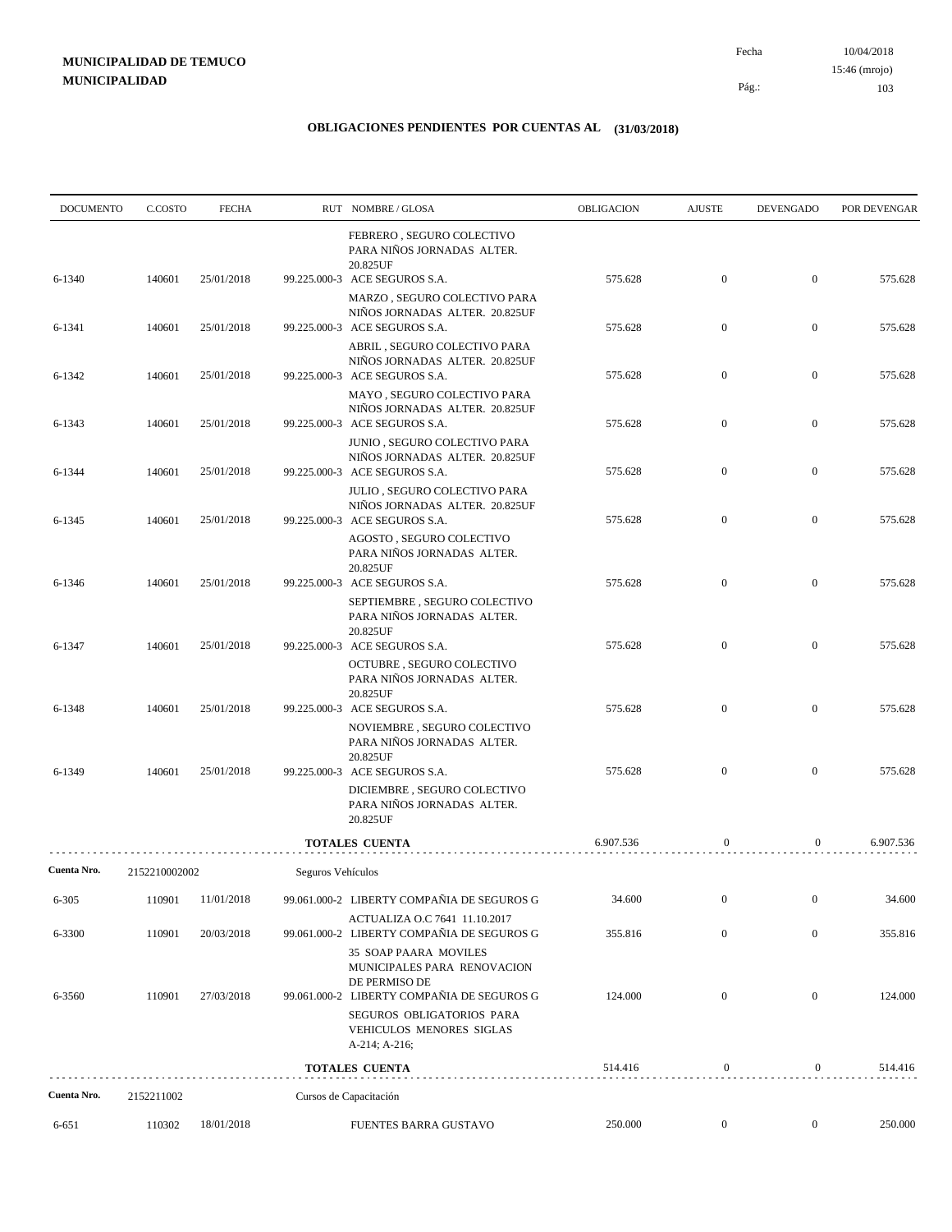| <b>DOCUMENTO</b> | C.COSTO       | <b>FECHA</b> |                   | RUT NOMBRE/GLOSA                                                                                                    | <b>OBLIGACION</b> | <b>AJUSTE</b>    | <b>DEVENGADO</b> | POR DEVENGAR |
|------------------|---------------|--------------|-------------------|---------------------------------------------------------------------------------------------------------------------|-------------------|------------------|------------------|--------------|
| 6-1340           | 140601        | 25/01/2018   |                   | FEBRERO, SEGURO COLECTIVO<br>PARA NIÑOS JORNADAS ALTER.<br>20.825UF<br>99.225.000-3 ACE SEGUROS S.A.                | 575.628           | $\boldsymbol{0}$ | $\mathbf{0}$     | 575.628      |
|                  |               |              |                   | MARZO, SEGURO COLECTIVO PARA                                                                                        |                   |                  |                  |              |
| 6-1341           | 140601        | 25/01/2018   |                   | NIÑOS JORNADAS ALTER. 20.825UF<br>99.225.000-3 ACE SEGUROS S.A.                                                     | 575.628           | $\mathbf{0}$     | $\mathbf{0}$     | 575.628      |
| 6-1342           | 140601        | 25/01/2018   |                   | ABRIL, SEGURO COLECTIVO PARA<br>NIÑOS JORNADAS ALTER. 20.825UF<br>99.225.000-3 ACE SEGUROS S.A.                     | 575.628           | $\mathbf{0}$     | $\mathbf{0}$     | 575.628      |
| 6-1343           | 140601        | 25/01/2018   |                   | MAYO, SEGURO COLECTIVO PARA<br>NIÑOS JORNADAS ALTER. 20.825UF<br>99.225.000-3 ACE SEGUROS S.A.                      | 575.628           | $\mathbf{0}$     | $\mathbf{0}$     | 575.628      |
| 6-1344           | 140601        | 25/01/2018   |                   | JUNIO, SEGURO COLECTIVO PARA<br>NIÑOS JORNADAS ALTER. 20.825UF<br>99.225.000-3 ACE SEGUROS S.A.                     | 575.628           | $\mathbf{0}$     | $\mathbf{0}$     | 575.628      |
| 6-1345           | 140601        | 25/01/2018   |                   | JULIO, SEGURO COLECTIVO PARA<br>NIÑOS JORNADAS ALTER. 20.825UF<br>99.225.000-3 ACE SEGUROS S.A.                     | 575.628           | $\boldsymbol{0}$ | $\mathbf{0}$     | 575.628      |
|                  |               |              |                   | AGOSTO, SEGURO COLECTIVO<br>PARA NIÑOS JORNADAS ALTER.<br>20.825UF                                                  |                   |                  |                  |              |
| 6-1346           | 140601        | 25/01/2018   |                   | 99.225.000-3 ACE SEGUROS S.A.<br>SEPTIEMBRE, SEGURO COLECTIVO<br>PARA NIÑOS JORNADAS ALTER.                         | 575.628           | $\mathbf{0}$     | $\mathbf{0}$     | 575.628      |
| 6-1347           | 140601        | 25/01/2018   |                   | 20.825UF<br>99.225.000-3 ACE SEGUROS S.A.<br>OCTUBRE, SEGURO COLECTIVO                                              | 575.628           | $\mathbf{0}$     | $\mathbf{0}$     | 575.628      |
| 6-1348           | 140601        | 25/01/2018   |                   | PARA NIÑOS JORNADAS ALTER.<br>20.825UF<br>99.225.000-3 ACE SEGUROS S.A.                                             | 575.628           | $\mathbf{0}$     | $\mathbf{0}$     | 575.628      |
|                  |               |              |                   | NOVIEMBRE, SEGURO COLECTIVO<br>PARA NIÑOS JORNADAS ALTER.<br>20.825UF                                               |                   |                  |                  |              |
| 6-1349           | 140601        | 25/01/2018   |                   | 99.225.000-3 ACE SEGUROS S.A.<br>DICIEMBRE, SEGURO COLECTIVO<br>PARA NIÑOS JORNADAS ALTER.<br>20.825UF              | 575.628           | $\mathbf{0}$     | $\mathbf{0}$     | 575.628      |
|                  |               |              |                   | <b>TOTALES CUENTA</b>                                                                                               | 6.907.536         | $\mathbf{0}$     | $\overline{0}$   | 6.907.536    |
| Cuenta Nro.      | 2152210002002 |              | Seguros Vehículos |                                                                                                                     |                   |                  |                  |              |
| $6 - 305$        | 110901        | 11/01/2018   |                   | 99.061.000-2 LIBERTY COMPAÑIA DE SEGUROS G                                                                          | 34.600            | $\boldsymbol{0}$ | $\boldsymbol{0}$ | 34.600       |
| 6-3300           | 110901        | 20/03/2018   |                   | ACTUALIZA O.C 7641 11.10.2017<br>99.061.000-2 LIBERTY COMPAÑIA DE SEGUROS G                                         | 355.816           | $\boldsymbol{0}$ | $\boldsymbol{0}$ | 355.816      |
| 6-3560           | 110901        | 27/03/2018   |                   | 35 SOAP PAARA MOVILES<br>MUNICIPALES PARA RENOVACION<br>DE PERMISO DE<br>99.061.000-2 LIBERTY COMPAÑIA DE SEGUROS G | 124.000           | $\boldsymbol{0}$ | $\mathbf{0}$     | 124.000      |
|                  |               |              |                   | SEGUROS OBLIGATORIOS PARA<br>VEHICULOS MENORES SIGLAS<br>A-214; A-216;                                              |                   |                  |                  |              |
|                  |               |              |                   | <b>TOTALES CUENTA</b>                                                                                               | 514.416           | $\boldsymbol{0}$ | $\mathbf{0}$     | 514.416      |
| Cuenta Nro.      | 2152211002    |              |                   | Cursos de Capacitación                                                                                              |                   |                  |                  |              |
| 6-651            | 110302        | 18/01/2018   |                   | FUENTES BARRA GUSTAVO                                                                                               | 250.000           | $\overline{0}$   | $\boldsymbol{0}$ | 250.000      |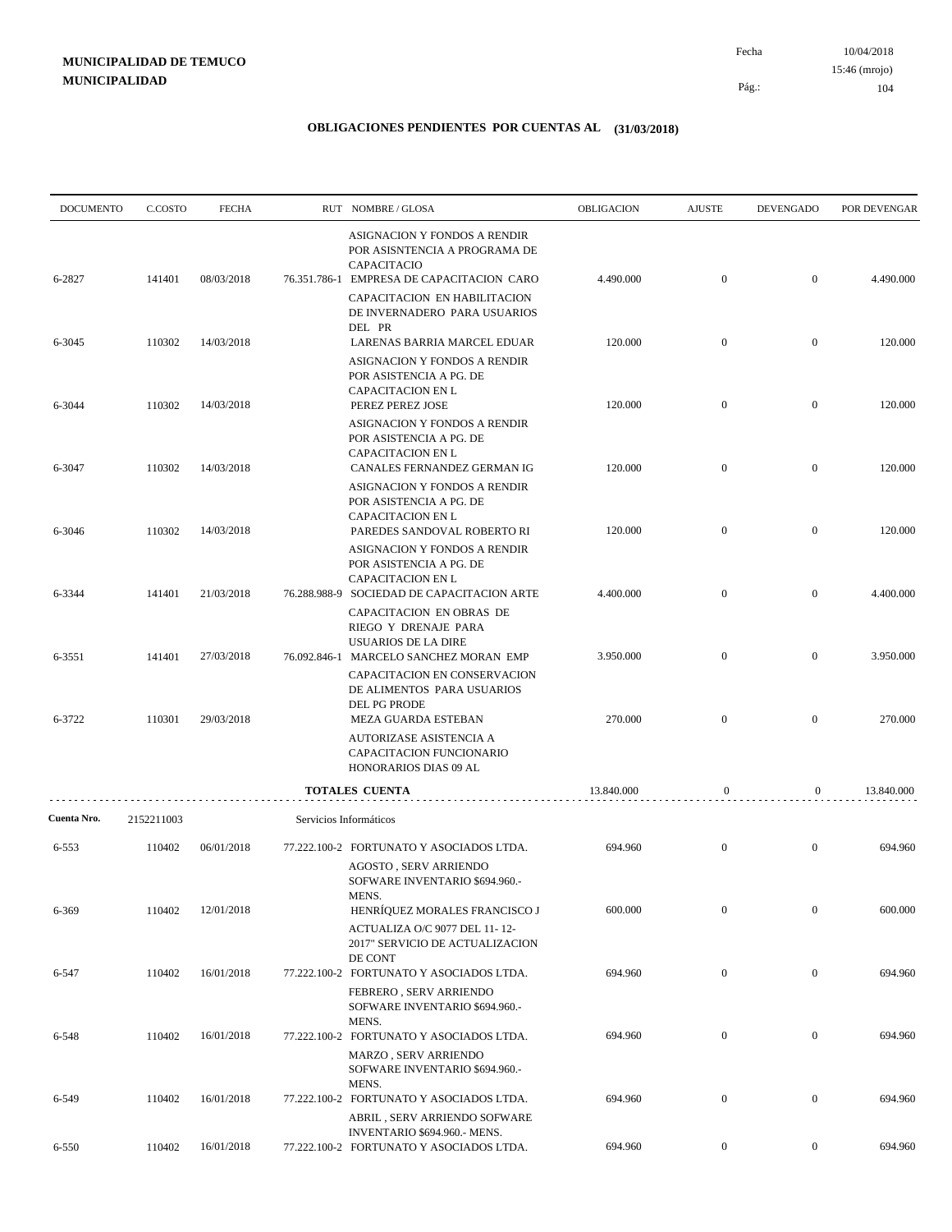| <b>DOCUMENTO</b> | C.COSTO    | <b>FECHA</b> | RUT NOMBRE/GLOSA                                                                                                           | OBLIGACION | <b>AJUSTE</b>    | <b>DEVENGADO</b> | POR DEVENGAR |
|------------------|------------|--------------|----------------------------------------------------------------------------------------------------------------------------|------------|------------------|------------------|--------------|
| 6-2827           | 141401     | 08/03/2018   | ASIGNACION Y FONDOS A RENDIR<br>POR ASISNTENCIA A PROGRAMA DE<br>CAPACITACIO<br>76.351.786-1 EMPRESA DE CAPACITACION CARO  | 4.490.000  | $\boldsymbol{0}$ | $\overline{0}$   | 4.490.000    |
|                  |            |              | CAPACITACION EN HABILITACION<br>DE INVERNADERO PARA USUARIOS<br>DEL PR                                                     |            |                  |                  |              |
| 6-3045           | 110302     | 14/03/2018   | LARENAS BARRIA MARCEL EDUAR<br>ASIGNACION Y FONDOS A RENDIR<br>POR ASISTENCIA A PG. DE                                     | 120.000    | $\boldsymbol{0}$ | $\mathbf{0}$     | 120.000      |
| 6-3044           | 110302     | 14/03/2018   | CAPACITACION EN L<br>PEREZ PEREZ JOSE                                                                                      | 120.000    | $\boldsymbol{0}$ | $\overline{0}$   | 120.000      |
|                  |            |              | ASIGNACION Y FONDOS A RENDIR<br>POR ASISTENCIA A PG. DE<br>CAPACITACION EN L                                               |            |                  |                  |              |
| 6-3047           | 110302     | 14/03/2018   | CANALES FERNANDEZ GERMAN IG<br>ASIGNACION Y FONDOS A RENDIR<br>POR ASISTENCIA A PG. DE                                     | 120.000    | $\boldsymbol{0}$ | $\boldsymbol{0}$ | 120.000      |
| 6-3046           | 110302     | 14/03/2018   | CAPACITACION EN L<br>PAREDES SANDOVAL ROBERTO RI                                                                           | 120.000    | $\boldsymbol{0}$ | $\mathbf{0}$     | 120.000      |
| 6-3344           | 141401     | 21/03/2018   | ASIGNACION Y FONDOS A RENDIR<br>POR ASISTENCIA A PG. DE<br>CAPACITACION EN L<br>76.288.988-9 SOCIEDAD DE CAPACITACION ARTE | 4.400.000  | $\boldsymbol{0}$ | $\boldsymbol{0}$ | 4.400.000    |
|                  |            |              | CAPACITACION EN OBRAS DE<br>RIEGO Y DRENAJE PARA<br>USUARIOS DE LA DIRE                                                    |            |                  |                  |              |
| 6-3551           | 141401     | 27/03/2018   | 76.092.846-1 MARCELO SANCHEZ MORAN EMP<br>CAPACITACION EN CONSERVACION<br>DE ALIMENTOS PARA USUARIOS                       | 3.950.000  | $\mathbf{0}$     | $\overline{0}$   | 3.950.000    |
| 6-3722           | 110301     | 29/03/2018   | DEL PG PRODE<br>MEZA GUARDA ESTEBAN                                                                                        | 270.000    | $\boldsymbol{0}$ | $\mathbf{0}$     | 270.000      |
|                  |            |              | AUTORIZASE ASISTENCIA A<br>CAPACITACION FUNCIONARIO<br>HONORARIOS DIAS 09 AL                                               |            |                  |                  |              |
|                  |            |              | TOTALES CUENTA                                                                                                             | 13.840.000 | $\mathbf{0}$     | $\mathbf{0}$     | 13.840.000   |
| Cuenta Nro.      | 2152211003 |              | Servicios Informáticos                                                                                                     |            |                  |                  |              |
| 6-553            | 110402     | 06/01/2018   | 77.222.100-2 FORTUNATO Y ASOCIADOS LTDA.<br><b>AGOSTO, SERV ARRIENDO</b><br>SOFWARE INVENTARIO \$694.960.-                 | 694.960    | $\mathbf{0}$     | $\mathbf{0}$     | 694.960      |
| 6-369            | 110402     | 12/01/2018   | MENS.<br>HENRÍQUEZ MORALES FRANCISCO J<br>ACTUALIZA O/C 9077 DEL 11-12-<br>2017" SERVICIO DE ACTUALIZACION                 | 600.000    | $\mathbf{0}$     | $\boldsymbol{0}$ | 600.000      |
| 6-547            | 110402     | 16/01/2018   | DE CONT<br>77.222.100-2 FORTUNATO Y ASOCIADOS LTDA.<br>FEBRERO, SERV ARRIENDO                                              | 694.960    | $\boldsymbol{0}$ | $\mathbf{0}$     | 694.960      |
|                  |            |              | SOFWARE INVENTARIO \$694.960.-<br>MENS.                                                                                    |            |                  |                  |              |
| 6-548            | 110402     | 16/01/2018   | 77.222.100-2 FORTUNATO Y ASOCIADOS LTDA.<br><b>MARZO, SERV ARRIENDO</b><br>SOFWARE INVENTARIO \$694.960.-                  | 694.960    | $\boldsymbol{0}$ | $\overline{0}$   | 694.960      |
| 6-549            | 110402     | 16/01/2018   | MENS.<br>77.222.100-2 FORTUNATO Y ASOCIADOS LTDA.<br>ABRIL, SERV ARRIENDO SOFWARE                                          | 694.960    | $\boldsymbol{0}$ | $\bf{0}$         | 694.960      |
| 6-550            | 110402     | 16/01/2018   | INVENTARIO \$694.960.- MENS.<br>77.222.100-2 FORTUNATO Y ASOCIADOS LTDA.                                                   | 694.960    | $\overline{0}$   | $\mathbf{0}$     | 694.960      |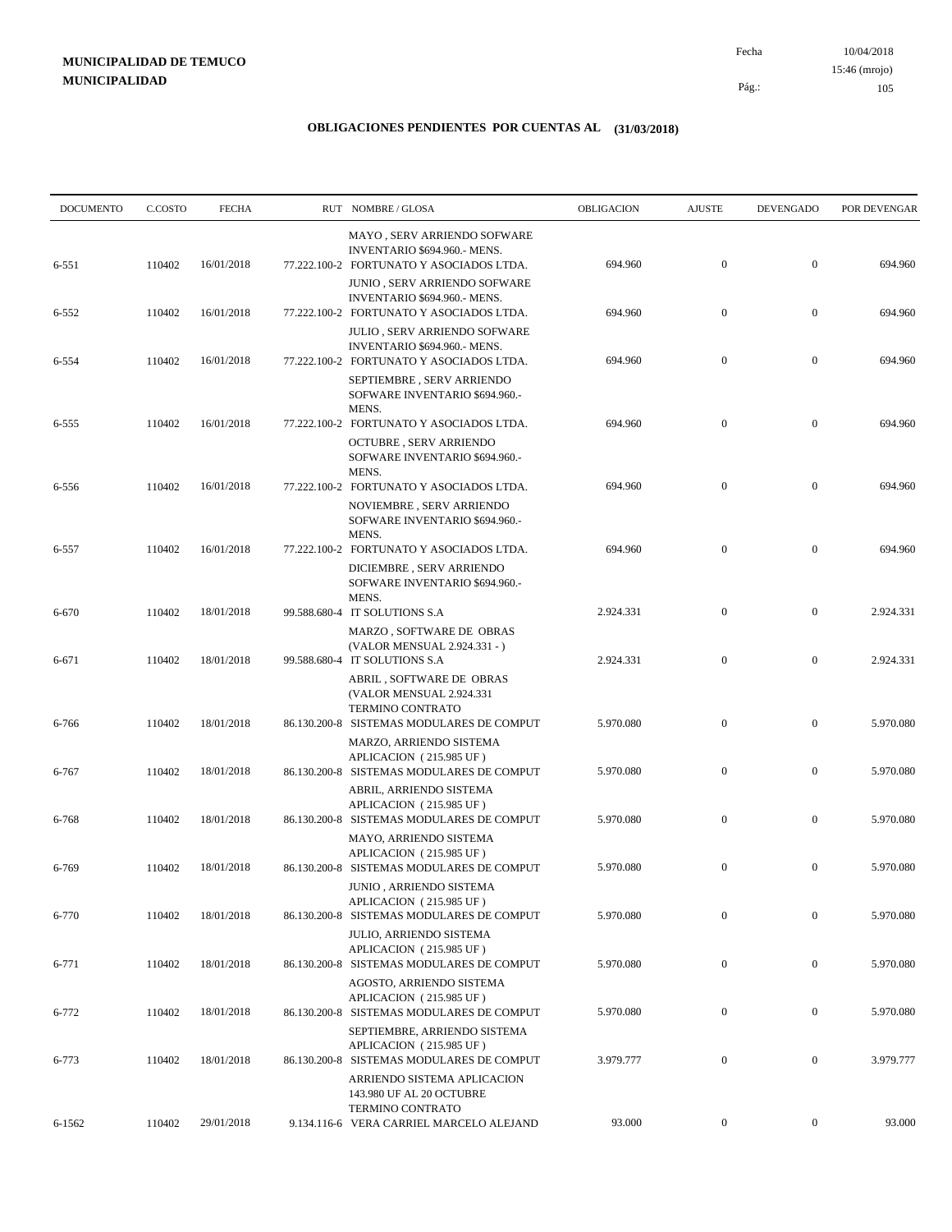10/04/2018 105 Pág.: Fecha

### **OBLIGACIONES PENDIENTES POR CUENTAS AL (31/03/2018)**

| <b>DOCUMENTO</b> | C.COSTO | <b>FECHA</b> | RUT NOMBRE/GLOSA                                                                                                 | OBLIGACION | <b>AJUSTE</b>    | <b>DEVENGADO</b> | POR DEVENGAR |
|------------------|---------|--------------|------------------------------------------------------------------------------------------------------------------|------------|------------------|------------------|--------------|
| 6-551            | 110402  | 16/01/2018   | MAYO, SERV ARRIENDO SOFWARE<br>INVENTARIO \$694.960.- MENS.<br>77.222.100-2 FORTUNATO Y ASOCIADOS LTDA.          | 694.960    | $\mathbf{0}$     | $\mathbf{0}$     | 694.960      |
| 6-552            | 110402  | 16/01/2018   | JUNIO , SERV ARRIENDO SOFWARE<br>INVENTARIO \$694.960.- MENS.<br>77.222.100-2 FORTUNATO Y ASOCIADOS LTDA.        | 694.960    | $\mathbf{0}$     | $\mathbf{0}$     | 694.960      |
|                  |         |              | JULIO, SERV ARRIENDO SOFWARE<br>INVENTARIO \$694.960.- MENS.                                                     |            |                  |                  |              |
| 6-554            | 110402  | 16/01/2018   | 77.222.100-2 FORTUNATO Y ASOCIADOS LTDA.<br>SEPTIEMBRE, SERV ARRIENDO<br>SOFWARE INVENTARIO \$694.960.-<br>MENS. | 694.960    | $\mathbf{0}$     | $\boldsymbol{0}$ | 694.960      |
| 6-555            | 110402  | 16/01/2018   | 77.222.100-2 FORTUNATO Y ASOCIADOS LTDA.<br><b>OCTUBRE, SERV ARRIENDO</b><br>SOFWARE INVENTARIO \$694.960.-      | 694.960    | $\mathbf{0}$     | $\mathbf{0}$     | 694.960      |
| 6-556            | 110402  | 16/01/2018   | MENS.<br>77.222.100-2 FORTUNATO Y ASOCIADOS LTDA.<br>NOVIEMBRE, SERV ARRIENDO<br>SOFWARE INVENTARIO \$694.960.-  | 694.960    | $\mathbf{0}$     | $\boldsymbol{0}$ | 694.960      |
| 6-557            | 110402  | 16/01/2018   | MENS.<br>77.222.100-2 FORTUNATO Y ASOCIADOS LTDA.<br>DICIEMBRE, SERV ARRIENDO<br>SOFWARE INVENTARIO \$694.960.-  | 694.960    | $\mathbf{0}$     | $\mathbf{0}$     | 694.960      |
| 6-670            | 110402  | 18/01/2018   | MENS.<br>99.588.680-4 IT SOLUTIONS S.A                                                                           | 2.924.331  | $\mathbf{0}$     | $\boldsymbol{0}$ | 2.924.331    |
| 6-671            | 110402  | 18/01/2018   | MARZO, SOFTWARE DE OBRAS<br>(VALOR MENSUAL 2.924.331 - )<br>99.588.680-4 IT SOLUTIONS S.A                        | 2.924.331  | $\mathbf{0}$     | $\boldsymbol{0}$ | 2.924.331    |
|                  |         |              | ABRIL, SOFTWARE DE OBRAS<br>(VALOR MENSUAL 2.924.331<br>TERMINO CONTRATO                                         |            | $\boldsymbol{0}$ | $\boldsymbol{0}$ | 5.970.080    |
| 6-766            | 110402  | 18/01/2018   | 86.130.200-8 SISTEMAS MODULARES DE COMPUT<br>MARZO, ARRIENDO SISTEMA<br>APLICACION (215.985 UF)                  | 5.970.080  |                  |                  |              |
| 6-767            | 110402  | 18/01/2018   | 86.130.200-8 SISTEMAS MODULARES DE COMPUT<br>ABRIL, ARRIENDO SISTEMA<br>APLICACION (215.985 UF)                  | 5.970.080  | $\mathbf{0}$     | $\boldsymbol{0}$ | 5.970.080    |
| 6-768            | 110402  | 18/01/2018   | 86.130.200-8 SISTEMAS MODULARES DE COMPUT<br>MAYO, ARRIENDO SISTEMA<br>APLICACION (215.985 UF)                   | 5.970.080  | $\mathbf{0}$     | $\boldsymbol{0}$ | 5.970.080    |
| 6-769            | 110402  | 18/01/2018   | 86.130.200-8 SISTEMAS MODULARES DE COMPUT<br>JUNIO, ARRIENDO SISTEMA                                             | 5.970.080  | $\boldsymbol{0}$ | $\boldsymbol{0}$ | 5.970.080    |
| 6-770            | 110402  | 18/01/2018   | APLICACION (215.985 UF)<br>86.130.200-8 SISTEMAS MODULARES DE COMPUT<br>JULIO, ARRIENDO SISTEMA                  | 5.970.080  | $\mathbf{0}$     | $\mathbf{0}$     | 5.970.080    |
| 6-771            | 110402  | 18/01/2018   | APLICACION (215.985 UF)<br>86.130.200-8 SISTEMAS MODULARES DE COMPUT<br>AGOSTO, ARRIENDO SISTEMA                 | 5.970.080  | $\mathbf{0}$     | $\boldsymbol{0}$ | 5.970.080    |
| 6-772            | 110402  | 18/01/2018   | APLICACION (215.985 UF)<br>86.130.200-8 SISTEMAS MODULARES DE COMPUT                                             | 5.970.080  | $\mathbf{0}$     | $\boldsymbol{0}$ | 5.970.080    |
| 6-773            | 110402  | 18/01/2018   | SEPTIEMBRE, ARRIENDO SISTEMA<br>APLICACION (215.985 UF)<br>86.130.200-8 SISTEMAS MODULARES DE COMPUT             | 3.979.777  | $\mathbf{0}$     | $\boldsymbol{0}$ | 3.979.777    |
|                  |         |              | ARRIENDO SISTEMA APLICACION<br>143.980 UF AL 20 OCTUBRE<br>TERMINO CONTRATO                                      |            |                  |                  |              |
| 6-1562           | 110402  | 29/01/2018   | 9.134.116-6 VERA CARRIEL MARCELO ALEJAND                                                                         | 93.000     | $\overline{0}$   | $\boldsymbol{0}$ | 93.000       |

15:46 (mrojo)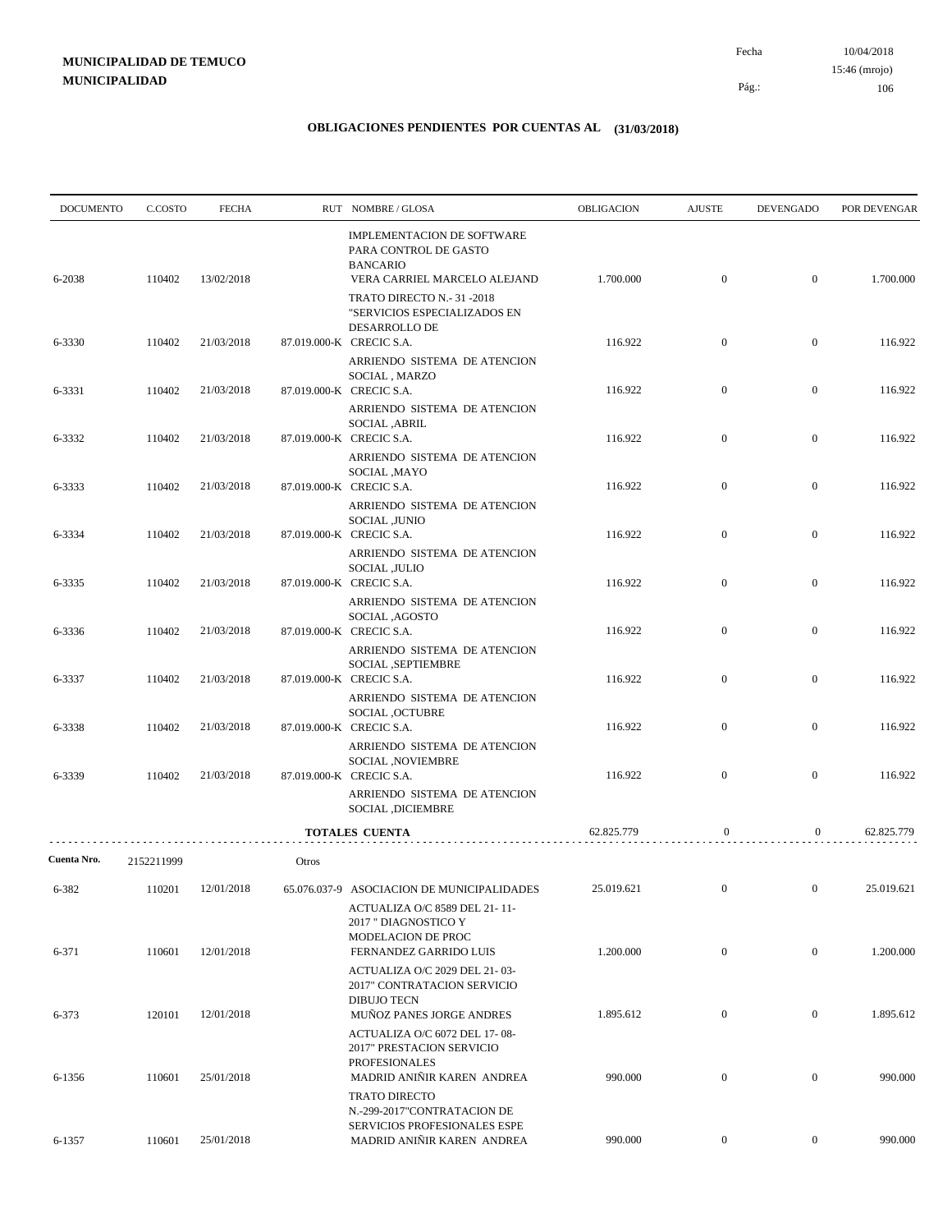| <b>DOCUMENTO</b> | C.COSTO    | <b>FECHA</b> |       | RUT NOMBRE/GLOSA                                                                                          | OBLIGACION | <b>AJUSTE</b>    | <b>DEVENGADO</b> | POR DEVENGAR |
|------------------|------------|--------------|-------|-----------------------------------------------------------------------------------------------------------|------------|------------------|------------------|--------------|
| 6-2038           | 110402     | 13/02/2018   |       | IMPLEMENTACION DE SOFTWARE<br>PARA CONTROL DE GASTO<br><b>BANCARIO</b><br>VERA CARRIEL MARCELO ALEJAND    | 1.700.000  | $\boldsymbol{0}$ | $\mathbf{0}$     | 1.700.000    |
|                  |            |              |       | TRATO DIRECTO N.- 31 -2018<br>"SERVICIOS ESPECIALIZADOS EN<br>DESARROLLO DE                               |            |                  |                  |              |
| 6-3330           | 110402     | 21/03/2018   |       | 87.019.000-K CRECIC S.A.<br>ARRIENDO SISTEMA DE ATENCION                                                  | 116.922    | $\mathbf{0}$     | $\mathbf{0}$     | 116.922      |
| 6-3331           | 110402     | 21/03/2018   |       | SOCIAL, MARZO<br>87.019.000-K CRECIC S.A.<br>ARRIENDO SISTEMA DE ATENCION                                 | 116.922    | $\boldsymbol{0}$ | $\mathbf{0}$     | 116.922      |
| 6-3332           | 110402     | 21/03/2018   |       | SOCIAL , ABRIL<br>87.019.000-K CRECIC S.A.                                                                | 116.922    | $\boldsymbol{0}$ | $\mathbf{0}$     | 116.922      |
| 6-3333           | 110402     | 21/03/2018   |       | ARRIENDO SISTEMA DE ATENCION<br>SOCIAL , MAYO<br>87.019.000-K CRECIC S.A.                                 | 116.922    | $\mathbf{0}$     | $\mathbf{0}$     | 116.922      |
| 6-3334           | 110402     | 21/03/2018   |       | ARRIENDO SISTEMA DE ATENCION<br>SOCIAL ,JUNIO<br>87.019.000-K CRECIC S.A.<br>ARRIENDO SISTEMA DE ATENCION | 116.922    | $\boldsymbol{0}$ | $\mathbf{0}$     | 116.922      |
| 6-3335           | 110402     | 21/03/2018   |       | SOCIAL , JULIO<br>87.019.000-K CRECIC S.A.                                                                | 116.922    | $\mathbf{0}$     | $\mathbf{0}$     | 116.922      |
| 6-3336           | 110402     | 21/03/2018   |       | ARRIENDO SISTEMA DE ATENCION<br>SOCIAL, AGOSTO<br>87.019.000-K CRECIC S.A.                                | 116.922    | $\mathbf{0}$     | $\mathbf{0}$     | 116.922      |
| 6-3337           | 110402     | 21/03/2018   |       | ARRIENDO SISTEMA DE ATENCION<br>SOCIAL , SEPTIEMBRE<br>87.019.000-K CRECIC S.A.                           | 116.922    | $\boldsymbol{0}$ | $\mathbf{0}$     | 116.922      |
|                  |            |              |       | ARRIENDO SISTEMA DE ATENCION<br>SOCIAL , OCTUBRE                                                          |            |                  |                  |              |
| 6-3338           | 110402     | 21/03/2018   |       | 87.019.000-K CRECIC S.A.<br>ARRIENDO SISTEMA DE ATENCION<br>SOCIAL , NOVIEMBRE                            | 116.922    | $\boldsymbol{0}$ | $\mathbf{0}$     | 116.922      |
| 6-3339           | 110402     | 21/03/2018   |       | 87.019.000-K CRECIC S.A.<br>ARRIENDO SISTEMA DE ATENCION<br>SOCIAL ,DICIEMBRE                             | 116.922    | $\mathbf{0}$     | $\mathbf{0}$     | 116.922      |
|                  |            |              |       | <b>TOTALES CUENTA</b>                                                                                     | 62.825.779 | $\boldsymbol{0}$ | $\boldsymbol{0}$ | 62.825.779   |
| Cuenta Nro.      | 2152211999 |              | Otros |                                                                                                           |            |                  |                  |              |
| 6-382            | 110201     | 12/01/2018   |       | 65.076.037-9 ASOCIACION DE MUNICIPALIDADES<br>ACTUALIZA O/C 8589 DEL 21-11-                               | 25.019.621 | $\overline{0}$   | $\mathbf{0}$     | 25.019.621   |
| 6-371            | 110601     | 12/01/2018   |       | 2017 " DIAGNOSTICO Y<br>MODELACION DE PROC<br>FERNANDEZ GARRIDO LUIS                                      | 1.200.000  | $\boldsymbol{0}$ | $\boldsymbol{0}$ | 1.200.000    |
|                  |            |              |       | ACTUALIZA O/C 2029 DEL 21-03-<br>2017" CONTRATACION SERVICIO<br><b>DIBUJO TECN</b>                        |            |                  |                  |              |
| 6-373            | 120101     | 12/01/2018   |       | MUÑOZ PANES JORGE ANDRES<br>ACTUALIZA O/C 6072 DEL 17-08-<br>2017" PRESTACION SERVICIO                    | 1.895.612  | $\boldsymbol{0}$ | $\boldsymbol{0}$ | 1.895.612    |
| 6-1356           | 110601     | 25/01/2018   |       | <b>PROFESIONALES</b><br>MADRID ANIÑIR KAREN ANDREA<br><b>TRATO DIRECTO</b>                                | 990.000    | $\boldsymbol{0}$ | $\mathbf{0}$     | 990.000      |
| 6-1357           | 110601     | 25/01/2018   |       | N.-299-2017"CONTRATACION DE<br>SERVICIOS PROFESIONALES ESPE<br>MADRID ANIÑIR KAREN ANDREA                 | 990.000    | $\overline{0}$   | $\boldsymbol{0}$ | 990.000      |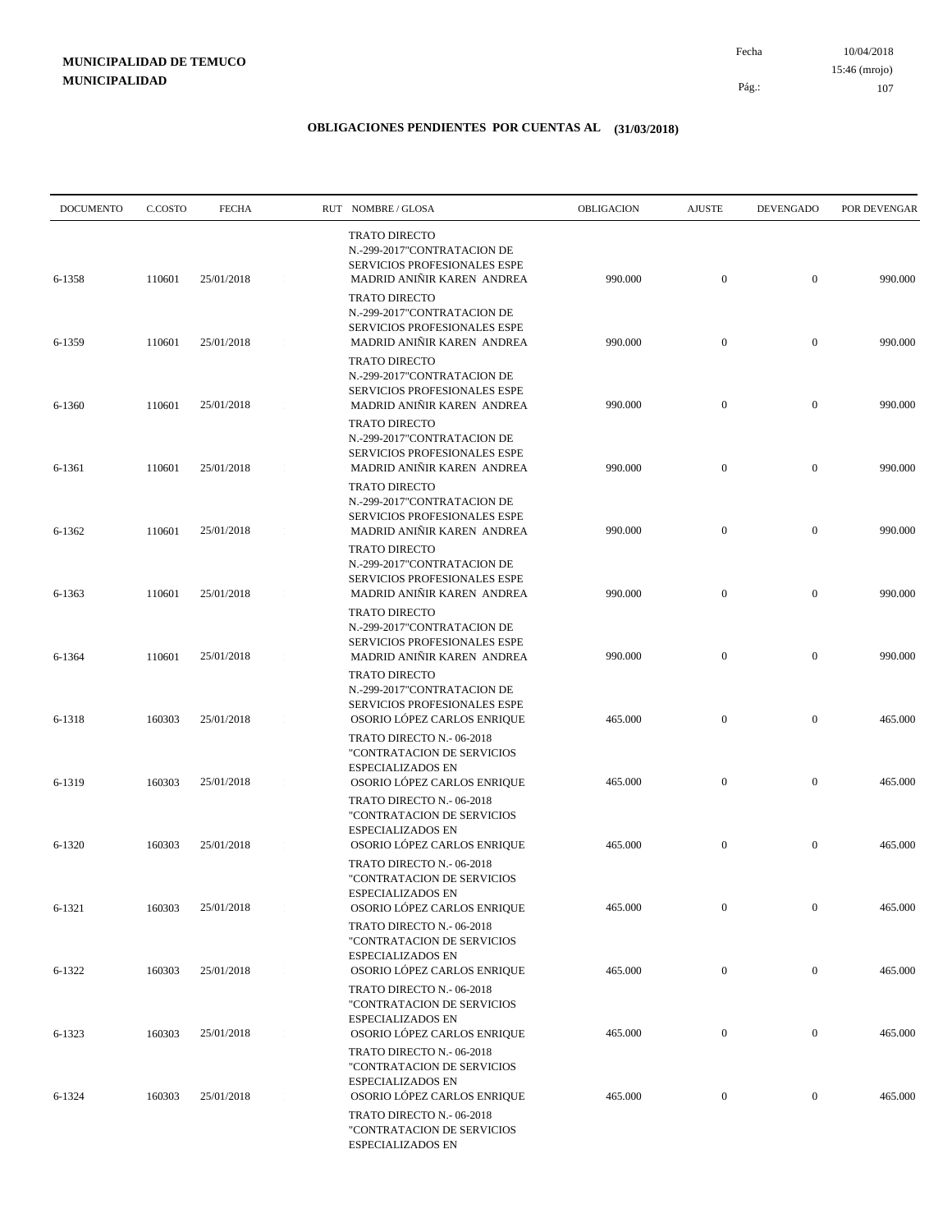10/04/2018 107 Pág.: Fecha 15:46 (mrojo)

| <b>DOCUMENTO</b> | C.COSTO | <b>FECHA</b> | RUT NOMBRE/GLOSA                                                                                                                        | <b>OBLIGACION</b> | <b>AJUSTE</b>    | <b>DEVENGADO</b> | POR DEVENGAR |
|------------------|---------|--------------|-----------------------------------------------------------------------------------------------------------------------------------------|-------------------|------------------|------------------|--------------|
| 6-1358           | 110601  | 25/01/2018   | <b>TRATO DIRECTO</b><br>N.-299-2017"CONTRATACION DE<br>SERVICIOS PROFESIONALES ESPE<br>MADRID ANIÑIR KAREN ANDREA                       | 990.000           | $\boldsymbol{0}$ | $\overline{0}$   | 990.000      |
|                  |         |              | <b>TRATO DIRECTO</b><br>N.-299-2017"CONTRATACION DE<br>SERVICIOS PROFESIONALES ESPE                                                     |                   |                  |                  |              |
| 6-1359           | 110601  | 25/01/2018   | MADRID ANIÑIR KAREN ANDREA<br><b>TRATO DIRECTO</b><br>N.-299-2017"CONTRATACION DE<br><b>SERVICIOS PROFESIONALES ESPE</b>                | 990.000           | $\boldsymbol{0}$ | $\mathbf{0}$     | 990.000      |
| 6-1360           | 110601  | 25/01/2018   | MADRID ANIÑIR KAREN ANDREA<br><b>TRATO DIRECTO</b><br>N.-299-2017"CONTRATACION DE                                                       | 990.000           | $\mathbf{0}$     | $\mathbf{0}$     | 990.000      |
| 6-1361           | 110601  | 25/01/2018   | SERVICIOS PROFESIONALES ESPE<br>MADRID ANIÑIR KAREN ANDREA<br><b>TRATO DIRECTO</b>                                                      | 990.000           | $\boldsymbol{0}$ | $\mathbf{0}$     | 990.000      |
| 6-1362           | 110601  | 25/01/2018   | N.-299-2017"CONTRATACION DE<br>SERVICIOS PROFESIONALES ESPE<br>MADRID ANIÑIR KAREN ANDREA                                               | 990.000           | $\boldsymbol{0}$ | $\mathbf{0}$     | 990.000      |
| 6-1363           | 110601  | 25/01/2018   | <b>TRATO DIRECTO</b><br>N.-299-2017"CONTRATACION DE<br>SERVICIOS PROFESIONALES ESPE<br>MADRID ANIÑIR KAREN ANDREA                       | 990.000           | $\boldsymbol{0}$ | $\mathbf{0}$     | 990.000      |
| 6-1364           | 110601  | 25/01/2018   | <b>TRATO DIRECTO</b><br>N.-299-2017"CONTRATACION DE<br>SERVICIOS PROFESIONALES ESPE<br>MADRID ANIÑIR KAREN ANDREA                       | 990.000           | $\boldsymbol{0}$ | $\mathbf{0}$     | 990.000      |
| 6-1318           | 160303  | 25/01/2018   | <b>TRATO DIRECTO</b><br>N.-299-2017"CONTRATACION DE<br>SERVICIOS PROFESIONALES ESPE<br>OSORIO LÓPEZ CARLOS ENRIQUE                      | 465.000           | $\boldsymbol{0}$ | $\mathbf{0}$     | 465.000      |
|                  |         |              | TRATO DIRECTO N.-06-2018<br>"CONTRATACION DE SERVICIOS<br><b>ESPECIALIZADOS EN</b>                                                      |                   |                  |                  |              |
| 6-1319           | 160303  | 25/01/2018   | OSORIO LÓPEZ CARLOS ENRIQUE<br>TRATO DIRECTO N.-06-2018<br>"CONTRATACION DE SERVICIOS<br><b>ESPECIALIZADOS EN</b>                       | 465.000           | $\boldsymbol{0}$ | $\mathbf{0}$     | 465.000      |
| 6-1320           | 160303  | 25/01/2018   | OSORIO LÓPEZ CARLOS ENRIQUE<br>TRATO DIRECTO N.-06-2018<br>"CONTRATACION DE SERVICIOS                                                   | 465.000           | $\boldsymbol{0}$ | $\mathbf{0}$     | 465.000      |
| 6-1321           | 160303  | 25/01/2018   | ESPECIALIZADOS EN<br>OSORIO LÓPEZ CARLOS ENRIQUE<br>TRATO DIRECTO N.-06-2018                                                            | 465.000           | $\boldsymbol{0}$ | $\mathbf{0}$     | 465.000      |
| 6-1322           | 160303  | 25/01/2018   | "CONTRATACION DE SERVICIOS<br><b>ESPECIALIZADOS EN</b><br>OSORIO LÓPEZ CARLOS ENRIQUE                                                   | 465.000           | $\boldsymbol{0}$ | $\boldsymbol{0}$ | 465.000      |
|                  |         | 25/01/2018   | TRATO DIRECTO N.-06-2018<br>"CONTRATACION DE SERVICIOS<br><b>ESPECIALIZADOS EN</b><br>OSORIO LÓPEZ CARLOS ENRIQUE                       | 465.000           | $\boldsymbol{0}$ | $\boldsymbol{0}$ | 465.000      |
| 6-1323           | 160303  |              | TRATO DIRECTO N.- 06-2018<br>"CONTRATACION DE SERVICIOS                                                                                 |                   |                  |                  |              |
| 6-1324           | 160303  | 25/01/2018   | <b>ESPECIALIZADOS EN</b><br>OSORIO LÓPEZ CARLOS ENRIQUE<br>TRATO DIRECTO N.- 06-2018<br>"CONTRATACION DE SERVICIOS<br>ESPECIALIZADOS EN | 465.000           | $\boldsymbol{0}$ | $\boldsymbol{0}$ | 465.000      |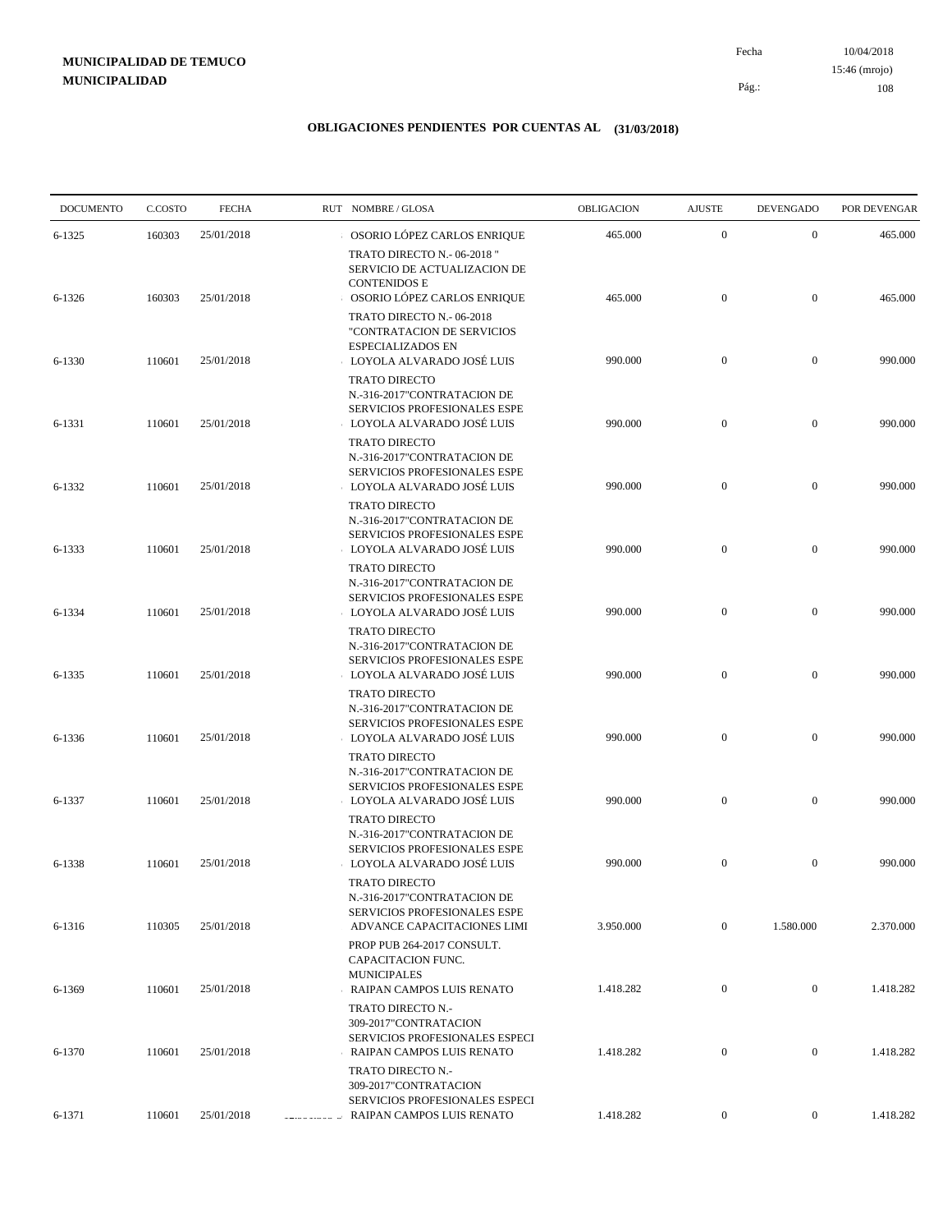10/04/2018 108 Pág.: Fecha 15:46 (mrojo)

| <b>DOCUMENTO</b> | C.COSTO | <b>FECHA</b> | RUT NOMBRE/GLOSA           |                                                                                                                    | OBLIGACION | <b>AJUSTE</b>    | <b>DEVENGADO</b> | POR DEVENGAR |
|------------------|---------|--------------|----------------------------|--------------------------------------------------------------------------------------------------------------------|------------|------------------|------------------|--------------|
| $6 - 1325$       | 160303  | 25/01/2018   |                            | OSORIO LÓPEZ CARLOS ENRIQUE                                                                                        | 465.000    | $\mathbf{0}$     | $\mathbf{0}$     | 465.000      |
| 6-1326           | 160303  | 25/01/2018   | <b>CONTENIDOS E</b>        | TRATO DIRECTO N.- 06-2018"<br>SERVICIO DE ACTUALIZACION DE<br>OSORIO LÓPEZ CARLOS ENRIQUE                          | 465.000    | $\boldsymbol{0}$ | $\mathbf{0}$     | 465.000      |
| 6-1330           | 110601  | 25/01/2018   |                            | TRATO DIRECTO N.-06-2018<br>"CONTRATACION DE SERVICIOS<br><b>ESPECIALIZADOS EN</b><br>LOYOLA ALVARADO JOSÉ LUIS    | 990.000    | $\boldsymbol{0}$ | $\mathbf{0}$     | 990.000      |
| 6-1331           | 110601  | 25/01/2018   |                            | <b>TRATO DIRECTO</b><br>N.-316-2017"CONTRATACION DE<br>SERVICIOS PROFESIONALES ESPE<br>LOYOLA ALVARADO JOSÉ LUIS   | 990.000    | $\boldsymbol{0}$ | $\mathbf{0}$     | 990.000      |
| 6-1332           | 110601  | 25/01/2018   |                            | <b>TRATO DIRECTO</b><br>N.-316-2017"CONTRATACION DE<br>SERVICIOS PROFESIONALES ESPE<br>LOYOLA ALVARADO JOSÉ LUIS   | 990.000    | $\boldsymbol{0}$ | $\mathbf{0}$     | 990.000      |
| 6-1333           | 110601  | 25/01/2018   |                            | <b>TRATO DIRECTO</b><br>N.-316-2017"CONTRATACION DE<br>SERVICIOS PROFESIONALES ESPE<br>LOYOLA ALVARADO JOSÉ LUIS   | 990.000    | $\boldsymbol{0}$ | $\mathbf{0}$     | 990.000      |
| 6-1334           | 110601  | 25/01/2018   |                            | <b>TRATO DIRECTO</b><br>N.-316-2017"CONTRATACION DE<br>SERVICIOS PROFESIONALES ESPE<br>LOYOLA ALVARADO JOSÉ LUIS   | 990.000    | $\boldsymbol{0}$ | $\mathbf{0}$     | 990.000      |
| 6-1335           | 110601  | 25/01/2018   |                            | <b>TRATO DIRECTO</b><br>N.-316-2017"CONTRATACION DE<br>SERVICIOS PROFESIONALES ESPE<br>LOYOLA ALVARADO JOSÉ LUIS   | 990.000    | $\mathbf{0}$     | $\mathbf{0}$     | 990.000      |
| 6-1336           | 110601  | 25/01/2018   |                            | <b>TRATO DIRECTO</b><br>N.-316-2017"CONTRATACION DE<br>SERVICIOS PROFESIONALES ESPE<br>LOYOLA ALVARADO JOSÉ LUIS   | 990.000    | $\boldsymbol{0}$ | $\mathbf{0}$     | 990.000      |
| 6-1337           | 110601  | 25/01/2018   |                            | <b>TRATO DIRECTO</b><br>N.-316-2017"CONTRATACION DE<br>SERVICIOS PROFESIONALES ESPE<br>LOYOLA ALVARADO JOSÉ LUIS   | 990.000    | $\boldsymbol{0}$ | $\mathbf{0}$     | 990.000      |
| 6-1338           | 110601  | 25/01/2018   |                            | <b>TRATO DIRECTO</b><br>N.-316-2017"CONTRATACION DE<br>SERVICIOS PROFESIONALES ESPE<br>LOYOLA ALVARADO JOSÉ LUIS   | 990.000    | $\mathbf{0}$     | $\mathbf{0}$     | 990.000      |
| 6-1316           | 110305  | 25/01/2018   |                            | <b>TRATO DIRECTO</b><br>N.-316-2017"CONTRATACION DE<br>SERVICIOS PROFESIONALES ESPE<br>ADVANCE CAPACITACIONES LIMI | 3.950.000  | $\boldsymbol{0}$ | 1.580.000        | 2.370.000    |
| 6-1369           | 110601  | 25/01/2018   | <b>MUNICIPALES</b>         | PROP PUB 264-2017 CONSULT.<br>CAPACITACION FUNC.<br>RAIPAN CAMPOS LUIS RENATO                                      | 1.418.282  | $\boldsymbol{0}$ | $\overline{0}$   | 1.418.282    |
| 6-1370           | 110601  | 25/01/2018   |                            | TRATO DIRECTO N.-<br>309-2017"CONTRATACION<br>SERVICIOS PROFESIONALES ESPECI<br>RAIPAN CAMPOS LUIS RENATO          | 1.418.282  | $\boldsymbol{0}$ | $\boldsymbol{0}$ | 1.418.282    |
|                  |         |              |                            | TRATO DIRECTO N.-<br>309-2017"CONTRATACION<br>SERVICIOS PROFESIONALES ESPECI                                       |            |                  |                  |              |
| 6-1371           | 110601  | 25/01/2018   | البارا المحاويات والأوسطية | RAIPAN CAMPOS LUIS RENATO                                                                                          | 1.418.282  | $\boldsymbol{0}$ | $\boldsymbol{0}$ | 1.418.282    |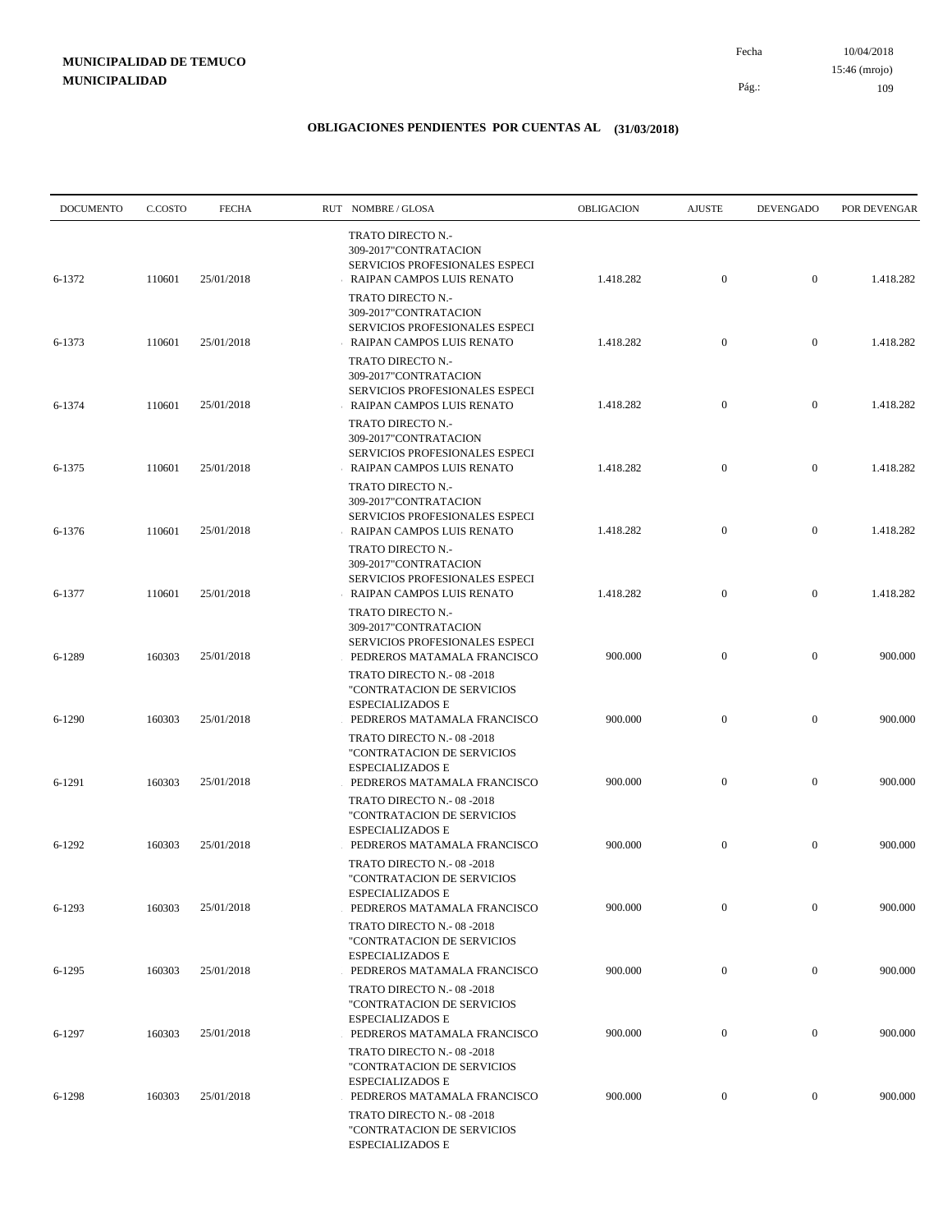10/04/2018 109 Pág.: Fecha 15:46 (mrojo)

| <b>DOCUMENTO</b> | C.COSTO | <b>FECHA</b> | RUT NOMBRE/GLOSA                                                                                                   | OBLIGACION | <b>AJUSTE</b>    | <b>DEVENGADO</b> | POR DEVENGAR |
|------------------|---------|--------------|--------------------------------------------------------------------------------------------------------------------|------------|------------------|------------------|--------------|
| 6-1372           | 110601  | 25/01/2018   | TRATO DIRECTO N.-<br>309-2017"CONTRATACION<br>SERVICIOS PROFESIONALES ESPECI<br>RAIPAN CAMPOS LUIS RENATO          | 1.418.282  | $\mathbf{0}$     | $\overline{0}$   | 1.418.282    |
|                  |         |              | TRATO DIRECTO N.-<br>309-2017"CONTRATACION<br>SERVICIOS PROFESIONALES ESPECI                                       |            |                  |                  |              |
| 6-1373           | 110601  | 25/01/2018   | RAIPAN CAMPOS LUIS RENATO<br>TRATO DIRECTO N.-<br>309-2017"CONTRATACION                                            | 1.418.282  | $\mathbf{0}$     | $\mathbf{0}$     | 1.418.282    |
| 6-1374           | 110601  | 25/01/2018   | SERVICIOS PROFESIONALES ESPECI<br>RAIPAN CAMPOS LUIS RENATO<br>TRATO DIRECTO N.-<br>309-2017"CONTRATACION          | 1.418.282  | $\mathbf{0}$     | $\mathbf{0}$     | 1.418.282    |
| 6-1375           | 110601  | 25/01/2018   | <b>SERVICIOS PROFESIONALES ESPECI</b><br>RAIPAN CAMPOS LUIS RENATO<br>TRATO DIRECTO N.-                            | 1.418.282  | $\mathbf{0}$     | $\overline{0}$   | 1.418.282    |
| 6-1376           | 110601  | 25/01/2018   | 309-2017"CONTRATACION<br>SERVICIOS PROFESIONALES ESPECI<br>RAIPAN CAMPOS LUIS RENATO                               | 1.418.282  | $\mathbf{0}$     | $\mathbf{0}$     | 1.418.282    |
| 6-1377           | 110601  | 25/01/2018   | TRATO DIRECTO N.-<br>309-2017"CONTRATACION<br>SERVICIOS PROFESIONALES ESPECI<br>RAIPAN CAMPOS LUIS RENATO          | 1.418.282  | $\mathbf{0}$     | $\overline{0}$   | 1.418.282    |
| 6-1289           | 160303  | 25/01/2018   | TRATO DIRECTO N.-<br>309-2017"CONTRATACION<br><b>SERVICIOS PROFESIONALES ESPECI</b><br>PEDREROS MATAMALA FRANCISCO | 900.000    | $\mathbf{0}$     | $\mathbf{0}$     | 900.000      |
| 6-1290           | 160303  | 25/01/2018   | TRATO DIRECTO N.-08-2018<br>"CONTRATACION DE SERVICIOS<br><b>ESPECIALIZADOS E</b><br>PEDREROS MATAMALA FRANCISCO   | 900.000    | $\mathbf{0}$     | $\mathbf{0}$     | 900.000      |
|                  |         |              | TRATO DIRECTO N.-08-2018<br>"CONTRATACION DE SERVICIOS<br><b>ESPECIALIZADOS E</b>                                  |            |                  |                  |              |
| 6-1291           | 160303  | 25/01/2018   | PEDREROS MATAMALA FRANCISCO<br>TRATO DIRECTO N.-08-2018<br>"CONTRATACION DE SERVICIOS                              | 900.000    | $\mathbf{0}$     | $\mathbf{0}$     | 900.000      |
| 6-1292           | 160303  | 25/01/2018   | <b>ESPECIALIZADOS E</b><br>PEDREROS MATAMALA FRANCISCO<br>TRATO DIRECTO N.-08-2018<br>"CONTRATACION DE SERVICIOS   | 900.000    | $\mathbf{0}$     | $\mathbf{0}$     | 900.000      |
| 6-1293           | 160303  | 25/01/2018   | ESPECIALIZADOS E<br>PEDREROS MATAMALA FRANCISCO<br>TRATO DIRECTO N.-08-2018                                        | 900.000    | $\mathbf{0}$     | $\mathbf{0}$     | 900.000      |
| $6 - 1295$       | 160303  | 25/01/2018   | "CONTRATACION DE SERVICIOS<br>ESPECIALIZADOS E<br>PEDREROS MATAMALA FRANCISCO                                      | 900.000    | $\mathbf{0}$     | $\boldsymbol{0}$ | 900.000      |
| 6-1297           | 160303  | 25/01/2018   | TRATO DIRECTO N.-08-2018<br>"CONTRATACION DE SERVICIOS<br><b>ESPECIALIZADOS E</b><br>PEDREROS MATAMALA FRANCISCO   | 900.000    | $\boldsymbol{0}$ | $\mathbf{0}$     | 900.000      |
|                  |         |              | TRATO DIRECTO N.-08-2018<br>"CONTRATACION DE SERVICIOS<br>ESPECIALIZADOS E                                         |            |                  |                  |              |
| 6-1298           | 160303  | 25/01/2018   | PEDREROS MATAMALA FRANCISCO<br>TRATO DIRECTO N.-08-2018<br>"CONTRATACION DE SERVICIOS<br>ESPECIALIZADOS E          | 900.000    | $\boldsymbol{0}$ | $\boldsymbol{0}$ | 900.000      |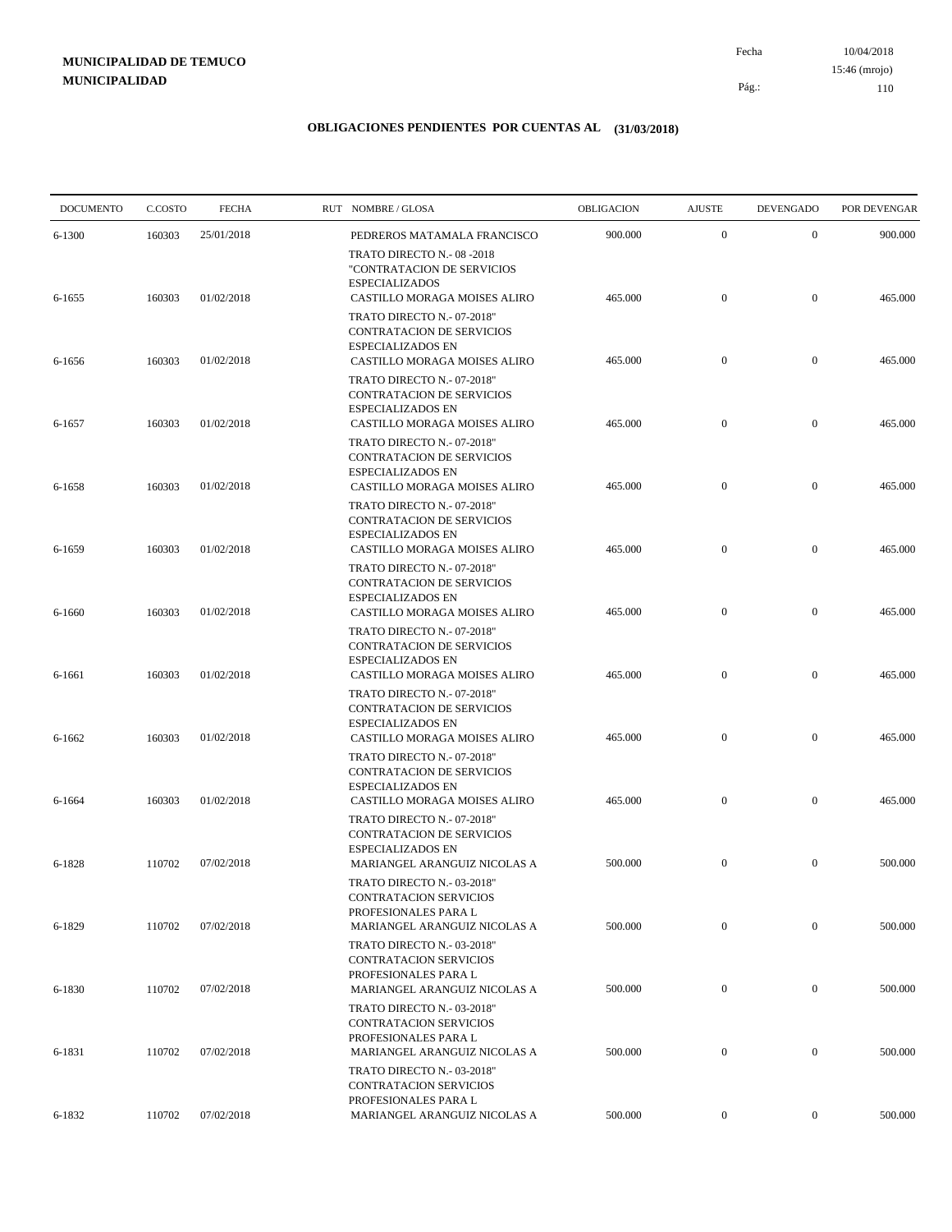10/04/2018 110 Pág.: Fecha

#### **OBLIGACIONES PENDIENTES POR CUENTAS AL (31/03/2018)**

| <b>DOCUMENTO</b> | C.COSTO | <b>FECHA</b> | RUT NOMBRE/GLOSA                                                                                                           | OBLIGACION | <b>AJUSTE</b>    | <b>DEVENGADO</b> | POR DEVENGAR |
|------------------|---------|--------------|----------------------------------------------------------------------------------------------------------------------------|------------|------------------|------------------|--------------|
| 6-1300           | 160303  | 25/01/2018   | PEDREROS MATAMALA FRANCISCO                                                                                                | 900.000    | $\mathbf{0}$     | $\mathbf{0}$     | 900.000      |
| 6-1655           | 160303  | 01/02/2018   | TRATO DIRECTO N.-08-2018<br>"CONTRATACION DE SERVICIOS<br><b>ESPECIALIZADOS</b><br>CASTILLO MORAGA MOISES ALIRO            | 465.000    | $\mathbf{0}$     | $\mathbf{0}$     | 465.000      |
|                  |         |              | TRATO DIRECTO N.- 07-2018"<br><b>CONTRATACION DE SERVICIOS</b><br><b>ESPECIALIZADOS EN</b>                                 |            |                  |                  |              |
| 6-1656           | 160303  | 01/02/2018   | CASTILLO MORAGA MOISES ALIRO<br>TRATO DIRECTO N.- 07-2018"<br><b>CONTRATACION DE SERVICIOS</b><br><b>ESPECIALIZADOS EN</b> | 465.000    | $\mathbf{0}$     | $\mathbf{0}$     | 465.000      |
| 6-1657           | 160303  | 01/02/2018   | CASTILLO MORAGA MOISES ALIRO<br>TRATO DIRECTO N.- 07-2018"<br><b>CONTRATACION DE SERVICIOS</b>                             | 465.000    | $\mathbf{0}$     | $\mathbf{0}$     | 465.000      |
| 6-1658           | 160303  | 01/02/2018   | <b>ESPECIALIZADOS EN</b><br>CASTILLO MORAGA MOISES ALIRO<br>TRATO DIRECTO N. - 07-2018"                                    | 465.000    | $\mathbf{0}$     | $\mathbf{0}$     | 465.000      |
| 6-1659           | 160303  | 01/02/2018   | CONTRATACION DE SERVICIOS<br><b>ESPECIALIZADOS EN</b><br>CASTILLO MORAGA MOISES ALIRO                                      | 465.000    | $\mathbf{0}$     | $\mathbf{0}$     | 465.000      |
| 6-1660           | 160303  | 01/02/2018   | TRATO DIRECTO N.- 07-2018"<br>CONTRATACION DE SERVICIOS<br><b>ESPECIALIZADOS EN</b><br>CASTILLO MORAGA MOISES ALIRO        | 465.000    | $\mathbf{0}$     | $\boldsymbol{0}$ | 465.000      |
|                  |         |              | TRATO DIRECTO N.- 07-2018"<br>CONTRATACION DE SERVICIOS<br><b>ESPECIALIZADOS EN</b>                                        |            |                  |                  |              |
| 6-1661           | 160303  | 01/02/2018   | CASTILLO MORAGA MOISES ALIRO<br>TRATO DIRECTO N.- 07-2018"<br>CONTRATACION DE SERVICIOS                                    | 465.000    | $\mathbf{0}$     | $\mathbf{0}$     | 465.000      |
| 6-1662           | 160303  | 01/02/2018   | <b>ESPECIALIZADOS EN</b><br>CASTILLO MORAGA MOISES ALIRO<br>TRATO DIRECTO N. - 07-2018"                                    | 465.000    | $\boldsymbol{0}$ | $\mathbf{0}$     | 465.000      |
| 6-1664           | 160303  | 01/02/2018   | CONTRATACION DE SERVICIOS<br><b>ESPECIALIZADOS EN</b><br>CASTILLO MORAGA MOISES ALIRO                                      | 465.000    | $\boldsymbol{0}$ | $\mathbf{0}$     | 465.000      |
| 6-1828           | 110702  | 07/02/2018   | TRATO DIRECTO N.- 07-2018"<br>CONTRATACION DE SERVICIOS<br><b>ESPECIALIZADOS EN</b><br>MARIANGEL ARANGUIZ NICOLAS A        | 500.000    | $\mathbf{0}$     | $\mathbf{0}$     | 500.000      |
|                  |         |              | TRATO DIRECTO N.- 03-2018"<br>CONTRATACION SERVICIOS<br>PROFESIONALES PARA L                                               |            |                  |                  |              |
| 6-1829           | 110702  | 07/02/2018   | MARIANGEL ARANGUIZ NICOLAS A<br>TRATO DIRECTO N.- 03-2018"                                                                 | 500.000    | $\boldsymbol{0}$ | $\mathbf{0}$     | 500.000      |
| 6-1830           | 110702  | 07/02/2018   | <b>CONTRATACION SERVICIOS</b><br>PROFESIONALES PARA L<br>MARIANGEL ARANGUIZ NICOLAS A                                      | 500.000    | $\boldsymbol{0}$ | $\overline{0}$   | 500.000      |
| 6-1831           | 110702  | 07/02/2018   | TRATO DIRECTO N.- 03-2018"<br><b>CONTRATACION SERVICIOS</b><br>PROFESIONALES PARA L<br>MARIANGEL ARANGUIZ NICOLAS A        | 500.000    | $\boldsymbol{0}$ | $\boldsymbol{0}$ | 500.000      |
|                  |         |              | TRATO DIRECTO N.- 03-2018"<br>CONTRATACION SERVICIOS<br>PROFESIONALES PARA L                                               |            |                  |                  |              |
| 6-1832           | 110702  | 07/02/2018   | MARIANGEL ARANGUIZ NICOLAS A                                                                                               | 500.000    | $\overline{0}$   | $\overline{0}$   | 500.000      |

15:46 (mrojo)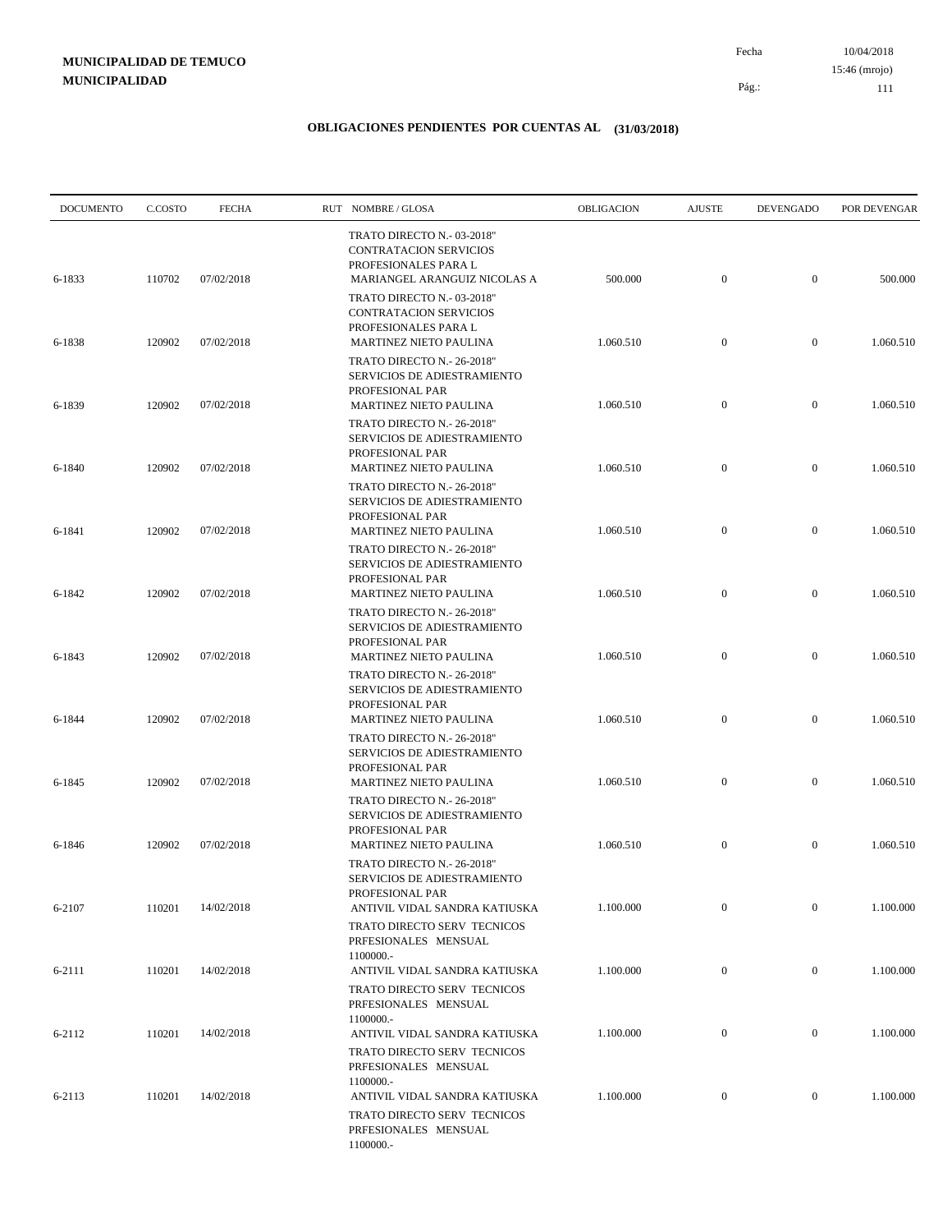10/04/2018 111 Pág.: Fecha 15:46 (mrojo)

| <b>DOCUMENTO</b> | C.COSTO | <b>FECHA</b> | RUT NOMBRE/GLOSA                                                                                                                         | OBLIGACION | <b>AJUSTE</b>    | <b>DEVENGADO</b> | POR DEVENGAR |
|------------------|---------|--------------|------------------------------------------------------------------------------------------------------------------------------------------|------------|------------------|------------------|--------------|
| 6-1833           | 110702  | 07/02/2018   | TRATO DIRECTO N.- 03-2018"<br>CONTRATACION SERVICIOS<br>PROFESIONALES PARA L<br>MARIANGEL ARANGUIZ NICOLAS A                             | 500.000    | $\mathbf{0}$     | $\mathbf{0}$     | 500.000      |
| 6-1838           | 120902  | 07/02/2018   | TRATO DIRECTO N.- 03-2018"<br><b>CONTRATACION SERVICIOS</b><br>PROFESIONALES PARA L<br><b>MARTINEZ NIETO PAULINA</b>                     | 1.060.510  | $\boldsymbol{0}$ | $\mathbf{0}$     | 1.060.510    |
|                  |         |              | TRATO DIRECTO N.- 26-2018"<br>SERVICIOS DE ADIESTRAMIENTO<br>PROFESIONAL PAR                                                             |            |                  |                  |              |
| 6-1839           | 120902  | 07/02/2018   | MARTINEZ NIETO PAULINA<br>TRATO DIRECTO N.- 26-2018"<br>SERVICIOS DE ADIESTRAMIENTO                                                      | 1.060.510  | $\mathbf{0}$     | $\mathbf{0}$     | 1.060.510    |
| 6-1840           | 120902  | 07/02/2018   | PROFESIONAL PAR<br><b>MARTINEZ NIETO PAULINA</b><br>TRATO DIRECTO N.- 26-2018"                                                           | 1.060.510  | $\boldsymbol{0}$ | $\mathbf{0}$     | 1.060.510    |
| 6-1841           | 120902  | 07/02/2018   | SERVICIOS DE ADIESTRAMIENTO<br>PROFESIONAL PAR<br><b>MARTINEZ NIETO PAULINA</b>                                                          | 1.060.510  | $\boldsymbol{0}$ | $\mathbf{0}$     | 1.060.510    |
| 6-1842           | 120902  | 07/02/2018   | TRATO DIRECTO N.- 26-2018"<br>SERVICIOS DE ADIESTRAMIENTO<br>PROFESIONAL PAR<br><b>MARTINEZ NIETO PAULINA</b>                            | 1.060.510  | $\boldsymbol{0}$ | $\mathbf{0}$     | 1.060.510    |
| 6-1843           | 120902  | 07/02/2018   | TRATO DIRECTO N.- 26-2018"<br>SERVICIOS DE ADIESTRAMIENTO<br>PROFESIONAL PAR<br><b>MARTINEZ NIETO PAULINA</b>                            | 1.060.510  | $\boldsymbol{0}$ | $\mathbf{0}$     | 1.060.510    |
|                  |         |              | TRATO DIRECTO N.- 26-2018"<br>SERVICIOS DE ADIESTRAMIENTO<br>PROFESIONAL PAR                                                             |            |                  |                  |              |
| 6-1844           | 120902  | 07/02/2018   | <b>MARTINEZ NIETO PAULINA</b><br>TRATO DIRECTO N.- 26-2018"<br>SERVICIOS DE ADIESTRAMIENTO<br>PROFESIONAL PAR                            | 1.060.510  | $\boldsymbol{0}$ | $\mathbf{0}$     | 1.060.510    |
| 6-1845           | 120902  | 07/02/2018   | MARTINEZ NIETO PAULINA<br>TRATO DIRECTO N.- 26-2018"<br>SERVICIOS DE ADIESTRAMIENTO                                                      | 1.060.510  | $\boldsymbol{0}$ | $\mathbf{0}$     | 1.060.510    |
| 6-1846           | 120902  | 07/02/2018   | PROFESIONAL PAR<br><b>MARTINEZ NIETO PAULINA</b><br>TRATO DIRECTO N.- 26-2018"                                                           | 1.060.510  | $\boldsymbol{0}$ | $\mathbf{0}$     | 1.060.510    |
| 6-2107           | 110201  | 14/02/2018   | SERVICIOS DE ADIESTRAMIENTO<br>PROFESIONAL PAR<br>ANTIVIL VIDAL SANDRA KATIUSKA                                                          | 1.100.000  | $\boldsymbol{0}$ | $\overline{0}$   | 1.100.000    |
| 6-2111           | 110201  | 14/02/2018   | TRATO DIRECTO SERV TECNICOS<br>PRFESIONALES MENSUAL<br>1100000 .-<br>ANTIVIL VIDAL SANDRA KATIUSKA                                       | 1.100.000  | $\overline{0}$   | $\overline{0}$   | 1.100.000    |
|                  |         |              | TRATO DIRECTO SERV TECNICOS<br>PRFESIONALES MENSUAL<br>1100000 .-                                                                        |            |                  |                  |              |
| 6-2112           | 110201  | 14/02/2018   | ANTIVIL VIDAL SANDRA KATIUSKA<br>TRATO DIRECTO SERV TECNICOS                                                                             | 1.100.000  | $\boldsymbol{0}$ | $\boldsymbol{0}$ | 1.100.000    |
| 6-2113           | 110201  | 14/02/2018   | PRFESIONALES MENSUAL<br>1100000 .-<br>ANTIVIL VIDAL SANDRA KATIUSKA<br>TRATO DIRECTO SERV TECNICOS<br>PRFESIONALES MENSUAL<br>1100000 .- | 1.100.000  | $\mathbf{0}$     | $\overline{0}$   | 1.100.000    |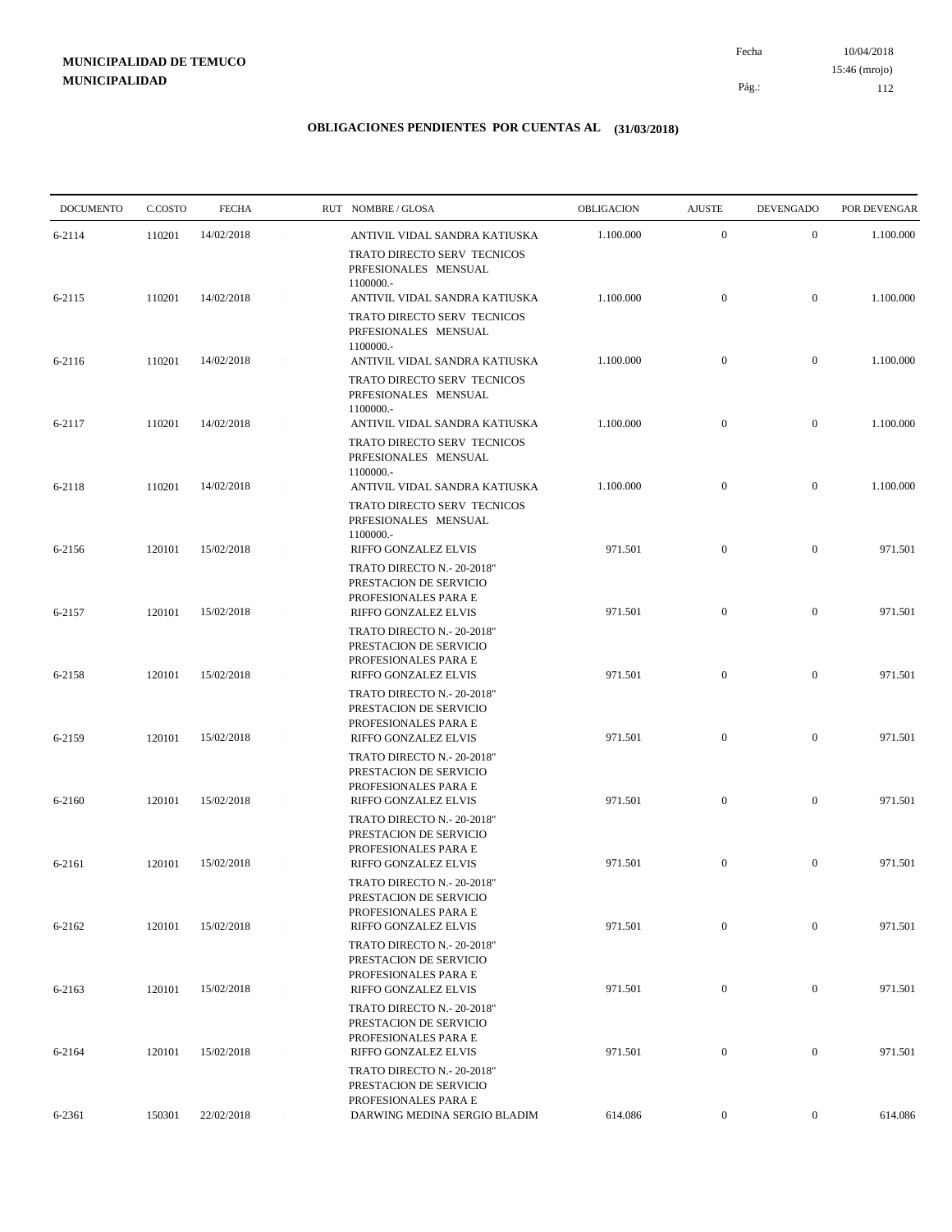10/04/2018 112 Pág.: Fecha

#### **OBLIGACIONES PENDIENTES POR CUENTAS AL (31/03/2018)**

| <b>DOCUMENTO</b> | C.COSTO | <b>FECHA</b> | RUT NOMBRE/GLOSA                                                                                     | OBLIGACION | <b>AJUSTE</b>    | <b>DEVENGADO</b> | POR DEVENGAR |
|------------------|---------|--------------|------------------------------------------------------------------------------------------------------|------------|------------------|------------------|--------------|
| 6-2114           | 110201  | 14/02/2018   | ANTIVIL VIDAL SANDRA KATIUSKA                                                                        | 1.100.000  | $\overline{0}$   | $\mathbf{0}$     | 1.100.000    |
| 6-2115           | 110201  | 14/02/2018   | TRATO DIRECTO SERV TECNICOS<br>PRFESIONALES MENSUAL<br>1100000 .-<br>ANTIVIL VIDAL SANDRA KATIUSKA   | 1.100.000  | $\overline{0}$   | $\overline{0}$   | 1.100.000    |
|                  |         |              | TRATO DIRECTO SERV TECNICOS<br>PRFESIONALES MENSUAL<br>1100000 .-                                    |            |                  |                  |              |
| 6-2116           | 110201  | 14/02/2018   | ANTIVIL VIDAL SANDRA KATIUSKA<br>TRATO DIRECTO SERV TECNICOS<br>PRFESIONALES MENSUAL<br>1100000 .-   | 1.100.000  | $\boldsymbol{0}$ | $\mathbf{0}$     | 1.100.000    |
| 6-2117           | 110201  | 14/02/2018   | ANTIVIL VIDAL SANDRA KATIUSKA<br>TRATO DIRECTO SERV TECNICOS<br>PRFESIONALES MENSUAL                 | 1.100.000  | $\boldsymbol{0}$ | $\mathbf{0}$     | 1.100.000    |
| 6-2118           | 110201  | 14/02/2018   | 1100000 .-<br>ANTIVIL VIDAL SANDRA KATIUSKA<br>TRATO DIRECTO SERV TECNICOS<br>PRFESIONALES MENSUAL   | 1.100.000  | $\boldsymbol{0}$ | $\mathbf{0}$     | 1.100.000    |
| 6-2156           | 120101  | 15/02/2018   | 1100000 .-<br>RIFFO GONZALEZ ELVIS<br>TRATO DIRECTO N.- 20-2018"<br>PRESTACION DE SERVICIO           | 971.501    | $\boldsymbol{0}$ | $\mathbf{0}$     | 971.501      |
| 6-2157           | 120101  | 15/02/2018   | PROFESIONALES PARA E<br>RIFFO GONZALEZ ELVIS<br>TRATO DIRECTO N.- 20-2018"                           | 971.501    | $\boldsymbol{0}$ | $\boldsymbol{0}$ | 971.501      |
| 6-2158           | 120101  | 15/02/2018   | PRESTACION DE SERVICIO<br>PROFESIONALES PARA E<br>RIFFO GONZALEZ ELVIS                               | 971.501    | $\overline{0}$   | $\mathbf{0}$     | 971.501      |
| 6-2159           | 120101  | 15/02/2018   | TRATO DIRECTO N.- 20-2018"<br>PRESTACION DE SERVICIO<br>PROFESIONALES PARA E<br>RIFFO GONZALEZ ELVIS | 971.501    | $\boldsymbol{0}$ | $\mathbf{0}$     | 971.501      |
|                  |         | 15/02/2018   | TRATO DIRECTO N.- 20-2018"<br>PRESTACION DE SERVICIO<br>PROFESIONALES PARA E<br>RIFFO GONZALEZ ELVIS | 971.501    | $\boldsymbol{0}$ | $\mathbf{0}$     | 971.501      |
| 6-2160           | 120101  |              | TRATO DIRECTO N.- 20-2018"<br>PRESTACION DE SERVICIO<br>PROFESIONALES PARA E                         |            |                  |                  |              |
| 6-2161           | 120101  | 15/02/2018   | RIFFO GONZALEZ ELVIS<br>TRATO DIRECTO N.- 20-2018"<br>PRESTACION DE SERVICIO<br>PROFESIONALES PARA E | 971.501    | $\boldsymbol{0}$ | $\mathbf{0}$     | 971.501      |
| 6-2162           | 120101  | 15/02/2018   | RIFFO GONZALEZ ELVIS<br>TRATO DIRECTO N.- 20-2018"                                                   | 971.501    | $\boldsymbol{0}$ | $\boldsymbol{0}$ | 971.501      |
| 6-2163           | 120101  | 15/02/2018   | PRESTACION DE SERVICIO<br>PROFESIONALES PARA E<br>RIFFO GONZALEZ ELVIS                               | 971.501    | $\boldsymbol{0}$ | $\boldsymbol{0}$ | 971.501      |
| 6-2164           | 120101  | 15/02/2018   | TRATO DIRECTO N.- 20-2018"<br>PRESTACION DE SERVICIO<br>PROFESIONALES PARA E<br>RIFFO GONZALEZ ELVIS | 971.501    | $\boldsymbol{0}$ | $\boldsymbol{0}$ | 971.501      |
|                  |         |              | TRATO DIRECTO N.- 20-2018"<br>PRESTACION DE SERVICIO                                                 |            |                  |                  |              |
| 6-2361           | 150301  | 22/02/2018   | PROFESIONALES PARA E<br>DARWING MEDINA SERGIO BLADIM                                                 | 614.086    | $\boldsymbol{0}$ | $\boldsymbol{0}$ | 614.086      |

15:46 (mrojo)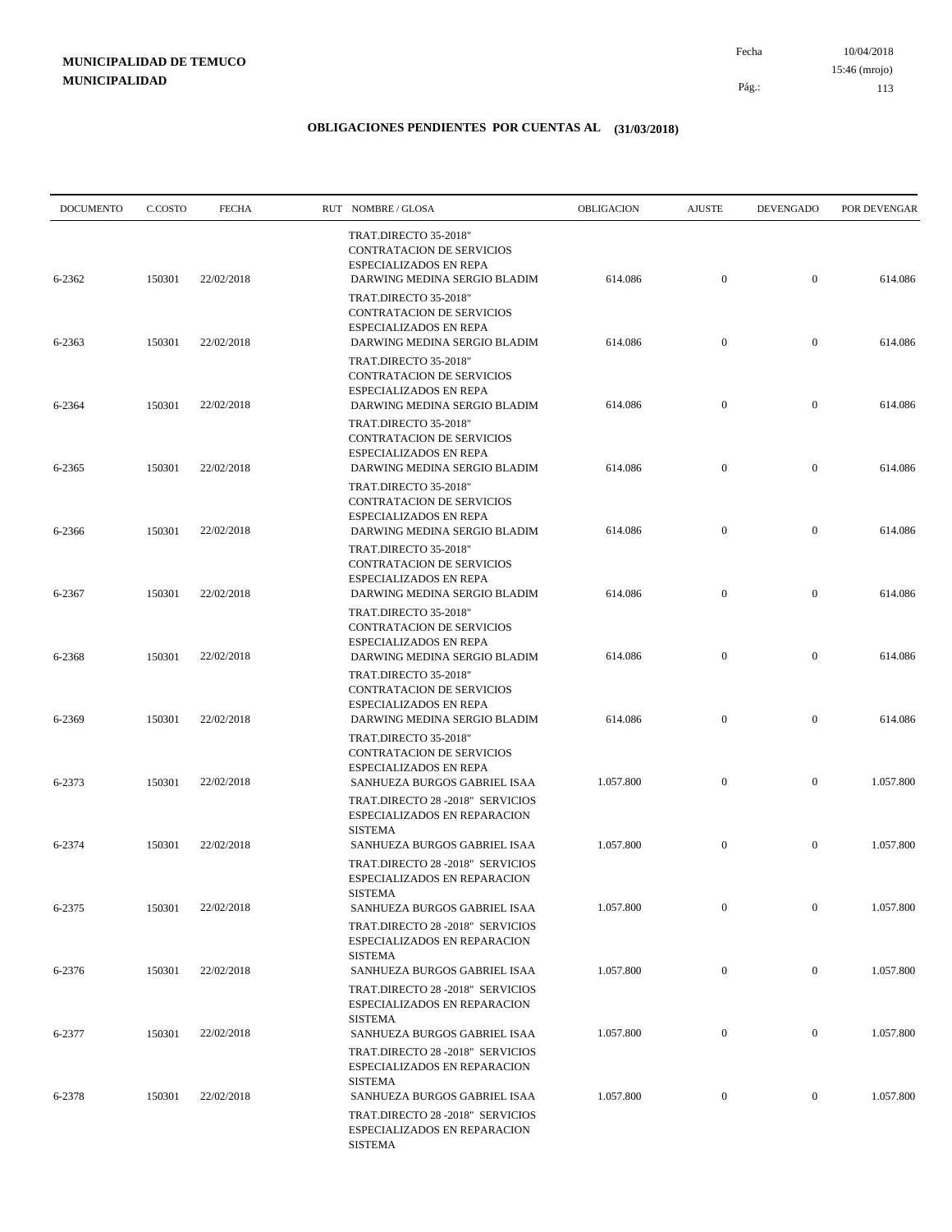10/04/2018 113 Pág.: Fecha 15:46 (mrojo)

| <b>DOCUMENTO</b> | C.COSTO | <b>FECHA</b> | RUT NOMBRE/GLOSA                                                                                                                     | OBLIGACION | <b>AJUSTE</b>    | <b>DEVENGADO</b> | POR DEVENGAR |
|------------------|---------|--------------|--------------------------------------------------------------------------------------------------------------------------------------|------------|------------------|------------------|--------------|
| 6-2362           | 150301  | 22/02/2018   | TRAT.DIRECTO 35-2018"<br><b>CONTRATACION DE SERVICIOS</b><br>ESPECIALIZADOS EN REPA<br>DARWING MEDINA SERGIO BLADIM                  | 614.086    | $\boldsymbol{0}$ | $\overline{0}$   | 614.086      |
|                  |         |              | TRAT.DIRECTO 35-2018"<br><b>CONTRATACION DE SERVICIOS</b><br>ESPECIALIZADOS EN REPA                                                  |            |                  |                  |              |
| 6-2363           | 150301  | 22/02/2018   | DARWING MEDINA SERGIO BLADIM<br>TRAT.DIRECTO 35-2018"<br>CONTRATACION DE SERVICIOS                                                   | 614.086    | $\mathbf{0}$     | $\mathbf{0}$     | 614.086      |
| 6-2364           | 150301  | 22/02/2018   | <b>ESPECIALIZADOS EN REPA</b><br>DARWING MEDINA SERGIO BLADIM<br>TRAT.DIRECTO 35-2018"<br>CONTRATACION DE SERVICIOS                  | 614.086    | $\mathbf{0}$     | $\overline{0}$   | 614.086      |
| 6-2365           | 150301  | 22/02/2018   | <b>ESPECIALIZADOS EN REPA</b><br>DARWING MEDINA SERGIO BLADIM                                                                        | 614.086    | $\mathbf{0}$     | $\mathbf{0}$     | 614.086      |
| 6-2366           | 150301  | 22/02/2018   | TRAT.DIRECTO 35-2018"<br>CONTRATACION DE SERVICIOS<br><b>ESPECIALIZADOS EN REPA</b><br>DARWING MEDINA SERGIO BLADIM                  | 614.086    | $\mathbf{0}$     | $\mathbf{0}$     | 614.086      |
| 6-2367           | 150301  | 22/02/2018   | TRAT.DIRECTO 35-2018"<br>CONTRATACION DE SERVICIOS<br>ESPECIALIZADOS EN REPA<br>DARWING MEDINA SERGIO BLADIM                         | 614.086    | $\mathbf{0}$     | $\mathbf{0}$     | 614.086      |
| 6-2368           | 150301  | 22/02/2018   | TRAT.DIRECTO 35-2018"<br>CONTRATACION DE SERVICIOS<br><b>ESPECIALIZADOS EN REPA</b><br>DARWING MEDINA SERGIO BLADIM                  | 614.086    | $\boldsymbol{0}$ | $\mathbf{0}$     | 614.086      |
| 6-2369           | 150301  | 22/02/2018   | TRAT.DIRECTO 35-2018"<br>CONTRATACION DE SERVICIOS<br>ESPECIALIZADOS EN REPA<br>DARWING MEDINA SERGIO BLADIM                         | 614.086    | $\boldsymbol{0}$ | $\mathbf{0}$     | 614.086      |
|                  |         |              | TRAT.DIRECTO 35-2018"<br>CONTRATACION DE SERVICIOS<br>ESPECIALIZADOS EN REPA                                                         |            |                  |                  |              |
| 6-2373           | 150301  | 22/02/2018   | SANHUEZA BURGOS GABRIEL ISAA<br>TRAT.DIRECTO 28 -2018" SERVICIOS<br>ESPECIALIZADOS EN REPARACION                                     | 1.057.800  | $\boldsymbol{0}$ | $\mathbf{0}$     | 1.057.800    |
| 6-2374           | 150301  | 22/02/2018   | <b>SISTEMA</b><br>SANHUEZA BURGOS GABRIEL ISAA<br>TRAT.DIRECTO 28 -2018" SERVICIOS<br>ESPECIALIZADOS EN REPARACION                   | 1.057.800  | $\mathbf{0}$     | $\mathbf{0}$     | 1.057.800    |
| 6-2375           | 150301  | 22/02/2018   | <b>SISTEMA</b><br>SANHUEZA BURGOS GABRIEL ISAA<br>TRAT.DIRECTO 28 -2018" SERVICIOS                                                   | 1.057.800  | $\mathbf{0}$     | $\mathbf{0}$     | 1.057.800    |
| 6-2376           | 150301  | 22/02/2018   | ESPECIALIZADOS EN REPARACION<br><b>SISTEMA</b><br>SANHUEZA BURGOS GABRIEL ISAA                                                       | 1.057.800  | $\boldsymbol{0}$ | $\boldsymbol{0}$ | 1.057.800    |
|                  |         | 22/02/2018   | TRAT.DIRECTO 28 -2018" SERVICIOS<br>ESPECIALIZADOS EN REPARACION<br><b>SISTEMA</b>                                                   |            |                  |                  |              |
| 6-2377           | 150301  |              | SANHUEZA BURGOS GABRIEL ISAA<br>TRAT.DIRECTO 28 -2018" SERVICIOS<br>ESPECIALIZADOS EN REPARACION                                     | 1.057.800  | $\boldsymbol{0}$ | $\boldsymbol{0}$ | 1.057.800    |
| 6-2378           | 150301  | 22/02/2018   | <b>SISTEMA</b><br>SANHUEZA BURGOS GABRIEL ISAA<br>TRAT.DIRECTO 28 -2018" SERVICIOS<br>ESPECIALIZADOS EN REPARACION<br><b>SISTEMA</b> | 1.057.800  | $\mathbf{0}$     | $\boldsymbol{0}$ | 1.057.800    |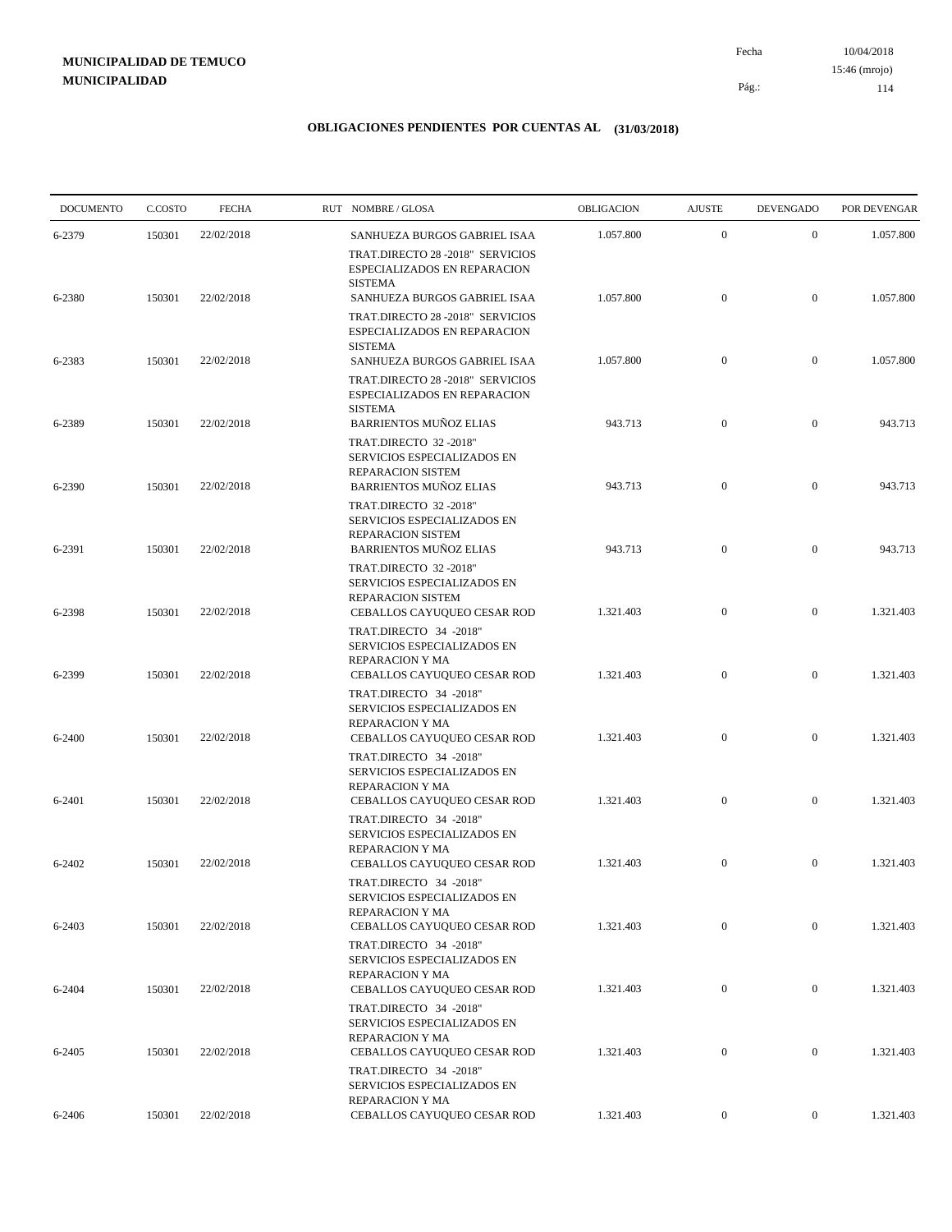10/04/2018 114 Pág.: Fecha

### **OBLIGACIONES PENDIENTES POR CUENTAS AL (31/03/2018)**

| <b>DOCUMENTO</b> | C.COSTO | <b>FECHA</b> | RUT NOMBRE/GLOSA                                                                                            | OBLIGACION | <b>AJUSTE</b>    | <b>DEVENGADO</b> | POR DEVENGAR |
|------------------|---------|--------------|-------------------------------------------------------------------------------------------------------------|------------|------------------|------------------|--------------|
| 6-2379           | 150301  | 22/02/2018   | SANHUEZA BURGOS GABRIEL ISAA                                                                                | 1.057.800  | $\mathbf{0}$     | $\mathbf{0}$     | 1.057.800    |
|                  |         |              | TRAT.DIRECTO 28 -2018" SERVICIOS<br>ESPECIALIZADOS EN REPARACION<br><b>SISTEMA</b>                          |            |                  |                  |              |
| 6-2380           | 150301  | 22/02/2018   | SANHUEZA BURGOS GABRIEL ISAA<br>TRAT.DIRECTO 28 -2018" SERVICIOS<br>ESPECIALIZADOS EN REPARACION            | 1.057.800  | $\boldsymbol{0}$ | $\mathbf{0}$     | 1.057.800    |
| 6-2383           | 150301  | 22/02/2018   | <b>SISTEMA</b><br>SANHUEZA BURGOS GABRIEL ISAA                                                              | 1.057.800  | $\mathbf{0}$     | $\mathbf{0}$     | 1.057.800    |
|                  |         |              | TRAT.DIRECTO 28 -2018" SERVICIOS<br>ESPECIALIZADOS EN REPARACION<br><b>SISTEMA</b>                          |            |                  |                  |              |
| 6-2389           | 150301  | 22/02/2018   | <b>BARRIENTOS MUÑOZ ELIAS</b>                                                                               | 943.713    | $\mathbf{0}$     | $\boldsymbol{0}$ | 943.713      |
| 6-2390           | 150301  | 22/02/2018   | TRAT.DIRECTO 32 -2018"<br>SERVICIOS ESPECIALIZADOS EN<br>REPARACION SISTEM<br><b>BARRIENTOS MUÑOZ ELIAS</b> | 943.713    | $\boldsymbol{0}$ | $\mathbf{0}$     | 943.713      |
|                  | 150301  | 22/02/2018   | TRAT.DIRECTO 32 -2018"<br>SERVICIOS ESPECIALIZADOS EN<br>REPARACION SISTEM<br><b>BARRIENTOS MUÑOZ ELIAS</b> | 943.713    | $\mathbf{0}$     | $\mathbf{0}$     | 943.713      |
| 6-2391           |         |              | TRAT.DIRECTO 32 -2018"<br>SERVICIOS ESPECIALIZADOS EN<br>REPARACION SISTEM                                  |            |                  |                  |              |
| 6-2398           | 150301  | 22/02/2018   | CEBALLOS CAYUQUEO CESAR ROD<br>TRAT.DIRECTO 34 -2018"<br>SERVICIOS ESPECIALIZADOS EN                        | 1.321.403  | $\mathbf{0}$     | $\boldsymbol{0}$ | 1.321.403    |
| 6-2399           | 150301  | 22/02/2018   | REPARACION Y MA<br>CEBALLOS CAYUQUEO CESAR ROD<br>TRAT.DIRECTO 34 -2018"                                    | 1.321.403  | $\mathbf{0}$     | $\mathbf{0}$     | 1.321.403    |
| 6-2400           | 150301  | 22/02/2018   | SERVICIOS ESPECIALIZADOS EN<br>REPARACION Y MA<br><b>CEBALLOS CAYUQUEO CESAR ROD</b>                        | 1.321.403  | $\mathbf{0}$     | $\mathbf{0}$     | 1.321.403    |
|                  |         |              | TRAT.DIRECTO 34 -2018"<br>SERVICIOS ESPECIALIZADOS EN<br>REPARACION Y MA                                    |            |                  |                  |              |
| 6-2401           | 150301  | 22/02/2018   | CEBALLOS CAYUQUEO CESAR ROD<br>TRAT.DIRECTO 34 -2018"<br>SERVICIOS ESPECIALIZADOS EN<br>REPARACION Y MA     | 1.321.403  | $\mathbf{0}$     | $\mathbf{0}$     | 1.321.403    |
| 6-2402           | 150301  | 22/02/2018   | CEBALLOS CAYUQUEO CESAR ROD<br>TRAT.DIRECTO 34 -2018"                                                       | 1.321.403  | $\mathbf{0}$     | $\mathbf{0}$     | 1.321.403    |
| 6-2403           | 150301  | 22/02/2018   | SERVICIOS ESPECIALIZADOS EN<br>REPARACION Y MA<br>CEBALLOS CAYUQUEO CESAR ROD                               | 1.321.403  | $\mathbf{0}$     | $\overline{0}$   | 1.321.403    |
| 6-2404           | 150301  | 22/02/2018   | TRAT.DIRECTO 34 -2018"<br>SERVICIOS ESPECIALIZADOS EN<br>REPARACION Y MA<br>CEBALLOS CAYUQUEO CESAR ROD     | 1.321.403  | $\mathbf{0}$     | $\overline{0}$   | 1.321.403    |
|                  |         |              | TRAT.DIRECTO 34 -2018"<br>SERVICIOS ESPECIALIZADOS EN<br>REPARACION Y MA                                    |            |                  |                  |              |
| 6-2405           | 150301  | 22/02/2018   | CEBALLOS CAYUQUEO CESAR ROD<br>TRAT.DIRECTO 34 -2018"<br>SERVICIOS ESPECIALIZADOS EN                        | 1.321.403  | $\boldsymbol{0}$ | $\boldsymbol{0}$ | 1.321.403    |
| 6-2406           | 150301  | 22/02/2018   | REPARACION Y MA<br>CEBALLOS CAYUQUEO CESAR ROD                                                              | 1.321.403  | $\overline{0}$   | $\overline{0}$   | 1.321.403    |

15:46 (mrojo)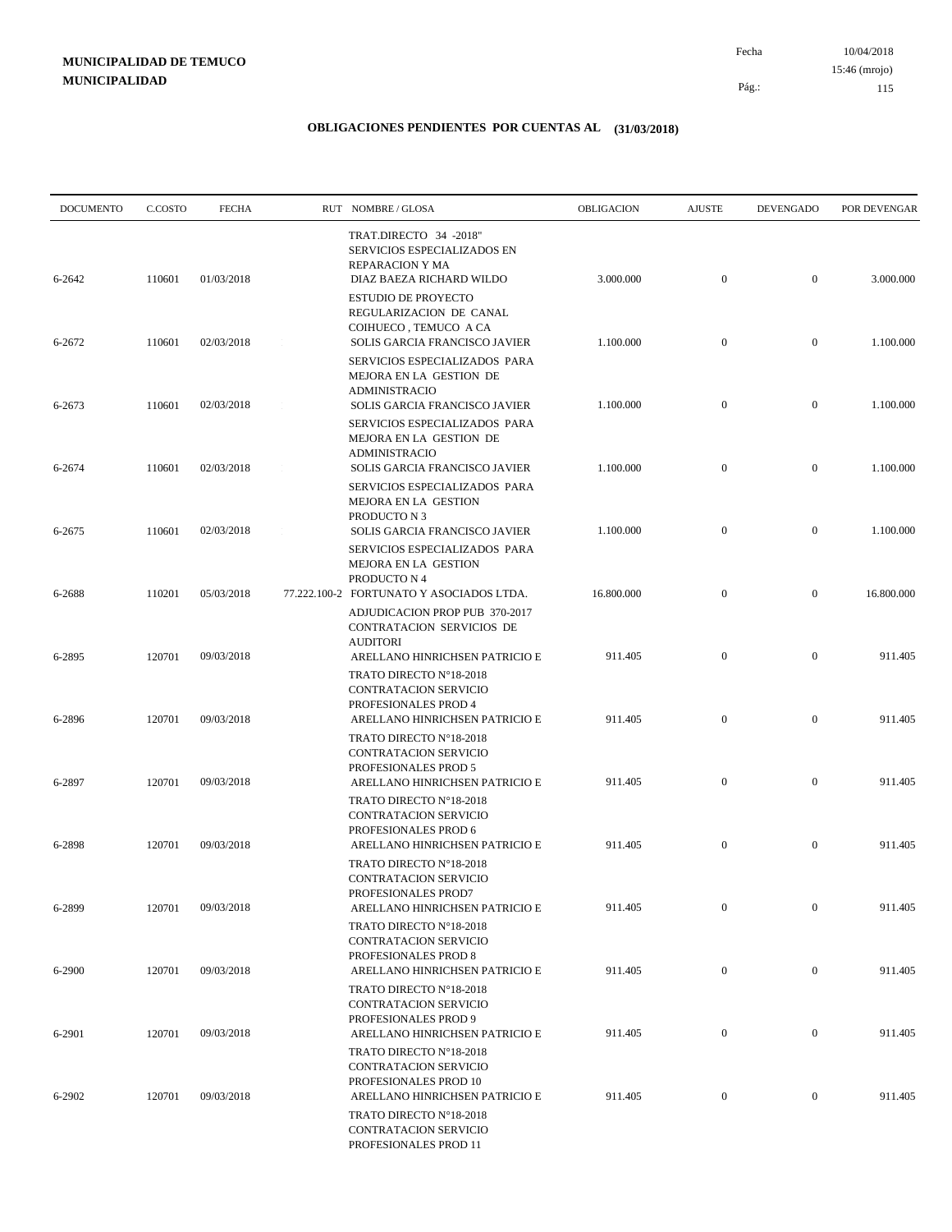10/04/2018 115 Pág.: Fecha 15:46 (mrojo)

| <b>DOCUMENTO</b> | C.COSTO | <b>FECHA</b> | RUT NOMBRE/GLOSA                                                                                                  | OBLIGACION | <b>AJUSTE</b>    | <b>DEVENGADO</b> | POR DEVENGAR |
|------------------|---------|--------------|-------------------------------------------------------------------------------------------------------------------|------------|------------------|------------------|--------------|
| 6-2642           | 110601  | 01/03/2018   | TRAT.DIRECTO 34 -2018"<br>SERVICIOS ESPECIALIZADOS EN<br>REPARACION Y MA<br>DIAZ BAEZA RICHARD WILDO              | 3.000.000  | $\mathbf{0}$     | $\overline{0}$   | 3.000.000    |
|                  |         |              | <b>ESTUDIO DE PROYECTO</b><br>REGULARIZACION DE CANAL<br>COIHUECO, TEMUCO A CA                                    |            |                  |                  |              |
| 6-2672           | 110601  | 02/03/2018   | SOLIS GARCIA FRANCISCO JAVIER<br>SERVICIOS ESPECIALIZADOS PARA<br>MEJORA EN LA GESTION DE                         | 1.100.000  | $\mathbf{0}$     | $\mathbf{0}$     | 1.100.000    |
| 6-2673           | 110601  | 02/03/2018   | <b>ADMINISTRACIO</b><br>SOLIS GARCIA FRANCISCO JAVIER<br>SERVICIOS ESPECIALIZADOS PARA                            | 1.100.000  | $\mathbf{0}$     | $\overline{0}$   | 1.100.000    |
| 6-2674           | 110601  | 02/03/2018   | MEJORA EN LA GESTION DE<br><b>ADMINISTRACIO</b><br>SOLIS GARCIA FRANCISCO JAVIER                                  | 1.100.000  | $\mathbf{0}$     | $\mathbf{0}$     | 1.100.000    |
| 6-2675           | 110601  | 02/03/2018   | SERVICIOS ESPECIALIZADOS PARA<br>MEJORA EN LA GESTION<br>PRODUCTO N 3<br>SOLIS GARCIA FRANCISCO JAVIER            | 1.100.000  | $\mathbf{0}$     | $\mathbf{0}$     | 1.100.000    |
| 6-2688           | 110201  | 05/03/2018   | SERVICIOS ESPECIALIZADOS PARA<br>MEJORA EN LA GESTION<br>PRODUCTO N 4<br>77.222.100-2 FORTUNATO Y ASOCIADOS LTDA. | 16.800.000 | $\mathbf{0}$     | $\boldsymbol{0}$ | 16.800.000   |
|                  |         |              | ADJUDICACION PROP PUB 370-2017<br>CONTRATACION SERVICIOS DE<br><b>AUDITORI</b>                                    |            |                  |                  |              |
| 6-2895           | 120701  | 09/03/2018   | ARELLANO HINRICHSEN PATRICIO E<br>TRATO DIRECTO N°18-2018<br>CONTRATACION SERVICIO<br>PROFESIONALES PROD 4        | 911.405    | $\mathbf{0}$     | $\mathbf{0}$     | 911.405      |
| 6-2896           | 120701  | 09/03/2018   | ARELLANO HINRICHSEN PATRICIO E<br>TRATO DIRECTO N°18-2018<br>CONTRATACION SERVICIO                                | 911.405    | $\mathbf{0}$     | $\mathbf{0}$     | 911.405      |
| 6-2897           | 120701  | 09/03/2018   | PROFESIONALES PROD 5<br>ARELLANO HINRICHSEN PATRICIO E<br>TRATO DIRECTO N°18-2018                                 | 911.405    | $\mathbf{0}$     | $\mathbf{0}$     | 911.405      |
| 6-2898           | 120701  | 09/03/2018   | CONTRATACION SERVICIO<br>PROFESIONALES PROD 6<br>ARELLANO HINRICHSEN PATRICIO E                                   | 911.405    | $\mathbf{0}$     | $\mathbf{0}$     | 911.405      |
|                  |         |              | TRATO DIRECTO N°18-2018<br>CONTRATACION SERVICIO<br>PROFESIONALES PROD7                                           |            |                  |                  |              |
| 6-2899           | 120701  | 09/03/2018   | ARELLANO HINRICHSEN PATRICIO E<br>TRATO DIRECTO N°18-2018<br>CONTRATACION SERVICIO                                | 911.405    | $\mathbf{0}$     | $\boldsymbol{0}$ | 911.405      |
| 6-2900           | 120701  | 09/03/2018   | PROFESIONALES PROD 8<br>ARELLANO HINRICHSEN PATRICIO E<br>TRATO DIRECTO N°18-2018                                 | 911.405    | $\mathbf{0}$     | $\boldsymbol{0}$ | 911.405      |
| 6-2901           | 120701  | 09/03/2018   | CONTRATACION SERVICIO<br>PROFESIONALES PROD 9<br>ARELLANO HINRICHSEN PATRICIO E                                   | 911.405    | $\boldsymbol{0}$ | $\boldsymbol{0}$ | 911.405      |
| 6-2902           | 120701  | 09/03/2018   | TRATO DIRECTO N°18-2018<br>CONTRATACION SERVICIO<br>PROFESIONALES PROD 10<br>ARELLANO HINRICHSEN PATRICIO E       | 911.405    | $\mathbf{0}$     | $\mathbf{0}$     | 911.405      |
|                  |         |              | TRATO DIRECTO N°18-2018<br>CONTRATACION SERVICIO<br>PROFESIONALES PROD 11                                         |            |                  |                  |              |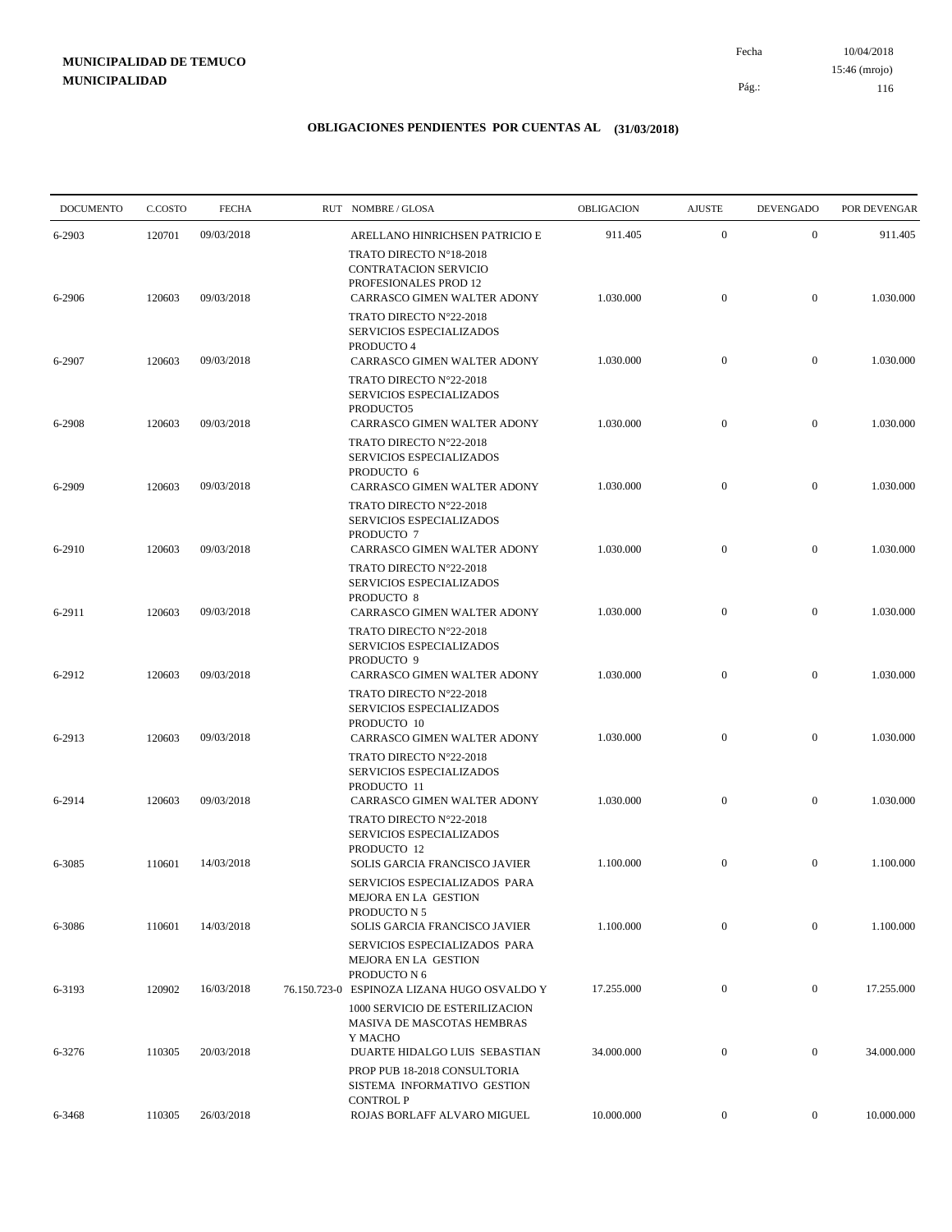10/04/2018 116 Pág.: Fecha 15:46 (mrojo)

| <b>DOCUMENTO</b> | C.COSTO | <b>FECHA</b> | RUT NOMBRE/GLOSA                                                                                                     | OBLIGACION | <b>AJUSTE</b>    | <b>DEVENGADO</b> | POR DEVENGAR |
|------------------|---------|--------------|----------------------------------------------------------------------------------------------------------------------|------------|------------------|------------------|--------------|
| 6-2903           | 120701  | 09/03/2018   | ARELLANO HINRICHSEN PATRICIO E                                                                                       | 911.405    | $\mathbf{0}$     | $\mathbf{0}$     | 911.405      |
| 6-2906           | 120603  | 09/03/2018   | TRATO DIRECTO N°18-2018<br><b>CONTRATACION SERVICIO</b><br>PROFESIONALES PROD 12<br>CARRASCO GIMEN WALTER ADONY      | 1.030.000  | $\overline{0}$   | $\overline{0}$   | 1.030.000    |
|                  |         |              | TRATO DIRECTO N°22-2018<br>SERVICIOS ESPECIALIZADOS<br>PRODUCTO 4                                                    |            | $\mathbf{0}$     | $\mathbf{0}$     |              |
| 6-2907           | 120603  | 09/03/2018   | CARRASCO GIMEN WALTER ADONY<br>TRATO DIRECTO N°22-2018<br>SERVICIOS ESPECIALIZADOS<br>PRODUCTO5                      | 1.030.000  |                  |                  | 1.030.000    |
| 6-2908           | 120603  | 09/03/2018   | CARRASCO GIMEN WALTER ADONY<br>TRATO DIRECTO N°22-2018<br>SERVICIOS ESPECIALIZADOS                                   | 1.030.000  | $\mathbf{0}$     | $\mathbf{0}$     | 1.030.000    |
| 6-2909           | 120603  | 09/03/2018   | PRODUCTO 6<br>CARRASCO GIMEN WALTER ADONY<br>TRATO DIRECTO N°22-2018<br>SERVICIOS ESPECIALIZADOS                     | 1.030.000  | $\mathbf{0}$     | $\boldsymbol{0}$ | 1.030.000    |
| 6-2910           | 120603  | 09/03/2018   | PRODUCTO 7<br>CARRASCO GIMEN WALTER ADONY<br>TRATO DIRECTO N°22-2018                                                 | 1.030.000  | $\mathbf{0}$     | $\mathbf{0}$     | 1.030.000    |
| 6-2911           | 120603  | 09/03/2018   | SERVICIOS ESPECIALIZADOS<br>PRODUCTO 8<br>CARRASCO GIMEN WALTER ADONY                                                | 1.030.000  | $\mathbf{0}$     | $\mathbf{0}$     | 1.030.000    |
| 6-2912           | 120603  | 09/03/2018   | TRATO DIRECTO N°22-2018<br>SERVICIOS ESPECIALIZADOS<br>PRODUCTO 9<br>CARRASCO GIMEN WALTER ADONY                     | 1.030.000  | $\overline{0}$   | $\overline{0}$   | 1.030.000    |
|                  |         |              | TRATO DIRECTO N°22-2018<br>SERVICIOS ESPECIALIZADOS<br>PRODUCTO 10                                                   |            |                  |                  |              |
| 6-2913           | 120603  | 09/03/2018   | CARRASCO GIMEN WALTER ADONY<br>TRATO DIRECTO N°22-2018<br>SERVICIOS ESPECIALIZADOS                                   | 1.030.000  | $\mathbf{0}$     | $\mathbf{0}$     | 1.030.000    |
| 6-2914           | 120603  | 09/03/2018   | PRODUCTO 11<br>CARRASCO GIMEN WALTER ADONY<br>TRATO DIRECTO N°22-2018<br>SERVICIOS ESPECIALIZADOS                    | 1.030.000  | $\mathbf{0}$     | $\overline{0}$   | 1.030.000    |
| 6-3085           | 110601  | 14/03/2018   | PRODUCTO 12<br>SOLIS GARCIA FRANCISCO JAVIER<br>SERVICIOS ESPECIALIZADOS PARA                                        | 1.100.000  | $\mathbf{0}$     | $\mathbf{0}$     | 1.100.000    |
| 6-3086           | 110601  | 14/03/2018   | MEJORA EN LA GESTION<br>PRODUCTO N 5<br>SOLIS GARCIA FRANCISCO JAVIER                                                | 1.100.000  | $\mathbf{0}$     | $\mathbf{0}$     | 1.100.000    |
| 6-3193           | 120902  | 16/03/2018   | SERVICIOS ESPECIALIZADOS PARA<br>MEJORA EN LA GESTION<br>PRODUCTO N 6<br>76.150.723-0 ESPINOZA LIZANA HUGO OSVALDO Y | 17.255.000 | $\overline{0}$   | $\overline{0}$   | 17.255.000   |
|                  |         |              | 1000 SERVICIO DE ESTERILIZACION<br>MASIVA DE MASCOTAS HEMBRAS<br>Y MACHO                                             |            |                  |                  |              |
| 6-3276           | 110305  | 20/03/2018   | DUARTE HIDALGO LUIS SEBASTIAN<br>PROP PUB 18-2018 CONSULTORIA<br>SISTEMA INFORMATIVO GESTION                         | 34.000.000 | $\boldsymbol{0}$ | $\mathbf{0}$     | 34.000.000   |
| 6-3468           | 110305  | 26/03/2018   | <b>CONTROL P</b><br>ROJAS BORLAFF ALVARO MIGUEL                                                                      | 10.000.000 | $\overline{0}$   | $\mathbf{0}$     | 10.000.000   |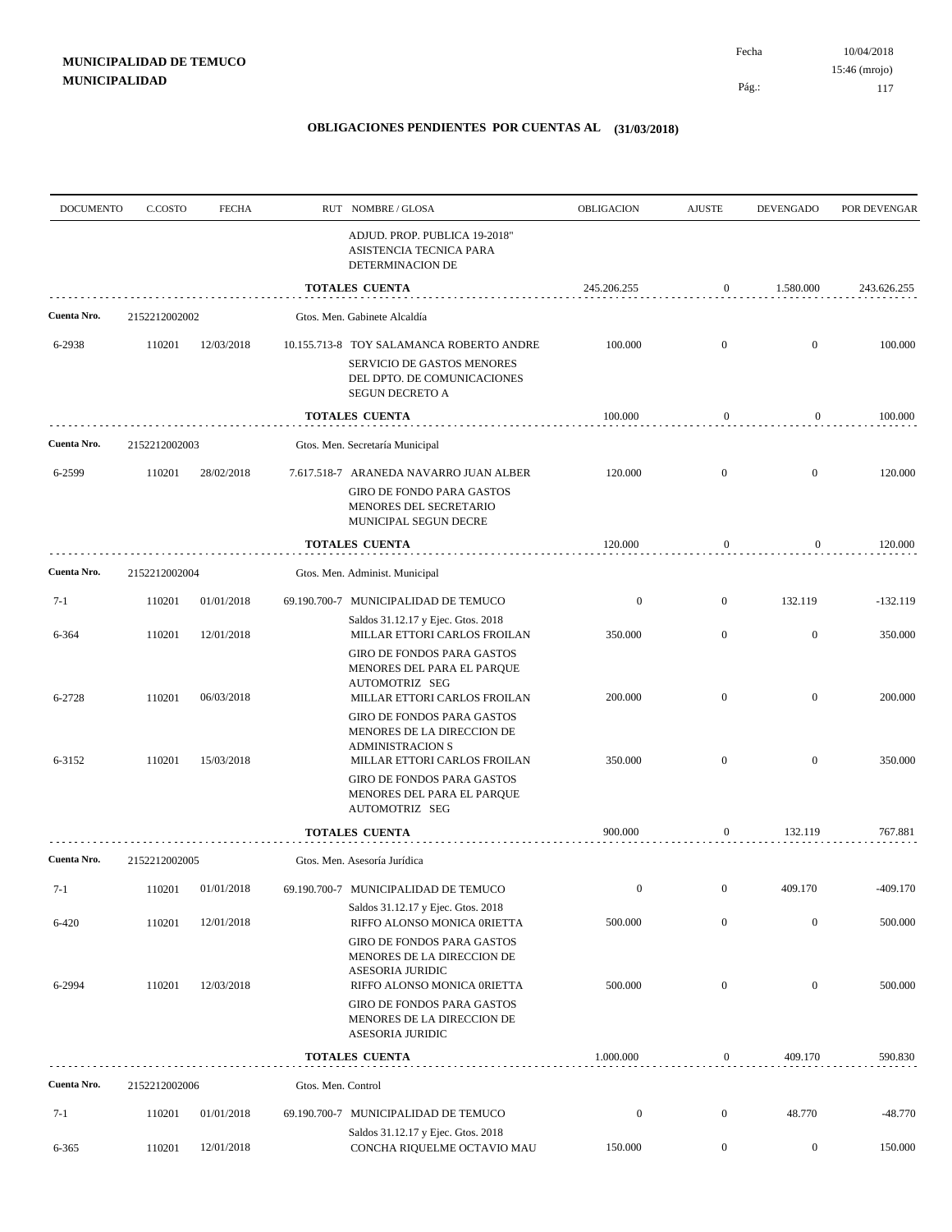Pág.:

Fecha

| <b>DOCUMENTO</b> | C.COSTO       | <b>FECHA</b> |                    | RUT NOMBRE/GLOSA                                                                                                                | OBLIGACION       | <b>AJUSTE</b>    | <b>DEVENGADO</b> | POR DEVENGAR |
|------------------|---------------|--------------|--------------------|---------------------------------------------------------------------------------------------------------------------------------|------------------|------------------|------------------|--------------|
|                  |               |              |                    | ADJUD. PROP. PUBLICA 19-2018"<br>ASISTENCIA TECNICA PARA<br>DETERMINACION DE                                                    |                  |                  |                  |              |
|                  |               |              |                    | <b>TOTALES CUENTA</b>                                                                                                           | 245.206.255      | $\boldsymbol{0}$ | 1.580.000        | 243.626.255  |
| Cuenta Nro.      | 2152212002002 |              |                    | Gtos. Men. Gabinete Alcaldía                                                                                                    |                  |                  |                  |              |
| 6-2938           | 110201        | 12/03/2018   |                    | 10.155.713-8 TOY SALAMANCA ROBERTO ANDRE<br>SERVICIO DE GASTOS MENORES<br>DEL DPTO. DE COMUNICACIONES<br><b>SEGUN DECRETO A</b> | 100.000          | $\mathbf{0}$     | $\mathbf{0}$     | 100.000      |
|                  |               |              |                    | <b>TOTALES CUENTA</b>                                                                                                           | 100.000          | $\bf{0}$         | $\boldsymbol{0}$ | 100.000      |
| Cuenta Nro.      | 2152212002003 |              |                    | Gtos. Men. Secretaría Municipal                                                                                                 |                  |                  |                  |              |
| 6-2599           | 110201        | 28/02/2018   |                    | 7.617.518-7 ARANEDA NAVARRO JUAN ALBER                                                                                          | 120.000          | $\mathbf{0}$     | $\mathbf{0}$     | 120.000      |
|                  |               |              |                    | <b>GIRO DE FONDO PARA GASTOS</b><br>MENORES DEL SECRETARIO<br>MUNICIPAL SEGUN DECRE                                             |                  |                  |                  |              |
|                  |               |              |                    | TOTALES CUENTA                                                                                                                  | 120.000          | 0                | 0                | 120.000      |
| Cuenta Nro.      | 2152212002004 |              |                    | Gtos. Men. Administ. Municipal                                                                                                  |                  |                  |                  |              |
| $7-1$            | 110201        | 01/01/2018   |                    | 69.190.700-7 MUNICIPALIDAD DE TEMUCO                                                                                            | $\boldsymbol{0}$ | $\mathbf{0}$     | 132.119          | $-132.119$   |
| 6-364            | 110201        | 12/01/2018   |                    | Saldos 31.12.17 y Ejec. Gtos. 2018<br>MILLAR ETTORI CARLOS FROILAN                                                              | 350.000          | $\overline{0}$   | $\boldsymbol{0}$ | 350.000      |
| 6-2728           | 110201        | 06/03/2018   |                    | <b>GIRO DE FONDOS PARA GASTOS</b><br>MENORES DEL PARA EL PARQUE<br>AUTOMOTRIZ SEG<br>MILLAR ETTORI CARLOS FROILAN               | 200.000          | $\mathbf{0}$     | $\mathbf{0}$     | 200.000      |
| 6-3152           | 110201        | 15/03/2018   |                    | <b>GIRO DE FONDOS PARA GASTOS</b><br>MENORES DE LA DIRECCION DE<br><b>ADMINISTRACION S</b><br>MILLAR ETTORI CARLOS FROILAN      | 350.000          | $\mathbf{0}$     | $\mathbf{0}$     | 350.000      |
|                  |               |              |                    | GIRO DE FONDOS PARA GASTOS<br>MENORES DEL PARA EL PARQUE<br>AUTOMOTRIZ SEG                                                      |                  |                  |                  |              |
|                  |               |              |                    | <b>TOTALES CUENTA</b>                                                                                                           | 900.000          | $\boldsymbol{0}$ | 132.119          | 767.881      |
| Cuenta Nro.      | 2152212002005 |              |                    | Gtos. Men. Asesoría Jurídica                                                                                                    |                  |                  |                  |              |
| 7-1              | 110201        | 01/01/2018   |                    | 69.190.700-7 MUNICIPALIDAD DE TEMUCO                                                                                            | $\boldsymbol{0}$ | $\boldsymbol{0}$ | 409.170          | $-409.170$   |
| 6-420            | 110201        | 12/01/2018   |                    | Saldos 31.12.17 y Ejec. Gtos. 2018<br>RIFFO ALONSO MONICA 0RIETTA                                                               | 500.000          | $\mathbf{0}$     | $\boldsymbol{0}$ | 500.000      |
|                  |               |              |                    | GIRO DE FONDOS PARA GASTOS<br>MENORES DE LA DIRECCION DE<br>ASESORIA JURIDIC                                                    |                  |                  |                  |              |
| 6-2994           | 110201        | 12/03/2018   |                    | RIFFO ALONSO MONICA 0RIETTA<br>GIRO DE FONDOS PARA GASTOS<br>MENORES DE LA DIRECCION DE<br>ASESORIA JURIDIC                     | 500.000          | $\mathbf{0}$     | $\boldsymbol{0}$ | 500.000      |
|                  |               |              |                    | <b>TOTALES CUENTA</b>                                                                                                           | 1.000.000        | $\boldsymbol{0}$ | 409.170          | 590.830      |
| Cuenta Nro.      | 2152212002006 |              | Gtos. Men. Control |                                                                                                                                 |                  |                  |                  |              |
| $7-1$            | 110201        | 01/01/2018   |                    | 69.190.700-7 MUNICIPALIDAD DE TEMUCO                                                                                            | $\boldsymbol{0}$ | $\boldsymbol{0}$ | 48.770           | $-48.770$    |
| 6-365            | 110201        | 12/01/2018   |                    | Saldos 31.12.17 y Ejec. Gtos. 2018<br>CONCHA RIQUELME OCTAVIO MAU                                                               | 150.000          | $\overline{0}$   | $\boldsymbol{0}$ | 150.000      |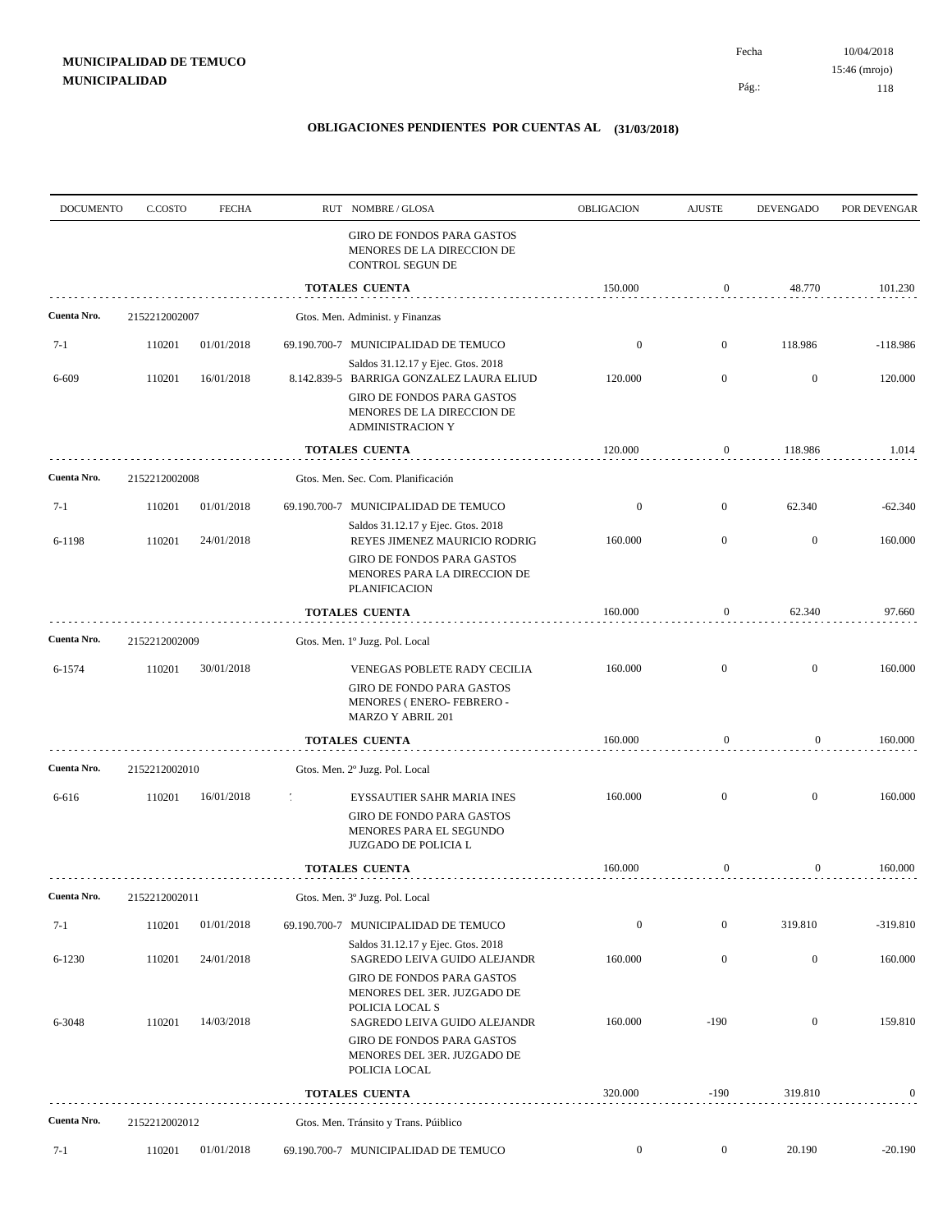Pág.:

Fecha

| <b>DOCUMENTO</b> | C.COSTO       | <b>FECHA</b> | RUT NOMBRE/GLOSA                                                                                                                                  | <b>OBLIGACION</b> | <b>AJUSTE</b>    | <b>DEVENGADO</b> | POR DEVENGAR |
|------------------|---------------|--------------|---------------------------------------------------------------------------------------------------------------------------------------------------|-------------------|------------------|------------------|--------------|
|                  |               |              | GIRO DE FONDOS PARA GASTOS<br>MENORES DE LA DIRECCION DE<br>CONTROL SEGUN DE                                                                      |                   |                  |                  |              |
|                  |               |              | <b>TOTALES CUENTA</b>                                                                                                                             | 150.000           | $\boldsymbol{0}$ | 48.770           | 101.230      |
| Cuenta Nro.      | 2152212002007 |              | Gtos. Men. Administ. y Finanzas                                                                                                                   |                   |                  |                  |              |
| $7-1$            | 110201        | 01/01/2018   | 69.190.700-7 MUNICIPALIDAD DE TEMUCO                                                                                                              | $\boldsymbol{0}$  | $\mathbf{0}$     | 118.986          | $-118.986$   |
| 6-609            | 110201        | 16/01/2018   | Saldos 31.12.17 y Ejec. Gtos. 2018<br>8.142.839-5 BARRIGA GONZALEZ LAURA ELIUD                                                                    | 120.000           | $\overline{0}$   | $\mathbf{0}$     | 120.000      |
|                  |               |              | GIRO DE FONDOS PARA GASTOS<br>MENORES DE LA DIRECCION DE<br><b>ADMINISTRACION Y</b>                                                               |                   |                  |                  |              |
|                  |               |              | <b>TOTALES CUENTA</b>                                                                                                                             | 120.000           | 0                | 118.986          | 1.014        |
| Cuenta Nro.      | 2152212002008 |              | Gtos. Men. Sec. Com. Planificación                                                                                                                |                   |                  |                  |              |
| $7-1$            | 110201        | 01/01/2018   | 69.190.700-7 MUNICIPALIDAD DE TEMUCO                                                                                                              | $\boldsymbol{0}$  | $\overline{0}$   | 62.340           | $-62.340$    |
| 6-1198           | 110201        | 24/01/2018   | Saldos 31.12.17 y Ejec. Gtos. 2018<br>REYES JIMENEZ MAURICIO RODRIG                                                                               | 160.000           | $\overline{0}$   | $\mathbf{0}$     | 160.000      |
|                  |               |              | GIRO DE FONDOS PARA GASTOS<br>MENORES PARA LA DIRECCION DE<br><b>PLANIFICACION</b>                                                                |                   |                  |                  |              |
|                  |               |              | <b>TOTALES CUENTA</b>                                                                                                                             | 160.000           | 0                | 62.340           | 97.660       |
| Cuenta Nro.      | 2152212002009 |              | Gtos. Men. 1º Juzg. Pol. Local                                                                                                                    |                   |                  |                  |              |
| 6-1574           | 110201        | 30/01/2018   | VENEGAS POBLETE RADY CECILIA<br><b>GIRO DE FONDO PARA GASTOS</b><br>MENORES (ENERO-FEBRERO-<br><b>MARZO Y ABRIL 201</b>                           | 160.000           | $\overline{0}$   | $\mathbf{0}$     | 160.000      |
|                  |               |              | <b>TOTALES CUENTA</b>                                                                                                                             | 160.000           | $\boldsymbol{0}$ | $\boldsymbol{0}$ | 160.000      |
| Cuenta Nro.      | 2152212002010 |              | Gtos. Men. 2º Juzg. Pol. Local                                                                                                                    |                   |                  |                  |              |
| 6-616            | 110201        | 16/01/2018   | EYSSAUTIER SAHR MARIA INES                                                                                                                        | 160.000           | $\overline{0}$   | $\mathbf{0}$     | 160.000      |
|                  |               |              | <b>GIRO DE FONDO PARA GASTOS</b><br>MENORES PARA EL SEGUNDO<br>JUZGADO DE POLICIA L                                                               |                   |                  |                  |              |
|                  |               |              | <b>TOTALES CUENTA</b>                                                                                                                             | 160.000           | $\mathbf{0}$     | 0                | 160.000      |
| Cuenta Nro.      | 2152212002011 |              | Gtos. Men. 3º Juzg. Pol. Local                                                                                                                    |                   |                  |                  |              |
| $7-1$            | 110201        | 01/01/2018   | 69.190.700-7 MUNICIPALIDAD DE TEMUCO                                                                                                              | $\boldsymbol{0}$  | $\mathbf{0}$     | 319.810          | $-319.810$   |
| 6-1230           | 110201        | 24/01/2018   | Saldos 31.12.17 y Ejec. Gtos. 2018<br>SAGREDO LEIVA GUIDO ALEJANDR                                                                                | 160.000           | $\boldsymbol{0}$ | $\boldsymbol{0}$ | 160.000      |
| 6-3048           | 110201        | 14/03/2018   | <b>GIRO DE FONDOS PARA GASTOS</b><br>MENORES DEL 3ER. JUZGADO DE<br>POLICIA LOCAL S<br>SAGREDO LEIVA GUIDO ALEJANDR<br>GIRO DE FONDOS PARA GASTOS | 160.000           | $-190$           | $\boldsymbol{0}$ | 159.810      |
|                  |               |              | MENORES DEL 3ER. JUZGADO DE<br>POLICIA LOCAL                                                                                                      |                   |                  |                  |              |
|                  |               |              | TOTALES CUENTA                                                                                                                                    | 320.000           | $-190$           | 319.810          | $\bf{0}$     |
| Cuenta Nro.      | 2152212002012 |              | Gtos. Men. Tránsito y Trans. Púiblico                                                                                                             |                   |                  |                  |              |
| $7-1$            | 110201        | 01/01/2018   | 69.190.700-7 MUNICIPALIDAD DE TEMUCO                                                                                                              | $\boldsymbol{0}$  | $\boldsymbol{0}$ | 20.190           | $-20.190$    |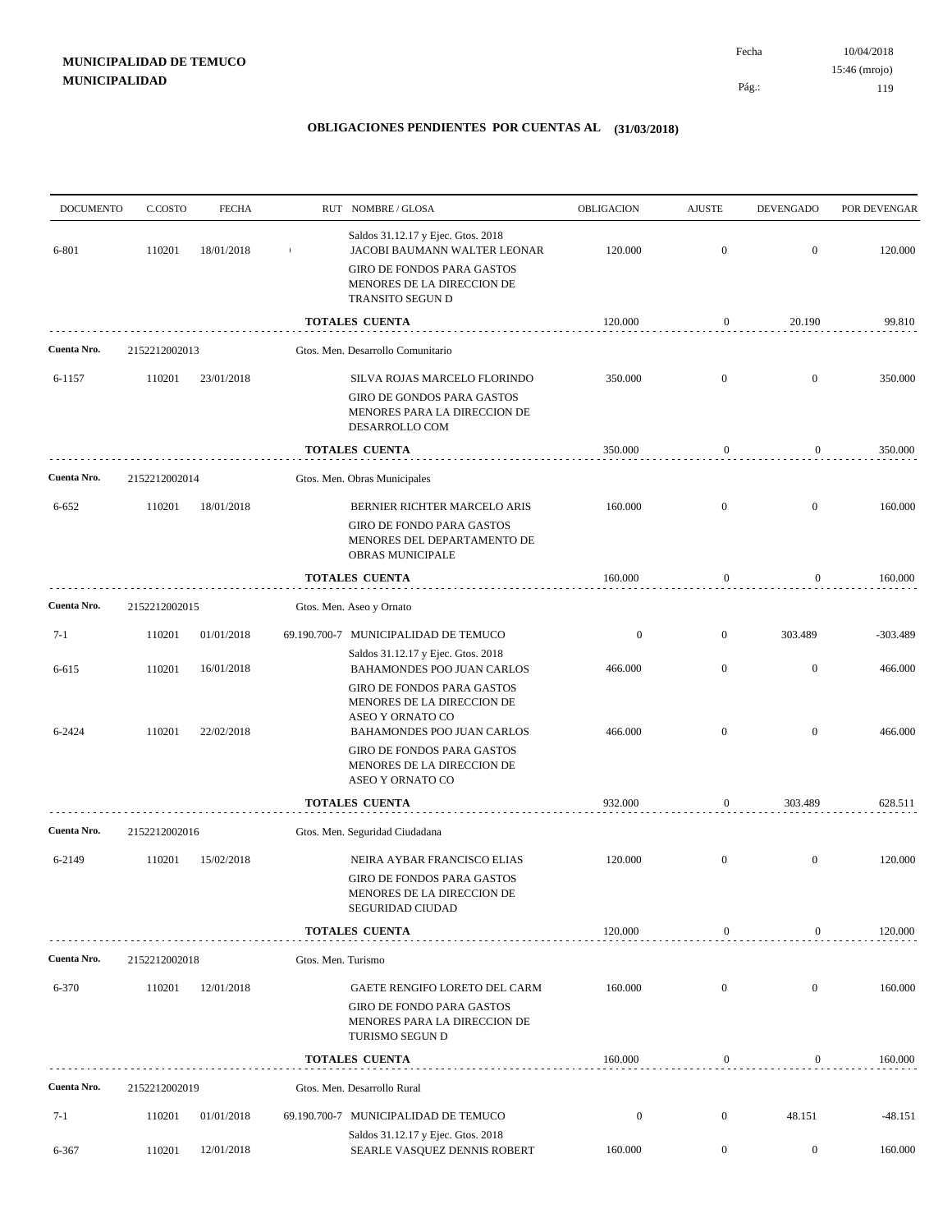10/04/2018 119 Pág.: Fecha 15:46 (mrojo)

| <b>DOCUMENTO</b> | C.COSTO       | <b>FECHA</b> |                    | RUT NOMBRE/GLOSA                                                                                                     | OBLIGACION       | <b>AJUSTE</b>    | <b>DEVENGADO</b> | POR DEVENGAR |
|------------------|---------------|--------------|--------------------|----------------------------------------------------------------------------------------------------------------------|------------------|------------------|------------------|--------------|
| 6-801            | 110201        | 18/01/2018   |                    | Saldos 31.12.17 y Ejec. Gtos. 2018<br>JACOBI BAUMANN WALTER LEONAR                                                   | 120.000          | $\mathbf{0}$     | $\boldsymbol{0}$ | 120.000      |
|                  |               |              |                    | GIRO DE FONDOS PARA GASTOS<br>MENORES DE LA DIRECCION DE<br>TRANSITO SEGUN D                                         |                  |                  |                  |              |
|                  |               |              |                    | TOTALES CUENTA                                                                                                       | 120.000          | 0                | 20.190           | 99.810       |
| Cuenta Nro.      | 2152212002013 |              |                    | Gtos. Men. Desarrollo Comunitario                                                                                    |                  |                  |                  |              |
| 6-1157           | 110201        | 23/01/2018   |                    | SILVA ROJAS MARCELO FLORINDO                                                                                         | 350.000          | $\mathbf{0}$     | $\mathbf{0}$     | 350.000      |
|                  |               |              |                    | GIRO DE GONDOS PARA GASTOS<br>MENORES PARA LA DIRECCION DE<br>DESARROLLO COM                                         |                  |                  |                  |              |
|                  |               |              |                    | TOTALES CUENTA                                                                                                       | 350.000          | $\boldsymbol{0}$ | 0                | 350.000      |
| Cuenta Nro.      | 2152212002014 |              |                    | Gtos. Men. Obras Municipales                                                                                         |                  |                  |                  |              |
| 6-652            | 110201        | 18/01/2018   |                    | BERNIER RICHTER MARCELO ARIS                                                                                         | 160.000          | $\mathbf{0}$     | $\boldsymbol{0}$ | 160.000      |
|                  |               |              |                    | <b>GIRO DE FONDO PARA GASTOS</b><br>MENORES DEL DEPARTAMENTO DE<br>OBRAS MUNICIPALE                                  |                  |                  |                  |              |
|                  |               |              |                    | <b>TOTALES CUENTA</b>                                                                                                | 160.000          | $\boldsymbol{0}$ | $\boldsymbol{0}$ | 160.000      |
| Cuenta Nro.      | 2152212002015 |              |                    | Gtos. Men. Aseo y Ornato                                                                                             |                  |                  |                  |              |
| $7-1$            | 110201        | 01/01/2018   |                    | 69.190.700-7 MUNICIPALIDAD DE TEMUCO                                                                                 | $\boldsymbol{0}$ | $\mathbf{0}$     | 303.489          | $-303.489$   |
| 6-615            | 110201        | 16/01/2018   |                    | Saldos 31.12.17 y Ejec. Gtos. 2018<br>BAHAMONDES POO JUAN CARLOS                                                     | 466.000          | $\mathbf{0}$     | $\mathbf{0}$     | 466.000      |
|                  |               |              |                    | <b>GIRO DE FONDOS PARA GASTOS</b><br>MENORES DE LA DIRECCION DE<br>ASEO Y ORNATO CO                                  |                  |                  |                  |              |
| 6-2424           | 110201        | 22/02/2018   |                    | BAHAMONDES POO JUAN CARLOS<br>GIRO DE FONDOS PARA GASTOS<br>MENORES DE LA DIRECCION DE<br>ASEO Y ORNATO CO           | 466.000          | $\mathbf{0}$     | $\boldsymbol{0}$ | 466.000      |
|                  |               |              |                    | TOTALES CUENTA                                                                                                       | 932.000          | 0                | 303.489          | 628.511      |
| Cuenta Nro.      | 2152212002016 |              |                    | Gtos. Men. Seguridad Ciudadana                                                                                       |                  |                  |                  |              |
| 6-2149           | 110201        | 15/02/2018   |                    | NEIRA AYBAR FRANCISCO ELIAS                                                                                          | 120.000          | $\boldsymbol{0}$ | $\mathbf{0}$     | 120.000      |
|                  |               |              |                    | <b>GIRO DE FONDOS PARA GASTOS</b><br>MENORES DE LA DIRECCION DE<br>SEGURIDAD CIUDAD                                  |                  |                  |                  |              |
|                  |               |              |                    | <b>TOTALES CUENTA</b>                                                                                                | 120.000          | $\boldsymbol{0}$ | 0                | 120.000      |
| Cuenta Nro.      | 2152212002018 |              | Gtos. Men. Turismo |                                                                                                                      |                  |                  |                  |              |
| 6-370            | 110201        | 12/01/2018   |                    | GAETE RENGIFO LORETO DEL CARM<br><b>GIRO DE FONDO PARA GASTOS</b><br>MENORES PARA LA DIRECCION DE<br>TURISMO SEGUN D | 160.000          | $\mathbf{0}$     | $\mathbf{0}$     | 160.000      |
|                  |               |              |                    | TOTALES CUENTA                                                                                                       | 160.000          | $\boldsymbol{0}$ | $\mathbf{0}$     | 160.000      |
| Cuenta Nro.      | 2152212002019 |              |                    | Gtos. Men. Desarrollo Rural                                                                                          |                  |                  |                  |              |
| $7-1$            | 110201        | 01/01/2018   |                    | 69.190.700-7 MUNICIPALIDAD DE TEMUCO                                                                                 | $\boldsymbol{0}$ | $\boldsymbol{0}$ | 48.151           | $-48.151$    |
| 6-367            | 110201        | 12/01/2018   |                    | Saldos 31.12.17 y Ejec. Gtos. 2018<br>SEARLE VASQUEZ DENNIS ROBERT                                                   | 160.000          | $\overline{0}$   | $\boldsymbol{0}$ | 160.000      |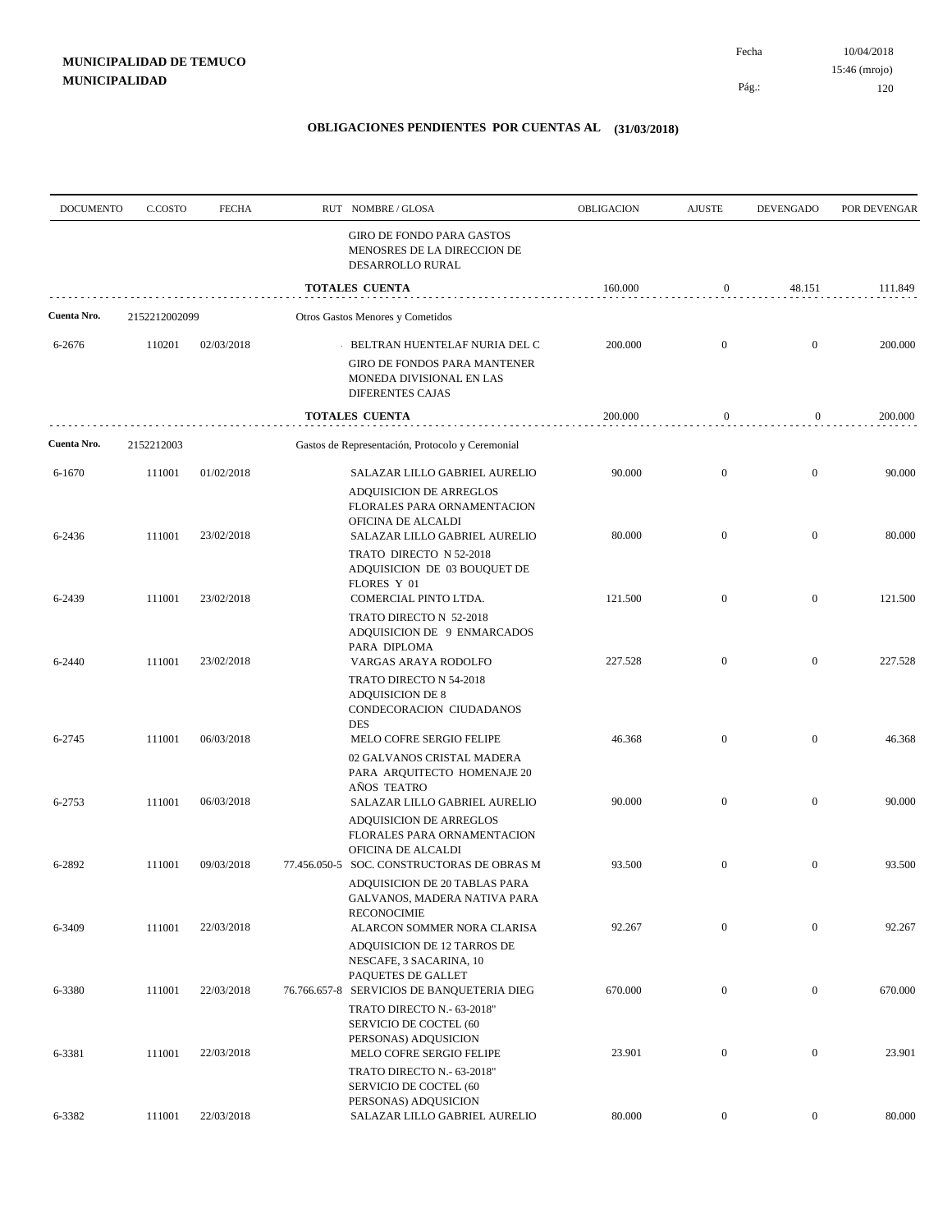Pág.:

Fecha

| <b>DOCUMENTO</b> | C.COSTO       | <b>FECHA</b> | RUT NOMBRE/GLOSA                                                                                                                  | OBLIGACION | <b>AJUSTE</b>    | <b>DEVENGADO</b> | POR DEVENGAR |
|------------------|---------------|--------------|-----------------------------------------------------------------------------------------------------------------------------------|------------|------------------|------------------|--------------|
|                  |               |              | GIRO DE FONDO PARA GASTOS<br>MENOSRES DE LA DIRECCION DE<br>DESARROLLO RURAL                                                      |            |                  |                  |              |
|                  |               |              | <b>TOTALES CUENTA</b>                                                                                                             | 160.000    | $\boldsymbol{0}$ | 48.151           | 111.849      |
| Cuenta Nro.      | 2152212002099 |              | Otros Gastos Menores y Cometidos                                                                                                  |            |                  |                  |              |
| 6-2676           | 110201        | 02/03/2018   | BELTRAN HUENTELAF NURIA DEL C<br><b>GIRO DE FONDOS PARA MANTENER</b><br>MONEDA DIVISIONAL EN LAS<br><b>DIFERENTES CAJAS</b>       | 200.000    | $\mathbf{0}$     | $\mathbf{0}$     | 200.000      |
|                  |               |              | <b>TOTALES CUENTA</b>                                                                                                             | 200.000    | $\boldsymbol{0}$ | $\overline{0}$   | 200.000      |
| Cuenta Nro.      | 2152212003    |              | Gastos de Representación, Protocolo y Ceremonial                                                                                  |            |                  |                  |              |
| 6-1670           | 111001        | 01/02/2018   | SALAZAR LILLO GABRIEL AURELIO<br>ADQUISICION DE ARREGLOS<br>FLORALES PARA ORNAMENTACION<br>OFICINA DE ALCALDI                     | 90.000     | $\mathbf{0}$     | $\mathbf{0}$     | 90.000       |
| 6-2436           | 111001        | 23/02/2018   | SALAZAR LILLO GABRIEL AURELIO<br>TRATO DIRECTO N 52-2018<br>ADQUISICION DE 03 BOUQUET DE<br>FLORES Y 01                           | 80.000     | $\mathbf{0}$     | $\mathbf{0}$     | 80.000       |
| 6-2439           | 111001        | 23/02/2018   | COMERCIAL PINTO LTDA.<br>TRATO DIRECTO N 52-2018                                                                                  | 121.500    | $\boldsymbol{0}$ | $\mathbf{0}$     | 121.500      |
| 6-2440           | 111001        | 23/02/2018   | ADQUISICION DE 9 ENMARCADOS<br>PARA DIPLOMA<br>VARGAS ARAYA RODOLFO                                                               | 227.528    | $\mathbf{0}$     | $\mathbf{0}$     | 227.528      |
| 6-2745           | 111001        | 06/03/2018   | TRATO DIRECTO N 54-2018<br><b>ADQUISICION DE 8</b><br>CONDECORACION CIUDADANOS<br><b>DES</b><br>MELO COFRE SERGIO FELIPE          | 46.368     | $\mathbf{0}$     | $\mathbf{0}$     | 46.368       |
| 6-2753           | 111001        | 06/03/2018   | 02 GALVANOS CRISTAL MADERA<br>PARA ARQUITECTO HOMENAJE 20<br>AÑOS TEATRO<br>SALAZAR LILLO GABRIEL AURELIO                         | 90.000     | $\mathbf{0}$     | $\mathbf{0}$     | 90.000       |
| 6-2892           | 111001        | 09/03/2018   | <b>ADQUISICION DE ARREGLOS</b><br>FLORALES PARA ORNAMENTACION<br>OFICINA DE ALCALDI<br>77.456.050-5 SOC. CONSTRUCTORAS DE OBRAS M | 93.500     | $\mathbf{0}$     | $\mathbf{0}$     | 93.500       |
|                  |               |              | ADQUISICION DE 20 TABLAS PARA<br>GALVANOS, MADERA NATIVA PARA<br><b>RECONOCIMIE</b>                                               |            |                  |                  |              |
| 6-3409           | 111001        | 22/03/2018   | ALARCON SOMMER NORA CLARISA<br>ADQUISICION DE 12 TARROS DE<br>NESCAFE, 3 SACARINA, 10                                             | 92.267     | $\boldsymbol{0}$ | $\mathbf{0}$     | 92.267       |
| 6-3380           | 111001        | 22/03/2018   | PAQUETES DE GALLET<br>76.766.657-8 SERVICIOS DE BANQUETERIA DIEG<br>TRATO DIRECTO N.- 63-2018"                                    | 670.000    | $\boldsymbol{0}$ | $\bf{0}$         | 670.000      |
| 6-3381           | 111001        | 22/03/2018   | SERVICIO DE COCTEL (60<br>PERSONAS) ADQUSICION<br>MELO COFRE SERGIO FELIPE<br>TRATO DIRECTO N.- 63-2018"                          | 23.901     | $\boldsymbol{0}$ | $\boldsymbol{0}$ | 23.901       |
| 6-3382           | 111001        | 22/03/2018   | SERVICIO DE COCTEL (60<br>PERSONAS) ADQUSICION<br>SALAZAR LILLO GABRIEL AURELIO                                                   | 80.000     | $\boldsymbol{0}$ | $\mathbf{0}$     | 80.000       |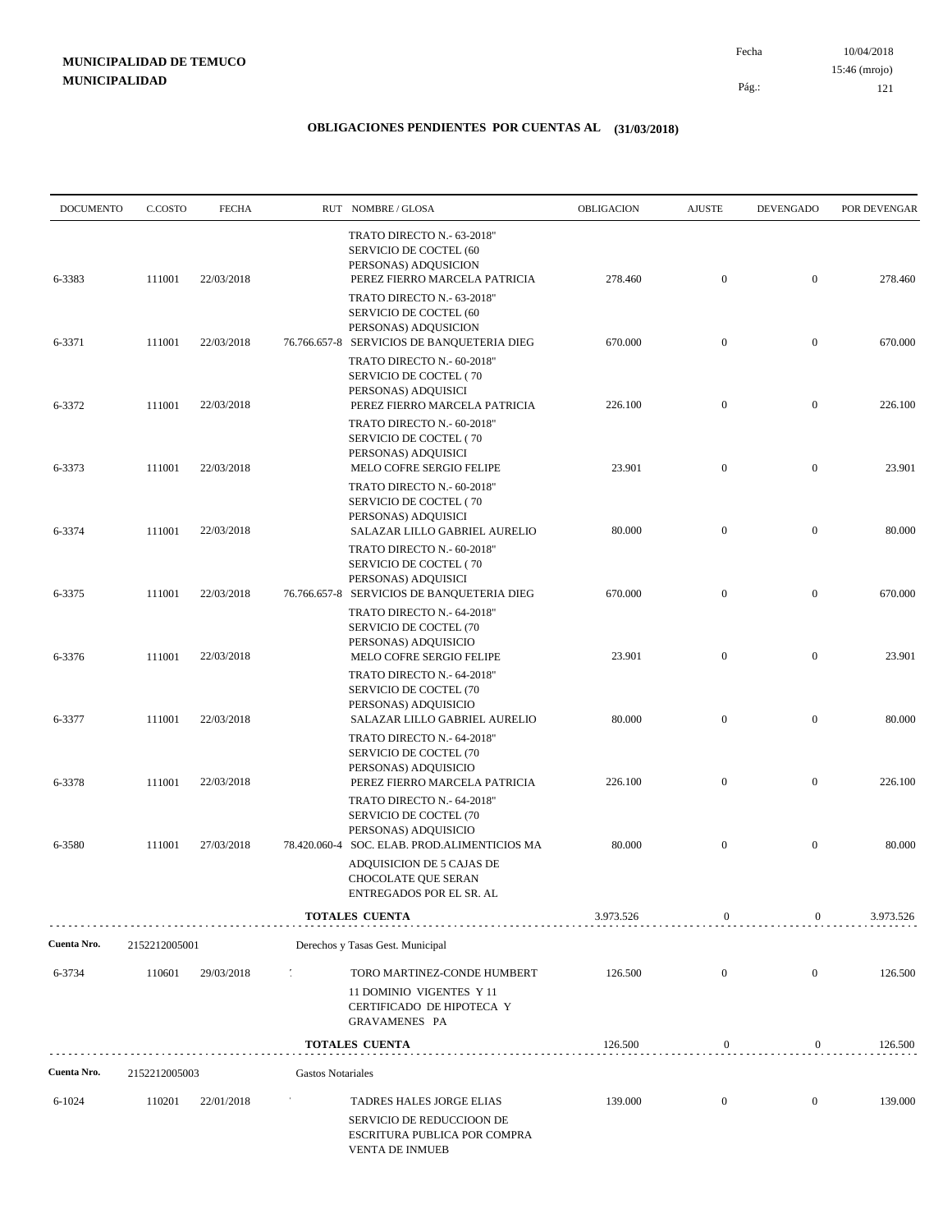| <b>DOCUMENTO</b> | C.COSTO       | <b>FECHA</b> |                          | RUT NOMBRE/GLOSA                                                                                                                                            | OBLIGACION | <b>AJUSTE</b>    | <b>DEVENGADO</b> | POR DEVENGAR |
|------------------|---------------|--------------|--------------------------|-------------------------------------------------------------------------------------------------------------------------------------------------------------|------------|------------------|------------------|--------------|
| 6-3383           | 111001        | 22/03/2018   |                          | TRATO DIRECTO N.- 63-2018"<br>SERVICIO DE COCTEL (60<br>PERSONAS) ADQUSICION<br>PEREZ FIERRO MARCELA PATRICIA                                               | 278.460    | $\mathbf{0}$     | $\mathbf{0}$     | 278.460      |
|                  |               |              |                          | TRATO DIRECTO N.- 63-2018"<br>SERVICIO DE COCTEL (60<br>PERSONAS) ADQUSICION                                                                                |            |                  |                  |              |
| 6-3371           | 111001        | 22/03/2018   |                          | 76.766.657-8 SERVICIOS DE BANQUETERIA DIEG<br>TRATO DIRECTO N.- 60-2018"<br>SERVICIO DE COCTEL (70                                                          | 670.000    | $\mathbf{0}$     | $\boldsymbol{0}$ | 670.000      |
| 6-3372           | 111001        | 22/03/2018   |                          | PERSONAS) ADQUISICI<br>PEREZ FIERRO MARCELA PATRICIA<br>TRATO DIRECTO N.- 60-2018"                                                                          | 226.100    | $\mathbf{0}$     | $\mathbf{0}$     | 226.100      |
| 6-3373           | 111001        | 22/03/2018   |                          | SERVICIO DE COCTEL (70<br>PERSONAS) ADQUISICI<br>MELO COFRE SERGIO FELIPE                                                                                   | 23.901     | $\mathbf{0}$     | $\mathbf{0}$     | 23.901       |
| 6-3374           | 111001        | 22/03/2018   |                          | TRATO DIRECTO N.- 60-2018"<br>SERVICIO DE COCTEL (70<br>PERSONAS) ADQUISICI<br>SALAZAR LILLO GABRIEL AURELIO                                                | 80.000     | $\mathbf{0}$     | $\mathbf{0}$     | 80.000       |
| 6-3375           | 111001        | 22/03/2018   |                          | TRATO DIRECTO N.- 60-2018"<br>SERVICIO DE COCTEL (70<br>PERSONAS) ADQUISICI<br>76.766.657-8 SERVICIOS DE BANQUETERIA DIEG                                   | 670.000    | $\mathbf{0}$     | $\mathbf{0}$     | 670.000      |
| 6-3376           | 111001        | 22/03/2018   |                          | TRATO DIRECTO N.- 64-2018"<br>SERVICIO DE COCTEL (70<br>PERSONAS) ADQUISICIO<br>MELO COFRE SERGIO FELIPE                                                    | 23.901     | $\mathbf{0}$     | $\mathbf{0}$     | 23.901       |
| 6-3377           | 111001        | 22/03/2018   |                          | TRATO DIRECTO N.- 64-2018"<br>SERVICIO DE COCTEL (70<br>PERSONAS) ADQUISICIO<br>SALAZAR LILLO GABRIEL AURELIO                                               | 80.000     | $\mathbf{0}$     | $\mathbf{0}$     | 80.000       |
|                  |               |              |                          | TRATO DIRECTO N.- 64-2018"<br>SERVICIO DE COCTEL (70<br>PERSONAS) ADQUISICIO                                                                                |            |                  |                  |              |
| 6-3378           | 111001        | 22/03/2018   |                          | PEREZ FIERRO MARCELA PATRICIA<br>TRATO DIRECTO N.- 64-2018"<br>SERVICIO DE COCTEL (70                                                                       | 226.100    | $\mathbf{0}$     | $\mathbf{0}$     | 226.100      |
| 6-3580           | 111001        | 27/03/2018   |                          | PERSONAS) ADQUISICIO<br>78.420.060-4 SOC. ELAB. PROD.ALIMENTICIOS MA<br>ADQUISICION DE 5 CAJAS DE<br><b>CHOCOLATE QUE SERAN</b><br>ENTREGADOS POR EL SR. AL | 80.000     | $\mathbf{0}$     | $\mathbf{0}$     | 80.000       |
|                  |               |              |                          | TOTALES CUENTA                                                                                                                                              | 3.973.526  | $\boldsymbol{0}$ | 0                | 3.973.526    |
| Cuenta Nro.      | 2152212005001 |              |                          | Derechos y Tasas Gest. Municipal                                                                                                                            |            |                  |                  |              |
| 6-3734           | 110601        | 29/03/2018   | 1                        | TORO MARTINEZ-CONDE HUMBERT<br>11 DOMINIO VIGENTES Y 11<br>CERTIFICADO DE HIPOTECA Y                                                                        | 126.500    | $\mathbf{0}$     | $\mathbf{0}$     | 126.500      |
|                  |               |              |                          | GRAVAMENES PA                                                                                                                                               |            |                  |                  |              |
|                  |               |              |                          | <b>TOTALES CUENTA</b>                                                                                                                                       | 126.500    | $\boldsymbol{0}$ | $\boldsymbol{0}$ | 126.500      |
| Cuenta Nro.      | 2152212005003 |              | <b>Gastos Notariales</b> |                                                                                                                                                             |            |                  |                  |              |
| $6 - 1024$       | 110201        | 22/01/2018   |                          | TADRES HALES JORGE ELIAS<br>SERVICIO DE REDUCCIOON DE<br>ESCRITURA PUBLICA POR COMPRA<br><b>VENTA DE INMUEB</b>                                             | 139.000    | $\mathbf{0}$     | $\overline{0}$   | 139.000      |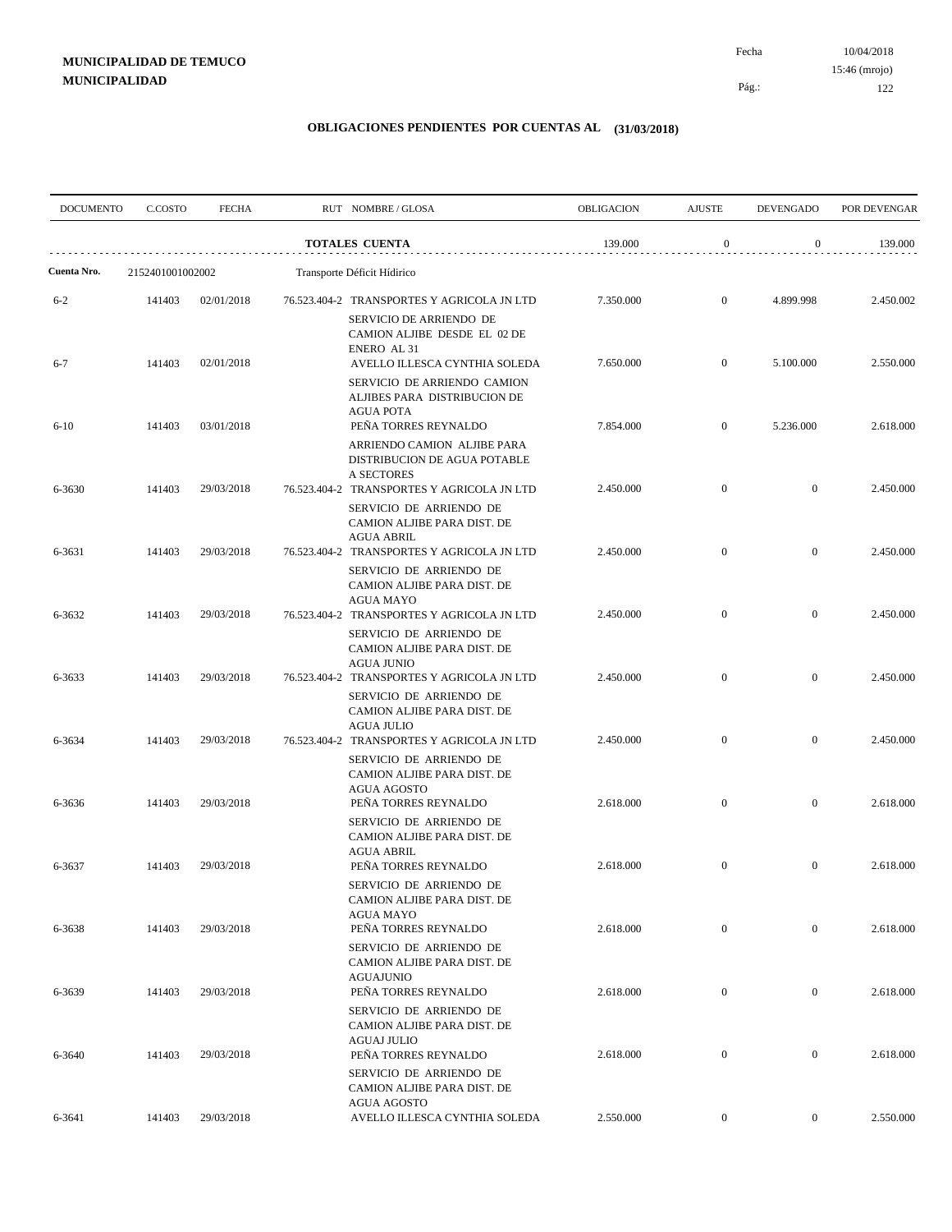| <b>DOCUMENTO</b> | C.COSTO          | <b>FECHA</b> |                             | RUT NOMBRE/GLOSA                                                                                                          | OBLIGACION | <b>AJUSTE</b>    | <b>DEVENGADO</b> | POR DEVENGAR |
|------------------|------------------|--------------|-----------------------------|---------------------------------------------------------------------------------------------------------------------------|------------|------------------|------------------|--------------|
|                  |                  |              |                             | <b>TOTALES CUENTA</b>                                                                                                     | 139.000    | $\boldsymbol{0}$ | $\overline{0}$   | 139.000      |
| Cuenta Nro.      | 2152401001002002 |              | Transporte Déficit Hídirico |                                                                                                                           |            |                  |                  |              |
| $6 - 2$          | 141403           | 02/01/2018   |                             | 76.523.404-2 TRANSPORTES Y AGRICOLA JN LTD<br>SERVICIO DE ARRIENDO DE<br>CAMION ALJIBE DESDE EL 02 DE                     | 7.350.000  | $\boldsymbol{0}$ | 4.899.998        | 2.450.002    |
| $6 - 7$          | 141403           | 02/01/2018   |                             | ENERO AL 31<br>AVELLO ILLESCA CYNTHIA SOLEDA<br>SERVICIO DE ARRIENDO CAMION<br>ALJIBES PARA DISTRIBUCION DE               | 7.650.000  | $\mathbf{0}$     | 5.100.000        | 2.550.000    |
| $6 - 10$         | 141403           | 03/01/2018   |                             | <b>AGUA POTA</b><br>PEÑA TORRES REYNALDO<br>ARRIENDO CAMION ALJIBE PARA                                                   | 7.854.000  | $\mathbf{0}$     | 5.236.000        | 2.618.000    |
| 6-3630           | 141403           | 29/03/2018   |                             | DISTRIBUCION DE AGUA POTABLE<br>A SECTORES<br>76.523.404-2 TRANSPORTES Y AGRICOLA JN LTD<br>SERVICIO DE ARRIENDO DE       | 2.450.000  | $\mathbf{0}$     | $\overline{0}$   | 2.450.000    |
| 6-3631           | 141403           | 29/03/2018   |                             | CAMION ALJIBE PARA DIST. DE<br><b>AGUA ABRIL</b><br>76.523.404-2 TRANSPORTES Y AGRICOLA JN LTD                            | 2.450.000  | $\mathbf{0}$     | $\mathbf{0}$     | 2.450.000    |
| 6-3632           | 141403           | 29/03/2018   |                             | SERVICIO DE ARRIENDO DE<br>CAMION ALJIBE PARA DIST. DE<br><b>AGUA MAYO</b><br>76.523.404-2 TRANSPORTES Y AGRICOLA JN LTD  | 2.450.000  | $\mathbf{0}$     | $\mathbf{0}$     | 2.450.000    |
| 6-3633           | 141403           | 29/03/2018   |                             | SERVICIO DE ARRIENDO DE<br>CAMION ALJIBE PARA DIST. DE<br><b>AGUA JUNIO</b><br>76.523.404-2 TRANSPORTES Y AGRICOLA JN LTD | 2.450.000  | $\mathbf{0}$     | $\mathbf{0}$     | 2.450.000    |
|                  |                  |              |                             | SERVICIO DE ARRIENDO DE<br>CAMION ALJIBE PARA DIST. DE<br><b>AGUA JULIO</b>                                               |            |                  |                  |              |
| 6-3634           | 141403           | 29/03/2018   |                             | 76.523.404-2 TRANSPORTES Y AGRICOLA JN LTD<br>SERVICIO DE ARRIENDO DE<br>CAMION ALJIBE PARA DIST. DE<br>AGUA AGOSTO       | 2.450.000  | $\mathbf{0}$     | $\mathbf{0}$     | 2.450.000    |
| 6-3636           | 141403           | 29/03/2018   |                             | PEÑA TORRES REYNALDO<br>SERVICIO DE ARRIENDO DE<br>CAMION ALJIBE PARA DIST. DE                                            | 2.618.000  | $\boldsymbol{0}$ | $\mathbf{0}$     | 2.618.000    |
| 6-3637           | 141403           | 29/03/2018   |                             | <b>AGUA ABRIL</b><br>PEÑA TORRES REYNALDO<br>SERVICIO DE ARRIENDO DE<br>CAMION ALJIBE PARA DIST. DE                       | 2.618.000  | $\mathbf{0}$     | $\mathbf{0}$     | 2.618.000    |
| 6-3638           | 141403           | 29/03/2018   |                             | <b>AGUA MAYO</b><br>PEÑA TORRES REYNALDO<br>SERVICIO DE ARRIENDO DE                                                       | 2.618.000  | $\boldsymbol{0}$ | $\mathbf{0}$     | 2.618.000    |
| 6-3639           | 141403           | 29/03/2018   |                             | CAMION ALJIBE PARA DIST. DE<br><b>AGUAJUNIO</b><br>PEÑA TORRES REYNALDO                                                   | 2.618.000  | $\boldsymbol{0}$ | $\boldsymbol{0}$ | 2.618.000    |
| 6-3640           | 141403           | 29/03/2018   |                             | SERVICIO DE ARRIENDO DE<br>CAMION ALJIBE PARA DIST. DE<br><b>AGUAJ JULIO</b><br>PEÑA TORRES REYNALDO                      | 2.618.000  | $\boldsymbol{0}$ | $\boldsymbol{0}$ | 2.618.000    |
|                  |                  |              |                             | SERVICIO DE ARRIENDO DE<br>CAMION ALJIBE PARA DIST. DE<br>AGUA AGOSTO                                                     |            |                  |                  |              |
| 6-3641           | 141403           | 29/03/2018   |                             | AVELLO ILLESCA CYNTHIA SOLEDA                                                                                             | 2.550.000  | $\boldsymbol{0}$ | $\overline{0}$   | 2.550.000    |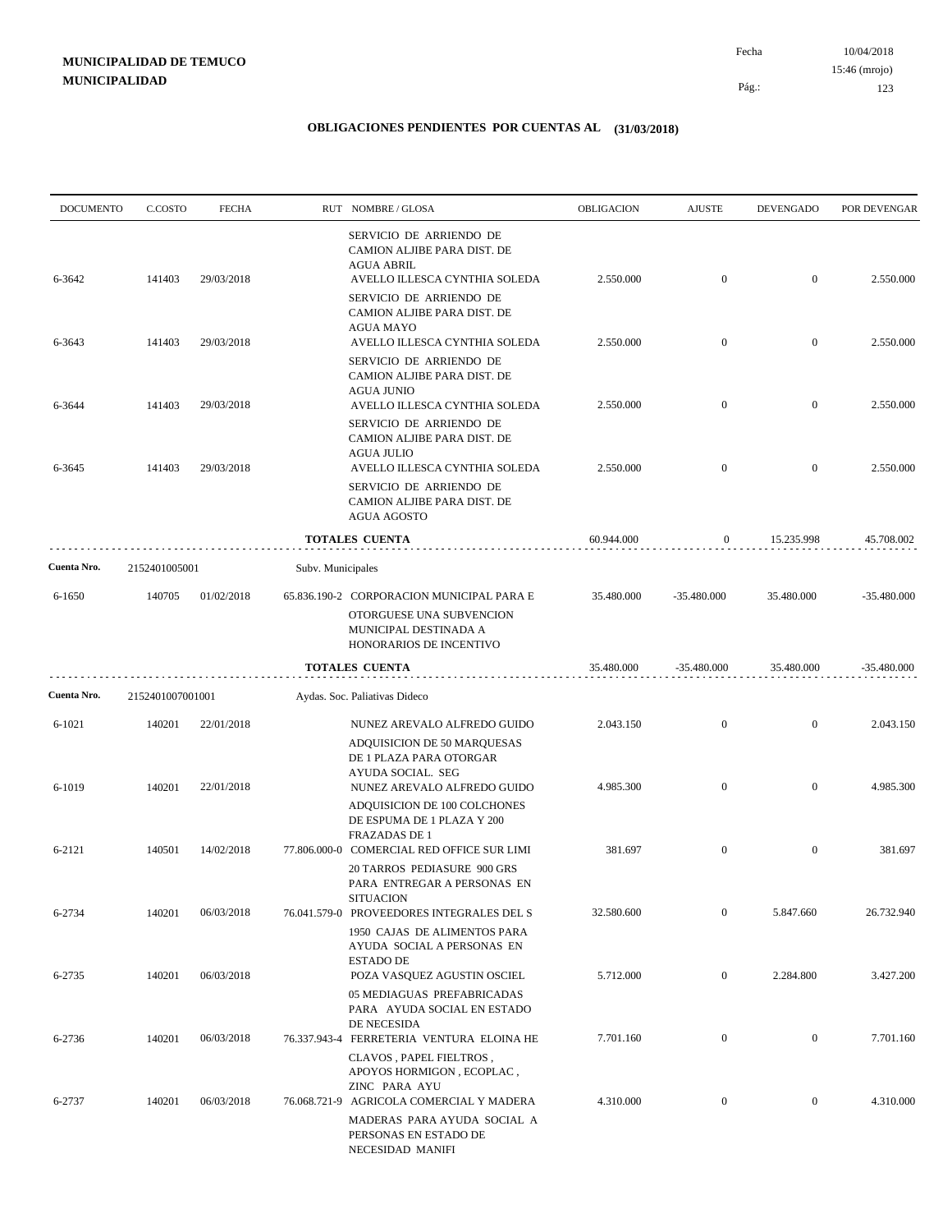| <b>DOCUMENTO</b> | C.COSTO          | <b>FECHA</b> |                   | RUT NOMBRE/GLOSA                                                                                                                 | OBLIGACION | <b>AJUSTE</b>    | <b>DEVENGADO</b> | POR DEVENGAR  |
|------------------|------------------|--------------|-------------------|----------------------------------------------------------------------------------------------------------------------------------|------------|------------------|------------------|---------------|
| 6-3642           | 141403           | 29/03/2018   |                   | SERVICIO DE ARRIENDO DE<br>CAMION ALJIBE PARA DIST. DE<br><b>AGUA ABRIL</b><br>AVELLO ILLESCA CYNTHIA SOLEDA                     | 2.550.000  | $\overline{0}$   | $\overline{0}$   | 2.550.000     |
|                  |                  |              |                   | SERVICIO DE ARRIENDO DE<br>CAMION ALJIBE PARA DIST. DE<br><b>AGUA MAYO</b>                                                       |            |                  |                  |               |
| 6-3643           | 141403           | 29/03/2018   |                   | AVELLO ILLESCA CYNTHIA SOLEDA<br>SERVICIO DE ARRIENDO DE<br>CAMION ALJIBE PARA DIST. DE                                          | 2.550.000  | $\overline{0}$   | $\mathbf{0}$     | 2.550.000     |
| 6-3644           | 141403           | 29/03/2018   |                   | <b>AGUA JUNIO</b><br>AVELLO ILLESCA CYNTHIA SOLEDA<br>SERVICIO DE ARRIENDO DE<br>CAMION ALJIBE PARA DIST. DE                     | 2.550.000  | $\overline{0}$   | $\overline{0}$   | 2.550.000     |
| 6-3645           | 141403           | 29/03/2018   |                   | <b>AGUA JULIO</b><br>AVELLO ILLESCA CYNTHIA SOLEDA<br>SERVICIO DE ARRIENDO DE<br>CAMION ALJIBE PARA DIST. DE                     | 2.550.000  | $\overline{0}$   | $\mathbf{0}$     | 2.550.000     |
|                  |                  |              |                   | AGUA AGOSTO<br><b>TOTALES CUENTA</b>                                                                                             | 60.944.000 | $\boldsymbol{0}$ | 15.235.998       | 45.708.002    |
| Cuenta Nro.      |                  |              |                   |                                                                                                                                  |            |                  |                  |               |
|                  | 2152401005001    |              | Subv. Municipales |                                                                                                                                  |            |                  |                  |               |
| 6-1650           | 140705           | 01/02/2018   |                   | 65.836.190-2 CORPORACION MUNICIPAL PARA E<br>OTORGUESE UNA SUBVENCION<br>MUNICIPAL DESTINADA A<br>HONORARIOS DE INCENTIVO        | 35.480.000 | $-35.480.000$    | 35.480.000       | $-35.480.000$ |
|                  |                  |              |                   | <b>TOTALES CUENTA</b>                                                                                                            | 35.480.000 | $-35.480.000$    | 35.480.000       | $-35.480.000$ |
| Cuenta Nro.      | 2152401007001001 |              |                   | Aydas. Soc. Paliativas Dideco                                                                                                    |            |                  |                  |               |
| $6 - 1021$       | 140201           | 22/01/2018   |                   | NUNEZ AREVALO ALFREDO GUIDO<br>ADQUISICION DE 50 MARQUESAS<br>DE 1 PLAZA PARA OTORGAR                                            | 2.043.150  | $\overline{0}$   | $\overline{0}$   | 2.043.150     |
| 6-1019           | 140201           | 22/01/2018   |                   | AYUDA SOCIAL. SEG<br>NUNEZ AREVALO ALFREDO GUIDO<br>ADQUISICION DE 100 COLCHONES<br>DE ESPUMA DE 1 PLAZA Y 200                   | 4.985.300  | $\mathbf{0}$     | $\overline{0}$   | 4.985.300     |
| 6-2121           | 140501           | 14/02/2018   |                   | <b>FRAZADAS DE 1</b><br>77.806.000-0 COMERCIAL RED OFFICE SUR LIMI<br>20 TARROS PEDIASURE 900 GRS<br>PARA ENTREGAR A PERSONAS EN | 381.697    | $\overline{0}$   | $\overline{0}$   | 381.697       |
| 6-2734           | 140201           | 06/03/2018   |                   | <b>SITUACION</b><br>76.041.579-0 PROVEEDORES INTEGRALES DEL S<br>1950 CAJAS DE ALIMENTOS PARA<br>AYUDA SOCIAL A PERSONAS EN      | 32.580.600 | $\overline{0}$   | 5.847.660        | 26.732.940    |
| 6-2735           | 140201           | 06/03/2018   | $\sim$ 10 $\sim$  | <b>ESTADO DE</b><br>POZA VASQUEZ AGUSTIN OSCIEL<br>05 MEDIAGUAS PREFABRICADAS                                                    | 5.712.000  | $\overline{0}$   | 2.284.800        | 3.427.200     |
| 6-2736           | 140201           | 06/03/2018   |                   | PARA AYUDA SOCIAL EN ESTADO<br>DE NECESIDA<br>76.337.943-4 FERRETERIA VENTURA ELOINA HE                                          | 7.701.160  | $\boldsymbol{0}$ | $\boldsymbol{0}$ | 7.701.160     |
| 6-2737           | 140201           | 06/03/2018   |                   | CLAVOS, PAPEL FIELTROS,<br>APOYOS HORMIGON, ECOPLAC,<br>ZINC PARA AYU<br>76.068.721-9 AGRICOLA COMERCIAL Y MADERA                | 4.310.000  | $\boldsymbol{0}$ | $\bf{0}$         | 4.310.000     |
|                  |                  |              |                   | MADERAS PARA AYUDA SOCIAL A<br>PERSONAS EN ESTADO DE<br>NECESIDAD MANIFI                                                         |            |                  |                  |               |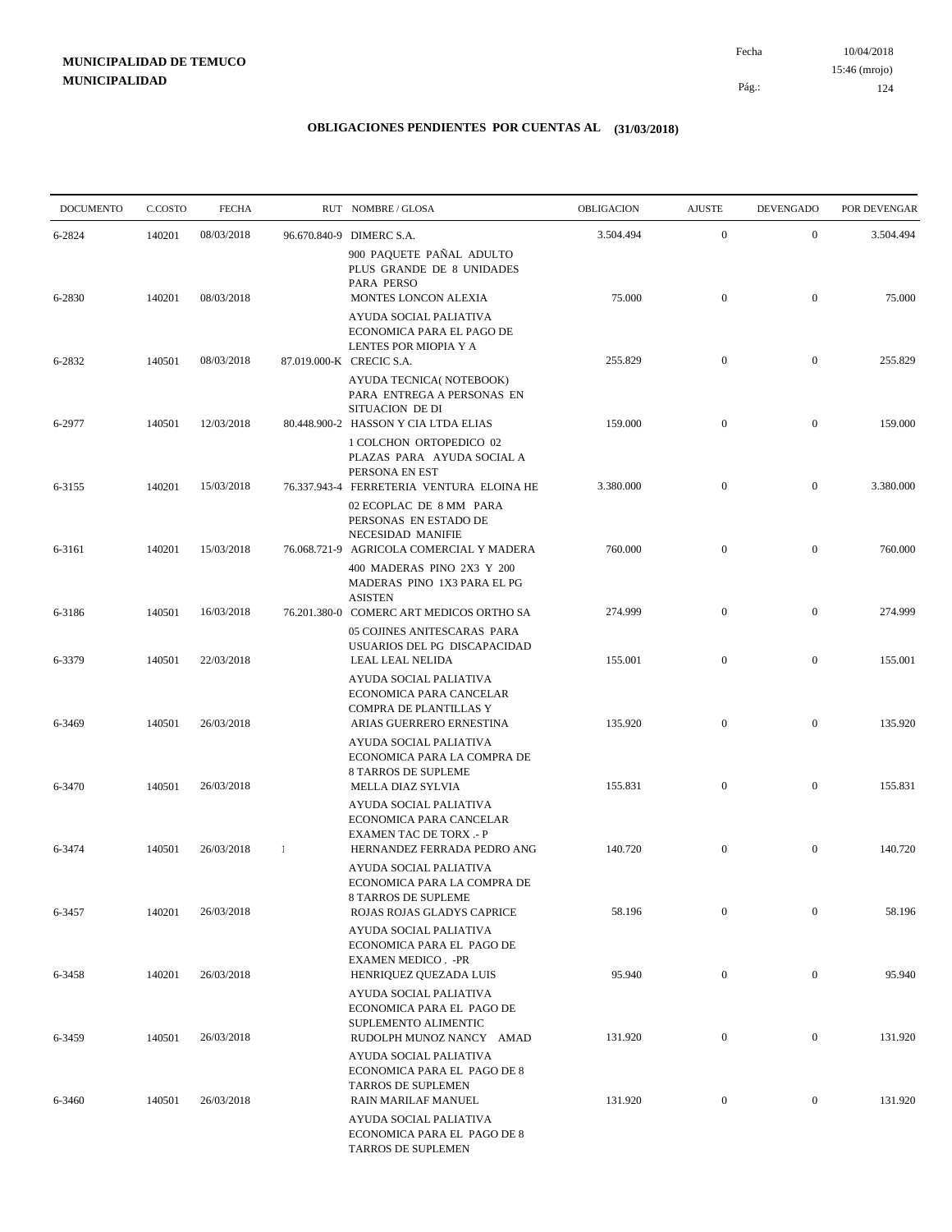| <b>DOCUMENTO</b> | C.COSTO | <b>FECHA</b> |          | RUT NOMBRE/GLOSA                                                                                                            | OBLIGACION | <b>AJUSTE</b>    | <b>DEVENGADO</b> | POR DEVENGAR |
|------------------|---------|--------------|----------|-----------------------------------------------------------------------------------------------------------------------------|------------|------------------|------------------|--------------|
| 6-2824           | 140201  | 08/03/2018   |          | 96.670.840-9 DIMERC S.A.                                                                                                    | 3.504.494  | $\mathbf{0}$     | $\mathbf{0}$     | 3.504.494    |
| 6-2830           | 140201  | 08/03/2018   |          | 900 PAQUETE PAÑAL ADULTO<br>PLUS GRANDE DE 8 UNIDADES<br>PARA PERSO<br>MONTES LONCON ALEXIA                                 | 75.000     | $\mathbf{0}$     | $\mathbf{0}$     | 75.000       |
|                  |         |              |          | AYUDA SOCIAL PALIATIVA<br>ECONOMICA PARA EL PAGO DE<br>LENTES POR MIOPIA Y A                                                |            |                  |                  |              |
| 6-2832           | 140501  | 08/03/2018   |          | 87.019.000-K CRECIC S.A.<br>AYUDA TECNICA( NOTEBOOK)<br>PARA ENTREGA A PERSONAS EN                                          | 255.829    | $\mathbf{0}$     | $\overline{0}$   | 255.829      |
| 6-2977           | 140501  | 12/03/2018   |          | <b>SITUACION DE DI</b><br>80.448.900-2 HASSON Y CIA LTDA ELIAS<br>1 COLCHON ORTOPEDICO 02<br>PLAZAS PARA AYUDA SOCIAL A     | 159.000    | $\mathbf{0}$     | $\overline{0}$   | 159.000      |
| 6-3155           | 140201  | 15/03/2018   |          | PERSONA EN EST<br>76.337.943-4 FERRETERIA VENTURA ELOINA HE<br>02 ECOPLAC DE 8 MM PARA                                      | 3.380.000  | $\overline{0}$   | $\overline{0}$   | 3.380.000    |
| 6-3161           | 140201  | 15/03/2018   |          | PERSONAS EN ESTADO DE<br><b>NECESIDAD MANIFIE</b><br>76.068.721-9 AGRICOLA COMERCIAL Y MADERA<br>400 MADERAS PINO 2X3 Y 200 | 760.000    | $\mathbf{0}$     | $\mathbf{0}$     | 760.000      |
| 6-3186           | 140501  | 16/03/2018   |          | MADERAS PINO 1X3 PARA EL PG<br><b>ASISTEN</b><br>76.201.380-0 COMERC ART MEDICOS ORTHO SA                                   | 274.999    | $\mathbf{0}$     | $\overline{0}$   | 274.999      |
| 6-3379           | 140501  | 22/03/2018   |          | 05 COJINES ANITESCARAS PARA<br>USUARIOS DEL PG DISCAPACIDAD<br>LEAL LEAL NELIDA                                             | 155.001    | $\mathbf{0}$     | $\boldsymbol{0}$ | 155.001      |
| 6-3469           | 140501  | 26/03/2018   |          | AYUDA SOCIAL PALIATIVA<br>ECONOMICA PARA CANCELAR<br>COMPRA DE PLANTILLAS Y<br>ARIAS GUERRERO ERNESTINA                     | 135.920    | $\overline{0}$   | $\overline{0}$   | 135.920      |
| 6-3470           | 140501  | 26/03/2018   |          | AYUDA SOCIAL PALIATIVA<br>ECONOMICA PARA LA COMPRA DE<br>8 TARROS DE SUPLEME<br>MELLA DIAZ SYLVIA                           | 155.831    | $\mathbf{0}$     | $\boldsymbol{0}$ | 155.831      |
|                  |         |              |          | AYUDA SOCIAL PALIATIVA<br>ECONOMICA PARA CANCELAR<br><b>EXAMEN TAC DE TORX .- P</b>                                         |            |                  |                  |              |
| 6-3474           | 140501  | 26/03/2018   | $\lceil$ | HERNANDEZ FERRADA PEDRO ANG<br>AYUDA SOCIAL PALIATIVA<br>ECONOMICA PARA LA COMPRA DE                                        | 140.720    | $\mathbf{0}$     | $\mathbf{0}$     | 140.720      |
| 6-3457           | 140201  | 26/03/2018   |          | 8 TARROS DE SUPLEME<br>ROJAS ROJAS GLADYS CAPRICE<br>AYUDA SOCIAL PALIATIVA                                                 | 58.196     | $\mathbf{0}$     | $\boldsymbol{0}$ | 58.196       |
| 6-3458           | 140201  | 26/03/2018   |          | ECONOMICA PARA EL PAGO DE<br><b>EXAMEN MEDICO. - PR</b><br>HENRIQUEZ QUEZADA LUIS                                           | 95.940     | $\boldsymbol{0}$ | $\mathbf{0}$     | 95.940       |
| 6-3459           | 140501  | 26/03/2018   |          | AYUDA SOCIAL PALIATIVA<br>ECONOMICA PARA EL PAGO DE<br>SUPLEMENTO ALIMENTIC<br>RUDOLPH MUNOZ NANCY AMAD                     | 131.920    | $\boldsymbol{0}$ | $\mathbf{0}$     | 131.920      |
|                  |         |              |          | AYUDA SOCIAL PALIATIVA<br>ECONOMICA PARA EL PAGO DE 8<br><b>TARROS DE SUPLEMEN</b>                                          |            |                  |                  |              |
| 6-3460           | 140501  | 26/03/2018   |          | RAIN MARILAF MANUEL<br>AYUDA SOCIAL PALIATIVA<br>ECONOMICA PARA EL PAGO DE 8<br>TARROS DE SUPLEMEN                          | 131.920    | $\boldsymbol{0}$ | $\overline{0}$   | 131.920      |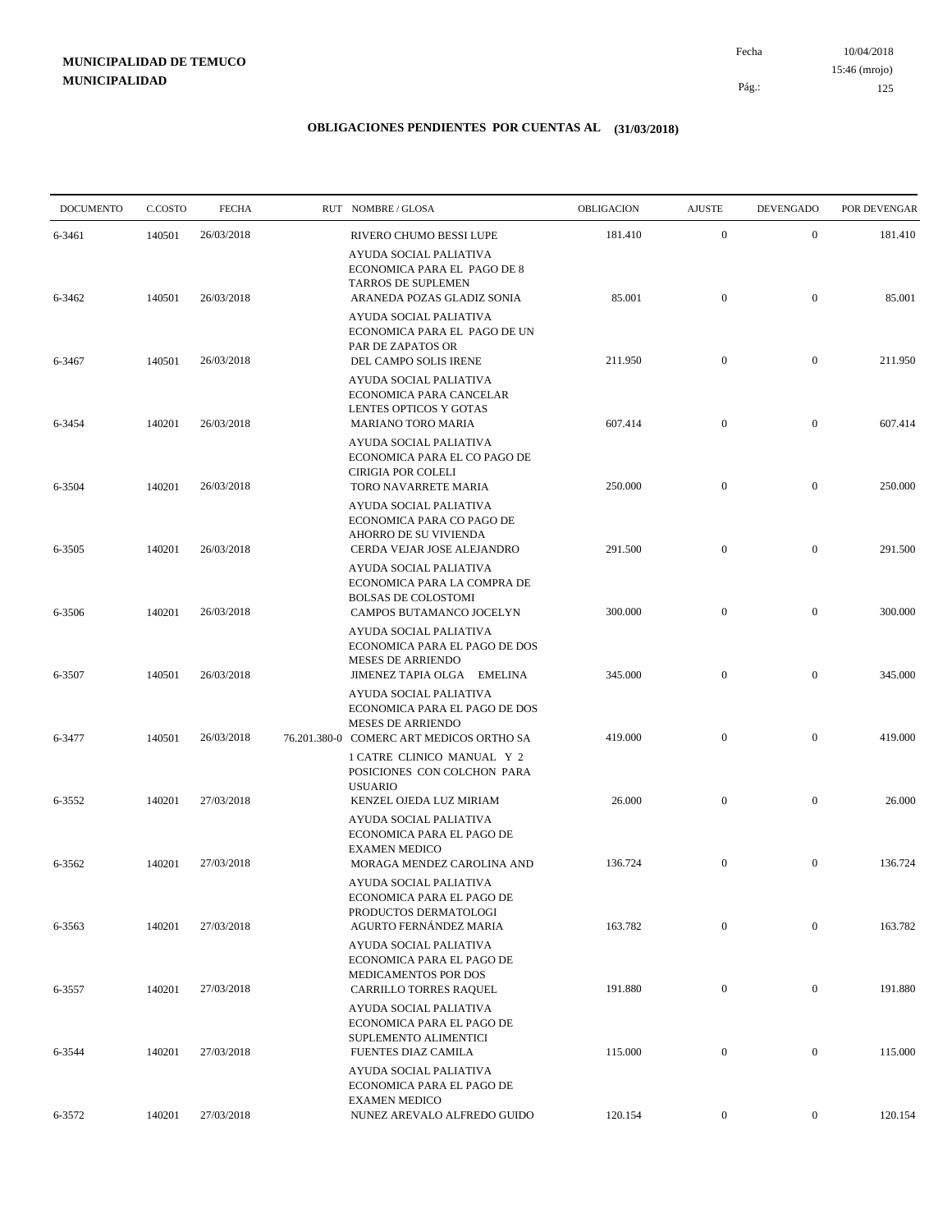10/04/2018 125 Pág.: Fecha 15:46 (mrojo)

| <b>DOCUMENTO</b> | C.COSTO | <b>FECHA</b> | RUT NOMBRE/GLOSA                                                                                                                | <b>OBLIGACION</b> | <b>AJUSTE</b>    | <b>DEVENGADO</b> | POR DEVENGAR |
|------------------|---------|--------------|---------------------------------------------------------------------------------------------------------------------------------|-------------------|------------------|------------------|--------------|
| 6-3461           | 140501  | 26/03/2018   | RIVERO CHUMO BESSI LUPE                                                                                                         | 181.410           | $\boldsymbol{0}$ | $\mathbf{0}$     | 181.410      |
| 6-3462           | 140501  | 26/03/2018   | AYUDA SOCIAL PALIATIVA<br>ECONOMICA PARA EL PAGO DE 8<br><b>TARROS DE SUPLEMEN</b><br>ARANEDA POZAS GLADIZ SONIA                | 85.001            | $\mathbf{0}$     | $\mathbf{0}$     | 85.001       |
| 6-3467           | 140501  | 26/03/2018   | AYUDA SOCIAL PALIATIVA<br>ECONOMICA PARA EL PAGO DE UN<br>PAR DE ZAPATOS OR<br>DEL CAMPO SOLIS IRENE                            | 211.950           | $\mathbf{0}$     | $\mathbf{0}$     | 211.950      |
| 6-3454           | 140201  | 26/03/2018   | AYUDA SOCIAL PALIATIVA<br>ECONOMICA PARA CANCELAR<br>LENTES OPTICOS Y GOTAS<br><b>MARIANO TORO MARIA</b>                        | 607.414           | $\mathbf{0}$     | $\mathbf{0}$     | 607.414      |
| 6-3504           | 140201  | 26/03/2018   | AYUDA SOCIAL PALIATIVA<br>ECONOMICA PARA EL CO PAGO DE<br>CIRIGIA POR COLELI<br>TORO NAVARRETE MARIA                            | 250.000           | $\mathbf{0}$     | $\boldsymbol{0}$ | 250.000      |
| 6-3505           | 140201  | 26/03/2018   | AYUDA SOCIAL PALIATIVA<br>ECONOMICA PARA CO PAGO DE<br>AHORRO DE SU VIVIENDA<br>CERDA VEJAR JOSE ALEJANDRO                      | 291.500           | $\mathbf{0}$     | $\mathbf{0}$     | 291.500      |
| 6-3506           | 140201  | 26/03/2018   | AYUDA SOCIAL PALIATIVA<br>ECONOMICA PARA LA COMPRA DE<br><b>BOLSAS DE COLOSTOMI</b><br>CAMPOS BUTAMANCO JOCELYN                 | 300.000           | $\mathbf{0}$     | $\boldsymbol{0}$ | 300.000      |
| 6-3507           | 140501  | 26/03/2018   | AYUDA SOCIAL PALIATIVA<br>ECONOMICA PARA EL PAGO DE DOS<br><b>MESES DE ARRIENDO</b><br>JIMENEZ TAPIA OLGA EMELINA               | 345.000           | $\mathbf{0}$     | $\boldsymbol{0}$ | 345.000      |
| 6-3477           | 140501  | 26/03/2018   | AYUDA SOCIAL PALIATIVA<br>ECONOMICA PARA EL PAGO DE DOS<br><b>MESES DE ARRIENDO</b><br>76.201.380-0 COMERC ART MEDICOS ORTHO SA | 419.000           | $\mathbf{0}$     | $\mathbf{0}$     | 419.000      |
| 6-3552           | 140201  | 27/03/2018   | 1 CATRE CLINICO MANUAL Y 2<br>POSICIONES CON COLCHON PARA<br><b>USUARIO</b><br>KENZEL OJEDA LUZ MIRIAM                          | 26.000            | $\mathbf{0}$     | $\boldsymbol{0}$ | 26.000       |
| 6-3562           | 140201  | 27/03/2018   | AYUDA SOCIAL PALIATIVA<br>ECONOMICA PARA EL PAGO DE<br><b>EXAMEN MEDICO</b><br>MORAGA MENDEZ CAROLINA AND                       | 136.724           | $\boldsymbol{0}$ | $\mathbf{0}$     | 136.724      |
|                  |         |              | AYUDA SOCIAL PALIATIVA<br>ECONOMICA PARA EL PAGO DE<br>PRODUCTOS DERMATOLOGI                                                    |                   |                  |                  |              |
| 6-3563           | 140201  | 27/03/2018   | AGURTO FERNÁNDEZ MARIA<br>AYUDA SOCIAL PALIATIVA<br>ECONOMICA PARA EL PAGO DE<br>MEDICAMENTOS POR DOS                           | 163.782           | $\mathbf{0}$     | $\overline{0}$   | 163.782      |
| 6-3557           | 140201  | 27/03/2018   | CARRILLO TORRES RAQUEL<br>AYUDA SOCIAL PALIATIVA<br>ECONOMICA PARA EL PAGO DE<br>SUPLEMENTO ALIMENTICI                          | 191.880           | $\boldsymbol{0}$ | $\overline{0}$   | 191.880      |
| 6-3544           | 140201  | 27/03/2018   | FUENTES DIAZ CAMILA<br>AYUDA SOCIAL PALIATIVA<br>ECONOMICA PARA EL PAGO DE<br><b>EXAMEN MEDICO</b>                              | 115.000           | $\boldsymbol{0}$ | $\boldsymbol{0}$ | 115.000      |
| 6-3572           | 140201  | 27/03/2018   | NUNEZ AREVALO ALFREDO GUIDO                                                                                                     | 120.154           | $\boldsymbol{0}$ | $\overline{0}$   | 120.154      |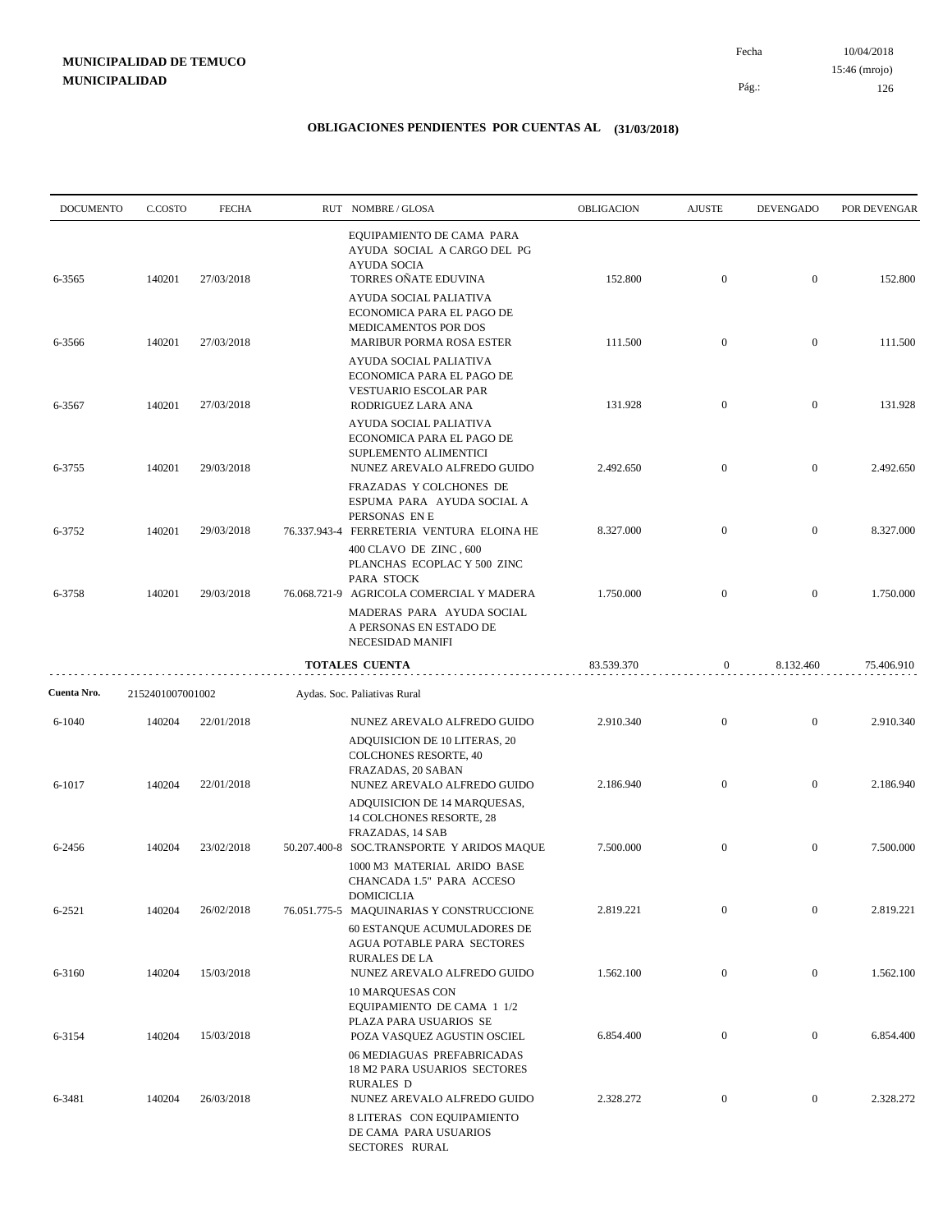| <b>DOCUMENTO</b> | C.COSTO          | <b>FECHA</b> | RUT NOMBRE/GLOSA                                                                                                                             | <b>OBLIGACION</b> | <b>AJUSTE</b>    | <b>DEVENGADO</b> | POR DEVENGAR |
|------------------|------------------|--------------|----------------------------------------------------------------------------------------------------------------------------------------------|-------------------|------------------|------------------|--------------|
| 6-3565           | 140201           | 27/03/2018   | EQUIPAMIENTO DE CAMA PARA<br>AYUDA SOCIAL A CARGO DEL PG<br><b>AYUDA SOCIA</b><br>TORRES OÑATE EDUVINA                                       | 152.800           | $\mathbf{0}$     | $\overline{0}$   | 152.800      |
| 6-3566           | 140201           | 27/03/2018   | <b>AYUDA SOCIAL PALIATIVA</b><br>ECONOMICA PARA EL PAGO DE<br>MEDICAMENTOS POR DOS<br><b>MARIBUR PORMA ROSA ESTER</b>                        | 111.500           | $\mathbf{0}$     | $\boldsymbol{0}$ | 111.500      |
|                  |                  |              | AYUDA SOCIAL PALIATIVA<br>ECONOMICA PARA EL PAGO DE<br>VESTUARIO ESCOLAR PAR                                                                 |                   |                  |                  |              |
| 6-3567           | 140201           | 27/03/2018   | RODRIGUEZ LARA ANA<br>AYUDA SOCIAL PALIATIVA<br>ECONOMICA PARA EL PAGO DE                                                                    | 131.928           | $\mathbf{0}$     | $\overline{0}$   | 131.928      |
| 6-3755           | 140201           | 29/03/2018   | SUPLEMENTO ALIMENTICI<br>NUNEZ AREVALO ALFREDO GUIDO<br>FRAZADAS Y COLCHONES DE                                                              | 2.492.650         | $\mathbf{0}$     | $\overline{0}$   | 2.492.650    |
| 6-3752           | 140201           | 29/03/2018   | ESPUMA PARA AYUDA SOCIAL A<br>PERSONAS EN E<br>76.337.943-4 FERRETERIA VENTURA ELOINA HE                                                     | 8.327.000         | $\mathbf{0}$     | $\overline{0}$   | 8.327.000    |
| 6-3758           | 140201           | 29/03/2018   | 400 CLAVO DE ZINC, 600<br>PLANCHAS ECOPLAC Y 500 ZINC<br>PARA STOCK<br>76.068.721-9 AGRICOLA COMERCIAL Y MADERA<br>MADERAS PARA AYUDA SOCIAL | 1.750.000         | $\overline{0}$   | $\overline{0}$   | 1.750.000    |
|                  |                  |              | A PERSONAS EN ESTADO DE<br>NECESIDAD MANIFI<br><b>TOTALES CUENTA</b>                                                                         | 83.539.370        | $\mathbf{0}$     | 8.132.460        | 75.406.910   |
| Cuenta Nro.      | 2152401007001002 |              | Aydas. Soc. Paliativas Rural                                                                                                                 |                   |                  |                  |              |
| $6 - 1040$       | 140204           | 22/01/2018   | NUNEZ AREVALO ALFREDO GUIDO<br>ADQUISICION DE 10 LITERAS, 20<br><b>COLCHONES RESORTE, 40</b><br>FRAZADAS, 20 SABAN                           | 2.910.340         | $\overline{0}$   | $\overline{0}$   | 2.910.340    |
| 6-1017           | 140204           | 22/01/2018   | NUNEZ AREVALO ALFREDO GUIDO<br>ADQUISICION DE 14 MARQUESAS,<br>14 COLCHONES RESORTE, 28<br>FRAZADAS, 14 SAB                                  | 2.186.940         | $\overline{0}$   | $\overline{0}$   | 2.186.940    |
| 6-2456           | 140204           | 23/02/2018   | 50.207.400-8 SOC.TRANSPORTE Y ARIDOS MAQUE<br>1000 M3 MATERIAL ARIDO BASE<br>CHANCADA 1.5" PARA ACCESO                                       | 7.500.000         | $\mathbf{0}$     | $\mathbf{0}$     | 7.500.000    |
| 6-2521           | 140204           | 26/02/2018   | DOMICICLIA<br>76.051.775-5 MAQUINARIAS Y CONSTRUCCIONE<br>60 ESTANQUE ACUMULADORES DE                                                        | 2.819.221         | $\mathbf{0}$     | $\boldsymbol{0}$ | 2.819.221    |
| 6-3160           | 140204           | 15/03/2018   | AGUA POTABLE PARA SECTORES<br><b>RURALES DE LA</b><br>NUNEZ AREVALO ALFREDO GUIDO                                                            | 1.562.100         | $\boldsymbol{0}$ | $\overline{0}$   | 1.562.100    |
| 6-3154           | 140204           | 15/03/2018   | 10 MARQUESAS CON<br>EQUIPAMIENTO DE CAMA 1 1/2<br>PLAZA PARA USUARIOS SE<br>POZA VASQUEZ AGUSTIN OSCIEL                                      | 6.854.400         | $\boldsymbol{0}$ | $\overline{0}$   | 6.854.400    |
| 6-3481           | 140204           | 26/03/2018   | 06 MEDIAGUAS PREFABRICADAS<br>18 M2 PARA USUARIOS SECTORES<br><b>RURALES D</b><br>NUNEZ AREVALO ALFREDO GUIDO                                | 2.328.272         | $\boldsymbol{0}$ | $\boldsymbol{0}$ | 2.328.272    |
|                  |                  |              | 8 LITERAS CON EQUIPAMIENTO<br>DE CAMA PARA USUARIOS<br>SECTORES RURAL                                                                        |                   |                  |                  |              |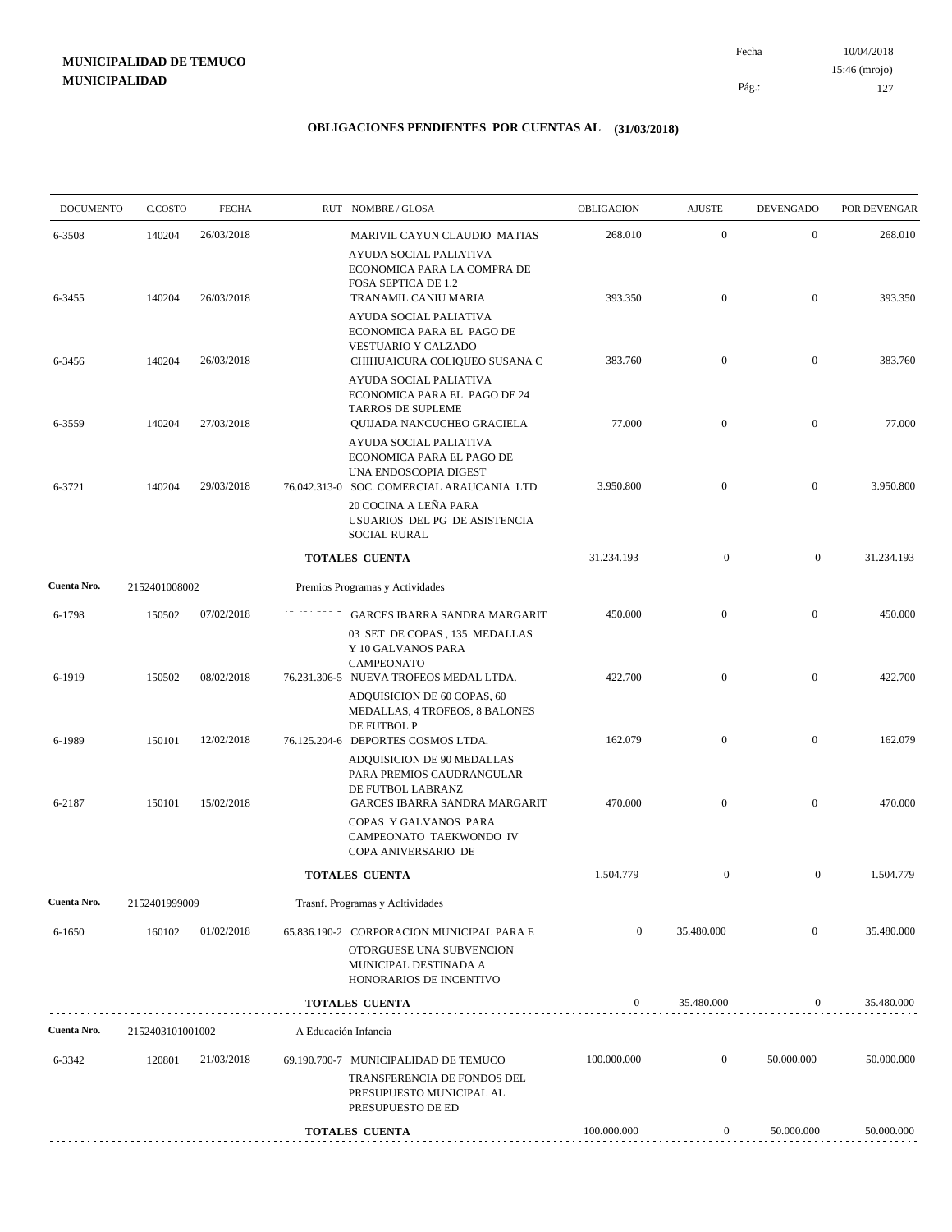10/04/2018 127 Pág.: Fecha 15:46 (mrojo)

| <b>DOCUMENTO</b> | C.COSTO          | <b>FECHA</b> |                      | RUT NOMBRE/GLOSA                                                                                                          | OBLIGACION       | <b>AJUSTE</b>    | <b>DEVENGADO</b> | POR DEVENGAR |
|------------------|------------------|--------------|----------------------|---------------------------------------------------------------------------------------------------------------------------|------------------|------------------|------------------|--------------|
| 6-3508           | 140204           | 26/03/2018   |                      | MARIVIL CAYUN CLAUDIO MATIAS<br>AYUDA SOCIAL PALIATIVA                                                                    | 268.010          | $\mathbf{0}$     | $\mathbf{0}$     | 268.010      |
| 6-3455           | 140204           | 26/03/2018   |                      | ECONOMICA PARA LA COMPRA DE<br>FOSA SEPTICA DE 1.2<br>TRANAMIL CANIU MARIA<br>AYUDA SOCIAL PALIATIVA                      | 393.350          | $\overline{0}$   | $\overline{0}$   | 393.350      |
| 6-3456           | 140204           | 26/03/2018   |                      | ECONOMICA PARA EL PAGO DE<br>VESTUARIO Y CALZADO<br>CHIHUAICURA COLIQUEO SUSANA C                                         | 383.760          | $\overline{0}$   | $\overline{0}$   | 383.760      |
|                  |                  |              |                      | AYUDA SOCIAL PALIATIVA<br>ECONOMICA PARA EL PAGO DE 24<br>TARROS DE SUPLEME                                               |                  |                  |                  |              |
| 6-3559           | 140204           | 27/03/2018   |                      | QUIJADA NANCUCHEO GRACIELA<br>AYUDA SOCIAL PALIATIVA<br>ECONOMICA PARA EL PAGO DE                                         | 77.000           | $\overline{0}$   | $\overline{0}$   | 77.000       |
| 6-3721           | 140204           | 29/03/2018   |                      | UNA ENDOSCOPIA DIGEST<br>76.042.313-0 SOC. COMERCIAL ARAUCANIA LTD<br>20 COCINA A LEÑA PARA                               | 3.950.800        | $\overline{0}$   | $\overline{0}$   | 3.950.800    |
|                  |                  |              |                      | USUARIOS DEL PG DE ASISTENCIA<br><b>SOCIAL RURAL</b><br><b>TOTALES CUENTA</b>                                             | 31.234.193       | $\mathbf{0}$     | $\overline{0}$   | 31.234.193   |
| Cuenta Nro.      | 2152401008002    |              |                      | Premios Programas y Actividades                                                                                           |                  |                  |                  |              |
| 6-1798           | 150502           | 07/02/2018   |                      | <b>GARCES IBARRA SANDRA MARGARIT</b>                                                                                      | 450.000          | $\overline{0}$   | $\overline{0}$   | 450.000      |
|                  |                  |              |                      | 03 SET DE COPAS, 135 MEDALLAS<br>Y 10 GALVANOS PARA<br><b>CAMPEONATO</b>                                                  |                  |                  |                  |              |
| 6-1919           | 150502           | 08/02/2018   |                      | 76.231.306-5 NUEVA TROFEOS MEDAL LTDA.<br>ADQUISICION DE 60 COPAS, 60<br>MEDALLAS, 4 TROFEOS, 8 BALONES                   | 422.700          | $\overline{0}$   | $\overline{0}$   | 422.700      |
| 6-1989           | 150101           | 12/02/2018   |                      | DE FUTBOL P<br>76.125.204-6 DEPORTES COSMOS LTDA.<br>ADQUISICION DE 90 MEDALLAS<br>PARA PREMIOS CAUDRANGULAR              | 162.079          | $\overline{0}$   | $\mathbf{0}$     | 162.079      |
| 6-2187           | 150101           | 15/02/2018   |                      | DE FUTBOL LABRANZ<br>GARCES IBARRA SANDRA MARGARIT                                                                        | 470.000          | $\overline{0}$   | $\mathbf{0}$     | 470.000      |
|                  |                  |              |                      | COPAS Y GALVANOS PARA<br>CAMPEONATO TAEKWONDO IV<br>COPA ANIVERSARIO DE                                                   |                  |                  |                  |              |
|                  |                  |              |                      | <b>TOTALES CUENTA</b>                                                                                                     | 1.504.779        | $\boldsymbol{0}$ | $\overline{0}$   | 1.504.779    |
| Cuenta Nro.      | 2152401999009    |              |                      | Trasnf. Programas y Acltividades                                                                                          |                  |                  |                  |              |
| 6-1650           | 160102           | 01/02/2018   |                      | 65.836.190-2 CORPORACION MUNICIPAL PARA E<br>OTORGUESE UNA SUBVENCION<br>MUNICIPAL DESTINADA A<br>HONORARIOS DE INCENTIVO | $\boldsymbol{0}$ | 35.480.000       | $\mathbf{0}$     | 35.480.000   |
|                  |                  |              |                      | TOTALES CUENTA                                                                                                            | $\boldsymbol{0}$ | 35.480.000       | $\overline{0}$   | 35.480.000   |
| Cuenta Nro.      | 2152403101001002 |              | A Educación Infancia |                                                                                                                           |                  |                  |                  |              |
| 6-3342           | 120801           | 21/03/2018   |                      | 69.190.700-7 MUNICIPALIDAD DE TEMUCO                                                                                      | 100.000.000      | $\boldsymbol{0}$ | 50.000.000       | 50.000.000   |
|                  |                  |              |                      | TRANSFERENCIA DE FONDOS DEL<br>PRESUPUESTO MUNICIPAL AL<br>PRESUPUESTO DE ED                                              |                  |                  |                  |              |
|                  |                  |              |                      | TOTALES CUENTA                                                                                                            | 100.000.000      | 0                | 50.000.000       | 50.000.000   |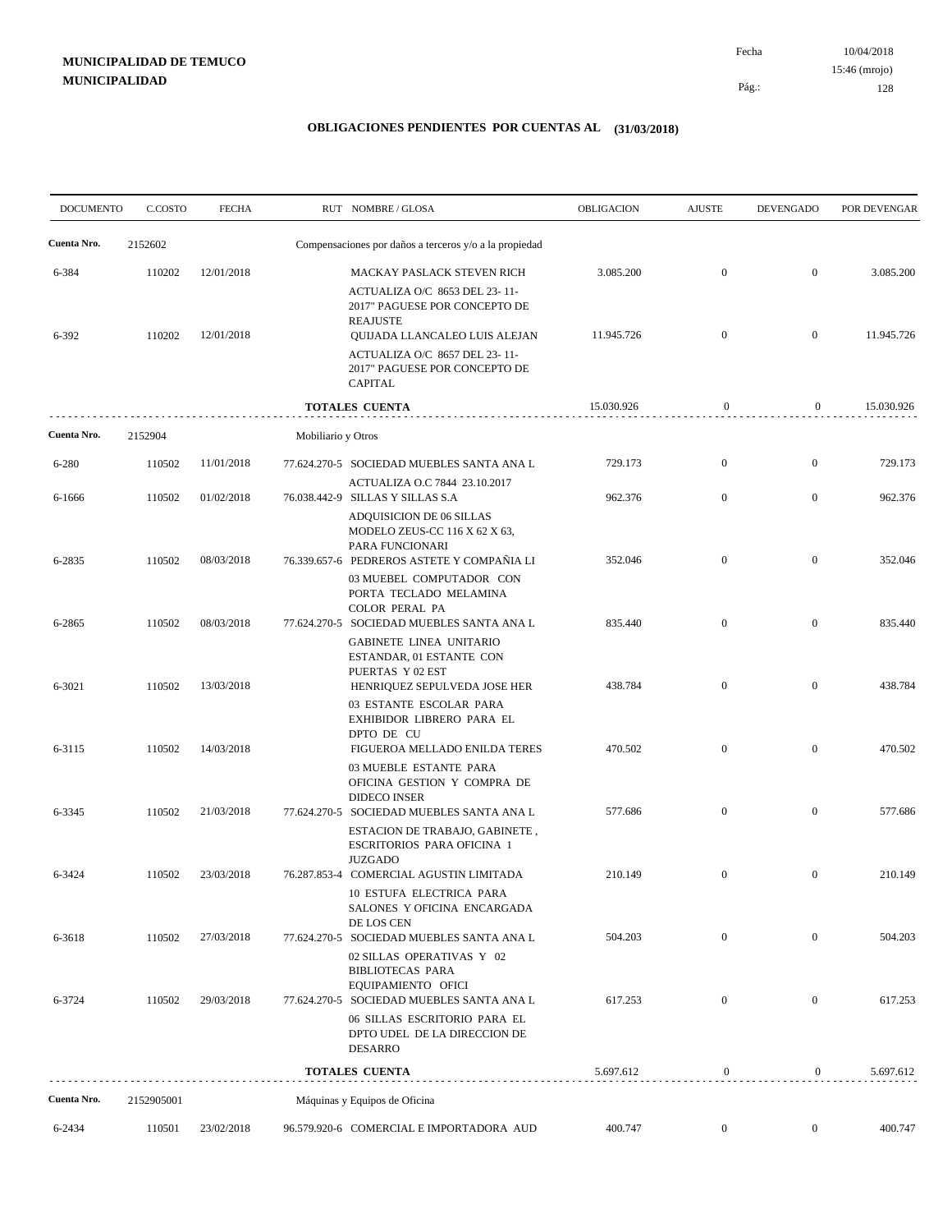10/04/2018 128 Pág.: Fecha 15:46 (mrojo)

| <b>DOCUMENTO</b> | C.COSTO    | <b>FECHA</b> |                    | RUT NOMBRE/GLOSA                                                                                                                                                                                       | OBLIGACION | <b>AJUSTE</b>    | <b>DEVENGADO</b> | POR DEVENGAR |
|------------------|------------|--------------|--------------------|--------------------------------------------------------------------------------------------------------------------------------------------------------------------------------------------------------|------------|------------------|------------------|--------------|
| Cuenta Nro.      | 2152602    |              |                    | Compensaciones por daños a terceros y/o a la propiedad                                                                                                                                                 |            |                  |                  |              |
| 6-384            | 110202     | 12/01/2018   |                    | MACKAY PASLACK STEVEN RICH                                                                                                                                                                             | 3.085.200  | $\mathbf{0}$     | $\mathbf{0}$     | 3.085.200    |
| 6-392            | 110202     | 12/01/2018   |                    | ACTUALIZA O/C 8653 DEL 23-11-<br>2017" PAGUESE POR CONCEPTO DE<br><b>REAJUSTE</b><br>QUIJADA LLANCALEO LUIS ALEJAN<br>ACTUALIZA O/C 8657 DEL 23-11-<br>2017" PAGUESE POR CONCEPTO DE<br><b>CAPITAL</b> | 11.945.726 | $\mathbf{0}$     | $\overline{0}$   | 11.945.726   |
|                  |            |              |                    | <b>TOTALES CUENTA</b>                                                                                                                                                                                  | 15.030.926 | $\boldsymbol{0}$ | $\overline{0}$   | 15.030.926   |
| Cuenta Nro.      | 2152904    |              | Mobiliario y Otros |                                                                                                                                                                                                        |            |                  |                  |              |
| 6-280            | 110502     | 11/01/2018   |                    | 77.624.270-5 SOCIEDAD MUEBLES SANTA ANA L                                                                                                                                                              | 729.173    | $\mathbf{0}$     | $\boldsymbol{0}$ | 729.173      |
| 6-1666           | 110502     | 01/02/2018   |                    | ACTUALIZA O.C 7844 23.10.2017<br>76.038.442-9 SILLAS Y SILLAS S.A<br>ADQUISICION DE 06 SILLAS<br>MODELO ZEUS-CC 116 X 62 X 63,                                                                         | 962.376    | $\mathbf{0}$     | $\boldsymbol{0}$ | 962.376      |
| 6-2835           | 110502     | 08/03/2018   |                    | PARA FUNCIONARI<br>76.339.657-6 PEDREROS ASTETE Y COMPAÑIA LI<br>03 MUEBEL COMPUTADOR CON<br>PORTA TECLADO MELAMINA                                                                                    | 352.046    | $\mathbf{0}$     | $\mathbf{0}$     | 352.046      |
| 6-2865           | 110502     | 08/03/2018   |                    | <b>COLOR PERAL PA</b><br>77.624.270-5 SOCIEDAD MUEBLES SANTA ANA L                                                                                                                                     | 835.440    | $\mathbf{0}$     | $\boldsymbol{0}$ | 835.440      |
| 6-3021           | 110502     | 13/03/2018   |                    | <b>GABINETE LINEA UNITARIO</b><br>ESTANDAR, 01 ESTANTE CON<br>PUERTAS Y 02 EST<br>HENRIQUEZ SEPULVEDA JOSE HER                                                                                         | 438.784    | $\overline{0}$   | $\overline{0}$   | 438.784      |
| 6-3115           | 110502     | 14/03/2018   |                    | 03 ESTANTE ESCOLAR PARA<br>EXHIBIDOR LIBRERO PARA EL<br>DPTO DE CU<br>FIGUEROA MELLADO ENILDA TERES                                                                                                    | 470.502    | $\mathbf{0}$     | $\boldsymbol{0}$ | 470.502      |
| 6-3345           | 110502     | 21/03/2018   |                    | 03 MUEBLE ESTANTE PARA<br>OFICINA GESTION Y COMPRA DE<br><b>DIDECO INSER</b><br>77.624.270-5 SOCIEDAD MUEBLES SANTA ANA L                                                                              | 577.686    | $\mathbf{0}$     | $\mathbf{0}$     | 577.686      |
|                  |            |              |                    | ESTACION DE TRABAJO, GABINETE,<br><b>ESCRITORIOS PARA OFICINA 1</b><br><b>JUZGADO</b>                                                                                                                  |            |                  |                  |              |
| 6-3424           | 110502     | 23/03/2018   |                    | 76.287.853-4 COMERCIAL AGUSTIN LIMITADA<br><b>10 ESTUFA ELECTRICA PARA</b><br>SALONES Y OFICINA ENCARGADA                                                                                              | 210.149    | $\overline{0}$   | $\mathbf{0}$     | 210.149      |
| 6-3618           | 110502     | 27/03/2018   |                    | DE LOS CEN<br>77.624.270-5 SOCIEDAD MUEBLES SANTA ANA L<br>02 SILLAS OPERATIVAS Y 02<br><b>BIBLIOTECAS PARA</b>                                                                                        | 504.203    | $\mathbf{0}$     | $\overline{0}$   | 504.203      |
| 6-3724           | 110502     | 29/03/2018   |                    | EQUIPAMIENTO OFICI<br>77.624.270-5 SOCIEDAD MUEBLES SANTA ANA L<br>06 SILLAS ESCRITORIO PARA EL                                                                                                        | 617.253    | $\overline{0}$   | $\mathbf{0}$     | 617.253      |
|                  |            |              |                    | DPTO UDEL DE LA DIRECCION DE<br><b>DESARRO</b>                                                                                                                                                         |            |                  |                  |              |
|                  |            |              |                    | <b>TOTALES CUENTA</b>                                                                                                                                                                                  | 5.697.612  | $\boldsymbol{0}$ | $\overline{0}$   | 5.697.612    |
| Cuenta Nro.      | 2152905001 |              |                    | Máquinas y Equipos de Oficina                                                                                                                                                                          |            |                  |                  |              |
| 6-2434           | 110501     | 23/02/2018   |                    | 96.579.920-6 COMERCIAL E IMPORTADORA AUD                                                                                                                                                               | 400.747    | $\overline{0}$   | $\overline{0}$   | 400.747      |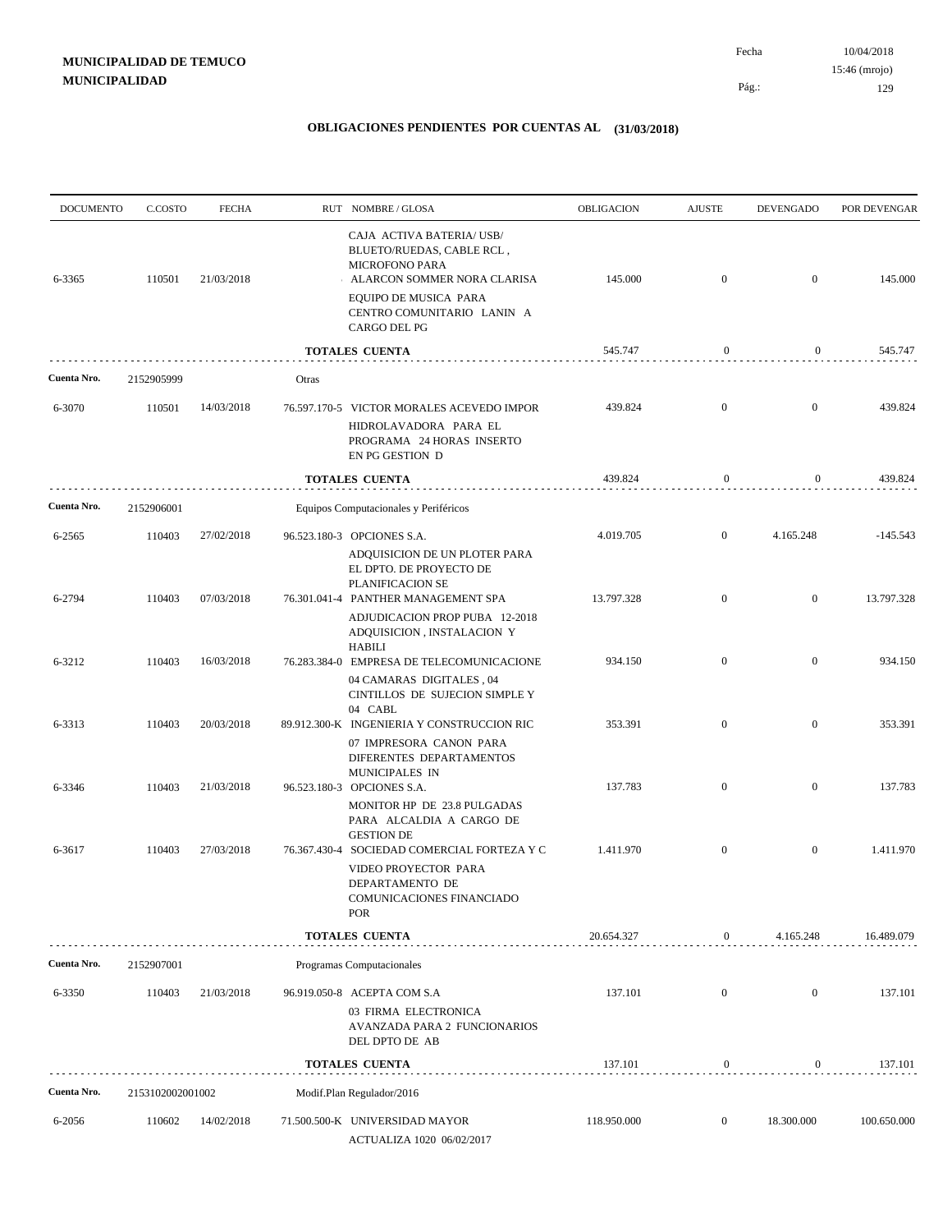| <b>DOCUMENTO</b> | C.COSTO          | <b>FECHA</b> |       | RUT NOMBRE/GLOSA                                                                                                                        | OBLIGACION  | <b>AJUSTE</b>    | <b>DEVENGADO</b> | POR DEVENGAR |
|------------------|------------------|--------------|-------|-----------------------------------------------------------------------------------------------------------------------------------------|-------------|------------------|------------------|--------------|
| 6-3365           | 110501           | 21/03/2018   |       | CAJA ACTIVA BATERIA/ USB/<br>BLUETO/RUEDAS, CABLE RCL,<br><b>MICROFONO PARA</b><br>ALARCON SOMMER NORA CLARISA<br>EQUIPO DE MUSICA PARA | 145.000     | $\mathbf{0}$     | $\overline{0}$   | 145.000      |
|                  |                  |              |       | CENTRO COMUNITARIO LANIN A<br>CARGO DEL PG                                                                                              |             |                  |                  |              |
|                  |                  |              |       | <b>TOTALES CUENTA</b>                                                                                                                   | 545.747     | 0                | $\bf{0}$         | 545.747      |
| Cuenta Nro.      | 2152905999       |              | Otras |                                                                                                                                         |             |                  |                  |              |
| 6-3070           | 110501           | 14/03/2018   |       | 76.597.170-5 VICTOR MORALES ACEVEDO IMPOR                                                                                               | 439.824     | $\boldsymbol{0}$ | $\overline{0}$   | 439.824      |
|                  |                  |              |       | HIDROLAVADORA PARA EL<br>PROGRAMA 24 HORAS INSERTO<br>EN PG GESTION D                                                                   |             |                  |                  |              |
|                  |                  |              |       | <b>TOTALES CUENTA</b>                                                                                                                   | 439.824     | $\mathbf{0}$     | $\mathbf{0}$     | 439.824      |
| Cuenta Nro.      | 2152906001       |              |       | Equipos Computacionales y Periféricos                                                                                                   |             |                  |                  |              |
| 6-2565           | 110403           | 27/02/2018   |       | 96.523.180-3 OPCIONES S.A.                                                                                                              | 4.019.705   | $\overline{0}$   | 4.165.248        | $-145.543$   |
|                  |                  |              |       | ADQUISICION DE UN PLOTER PARA<br>EL DPTO. DE PROYECTO DE<br>PLANIFICACION SE                                                            |             |                  |                  |              |
| 6-2794           | 110403           | 07/03/2018   |       | 76.301.041-4 PANTHER MANAGEMENT SPA<br>ADJUDICACION PROP PUBA 12-2018<br>ADQUISICION, INSTALACION Y                                     | 13.797.328  | $\overline{0}$   | $\overline{0}$   | 13.797.328   |
| 6-3212           | 110403           | 16/03/2018   |       | HABILI<br>76.283.384-0 EMPRESA DE TELECOMUNICACIONE                                                                                     | 934.150     | $\boldsymbol{0}$ | $\overline{0}$   | 934.150      |
|                  |                  |              |       | 04 CAMARAS DIGITALES, 04<br>CINTILLOS DE SUJECION SIMPLE Y<br>04 CABL                                                                   |             |                  |                  |              |
| 6-3313           | 110403           | 20/03/2018   |       | 89.912.300-K INGENIERIA Y CONSTRUCCION RIC                                                                                              | 353.391     | $\overline{0}$   | $\overline{0}$   | 353.391      |
|                  | 110403           | 21/03/2018   |       | 07 IMPRESORA CANON PARA<br>DIFERENTES DEPARTAMENTOS<br>MUNICIPALES IN                                                                   | 137.783     | $\boldsymbol{0}$ | $\overline{0}$   | 137.783      |
| 6-3346           |                  |              |       | 96.523.180-3 OPCIONES S.A.<br>MONITOR HP DE 23.8 PULGADAS<br>PARA ALCALDIA A CARGO DE                                                   |             |                  |                  |              |
| 6-3617           | 110403           | 27/03/2018   |       | <b>GESTION DE</b><br>76.367.430-4 SOCIEDAD COMERCIAL FORTEZA Y C                                                                        | 1.411.970   | $\boldsymbol{0}$ | $\mathbf{0}$     | 1.411.970    |
|                  |                  |              |       | VIDEO PROYECTOR PARA<br>DEPARTAMENTO DE<br>COMUNICACIONES FINANCIADO<br>POR                                                             |             |                  |                  |              |
|                  |                  |              |       | TOTALES CUENTA                                                                                                                          | 20.654.327  | 0                | 4.165.248        | 16.489.079   |
| Cuenta Nro.      | 2152907001       |              |       | Programas Computacionales                                                                                                               |             |                  |                  |              |
| 6-3350           | 110403           | 21/03/2018   |       | 96.919.050-8 ACEPTA COM S.A                                                                                                             | 137.101     | $\boldsymbol{0}$ | $\boldsymbol{0}$ | 137.101      |
|                  |                  |              |       | 03 FIRMA ELECTRONICA<br>AVANZADA PARA 2 FUNCIONARIOS<br>DEL DPTO DE AB                                                                  |             |                  |                  |              |
|                  |                  |              |       | <b>TOTALES CUENTA</b>                                                                                                                   | 137.101     | $\boldsymbol{0}$ | $\mathbf{0}$     | 137.101      |
| Cuenta Nro.      | 2153102002001002 |              |       | Modif.Plan Regulador/2016                                                                                                               |             |                  |                  |              |
| 6-2056           | 110602           | 14/02/2018   |       | 71.500.500-K UNIVERSIDAD MAYOR<br>ACTUALIZA 1020 06/02/2017                                                                             | 118.950.000 | $\boldsymbol{0}$ | 18.300.000       | 100.650.000  |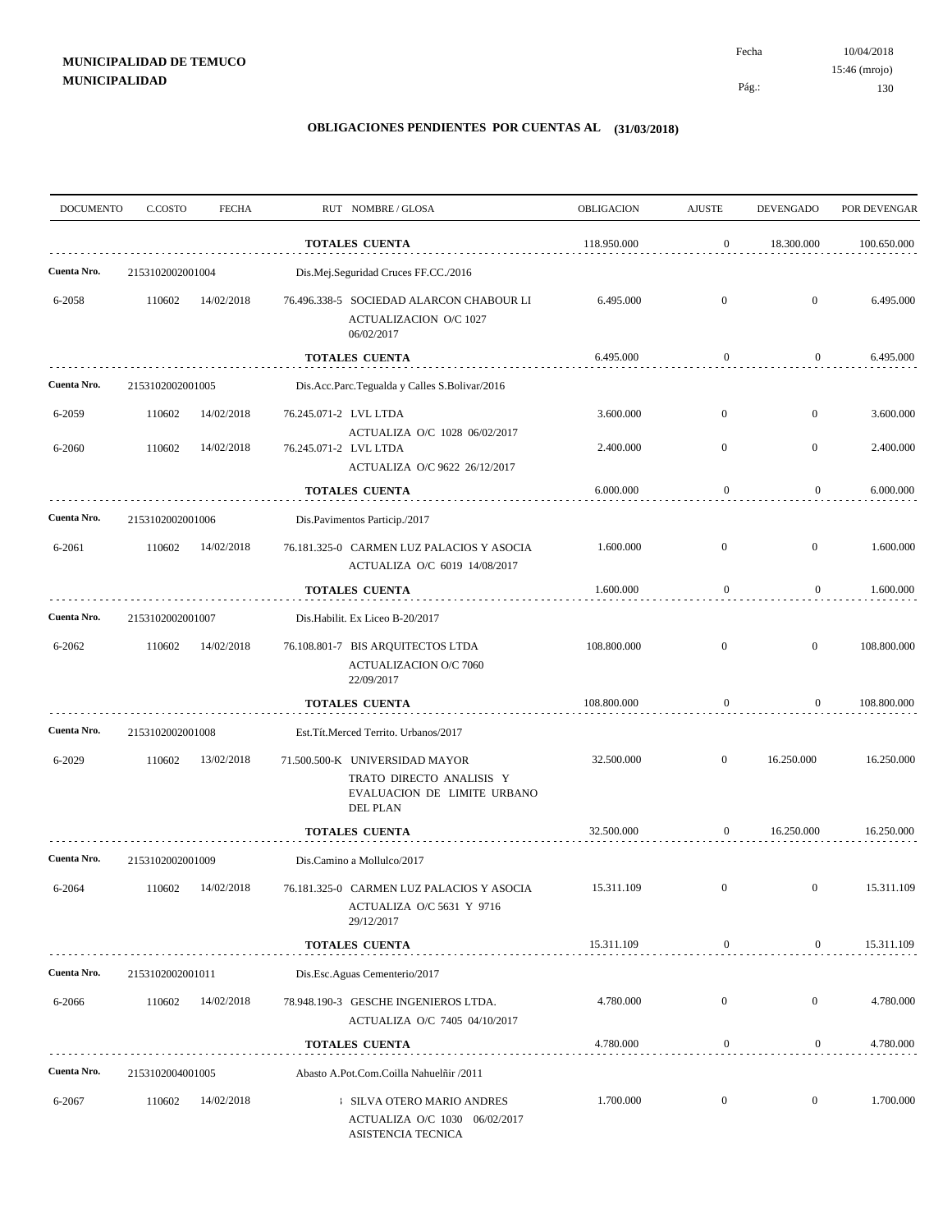10/04/2018 130 Pág.: Fecha 15:46 (mrojo)

| <b>DOCUMENTO</b> | C.COSTO          | <b>FECHA</b> | RUT NOMBRE/GLOSA                                                                                             | <b>OBLIGACION</b> | <b>AJUSTE</b>    | <b>DEVENGADO</b> | POR DEVENGAR |
|------------------|------------------|--------------|--------------------------------------------------------------------------------------------------------------|-------------------|------------------|------------------|--------------|
|                  |                  |              | <b>TOTALES CUENTA</b>                                                                                        | 118.950.000       | $\boldsymbol{0}$ | 18.300.000       | 100.650.000  |
| Cuenta Nro.      | 2153102002001004 |              | Dis.Mej.Seguridad Cruces FF.CC./2016                                                                         |                   |                  |                  |              |
| 6-2058           | 110602           | 14/02/2018   | 76.496.338-5 SOCIEDAD ALARCON CHABOUR LI<br>ACTUALIZACION O/C 1027<br>06/02/2017                             | 6.495.000         | $\overline{0}$   | $\boldsymbol{0}$ | 6.495.000    |
|                  |                  |              | <b>TOTALES CUENTA</b>                                                                                        | 6.495.000         | $\boldsymbol{0}$ | $\boldsymbol{0}$ | 6.495.000    |
| Cuenta Nro.      | 2153102002001005 |              | Dis.Acc.Parc.Tegualda y Calles S.Bolivar/2016                                                                |                   |                  |                  |              |
| 6-2059           | 110602           | 14/02/2018   | 76.245.071-2 LVL LTDA                                                                                        | 3.600.000         | $\overline{0}$   | $\boldsymbol{0}$ | 3.600.000    |
| 6-2060           | 110602           | 14/02/2018   | ACTUALIZA O/C 1028 06/02/2017<br>76.245.071-2 LVL LTDA<br>ACTUALIZA O/C 9622 26/12/2017                      | 2.400.000         | $\overline{0}$   | $\mathbf{0}$     | 2.400.000    |
|                  |                  |              | <b>TOTALES CUENTA</b>                                                                                        | 6.000.000         | $\bf{0}$         | 0                | 6.000.000    |
| Cuenta Nro.      | 2153102002001006 |              | Dis.Pavimentos Particip./2017                                                                                |                   |                  |                  |              |
| 6-2061           | 110602           | 14/02/2018   | 76.181.325-0 CARMEN LUZ PALACIOS Y ASOCIA<br>ACTUALIZA O/C 6019 14/08/2017                                   | 1.600.000         | $\overline{0}$   | $\mathbf{0}$     | 1.600.000    |
|                  |                  |              | TOTALES CUENTA                                                                                               | 1.600.000         | $\boldsymbol{0}$ | $\overline{0}$   | 1.600.000    |
| Cuenta Nro.      | 2153102002001007 |              | Dis. Habilit. Ex Liceo B-20/2017                                                                             |                   |                  |                  |              |
| 6-2062           | 110602           | 14/02/2018   | 76.108.801-7 BIS ARQUITECTOS LTDA<br><b>ACTUALIZACION O/C 7060</b><br>22/09/2017                             | 108.800.000       | $\overline{0}$   | $\mathbf{0}$     | 108.800.000  |
|                  |                  |              | TOTALES CUENTA                                                                                               | 108.800.000       | $\mathbf{0}$     | $\overline{0}$   | 108.800.000  |
| Cuenta Nro.      | 2153102002001008 |              | Est.Tít.Merced Territo. Urbanos/2017                                                                         |                   |                  |                  |              |
| 6-2029           | 110602           | 13/02/2018   | 71.500.500-K UNIVERSIDAD MAYOR<br>TRATO DIRECTO ANALISIS Y<br>EVALUACION DE LIMITE URBANO<br><b>DEL PLAN</b> | 32.500.000        | $\overline{0}$   | 16.250.000       | 16.250.000   |
|                  |                  |              | <b>TOTALES CUENTA</b>                                                                                        | 32.500.000        | $\boldsymbol{0}$ | 16.250.000       | 16.250.000   |
| Cuenta Nro.      | 2153102002001009 |              | Dis.Camino a Mollulco/2017                                                                                   |                   |                  |                  |              |
| 6-2064           | 110602           | 14/02/2018   | 76.181.325-0 CARMEN LUZ PALACIOS Y ASOCIA<br>ACTUALIZA O/C 5631 Y 9716<br>29/12/2017                         | 15.311.109        | $\overline{0}$   | $\mathbf{0}$     | 15.311.109   |
|                  |                  |              | <b>TOTALES CUENTA</b>                                                                                        | 15.311.109        | $\bf{0}$         | $\boldsymbol{0}$ | 15.311.109   |
| Cuenta Nro.      | 2153102002001011 |              | Dis.Esc.Aguas Cementerio/2017                                                                                |                   |                  |                  |              |
| 6-2066           | 110602           | 14/02/2018   | 78.948.190-3 GESCHE INGENIEROS LTDA.<br>ACTUALIZA O/C 7405 04/10/2017                                        | 4.780.000         | $\overline{0}$   | $\boldsymbol{0}$ | 4.780.000    |
|                  |                  |              | <b>TOTALES CUENTA</b>                                                                                        | 4.780.000         | $\bf{0}$         | 0                | 4.780.000    |
| Cuenta Nro.      | 2153102004001005 |              | Abasto A.Pot.Com.Coilla Nahuelñir /2011                                                                      |                   |                  |                  |              |
| 6-2067           | 110602           | 14/02/2018   | <b>SILVA OTERO MARIO ANDRES</b><br>ACTUALIZA O/C 1030 06/02/2017<br>ASISTENCIA TECNICA                       | 1.700.000         | $\boldsymbol{0}$ | $\overline{0}$   | 1.700.000    |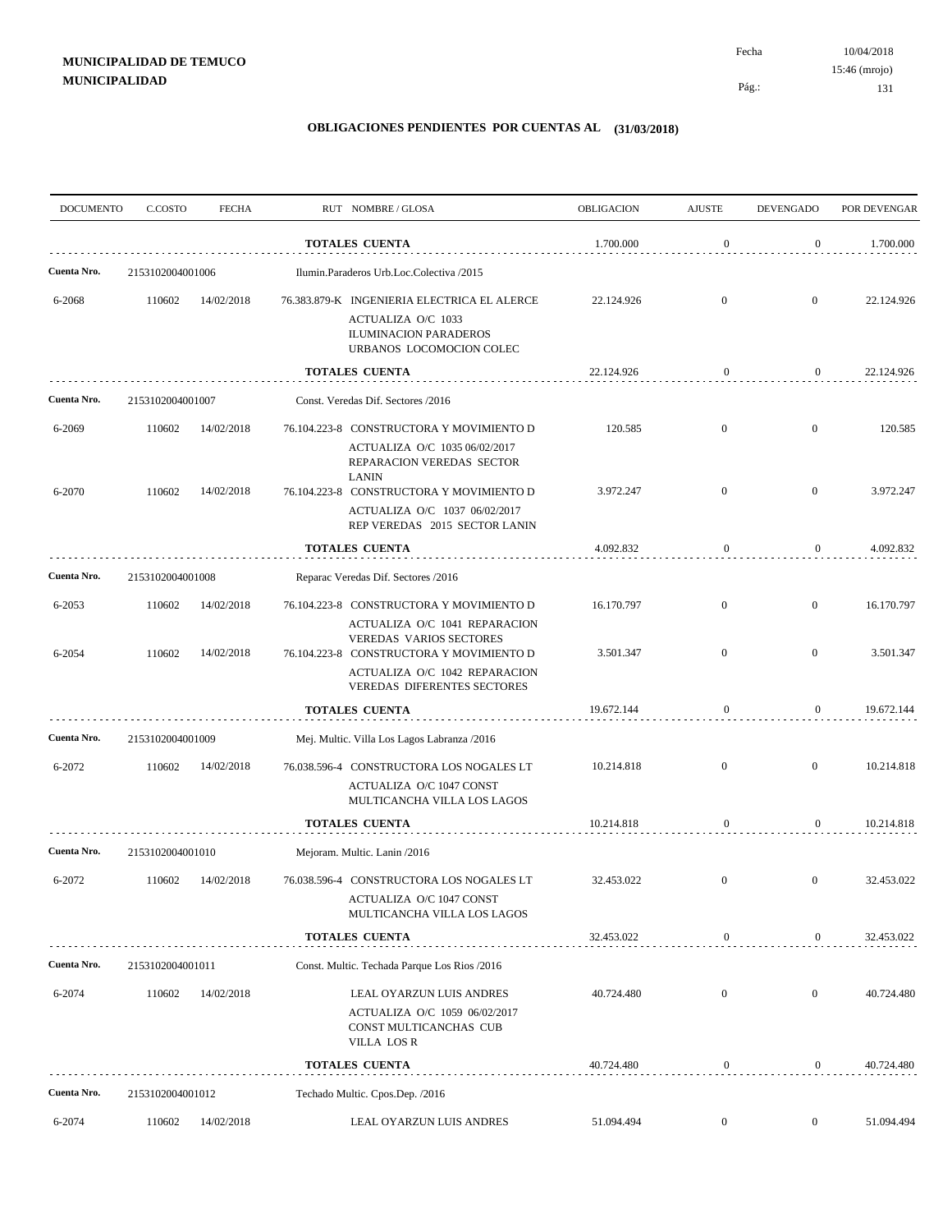| <b>DOCUMENTO</b> | C.COSTO          | <b>FECHA</b> | RUT NOMBRE/GLOSA                                                                                                                                        | <b>OBLIGACION</b> | <b>AJUSTE</b>    | <b>DEVENGADO</b> | POR DEVENGAR |
|------------------|------------------|--------------|---------------------------------------------------------------------------------------------------------------------------------------------------------|-------------------|------------------|------------------|--------------|
|                  |                  |              | <b>TOTALES CUENTA</b>                                                                                                                                   | 1.700.000         | $\mathbf{0}$     | $\overline{0}$   | 1.700.000    |
| Cuenta Nro.      | 2153102004001006 |              | Ilumin.Paraderos Urb.Loc.Colectiva /2015                                                                                                                |                   |                  |                  |              |
| 6-2068           | 110602           | 14/02/2018   | 76.383.879-K INGENIERIA ELECTRICA EL ALERCE<br>ACTUALIZA O/C 1033<br><b>ILUMINACION PARADEROS</b><br>URBANOS LOCOMOCION COLEC                           | 22.124.926        | $\overline{0}$   | $\mathbf{0}$     | 22.124.926   |
|                  |                  |              | <b>TOTALES CUENTA</b>                                                                                                                                   | 22.124.926        | $\boldsymbol{0}$ | $\overline{0}$   | 22.124.926   |
| Cuenta Nro.      | 2153102004001007 |              | Const. Veredas Dif. Sectores /2016                                                                                                                      |                   |                  |                  |              |
| 6-2069           | 110602           | 14/02/2018   | 76.104.223-8 CONSTRUCTORA Y MOVIMIENTO D                                                                                                                | 120.585           | $\mathbf{0}$     | $\boldsymbol{0}$ | 120.585      |
| 6-2070           | 110602           | 14/02/2018   | ACTUALIZA O/C 1035 06/02/2017<br>REPARACION VEREDAS SECTOR<br><b>LANIN</b><br>76.104.223-8 CONSTRUCTORA Y MOVIMIENTO D<br>ACTUALIZA O/C 1037 06/02/2017 | 3.972.247         | $\overline{0}$   | $\overline{0}$   | 3.972.247    |
|                  |                  |              | REP VEREDAS 2015 SECTOR LANIN                                                                                                                           |                   |                  |                  |              |
|                  |                  |              | <b>TOTALES CUENTA</b>                                                                                                                                   | 4.092.832         | $\bf{0}$         | $\overline{0}$   | 4.092.832    |
| Cuenta Nro.      | 2153102004001008 |              | Reparac Veredas Dif. Sectores /2016                                                                                                                     |                   |                  |                  |              |
| 6-2053           | 110602           | 14/02/2018   | 76.104.223-8 CONSTRUCTORA Y MOVIMIENTO D<br>ACTUALIZA O/C 1041 REPARACION                                                                               | 16.170.797        | $\overline{0}$   | $\mathbf{0}$     | 16.170.797   |
| 6-2054           | 110602           | 14/02/2018   | <b>VEREDAS VARIOS SECTORES</b><br>76.104.223-8 CONSTRUCTORA Y MOVIMIENTO D<br>ACTUALIZA O/C 1042 REPARACION<br>VEREDAS DIFERENTES SECTORES              | 3.501.347         | $\overline{0}$   | $\overline{0}$   | 3.501.347    |
|                  |                  |              | <b>TOTALES CUENTA</b>                                                                                                                                   | 19.672.144        | $\mathbf{0}$     | $\mathbf{0}$     | 19.672.144   |
| Cuenta Nro.      | 2153102004001009 |              | Mej. Multic. Villa Los Lagos Labranza /2016                                                                                                             |                   |                  |                  |              |
| 6-2072           | 110602           | 14/02/2018   | 76.038.596-4 CONSTRUCTORA LOS NOGALES LT<br>ACTUALIZA O/C 1047 CONST<br>MULTICANCHA VILLA LOS LAGOS                                                     | 10.214.818        | $\overline{0}$   | $\overline{0}$   | 10.214.818   |
|                  |                  |              | <b>TOTALES CUENTA</b>                                                                                                                                   | 10.214.818        | $\bf{0}$         | $\mathbf{0}$     | 10.214.818   |
| Cuenta Nro.      | 2153102004001010 |              | Mejoram. Multic. Lanin /2016                                                                                                                            |                   |                  |                  |              |
| 6-2072           | 110602           | 14/02/2018   | 76.038.596-4 CONSTRUCTORA LOS NOGALES LT<br>ACTUALIZA O/C 1047 CONST<br>MULTICANCHA VILLA LOS LAGOS                                                     | 32.453.022        | $\overline{0}$   | $\mathbf{0}$     | 32.453.022   |
|                  |                  |              | TOTALES CUENTA                                                                                                                                          | 32.453.022        | $\boldsymbol{0}$ | $\overline{0}$   | 32.453.022   |
| Cuenta Nro.      | 2153102004001011 |              | Const. Multic. Techada Parque Los Rios /2016                                                                                                            |                   |                  |                  |              |
| 6-2074           | 110602           | 14/02/2018   | LEAL OYARZUN LUIS ANDRES<br>ACTUALIZA O/C 1059 06/02/2017<br>CONST MULTICANCHAS CUB<br>VILLA LOS R                                                      | 40.724.480        | $\mathbf{0}$     | $\mathbf{0}$     | 40.724.480   |
|                  |                  |              | <b>TOTALES CUENTA</b>                                                                                                                                   | 40.724.480        | $\boldsymbol{0}$ | $\overline{0}$   | 40.724.480   |
| Cuenta Nro.      | 2153102004001012 |              | Techado Multic. Cpos.Dep. /2016                                                                                                                         |                   |                  |                  |              |
| 6-2074           | 110602           | 14/02/2018   | LEAL OYARZUN LUIS ANDRES                                                                                                                                | 51.094.494        | $\boldsymbol{0}$ | $\overline{0}$   | 51.094.494   |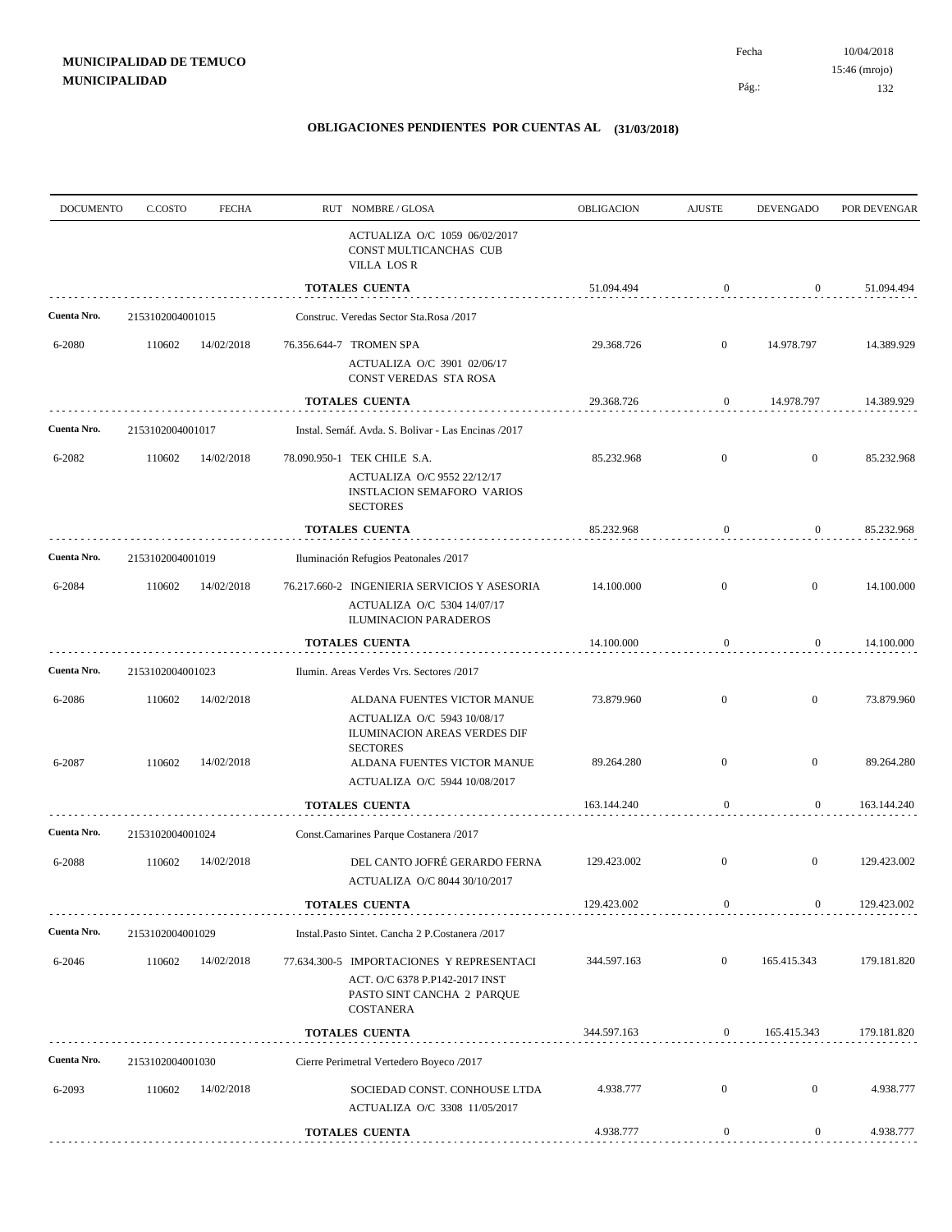Pág.:

| <b>DOCUMENTO</b> | C.COSTO          | <b>FECHA</b>             | RUT NOMBRE/GLOSA                                                                                                                                                              | OBLIGACION               | <b>AJUSTE</b>                        | <b>DEVENGADO</b>             | POR DEVENGAR             |
|------------------|------------------|--------------------------|-------------------------------------------------------------------------------------------------------------------------------------------------------------------------------|--------------------------|--------------------------------------|------------------------------|--------------------------|
|                  |                  |                          | ACTUALIZA O/C 1059 06/02/2017<br>CONST MULTICANCHAS CUB<br><b>VILLA LOS R</b>                                                                                                 |                          |                                      |                              |                          |
|                  |                  |                          | TOTALES CUENTA                                                                                                                                                                | 51.094.494               | $\mathbf{0}$                         | $\theta$                     | 51.094.494               |
| Cuenta Nro.      | 2153102004001015 |                          | Construc. Veredas Sector Sta.Rosa /2017                                                                                                                                       |                          |                                      |                              |                          |
| 6-2080           | 110602           | 14/02/2018               | 76.356.644-7 TROMEN SPA<br>ACTUALIZA O/C 3901 02/06/17<br>CONST VEREDAS STA ROSA                                                                                              | 29.368.726               | $\overline{0}$                       | 14.978.797                   | 14.389.929               |
|                  |                  |                          | TOTALES CUENTA                                                                                                                                                                | 29.368.726               | 0                                    | 14.978.797                   | 14.389.929               |
| Cuenta Nro.      | 2153102004001017 |                          | Instal. Semáf. Avda. S. Bolivar - Las Encinas /2017                                                                                                                           |                          |                                      |                              |                          |
| 6-2082           | 110602           | 14/02/2018               | 78.090.950-1 TEK CHILE S.A.<br>ACTUALIZA O/C 9552 22/12/17<br><b>INSTLACION SEMAFORO VARIOS</b><br><b>SECTORES</b>                                                            | 85.232.968               | $\boldsymbol{0}$                     | $\mathbf{0}$                 | 85.232.968               |
|                  |                  |                          | <b>TOTALES CUENTA</b>                                                                                                                                                         | 85.232.968               | $\mathbf{0}$                         | $\boldsymbol{0}$             | 85.232.968               |
| Cuenta Nro.      | 2153102004001019 |                          | Iluminación Refugios Peatonales /2017                                                                                                                                         |                          |                                      |                              |                          |
| 6-2084           | 110602           | 14/02/2018               | 76.217.660-2 INGENIERIA SERVICIOS Y ASESORIA<br>ACTUALIZA O/C 5304 14/07/17<br><b>ILUMINACION PARADEROS</b>                                                                   | 14.100.000               | $\boldsymbol{0}$                     | $\mathbf{0}$                 | 14.100.000               |
|                  |                  |                          | <b>TOTALES CUENTA</b>                                                                                                                                                         | 14.100.000               | $\mathbf{0}$                         | $\boldsymbol{0}$             | 14.100.000               |
| Cuenta Nro.      | 2153102004001023 |                          | Ilumin. Areas Verdes Vrs. Sectores /2017                                                                                                                                      |                          |                                      |                              |                          |
| 6-2086<br>6-2087 | 110602<br>110602 | 14/02/2018<br>14/02/2018 | ALDANA FUENTES VICTOR MANUE<br>ACTUALIZA O/C 5943 10/08/17<br>ILUMINACION AREAS VERDES DIF<br><b>SECTORES</b><br>ALDANA FUENTES VICTOR MANUE<br>ACTUALIZA O/C 5944 10/08/2017 | 73.879.960<br>89.264.280 | $\boldsymbol{0}$<br>$\boldsymbol{0}$ | $\mathbf{0}$<br>$\mathbf{0}$ | 73.879.960<br>89.264.280 |
|                  |                  |                          | <b>TOTALES CUENTA</b>                                                                                                                                                         | 163.144.240              | $\mathbf{0}$                         | 0                            | 163.144.240              |
| Cuenta Nro.      | 2153102004001024 |                          | Const.Camarines Parque Costanera /2017                                                                                                                                        |                          |                                      |                              |                          |
| 6-2088           | 110602           | 14/02/2018               | DEL CANTO JOFRÉ GERARDO FERNA<br>ACTUALIZA O/C 8044 30/10/2017                                                                                                                | 129.423.002              | $\mathbf{0}$                         | $\mathbf{0}$                 | 129.423.002              |
|                  |                  |                          | TOTALES CUENTA                                                                                                                                                                | 129.423.002              | $\mathbf{0}$                         | $\boldsymbol{0}$             | 129.423.002              |
| Cuenta Nro.      | 2153102004001029 |                          | Instal.Pasto Sintet. Cancha 2 P.Costanera /2017                                                                                                                               |                          |                                      |                              |                          |
| 6-2046           | 110602           | 14/02/2018               | 77.634.300-5 IMPORTACIONES Y REPRESENTACI<br>ACT. O/C 6378 P.P142-2017 INST<br>PASTO SINT CANCHA 2 PARQUE<br>COSTANERA                                                        | 344.597.163              | $\boldsymbol{0}$                     | 165.415.343                  | 179.181.820              |
|                  |                  |                          | <b>TOTALES CUENTA</b>                                                                                                                                                         | 344.597.163              | $\mathbf{0}$                         | 165.415.343                  | 179.181.820              |
| Cuenta Nro.      | 2153102004001030 |                          | Cierre Perimetral Vertedero Boyeco /2017                                                                                                                                      |                          |                                      |                              |                          |
| 6-2093           | 110602           | 14/02/2018               | SOCIEDAD CONST. CONHOUSE LTDA<br>ACTUALIZA O/C 3308 11/05/2017                                                                                                                | 4.938.777                | $\boldsymbol{0}$                     | $\mathbf{0}$                 | 4.938.777                |
|                  |                  |                          | <b>TOTALES CUENTA</b>                                                                                                                                                         | 4.938.777                | $\mathbf{0}$                         | $\boldsymbol{0}$             | 4.938.777                |
|                  |                  |                          |                                                                                                                                                                               |                          |                                      |                              |                          |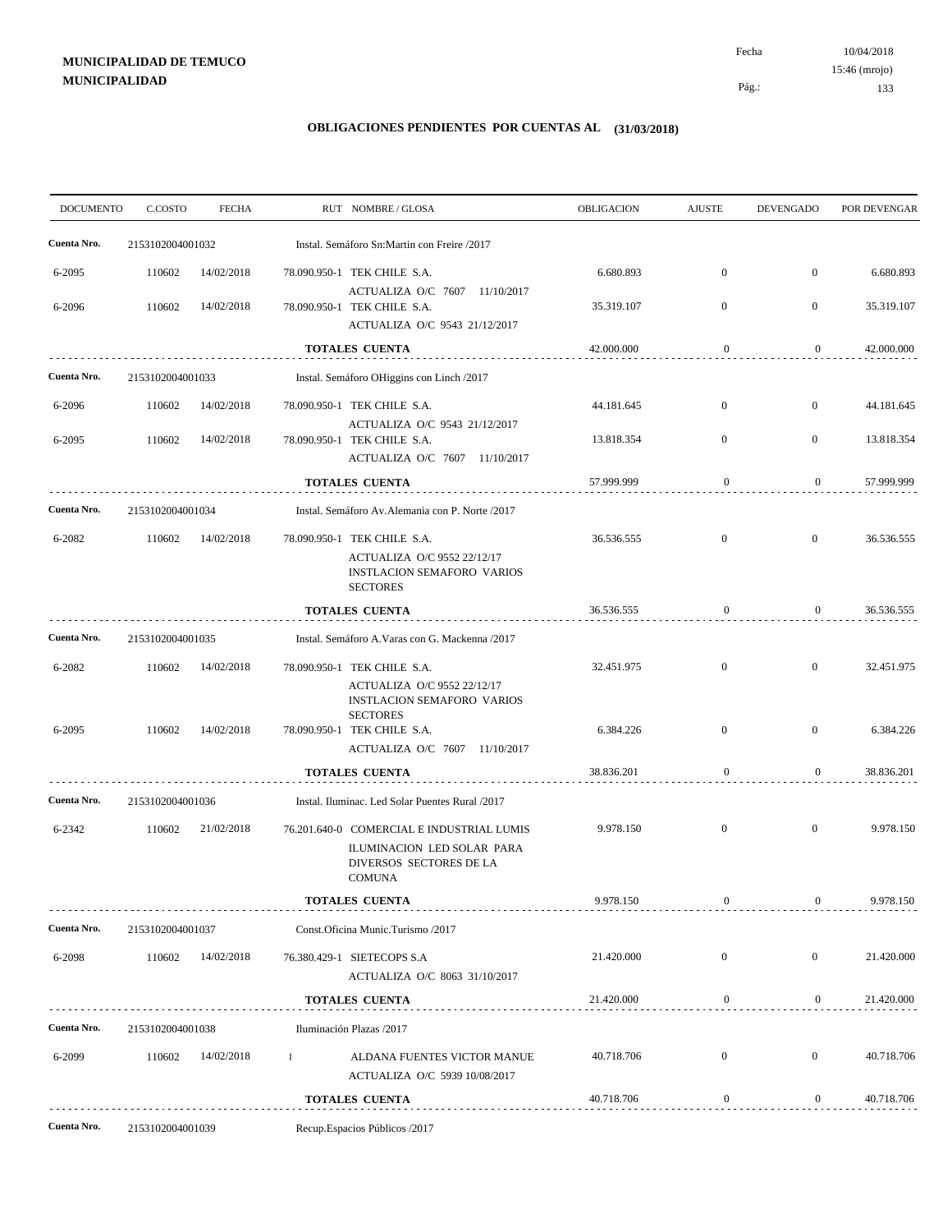10/04/2018 133 Pág.: Fecha 15:46 (mrojo)

| <b>DOCUMENTO</b> | C.COSTO          | <b>FECHA</b> |                                                  | RUT NOMBRE/GLOSA                                                                                                    | <b>OBLIGACION</b> | <b>AJUSTE</b>    | <b>DEVENGADO</b> | POR DEVENGAR |
|------------------|------------------|--------------|--------------------------------------------------|---------------------------------------------------------------------------------------------------------------------|-------------------|------------------|------------------|--------------|
| Cuenta Nro.      | 2153102004001032 |              | Instal. Semáforo Sn:Martin con Freire /2017      |                                                                                                                     |                   |                  |                  |              |
| 6-2095           | 110602           | 14/02/2018   |                                                  | 78.090.950-1 TEK CHILE S.A.                                                                                         | 6.680.893         | $\boldsymbol{0}$ | $\mathbf{0}$     | 6.680.893    |
| 6-2096           | 110602           | 14/02/2018   |                                                  | ACTUALIZA O/C 7607 11/10/2017<br>78.090.950-1 TEK CHILE S.A.<br>ACTUALIZA O/C 9543 21/12/2017                       | 35.319.107        | $\boldsymbol{0}$ | $\mathbf{0}$     | 35.319.107   |
|                  |                  |              |                                                  | <b>TOTALES CUENTA</b>                                                                                               | 42.000.000        | $\mathbf{0}$     | $\boldsymbol{0}$ | 42.000.000   |
| Cuenta Nro.      | 2153102004001033 |              | Instal. Semáforo OHiggins con Linch /2017        |                                                                                                                     |                   |                  |                  |              |
| 6-2096           | 110602           | 14/02/2018   |                                                  | 78.090.950-1 TEK CHILE S.A.                                                                                         | 44.181.645        | $\boldsymbol{0}$ | $\overline{0}$   | 44.181.645   |
| 6-2095           | 110602           | 14/02/2018   |                                                  | ACTUALIZA O/C 9543 21/12/2017<br>78.090.950-1 TEK CHILE S.A.<br>ACTUALIZA O/C 7607 11/10/2017                       | 13.818.354        | $\boldsymbol{0}$ | $\mathbf{0}$     | 13.818.354   |
|                  |                  |              | <b>TOTALES CUENTA</b>                            |                                                                                                                     | 57.999.999        | $\mathbf{0}$     | $\overline{0}$   | 57.999.999   |
| Cuenta Nro.      | 2153102004001034 |              | Instal. Semáforo Av. Alemania con P. Norte /2017 |                                                                                                                     |                   |                  |                  |              |
| 6-2082           | 110602           | 14/02/2018   |                                                  | 78.090.950-1 TEK CHILE S.A.<br>ACTUALIZA O/C 9552 22/12/17<br><b>INSTLACION SEMAFORO VARIOS</b><br><b>SECTORES</b>  | 36.536.555        | $\mathbf{0}$     | $\mathbf{0}$     | 36.536.555   |
|                  |                  |              | <b>TOTALES CUENTA</b>                            |                                                                                                                     | 36.536.555        | $\mathbf{0}$     | $\overline{0}$   | 36.536.555   |
| Cuenta Nro.      | 2153102004001035 |              | Instal. Semáforo A. Varas con G. Mackenna /2017  |                                                                                                                     |                   |                  |                  |              |
| 6-2082           | 110602           | 14/02/2018   |                                                  | 78.090.950-1 TEK CHILE S.A.                                                                                         | 32.451.975        | $\boldsymbol{0}$ | $\overline{0}$   | 32.451.975   |
| 6-2095           | 110602           | 14/02/2018   |                                                  | ACTUALIZA O/C 9552 22/12/17<br><b>INSTLACION SEMAFORO VARIOS</b><br><b>SECTORES</b><br>78.090.950-1 TEK CHILE S.A.  | 6.384.226         | $\boldsymbol{0}$ | $\mathbf{0}$     | 6.384.226    |
|                  |                  |              |                                                  | ACTUALIZA O/C 7607 11/10/2017                                                                                       |                   |                  |                  |              |
|                  |                  |              |                                                  | <b>TOTALES CUENTA</b>                                                                                               | 38.836.201        | $\boldsymbol{0}$ | $\mathbf{0}$     | 38.836.201   |
| Cuenta Nro.      | 2153102004001036 |              | Instal. Iluminac. Led Solar Puentes Rural /2017  |                                                                                                                     |                   |                  |                  |              |
| 6-2342           | 110602           | 21/02/2018   |                                                  | 76.201.640-0 COMERCIAL E INDUSTRIAL LUMIS<br>ILUMINACION LED SOLAR PARA<br>DIVERSOS SECTORES DE LA<br><b>COMUNA</b> | 9.978.150         | $\boldsymbol{0}$ | $\mathbf{0}$     | 9.978.150    |
|                  |                  |              |                                                  | <b>TOTALES CUENTA</b>                                                                                               | 9.978.150         | $\boldsymbol{0}$ | $\overline{0}$   | 9.978.150    |
| Cuenta Nro.      | 2153102004001037 |              | Const.Oficina Munic.Turismo /2017                |                                                                                                                     |                   |                  |                  |              |
| 6-2098           | 110602           | 14/02/2018   |                                                  | 76.380.429-1 SIETECOPS S.A<br>ACTUALIZA O/C 8063 31/10/2017                                                         | 21.420.000        | $\boldsymbol{0}$ | $\mathbf{0}$     | 21.420.000   |
|                  |                  |              |                                                  | TOTALES CUENTA                                                                                                      | 21.420.000        | $\boldsymbol{0}$ | $\boldsymbol{0}$ | 21.420.000   |
| Cuenta Nro.      | 2153102004001038 |              | Iluminación Plazas /2017                         |                                                                                                                     |                   |                  |                  |              |
| 6-2099           | 110602           | 14/02/2018   |                                                  | ALDANA FUENTES VICTOR MANUE<br>ACTUALIZA O/C 5939 10/08/2017                                                        | 40.718.706        | $\boldsymbol{0}$ | $\mathbf{0}$     | 40.718.706   |
|                  |                  |              |                                                  | TOTALES CUENTA                                                                                                      | 40.718.706        | $\bf{0}$         | $\mathbf{0}$     | 40.718.706   |
| Cuenta Nro.      | 2153102004001039 |              | Recup. Espacios Públicos /2017                   |                                                                                                                     |                   |                  |                  |              |